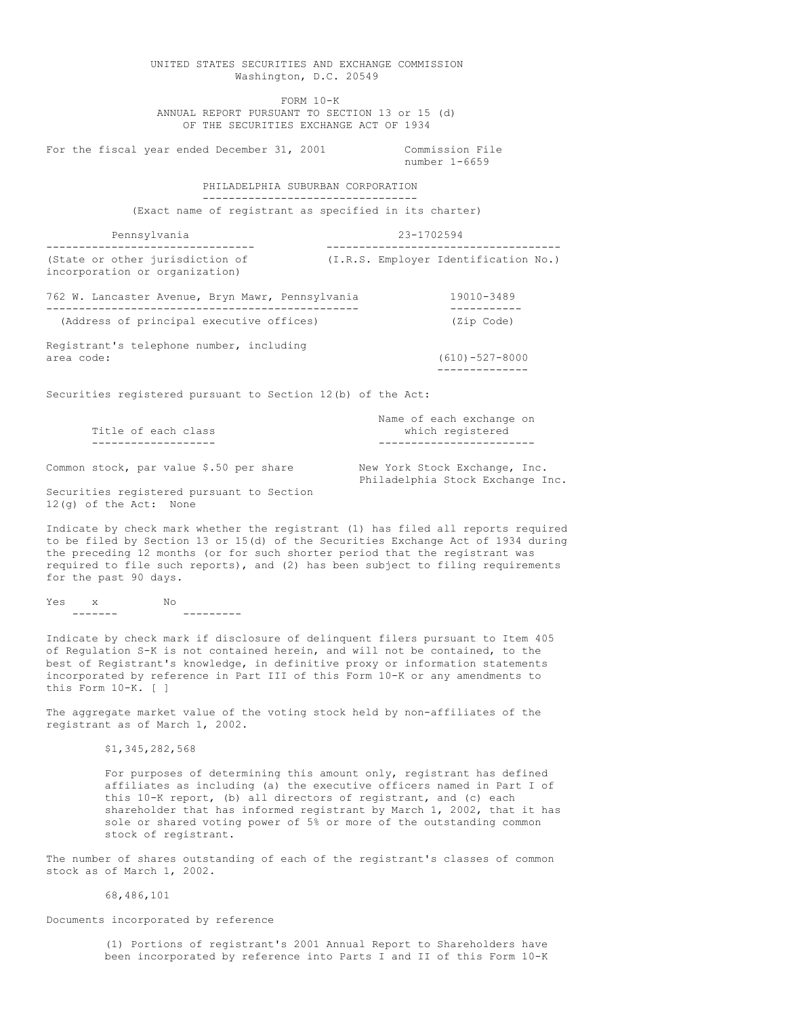UNITED STATES SECURITIES AND EXCHANGE COMMISSION Washington, D.C. 20549 FORM 10-K ANNUAL REPORT PURSUANT TO SECTION 13 or 15 (d) OF THE SECURITIES EXCHANGE ACT OF 1934 For the fiscal year ended December 31, 2001 Commission File number 1-6659 PHILADELPHIA SUBURBAN CORPORATION --------------------------------- (Exact name of registrant as specified in its charter) Pennsylvania 23-1702594 -------------------------------- ------------------------------------ (State or other jurisdiction of (I.R.S. Employer Identification No.) incorporation or organization) 762 W. Lancaster Avenue, Bryn Mawr, Pennsylvania 19010-3489 ------------------------------------------------ ----------- (Address of principal executive offices) (Zip Code) Registrant's telephone number, including area code: (610)-527-8000 -------------- Securities registered pursuant to Section 12(b) of the Act: Name of each exchange on<br>which reqistered Title of each class ------------------- ------------------------ Common stock, par value \$.50 per share New York Stock Exchange, Inc. Philadelphia Stock Exchange Inc. Securities registered pursuant to Section 12(g) of the Act: None Indicate by check mark whether the registrant (1) has filed all reports required to be filed by Section 13 or 15(d) of the Securities Exchange Act of 1934 during the preceding 12 months (or for such shorter period that the registrant was required to file such reports), and (2) has been subject to filing requirements for the past 90 days. Yes x No ------- --------- Indicate by check mark if disclosure of delinquent filers pursuant to Item 405 of Regulation S-K is not contained herein, and will not be contained, to the best of Registrant's knowledge, in definitive proxy or information statements incorporated by reference in Part III of this Form 10-K or any amendments to this Form 10-K. [ ] The aggregate market value of the voting stock held by non-affiliates of the registrant as of March 1, 2002. \$1,345,282,568 For purposes of determining this amount only, registrant has defined affiliates as including (a) the executive officers named in Part I of this 10-K report, (b) all directors of registrant, and (c) each shareholder that has informed registrant by March 1, 2002, that it has sole or shared voting power of 5% or more of the outstanding common

The number of shares outstanding of each of the registrant's classes of common stock as of March 1, 2002.

68,486,101

Documents incorporated by reference

stock of registrant.

(1) Portions of registrant's 2001 Annual Report to Shareholders have been incorporated by reference into Parts I and II of this Form 10-K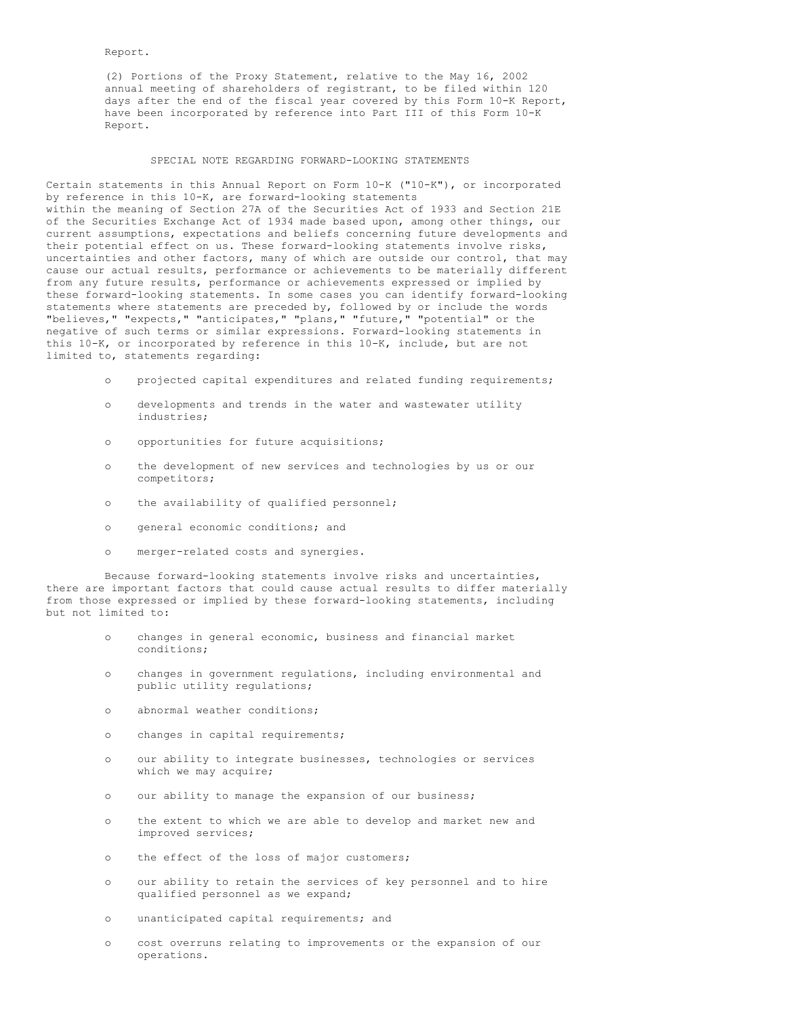Report.

(2) Portions of the Proxy Statement, relative to the May 16, 2002 annual meeting of shareholders of registrant, to be filed within 120 days after the end of the fiscal year covered by this Form 10-K Report, have been incorporated by reference into Part III of this Form 10-K Report.

### SPECIAL NOTE REGARDING FORWARD-LOOKING STATEMENTS

Certain statements in this Annual Report on Form 10-K ("10-K"), or incorporated by reference in this 10-K, are forward-looking statements within the meaning of Section 27A of the Securities Act of 1933 and Section 21E of the Securities Exchange Act of 1934 made based upon, among other things, our current assumptions, expectations and beliefs concerning future developments and their potential effect on us. These forward-looking statements involve risks, uncertainties and other factors, many of which are outside our control, that may cause our actual results, performance or achievements to be materially different from any future results, performance or achievements expressed or implied by these forward-looking statements. In some cases you can identify forward-looking statements where statements are preceded by, followed by or include the words "believes," "expects," "anticipates," "plans," "future," "potential" or the negative of such terms or similar expressions. Forward-looking statements in this 10-K, or incorporated by reference in this 10-K, include, but are not limited to, statements regarding:

- o projected capital expenditures and related funding requirements;
- o developments and trends in the water and wastewater utility industries;
- o opportunities for future acquisitions;
- o the development of new services and technologies by us or our competitors;
- o the availability of qualified personnel;
- o general economic conditions; and
- o merger-related costs and synergies.

Because forward-looking statements involve risks and uncertainties, there are important factors that could cause actual results to differ materially from those expressed or implied by these forward-looking statements, including but not limited to:

- o changes in general economic, business and financial market conditions;
- o changes in government regulations, including environmental and public utility regulations;
- o abnormal weather conditions;
- o changes in capital requirements;
- o our ability to integrate businesses, technologies or services which we may acquire;
- o our ability to manage the expansion of our business;
- o the extent to which we are able to develop and market new and improved services;
- o the effect of the loss of major customers;
- o our ability to retain the services of key personnel and to hire qualified personnel as we expand;
- o unanticipated capital requirements; and
- o cost overruns relating to improvements or the expansion of our operations.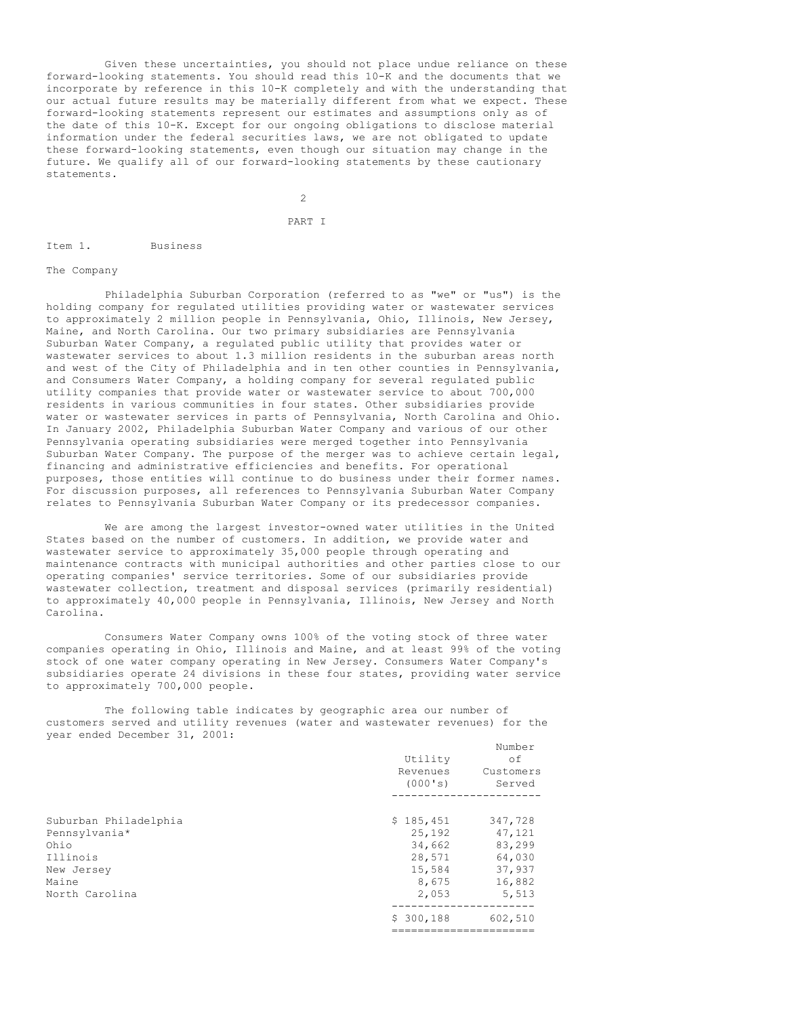Given these uncertainties, you should not place undue reliance on these forward-looking statements. You should read this 10-K and the documents that we incorporate by reference in this 10-K completely and with the understanding that our actual future results may be materially different from what we expect. These forward-looking statements represent our estimates and assumptions only as of the date of this 10-K. Except for our ongoing obligations to disclose material information under the federal securities laws, we are not obligated to update these forward-looking statements, even though our situation may change in the future. We qualify all of our forward-looking statements by these cautionary statements.

2

## PART I

#### Item 1. Business

#### The Company

Philadelphia Suburban Corporation (referred to as "we" or "us") is the holding company for regulated utilities providing water or wastewater services to approximately 2 million people in Pennsylvania, Ohio, Illinois, New Jersey, Maine, and North Carolina. Our two primary subsidiaries are Pennsylvania Suburban Water Company, a regulated public utility that provides water or wastewater services to about 1.3 million residents in the suburban areas north and west of the City of Philadelphia and in ten other counties in Pennsylvania, and Consumers Water Company, a holding company for several regulated public utility companies that provide water or wastewater service to about 700,000 residents in various communities in four states. Other subsidiaries provide water or wastewater services in parts of Pennsylvania, North Carolina and Ohio. In January 2002, Philadelphia Suburban Water Company and various of our other Pennsylvania operating subsidiaries were merged together into Pennsylvania Suburban Water Company. The purpose of the merger was to achieve certain legal, financing and administrative efficiencies and benefits. For operational purposes, those entities will continue to do business under their former names. For discussion purposes, all references to Pennsylvania Suburban Water Company relates to Pennsylvania Suburban Water Company or its predecessor companies.

We are among the largest investor-owned water utilities in the United States based on the number of customers. In addition, we provide water and wastewater service to approximately 35,000 people through operating and maintenance contracts with municipal authorities and other parties close to our operating companies' service territories. Some of our subsidiaries provide wastewater collection, treatment and disposal services (primarily residential) to approximately 40,000 people in Pennsylvania, Illinois, New Jersey and North Carolina.

Consumers Water Company owns 100% of the voting stock of three water companies operating in Ohio, Illinois and Maine, and at least 99% of the voting stock of one water company operating in New Jersey. Consumers Water Company's subsidiaries operate 24 divisions in these four states, providing water service to approximately 700,000 people.

The following table indicates by geographic area our number of customers served and utility revenues (water and wastewater revenues) for the year ended December 31, 2001: Number of the Number of the Taxable

|                                                                                                     | Utility<br>Revenues<br>(000's)                                      | Mullipet<br>οf<br>Customers<br>Served                              |
|-----------------------------------------------------------------------------------------------------|---------------------------------------------------------------------|--------------------------------------------------------------------|
| Suburban Philadelphia<br>Pennsylvania*<br>Ohio<br>Illinois<br>New Jersey<br>Maine<br>North Carolina | \$185,451<br>25,192<br>34,662<br>28,571<br>15,584<br>8,675<br>2,053 | 347,728<br>47,121<br>83,299<br>64,030<br>37,937<br>16,882<br>5,513 |
|                                                                                                     | \$300,188                                                           | 602,510                                                            |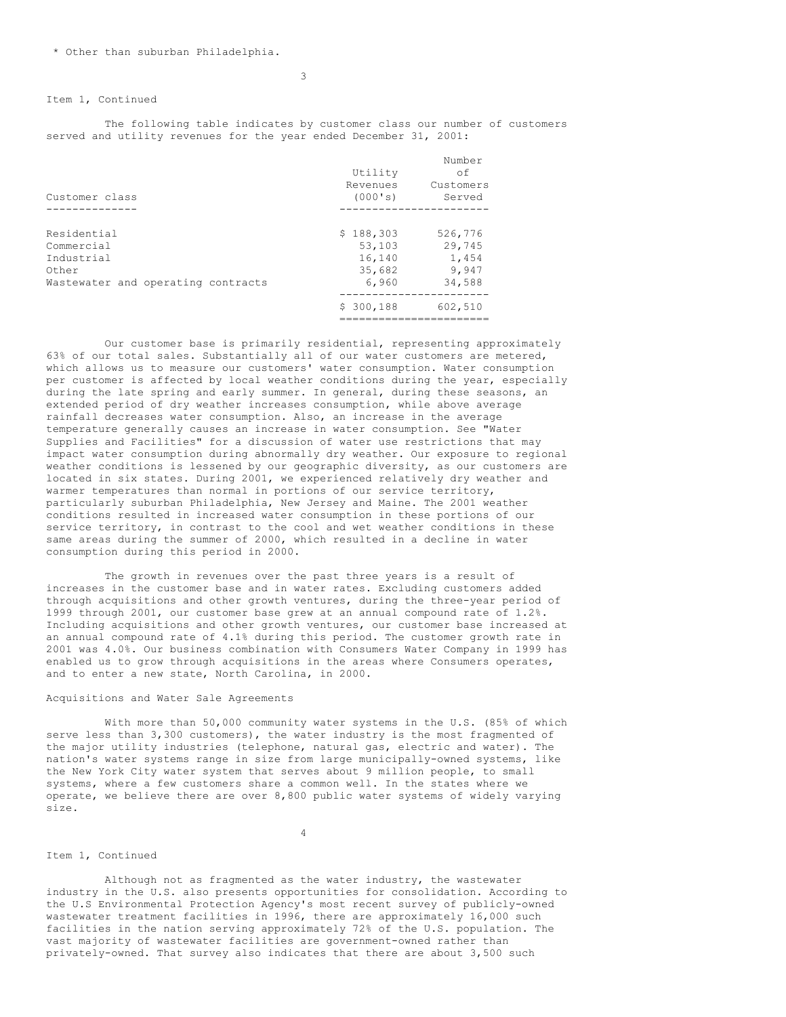## Item 1, Continued

The following table indicates by customer class our number of customers served and utility revenues for the year ended December 31, 2001:

| Customer class                                                                         | Utility<br>Revenues<br>(000's)                   | Number<br>of<br>Customers<br>Served           |
|----------------------------------------------------------------------------------------|--------------------------------------------------|-----------------------------------------------|
|                                                                                        |                                                  |                                               |
| Residential<br>Commercial<br>Industrial<br>Other<br>Wastewater and operating contracts | \$188,303<br>53,103<br>16,140<br>35,682<br>6,960 | 526,776<br>29,745<br>1,454<br>9,947<br>34,588 |
|                                                                                        | \$300,188                                        | 602,510                                       |

Our customer base is primarily residential, representing approximately 63% of our total sales. Substantially all of our water customers are metered, which allows us to measure our customers' water consumption. Water consumption per customer is affected by local weather conditions during the year, especially during the late spring and early summer. In general, during these seasons, an extended period of dry weather increases consumption, while above average rainfall decreases water consumption. Also, an increase in the average temperature generally causes an increase in water consumption. See "Water Supplies and Facilities" for a discussion of water use restrictions that may impact water consumption during abnormally dry weather. Our exposure to regional weather conditions is lessened by our geographic diversity, as our customers are located in six states. During 2001, we experienced relatively dry weather and warmer temperatures than normal in portions of our service territory, particularly suburban Philadelphia, New Jersey and Maine. The 2001 weather conditions resulted in increased water consumption in these portions of our service territory, in contrast to the cool and wet weather conditions in these same areas during the summer of 2000, which resulted in a decline in water consumption during this period in 2000.

The growth in revenues over the past three years is a result of increases in the customer base and in water rates. Excluding customers added through acquisitions and other growth ventures, during the three-year period of 1999 through 2001, our customer base grew at an annual compound rate of 1.2%. Including acquisitions and other growth ventures, our customer base increased at an annual compound rate of 4.1% during this period. The customer growth rate in 2001 was 4.0%. Our business combination with Consumers Water Company in 1999 has enabled us to grow through acquisitions in the areas where Consumers operates, and to enter a new state, North Carolina, in 2000.

## Acquisitions and Water Sale Agreements

With more than 50,000 community water systems in the U.S. (85% of which serve less than 3,300 customers), the water industry is the most fragmented of the major utility industries (telephone, natural gas, electric and water). The nation's water systems range in size from large municipally-owned systems, like the New York City water system that serves about 9 million people, to small systems, where a few customers share a common well. In the states where we operate, we believe there are over 8,800 public water systems of widely varying size.

4

#### Item 1, Continued

Although not as fragmented as the water industry, the wastewater industry in the U.S. also presents opportunities for consolidation. According to the U.S Environmental Protection Agency's most recent survey of publicly-owned wastewater treatment facilities in 1996, there are approximately 16,000 such facilities in the nation serving approximately 72% of the U.S. population. The vast majority of wastewater facilities are government-owned rather than privately-owned. That survey also indicates that there are about 3,500 such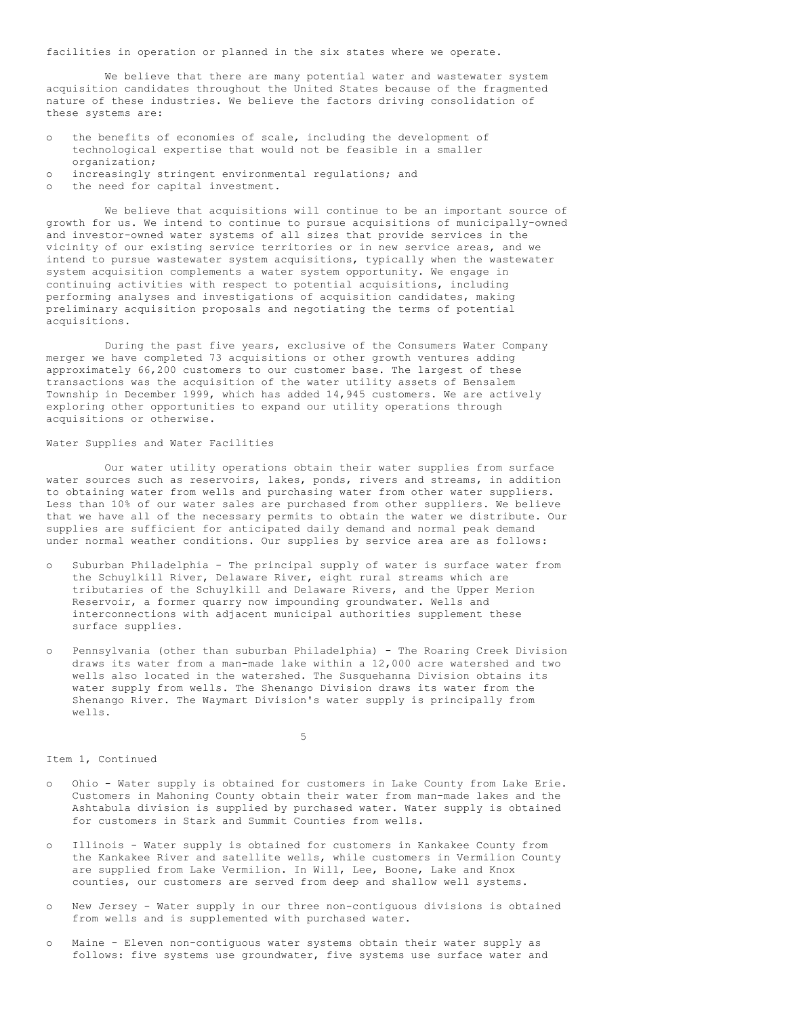facilities in operation or planned in the six states where we operate.

We believe that there are many potential water and wastewater system acquisition candidates throughout the United States because of the fragmented nature of these industries. We believe the factors driving consolidation of these systems are:

- o the benefits of economies of scale, including the development of technological expertise that would not be feasible in a smaller organization;
- o increasingly stringent environmental regulations; and
- o the need for capital investment.

We believe that acquisitions will continue to be an important source of growth for us. We intend to continue to pursue acquisitions of municipally-owned and investor-owned water systems of all sizes that provide services in the vicinity of our existing service territories or in new service areas, and we intend to pursue wastewater system acquisitions, typically when the wastewater system acquisition complements a water system opportunity. We engage in continuing activities with respect to potential acquisitions, including performing analyses and investigations of acquisition candidates, making preliminary acquisition proposals and negotiating the terms of potential acquisitions.

During the past five years, exclusive of the Consumers Water Company merger we have completed 73 acquisitions or other growth ventures adding approximately 66,200 customers to our customer base. The largest of these transactions was the acquisition of the water utility assets of Bensalem Township in December 1999, which has added 14,945 customers. We are actively exploring other opportunities to expand our utility operations through acquisitions or otherwise.

## Water Supplies and Water Facilities

Our water utility operations obtain their water supplies from surface water sources such as reservoirs, lakes, ponds, rivers and streams, in addition to obtaining water from wells and purchasing water from other water suppliers. Less than 10% of our water sales are purchased from other suppliers. We believe that we have all of the necessary permits to obtain the water we distribute. Our supplies are sufficient for anticipated daily demand and normal peak demand under normal weather conditions. Our supplies by service area are as follows:

- o Suburban Philadelphia The principal supply of water is surface water from the Schuylkill River, Delaware River, eight rural streams which are tributaries of the Schuylkill and Delaware Rivers, and the Upper Merion Reservoir, a former quarry now impounding groundwater. Wells and interconnections with adjacent municipal authorities supplement these surface supplies.
- o Pennsylvania (other than suburban Philadelphia) The Roaring Creek Division draws its water from a man-made lake within a 12,000 acre watershed and two wells also located in the watershed. The Susquehanna Division obtains its water supply from wells. The Shenango Division draws its water from the Shenango River. The Waymart Division's water supply is principally from wells.

5

# Item 1, Continued

- o Ohio Water supply is obtained for customers in Lake County from Lake Erie. Customers in Mahoning County obtain their water from man-made lakes and the Ashtabula division is supplied by purchased water. Water supply is obtained for customers in Stark and Summit Counties from wells.
- o Illinois Water supply is obtained for customers in Kankakee County from the Kankakee River and satellite wells, while customers in Vermilion County are supplied from Lake Vermilion. In Will, Lee, Boone, Lake and Knox counties, our customers are served from deep and shallow well systems.
- o New Jersey Water supply in our three non-contiguous divisions is obtained from wells and is supplemented with purchased water.
- o Maine Eleven non-contiguous water systems obtain their water supply as follows: five systems use groundwater, five systems use surface water and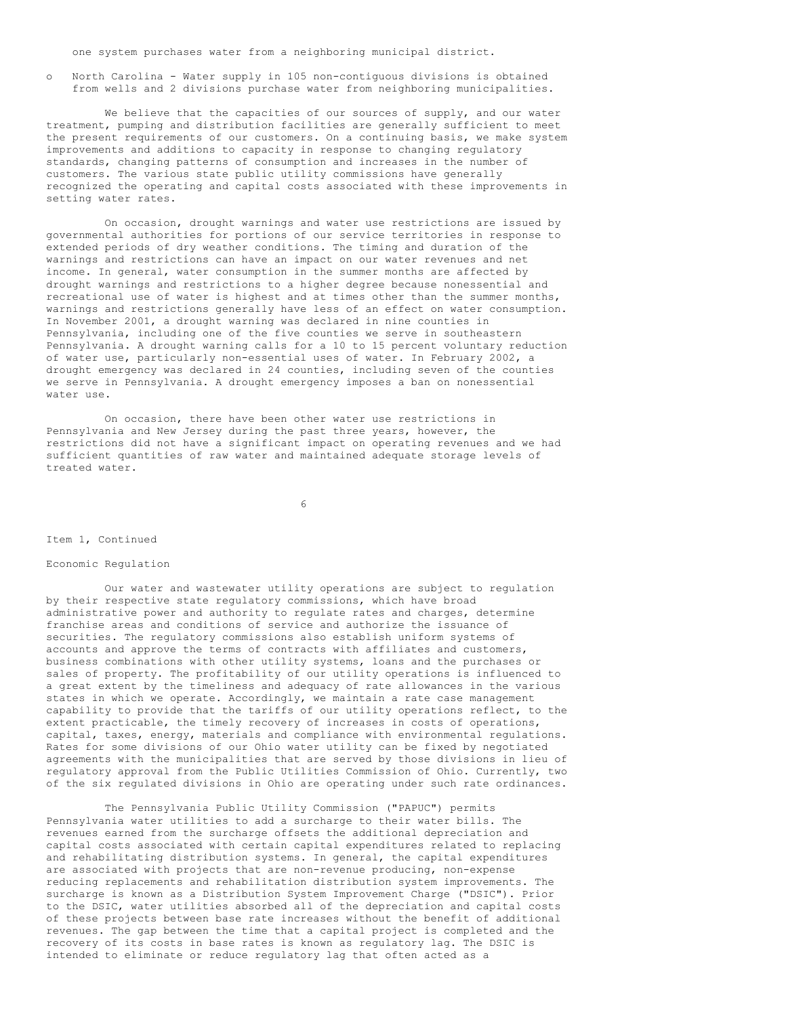one system purchases water from a neighboring municipal district.

o North Carolina - Water supply in 105 non-contiguous divisions is obtained from wells and 2 divisions purchase water from neighboring municipalities.

We believe that the capacities of our sources of supply, and our water treatment, pumping and distribution facilities are generally sufficient to meet the present requirements of our customers. On a continuing basis, we make system improvements and additions to capacity in response to changing regulatory standards, changing patterns of consumption and increases in the number of customers. The various state public utility commissions have generally recognized the operating and capital costs associated with these improvements in setting water rates.

On occasion, drought warnings and water use restrictions are issued by governmental authorities for portions of our service territories in response to extended periods of dry weather conditions. The timing and duration of the warnings and restrictions can have an impact on our water revenues and net income. In general, water consumption in the summer months are affected by drought warnings and restrictions to a higher degree because nonessential and recreational use of water is highest and at times other than the summer months, warnings and restrictions generally have less of an effect on water consumption. In November 2001, a drought warning was declared in nine counties in Pennsylvania, including one of the five counties we serve in southeastern Pennsylvania. A drought warning calls for a 10 to 15 percent voluntary reduction of water use, particularly non-essential uses of water. In February 2002, a drought emergency was declared in 24 counties, including seven of the counties we serve in Pennsylvania. A drought emergency imposes a ban on nonessential water use.

On occasion, there have been other water use restrictions in Pennsylvania and New Jersey during the past three years, however, the restrictions did not have a significant impact on operating revenues and we had sufficient quantities of raw water and maintained adequate storage levels of treated water.

6

### Item 1, Continued

### Economic Regulation

Our water and wastewater utility operations are subject to regulation by their respective state regulatory commissions, which have broad administrative power and authority to regulate rates and charges, determine franchise areas and conditions of service and authorize the issuance of securities. The regulatory commissions also establish uniform systems of accounts and approve the terms of contracts with affiliates and customers, business combinations with other utility systems, loans and the purchases or sales of property. The profitability of our utility operations is influenced to a great extent by the timeliness and adequacy of rate allowances in the various states in which we operate. Accordingly, we maintain a rate case management capability to provide that the tariffs of our utility operations reflect, to the extent practicable, the timely recovery of increases in costs of operations, capital, taxes, energy, materials and compliance with environmental regulations. Rates for some divisions of our Ohio water utility can be fixed by negotiated agreements with the municipalities that are served by those divisions in lieu of regulatory approval from the Public Utilities Commission of Ohio. Currently, two of the six regulated divisions in Ohio are operating under such rate ordinances.

The Pennsylvania Public Utility Commission ("PAPUC") permits Pennsylvania water utilities to add a surcharge to their water bills. The revenues earned from the surcharge offsets the additional depreciation and capital costs associated with certain capital expenditures related to replacing and rehabilitating distribution systems. In general, the capital expenditures are associated with projects that are non-revenue producing, non-expense reducing replacements and rehabilitation distribution system improvements. The surcharge is known as a Distribution System Improvement Charge ("DSIC"). Prior to the DSIC, water utilities absorbed all of the depreciation and capital costs of these projects between base rate increases without the benefit of additional revenues. The gap between the time that a capital project is completed and the recovery of its costs in base rates is known as regulatory lag. The DSIC is intended to eliminate or reduce regulatory lag that often acted as a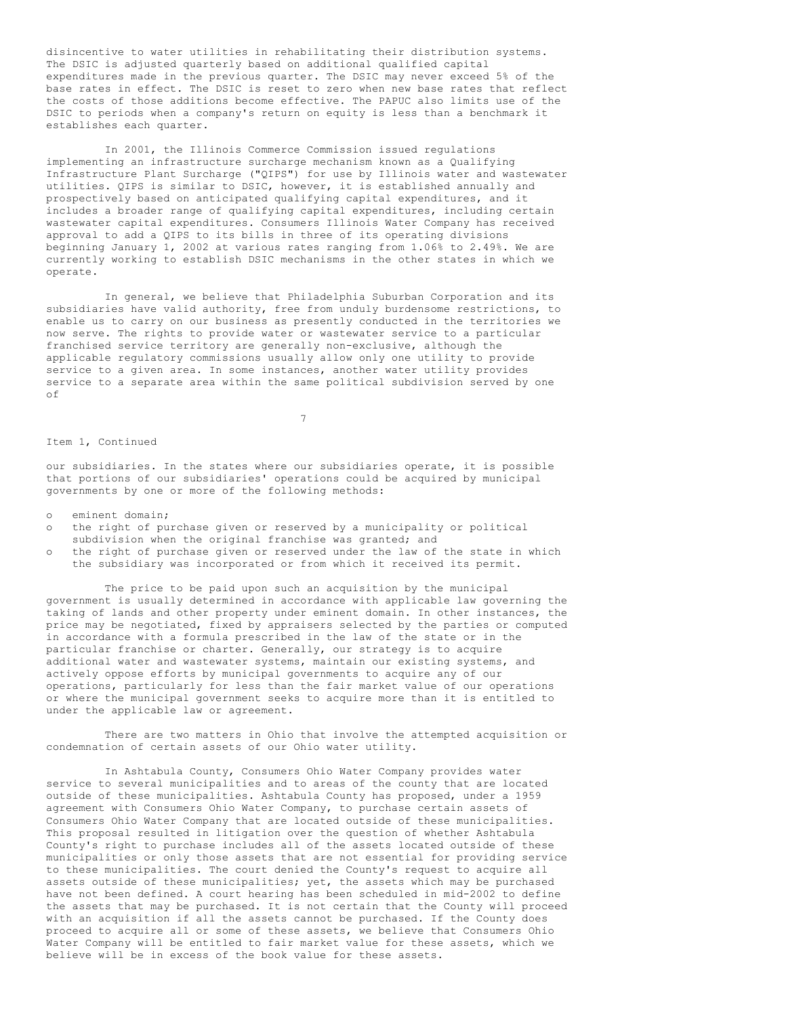disincentive to water utilities in rehabilitating their distribution systems. The DSIC is adjusted quarterly based on additional qualified capital expenditures made in the previous quarter. The DSIC may never exceed 5% of the base rates in effect. The DSIC is reset to zero when new base rates that reflect the costs of those additions become effective. The PAPUC also limits use of the DSIC to periods when a company's return on equity is less than a benchmark it establishes each quarter.

In 2001, the Illinois Commerce Commission issued regulations implementing an infrastructure surcharge mechanism known as a Qualifying Infrastructure Plant Surcharge ("QIPS") for use by Illinois water and wastewater utilities. QIPS is similar to DSIC, however, it is established annually and prospectively based on anticipated qualifying capital expenditures, and it includes a broader range of qualifying capital expenditures, including certain wastewater capital expenditures. Consumers Illinois Water Company has received approval to add a QIPS to its bills in three of its operating divisions beginning January 1, 2002 at various rates ranging from 1.06% to 2.49%. We are currently working to establish DSIC mechanisms in the other states in which we operate.

In general, we believe that Philadelphia Suburban Corporation and its subsidiaries have valid authority, free from unduly burdensome restrictions, to enable us to carry on our business as presently conducted in the territories we now serve. The rights to provide water or wastewater service to a particular franchised service territory are generally non-exclusive, although the applicable regulatory commissions usually allow only one utility to provide service to a given area. In some instances, another water utility provides service to a separate area within the same political subdivision served by one  $\cap$ f

7

### Item 1, Continued

our subsidiaries. In the states where our subsidiaries operate, it is possible that portions of our subsidiaries' operations could be acquired by municipal governments by one or more of the following methods:

eminent domain;

- o the right of purchase given or reserved by a municipality or political
- subdivision when the original franchise was granted; and
- o the right of purchase given or reserved under the law of the state in which the subsidiary was incorporated or from which it received its permit.

The price to be paid upon such an acquisition by the municipal government is usually determined in accordance with applicable law governing the taking of lands and other property under eminent domain. In other instances, the price may be negotiated, fixed by appraisers selected by the parties or computed in accordance with a formula prescribed in the law of the state or in the particular franchise or charter. Generally, our strategy is to acquire additional water and wastewater systems, maintain our existing systems, and actively oppose efforts by municipal governments to acquire any of our operations, particularly for less than the fair market value of our operations or where the municipal government seeks to acquire more than it is entitled to under the applicable law or agreement.

There are two matters in Ohio that involve the attempted acquisition or condemnation of certain assets of our Ohio water utility.

In Ashtabula County, Consumers Ohio Water Company provides water service to several municipalities and to areas of the county that are located outside of these municipalities. Ashtabula County has proposed, under a 1959 agreement with Consumers Ohio Water Company, to purchase certain assets of Consumers Ohio Water Company that are located outside of these municipalities. This proposal resulted in litigation over the question of whether Ashtabula County's right to purchase includes all of the assets located outside of these municipalities or only those assets that are not essential for providing service to these municipalities. The court denied the County's request to acquire all assets outside of these municipalities; yet, the assets which may be purchased have not been defined. A court hearing has been scheduled in mid-2002 to define the assets that may be purchased. It is not certain that the County will proceed with an acquisition if all the assets cannot be purchased. If the County does proceed to acquire all or some of these assets, we believe that Consumers Ohio Water Company will be entitled to fair market value for these assets, which we believe will be in excess of the book value for these assets.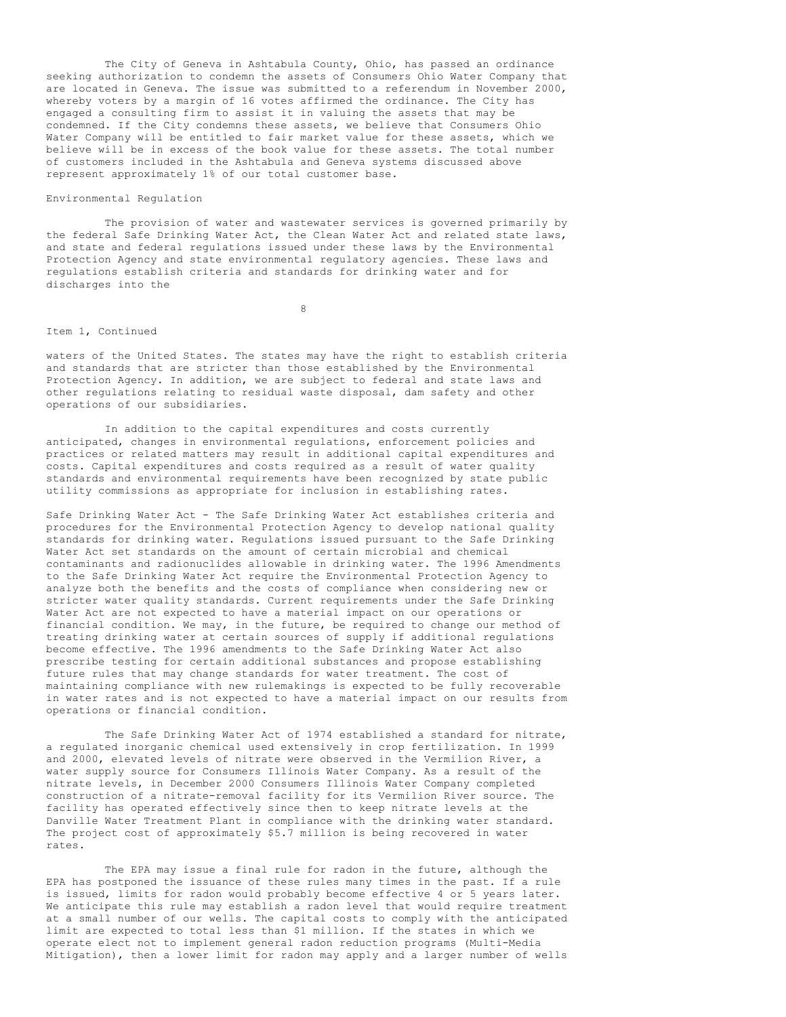The City of Geneva in Ashtabula County, Ohio, has passed an ordinance seeking authorization to condemn the assets of Consumers Ohio Water Company that are located in Geneva. The issue was submitted to a referendum in November 2000, whereby voters by a margin of 16 votes affirmed the ordinance. The City has engaged a consulting firm to assist it in valuing the assets that may be condemned. If the City condemns these assets, we believe that Consumers Ohio Water Company will be entitled to fair market value for these assets, which we believe will be in excess of the book value for these assets. The total number of customers included in the Ashtabula and Geneva systems discussed above represent approximately 1% of our total customer base.

#### Environmental Regulation

The provision of water and wastewater services is governed primarily by the federal Safe Drinking Water Act, the Clean Water Act and related state laws, and state and federal regulations issued under these laws by the Environmental Protection Agency and state environmental regulatory agencies. These laws and regulations establish criteria and standards for drinking water and for discharges into the

8

### Item 1, Continued

waters of the United States. The states may have the right to establish criteria and standards that are stricter than those established by the Environmental Protection Agency. In addition, we are subject to federal and state laws and other regulations relating to residual waste disposal, dam safety and other operations of our subsidiaries.

In addition to the capital expenditures and costs currently anticipated, changes in environmental regulations, enforcement policies and practices or related matters may result in additional capital expenditures and costs. Capital expenditures and costs required as a result of water quality standards and environmental requirements have been recognized by state public utility commissions as appropriate for inclusion in establishing rates.

Safe Drinking Water Act - The Safe Drinking Water Act establishes criteria and procedures for the Environmental Protection Agency to develop national quality standards for drinking water. Regulations issued pursuant to the Safe Drinking Water Act set standards on the amount of certain microbial and chemical contaminants and radionuclides allowable in drinking water. The 1996 Amendments to the Safe Drinking Water Act require the Environmental Protection Agency to analyze both the benefits and the costs of compliance when considering new or stricter water quality standards. Current requirements under the Safe Drinking Water Act are not expected to have a material impact on our operations or financial condition. We may, in the future, be required to change our method of treating drinking water at certain sources of supply if additional regulations become effective. The 1996 amendments to the Safe Drinking Water Act also prescribe testing for certain additional substances and propose establishing future rules that may change standards for water treatment. The cost of maintaining compliance with new rulemakings is expected to be fully recoverable in water rates and is not expected to have a material impact on our results from operations or financial condition.

The Safe Drinking Water Act of 1974 established a standard for nitrate, a regulated inorganic chemical used extensively in crop fertilization. In 1999 and 2000, elevated levels of nitrate were observed in the Vermilion River, a water supply source for Consumers Illinois Water Company. As a result of the nitrate levels, in December 2000 Consumers Illinois Water Company completed construction of a nitrate-removal facility for its Vermilion River source. The facility has operated effectively since then to keep nitrate levels at the Danville Water Treatment Plant in compliance with the drinking water standard. The project cost of approximately \$5.7 million is being recovered in water rates.

The EPA may issue a final rule for radon in the future, although the EPA has postponed the issuance of these rules many times in the past. If a rule is issued, limits for radon would probably become effective 4 or 5 years later. We anticipate this rule may establish a radon level that would require treatment at a small number of our wells. The capital costs to comply with the anticipated limit are expected to total less than \$1 million. If the states in which we operate elect not to implement general radon reduction programs (Multi-Media Mitigation), then a lower limit for radon may apply and a larger number of wells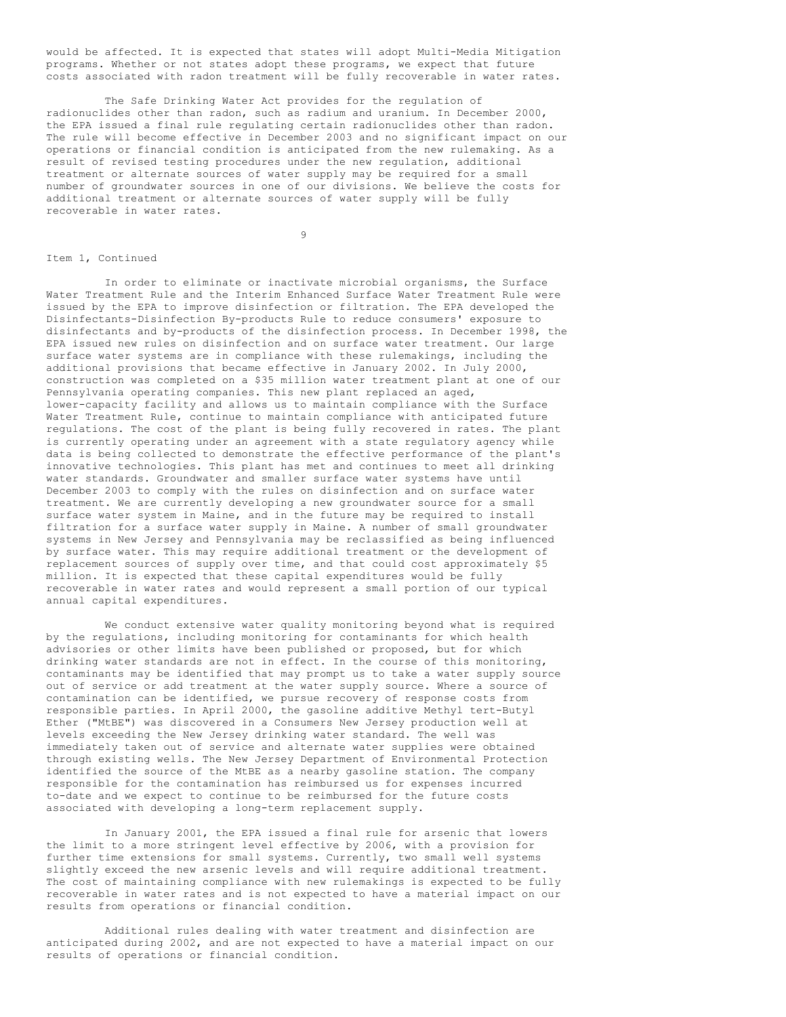would be affected. It is expected that states will adopt Multi-Media Mitigation programs. Whether or not states adopt these programs, we expect that future costs associated with radon treatment will be fully recoverable in water rates.

The Safe Drinking Water Act provides for the regulation of radionuclides other than radon, such as radium and uranium. In December 2000, the EPA issued a final rule regulating certain radionuclides other than radon. The rule will become effective in December 2003 and no significant impact on our operations or financial condition is anticipated from the new rulemaking. As a result of revised testing procedures under the new regulation, additional treatment or alternate sources of water supply may be required for a small number of groundwater sources in one of our divisions. We believe the costs for additional treatment or alternate sources of water supply will be fully recoverable in water rates.

9

### Item 1, Continued

In order to eliminate or inactivate microbial organisms, the Surface Water Treatment Rule and the Interim Enhanced Surface Water Treatment Rule were issued by the EPA to improve disinfection or filtration. The EPA developed the Disinfectants-Disinfection By-products Rule to reduce consumers' exposure to disinfectants and by-products of the disinfection process. In December 1998, the EPA issued new rules on disinfection and on surface water treatment. Our large surface water systems are in compliance with these rulemakings, including the additional provisions that became effective in January 2002. In July 2000, construction was completed on a \$35 million water treatment plant at one of our Pennsylvania operating companies. This new plant replaced an aged, lower-capacity facility and allows us to maintain compliance with the Surface Water Treatment Rule, continue to maintain compliance with anticipated future regulations. The cost of the plant is being fully recovered in rates. The plant is currently operating under an agreement with a state regulatory agency while data is being collected to demonstrate the effective performance of the plant's innovative technologies. This plant has met and continues to meet all drinking water standards. Groundwater and smaller surface water systems have until December 2003 to comply with the rules on disinfection and on surface water treatment. We are currently developing a new groundwater source for a small surface water system in Maine, and in the future may be required to install filtration for a surface water supply in Maine. A number of small groundwater systems in New Jersey and Pennsylvania may be reclassified as being influenced by surface water. This may require additional treatment or the development of replacement sources of supply over time, and that could cost approximately \$5 million. It is expected that these capital expenditures would be fully recoverable in water rates and would represent a small portion of our typical annual capital expenditures.

We conduct extensive water quality monitoring beyond what is required by the regulations, including monitoring for contaminants for which health advisories or other limits have been published or proposed, but for which drinking water standards are not in effect. In the course of this monitoring, contaminants may be identified that may prompt us to take a water supply source out of service or add treatment at the water supply source. Where a source of contamination can be identified, we pursue recovery of response costs from responsible parties. In April 2000, the gasoline additive Methyl tert-Butyl Ether ("MtBE") was discovered in a Consumers New Jersey production well at levels exceeding the New Jersey drinking water standard. The well was immediately taken out of service and alternate water supplies were obtained through existing wells. The New Jersey Department of Environmental Protection identified the source of the MtBE as a nearby gasoline station. The company responsible for the contamination has reimbursed us for expenses incurred to-date and we expect to continue to be reimbursed for the future costs associated with developing a long-term replacement supply.

In January 2001, the EPA issued a final rule for arsenic that lowers the limit to a more stringent level effective by 2006, with a provision for further time extensions for small systems. Currently, two small well systems slightly exceed the new arsenic levels and will require additional treatment. The cost of maintaining compliance with new rulemakings is expected to be fully recoverable in water rates and is not expected to have a material impact on our results from operations or financial condition.

Additional rules dealing with water treatment and disinfection are anticipated during 2002, and are not expected to have a material impact on our results of operations or financial condition.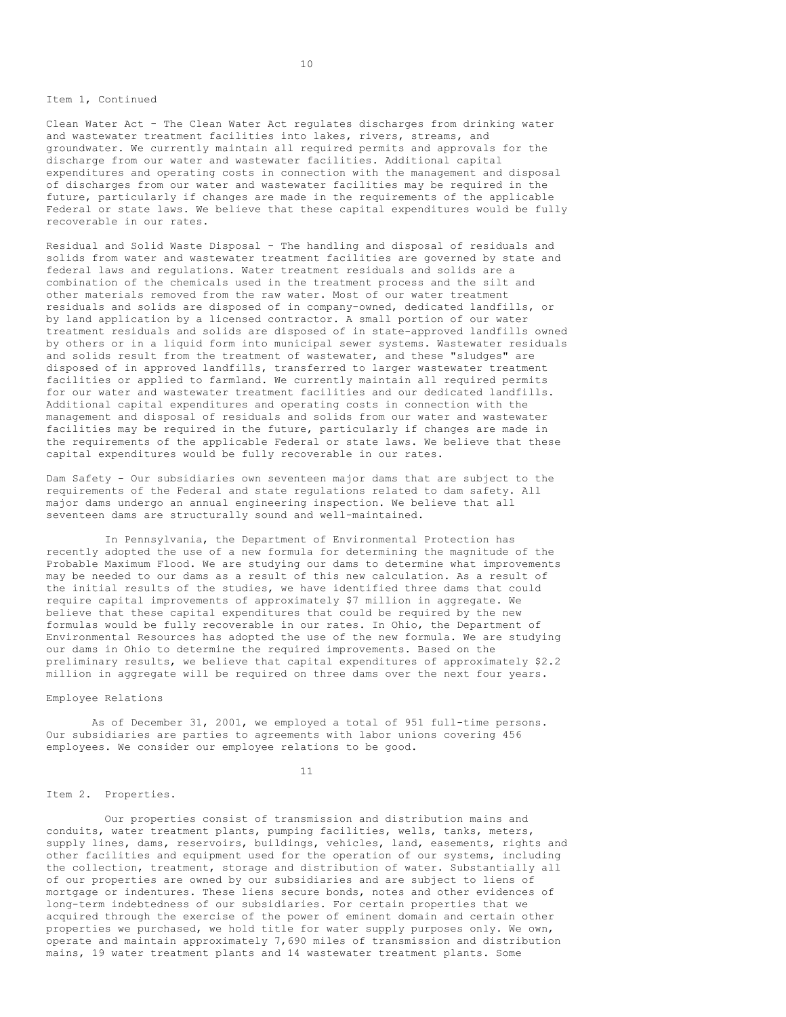Item 1, Continued

Clean Water Act - The Clean Water Act regulates discharges from drinking water and wastewater treatment facilities into lakes, rivers, streams, and groundwater. We currently maintain all required permits and approvals for the discharge from our water and wastewater facilities. Additional capital expenditures and operating costs in connection with the management and disposal of discharges from our water and wastewater facilities may be required in the future, particularly if changes are made in the requirements of the applicable Federal or state laws. We believe that these capital expenditures would be fully recoverable in our rates.

Residual and Solid Waste Disposal - The handling and disposal of residuals and solids from water and wastewater treatment facilities are governed by state and federal laws and regulations. Water treatment residuals and solids are a combination of the chemicals used in the treatment process and the silt and other materials removed from the raw water. Most of our water treatment residuals and solids are disposed of in company-owned, dedicated landfills, or by land application by a licensed contractor. A small portion of our water treatment residuals and solids are disposed of in state-approved landfills owned by others or in a liquid form into municipal sewer systems. Wastewater residuals and solids result from the treatment of wastewater, and these "sludges" are disposed of in approved landfills, transferred to larger wastewater treatment facilities or applied to farmland. We currently maintain all required permits for our water and wastewater treatment facilities and our dedicated landfills. Additional capital expenditures and operating costs in connection with the management and disposal of residuals and solids from our water and wastewater facilities may be required in the future, particularly if changes are made in the requirements of the applicable Federal or state laws. We believe that these capital expenditures would be fully recoverable in our rates.

Dam Safety - Our subsidiaries own seventeen major dams that are subject to the requirements of the Federal and state regulations related to dam safety. All major dams undergo an annual engineering inspection. We believe that all seventeen dams are structurally sound and well-maintained.

In Pennsylvania, the Department of Environmental Protection has recently adopted the use of a new formula for determining the magnitude of the Probable Maximum Flood. We are studying our dams to determine what improvements may be needed to our dams as a result of this new calculation. As a result of the initial results of the studies, we have identified three dams that could require capital improvements of approximately \$7 million in aggregate. We believe that these capital expenditures that could be required by the new formulas would be fully recoverable in our rates. In Ohio, the Department of Environmental Resources has adopted the use of the new formula. We are studying our dams in Ohio to determine the required improvements. Based on the preliminary results, we believe that capital expenditures of approximately \$2.2 million in aggregate will be required on three dams over the next four years.

## Employee Relations

As of December 31, 2001, we employed a total of 951 full-time persons. Our subsidiaries are parties to agreements with labor unions covering 456 employees. We consider our employee relations to be good.

11

## Item 2. Properties.

Our properties consist of transmission and distribution mains and conduits, water treatment plants, pumping facilities, wells, tanks, meters, supply lines, dams, reservoirs, buildings, vehicles, land, easements, rights and other facilities and equipment used for the operation of our systems, including the collection, treatment, storage and distribution of water. Substantially all of our properties are owned by our subsidiaries and are subject to liens of mortgage or indentures. These liens secure bonds, notes and other evidences of long-term indebtedness of our subsidiaries. For certain properties that we acquired through the exercise of the power of eminent domain and certain other properties we purchased, we hold title for water supply purposes only. We own, operate and maintain approximately 7,690 miles of transmission and distribution mains, 19 water treatment plants and 14 wastewater treatment plants. Some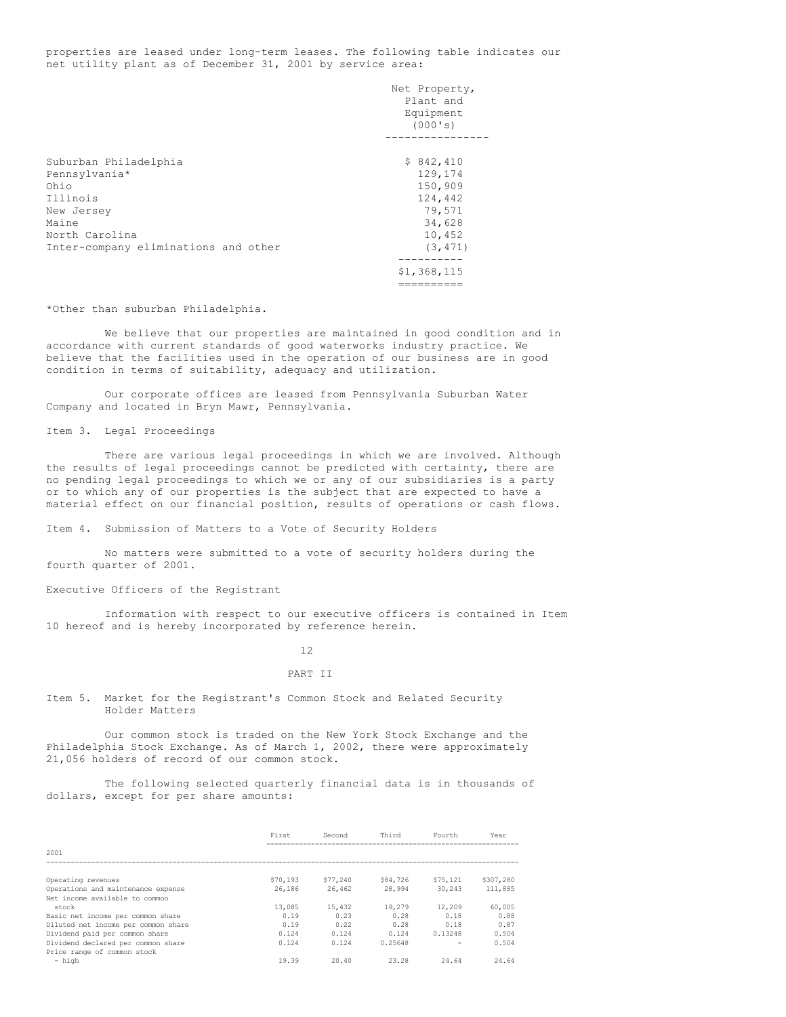properties are leased under long-term leases. The following table indicates our net utility plant as of December 31, 2001 by service area:

|                                      | Net Property, |
|--------------------------------------|---------------|
|                                      | Plant and     |
|                                      | Equipment     |
|                                      | (000's)       |
|                                      |               |
| Suburban Philadelphia                | \$842,410     |
| Pennsylvania*                        | 129,174       |
| Ohio                                 | 150,909       |
| Illinois                             | 124,442       |
| New Jersey                           | 79,571        |
| Maine                                | 34,628        |
| North Carolina                       | 10,452        |
| Inter-company eliminations and other | (3, 471)      |
|                                      | ---------     |
|                                      | \$1,368,115   |
|                                      | =======       |

\*Other than suburban Philadelphia.

We believe that our properties are maintained in good condition and in accordance with current standards of good waterworks industry practice. We believe that the facilities used in the operation of our business are in good condition in terms of suitability, adequacy and utilization.

Our corporate offices are leased from Pennsylvania Suburban Water Company and located in Bryn Mawr, Pennsylvania.

## Item 3. Legal Proceedings

There are various legal proceedings in which we are involved. Although the results of legal proceedings cannot be predicted with certainty, there are no pending legal proceedings to which we or any of our subsidiaries is a party or to which any of our properties is the subject that are expected to have a material effect on our financial position, results of operations or cash flows.

Item 4. Submission of Matters to a Vote of Security Holders

No matters were submitted to a vote of security holders during the fourth quarter of 2001.

## Executive Officers of the Registrant

Information with respect to our executive officers is contained in Item 10 hereof and is hereby incorporated by reference herein.

### 12

### PART II

Item 5. Market for the Registrant's Common Stock and Related Security Holder Matters

Our common stock is traded on the New York Stock Exchange and the Philadelphia Stock Exchange. As of March 1, 2002, there were approximately 21,056 holders of record of our common stock.

The following selected quarterly financial data is in thousands of dollars, except for per share amounts:

|                                     | First    | Second   | Third    | Fourth   | Year      |
|-------------------------------------|----------|----------|----------|----------|-----------|
| 2001                                |          |          |          |          |           |
|                                     |          |          |          |          |           |
| Operating revenues                  | \$70,193 | \$77,240 | \$84,726 | \$75,121 | \$307,280 |
| Operations and maintenance expense  | 26,186   | 26,462   | 28,994   | 30,243   | 111,885   |
| Net income available to common      |          |          |          |          |           |
| stock                               | 13,085   | 15,432   | 19,279   | 12,209   | 60,005    |
| Basic net income per common share   | 0.19     | 0.23     | 0.28     | 0.18     | 0.88      |
| Diluted net income per common share | 0.19     | 0.22     | 0.28     | 0.18     | 0.87      |
| Dividend paid per common share      | 0.124    | 0.124    | 0.124    | 0.13248  | 0.504     |
| Dividend declared per common share  | 0.124    | 0.124    | 0.25648  |          | 0.504     |
| Price range of common stock         |          |          |          |          |           |
| - high                              | 19.39    | 20.40    | 23.28    | 24.64    | 24.64     |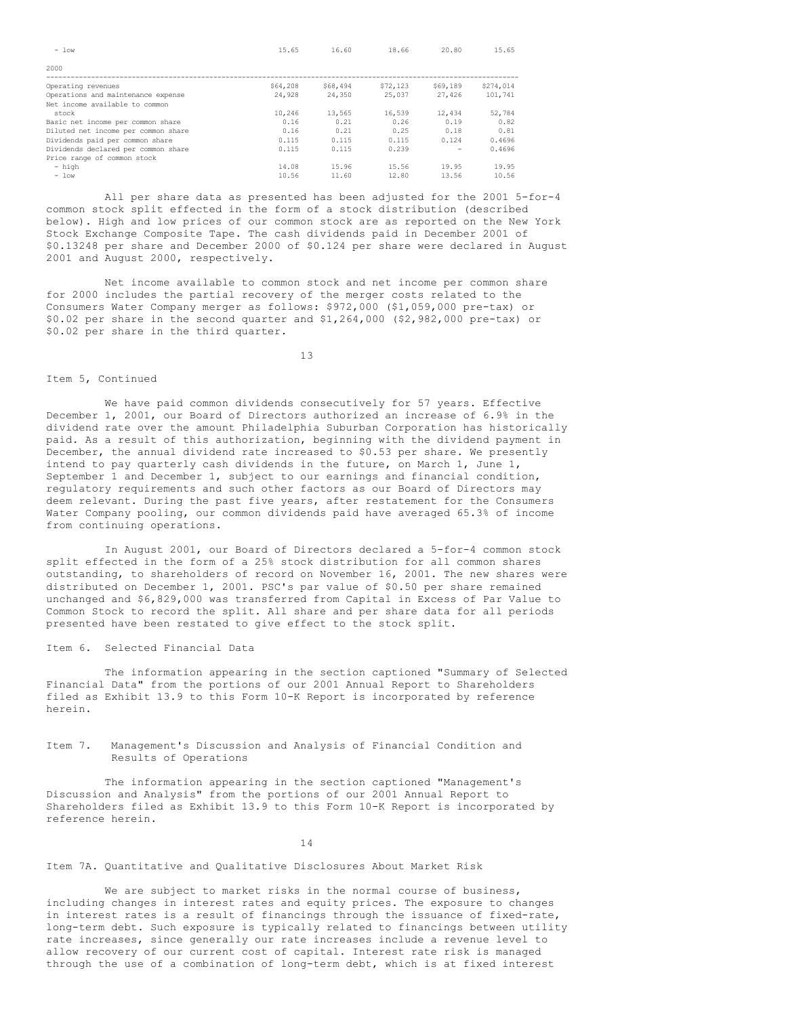| $-$ low                             | 15.65    | 16.60    | 18.66    | 20.80    | 15.65     |
|-------------------------------------|----------|----------|----------|----------|-----------|
| 2000                                |          |          |          |          |           |
| Operating revenues                  | \$64,208 | \$68,494 | \$72,123 | \$69,189 | \$274,014 |
| Operations and maintenance expense  | 24,928   | 24,350   | 25,037   | 27,426   | 101,741   |
| Net income available to common      |          |          |          |          |           |
| stock                               | 10,246   | 13,565   | 16,539   | 12,434   | 52,784    |
| Basic net income per common share   | 0.16     | 0.21     | 0.26     | 0.19     | 0.82      |
| Diluted net income per common share | 0.16     | 0.21     | 0.25     | 0.18     | 0.81      |
| Dividends paid per common share     | 0.115    | 0.115    | 0.115    | 0.124    | 0.4696    |
| Dividends declared per common share | 0.115    | 0.115    | 0.239    |          | 0.4696    |
| Price range of common stock         |          |          |          |          |           |
| - high                              | 14.08    | 15.96    | 15.56    | 19.95    | 19.95     |
| $-$ low                             | 10.56    | 11.60    | 12.80    | 13.56    | 10.56     |

All per share data as presented has been adjusted for the 2001 5-for-4 common stock split effected in the form of a stock distribution (described below). High and low prices of our common stock are as reported on the New York Stock Exchange Composite Tape. The cash dividends paid in December 2001 of \$0.13248 per share and December 2000 of \$0.124 per share were declared in August 2001 and August 2000, respectively.

Net income available to common stock and net income per common share for 2000 includes the partial recovery of the merger costs related to the Consumers Water Company merger as follows: \$972,000 (\$1,059,000 pre-tax) or \$0.02 per share in the second quarter and \$1,264,000 (\$2,982,000 pre-tax) or \$0.02 per share in the third quarter.

13

## Item 5, Continued

We have paid common dividends consecutively for 57 years. Effective December 1, 2001, our Board of Directors authorized an increase of 6.9% in the dividend rate over the amount Philadelphia Suburban Corporation has historically paid. As a result of this authorization, beginning with the dividend payment in December, the annual dividend rate increased to \$0.53 per share. We presently intend to pay quarterly cash dividends in the future, on March 1, June 1, September 1 and December 1, subject to our earnings and financial condition, regulatory requirements and such other factors as our Board of Directors may deem relevant. During the past five years, after restatement for the Consumers Water Company pooling, our common dividends paid have averaged 65.3% of income from continuing operations.

In August 2001, our Board of Directors declared a 5-for-4 common stock split effected in the form of a 25% stock distribution for all common shares outstanding, to shareholders of record on November 16, 2001. The new shares were distributed on December 1, 2001. PSC's par value of \$0.50 per share remained unchanged and \$6,829,000 was transferred from Capital in Excess of Par Value to Common Stock to record the split. All share and per share data for all periods presented have been restated to give effect to the stock split.

Item 6. Selected Financial Data

The information appearing in the section captioned "Summary of Selected Financial Data" from the portions of our 2001 Annual Report to Shareholders filed as Exhibit 13.9 to this Form 10-K Report is incorporated by reference herein.

Item 7. Management's Discussion and Analysis of Financial Condition and Results of Operations

The information appearing in the section captioned "Management's Discussion and Analysis" from the portions of our 2001 Annual Report to Shareholders filed as Exhibit 13.9 to this Form 10-K Report is incorporated by reference herein.

14

# Item 7A. Quantitative and Qualitative Disclosures About Market Risk

We are subject to market risks in the normal course of business, including changes in interest rates and equity prices. The exposure to changes in interest rates is a result of financings through the issuance of fixed-rate, long-term debt. Such exposure is typically related to financings between utility rate increases, since generally our rate increases include a revenue level to allow recovery of our current cost of capital. Interest rate risk is managed through the use of a combination of long-term debt, which is at fixed interest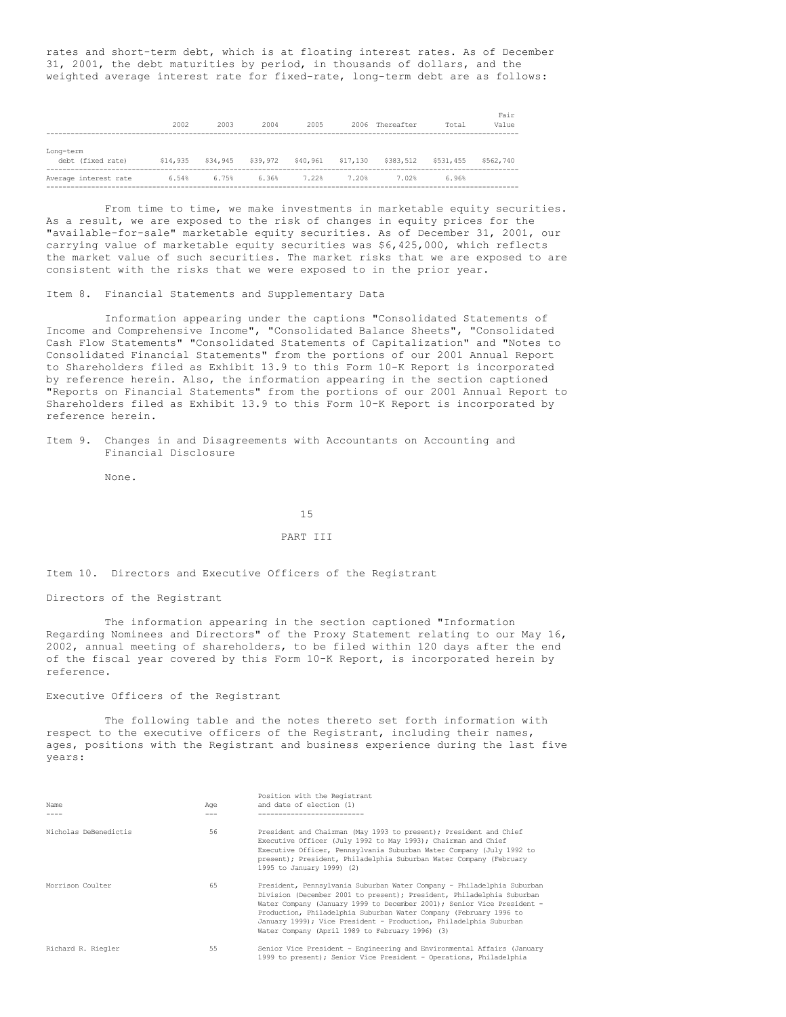rates and short-term debt, which is at floating interest rates. As of December 31, 2001, the debt maturities by period, in thousands of dollars, and the weighted average interest rate for fixed-rate, long-term debt are as follows:

|                                | 2002     | 2003     | 2004     | 2005     | 2006     | Thereafter | Total     | Fair<br>Value |
|--------------------------------|----------|----------|----------|----------|----------|------------|-----------|---------------|
| Long-term<br>debt (fixed rate) | \$14,935 | \$34,945 | \$39,972 | \$40,961 | \$17,130 | \$383,512  | \$531,455 | \$562,740     |
| Average interest rate          | 6.54%    | 6.75%    | 6.36%    | 7.22%    | 7.20%    | 7.02%      | 6.96%     |               |

--------------------------------------------------------------------------------------------------------------------

From time to time, we make investments in marketable equity securities. As a result, we are exposed to the risk of changes in equity prices for the "available-for-sale" marketable equity securities. As of December 31, 2001, our carrying value of marketable equity securities was \$6,425,000, which reflects the market value of such securities. The market risks that we are exposed to are consistent with the risks that we were exposed to in the prior year.

## Item 8. Financial Statements and Supplementary Data

Information appearing under the captions "Consolidated Statements of Income and Comprehensive Income", "Consolidated Balance Sheets", "Consolidated Cash Flow Statements" "Consolidated Statements of Capitalization" and "Notes to Consolidated Financial Statements" from the portions of our 2001 Annual Report to Shareholders filed as Exhibit 13.9 to this Form 10-K Report is incorporated by reference herein. Also, the information appearing in the section captioned "Reports on Financial Statements" from the portions of our 2001 Annual Report to Shareholders filed as Exhibit 13.9 to this Form 10-K Report is incorporated by reference herein.

Item 9. Changes in and Disagreements with Accountants on Accounting and Financial Disclosure

None.

15

## PART III

Item 10. Directors and Executive Officers of the Registrant

## Directors of the Registrant

The information appearing in the section captioned "Information Regarding Nominees and Directors" of the Proxy Statement relating to our May 16, 2002, annual meeting of shareholders, to be filed within 120 days after the end of the fiscal year covered by this Form 10-K Report, is incorporated herein by reference.

### Executive Officers of the Registrant

The following table and the notes thereto set forth information with respect to the executive officers of the Registrant, including their names, ages, positions with the Registrant and business experience during the last five years:

| Name                  | Aqe | Position with the Registrant<br>and date of election (1)                                                                                                                                                                                                                                                                                                                                                               |
|-----------------------|-----|------------------------------------------------------------------------------------------------------------------------------------------------------------------------------------------------------------------------------------------------------------------------------------------------------------------------------------------------------------------------------------------------------------------------|
| Nicholas DeBenedictis | 56  | President and Chairman (May 1993 to present); President and Chief<br>Executive Officer (July 1992 to May 1993); Chairman and Chief<br>Executive Officer, Pennsylvania Suburban Water Company (July 1992 to<br>present); President, Philadelphia Suburban Water Company (February<br>1995 to January 1999) (2)                                                                                                          |
| Morrison Coulter      | 65  | President, Pennsylvania Suburban Water Company - Philadelphia Suburban<br>Division (December 2001 to present); President, Philadelphia Suburban<br>Water Company (January 1999 to December 2001); Senior Vice President -<br>Production, Philadelphia Suburban Water Company (February 1996 to<br>January 1999); Vice President - Production, Philadelphia Suburban<br>Water Company (April 1989 to February 1996) (3) |
| Richard R. Riegler    | 55  | Senior Vice President - Engineering and Environmental Affairs (January<br>1999 to present); Senior Vice President - Operations, Philadelphia                                                                                                                                                                                                                                                                           |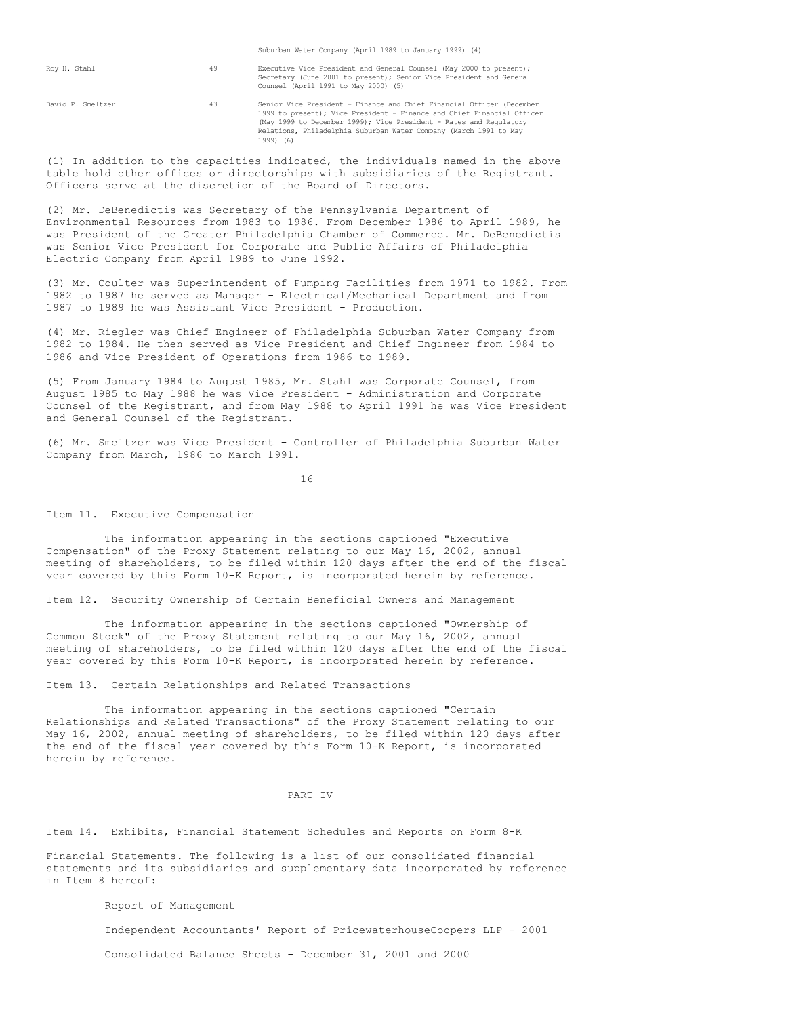|                   |    | Suburban Water Company (April 1989 to January 1999) (4)                                                                                                                                                                                                                                                 |
|-------------------|----|---------------------------------------------------------------------------------------------------------------------------------------------------------------------------------------------------------------------------------------------------------------------------------------------------------|
| Roy H. Stahl      | 49 | Executive Vice President and General Counsel (May 2000 to present);<br>Secretary (June 2001 to present); Senior Vice President and General<br>Counsel (April 1991 to May 2000) (5)                                                                                                                      |
| David P. Smeltzer | 43 | Senior Vice President - Finance and Chief Financial Officer (December<br>1999 to present); Vice President - Finance and Chief Financial Officer<br>(May 1999 to December 1999); Vice President - Rates and Requlatory<br>Relations, Philadelphia Suburban Water Company (March 1991 to May<br>1999) (6) |

(1) In addition to the capacities indicated, the individuals named in the above table hold other offices or directorships with subsidiaries of the Registrant. Officers serve at the discretion of the Board of Directors.

(2) Mr. DeBenedictis was Secretary of the Pennsylvania Department of Environmental Resources from 1983 to 1986. From December 1986 to April 1989, he was President of the Greater Philadelphia Chamber of Commerce. Mr. DeBenedictis was Senior Vice President for Corporate and Public Affairs of Philadelphia Electric Company from April 1989 to June 1992.

(3) Mr. Coulter was Superintendent of Pumping Facilities from 1971 to 1982. From 1982 to 1987 he served as Manager - Electrical/Mechanical Department and from 1987 to 1989 he was Assistant Vice President - Production.

(4) Mr. Riegler was Chief Engineer of Philadelphia Suburban Water Company from 1982 to 1984. He then served as Vice President and Chief Engineer from 1984 to 1986 and Vice President of Operations from 1986 to 1989.

(5) From January 1984 to August 1985, Mr. Stahl was Corporate Counsel, from August 1985 to May 1988 he was Vice President - Administration and Corporate Counsel of the Registrant, and from May 1988 to April 1991 he was Vice President and General Counsel of the Registrant.

(6) Mr. Smeltzer was Vice President - Controller of Philadelphia Suburban Water Company from March, 1986 to March 1991.

16

Item 11. Executive Compensation

The information appearing in the sections captioned "Executive Compensation" of the Proxy Statement relating to our May 16, 2002, annual meeting of shareholders, to be filed within 120 days after the end of the fiscal year covered by this Form 10-K Report, is incorporated herein by reference.

Item 12. Security Ownership of Certain Beneficial Owners and Management

The information appearing in the sections captioned "Ownership of Common Stock" of the Proxy Statement relating to our May 16, 2002, annual meeting of shareholders, to be filed within 120 days after the end of the fiscal year covered by this Form 10-K Report, is incorporated herein by reference.

Item 13. Certain Relationships and Related Transactions

The information appearing in the sections captioned "Certain Relationships and Related Transactions" of the Proxy Statement relating to our May 16, 2002, annual meeting of shareholders, to be filed within 120 days after the end of the fiscal year covered by this Form 10-K Report, is incorporated herein by reference.

## PART IV

Item 14. Exhibits, Financial Statement Schedules and Reports on Form 8-K

Financial Statements. The following is a list of our consolidated financial statements and its subsidiaries and supplementary data incorporated by reference in Item 8 hereof:

Report of Management

Independent Accountants' Report of PricewaterhouseCoopers LLP - 2001

Consolidated Balance Sheets - December 31, 2001 and 2000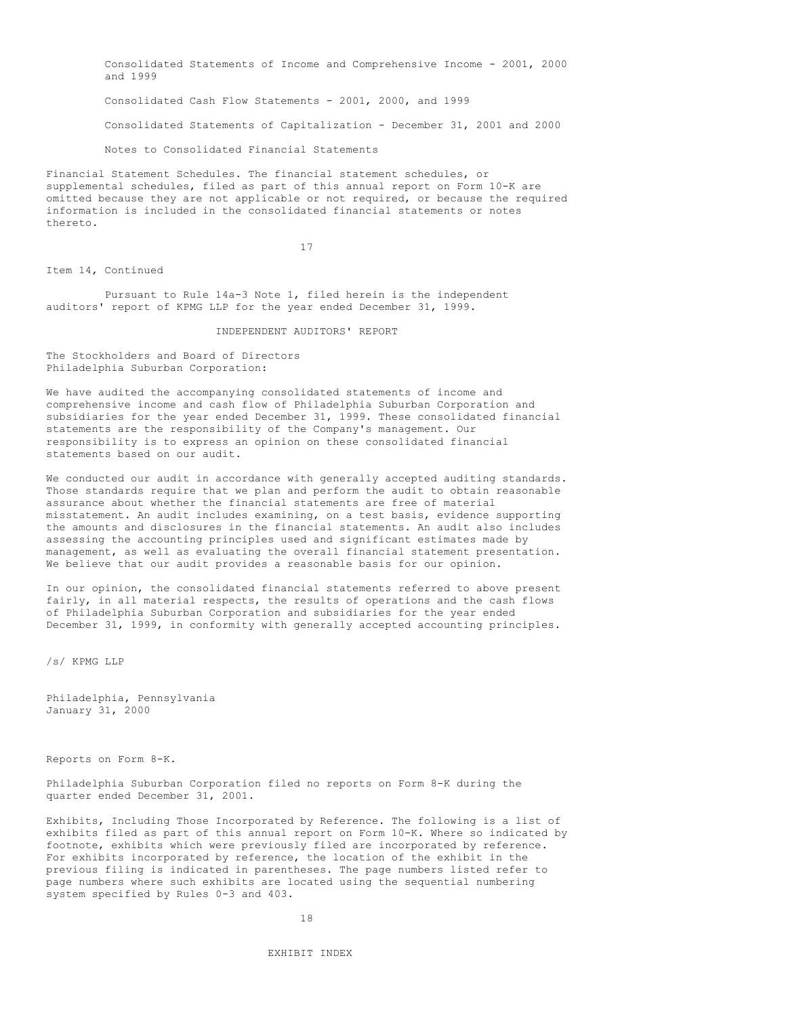Consolidated Statements of Income and Comprehensive Income - 2001, 2000 and 1999 Consolidated Cash Flow Statements - 2001, 2000, and 1999 Consolidated Statements of Capitalization - December 31, 2001 and 2000 Notes to Consolidated Financial Statements

Financial Statement Schedules. The financial statement schedules, or supplemental schedules, filed as part of this annual report on Form 10-K are omitted because they are not applicable or not required, or because the required information is included in the consolidated financial statements or notes thereto.

17

Item 14, Continued

Pursuant to Rule 14a-3 Note 1, filed herein is the independent auditors' report of KPMG LLP for the year ended December 31, 1999.

INDEPENDENT AUDITORS' REPORT

The Stockholders and Board of Directors Philadelphia Suburban Corporation:

We have audited the accompanying consolidated statements of income and comprehensive income and cash flow of Philadelphia Suburban Corporation and subsidiaries for the year ended December 31, 1999. These consolidated financial statements are the responsibility of the Company's management. Our responsibility is to express an opinion on these consolidated financial statements based on our audit.

We conducted our audit in accordance with generally accepted auditing standards. Those standards require that we plan and perform the audit to obtain reasonable assurance about whether the financial statements are free of material misstatement. An audit includes examining, on a test basis, evidence supporting the amounts and disclosures in the financial statements. An audit also includes assessing the accounting principles used and significant estimates made by management, as well as evaluating the overall financial statement presentation. We believe that our audit provides a reasonable basis for our opinion.

In our opinion, the consolidated financial statements referred to above present fairly, in all material respects, the results of operations and the cash flows of Philadelphia Suburban Corporation and subsidiaries for the year ended December 31, 1999, in conformity with generally accepted accounting principles.

/s/ KPMG LLP

Philadelphia, Pennsylvania January 31, 2000

Reports on Form 8-K.

Philadelphia Suburban Corporation filed no reports on Form 8-K during the quarter ended December 31, 2001.

Exhibits, Including Those Incorporated by Reference. The following is a list of exhibits filed as part of this annual report on Form 10-K. Where so indicated by footnote, exhibits which were previously filed are incorporated by reference. For exhibits incorporated by reference, the location of the exhibit in the previous filing is indicated in parentheses. The page numbers listed refer to page numbers where such exhibits are located using the sequential numbering system specified by Rules 0-3 and 403.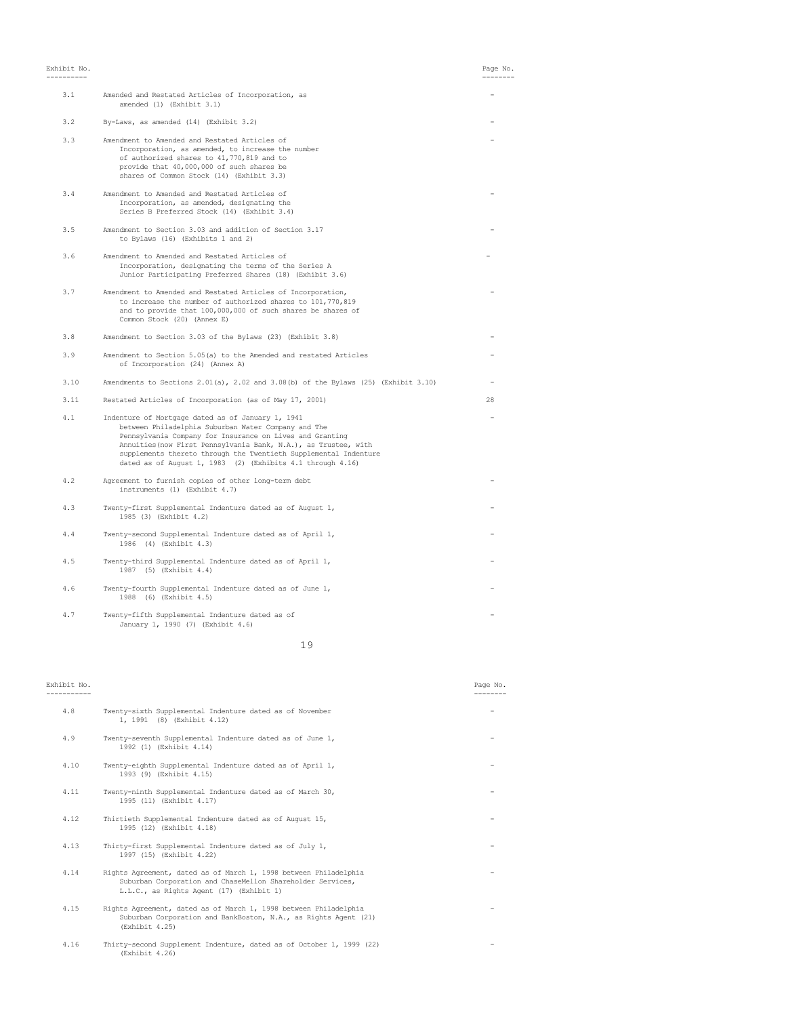Exhibit No. Page No.

| 3.1  | Amended and Restated Articles of Incorporation, as<br>amended (1) (Exhibit 3.1)                                                                                                                                                                                                                                                                                           |    |
|------|---------------------------------------------------------------------------------------------------------------------------------------------------------------------------------------------------------------------------------------------------------------------------------------------------------------------------------------------------------------------------|----|
| 3.2  | By-Laws, as amended (14) (Exhibit 3.2)                                                                                                                                                                                                                                                                                                                                    |    |
| 3.3  | Amendment to Amended and Restated Articles of<br>Incorporation, as amended, to increase the number<br>of authorized shares to 41,770,819 and to<br>provide that 40,000,000 of such shares be<br>shares of Common Stock (14) (Exhibit 3.3)                                                                                                                                 |    |
| 3.4  | Amendment to Amended and Restated Articles of<br>Incorporation, as amended, designating the<br>Series B Preferred Stock (14) (Exhibit 3.4)                                                                                                                                                                                                                                |    |
| 3.5  | Amendment to Section 3.03 and addition of Section 3.17<br>to Bylaws (16) (Exhibits 1 and 2)                                                                                                                                                                                                                                                                               |    |
| 3.6  | Amendment to Amended and Restated Articles of<br>Incorporation, designating the terms of the Series A<br>Junior Participating Preferred Shares (18) (Exhibit 3.6)                                                                                                                                                                                                         |    |
| 3.7  | Amendment to Amended and Restated Articles of Incorporation,<br>to increase the number of authorized shares to 101,770,819<br>and to provide that 100,000,000 of such shares be shares of<br>Common Stock (20) (Annex E)                                                                                                                                                  |    |
| 3.8  | Amendment to Section 3.03 of the Bylaws (23) (Exhibit 3.8)                                                                                                                                                                                                                                                                                                                |    |
| 3.9  | Amendment to Section 5.05(a) to the Amended and restated Articles<br>of Incorporation (24) (Annex A)                                                                                                                                                                                                                                                                      |    |
| 3.10 | Amendments to Sections $2.01(a)$ , $2.02$ and $3.08(b)$ of the Bylaws (25) (Exhibit $3.10$ )                                                                                                                                                                                                                                                                              |    |
| 3.11 | Restated Articles of Incorporation (as of May 17, 2001)                                                                                                                                                                                                                                                                                                                   | 28 |
| 4.1  | Indenture of Mortgage dated as of January 1, 1941<br>between Philadelphia Suburban Water Company and The<br>Pennsylvania Company for Insurance on Lives and Granting<br>Annuities (now First Pennsylvania Bank, N.A.), as Trustee, with<br>supplements thereto through the Twentieth Supplemental Indenture<br>dated as of August 1, 1983 (2) (Exhibits 4.1 through 4.16) |    |
| 4.2  | Agreement to furnish copies of other long-term debt<br>instruments (1) (Exhibit 4.7)                                                                                                                                                                                                                                                                                      |    |
| 4.3  | Twenty-first Supplemental Indenture dated as of August 1,<br>1985 (3) (Exhibit 4.2)                                                                                                                                                                                                                                                                                       |    |
| 4.4  | Twenty-second Supplemental Indenture dated as of April 1,<br>1986 (4) (Exhibit 4.3)                                                                                                                                                                                                                                                                                       |    |
| 4.5  | Twenty-third Supplemental Indenture dated as of April 1,<br>1987 (5) (Exhibit 4.4)                                                                                                                                                                                                                                                                                        |    |
| 4.6  | Twenty-fourth Supplemental Indenture dated as of June 1,<br>1988 (6) (Exhibit 4.5)                                                                                                                                                                                                                                                                                        |    |
| 4.7  | Twenty-fifth Supplemental Indenture dated as of<br>January 1, 1990 (7) (Exhibit 4.6)                                                                                                                                                                                                                                                                                      |    |
|      |                                                                                                                                                                                                                                                                                                                                                                           |    |

19

# ----------- --------

# Exhibit No. Page No.

| 4.8  | Twenty-sixth Supplemental Indenture dated as of November<br>1, 1991 (8) (Exhibit 4.12)                                                                                     |  |
|------|----------------------------------------------------------------------------------------------------------------------------------------------------------------------------|--|
| 4.9  | Twenty-seventh Supplemental Indenture dated as of June 1,<br>1992 (1) (Exhibit 4.14)                                                                                       |  |
| 4.10 | Twenty-eighth Supplemental Indenture dated as of April 1,<br>1993 (9) (Exhibit 4.15)                                                                                       |  |
| 4.11 | Twenty-ninth Supplemental Indenture dated as of March 30,<br>1995 (11) (Exhibit 4.17)                                                                                      |  |
| 4.12 | Thirtieth Supplemental Indenture dated as of August 15,<br>1995 (12) (Exhibit 4.18)                                                                                        |  |
| 4.13 | Thirty-first Supplemental Indenture dated as of July 1,<br>1997 (15) (Exhibit 4.22)                                                                                        |  |
| 4.14 | Rights Agreement, dated as of March 1, 1998 between Philadelphia<br>Suburban Corporation and ChaseMellon Shareholder Services,<br>L.L.C., as Rights Agent (17) (Exhibit 1) |  |
| 4.15 | Rights Agreement, dated as of March 1, 1998 between Philadelphia<br>Suburban Corporation and BankBoston, N.A., as Rights Agent (21)<br>(Exhibit 4.25)                      |  |
| 4.16 | Thirty-second Supplement Indenture, dated as of October 1, 1999 (22)<br>(Exhibit 4.26)                                                                                     |  |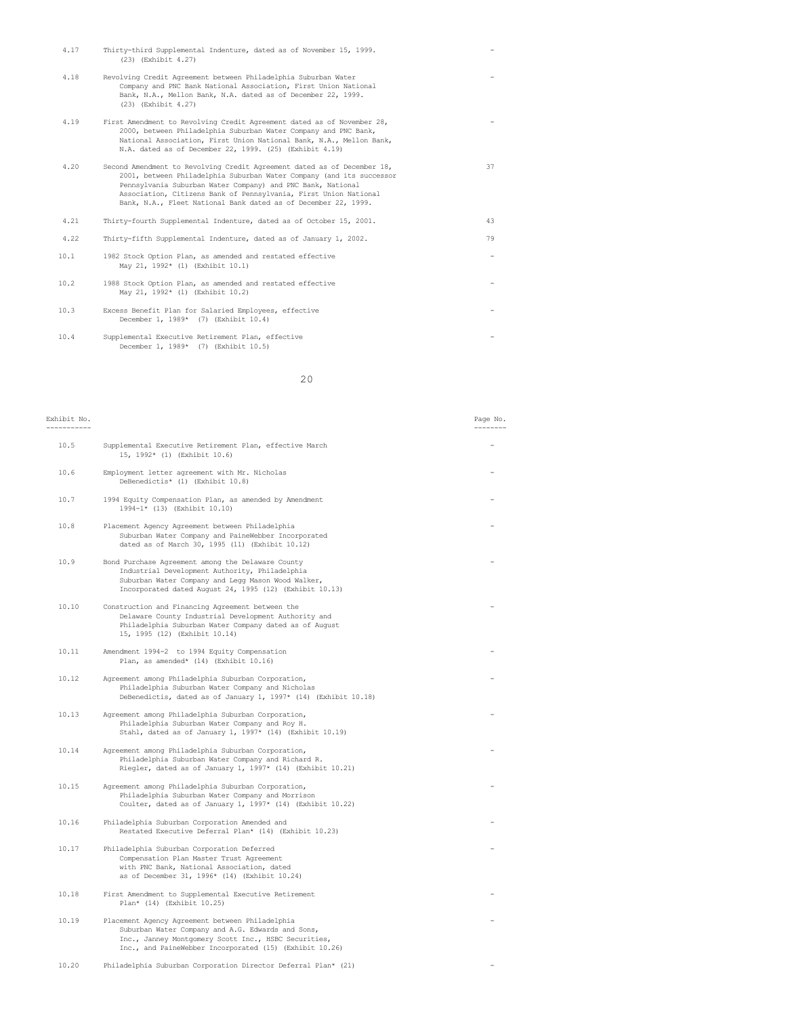| 4.17 | Thirty-third Supplemental Indenture, dated as of November 15, 1999.<br>(23) (Exhibit 4.27)                                                                                                                                                                                                                                                           |    |
|------|------------------------------------------------------------------------------------------------------------------------------------------------------------------------------------------------------------------------------------------------------------------------------------------------------------------------------------------------------|----|
| 4.18 | Revolving Credit Agreement between Philadelphia Suburban Water<br>Company and PNC Bank National Association, First Union National<br>Bank, N.A., Mellon Bank, N.A. dated as of December 22, 1999.<br>(23) (Exhibit 4.27)                                                                                                                             |    |
| 4.19 | First Amendment to Revolving Credit Agreement dated as of November 28,<br>2000, between Philadelphia Suburban Water Company and PNC Bank,<br>National Association, First Union National Bank, N.A., Mellon Bank,<br>N.A. dated as of December 22, 1999. (25) (Exhibit 4.19)                                                                          |    |
| 4.20 | Second Amendment to Revolving Credit Agreement dated as of December 18,<br>2001, between Philadelphia Suburban Water Company (and its successor<br>Pennsylvania Suburban Water Company) and PNC Bank, National<br>Association, Citizens Bank of Pennsylvania, First Union National<br>Bank, N.A., Fleet National Bank dated as of December 22, 1999. | 37 |
| 4.21 | Thirty-fourth Supplemental Indenture, dated as of October 15, 2001.                                                                                                                                                                                                                                                                                  | 43 |
| 4.22 | Thirty-fifth Supplemental Indenture, dated as of January 1, 2002.                                                                                                                                                                                                                                                                                    | 79 |
| 10.1 | 1982 Stock Option Plan, as amended and restated effective<br>May 21, 1992* (1) (Exhibit 10.1)                                                                                                                                                                                                                                                        |    |
| 10.2 | 1988 Stock Option Plan, as amended and restated effective<br>May 21, 1992* (1) (Exhibit 10.2)                                                                                                                                                                                                                                                        |    |
| 10.3 | Excess Benefit Plan for Salaried Employees, effective<br>December 1, 1989* (7) (Exhibit 10.4)                                                                                                                                                                                                                                                        |    |
| 10.4 | Supplemental Executive Retirement Plan, effective<br>December 1, 1989* (7) (Exhibit 10.5)                                                                                                                                                                                                                                                            |    |

20

| Exhibit No. |                                                                                                                                                                                                                         | Page No. |
|-------------|-------------------------------------------------------------------------------------------------------------------------------------------------------------------------------------------------------------------------|----------|
| 10.5        | Supplemental Executive Retirement Plan, effective March<br>15, 1992* (1) (Exhibit 10.6)                                                                                                                                 |          |
| 10.6        | Employment letter agreement with Mr. Nicholas<br>DeBenedictis* (1) (Exhibit 10.8)                                                                                                                                       |          |
| 10.7        | 1994 Equity Compensation Plan, as amended by Amendment<br>1994-1* (13) (Exhibit 10.10)                                                                                                                                  |          |
| 10.8        | Placement Agency Agreement between Philadelphia<br>Suburban Water Company and PaineWebber Incorporated<br>dated as of March 30, 1995 (11) (Exhibit 10.12)                                                               |          |
| 10.9        | Bond Purchase Agreement among the Delaware County<br>Industrial Development Authority, Philadelphia<br>Suburban Water Company and Legg Mason Wood Walker,<br>Incorporated dated August 24, 1995 (12) (Exhibit 10.13)    |          |
| 10.10       | Construction and Financing Agreement between the<br>Delaware County Industrial Development Authority and<br>Philadelphia Suburban Water Company dated as of August<br>15, 1995 (12) (Exhibit 10.14)                     |          |
| 10.11       | Amendment 1994-2 to 1994 Equity Compensation<br>Plan, as amended* (14) (Exhibit 10.16)                                                                                                                                  |          |
| 10.12       | Agreement among Philadelphia Suburban Corporation,<br>Philadelphia Suburban Water Company and Nicholas<br>DeBenedictis, dated as of January 1, 1997* (14) (Exhibit 10.18)                                               |          |
| 10.13       | Agreement among Philadelphia Suburban Corporation,<br>Philadelphia Suburban Water Company and Roy H.<br>Stahl, dated as of January 1, 1997* (14) (Exhibit 10.19)                                                        |          |
| 10.14       | Agreement among Philadelphia Suburban Corporation,<br>Philadelphia Suburban Water Company and Richard R.<br>Riegler, dated as of January 1, 1997* (14) (Exhibit 10.21)                                                  |          |
| 10.15       | Agreement among Philadelphia Suburban Corporation,<br>Philadelphia Suburban Water Company and Morrison<br>Coulter, dated as of January 1, 1997* (14) (Exhibit 10.22)                                                    |          |
| 10.16       | Philadelphia Suburban Corporation Amended and<br>Restated Executive Deferral Plan* (14) (Exhibit 10.23)                                                                                                                 |          |
| 10.17       | Philadelphia Suburban Corporation Deferred<br>Compensation Plan Master Trust Agreement<br>with PNC Bank, National Association, dated<br>as of December 31, 1996* (14) (Exhibit 10.24)                                   |          |
| 10.18       | First Amendment to Supplemental Executive Retirement<br>Plan* (14) (Exhibit 10.25)                                                                                                                                      |          |
| 10.19       | Placement Agency Agreement between Philadelphia<br>Suburban Water Company and A.G. Edwards and Sons,<br>Inc., Janney Montgomery Scott Inc., HSBC Securities,<br>Inc., and PaineWebber Incorporated (15) (Exhibit 10.26) |          |
| 10.20       | Philadelphia Suburban Corporation Director Deferral Plan* (21)                                                                                                                                                          |          |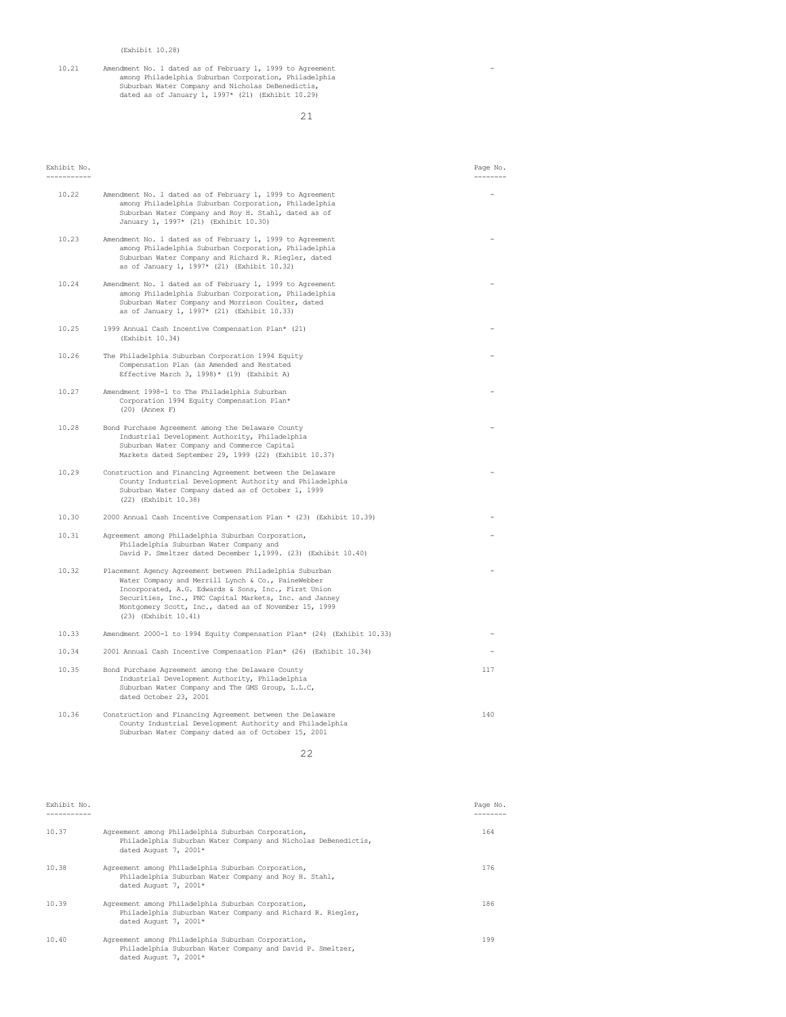10.21 Amendment No. 1 dated as of February 1, 1999 to Agreement - among Philadelphia Suburban Corporation, Philadelphia Suburban Water Company and Nicholas DeBenedictis, dated as of January 1, 1997\* (21) (Exhibit 10.29)

21

| Exhibit No. |                                                                                                                                                                                                                                                                                                                   | Page No.<br>--------- |
|-------------|-------------------------------------------------------------------------------------------------------------------------------------------------------------------------------------------------------------------------------------------------------------------------------------------------------------------|-----------------------|
| 10.22       | Amendment No. 1 dated as of February 1, 1999 to Agreement<br>among Philadelphia Suburban Corporation, Philadelphia<br>Suburban Water Company and Roy H. Stahl, dated as of<br>January 1, 1997* (21) (Exhibit 10.30)                                                                                               |                       |
| 10.23       | Amendment No. 1 dated as of February 1, 1999 to Agreement<br>among Philadelphia Suburban Corporation, Philadelphia<br>Suburban Water Company and Richard R. Riegler, dated<br>as of January 1, 1997* (21) (Exhibit 10.32)                                                                                         |                       |
| 10.24       | Amendment No. 1 dated as of February 1, 1999 to Agreement<br>among Philadelphia Suburban Corporation, Philadelphia<br>Suburban Water Company and Morrison Coulter, dated<br>as of January 1, 1997* (21) (Exhibit 10.33)                                                                                           |                       |
| 10.25       | 1999 Annual Cash Incentive Compensation Plan* (21)<br>(Exhibit 10.34)                                                                                                                                                                                                                                             |                       |
| 10.26       | The Philadelphia Suburban Corporation 1994 Equity<br>Compensation Plan (as Amended and Restated<br>Effective March 3, 1998)* (19) (Exhibit A)                                                                                                                                                                     |                       |
| 10.27       | Amendment 1998-1 to The Philadelphia Suburban<br>Corporation 1994 Equity Compensation Plan*<br>$(20)$ (Annex F)                                                                                                                                                                                                   |                       |
| 10.28       | Bond Purchase Agreement among the Delaware County<br>Industrial Development Authority, Philadelphia<br>Suburban Water Company and Commerce Capital<br>Markets dated September 29, 1999 (22) (Exhibit 10.37)                                                                                                       |                       |
| 10.29       | Construction and Financing Agreement between the Delaware<br>County Industrial Development Authority and Philadelphia<br>Suburban Water Company dated as of October 1, 1999<br>(22) (Exhibit 10.38)                                                                                                               |                       |
| 10.30       | 2000 Annual Cash Incentive Compensation Plan * (23) (Exhibit 10.39)                                                                                                                                                                                                                                               |                       |
| 10.31       | Agreement among Philadelphia Suburban Corporation,<br>Philadelphia Suburban Water Company and<br>David P. Smeltzer dated December 1, 1999. (23) (Exhibit 10.40)                                                                                                                                                   |                       |
| 10.32       | Placement Agency Agreement between Philadelphia Suburban<br>Water Company and Merrill Lynch & Co., PaineWebber<br>Incorporated, A.G. Edwards & Sons, Inc., First Union<br>Securities, Inc., PNC Capital Markets, Inc. and Janney<br>Montgomery Scott, Inc., dated as of November 15, 1999<br>(23) (Exhibit 10.41) |                       |
| 10.33       | Amendment 2000-1 to 1994 Equity Compensation Plan* (24) (Exhibit 10.33)                                                                                                                                                                                                                                           |                       |
| 10.34       | 2001 Annual Cash Incentive Compensation Plan* (26) (Exhibit 10.34)                                                                                                                                                                                                                                                |                       |
| 10.35       | Bond Purchase Agreement among the Delaware County<br>Industrial Development Authority, Philadelphia<br>Suburban Water Company and The GMS Group, L.L.C,<br>dated October 23, 2001                                                                                                                                 | 117                   |
| 10.36       | Construction and Financing Agreement between the Delaware<br>County Industrial Development Authority and Philadelphia<br>Suburban Water Company dated as of October 15, 2001                                                                                                                                      | 140                   |
|             | 22                                                                                                                                                                                                                                                                                                                |                       |

| Exhibit No. |                                                                                                                                               | Page No. |
|-------------|-----------------------------------------------------------------------------------------------------------------------------------------------|----------|
| 10.37       | Agreement among Philadelphia Suburban Corporation,<br>Philadelphia Suburban Water Company and Nicholas DeBenedictis,<br>dated August 7, 2001* | 164      |
| 10.38       | Agreement among Philadelphia Suburban Corporation,<br>Philadelphia Suburban Water Company and Roy H. Stahl,<br>dated August 7, 2001*          | 176      |
| 10.39       | Agreement among Philadelphia Suburban Corporation,<br>Philadelphia Suburban Water Company and Richard R. Riegler,<br>dated August 7, 2001*    | 186      |
| 10.40       | Agreement among Philadelphia Suburban Corporation,<br>Philadelphia Suburban Water Company and David P. Smeltzer,<br>dated August 7, 2001*     | 199      |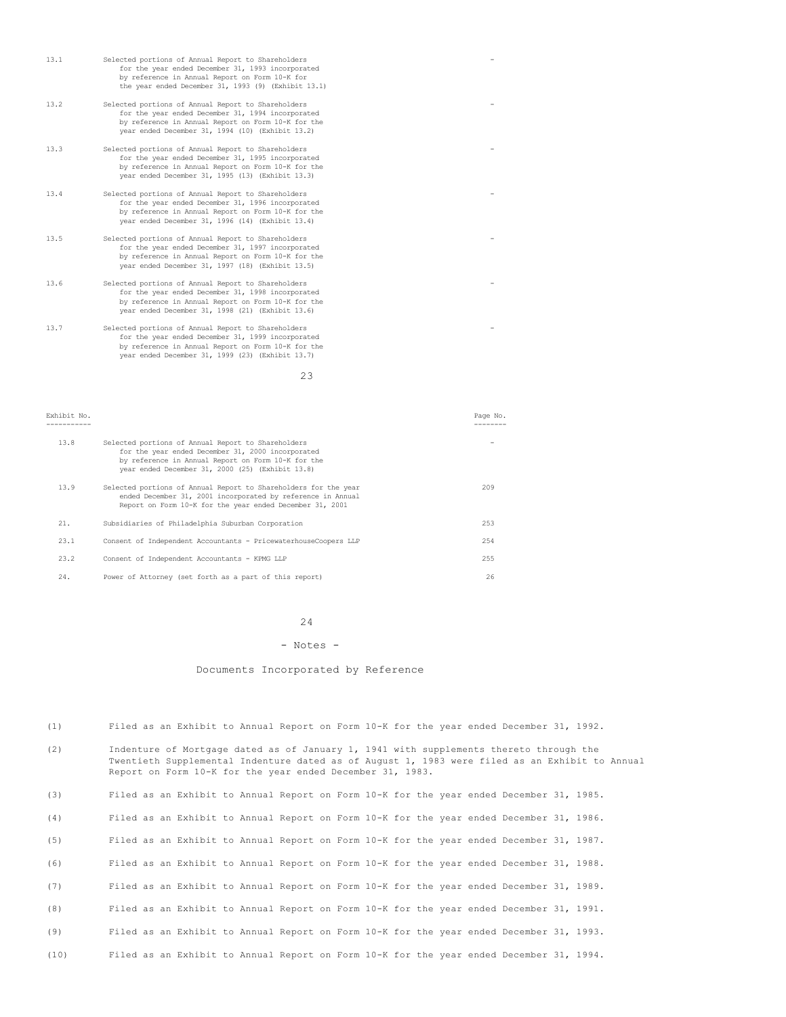| 13.1 | Selected portions of Annual Report to Shareholders<br>for the year ended December 31, 1993 incorporated<br>by reference in Annual Report on Form 10-K for<br>the year ended December 31, 1993 (9) (Exhibit 13.1)  |  |
|------|-------------------------------------------------------------------------------------------------------------------------------------------------------------------------------------------------------------------|--|
| 13.2 | Selected portions of Annual Report to Shareholders<br>for the year ended December 31, 1994 incorporated<br>by reference in Annual Report on Form 10-K for the<br>year ended December 31, 1994 (10) (Exhibit 13.2) |  |
| 13.3 | Selected portions of Annual Report to Shareholders<br>for the year ended December 31, 1995 incorporated<br>by reference in Annual Report on Form 10-K for the<br>year ended December 31, 1995 (13) (Exhibit 13.3) |  |
| 13.4 | Selected portions of Annual Report to Shareholders<br>for the year ended December 31, 1996 incorporated<br>by reference in Annual Report on Form 10-K for the<br>year ended December 31, 1996 (14) (Exhibit 13.4) |  |
| 13.5 | Selected portions of Annual Report to Shareholders<br>for the year ended December 31, 1997 incorporated<br>by reference in Annual Report on Form 10-K for the<br>year ended December 31, 1997 (18) (Exhibit 13.5) |  |
| 13.6 | Selected portions of Annual Report to Shareholders<br>for the year ended December 31, 1998 incorporated<br>by reference in Annual Report on Form 10-K for the<br>year ended December 31, 1998 (21) (Exhibit 13.6) |  |
| 13.7 | Selected portions of Annual Report to Shareholders<br>for the year ended December 31, 1999 incorporated<br>by reference in Annual Report on Form 10-K for the<br>year ended December 31, 1999 (23) (Exhibit 13.7) |  |

23

| Exhibit No. |                                                                                                                                                                                                                   | Page No. |
|-------------|-------------------------------------------------------------------------------------------------------------------------------------------------------------------------------------------------------------------|----------|
| 13.8        | Selected portions of Annual Report to Shareholders<br>for the year ended December 31, 2000 incorporated<br>by reference in Annual Report on Form 10-K for the<br>year ended December 31, 2000 (25) (Exhibit 13.8) |          |
| 13.9        | Selected portions of Annual Report to Shareholders for the year<br>ended December 31, 2001 incorporated by reference in Annual<br>Report on Form 10-K for the year ended December 31, 2001                        | 209      |
| 21.         | Subsidiaries of Philadelphia Suburban Corporation                                                                                                                                                                 | 253      |
| 23.1        | Consent of Independent Accountants - PricewaterhouseCoopers LLP                                                                                                                                                   | 254      |
| 23.2        | Consent of Independent Accountants - KPMG LLP                                                                                                                                                                     | 255      |
| 24.         | Power of Attorney (set forth as a part of this report)                                                                                                                                                            | 26       |

## 24

### - Notes -

# Documents Incorporated by Reference

- (1) Filed as an Exhibit to Annual Report on Form 10-K for the year ended December 31, 1992.
- (2) Indenture of Mortgage dated as of January 1, 1941 with supplements thereto through the Twentieth Supplemental Indenture dated as of August 1, 1983 were filed as an Exhibit to Annual Report on Form 10-K for the year ended December 31, 1983.

| (3) |  |  |  |  |  |  |  |  |  |  |  |  |  |  | Filed as an Exhibit to Annual Report on Form 10-K for the year ended December 31, 1985. |  |  |
|-----|--|--|--|--|--|--|--|--|--|--|--|--|--|--|-----------------------------------------------------------------------------------------|--|--|
|-----|--|--|--|--|--|--|--|--|--|--|--|--|--|--|-----------------------------------------------------------------------------------------|--|--|

- (4) Filed as an Exhibit to Annual Report on Form 10-K for the year ended December 31, 1986.
- (5) Filed as an Exhibit to Annual Report on Form 10-K for the year ended December 31, 1987.
- (6) Filed as an Exhibit to Annual Report on Form 10-K for the year ended December 31, 1988.
- (7) Filed as an Exhibit to Annual Report on Form 10-K for the year ended December 31, 1989.
- 
- (8) Filed as an Exhibit to Annual Report on Form 10-K for the year ended December 31, 1991.
- (9) Filed as an Exhibit to Annual Report on Form 10-K for the year ended December 31, 1993.
- (10) Filed as an Exhibit to Annual Report on Form 10-K for the year ended December 31, 1994.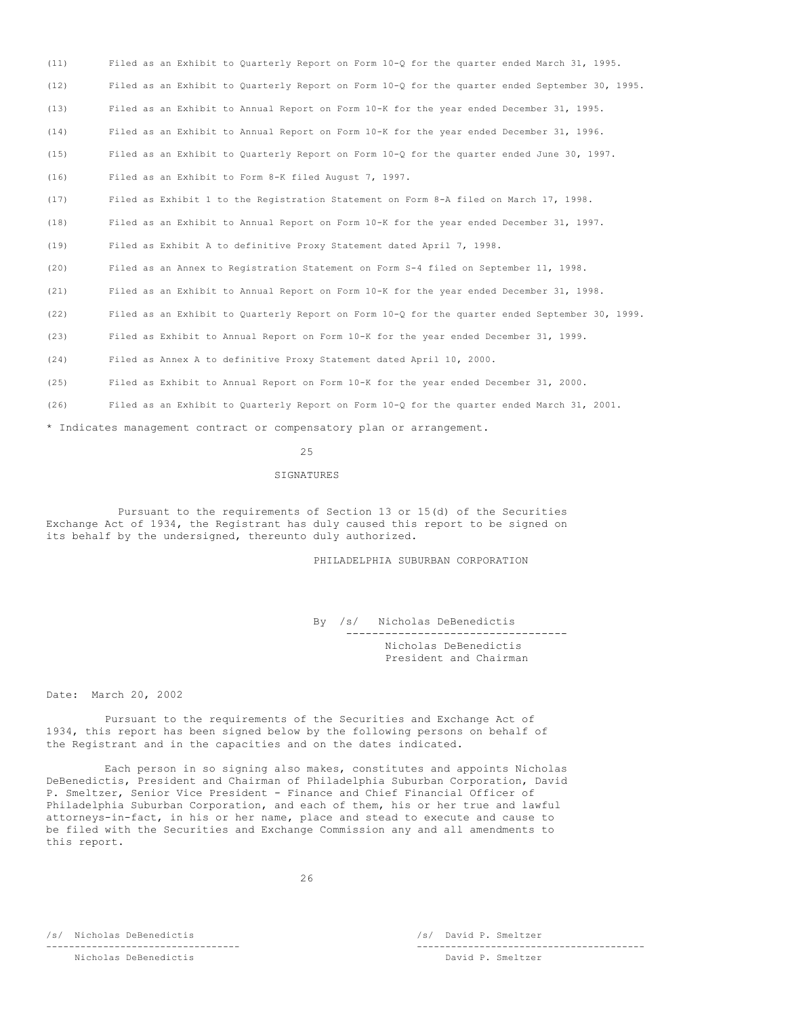(11) Filed as an Exhibit to Quarterly Report on Form 10-Q for the quarter ended March 31, 1995. (12) Filed as an Exhibit to Quarterly Report on Form 10-Q for the quarter ended September 30, 1995. (13) Filed as an Exhibit to Annual Report on Form 10-K for the year ended December 31, 1995. (14) Filed as an Exhibit to Annual Report on Form 10-K for the year ended December 31, 1996. (15) Filed as an Exhibit to Quarterly Report on Form 10-Q for the quarter ended June 30, 1997. (16) Filed as an Exhibit to Form 8-K filed August 7, 1997. (17) Filed as Exhibit 1 to the Registration Statement on Form 8-A filed on March 17, 1998. (18) Filed as an Exhibit to Annual Report on Form 10-K for the year ended December 31, 1997. (19) Filed as Exhibit A to definitive Proxy Statement dated April 7, 1998. (20) Filed as an Annex to Registration Statement on Form S-4 filed on September 11, 1998. (21) Filed as an Exhibit to Annual Report on Form 10-K for the year ended December 31, 1998. (22) Filed as an Exhibit to Quarterly Report on Form 10-Q for the quarter ended September 30, 1999. (23) Filed as Exhibit to Annual Report on Form 10-K for the year ended December 31, 1999. (24) Filed as Annex A to definitive Proxy Statement dated April 10, 2000.

(25) Filed as Exhibit to Annual Report on Form 10-K for the year ended December 31, 2000.

(26) Filed as an Exhibit to Quarterly Report on Form 10-Q for the quarter ended March 31, 2001.

\* Indicates management contract or compensatory plan or arrangement.

### 25

## SIGNATURES

Pursuant to the requirements of Section 13 or 15(d) of the Securities Exchange Act of 1934, the Registrant has duly caused this report to be signed on its behalf by the undersigned, thereunto duly authorized.

PHILADELPHIA SUBURBAN CORPORATION

By /s/ Nicholas DeBenedictis ---------------------------------- Nicholas DeBenedictis President and Chairman

Date: March 20, 2002

Pursuant to the requirements of the Securities and Exchange Act of 1934, this report has been signed below by the following persons on behalf of the Registrant and in the capacities and on the dates indicated.

Each person in so signing also makes, constitutes and appoints Nicholas DeBenedictis, President and Chairman of Philadelphia Suburban Corporation, David P. Smeltzer, Senior Vice President - Finance and Chief Financial Officer of Philadelphia Suburban Corporation, and each of them, his or her true and lawful attorneys-in-fact, in his or her name, place and stead to execute and cause to be filed with the Securities and Exchange Commission any and all amendments to this report.

/s/ Nicholas DeBenedictis /s/ David P. Smeltzer

---------------------------------- ---------------------------------------- Nicholas DeBenedictis David P. Smeltzer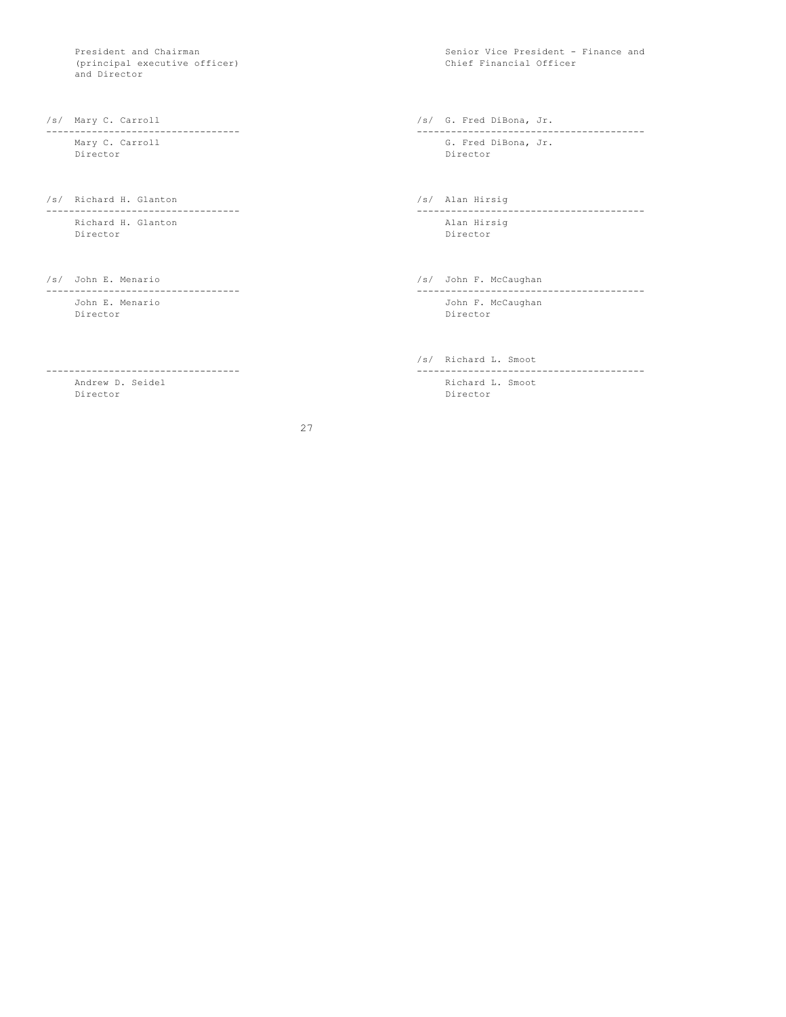(principal executive officer) and Director

---------------------------------- ---------------------------------------- Director Director

Richard H. Glanton<br>Director

John E. Menario John F. McCaughan

---------------------------------- ----------------------------------------

27

President and Chairman Senior Vice President - Finance and Senior Vice President - Finance and Senior Vice President - Finance and Senior Vice President - Finance and Senior Vice President - Finance and Senior Vice Preside

/s/ Mary C. Carroll /s/ G. Fred DiBona, Jr.

G. Fred DiBona, Jr.

/s/ Richard H. Glanton /s/ Alan Hirsig ---------------------------------- ---------------------------------------- Director

/s/ John E. Menario /s/ John F. McCaughan /s/ John F. McCaughan /s/ John F. McCaughan /s/ John F. McCaughan /s/ John F. McCaughan /s/ John F. McCaughan /s/ John F. McCaughan /s/ John F. McCaughan /s/ John F. McCaughan /s/ ---------------------------------- ---------------------------------------- Director

/s/ Richard L. Smoot

Andrew D. Seidel Richard L. Smoot Director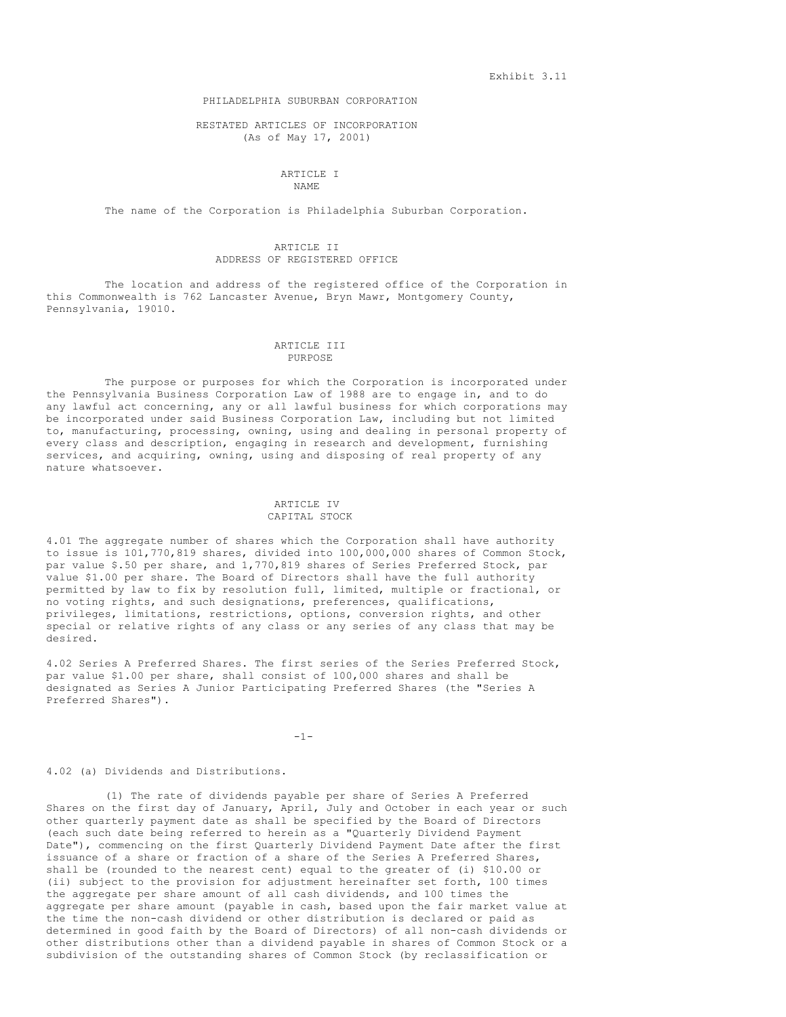Exhibit 3.11

## PHILADELPHIA SUBURBAN CORPORATION

## RESTATED ARTICLES OF INCORPORATION (As of May 17, 2001)

### ARTICLE I NAME

The name of the Corporation is Philadelphia Suburban Corporation.

# ARTICLE II ADDRESS OF REGISTERED OFFICE

The location and address of the registered office of the Corporation in this Commonwealth is 762 Lancaster Avenue, Bryn Mawr, Montgomery County, Pennsylvania, 19010.

## ARTICLE III PURPOSE

The purpose or purposes for which the Corporation is incorporated under the Pennsylvania Business Corporation Law of 1988 are to engage in, and to do any lawful act concerning, any or all lawful business for which corporations may be incorporated under said Business Corporation Law, including but not limited to, manufacturing, processing, owning, using and dealing in personal property of every class and description, engaging in research and development, furnishing services, and acquiring, owning, using and disposing of real property of any nature whatsoever.

# ARTICLE IV CAPITAL STOCK

4.01 The aggregate number of shares which the Corporation shall have authority to issue is 101,770,819 shares, divided into 100,000,000 shares of Common Stock, par value \$.50 per share, and 1,770,819 shares of Series Preferred Stock, par value \$1.00 per share. The Board of Directors shall have the full authority permitted by law to fix by resolution full, limited, multiple or fractional, or no voting rights, and such designations, preferences, qualifications, privileges, limitations, restrictions, options, conversion rights, and other special or relative rights of any class or any series of any class that may be desired.

4.02 Series A Preferred Shares. The first series of the Series Preferred Stock, par value \$1.00 per share, shall consist of 100,000 shares and shall be designated as Series A Junior Participating Preferred Shares (the "Series A Preferred Shares").

-1-

#### 4.02 (a) Dividends and Distributions.

(1) The rate of dividends payable per share of Series A Preferred Shares on the first day of January, April, July and October in each year or such other quarterly payment date as shall be specified by the Board of Directors (each such date being referred to herein as a "Quarterly Dividend Payment Date"), commencing on the first Quarterly Dividend Payment Date after the first issuance of a share or fraction of a share of the Series A Preferred Shares, shall be (rounded to the nearest cent) equal to the greater of (i) \$10.00 or (ii) subject to the provision for adjustment hereinafter set forth, 100 times the aggregate per share amount of all cash dividends, and 100 times the aggregate per share amount (payable in cash, based upon the fair market value at the time the non-cash dividend or other distribution is declared or paid as determined in good faith by the Board of Directors) of all non-cash dividends or other distributions other than a dividend payable in shares of Common Stock or a subdivision of the outstanding shares of Common Stock (by reclassification or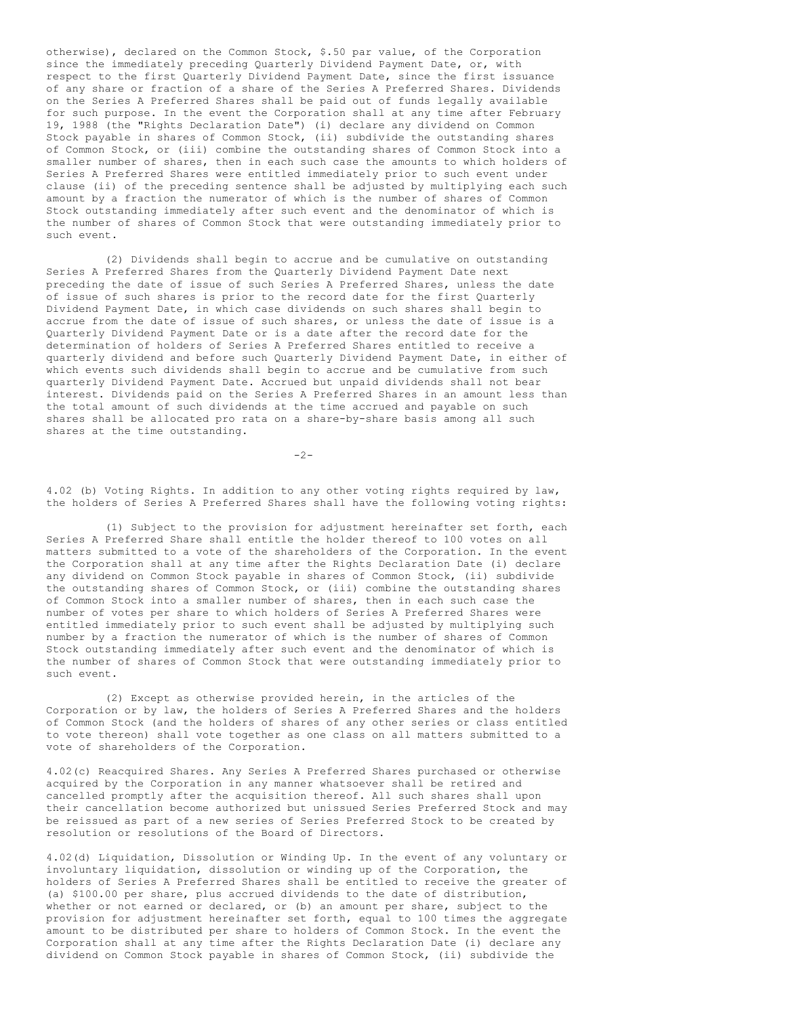otherwise), declared on the Common Stock, \$.50 par value, of the Corporation since the immediately preceding Quarterly Dividend Payment Date, or, with respect to the first Quarterly Dividend Payment Date, since the first issuance of any share or fraction of a share of the Series A Preferred Shares. Dividends on the Series A Preferred Shares shall be paid out of funds legally available for such purpose. In the event the Corporation shall at any time after February 19, 1988 (the "Rights Declaration Date") (i) declare any dividend on Common Stock payable in shares of Common Stock, (ii) subdivide the outstanding shares of Common Stock, or (iii) combine the outstanding shares of Common Stock into a smaller number of shares, then in each such case the amounts to which holders of Series A Preferred Shares were entitled immediately prior to such event under clause (ii) of the preceding sentence shall be adjusted by multiplying each such amount by a fraction the numerator of which is the number of shares of Common Stock outstanding immediately after such event and the denominator of which is the number of shares of Common Stock that were outstanding immediately prior to such event.

(2) Dividends shall begin to accrue and be cumulative on outstanding Series A Preferred Shares from the Quarterly Dividend Payment Date next preceding the date of issue of such Series A Preferred Shares, unless the date of issue of such shares is prior to the record date for the first Quarterly Dividend Payment Date, in which case dividends on such shares shall begin to accrue from the date of issue of such shares, or unless the date of issue is a Quarterly Dividend Payment Date or is a date after the record date for the determination of holders of Series A Preferred Shares entitled to receive a quarterly dividend and before such Quarterly Dividend Payment Date, in either of which events such dividends shall begin to accrue and be cumulative from such quarterly Dividend Payment Date. Accrued but unpaid dividends shall not bear interest. Dividends paid on the Series A Preferred Shares in an amount less than the total amount of such dividends at the time accrued and payable on such shares shall be allocated pro rata on a share-by-share basis among all such shares at the time outstanding.

 $-2-$ 

4.02 (b) Voting Rights. In addition to any other voting rights required by law, the holders of Series A Preferred Shares shall have the following voting rights:

(1) Subject to the provision for adjustment hereinafter set forth, each Series A Preferred Share shall entitle the holder thereof to 100 votes on all matters submitted to a vote of the shareholders of the Corporation. In the event the Corporation shall at any time after the Rights Declaration Date (i) declare any dividend on Common Stock payable in shares of Common Stock, (ii) subdivide the outstanding shares of Common Stock, or (iii) combine the outstanding shares of Common Stock into a smaller number of shares, then in each such case the number of votes per share to which holders of Series A Preferred Shares were entitled immediately prior to such event shall be adjusted by multiplying such number by a fraction the numerator of which is the number of shares of Common Stock outstanding immediately after such event and the denominator of which is the number of shares of Common Stock that were outstanding immediately prior to such event.

(2) Except as otherwise provided herein, in the articles of the Corporation or by law, the holders of Series A Preferred Shares and the holders of Common Stock (and the holders of shares of any other series or class entitled to vote thereon) shall vote together as one class on all matters submitted to a vote of shareholders of the Corporation.

4.02(c) Reacquired Shares. Any Series A Preferred Shares purchased or otherwise acquired by the Corporation in any manner whatsoever shall be retired and cancelled promptly after the acquisition thereof. All such shares shall upon their cancellation become authorized but unissued Series Preferred Stock and may be reissued as part of a new series of Series Preferred Stock to be created by resolution or resolutions of the Board of Directors.

4.02(d) Liquidation, Dissolution or Winding Up. In the event of any voluntary or involuntary liquidation, dissolution or winding up of the Corporation, the holders of Series A Preferred Shares shall be entitled to receive the greater of (a) \$100.00 per share, plus accrued dividends to the date of distribution, whether or not earned or declared, or (b) an amount per share, subject to the provision for adjustment hereinafter set forth, equal to 100 times the aggregate amount to be distributed per share to holders of Common Stock. In the event the Corporation shall at any time after the Rights Declaration Date (i) declare any dividend on Common Stock payable in shares of Common Stock, (ii) subdivide the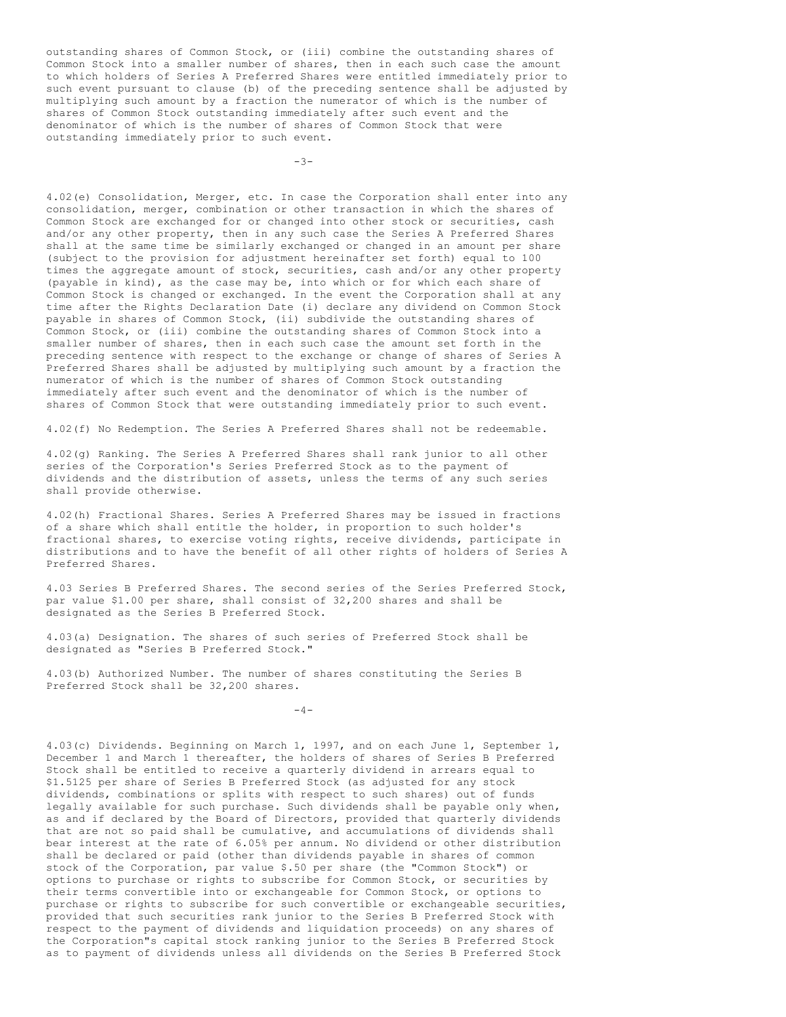outstanding shares of Common Stock, or (iii) combine the outstanding shares of Common Stock into a smaller number of shares, then in each such case the amount to which holders of Series A Preferred Shares were entitled immediately prior to such event pursuant to clause (b) of the preceding sentence shall be adjusted by multiplying such amount by a fraction the numerator of which is the number of shares of Common Stock outstanding immediately after such event and the denominator of which is the number of shares of Common Stock that were outstanding immediately prior to such event.

 $-3-$ 

4.02(e) Consolidation, Merger, etc. In case the Corporation shall enter into any consolidation, merger, combination or other transaction in which the shares of Common Stock are exchanged for or changed into other stock or securities, cash and/or any other property, then in any such case the Series A Preferred Shares shall at the same time be similarly exchanged or changed in an amount per share (subject to the provision for adjustment hereinafter set forth) equal to 100 times the aggregate amount of stock, securities, cash and/or any other property (payable in kind), as the case may be, into which or for which each share of Common Stock is changed or exchanged. In the event the Corporation shall at any time after the Rights Declaration Date (i) declare any dividend on Common Stock payable in shares of Common Stock, (ii) subdivide the outstanding shares of Common Stock, or (iii) combine the outstanding shares of Common Stock into a smaller number of shares, then in each such case the amount set forth in the preceding sentence with respect to the exchange or change of shares of Series A Preferred Shares shall be adjusted by multiplying such amount by a fraction the numerator of which is the number of shares of Common Stock outstanding immediately after such event and the denominator of which is the number of shares of Common Stock that were outstanding immediately prior to such event.

4.02(f) No Redemption. The Series A Preferred Shares shall not be redeemable.

4.02(g) Ranking. The Series A Preferred Shares shall rank junior to all other series of the Corporation's Series Preferred Stock as to the payment of dividends and the distribution of assets, unless the terms of any such series shall provide otherwise.

4.02(h) Fractional Shares. Series A Preferred Shares may be issued in fractions of a share which shall entitle the holder, in proportion to such holder's fractional shares, to exercise voting rights, receive dividends, participate in distributions and to have the benefit of all other rights of holders of Series A Preferred Shares.

4.03 Series B Preferred Shares. The second series of the Series Preferred Stock, par value \$1.00 per share, shall consist of 32,200 shares and shall be designated as the Series B Preferred Stock.

4.03(a) Designation. The shares of such series of Preferred Stock shall be designated as "Series B Preferred Stock."

4.03(b) Authorized Number. The number of shares constituting the Series B Preferred Stock shall be 32,200 shares.

 $-4-$ 

4.03(c) Dividends. Beginning on March 1, 1997, and on each June 1, September 1, December 1 and March 1 thereafter, the holders of shares of Series B Preferred Stock shall be entitled to receive a quarterly dividend in arrears equal to \$1.5125 per share of Series B Preferred Stock (as adjusted for any stock dividends, combinations or splits with respect to such shares) out of funds legally available for such purchase. Such dividends shall be payable only when, as and if declared by the Board of Directors, provided that quarterly dividends that are not so paid shall be cumulative, and accumulations of dividends shall bear interest at the rate of 6.05% per annum. No dividend or other distribution shall be declared or paid (other than dividends payable in shares of common stock of the Corporation, par value \$.50 per share (the "Common Stock") or options to purchase or rights to subscribe for Common Stock, or securities by their terms convertible into or exchangeable for Common Stock, or options to purchase or rights to subscribe for such convertible or exchangeable securities, provided that such securities rank junior to the Series B Preferred Stock with respect to the payment of dividends and liquidation proceeds) on any shares of the Corporation"s capital stock ranking junior to the Series B Preferred Stock as to payment of dividends unless all dividends on the Series B Preferred Stock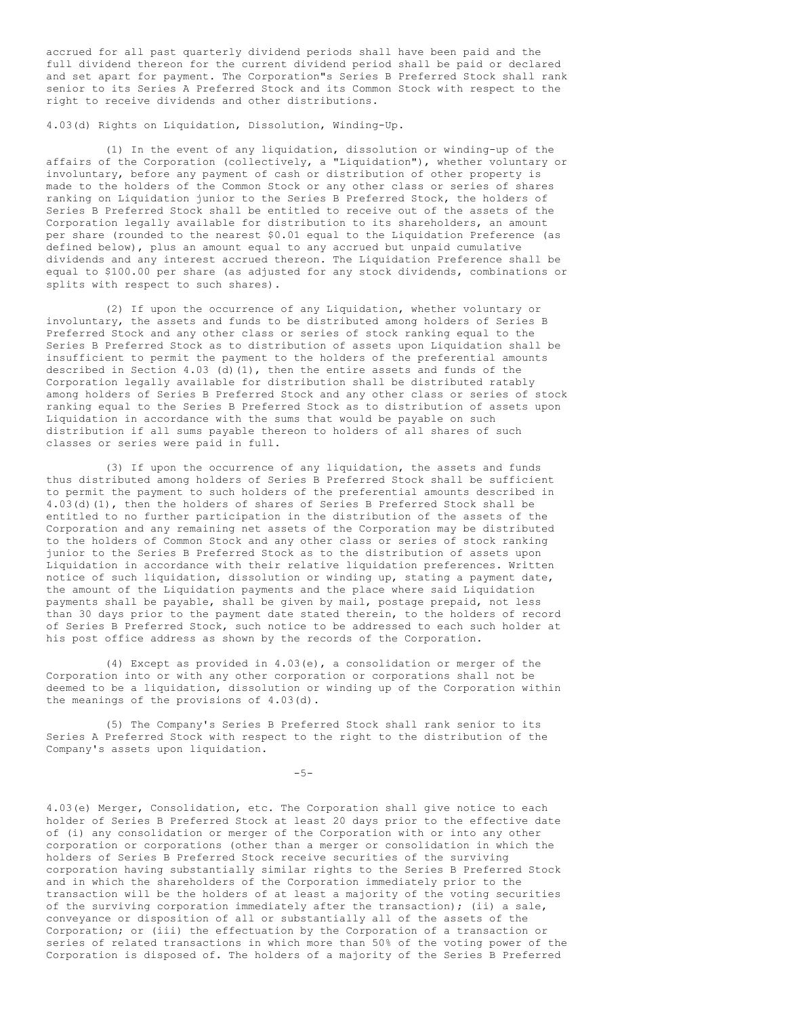accrued for all past quarterly dividend periods shall have been paid and the full dividend thereon for the current dividend period shall be paid or declared and set apart for payment. The Corporation"s Series B Preferred Stock shall rank senior to its Series A Preferred Stock and its Common Stock with respect to the right to receive dividends and other distributions.

4.03(d) Rights on Liquidation, Dissolution, Winding-Up.

(1) In the event of any liquidation, dissolution or winding-up of the affairs of the Corporation (collectively, a "Liquidation"), whether voluntary or involuntary, before any payment of cash or distribution of other property is made to the holders of the Common Stock or any other class or series of shares ranking on Liquidation junior to the Series B Preferred Stock, the holders of Series B Preferred Stock shall be entitled to receive out of the assets of the Corporation legally available for distribution to its shareholders, an amount per share (rounded to the nearest \$0.01 equal to the Liquidation Preference (as defined below), plus an amount equal to any accrued but unpaid cumulative dividends and any interest accrued thereon. The Liquidation Preference shall be equal to \$100.00 per share (as adjusted for any stock dividends, combinations or splits with respect to such shares).

(2) If upon the occurrence of any Liquidation, whether voluntary or involuntary, the assets and funds to be distributed among holders of Series B Preferred Stock and any other class or series of stock ranking equal to the Series B Preferred Stock as to distribution of assets upon Liquidation shall be insufficient to permit the payment to the holders of the preferential amounts described in Section 4.03 (d)(1), then the entire assets and funds of the Corporation legally available for distribution shall be distributed ratably among holders of Series B Preferred Stock and any other class or series of stock ranking equal to the Series B Preferred Stock as to distribution of assets upon Liquidation in accordance with the sums that would be payable on such distribution if all sums payable thereon to holders of all shares of such classes or series were paid in full.

(3) If upon the occurrence of any liquidation, the assets and funds thus distributed among holders of Series B Preferred Stock shall be sufficient to permit the payment to such holders of the preferential amounts described in 4.03(d)(1), then the holders of shares of Series B Preferred Stock shall be entitled to no further participation in the distribution of the assets of the Corporation and any remaining net assets of the Corporation may be distributed to the holders of Common Stock and any other class or series of stock ranking junior to the Series B Preferred Stock as to the distribution of assets upon Liquidation in accordance with their relative liquidation preferences. Written notice of such liquidation, dissolution or winding up, stating a payment date, the amount of the Liquidation payments and the place where said Liquidation payments shall be payable, shall be given by mail, postage prepaid, not less than 30 days prior to the payment date stated therein, to the holders of record of Series B Preferred Stock, such notice to be addressed to each such holder at his post office address as shown by the records of the Corporation.

(4) Except as provided in 4.03(e), a consolidation or merger of the Corporation into or with any other corporation or corporations shall not be deemed to be a liquidation, dissolution or winding up of the Corporation within the meanings of the provisions of 4.03(d).

(5) The Company's Series B Preferred Stock shall rank senior to its Series A Preferred Stock with respect to the right to the distribution of the Company's assets upon liquidation.

 $-5-$ 

4.03(e) Merger, Consolidation, etc. The Corporation shall give notice to each holder of Series B Preferred Stock at least 20 days prior to the effective date of (i) any consolidation or merger of the Corporation with or into any other corporation or corporations (other than a merger or consolidation in which the holders of Series B Preferred Stock receive securities of the surviving corporation having substantially similar rights to the Series B Preferred Stock and in which the shareholders of the Corporation immediately prior to the transaction will be the holders of at least a majority of the voting securities of the surviving corporation immediately after the transaction); (ii) a sale, conveyance or disposition of all or substantially all of the assets of the Corporation; or (iii) the effectuation by the Corporation of a transaction or series of related transactions in which more than 50% of the voting power of the Corporation is disposed of. The holders of a majority of the Series B Preferred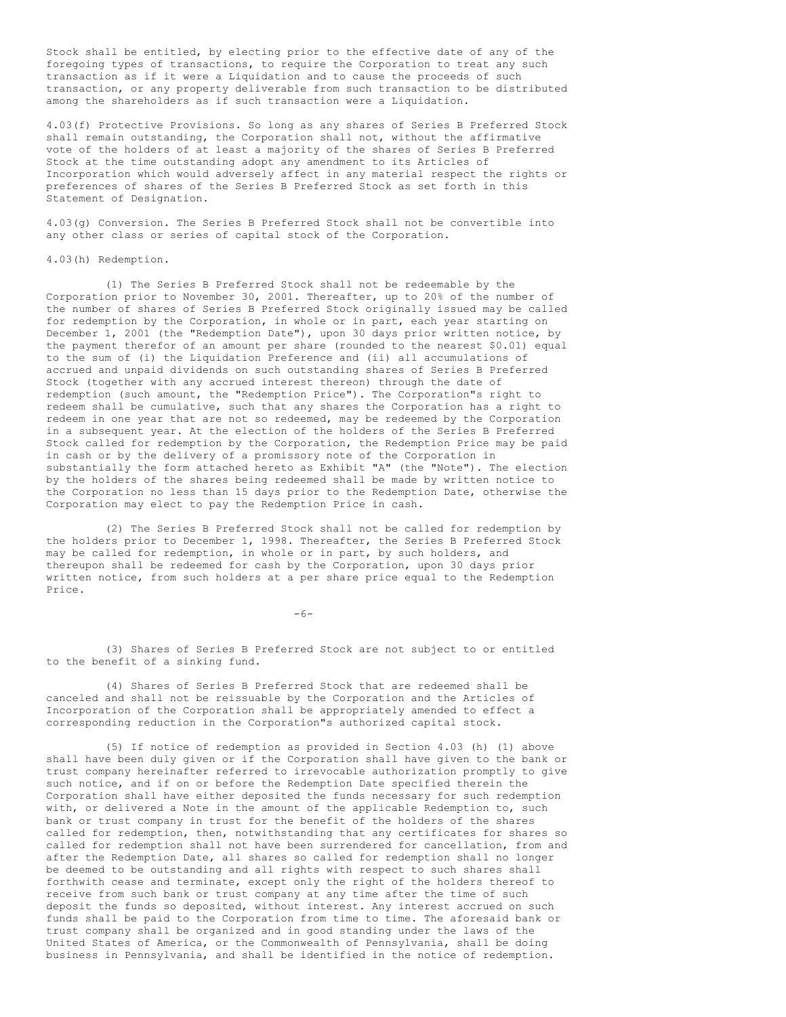Stock shall be entitled, by electing prior to the effective date of any of the foregoing types of transactions, to require the Corporation to treat any such transaction as if it were a Liquidation and to cause the proceeds of such transaction, or any property deliverable from such transaction to be distributed among the shareholders as if such transaction were a Liquidation.

4.03(f) Protective Provisions. So long as any shares of Series B Preferred Stock shall remain outstanding, the Corporation shall not, without the affirmative vote of the holders of at least a majority of the shares of Series B Preferred Stock at the time outstanding adopt any amendment to its Articles of Incorporation which would adversely affect in any material respect the rights or preferences of shares of the Series B Preferred Stock as set forth in this Statement of Designation.

4.03(g) Conversion. The Series B Preferred Stock shall not be convertible into any other class or series of capital stock of the Corporation.

4.03(h) Redemption.

(1) The Series B Preferred Stock shall not be redeemable by the Corporation prior to November 30, 2001. Thereafter, up to 20% of the number of the number of shares of Series B Preferred Stock originally issued may be called for redemption by the Corporation, in whole or in part, each year starting on December 1, 2001 (the "Redemption Date"), upon 30 days prior written notice, by the payment therefor of an amount per share (rounded to the nearest \$0.01) equal to the sum of (i) the Liquidation Preference and (ii) all accumulations of accrued and unpaid dividends on such outstanding shares of Series B Preferred Stock (together with any accrued interest thereon) through the date of redemption (such amount, the "Redemption Price"). The Corporation"s right to redeem shall be cumulative, such that any shares the Corporation has a right to redeem in one year that are not so redeemed, may be redeemed by the Corporation in a subsequent year. At the election of the holders of the Series B Preferred Stock called for redemption by the Corporation, the Redemption Price may be paid in cash or by the delivery of a promissory note of the Corporation in substantially the form attached hereto as Exhibit "A" (the "Note"). The election by the holders of the shares being redeemed shall be made by written notice to the Corporation no less than 15 days prior to the Redemption Date, otherwise the Corporation may elect to pay the Redemption Price in cash.

(2) The Series B Preferred Stock shall not be called for redemption by the holders prior to December 1, 1998. Thereafter, the Series B Preferred Stock may be called for redemption, in whole or in part, by such holders, and thereupon shall be redeemed for cash by the Corporation, upon 30 days prior written notice, from such holders at a per share price equal to the Redemption Price.

 $-6-$ 

(3) Shares of Series B Preferred Stock are not subject to or entitled to the benefit of a sinking fund.

(4) Shares of Series B Preferred Stock that are redeemed shall be canceled and shall not be reissuable by the Corporation and the Articles of Incorporation of the Corporation shall be appropriately amended to effect a corresponding reduction in the Corporation"s authorized capital stock.

(5) If notice of redemption as provided in Section 4.03 (h) (1) above shall have been duly given or if the Corporation shall have given to the bank or trust company hereinafter referred to irrevocable authorization promptly to give such notice, and if on or before the Redemption Date specified therein the Corporation shall have either deposited the funds necessary for such redemption with, or delivered a Note in the amount of the applicable Redemption to, such bank or trust company in trust for the benefit of the holders of the shares called for redemption, then, notwithstanding that any certificates for shares so called for redemption shall not have been surrendered for cancellation, from and after the Redemption Date, all shares so called for redemption shall no longer be deemed to be outstanding and all rights with respect to such shares shall forthwith cease and terminate, except only the right of the holders thereof to receive from such bank or trust company at any time after the time of such deposit the funds so deposited, without interest. Any interest accrued on such funds shall be paid to the Corporation from time to time. The aforesaid bank or trust company shall be organized and in good standing under the laws of the United States of America, or the Commonwealth of Pennsylvania, shall be doing business in Pennsylvania, and shall be identified in the notice of redemption.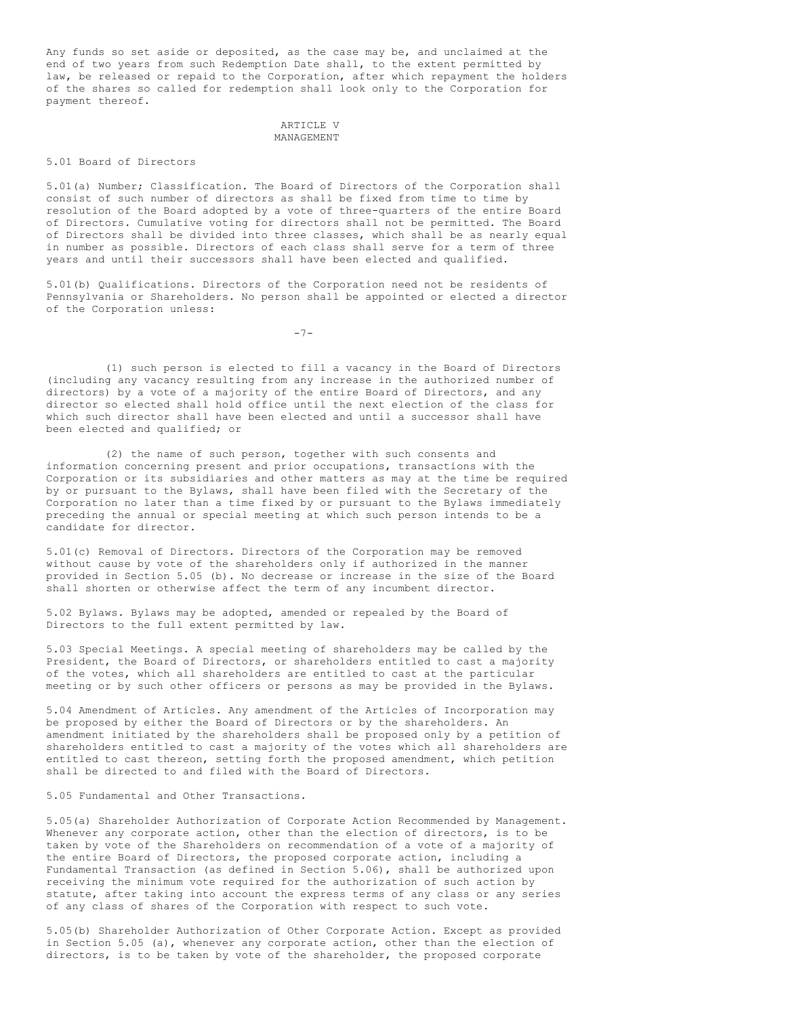Any funds so set aside or deposited, as the case may be, and unclaimed at the end of two years from such Redemption Date shall, to the extent permitted by law, be released or repaid to the Corporation, after which repayment the holders of the shares so called for redemption shall look only to the Corporation for payment thereof.

## ARTICLE V MANAGEMENT

### 5.01 Board of Directors

5.01(a) Number; Classification. The Board of Directors of the Corporation shall consist of such number of directors as shall be fixed from time to time by resolution of the Board adopted by a vote of three-quarters of the entire Board of Directors. Cumulative voting for directors shall not be permitted. The Board of Directors shall be divided into three classes, which shall be as nearly equal in number as possible. Directors of each class shall serve for a term of three years and until their successors shall have been elected and qualified.

5.01(b) Qualifications. Directors of the Corporation need not be residents of Pennsylvania or Shareholders. No person shall be appointed or elected a director of the Corporation unless:

 $-7-$ 

(1) such person is elected to fill a vacancy in the Board of Directors (including any vacancy resulting from any increase in the authorized number of directors) by a vote of a majority of the entire Board of Directors, and any director so elected shall hold office until the next election of the class for which such director shall have been elected and until a successor shall have been elected and qualified; or

(2) the name of such person, together with such consents and information concerning present and prior occupations, transactions with the Corporation or its subsidiaries and other matters as may at the time be required by or pursuant to the Bylaws, shall have been filed with the Secretary of the Corporation no later than a time fixed by or pursuant to the Bylaws immediately preceding the annual or special meeting at which such person intends to be a candidate for director.

5.01(c) Removal of Directors. Directors of the Corporation may be removed without cause by vote of the shareholders only if authorized in the manner provided in Section 5.05 (b). No decrease or increase in the size of the Board shall shorten or otherwise affect the term of any incumbent director.

5.02 Bylaws. Bylaws may be adopted, amended or repealed by the Board of Directors to the full extent permitted by law.

5.03 Special Meetings. A special meeting of shareholders may be called by the President, the Board of Directors, or shareholders entitled to cast a majority of the votes, which all shareholders are entitled to cast at the particular meeting or by such other officers or persons as may be provided in the Bylaws.

5.04 Amendment of Articles. Any amendment of the Articles of Incorporation may be proposed by either the Board of Directors or by the shareholders. An amendment initiated by the shareholders shall be proposed only by a petition of shareholders entitled to cast a majority of the votes which all shareholders are entitled to cast thereon, setting forth the proposed amendment, which petition shall be directed to and filed with the Board of Directors.

5.05 Fundamental and Other Transactions.

5.05(a) Shareholder Authorization of Corporate Action Recommended by Management. Whenever any corporate action, other than the election of directors, is to be taken by vote of the Shareholders on recommendation of a vote of a majority of the entire Board of Directors, the proposed corporate action, including a Fundamental Transaction (as defined in Section 5.06), shall be authorized upon receiving the minimum vote required for the authorization of such action by statute, after taking into account the express terms of any class or any series of any class of shares of the Corporation with respect to such vote.

5.05(b) Shareholder Authorization of Other Corporate Action. Except as provided in Section 5.05 (a), whenever any corporate action, other than the election of directors, is to be taken by vote of the shareholder, the proposed corporate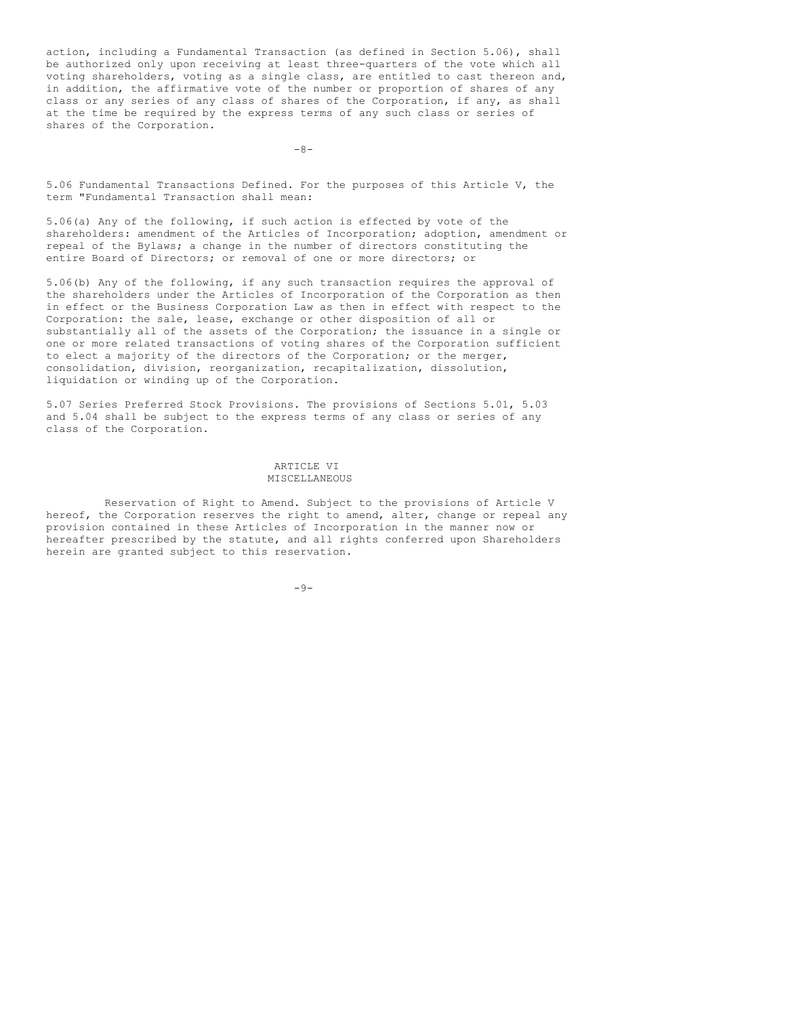action, including a Fundamental Transaction (as defined in Section 5.06), shall be authorized only upon receiving at least three-quarters of the vote which all voting shareholders, voting as a single class, are entitled to cast thereon and, in addition, the affirmative vote of the number or proportion of shares of any class or any series of any class of shares of the Corporation, if any, as shall at the time be required by the express terms of any such class or series of shares of the Corporation.

 $-8-$ 

5.06 Fundamental Transactions Defined. For the purposes of this Article V, the term "Fundamental Transaction shall mean:

5.06(a) Any of the following, if such action is effected by vote of the shareholders: amendment of the Articles of Incorporation; adoption, amendment or repeal of the Bylaws; a change in the number of directors constituting the entire Board of Directors; or removal of one or more directors; or

5.06(b) Any of the following, if any such transaction requires the approval of the shareholders under the Articles of Incorporation of the Corporation as then in effect or the Business Corporation Law as then in effect with respect to the Corporation: the sale, lease, exchange or other disposition of all or substantially all of the assets of the Corporation; the issuance in a single or one or more related transactions of voting shares of the Corporation sufficient to elect a majority of the directors of the Corporation; or the merger, consolidation, division, reorganization, recapitalization, dissolution, liquidation or winding up of the Corporation.

5.07 Series Preferred Stock Provisions. The provisions of Sections 5.01, 5.03 and 5.04 shall be subject to the express terms of any class or series of any class of the Corporation.

# ARTICLE VI MISCELLANEOUS

Reservation of Right to Amend. Subject to the provisions of Article V hereof, the Corporation reserves the right to amend, alter, change or repeal any provision contained in these Articles of Incorporation in the manner now or hereafter prescribed by the statute, and all rights conferred upon Shareholders herein are granted subject to this reservation.

 $-9-$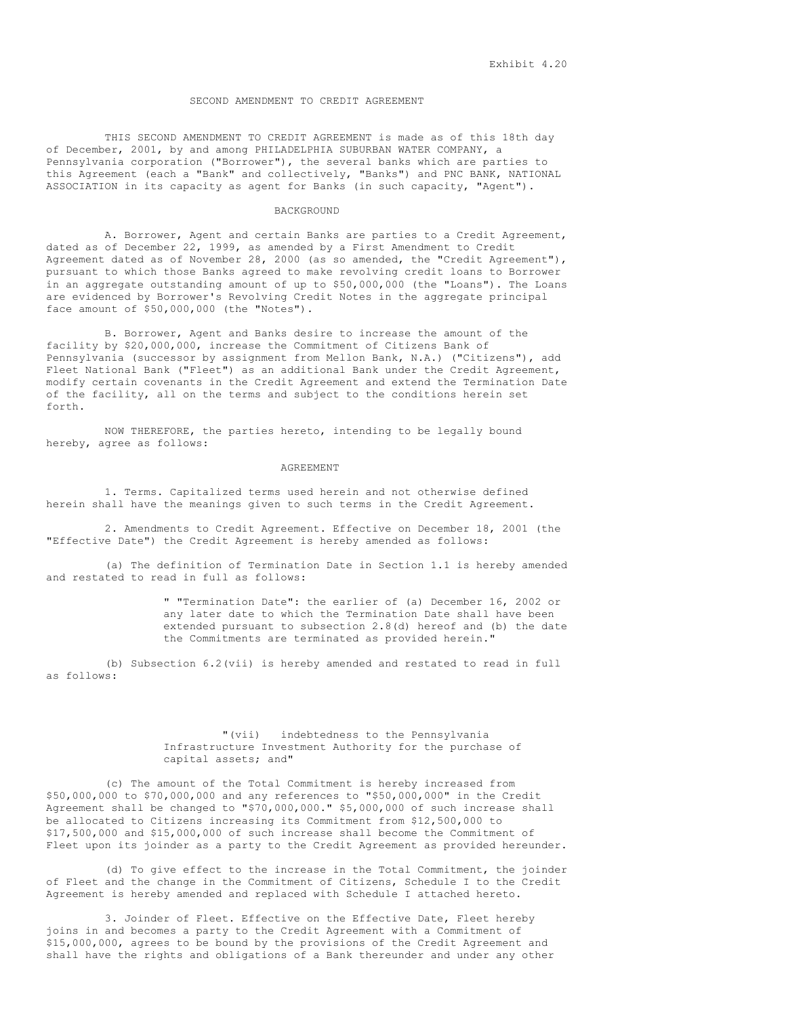### SECOND AMENDMENT TO CREDIT AGREEMENT

THIS SECOND AMENDMENT TO CREDIT AGREEMENT is made as of this 18th day of December, 2001, by and among PHILADELPHIA SUBURBAN WATER COMPANY, a Pennsylvania corporation ("Borrower"), the several banks which are parties to this Agreement (each a "Bank" and collectively, "Banks") and PNC BANK, NATIONAL ASSOCIATION in its capacity as agent for Banks (in such capacity, "Agent").

## BACKGROUND

A. Borrower, Agent and certain Banks are parties to a Credit Agreement, dated as of December 22, 1999, as amended by a First Amendment to Credit Agreement dated as of November 28, 2000 (as so amended, the "Credit Agreement"), pursuant to which those Banks agreed to make revolving credit loans to Borrower in an aggregate outstanding amount of up to \$50,000,000 (the "Loans"). The Loans are evidenced by Borrower's Revolving Credit Notes in the aggregate principal face amount of \$50,000,000 (the "Notes").

B. Borrower, Agent and Banks desire to increase the amount of the facility by \$20,000,000, increase the Commitment of Citizens Bank of Pennsylvania (successor by assignment from Mellon Bank, N.A.) ("Citizens"), add Fleet National Bank ("Fleet") as an additional Bank under the Credit Agreement, modify certain covenants in the Credit Agreement and extend the Termination Date of the facility, all on the terms and subject to the conditions herein set forth.

NOW THEREFORE, the parties hereto, intending to be legally bound hereby, agree as follows:

### AGREEMENT

1. Terms. Capitalized terms used herein and not otherwise defined herein shall have the meanings given to such terms in the Credit Agreement.

2. Amendments to Credit Agreement. Effective on December 18, 2001 (the "Effective Date") the Credit Agreement is hereby amended as follows:

(a) The definition of Termination Date in Section 1.1 is hereby amended and restated to read in full as follows:

> " "Termination Date": the earlier of (a) December 16, 2002 or any later date to which the Termination Date shall have been extended pursuant to subsection 2.8(d) hereof and (b) the date the Commitments are terminated as provided herein."

(b) Subsection 6.2(vii) is hereby amended and restated to read in full as follows:

## "(vii) indebtedness to the Pennsylvania Infrastructure Investment Authority for the purchase of capital assets; and"

(c) The amount of the Total Commitment is hereby increased from \$50,000,000 to \$70,000,000 and any references to "\$50,000,000" in the Credit Agreement shall be changed to "\$70,000,000." \$5,000,000 of such increase shall be allocated to Citizens increasing its Commitment from \$12,500,000 to \$17,500,000 and \$15,000,000 of such increase shall become the Commitment of Fleet upon its joinder as a party to the Credit Agreement as provided hereunder.

(d) To give effect to the increase in the Total Commitment, the joinder of Fleet and the change in the Commitment of Citizens, Schedule I to the Credit Agreement is hereby amended and replaced with Schedule I attached hereto.

3. Joinder of Fleet. Effective on the Effective Date, Fleet hereby joins in and becomes a party to the Credit Agreement with a Commitment of \$15,000,000, agrees to be bound by the provisions of the Credit Agreement and shall have the rights and obligations of a Bank thereunder and under any other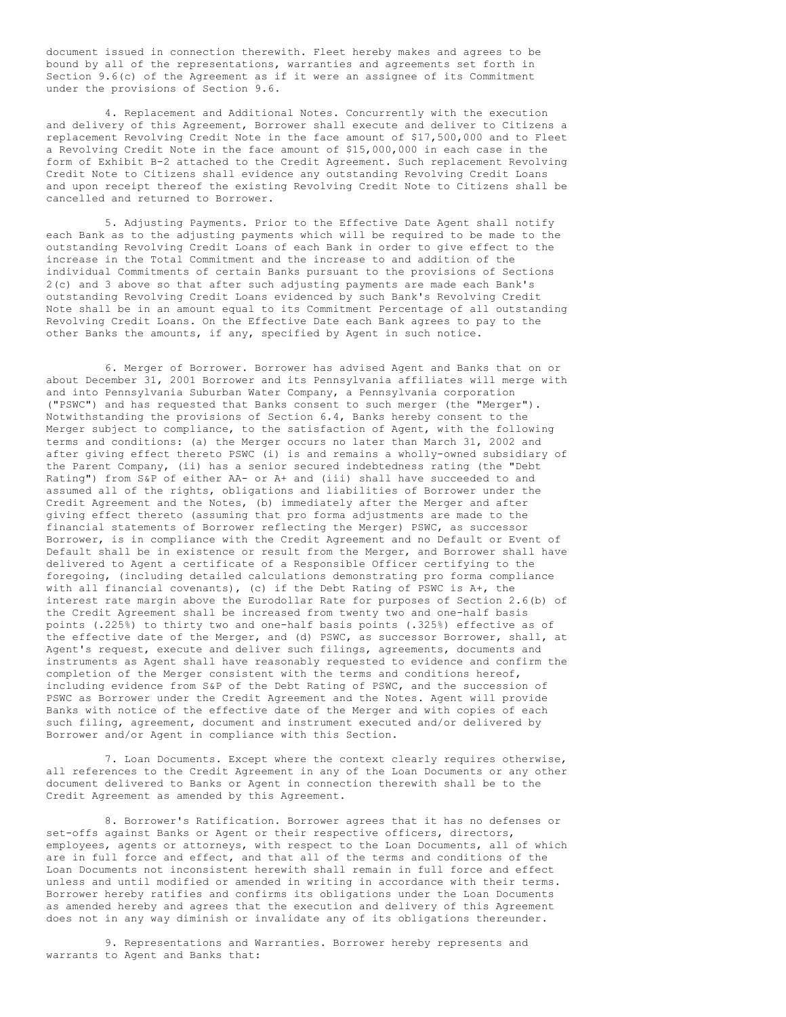document issued in connection therewith. Fleet hereby makes and agrees to be bound by all of the representations, warranties and agreements set forth in Section 9.6(c) of the Agreement as if it were an assignee of its Commitment under the provisions of Section 9.6.

4. Replacement and Additional Notes. Concurrently with the execution and delivery of this Agreement, Borrower shall execute and deliver to Citizens a replacement Revolving Credit Note in the face amount of \$17,500,000 and to Fleet a Revolving Credit Note in the face amount of \$15,000,000 in each case in the form of Exhibit B-2 attached to the Credit Agreement. Such replacement Revolving Credit Note to Citizens shall evidence any outstanding Revolving Credit Loans and upon receipt thereof the existing Revolving Credit Note to Citizens shall be cancelled and returned to Borrower.

5. Adjusting Payments. Prior to the Effective Date Agent shall notify each Bank as to the adjusting payments which will be required to be made to the outstanding Revolving Credit Loans of each Bank in order to give effect to the increase in the Total Commitment and the increase to and addition of the individual Commitments of certain Banks pursuant to the provisions of Sections 2(c) and 3 above so that after such adjusting payments are made each Bank's outstanding Revolving Credit Loans evidenced by such Bank's Revolving Credit Note shall be in an amount equal to its Commitment Percentage of all outstanding Revolving Credit Loans. On the Effective Date each Bank agrees to pay to the other Banks the amounts, if any, specified by Agent in such notice.

6. Merger of Borrower. Borrower has advised Agent and Banks that on or about December 31, 2001 Borrower and its Pennsylvania affiliates will merge with and into Pennsylvania Suburban Water Company, a Pennsylvania corporation ("PSWC") and has requested that Banks consent to such merger (the "Merger"). Notwithstanding the provisions of Section 6.4, Banks hereby consent to the Merger subject to compliance, to the satisfaction of Agent, with the following terms and conditions: (a) the Merger occurs no later than March 31, 2002 and after giving effect thereto PSWC (i) is and remains a wholly-owned subsidiary of the Parent Company, (ii) has a senior secured indebtedness rating (the "Debt Rating") from S&P of either AA- or A+ and (iii) shall have succeeded to and assumed all of the rights, obligations and liabilities of Borrower under the Credit Agreement and the Notes, (b) immediately after the Merger and after giving effect thereto (assuming that pro forma adjustments are made to the financial statements of Borrower reflecting the Merger) PSWC, as successor Borrower, is in compliance with the Credit Agreement and no Default or Event of Default shall be in existence or result from the Merger, and Borrower shall have delivered to Agent a certificate of a Responsible Officer certifying to the foregoing, (including detailed calculations demonstrating pro forma compliance with all financial covenants), (c) if the Debt Rating of PSWC is A+, the interest rate margin above the Eurodollar Rate for purposes of Section 2.6(b) of the Credit Agreement shall be increased from twenty two and one-half basis points (.225%) to thirty two and one-half basis points (.325%) effective as of the effective date of the Merger, and (d) PSWC, as successor Borrower, shall, at Agent's request, execute and deliver such filings, agreements, documents and instruments as Agent shall have reasonably requested to evidence and confirm the completion of the Merger consistent with the terms and conditions hereof, including evidence from S&P of the Debt Rating of PSWC, and the succession of PSWC as Borrower under the Credit Agreement and the Notes. Agent will provide Banks with notice of the effective date of the Merger and with copies of each such filing, agreement, document and instrument executed and/or delivered by Borrower and/or Agent in compliance with this Section.

7. Loan Documents. Except where the context clearly requires otherwise, all references to the Credit Agreement in any of the Loan Documents or any other document delivered to Banks or Agent in connection therewith shall be to the Credit Agreement as amended by this Agreement.

8. Borrower's Ratification. Borrower agrees that it has no defenses or set-offs against Banks or Agent or their respective officers, directors, employees, agents or attorneys, with respect to the Loan Documents, all of which are in full force and effect, and that all of the terms and conditions of the Loan Documents not inconsistent herewith shall remain in full force and effect unless and until modified or amended in writing in accordance with their terms. Borrower hereby ratifies and confirms its obligations under the Loan Documents as amended hereby and agrees that the execution and delivery of this Agreement does not in any way diminish or invalidate any of its obligations thereunder.

9. Representations and Warranties. Borrower hereby represents and warrants to Agent and Banks that: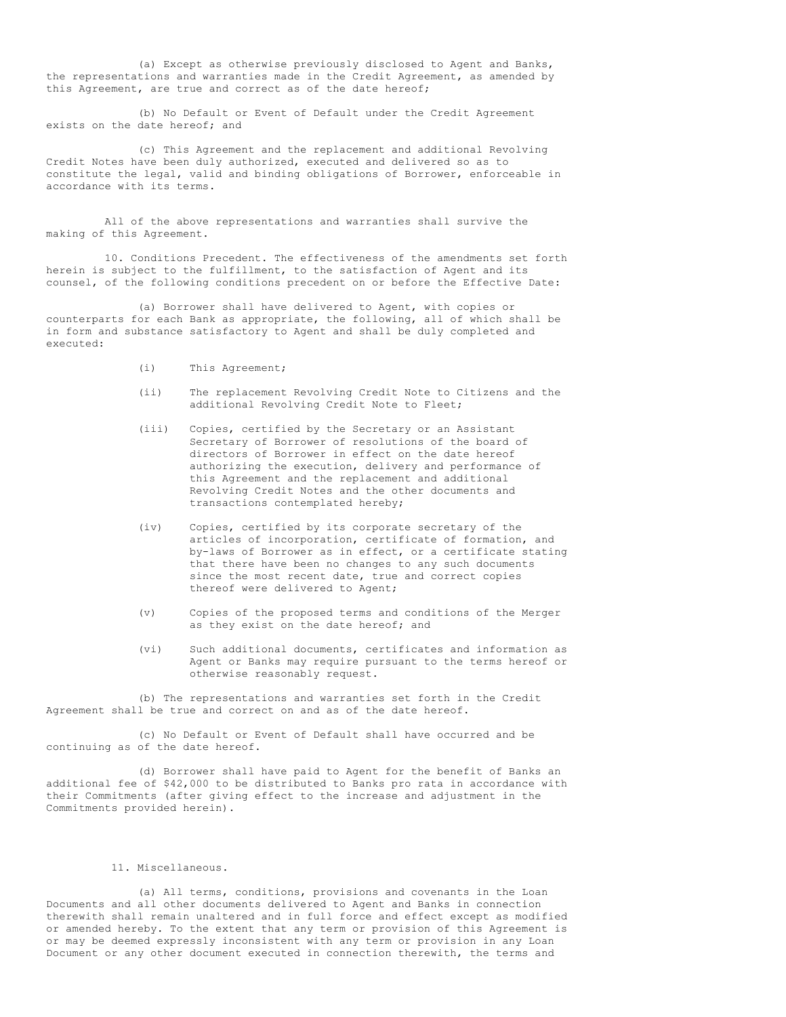(a) Except as otherwise previously disclosed to Agent and Banks, the representations and warranties made in the Credit Agreement, as amended by this Agreement, are true and correct as of the date hereof;

(b) No Default or Event of Default under the Credit Agreement exists on the date hereof; and

(c) This Agreement and the replacement and additional Revolving Credit Notes have been duly authorized, executed and delivered so as to constitute the legal, valid and binding obligations of Borrower, enforceable in accordance with its terms.

All of the above representations and warranties shall survive the making of this Agreement.

10. Conditions Precedent. The effectiveness of the amendments set forth herein is subject to the fulfillment, to the satisfaction of Agent and its counsel, of the following conditions precedent on or before the Effective Date:

(a) Borrower shall have delivered to Agent, with copies or counterparts for each Bank as appropriate, the following, all of which shall be in form and substance satisfactory to Agent and shall be duly completed and executed:

- (i) This Agreement;
- (ii) The replacement Revolving Credit Note to Citizens and the additional Revolving Credit Note to Fleet;
- (iii) Copies, certified by the Secretary or an Assistant Secretary of Borrower of resolutions of the board of directors of Borrower in effect on the date hereof authorizing the execution, delivery and performance of this Agreement and the replacement and additional Revolving Credit Notes and the other documents and transactions contemplated hereby;
- (iv) Copies, certified by its corporate secretary of the articles of incorporation, certificate of formation, and by-laws of Borrower as in effect, or a certificate stating that there have been no changes to any such documents since the most recent date, true and correct copies thereof were delivered to Agent;
- (v) Copies of the proposed terms and conditions of the Merger as they exist on the date hereof; and
- (vi) Such additional documents, certificates and information as Agent or Banks may require pursuant to the terms hereof or otherwise reasonably request.

(b) The representations and warranties set forth in the Credit Agreement shall be true and correct on and as of the date hereof.

(c) No Default or Event of Default shall have occurred and be continuing as of the date hereof.

(d) Borrower shall have paid to Agent for the benefit of Banks an additional fee of \$42,000 to be distributed to Banks pro rata in accordance with their Commitments (after giving effect to the increase and adjustment in the Commitments provided herein).

# 11. Miscellaneous.

(a) All terms, conditions, provisions and covenants in the Loan Documents and all other documents delivered to Agent and Banks in connection therewith shall remain unaltered and in full force and effect except as modified or amended hereby. To the extent that any term or provision of this Agreement is or may be deemed expressly inconsistent with any term or provision in any Loan Document or any other document executed in connection therewith, the terms and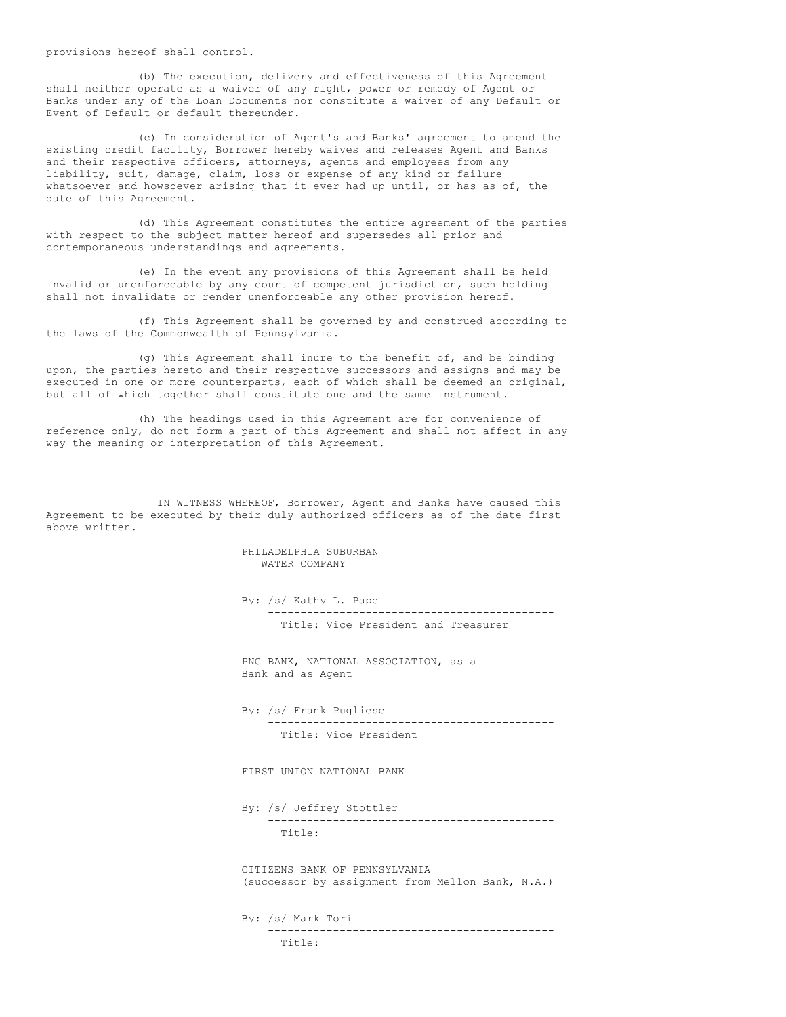provisions hereof shall control.

(b) The execution, delivery and effectiveness of this Agreement shall neither operate as a waiver of any right, power or remedy of Agent or Banks under any of the Loan Documents nor constitute a waiver of any Default or Event of Default or default thereunder.

(c) In consideration of Agent's and Banks' agreement to amend the existing credit facility, Borrower hereby waives and releases Agent and Banks and their respective officers, attorneys, agents and employees from any liability, suit, damage, claim, loss or expense of any kind or failure whatsoever and howsoever arising that it ever had up until, or has as of, the date of this Agreement.

(d) This Agreement constitutes the entire agreement of the parties with respect to the subject matter hereof and supersedes all prior and contemporaneous understandings and agreements.

(e) In the event any provisions of this Agreement shall be held invalid or unenforceable by any court of competent jurisdiction, such holding shall not invalidate or render unenforceable any other provision hereof.

(f) This Agreement shall be governed by and construed according to the laws of the Commonwealth of Pennsylvania.

(g) This Agreement shall inure to the benefit of, and be binding upon, the parties hereto and their respective successors and assigns and may be executed in one or more counterparts, each of which shall be deemed an original, but all of which together shall constitute one and the same instrument.

(h) The headings used in this Agreement are for convenience of reference only, do not form a part of this Agreement and shall not affect in any way the meaning or interpretation of this Agreement.

IN WITNESS WHEREOF, Borrower, Agent and Banks have caused this Agreement to be executed by their duly authorized officers as of the date first above written.

> PHILADELPHIA SUBURBAN WATER COMPANY

By: /s/ Kathy L. Pape -------------------------------------------- Title: Vice President and Treasurer

PNC BANK, NATIONAL ASSOCIATION, as a Bank and as Agent

By: /s/ Frank Pugliese<br>---------------------------------------------------------------- Title: Vice President

FIRST UNION NATIONAL BANK

By: /s/ Jeffrey Stottler -------------------------------------------- Title:

CITIZENS BANK OF PENNSYLVANIA (successor by assignment from Mellon Bank, N.A.)

By: /s/ Mark Tori -------------------------------------------- Title: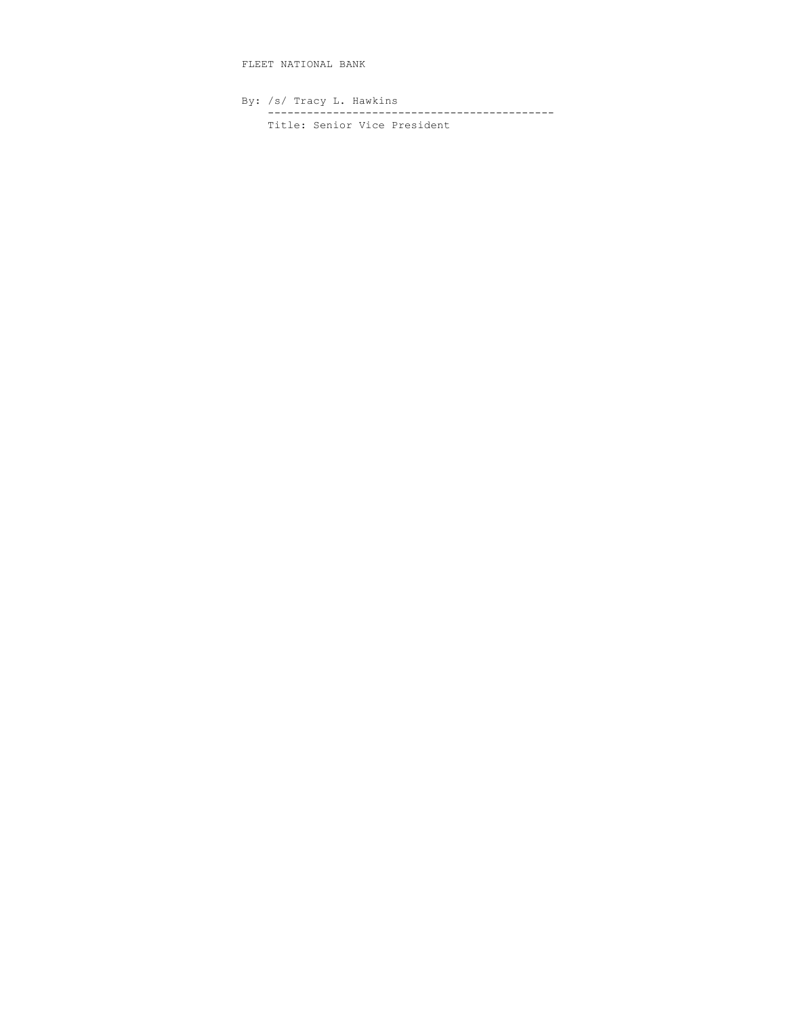FLEET NATIONAL BANK

By: /s/ Tracy L. Hawkins -------------------------------------------- Title: Senior Vice President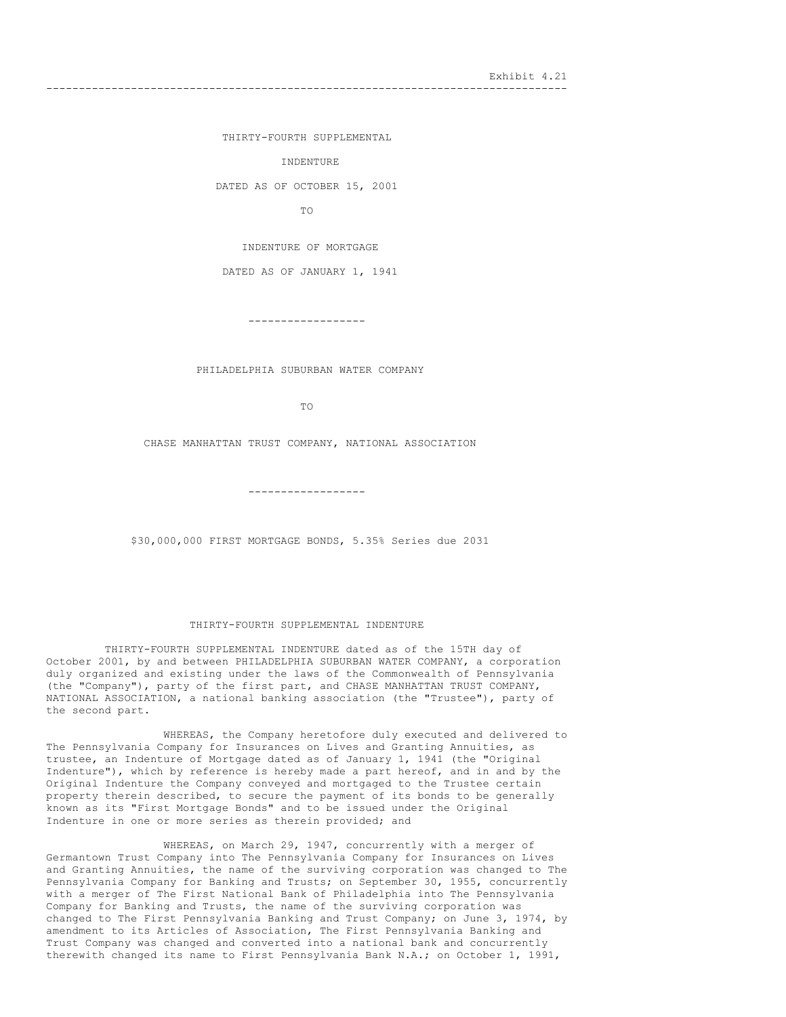Exhibit 4.21

--------------------------------------------------------------------------------

THIRTY-FOURTH SUPPLEMENTAL

```
INDENTURE
```
DATED AS OF OCTOBER 15, 2001

TO

INDENTURE OF MORTGAGE

DATED AS OF JANUARY 1, 1941

------------------

PHILADELPHIA SUBURBAN WATER COMPANY

TO

CHASE MANHATTAN TRUST COMPANY, NATIONAL ASSOCIATION

------------------

\$30,000,000 FIRST MORTGAGE BONDS, 5.35% Series due 2031

### THIRTY-FOURTH SUPPLEMENTAL INDENTURE

THIRTY-FOURTH SUPPLEMENTAL INDENTURE dated as of the 15TH day of October 2001, by and between PHILADELPHIA SUBURBAN WATER COMPANY, a corporation duly organized and existing under the laws of the Commonwealth of Pennsylvania (the "Company"), party of the first part, and CHASE MANHATTAN TRUST COMPANY, NATIONAL ASSOCIATION, a national banking association (the "Trustee"), party of the second part.

WHEREAS, the Company heretofore duly executed and delivered to The Pennsylvania Company for Insurances on Lives and Granting Annuities, as trustee, an Indenture of Mortgage dated as of January 1, 1941 (the "Original Indenture"), which by reference is hereby made a part hereof, and in and by the Original Indenture the Company conveyed and mortgaged to the Trustee certain property therein described, to secure the payment of its bonds to be generally known as its "First Mortgage Bonds" and to be issued under the Original Indenture in one or more series as therein provided; and

WHEREAS, on March 29, 1947, concurrently with a merger of Germantown Trust Company into The Pennsylvania Company for Insurances on Lives and Granting Annuities, the name of the surviving corporation was changed to The Pennsylvania Company for Banking and Trusts; on September 30, 1955, concurrently with a merger of The First National Bank of Philadelphia into The Pennsylvania Company for Banking and Trusts, the name of the surviving corporation was changed to The First Pennsylvania Banking and Trust Company; on June 3, 1974, by amendment to its Articles of Association, The First Pennsylvania Banking and Trust Company was changed and converted into a national bank and concurrently therewith changed its name to First Pennsylvania Bank N.A.; on October 1, 1991,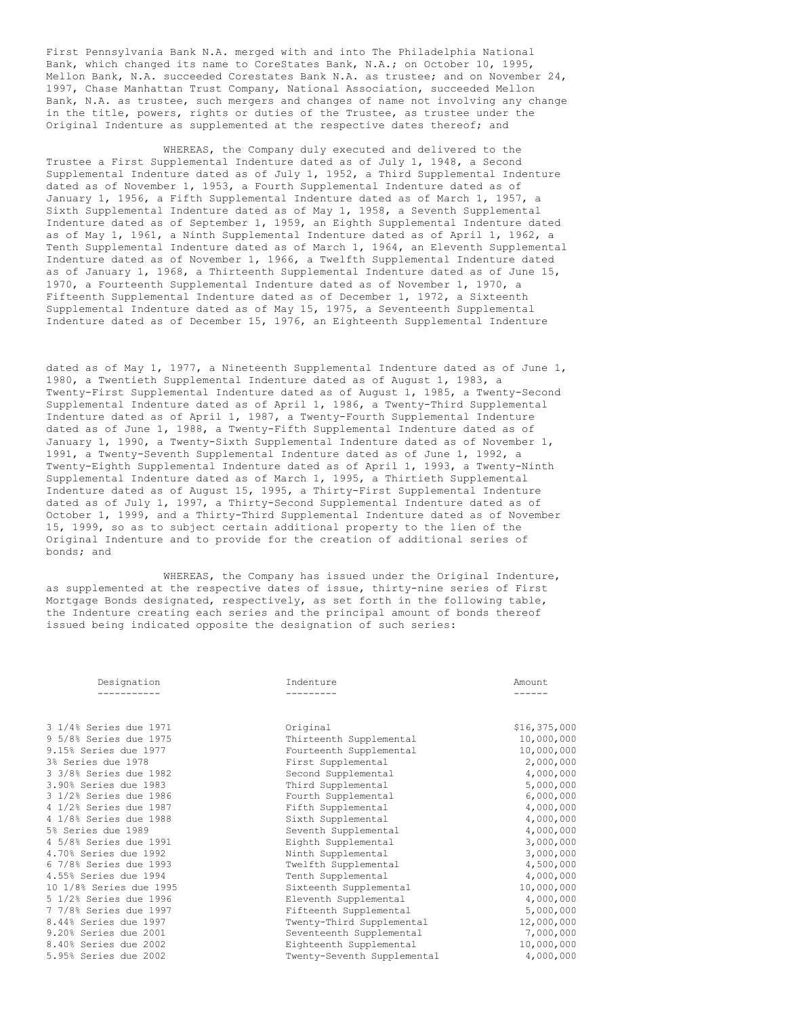First Pennsylvania Bank N.A. merged with and into The Philadelphia National Bank, which changed its name to CoreStates Bank, N.A.; on October 10, 1995, Mellon Bank, N.A. succeeded Corestates Bank N.A. as trustee; and on November 24, 1997, Chase Manhattan Trust Company, National Association, succeeded Mellon Bank, N.A. as trustee, such mergers and changes of name not involving any change in the title, powers, rights or duties of the Trustee, as trustee under the Original Indenture as supplemented at the respective dates thereof; and

WHEREAS, the Company duly executed and delivered to the Trustee a First Supplemental Indenture dated as of July 1, 1948, a Second Supplemental Indenture dated as of July 1, 1952, a Third Supplemental Indenture dated as of November 1, 1953, a Fourth Supplemental Indenture dated as of January 1, 1956, a Fifth Supplemental Indenture dated as of March 1, 1957, a Sixth Supplemental Indenture dated as of May 1, 1958, a Seventh Supplemental Indenture dated as of September 1, 1959, an Eighth Supplemental Indenture dated as of May 1, 1961, a Ninth Supplemental Indenture dated as of April 1, 1962, a Tenth Supplemental Indenture dated as of March 1, 1964, an Eleventh Supplemental Indenture dated as of November 1, 1966, a Twelfth Supplemental Indenture dated as of January 1, 1968, a Thirteenth Supplemental Indenture dated as of June 15, 1970, a Fourteenth Supplemental Indenture dated as of November 1, 1970, a Fifteenth Supplemental Indenture dated as of December 1, 1972, a Sixteenth Supplemental Indenture dated as of May 15, 1975, a Seventeenth Supplemental Indenture dated as of December 15, 1976, an Eighteenth Supplemental Indenture

dated as of May 1, 1977, a Nineteenth Supplemental Indenture dated as of June 1, 1980, a Twentieth Supplemental Indenture dated as of August 1, 1983, a Twenty-First Supplemental Indenture dated as of August 1, 1985, a Twenty-Second Supplemental Indenture dated as of April 1, 1986, a Twenty-Third Supplemental Indenture dated as of April 1, 1987, a Twenty-Fourth Supplemental Indenture dated as of June 1, 1988, a Twenty-Fifth Supplemental Indenture dated as of January 1, 1990, a Twenty-Sixth Supplemental Indenture dated as of November 1, 1991, a Twenty-Seventh Supplemental Indenture dated as of June 1, 1992, a Twenty-Eighth Supplemental Indenture dated as of April 1, 1993, a Twenty-Ninth Supplemental Indenture dated as of March 1, 1995, a Thirtieth Supplemental Indenture dated as of August 15, 1995, a Thirty-First Supplemental Indenture dated as of July 1, 1997, a Thirty-Second Supplemental Indenture dated as of October 1, 1999, and a Thirty-Third Supplemental Indenture dated as of November 15, 1999, so as to subject certain additional property to the lien of the Original Indenture and to provide for the creation of additional series of bonds; and

WHEREAS, the Company has issued under the Original Indenture, as supplemented at the respective dates of issue, thirty-nine series of First Mortgage Bonds designated, respectively, as set forth in the following table, the Indenture creating each series and the principal amount of bonds thereof issued being indicated opposite the designation of such series:

| Designation             | Indenture                   | Amount       |
|-------------------------|-----------------------------|--------------|
|                         |                             |              |
| 3 1/4% Series due 1971  | Original                    | \$16,375,000 |
| 9 5/8% Series due 1975  | Thirteenth Supplemental     | 10,000,000   |
| 9.15% Series due 1977   | Fourteenth Supplemental     | 10,000,000   |
| 3% Series due 1978      | First Supplemental          | 2,000,000    |
| 3 3/8% Series due 1982  | Second Supplemental         | 4,000,000    |
| 3.90% Series due 1983   | Third Supplemental          | 5,000,000    |
| 3 1/2% Series due 1986  | Fourth Supplemental         | 6,000,000    |
| 4 1/2% Series due 1987  | Fifth Supplemental          | 4,000,000    |
| 4 1/8% Series due 1988  | Sixth Supplemental          | 4,000,000    |
| 5% Series due 1989      | Seventh Supplemental        | 4,000,000    |
| 4 5/8% Series due 1991  | Eighth Supplemental         | 3,000,000    |
| 4.70% Series due 1992   | Ninth Supplemental          | 3,000,000    |
| 6 7/8% Series due 1993  | Twelfth Supplemental        | 4,500,000    |
| 4.55% Series due 1994   | Tenth Supplemental          | 4,000,000    |
| 10 1/8% Series due 1995 | Sixteenth Supplemental      | 10,000,000   |
| 5 1/2% Series due 1996  | Eleventh Supplemental       | 4,000,000    |
| 7 7/8% Series due 1997  | Fifteenth Supplemental      | 5,000,000    |
| 8.44% Series due 1997   | Twenty-Third Supplemental   | 12,000,000   |
| 9.20% Series due 2001   | Seventeenth Supplemental    | 7,000,000    |
| 8.40% Series due 2002   | Eighteenth Supplemental     | 10,000,000   |
| 5.95% Series due 2002   | Twenty-Seventh Supplemental | 4,000,000    |
|                         |                             |              |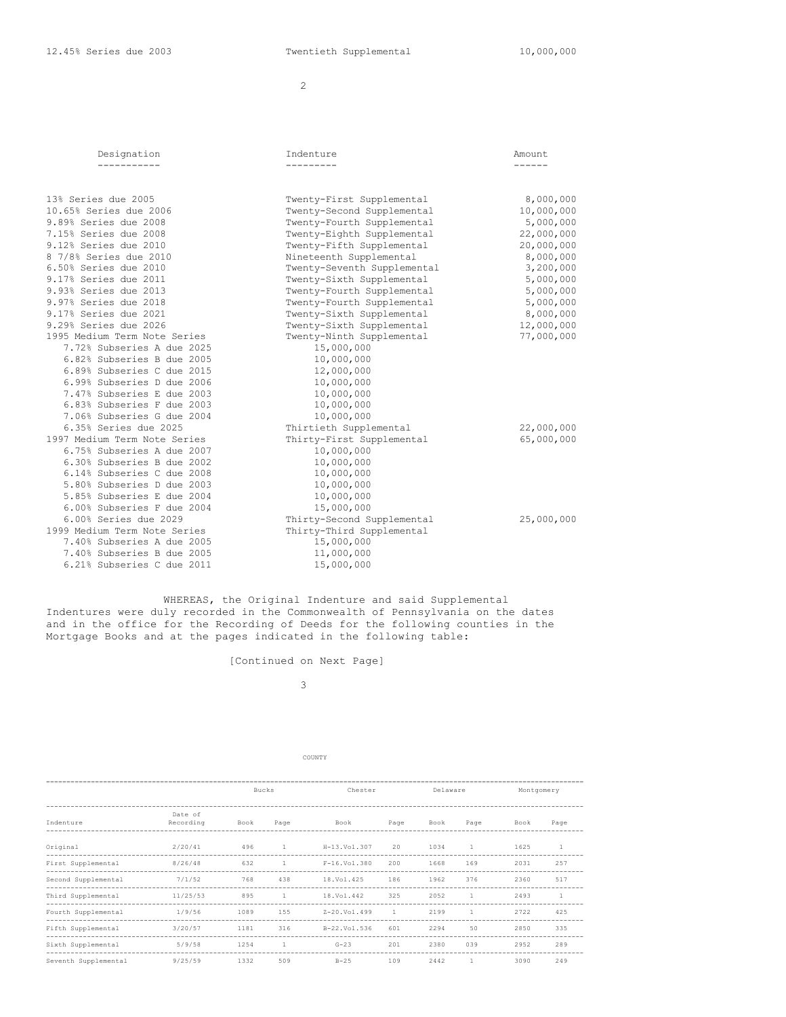12.45% Series due 2003 Twentieth Supplemental 10,000,000

2

| Designation                                                                                                                                                                                                                                                                                                               | Indenture                                                                                                                                                                                                                                                                                           | Amount.                                                                                                                           |
|---------------------------------------------------------------------------------------------------------------------------------------------------------------------------------------------------------------------------------------------------------------------------------------------------------------------------|-----------------------------------------------------------------------------------------------------------------------------------------------------------------------------------------------------------------------------------------------------------------------------------------------------|-----------------------------------------------------------------------------------------------------------------------------------|
| 13% Series due 2005<br>10.65% Series due 2006<br>9.89% Series due 2008<br>7.15% Series due 2008<br>9.12% Series due 2010<br>8 7/8% Series due 2010<br>6.50% Series due 2010<br>9.17% Series due 2011<br>9.93% Series due 2013<br>9.97% Series due 2018                                                                    | Twenty-First Supplemental<br>Twenty-Second Supplemental<br>Twenty-Fourth Supplemental<br>Twenty-Eighth Supplemental<br>Twenty-Fifth Supplemental<br>Nineteenth Supplemental<br>Twenty-Seventh Supplemental<br>Twenty-Sixth Supplemental<br>Twenty-Fourth Supplemental<br>Twenty-Fourth Supplemental | 8,000,000<br>10,000,000<br>5,000,000<br>22,000,000<br>20,000,000<br>8,000,000<br>3,200,000<br>5,000,000<br>5,000,000<br>5,000,000 |
| 9.17% Series due 2021<br>9.29% Series due 2026<br>1995 Medium Term Note Series<br>7.72% Subseries A due 2025<br>6.82% Subseries B due 2005<br>6.89% Subseries C due 2015<br>6.99% Subseries D due 2006<br>7.47% Subseries E due 2003<br>6.83% Subseries F due 2003<br>7.06% Subseries G due 2004<br>6.35% Series due 2025 | Twenty-Sixth Supplemental<br>Twenty-Sixth Supplemental<br>Twenty-Ninth Supplemental<br>15,000,000<br>10,000,000<br>12,000,000<br>10,000,000<br>10,000,000<br>10,000,000<br>10,000,000<br>Thirtieth Supplemental                                                                                     | 8,000,000<br>12,000,000<br>77,000,000<br>22,000,000                                                                               |
| 1997 Medium Term Note Series<br>6.75% Subseries A due 2007<br>6.30% Subseries B due 2002<br>6.14% Subseries C due 2008<br>5.80% Subseries D due 2003<br>5.85% Subseries E due 2004<br>6.00% Subseries F due 2004<br>6.00% Series due 2029                                                                                 | Thirty-First Supplemental<br>10,000,000<br>10,000,000<br>10,000,000<br>10,000,000<br>10,000,000<br>15,000,000<br>Thirty-Second Supplemental                                                                                                                                                         | 65,000,000<br>25,000,000                                                                                                          |
| 1999 Medium Term Note Series<br>7.40% Subseries A due 2005<br>7.40% Subseries B due 2005<br>6.21% Subseries C due 2011                                                                                                                                                                                                    | Thirty-Third Supplemental<br>15,000,000<br>11,000,000<br>15,000,000                                                                                                                                                                                                                                 |                                                                                                                                   |

WHEREAS, the Original Indenture and said Supplemental Indentures were duly recorded in the Commonwealth of Pennsylvania on the dates and in the office for the Recording of Deeds for the following counties in the Mortgage Books and at the pages indicated in the following table:

[Continued on Next Page]

# 3

|                                                                   | Bucks                |      | Chester      |                  |              |      | Montgomery   |      |              |
|-------------------------------------------------------------------|----------------------|------|--------------|------------------|--------------|------|--------------|------|--------------|
|                                                                   |                      |      |              |                  |              |      |              |      |              |
| Indenture                                                         | Date of<br>Recording | Book | Page         | Book             | Page         | Book | Page         | Book | Page         |
| Original                                                          | 2/20/41              | 496  | $\mathbf{1}$ | H-13.Vol.307     | 20           | 1034 | 1.           | 1625 | $\mathbf{1}$ |
| First Supplemental                                                | 8/26/48              | 632  | -1           | $F-16.Vo1.380$   | 200          | 1668 | 169          | 2031 | 257          |
| Second Supplemental                                               | 7/1/52               | 768  | 438          | 18.Vol.425       | 186          | 1962 | 376          | 2360 | 517          |
| Third Supplemental                                                | 11/25/53             | 895  | $\mathbf{1}$ | 18.Vol.442       | 325          | 2052 | п.           | 2493 | $\mathbf{1}$ |
| Fourth Supplemental                                               | 1/9/56               | 1089 | 155          | $Z - 20.Vol.499$ | $\mathbf{1}$ | 2199 | 1.           | 2722 | 425          |
| ----------------<br>Fifth Supplemental<br>----------------------- | 3/20/57              | 1181 | 316          | B-22.Vol.536     | 601          | 2294 | 50           | 2850 | 335          |
| Sixth Supplemental                                                | 5/9/58               | 1254 | $\mathbf{1}$ | $G-23$           | 201          | 2380 | 039          | 2952 | 289          |
| Seventh Supplemental                                              | 9/25/59              | 1332 | 509          | $B-25$           | 109          | 2442 | $\mathbf{1}$ | 3090 | 249          |

COUNTY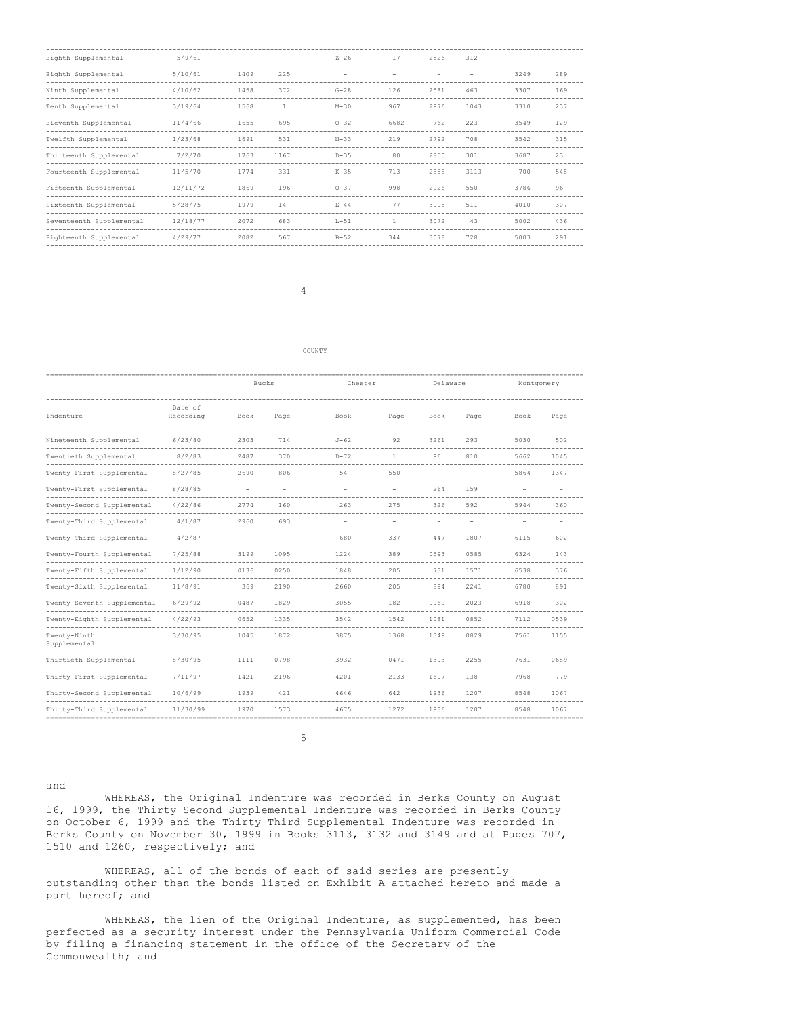| Eighth Supplemental      | 5/9/61   |      |      | $Z - 26$ | 17   | 2526 | 312  |      |     |
|--------------------------|----------|------|------|----------|------|------|------|------|-----|
| Eighth Supplemental      | 5/10/61  | 1409 | 225  | -        |      |      |      | 3249 | 289 |
| Ninth Supplemental       | 4/10/62  | 1458 | 372  | $G-28$   | 126  | 2581 | 463  | 3307 | 169 |
| Tenth Supplemental       | 3/19/64  | 1568 | 1    | $M-30$   | 967  | 2976 | 1043 | 3310 | 237 |
| Eleventh Supplemental    | 11/4/66  | 1655 | 695  | $Q - 32$ | 6682 | 762  | 223  | 3549 | 129 |
| Twelfth Supplemental     | 1/23/68  | 1691 | 531  | $N-33$   | 219  | 2792 | 708  | 3542 | 315 |
| Thirteenth Supplemental  | 7/2/70   | 1763 | 1167 | $D-35$   | 80   | 2850 | 301  | 3687 | 23  |
| Fourteenth Supplemental  | 11/5/70  | 1774 | 331  | $K-35$   | 713  | 2858 | 3113 | 700  | 548 |
| Fifteenth Supplemental   | 12/11/72 | 1869 | 196  | $0 - 37$ | 998  | 2926 | 550  | 3786 | 96  |
| Sixteenth Supplemental   | 5/28/75  | 1979 | 14   | $E - 44$ | 77   | 3005 | 511  | 4010 | 307 |
| Seventeenth Supplemental | 12/18/77 | 2072 | 683  | $L-51$   | 1    | 3072 | 43   | 5002 | 436 |
| Eighteenth Supplemental  | 4/29/77  | 2082 | 567  | $B-52$   | 344  | 3078 | 728  | 5003 | 291 |

4

#### COUNTY

|                              |                      | <b>Bucks</b> |      | Chester        |                | Delaware                 |      | Montgomery |      |
|------------------------------|----------------------|--------------|------|----------------|----------------|--------------------------|------|------------|------|
| Indenture                    | Date of<br>Recording | Book         | Page | Book           | Page           | Book                     | Page | Book       | Page |
| Nineteenth Supplemental      | 6/23/80              | 2303         | 714  | $J-62$         | 92             | 3261                     | 293  | 5030       | 502  |
| Twentieth Supplemental       | 8/2/83               | 2487         | 370  | $D-72$         | $\mathbf{1}$   | 96                       | 810  | 5662       | 1045 |
| Twenty-First Supplemental    | 8/27/85              | 2690         | 806  | 54             | 550            |                          |      | 5864       | 1347 |
| Twenty-First Supplemental    | 8/28/85              |              |      |                |                | 264                      | 159  |            |      |
| Twenty-Second Supplemental   | 4/22/86              | 2774         | 160  | 263            | 275            | 326                      | 592  | 5944       | 360  |
| Twenty-Third Supplemental    | 4/1/87               | 2960         | 693  | $\overline{a}$ | $\overline{a}$ | $\overline{\phantom{a}}$ |      |            |      |
| Twenty-Third Supplemental    | 4/2/87               |              |      | 680            | 337            | 447                      | 1807 | 6115       | 602  |
| Twenty-Fourth Supplemental   | 7/25/88              | 3199         | 1095 | 1224           | 389            | 0593                     | 0585 | 6324       | 143  |
| Twenty-Fifth Supplemental    | 1/12/90              | 0136         | 0250 | 1848           | 205            | 731                      | 1571 | 6538       | 376  |
| Twenty-Sixth Supplemental    | 11/8/91              | 369          | 2190 | 2660           | 205            | 894                      | 2241 | 6780       | 891  |
| Twenty-Seventh Supplemental  | 6/29/92              | 0487         | 1829 | 3055           | 182            | 0969                     | 2023 | 6918       | 302  |
| Twenty-Eighth Supplemental   | 4/22/93              | 0652         | 1335 | 3542           | 1542           | 1081                     | 0852 | 7112       | 0539 |
| Twenty-Ninth<br>Supplemental | 3/30/95              | 1045         | 1872 | 3875           | 1368           | 1349                     | 0829 | 7561       | 1155 |
| Thirtieth Supplemental       | 8/30/95              | 1111         | 0798 | 3932           | 0471           | 1393                     | 2255 | 7631       | 0689 |
| Thirty-First Supplemental    | 7/11/97              | 1421         | 2196 | 4201           | 2133           | 1607                     | 138  | 7968       | 779  |
| Thirty-Second Supplemental   | 10/6/99              | 1939         | 421  | 4646           | 642            | 1936                     | 1207 | 8548       | 1067 |
| Thirty-Third Supplemental    | 11/30/99             | 1970         | 1573 | 4675           | 1272           | 1936                     | 1207 | 8548       | 1067 |

5

and

WHEREAS, the Original Indenture was recorded in Berks County on August 16, 1999, the Thirty-Second Supplemental Indenture was recorded in Berks County on October 6, 1999 and the Thirty-Third Supplemental Indenture was recorded in Berks County on November 30, 1999 in Books 3113, 3132 and 3149 and at Pages 707, 1510 and 1260, respectively; and

WHEREAS, all of the bonds of each of said series are presently outstanding other than the bonds listed on Exhibit A attached hereto and made a part hereof; and

WHEREAS, the lien of the Original Indenture, as supplemented, has been perfected as a security interest under the Pennsylvania Uniform Commercial Code by filing a financing statement in the office of the Secretary of the Commonwealth; and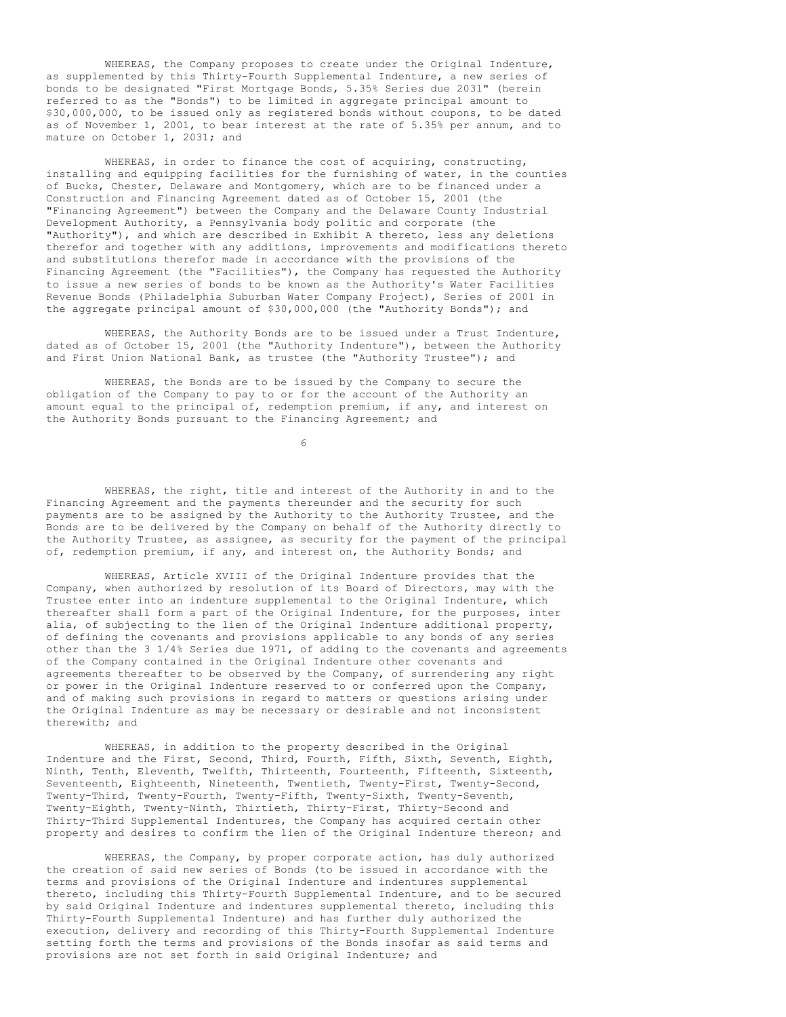WHEREAS, the Company proposes to create under the Original Indenture, as supplemented by this Thirty-Fourth Supplemental Indenture, a new series of bonds to be designated "First Mortgage Bonds, 5.35% Series due 2031" (herein referred to as the "Bonds") to be limited in aggregate principal amount to \$30,000,000, to be issued only as registered bonds without coupons, to be dated as of November 1, 2001, to bear interest at the rate of 5.35% per annum, and to mature on October 1, 2031; and

WHEREAS, in order to finance the cost of acquiring, constructing, installing and equipping facilities for the furnishing of water, in the counties of Bucks, Chester, Delaware and Montgomery, which are to be financed under a Construction and Financing Agreement dated as of October 15, 2001 (the "Financing Agreement") between the Company and the Delaware County Industrial Development Authority, a Pennsylvania body politic and corporate (the "Authority"), and which are described in Exhibit A thereto, less any deletions therefor and together with any additions, improvements and modifications thereto and substitutions therefor made in accordance with the provisions of the Financing Agreement (the "Facilities"), the Company has requested the Authority to issue a new series of bonds to be known as the Authority's Water Facilities Revenue Bonds (Philadelphia Suburban Water Company Project), Series of 2001 in the aggregate principal amount of \$30,000,000 (the "Authority Bonds"); and

WHEREAS, the Authority Bonds are to be issued under a Trust Indenture, dated as of October 15, 2001 (the "Authority Indenture"), between the Authority and First Union National Bank, as trustee (the "Authority Trustee"); and

WHEREAS, the Bonds are to be issued by the Company to secure the obligation of the Company to pay to or for the account of the Authority an amount equal to the principal of, redemption premium, if any, and interest on the Authority Bonds pursuant to the Financing Agreement; and

6

WHEREAS, the right, title and interest of the Authority in and to the Financing Agreement and the payments thereunder and the security for such payments are to be assigned by the Authority to the Authority Trustee, and the Bonds are to be delivered by the Company on behalf of the Authority directly to the Authority Trustee, as assignee, as security for the payment of the principal of, redemption premium, if any, and interest on, the Authority Bonds; and

WHEREAS, Article XVIII of the Original Indenture provides that the Company, when authorized by resolution of its Board of Directors, may with the Trustee enter into an indenture supplemental to the Original Indenture, which thereafter shall form a part of the Original Indenture, for the purposes, inter alia, of subjecting to the lien of the Original Indenture additional property, of defining the covenants and provisions applicable to any bonds of any series other than the 3 1/4% Series due 1971, of adding to the covenants and agreements of the Company contained in the Original Indenture other covenants and agreements thereafter to be observed by the Company, of surrendering any right or power in the Original Indenture reserved to or conferred upon the Company, and of making such provisions in regard to matters or questions arising under the Original Indenture as may be necessary or desirable and not inconsistent therewith; and

WHEREAS, in addition to the property described in the Original Indenture and the First, Second, Third, Fourth, Fifth, Sixth, Seventh, Eighth, Ninth, Tenth, Eleventh, Twelfth, Thirteenth, Fourteenth, Fifteenth, Sixteenth, Seventeenth, Eighteenth, Nineteenth, Twentieth, Twenty-First, Twenty-Second, Twenty-Third, Twenty-Fourth, Twenty-Fifth, Twenty-Sixth, Twenty-Seventh, Twenty-Eighth, Twenty-Ninth, Thirtieth, Thirty-First, Thirty-Second and Thirty-Third Supplemental Indentures, the Company has acquired certain other property and desires to confirm the lien of the Original Indenture thereon; and

WHEREAS, the Company, by proper corporate action, has duly authorized the creation of said new series of Bonds (to be issued in accordance with the terms and provisions of the Original Indenture and indentures supplemental thereto, including this Thirty-Fourth Supplemental Indenture, and to be secured by said Original Indenture and indentures supplemental thereto, including this Thirty-Fourth Supplemental Indenture) and has further duly authorized the execution, delivery and recording of this Thirty-Fourth Supplemental Indenture setting forth the terms and provisions of the Bonds insofar as said terms and provisions are not set forth in said Original Indenture; and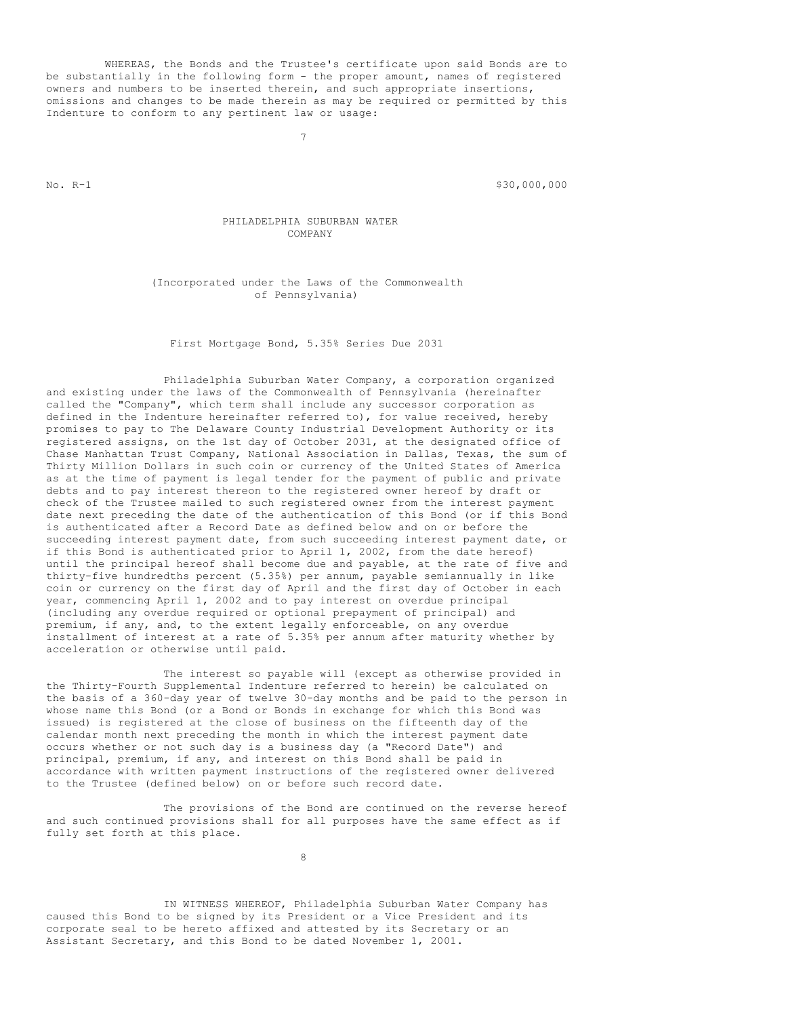WHEREAS, the Bonds and the Trustee's certificate upon said Bonds are to be substantially in the following form - the proper amount, names of registered owners and numbers to be inserted therein, and such appropriate insertions, omissions and changes to be made therein as may be required or permitted by this Indenture to conform to any pertinent law or usage:

7

No. R-1 \$30,000,000

PHILADELPHIA SUBURBAN WATER COMPANY

(Incorporated under the Laws of the Commonwealth of Pennsylvania)

First Mortgage Bond, 5.35% Series Due 2031

Philadelphia Suburban Water Company, a corporation organized and existing under the laws of the Commonwealth of Pennsylvania (hereinafter called the "Company", which term shall include any successor corporation as defined in the Indenture hereinafter referred to), for value received, hereby promises to pay to The Delaware County Industrial Development Authority or its registered assigns, on the 1st day of October 2031, at the designated office of Chase Manhattan Trust Company, National Association in Dallas, Texas, the sum of Thirty Million Dollars in such coin or currency of the United States of America as at the time of payment is legal tender for the payment of public and private debts and to pay interest thereon to the registered owner hereof by draft or check of the Trustee mailed to such registered owner from the interest payment date next preceding the date of the authentication of this Bond (or if this Bond is authenticated after a Record Date as defined below and on or before the succeeding interest payment date, from such succeeding interest payment date, or if this Bond is authenticated prior to April 1, 2002, from the date hereof) until the principal hereof shall become due and payable, at the rate of five and thirty-five hundredths percent (5.35%) per annum, payable semiannually in like coin or currency on the first day of April and the first day of October in each year, commencing April 1, 2002 and to pay interest on overdue principal (including any overdue required or optional prepayment of principal) and premium, if any, and, to the extent legally enforceable, on any overdue installment of interest at a rate of 5.35% per annum after maturity whether by acceleration or otherwise until paid.

The interest so payable will (except as otherwise provided in the Thirty-Fourth Supplemental Indenture referred to herein) be calculated on the basis of a 360-day year of twelve 30-day months and be paid to the person in whose name this Bond (or a Bond or Bonds in exchange for which this Bond was issued) is registered at the close of business on the fifteenth day of the calendar month next preceding the month in which the interest payment date occurs whether or not such day is a business day (a "Record Date") and principal, premium, if any, and interest on this Bond shall be paid in accordance with written payment instructions of the registered owner delivered to the Trustee (defined below) on or before such record date.

The provisions of the Bond are continued on the reverse hereof and such continued provisions shall for all purposes have the same effect as if fully set forth at this place.

8

IN WITNESS WHEREOF, Philadelphia Suburban Water Company has caused this Bond to be signed by its President or a Vice President and its corporate seal to be hereto affixed and attested by its Secretary or an Assistant Secretary, and this Bond to be dated November 1, 2001.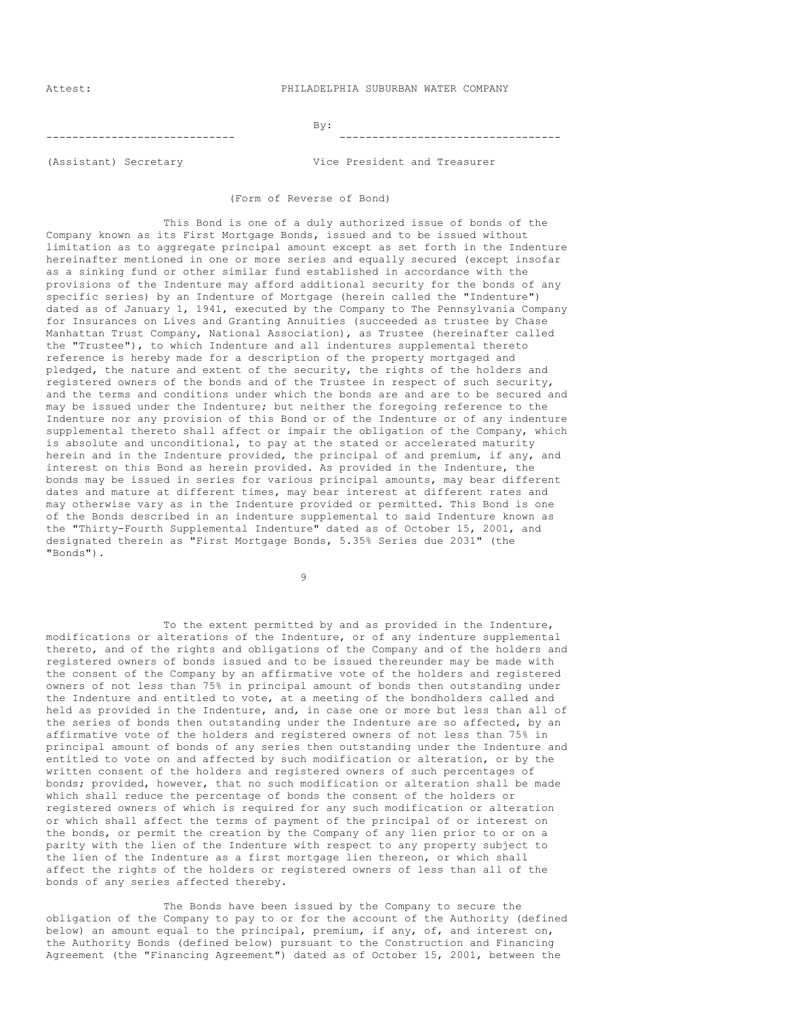Attest: PHILADELPHIA SUBURBAN WATER COMPANY

#### By: ----------------------------- ----------------------------------

(Assistant) Secretary Vice President and Treasurer

(Form of Reverse of Bond)

This Bond is one of a duly authorized issue of bonds of the Company known as its First Mortgage Bonds, issued and to be issued without limitation as to aggregate principal amount except as set forth in the Indenture hereinafter mentioned in one or more series and equally secured (except insofar as a sinking fund or other similar fund established in accordance with the provisions of the Indenture may afford additional security for the bonds of any specific series) by an Indenture of Mortgage (herein called the "Indenture") dated as of January 1, 1941, executed by the Company to The Pennsylvania Company for Insurances on Lives and Granting Annuities (succeeded as trustee by Chase Manhattan Trust Company, National Association), as Trustee (hereinafter called the "Trustee"), to which Indenture and all indentures supplemental thereto reference is hereby made for a description of the property mortgaged and pledged, the nature and extent of the security, the rights of the holders and registered owners of the bonds and of the Trustee in respect of such security, and the terms and conditions under which the bonds are and are to be secured and may be issued under the Indenture; but neither the foregoing reference to the Indenture nor any provision of this Bond or of the Indenture or of any indenture supplemental thereto shall affect or impair the obligation of the Company, which is absolute and unconditional, to pay at the stated or accelerated maturity herein and in the Indenture provided, the principal of and premium, if any, and interest on this Bond as herein provided. As provided in the Indenture, the bonds may be issued in series for various principal amounts, may bear different dates and mature at different times, may bear interest at different rates and may otherwise vary as in the Indenture provided or permitted. This Bond is one of the Bonds described in an indenture supplemental to said Indenture known as the "Thirty-Fourth Supplemental Indenture" dated as of October 15, 2001, and designated therein as "First Mortgage Bonds, 5.35% Series due 2031" (the "Bonds").

9

To the extent permitted by and as provided in the Indenture, modifications or alterations of the Indenture, or of any indenture supplemental thereto, and of the rights and obligations of the Company and of the holders and registered owners of bonds issued and to be issued thereunder may be made with the consent of the Company by an affirmative vote of the holders and registered owners of not less than 75% in principal amount of bonds then outstanding under the Indenture and entitled to vote, at a meeting of the bondholders called and held as provided in the Indenture, and, in case one or more but less than all of the series of bonds then outstanding under the Indenture are so affected, by an affirmative vote of the holders and registered owners of not less than 75% in principal amount of bonds of any series then outstanding under the Indenture and entitled to vote on and affected by such modification or alteration, or by the written consent of the holders and registered owners of such percentages of bonds; provided, however, that no such modification or alteration shall be made which shall reduce the percentage of bonds the consent of the holders or registered owners of which is required for any such modification or alteration or which shall affect the terms of payment of the principal of or interest on the bonds, or permit the creation by the Company of any lien prior to or on a parity with the lien of the Indenture with respect to any property subject to the lien of the Indenture as a first mortgage lien thereon, or which shall affect the rights of the holders or registered owners of less than all of the bonds of any series affected thereby.

The Bonds have been issued by the Company to secure the obligation of the Company to pay to or for the account of the Authority (defined below) an amount equal to the principal, premium, if any, of, and interest on, the Authority Bonds (defined below) pursuant to the Construction and Financing Agreement (the "Financing Agreement") dated as of October 15, 2001, between the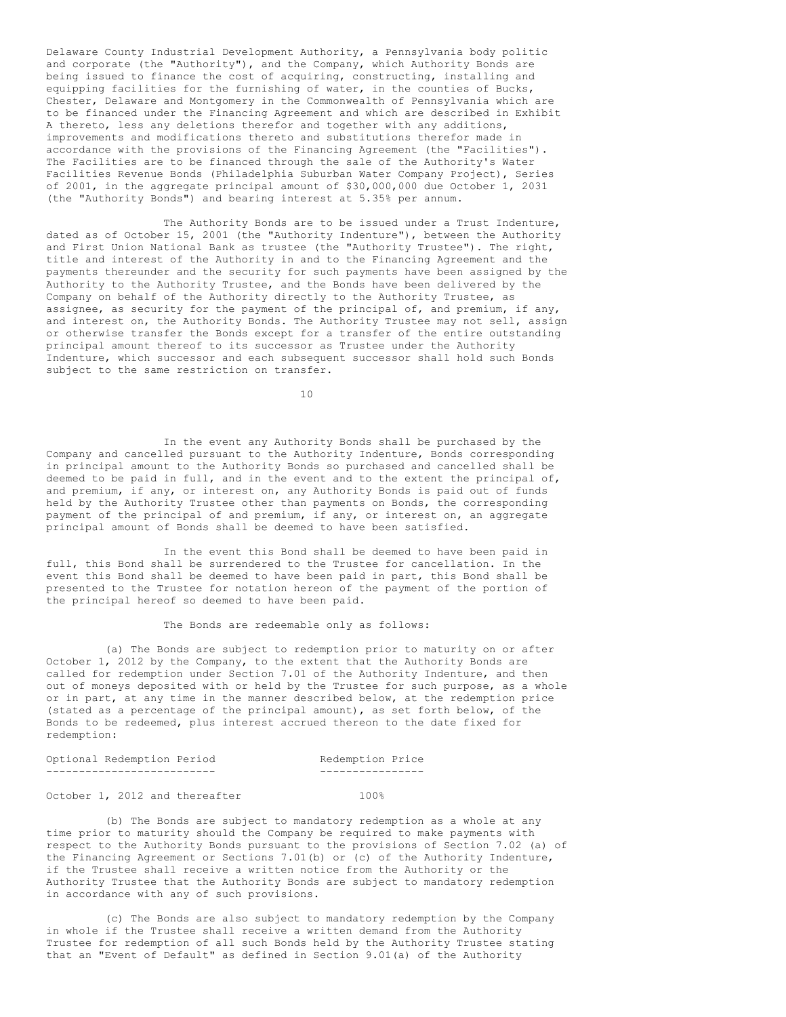Delaware County Industrial Development Authority, a Pennsylvania body politic and corporate (the "Authority"), and the Company, which Authority Bonds are being issued to finance the cost of acquiring, constructing, installing and equipping facilities for the furnishing of water, in the counties of Bucks, Chester, Delaware and Montgomery in the Commonwealth of Pennsylvania which are to be financed under the Financing Agreement and which are described in Exhibit A thereto, less any deletions therefor and together with any additions, improvements and modifications thereto and substitutions therefor made in accordance with the provisions of the Financing Agreement (the "Facilities"). The Facilities are to be financed through the sale of the Authority's Water Facilities Revenue Bonds (Philadelphia Suburban Water Company Project), Series of 2001, in the aggregate principal amount of \$30,000,000 due October 1, 2031 (the "Authority Bonds") and bearing interest at 5.35% per annum.

The Authority Bonds are to be issued under a Trust Indenture, dated as of October 15, 2001 (the "Authority Indenture"), between the Authority and First Union National Bank as trustee (the "Authority Trustee"). The right, title and interest of the Authority in and to the Financing Agreement and the payments thereunder and the security for such payments have been assigned by the Authority to the Authority Trustee, and the Bonds have been delivered by the Company on behalf of the Authority directly to the Authority Trustee, as assignee, as security for the payment of the principal of, and premium, if any, and interest on, the Authority Bonds. The Authority Trustee may not sell, assign or otherwise transfer the Bonds except for a transfer of the entire outstanding principal amount thereof to its successor as Trustee under the Authority Indenture, which successor and each subsequent successor shall hold such Bonds subject to the same restriction on transfer.

 $1<sub>0</sub>$ 

In the event any Authority Bonds shall be purchased by the Company and cancelled pursuant to the Authority Indenture, Bonds corresponding in principal amount to the Authority Bonds so purchased and cancelled shall be deemed to be paid in full, and in the event and to the extent the principal of, and premium, if any, or interest on, any Authority Bonds is paid out of funds held by the Authority Trustee other than payments on Bonds, the corresponding payment of the principal of and premium, if any, or interest on, an aggregate principal amount of Bonds shall be deemed to have been satisfied.

In the event this Bond shall be deemed to have been paid in full, this Bond shall be surrendered to the Trustee for cancellation. In the event this Bond shall be deemed to have been paid in part, this Bond shall be presented to the Trustee for notation hereon of the payment of the portion of the principal hereof so deemed to have been paid.

#### The Bonds are redeemable only as follows:

(a) The Bonds are subject to redemption prior to maturity on or after October 1, 2012 by the Company, to the extent that the Authority Bonds are called for redemption under Section 7.01 of the Authority Indenture, and then out of moneys deposited with or held by the Trustee for such purpose, as a whole or in part, at any time in the manner described below, at the redemption price (stated as a percentage of the principal amount), as set forth below, of the Bonds to be redeemed, plus interest accrued thereon to the date fixed for redemption:

| Optional Redemption Period | Redemption Price |  |
|----------------------------|------------------|--|
|                            | ---------------- |  |

### October 1, 2012 and thereafter 100%

(b) The Bonds are subject to mandatory redemption as a whole at any time prior to maturity should the Company be required to make payments with respect to the Authority Bonds pursuant to the provisions of Section 7.02 (a) of the Financing Agreement or Sections 7.01(b) or (c) of the Authority Indenture, if the Trustee shall receive a written notice from the Authority or the Authority Trustee that the Authority Bonds are subject to mandatory redemption in accordance with any of such provisions.

(c) The Bonds are also subject to mandatory redemption by the Company in whole if the Trustee shall receive a written demand from the Authority Trustee for redemption of all such Bonds held by the Authority Trustee stating that an "Event of Default" as defined in Section 9.01(a) of the Authority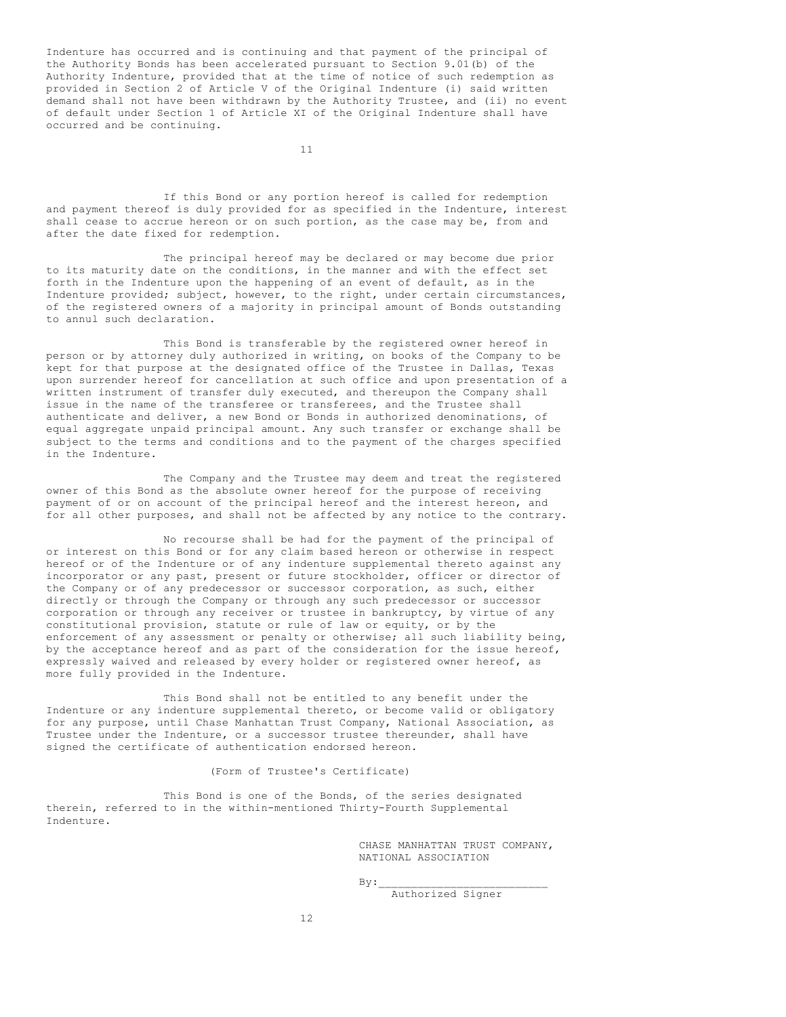Indenture has occurred and is continuing and that payment of the principal of the Authority Bonds has been accelerated pursuant to Section 9.01(b) of the Authority Indenture, provided that at the time of notice of such redemption as provided in Section 2 of Article V of the Original Indenture (i) said written demand shall not have been withdrawn by the Authority Trustee, and (ii) no event of default under Section 1 of Article XI of the Original Indenture shall have occurred and be continuing.

11

If this Bond or any portion hereof is called for redemption and payment thereof is duly provided for as specified in the Indenture, interest shall cease to accrue hereon or on such portion, as the case may be, from and after the date fixed for redemption.

The principal hereof may be declared or may become due prior to its maturity date on the conditions, in the manner and with the effect set forth in the Indenture upon the happening of an event of default, as in the Indenture provided; subject, however, to the right, under certain circumstances, of the registered owners of a majority in principal amount of Bonds outstanding to annul such declaration.

This Bond is transferable by the registered owner hereof in person or by attorney duly authorized in writing, on books of the Company to be kept for that purpose at the designated office of the Trustee in Dallas, Texas upon surrender hereof for cancellation at such office and upon presentation of a written instrument of transfer duly executed, and thereupon the Company shall issue in the name of the transferee or transferees, and the Trustee shall authenticate and deliver, a new Bond or Bonds in authorized denominations, of equal aggregate unpaid principal amount. Any such transfer or exchange shall be subject to the terms and conditions and to the payment of the charges specified in the Indenture.

The Company and the Trustee may deem and treat the registered owner of this Bond as the absolute owner hereof for the purpose of receiving payment of or on account of the principal hereof and the interest hereon, and for all other purposes, and shall not be affected by any notice to the contrary.

No recourse shall be had for the payment of the principal of or interest on this Bond or for any claim based hereon or otherwise in respect hereof or of the Indenture or of any indenture supplemental thereto against any incorporator or any past, present or future stockholder, officer or director of the Company or of any predecessor or successor corporation, as such, either directly or through the Company or through any such predecessor or successor corporation or through any receiver or trustee in bankruptcy, by virtue of any constitutional provision, statute or rule of law or equity, or by the enforcement of any assessment or penalty or otherwise; all such liability being, by the acceptance hereof and as part of the consideration for the issue hereof, expressly waived and released by every holder or registered owner hereof, as more fully provided in the Indenture.

This Bond shall not be entitled to any benefit under the Indenture or any indenture supplemental thereto, or become valid or obligatory for any purpose, until Chase Manhattan Trust Company, National Association, as Trustee under the Indenture, or a successor trustee thereunder, shall have signed the certificate of authentication endorsed hereon.

(Form of Trustee's Certificate)

This Bond is one of the Bonds, of the series designated therein, referred to in the within-mentioned Thirty-Fourth Supplemental Indenture.

> CHASE MANHATTAN TRUST COMPANY, NATIONAL ASSOCIATION

 $By:$ 

Authorized Signer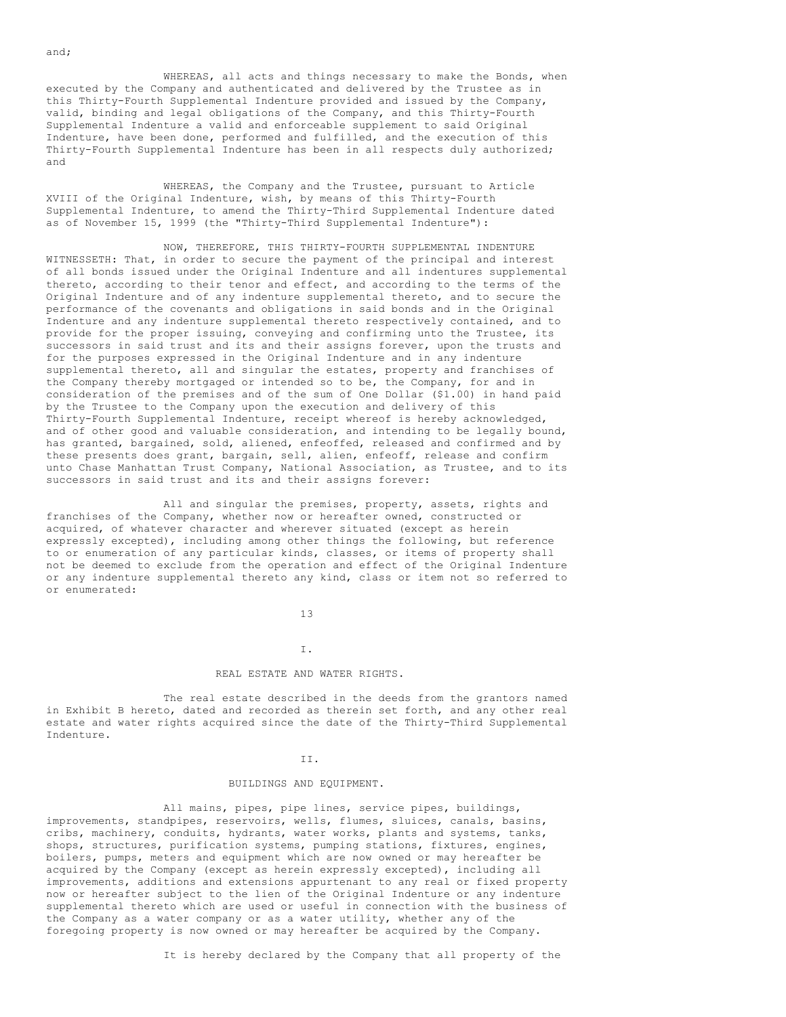WHEREAS, all acts and things necessary to make the Bonds, when executed by the Company and authenticated and delivered by the Trustee as in this Thirty-Fourth Supplemental Indenture provided and issued by the Company, valid, binding and legal obligations of the Company, and this Thirty-Fourth Supplemental Indenture a valid and enforceable supplement to said Original Indenture, have been done, performed and fulfilled, and the execution of this Thirty-Fourth Supplemental Indenture has been in all respects duly authorized; and

WHEREAS, the Company and the Trustee, pursuant to Article XVIII of the Original Indenture, wish, by means of this Thirty-Fourth Supplemental Indenture, to amend the Thirty-Third Supplemental Indenture dated as of November 15, 1999 (the "Thirty-Third Supplemental Indenture"):

NOW, THEREFORE, THIS THIRTY-FOURTH SUPPLEMENTAL INDENTURE WITNESSETH: That, in order to secure the payment of the principal and interest of all bonds issued under the Original Indenture and all indentures supplemental thereto, according to their tenor and effect, and according to the terms of the Original Indenture and of any indenture supplemental thereto, and to secure the performance of the covenants and obligations in said bonds and in the Original Indenture and any indenture supplemental thereto respectively contained, and to provide for the proper issuing, conveying and confirming unto the Trustee, its successors in said trust and its and their assigns forever, upon the trusts and for the purposes expressed in the Original Indenture and in any indenture supplemental thereto, all and singular the estates, property and franchises of the Company thereby mortgaged or intended so to be, the Company, for and in consideration of the premises and of the sum of One Dollar (\$1.00) in hand paid by the Trustee to the Company upon the execution and delivery of this Thirty-Fourth Supplemental Indenture, receipt whereof is hereby acknowledged, and of other good and valuable consideration, and intending to be legally bound, has granted, bargained, sold, aliened, enfeoffed, released and confirmed and by these presents does grant, bargain, sell, alien, enfeoff, release and confirm unto Chase Manhattan Trust Company, National Association, as Trustee, and to its successors in said trust and its and their assigns forever:

All and singular the premises, property, assets, rights and franchises of the Company, whether now or hereafter owned, constructed or acquired, of whatever character and wherever situated (except as herein expressly excepted), including among other things the following, but reference to or enumeration of any particular kinds, classes, or items of property shall not be deemed to exclude from the operation and effect of the Original Indenture or any indenture supplemental thereto any kind, class or item not so referred to or enumerated:

13

# I. REAL ESTATE AND WATER RIGHTS.

The real estate described in the deeds from the grantors named in Exhibit B hereto, dated and recorded as therein set forth, and any other real estate and water rights acquired since the date of the Thirty-Third Supplemental Indenture.

#### II.

### BUILDINGS AND EQUIPMENT.

All mains, pipes, pipe lines, service pipes, buildings, improvements, standpipes, reservoirs, wells, flumes, sluices, canals, basins, cribs, machinery, conduits, hydrants, water works, plants and systems, tanks, shops, structures, purification systems, pumping stations, fixtures, engines, boilers, pumps, meters and equipment which are now owned or may hereafter be acquired by the Company (except as herein expressly excepted), including all improvements, additions and extensions appurtenant to any real or fixed property now or hereafter subject to the lien of the Original Indenture or any indenture supplemental thereto which are used or useful in connection with the business of the Company as a water company or as a water utility, whether any of the foregoing property is now owned or may hereafter be acquired by the Company.

It is hereby declared by the Company that all property of the

and;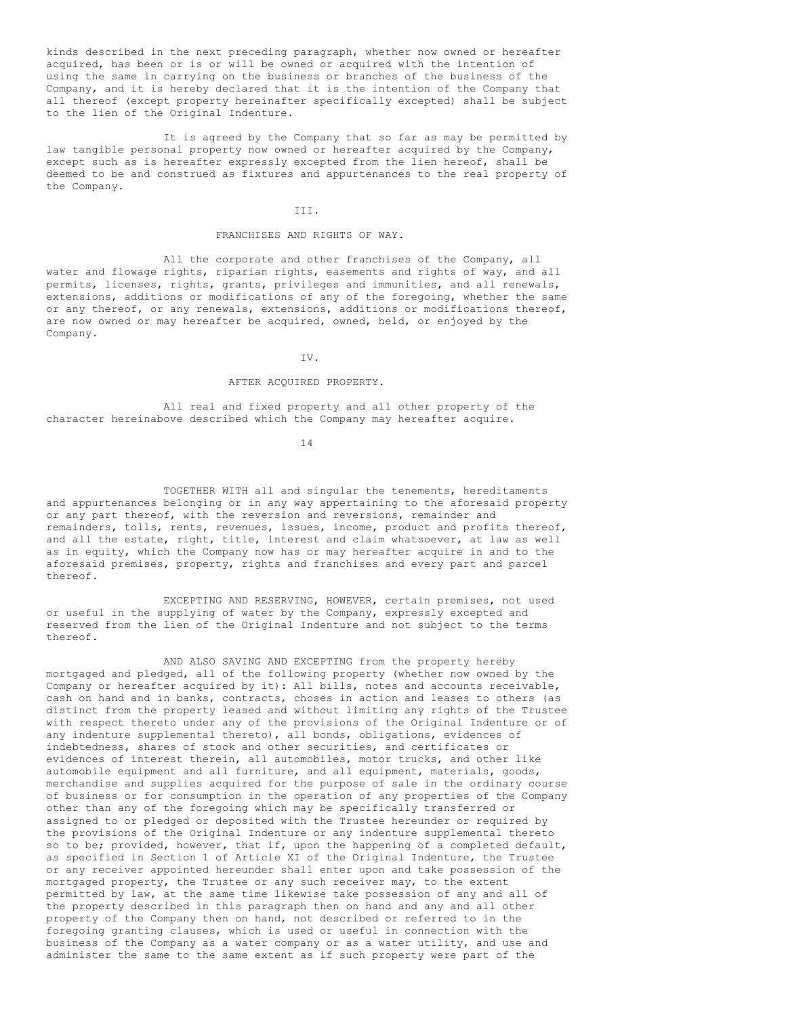kinds described in the next preceding paragraph, whether now owned or hereafter acquired, has been or is or will be owned or acquired with the intention of using the same in carrying on the business or branches of the business of the Company, and it is hereby declared that it is the intention of the Company that all thereof (except property hereinafter specifically excepted) shall be subject to the lien of the Original Indenture.

It is agreed by the Company that so far as may be permitted by law tangible personal property now owned or hereafter acquired by the Company, except such as is hereafter expressly excepted from the lien hereof, shall be deemed to be and construed as fixtures and appurtenances to the real property of the Company.

### III.

## FRANCHISES AND RIGHTS OF WAY.

All the corporate and other franchises of the Company, all water and flowage rights, riparian rights, easements and rights of way, and all permits, licenses, rights, grants, privileges and immunities, and all renewals, extensions, additions or modifications of any of the foregoing, whether the same or any thereof, or any renewals, extensions, additions or modifications thereof, are now owned or may hereafter be acquired, owned, held, or enjoyed by the Company.

IV.

### AFTER ACQUIRED PROPERTY.

All real and fixed property and all other property of the character hereinabove described which the Company may hereafter acquire.

14

TOGETHER WITH all and singular the tenements, hereditaments and appurtenances belonging or in any way appertaining to the aforesaid property or any part thereof, with the reversion and reversions, remainder and remainders, tolls, rents, revenues, issues, income, product and profits thereof, and all the estate, right, title, interest and claim whatsoever, at law as well as in equity, which the Company now has or may hereafter acquire in and to the aforesaid premises, property, rights and franchises and every part and parcel thereof.

EXCEPTING AND RESERVING, HOWEVER, certain premises, not used or useful in the supplying of water by the Company, expressly excepted and reserved from the lien of the Original Indenture and not subject to the terms thereof.

AND ALSO SAVING AND EXCEPTING from the property hereby mortgaged and pledged, all of the following property (whether now owned by the Company or hereafter acquired by it): All bills, notes and accounts receivable, cash on hand and in banks, contracts, choses in action and leases to others (as distinct from the property leased and without limiting any rights of the Trustee with respect thereto under any of the provisions of the Original Indenture or of any indenture supplemental thereto), all bonds, obligations, evidences of indebtedness, shares of stock and other securities, and certificates or evidences of interest therein, all automobiles, motor trucks, and other like automobile equipment and all furniture, and all equipment, materials, goods, merchandise and supplies acquired for the purpose of sale in the ordinary course of business or for consumption in the operation of any properties of the Company other than any of the foregoing which may be specifically transferred or assigned to or pledged or deposited with the Trustee hereunder or required by the provisions of the Original Indenture or any indenture supplemental thereto so to be; provided, however, that if, upon the happening of a completed default, as specified in Section 1 of Article XI of the Original Indenture, the Trustee or any receiver appointed hereunder shall enter upon and take possession of the mortgaged property, the Trustee or any such receiver may, to the extent permitted by law, at the same time likewise take possession of any and all of the property described in this paragraph then on hand and any and all other property of the Company then on hand, not described or referred to in the foregoing granting clauses, which is used or useful in connection with the business of the Company as a water company or as a water utility, and use and administer the same to the same extent as if such property were part of the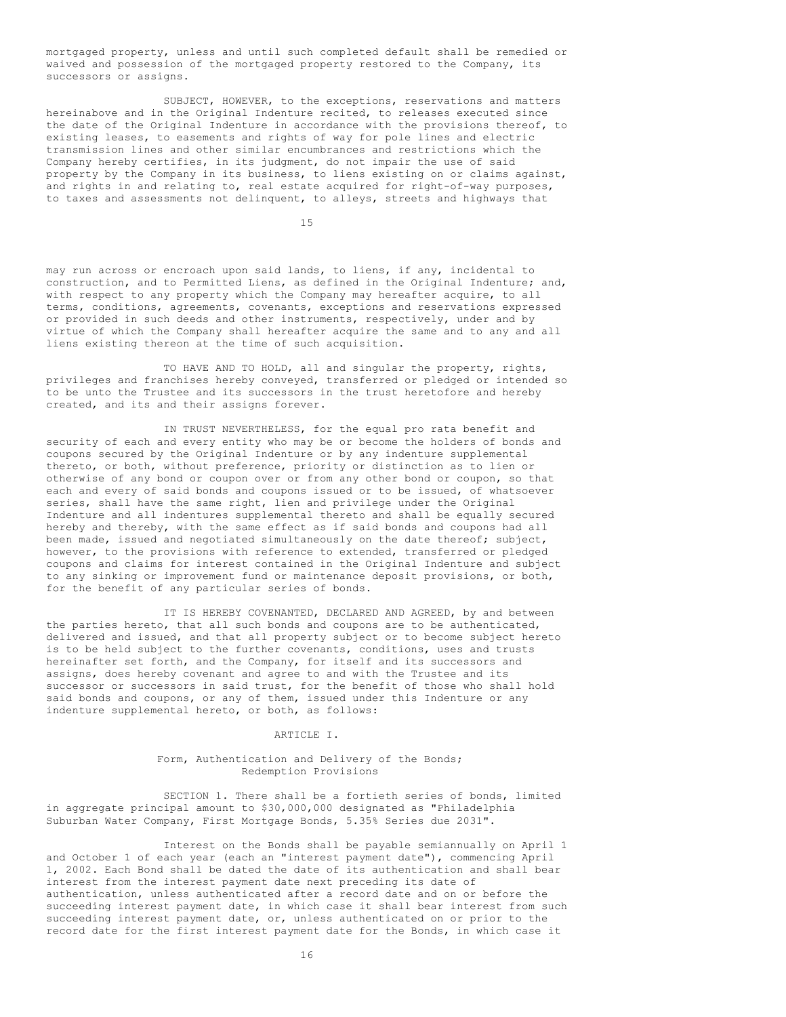mortgaged property, unless and until such completed default shall be remedied or waived and possession of the mortgaged property restored to the Company, its successors or assigns.

SUBJECT, HOWEVER, to the exceptions, reservations and matters hereinabove and in the Original Indenture recited, to releases executed since the date of the Original Indenture in accordance with the provisions thereof, to existing leases, to easements and rights of way for pole lines and electric transmission lines and other similar encumbrances and restrictions which the Company hereby certifies, in its judgment, do not impair the use of said property by the Company in its business, to liens existing on or claims against, and rights in and relating to, real estate acquired for right-of-way purposes, to taxes and assessments not delinquent, to alleys, streets and highways that

15

may run across or encroach upon said lands, to liens, if any, incidental to construction, and to Permitted Liens, as defined in the Original Indenture; and, with respect to any property which the Company may hereafter acquire, to all terms, conditions, agreements, covenants, exceptions and reservations expressed or provided in such deeds and other instruments, respectively, under and by virtue of which the Company shall hereafter acquire the same and to any and all liens existing thereon at the time of such acquisition.

TO HAVE AND TO HOLD, all and singular the property, rights, privileges and franchises hereby conveyed, transferred or pledged or intended so to be unto the Trustee and its successors in the trust heretofore and hereby created, and its and their assigns forever.

IN TRUST NEVERTHELESS, for the equal pro rata benefit and security of each and every entity who may be or become the holders of bonds and coupons secured by the Original Indenture or by any indenture supplemental thereto, or both, without preference, priority or distinction as to lien or otherwise of any bond or coupon over or from any other bond or coupon, so that each and every of said bonds and coupons issued or to be issued, of whatsoever series, shall have the same right, lien and privilege under the Original Indenture and all indentures supplemental thereto and shall be equally secured hereby and thereby, with the same effect as if said bonds and coupons had all been made, issued and negotiated simultaneously on the date thereof; subject, however, to the provisions with reference to extended, transferred or pledged coupons and claims for interest contained in the Original Indenture and subject to any sinking or improvement fund or maintenance deposit provisions, or both, for the benefit of any particular series of bonds.

IT IS HEREBY COVENANTED, DECLARED AND AGREED, by and between the parties hereto, that all such bonds and coupons are to be authenticated, delivered and issued, and that all property subject or to become subject hereto is to be held subject to the further covenants, conditions, uses and trusts hereinafter set forth, and the Company, for itself and its successors and assigns, does hereby covenant and agree to and with the Trustee and its successor or successors in said trust, for the benefit of those who shall hold said bonds and coupons, or any of them, issued under this Indenture or any indenture supplemental hereto, or both, as follows:

### ARTICLE I.

### Form, Authentication and Delivery of the Bonds; Redemption Provisions

SECTION 1. There shall be a fortieth series of bonds, limited in aggregate principal amount to \$30,000,000 designated as "Philadelphia Suburban Water Company, First Mortgage Bonds, 5.35% Series due 2031".

Interest on the Bonds shall be payable semiannually on April 1 and October 1 of each year (each an "interest payment date"), commencing April 1, 2002. Each Bond shall be dated the date of its authentication and shall bear interest from the interest payment date next preceding its date of authentication, unless authenticated after a record date and on or before the succeeding interest payment date, in which case it shall bear interest from such succeeding interest payment date, or, unless authenticated on or prior to the record date for the first interest payment date for the Bonds, in which case it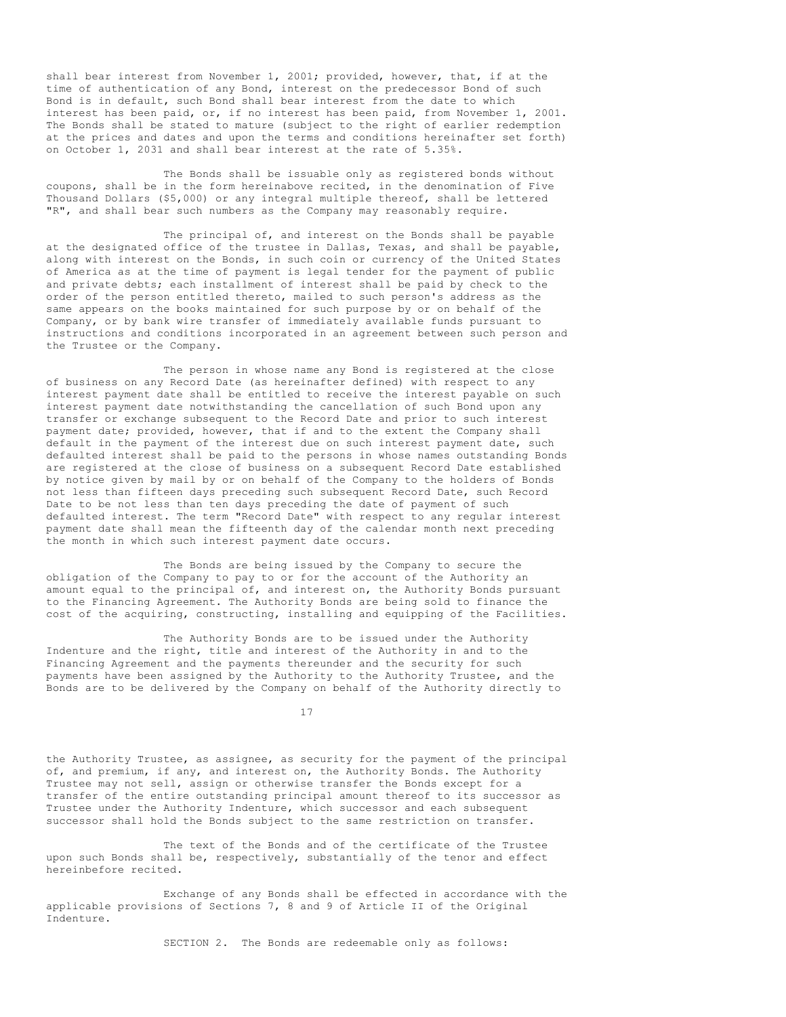shall bear interest from November 1, 2001; provided, however, that, if at the time of authentication of any Bond, interest on the predecessor Bond of such Bond is in default, such Bond shall bear interest from the date to which interest has been paid, or, if no interest has been paid, from November 1, 2001. The Bonds shall be stated to mature (subject to the right of earlier redemption at the prices and dates and upon the terms and conditions hereinafter set forth) on October 1, 2031 and shall bear interest at the rate of 5.35%.

The Bonds shall be issuable only as registered bonds without coupons, shall be in the form hereinabove recited, in the denomination of Five Thousand Dollars (\$5,000) or any integral multiple thereof, shall be lettered "R", and shall bear such numbers as the Company may reasonably require.

The principal of, and interest on the Bonds shall be payable at the designated office of the trustee in Dallas, Texas, and shall be payable, along with interest on the Bonds, in such coin or currency of the United States of America as at the time of payment is legal tender for the payment of public and private debts; each installment of interest shall be paid by check to the order of the person entitled thereto, mailed to such person's address as the same appears on the books maintained for such purpose by or on behalf of the Company, or by bank wire transfer of immediately available funds pursuant to instructions and conditions incorporated in an agreement between such person and the Trustee or the Company.

The person in whose name any Bond is registered at the close of business on any Record Date (as hereinafter defined) with respect to any interest payment date shall be entitled to receive the interest payable on such interest payment date notwithstanding the cancellation of such Bond upon any transfer or exchange subsequent to the Record Date and prior to such interest payment date; provided, however, that if and to the extent the Company shall default in the payment of the interest due on such interest payment date, such defaulted interest shall be paid to the persons in whose names outstanding Bonds are registered at the close of business on a subsequent Record Date established by notice given by mail by or on behalf of the Company to the holders of Bonds not less than fifteen days preceding such subsequent Record Date, such Record Date to be not less than ten days preceding the date of payment of such defaulted interest. The term "Record Date" with respect to any regular interest payment date shall mean the fifteenth day of the calendar month next preceding the month in which such interest payment date occurs.

The Bonds are being issued by the Company to secure the obligation of the Company to pay to or for the account of the Authority an amount equal to the principal of, and interest on, the Authority Bonds pursuant to the Financing Agreement. The Authority Bonds are being sold to finance the cost of the acquiring, constructing, installing and equipping of the Facilities.

The Authority Bonds are to be issued under the Authority Indenture and the right, title and interest of the Authority in and to the Financing Agreement and the payments thereunder and the security for such payments have been assigned by the Authority to the Authority Trustee, and the Bonds are to be delivered by the Company on behalf of the Authority directly to

17

the Authority Trustee, as assignee, as security for the payment of the principal of, and premium, if any, and interest on, the Authority Bonds. The Authority Trustee may not sell, assign or otherwise transfer the Bonds except for a transfer of the entire outstanding principal amount thereof to its successor as Trustee under the Authority Indenture, which successor and each subsequent successor shall hold the Bonds subject to the same restriction on transfer.

The text of the Bonds and of the certificate of the Trustee upon such Bonds shall be, respectively, substantially of the tenor and effect hereinbefore recited.

Exchange of any Bonds shall be effected in accordance with the applicable provisions of Sections 7, 8 and 9 of Article II of the Original Indenture.

SECTION 2. The Bonds are redeemable only as follows: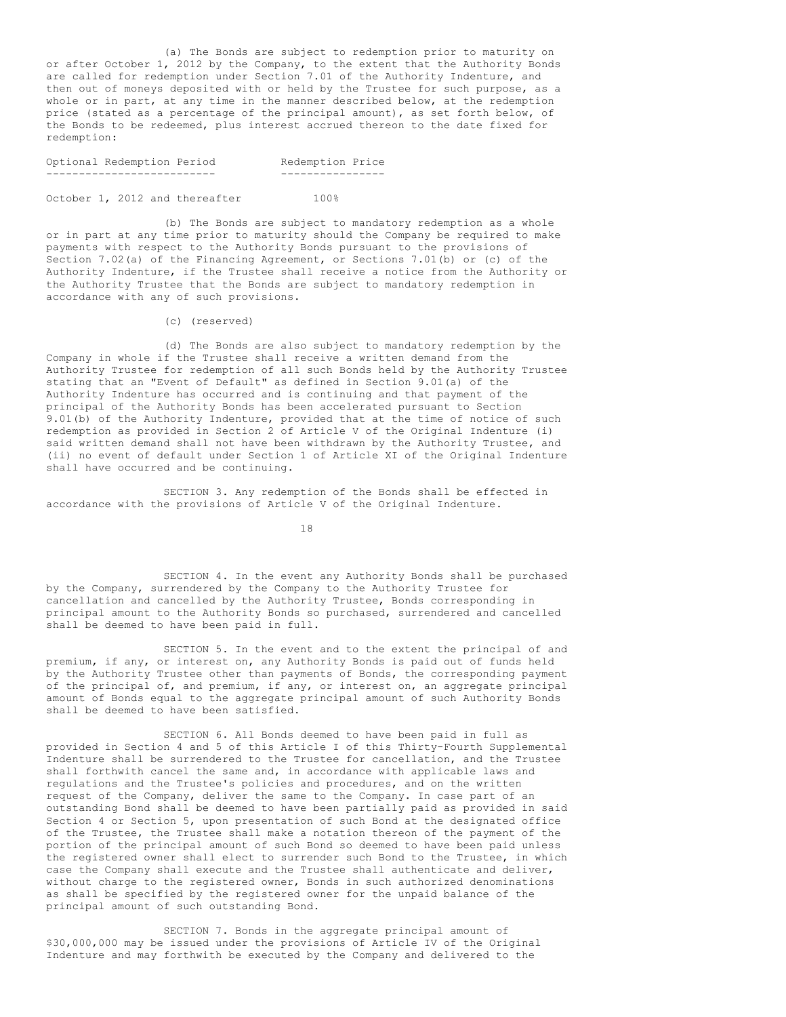(a) The Bonds are subject to redemption prior to maturity on or after October 1, 2012 by the Company, to the extent that the Authority Bonds are called for redemption under Section 7.01 of the Authority Indenture, and then out of moneys deposited with or held by the Trustee for such purpose, as a whole or in part, at any time in the manner described below, at the redemption price (stated as a percentage of the principal amount), as set forth below, of the Bonds to be redeemed, plus interest accrued thereon to the date fixed for redemption:

| Optional Redemption Period | Redemption Price |  |
|----------------------------|------------------|--|
| -------------------------- | ---------------- |  |

October 1, 2012 and thereafter 100%

(b) The Bonds are subject to mandatory redemption as a whole or in part at any time prior to maturity should the Company be required to make payments with respect to the Authority Bonds pursuant to the provisions of Section 7.02(a) of the Financing Agreement, or Sections 7.01(b) or (c) of the Authority Indenture, if the Trustee shall receive a notice from the Authority or the Authority Trustee that the Bonds are subject to mandatory redemption in accordance with any of such provisions.

(c) (reserved)

(d) The Bonds are also subject to mandatory redemption by the Company in whole if the Trustee shall receive a written demand from the Authority Trustee for redemption of all such Bonds held by the Authority Trustee stating that an "Event of Default" as defined in Section 9.01(a) of the Authority Indenture has occurred and is continuing and that payment of the principal of the Authority Bonds has been accelerated pursuant to Section 9.01(b) of the Authority Indenture, provided that at the time of notice of such redemption as provided in Section 2 of Article V of the Original Indenture (i) said written demand shall not have been withdrawn by the Authority Trustee, and (ii) no event of default under Section 1 of Article XI of the Original Indenture shall have occurred and be continuing.

SECTION 3. Any redemption of the Bonds shall be effected in accordance with the provisions of Article V of the Original Indenture.

18

SECTION 4. In the event any Authority Bonds shall be purchased by the Company, surrendered by the Company to the Authority Trustee for cancellation and cancelled by the Authority Trustee, Bonds corresponding in principal amount to the Authority Bonds so purchased, surrendered and cancelled shall be deemed to have been paid in full.

SECTION 5. In the event and to the extent the principal of and premium, if any, or interest on, any Authority Bonds is paid out of funds held by the Authority Trustee other than payments of Bonds, the corresponding payment of the principal of, and premium, if any, or interest on, an aggregate principal amount of Bonds equal to the aggregate principal amount of such Authority Bonds shall be deemed to have been satisfied.

SECTION 6. All Bonds deemed to have been paid in full as provided in Section 4 and 5 of this Article I of this Thirty-Fourth Supplemental Indenture shall be surrendered to the Trustee for cancellation, and the Trustee shall forthwith cancel the same and, in accordance with applicable laws and regulations and the Trustee's policies and procedures, and on the written request of the Company, deliver the same to the Company. In case part of an outstanding Bond shall be deemed to have been partially paid as provided in said Section 4 or Section 5, upon presentation of such Bond at the designated office of the Trustee, the Trustee shall make a notation thereon of the payment of the portion of the principal amount of such Bond so deemed to have been paid unless the registered owner shall elect to surrender such Bond to the Trustee, in which case the Company shall execute and the Trustee shall authenticate and deliver, without charge to the registered owner, Bonds in such authorized denominations as shall be specified by the registered owner for the unpaid balance of the principal amount of such outstanding Bond.

SECTION 7. Bonds in the aggregate principal amount of \$30,000,000 may be issued under the provisions of Article IV of the Original Indenture and may forthwith be executed by the Company and delivered to the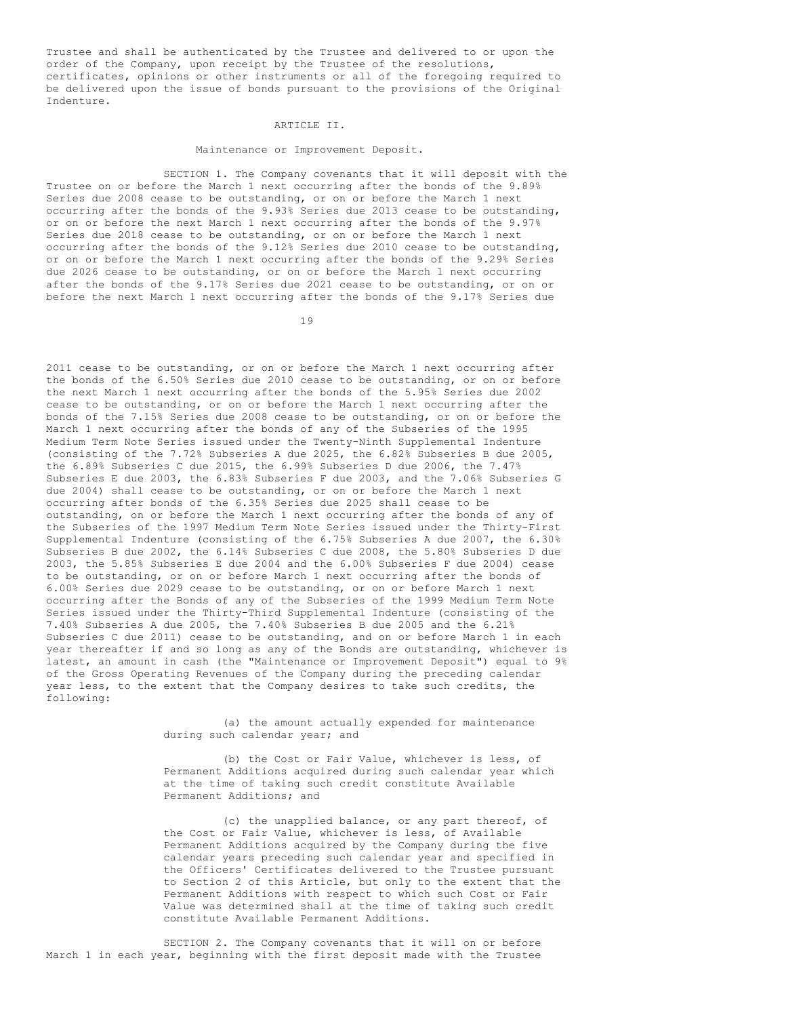Trustee and shall be authenticated by the Trustee and delivered to or upon the order of the Company, upon receipt by the Trustee of the resolutions, certificates, opinions or other instruments or all of the foregoing required to be delivered upon the issue of bonds pursuant to the provisions of the Original Indenture.

#### ARTICLE II.

### Maintenance or Improvement Deposit.

SECTION 1. The Company covenants that it will deposit with the Trustee on or before the March 1 next occurring after the bonds of the 9.89% Series due 2008 cease to be outstanding, or on or before the March 1 next occurring after the bonds of the 9.93% Series due 2013 cease to be outstanding, or on or before the next March 1 next occurring after the bonds of the 9.97% Series due 2018 cease to be outstanding, or on or before the March 1 next occurring after the bonds of the 9.12% Series due 2010 cease to be outstanding, or on or before the March 1 next occurring after the bonds of the 9.29% Series due 2026 cease to be outstanding, or on or before the March 1 next occurring after the bonds of the 9.17% Series due 2021 cease to be outstanding, or on or before the next March 1 next occurring after the bonds of the 9.17% Series due

19

2011 cease to be outstanding, or on or before the March 1 next occurring after the bonds of the 6.50% Series due 2010 cease to be outstanding, or on or before the next March 1 next occurring after the bonds of the 5.95% Series due 2002 cease to be outstanding, or on or before the March 1 next occurring after the bonds of the 7.15% Series due 2008 cease to be outstanding, or on or before the March 1 next occurring after the bonds of any of the Subseries of the 1995 Medium Term Note Series issued under the Twenty-Ninth Supplemental Indenture (consisting of the 7.72% Subseries A due 2025, the 6.82% Subseries B due 2005, the 6.89% Subseries C due 2015, the 6.99% Subseries D due 2006, the 7.47% Subseries E due 2003, the 6.83% Subseries F due 2003, and the 7.06% Subseries G due 2004) shall cease to be outstanding, or on or before the March 1 next occurring after bonds of the 6.35% Series due 2025 shall cease to be outstanding, on or before the March 1 next occurring after the bonds of any of the Subseries of the 1997 Medium Term Note Series issued under the Thirty-First Supplemental Indenture (consisting of the 6.75% Subseries A due 2007, the 6.30% Subseries B due 2002, the 6.14% Subseries C due 2008, the 5.80% Subseries D due 2003, the 5.85% Subseries E due 2004 and the 6.00% Subseries F due 2004) cease to be outstanding, or on or before March 1 next occurring after the bonds of 6.00% Series due 2029 cease to be outstanding, or on or before March 1 next occurring after the Bonds of any of the Subseries of the 1999 Medium Term Note Series issued under the Thirty-Third Supplemental Indenture (consisting of the 7.40% Subseries A due 2005, the 7.40% Subseries B due 2005 and the 6.21% Subseries C due 2011) cease to be outstanding, and on or before March 1 in each year thereafter if and so long as any of the Bonds are outstanding, whichever is latest, an amount in cash (the "Maintenance or Improvement Deposit") equal to 9% of the Gross Operating Revenues of the Company during the preceding calendar year less, to the extent that the Company desires to take such credits, the following:

> (a) the amount actually expended for maintenance during such calendar year; and

(b) the Cost or Fair Value, whichever is less, of Permanent Additions acquired during such calendar year which at the time of taking such credit constitute Available Permanent Additions; and

(c) the unapplied balance, or any part thereof, of the Cost or Fair Value, whichever is less, of Available Permanent Additions acquired by the Company during the five calendar years preceding such calendar year and specified in the Officers' Certificates delivered to the Trustee pursuant to Section 2 of this Article, but only to the extent that the Permanent Additions with respect to which such Cost or Fair Value was determined shall at the time of taking such credit constitute Available Permanent Additions.

SECTION 2. The Company covenants that it will on or before March 1 in each year, beginning with the first deposit made with the Trustee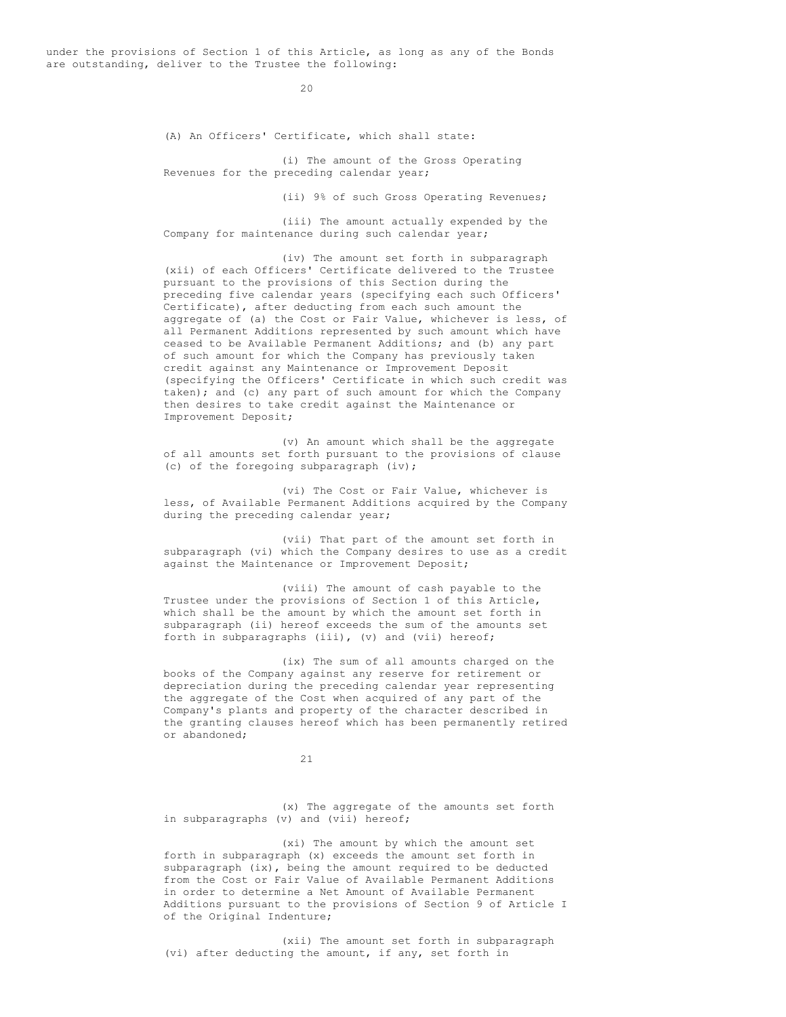under the provisions of Section 1 of this Article, as long as any of the Bonds are outstanding, deliver to the Trustee the following:

 $20$ 

(A) An Officers' Certificate, which shall state:

(i) The amount of the Gross Operating Revenues for the preceding calendar year;

(ii) 9% of such Gross Operating Revenues;

(iii) The amount actually expended by the Company for maintenance during such calendar year;

(iv) The amount set forth in subparagraph (xii) of each Officers' Certificate delivered to the Trustee pursuant to the provisions of this Section during the preceding five calendar years (specifying each such Officers' Certificate), after deducting from each such amount the aggregate of (a) the Cost or Fair Value, whichever is less, of all Permanent Additions represented by such amount which have ceased to be Available Permanent Additions; and (b) any part of such amount for which the Company has previously taken credit against any Maintenance or Improvement Deposit (specifying the Officers' Certificate in which such credit was taken); and (c) any part of such amount for which the Company then desires to take credit against the Maintenance or Improvement Deposit;

(v) An amount which shall be the aggregate of all amounts set forth pursuant to the provisions of clause (c) of the foregoing subparagraph (iv);

(vi) The Cost or Fair Value, whichever is less, of Available Permanent Additions acquired by the Company during the preceding calendar year;

(vii) That part of the amount set forth in subparagraph (vi) which the Company desires to use as a credit against the Maintenance or Improvement Deposit;

(viii) The amount of cash payable to the Trustee under the provisions of Section 1 of this Article, which shall be the amount by which the amount set forth in subparagraph (ii) hereof exceeds the sum of the amounts set forth in subparagraphs (iii), (v) and (vii) hereof;

(ix) The sum of all amounts charged on the books of the Company against any reserve for retirement or depreciation during the preceding calendar year representing the aggregate of the Cost when acquired of any part of the Company's plants and property of the character described in the granting clauses hereof which has been permanently retired or abandoned;

21

(x) The aggregate of the amounts set forth in subparagraphs (v) and (vii) hereof;

(xi) The amount by which the amount set forth in subparagraph (x) exceeds the amount set forth in subparagraph (ix), being the amount required to be deducted from the Cost or Fair Value of Available Permanent Additions in order to determine a Net Amount of Available Permanent Additions pursuant to the provisions of Section 9 of Article I of the Original Indenture;

(xii) The amount set forth in subparagraph (vi) after deducting the amount, if any, set forth in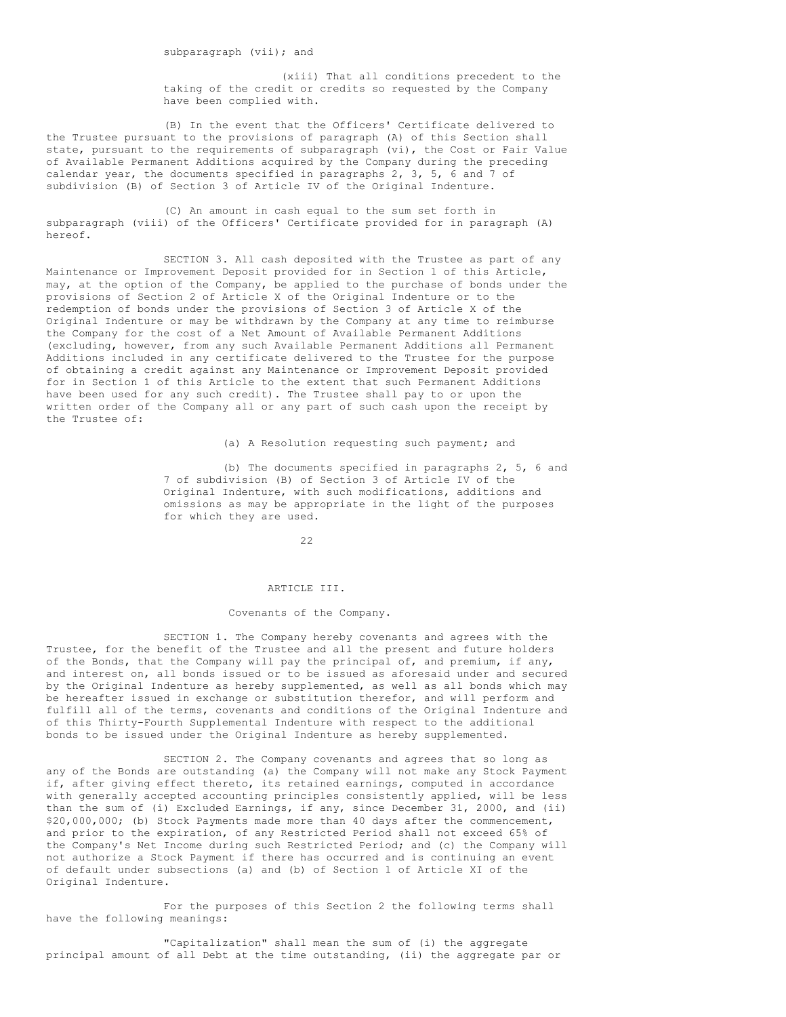(xiii) That all conditions precedent to the taking of the credit or credits so requested by the Company have been complied with.

(B) In the event that the Officers' Certificate delivered to the Trustee pursuant to the provisions of paragraph (A) of this Section shall state, pursuant to the requirements of subparagraph (vi), the Cost or Fair Value of Available Permanent Additions acquired by the Company during the preceding calendar year, the documents specified in paragraphs 2, 3, 5, 6 and 7 of subdivision (B) of Section 3 of Article IV of the Original Indenture.

(C) An amount in cash equal to the sum set forth in subparagraph (viii) of the Officers' Certificate provided for in paragraph (A) hereof.

SECTION 3. All cash deposited with the Trustee as part of any Maintenance or Improvement Deposit provided for in Section 1 of this Article, may, at the option of the Company, be applied to the purchase of bonds under the provisions of Section 2 of Article X of the Original Indenture or to the redemption of bonds under the provisions of Section 3 of Article X of the Original Indenture or may be withdrawn by the Company at any time to reimburse the Company for the cost of a Net Amount of Available Permanent Additions (excluding, however, from any such Available Permanent Additions all Permanent Additions included in any certificate delivered to the Trustee for the purpose of obtaining a credit against any Maintenance or Improvement Deposit provided for in Section 1 of this Article to the extent that such Permanent Additions have been used for any such credit). The Trustee shall pay to or upon the written order of the Company all or any part of such cash upon the receipt by the Trustee of:

(a) A Resolution requesting such payment; and

(b) The documents specified in paragraphs 2, 5, 6 and 7 of subdivision (B) of Section 3 of Article IV of the Original Indenture, with such modifications, additions and omissions as may be appropriate in the light of the purposes for which they are used.

22

### ARTICLE III.

### Covenants of the Company.

SECTION 1. The Company hereby covenants and agrees with the Trustee, for the benefit of the Trustee and all the present and future holders of the Bonds, that the Company will pay the principal of, and premium, if any, and interest on, all bonds issued or to be issued as aforesaid under and secured by the Original Indenture as hereby supplemented, as well as all bonds which may be hereafter issued in exchange or substitution therefor, and will perform and fulfill all of the terms, covenants and conditions of the Original Indenture and of this Thirty-Fourth Supplemental Indenture with respect to the additional bonds to be issued under the Original Indenture as hereby supplemented.

SECTION 2. The Company covenants and agrees that so long as any of the Bonds are outstanding (a) the Company will not make any Stock Payment if, after giving effect thereto, its retained earnings, computed in accordance with generally accepted accounting principles consistently applied, will be less than the sum of (i) Excluded Earnings, if any, since December 31, 2000, and (ii) \$20,000,000; (b) Stock Payments made more than 40 days after the commencement, and prior to the expiration, of any Restricted Period shall not exceed 65% of the Company's Net Income during such Restricted Period; and (c) the Company will not authorize a Stock Payment if there has occurred and is continuing an event of default under subsections (a) and (b) of Section 1 of Article XI of the Original Indenture.

For the purposes of this Section 2 the following terms shall have the following meanings:

"Capitalization" shall mean the sum of (i) the aggregate principal amount of all Debt at the time outstanding, (ii) the aggregate par or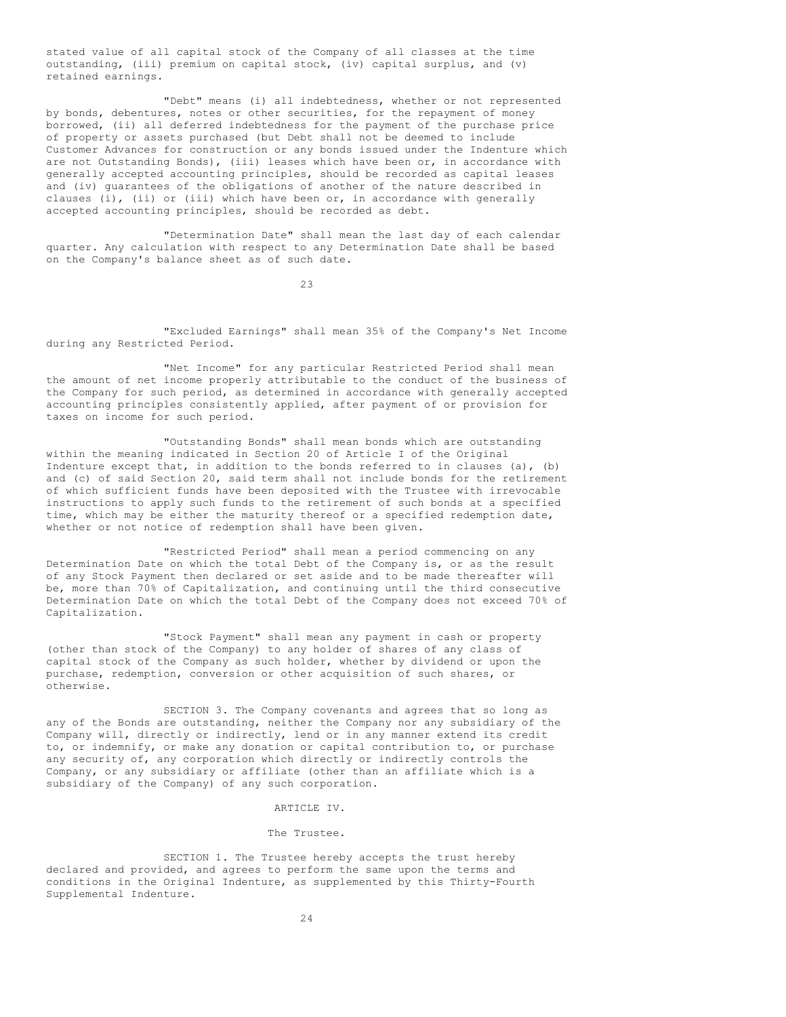stated value of all capital stock of the Company of all classes at the time outstanding, (iii) premium on capital stock, (iv) capital surplus, and (v) retained earnings.

"Debt" means (i) all indebtedness, whether or not represented by bonds, debentures, notes or other securities, for the repayment of money borrowed, (ii) all deferred indebtedness for the payment of the purchase price of property or assets purchased (but Debt shall not be deemed to include Customer Advances for construction or any bonds issued under the Indenture which are not Outstanding Bonds), (iii) leases which have been or, in accordance with generally accepted accounting principles, should be recorded as capital leases and (iv) guarantees of the obligations of another of the nature described in clauses (i), (ii) or (iii) which have been or, in accordance with generally accepted accounting principles, should be recorded as debt.

"Determination Date" shall mean the last day of each calendar quarter. Any calculation with respect to any Determination Date shall be based on the Company's balance sheet as of such date.

23

"Excluded Earnings" shall mean 35% of the Company's Net Income during any Restricted Period.

"Net Income" for any particular Restricted Period shall mean the amount of net income properly attributable to the conduct of the business of the Company for such period, as determined in accordance with generally accepted accounting principles consistently applied, after payment of or provision for taxes on income for such period.

"Outstanding Bonds" shall mean bonds which are outstanding within the meaning indicated in Section 20 of Article I of the Original Indenture except that, in addition to the bonds referred to in clauses (a), (b) and (c) of said Section 20, said term shall not include bonds for the retirement of which sufficient funds have been deposited with the Trustee with irrevocable instructions to apply such funds to the retirement of such bonds at a specified time, which may be either the maturity thereof or a specified redemption date, whether or not notice of redemption shall have been given.

"Restricted Period" shall mean a period commencing on any Determination Date on which the total Debt of the Company is, or as the result of any Stock Payment then declared or set aside and to be made thereafter will be, more than 70% of Capitalization, and continuing until the third consecutive Determination Date on which the total Debt of the Company does not exceed 70% of Capitalization.

"Stock Payment" shall mean any payment in cash or property (other than stock of the Company) to any holder of shares of any class of capital stock of the Company as such holder, whether by dividend or upon the purchase, redemption, conversion or other acquisition of such shares, or otherwise.

SECTION 3. The Company covenants and agrees that so long as any of the Bonds are outstanding, neither the Company nor any subsidiary of the Company will, directly or indirectly, lend or in any manner extend its credit to, or indemnify, or make any donation or capital contribution to, or purchase any security of, any corporation which directly or indirectly controls the Company, or any subsidiary or affiliate (other than an affiliate which is a subsidiary of the Company) of any such corporation.

#### ARTICLE IV.

### The Trustee.

SECTION 1. The Trustee hereby accepts the trust hereby declared and provided, and agrees to perform the same upon the terms and conditions in the Original Indenture, as supplemented by this Thirty-Fourth Supplemental Indenture.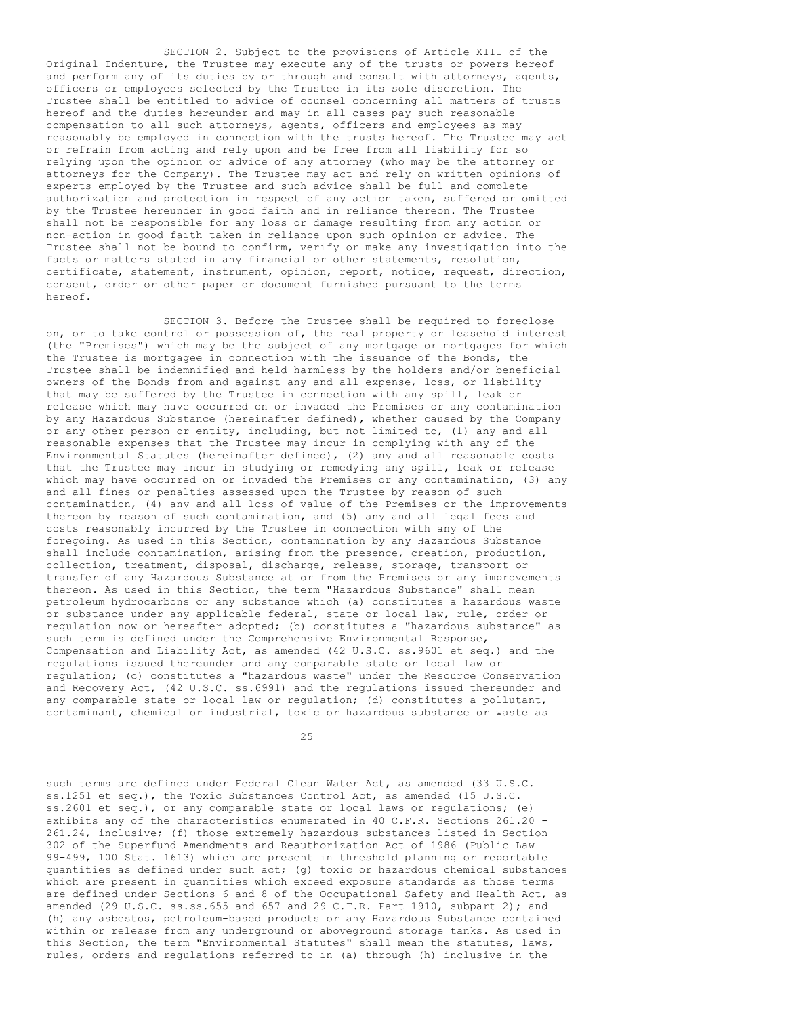SECTION 2. Subject to the provisions of Article XIII of the Original Indenture, the Trustee may execute any of the trusts or powers hereof and perform any of its duties by or through and consult with attorneys, agents, officers or employees selected by the Trustee in its sole discretion. The Trustee shall be entitled to advice of counsel concerning all matters of trusts hereof and the duties hereunder and may in all cases pay such reasonable compensation to all such attorneys, agents, officers and employees as may reasonably be employed in connection with the trusts hereof. The Trustee may act or refrain from acting and rely upon and be free from all liability for so relying upon the opinion or advice of any attorney (who may be the attorney or attorneys for the Company). The Trustee may act and rely on written opinions of experts employed by the Trustee and such advice shall be full and complete authorization and protection in respect of any action taken, suffered or omitted by the Trustee hereunder in good faith and in reliance thereon. The Trustee shall not be responsible for any loss or damage resulting from any action or non-action in good faith taken in reliance upon such opinion or advice. The Trustee shall not be bound to confirm, verify or make any investigation into the facts or matters stated in any financial or other statements, resolution, certificate, statement, instrument, opinion, report, notice, request, direction, consent, order or other paper or document furnished pursuant to the terms hereof.

SECTION 3. Before the Trustee shall be required to foreclose on, or to take control or possession of, the real property or leasehold interest (the "Premises") which may be the subject of any mortgage or mortgages for which the Trustee is mortgagee in connection with the issuance of the Bonds, the Trustee shall be indemnified and held harmless by the holders and/or beneficial owners of the Bonds from and against any and all expense, loss, or liability that may be suffered by the Trustee in connection with any spill, leak or release which may have occurred on or invaded the Premises or any contamination by any Hazardous Substance (hereinafter defined), whether caused by the Company or any other person or entity, including, but not limited to, (1) any and all reasonable expenses that the Trustee may incur in complying with any of the Environmental Statutes (hereinafter defined), (2) any and all reasonable costs that the Trustee may incur in studying or remedying any spill, leak or release which may have occurred on or invaded the Premises or any contamination, (3) any and all fines or penalties assessed upon the Trustee by reason of such contamination, (4) any and all loss of value of the Premises or the improvements thereon by reason of such contamination, and (5) any and all legal fees and costs reasonably incurred by the Trustee in connection with any of the foregoing. As used in this Section, contamination by any Hazardous Substance shall include contamination, arising from the presence, creation, production, collection, treatment, disposal, discharge, release, storage, transport or transfer of any Hazardous Substance at or from the Premises or any improvements thereon. As used in this Section, the term "Hazardous Substance" shall mean petroleum hydrocarbons or any substance which (a) constitutes a hazardous waste or substance under any applicable federal, state or local law, rule, order or regulation now or hereafter adopted; (b) constitutes a "hazardous substance" as such term is defined under the Comprehensive Environmental Response, Compensation and Liability Act, as amended (42 U.S.C. ss.9601 et seq.) and the regulations issued thereunder and any comparable state or local law or regulation; (c) constitutes a "hazardous waste" under the Resource Conservation and Recovery Act, (42 U.S.C. ss.6991) and the regulations issued thereunder and any comparable state or local law or regulation; (d) constitutes a pollutant, contaminant, chemical or industrial, toxic or hazardous substance or waste as

25

such terms are defined under Federal Clean Water Act, as amended (33 U.S.C. ss.1251 et seq.), the Toxic Substances Control Act, as amended (15 U.S.C. ss.2601 et seq.), or any comparable state or local laws or regulations; (e) exhibits any of the characteristics enumerated in 40 C.F.R. Sections 261.20 - 261.24, inclusive; (f) those extremely hazardous substances listed in Section 302 of the Superfund Amendments and Reauthorization Act of 1986 (Public Law 99-499, 100 Stat. 1613) which are present in threshold planning or reportable quantities as defined under such act; (g) toxic or hazardous chemical substances which are present in quantities which exceed exposure standards as those terms are defined under Sections 6 and 8 of the Occupational Safety and Health Act, as amended (29 U.S.C. ss.ss.655 and 657 and 29 C.F.R. Part 1910, subpart 2); and (h) any asbestos, petroleum-based products or any Hazardous Substance contained within or release from any underground or aboveground storage tanks. As used in this Section, the term "Environmental Statutes" shall mean the statutes, laws, rules, orders and regulations referred to in (a) through (h) inclusive in the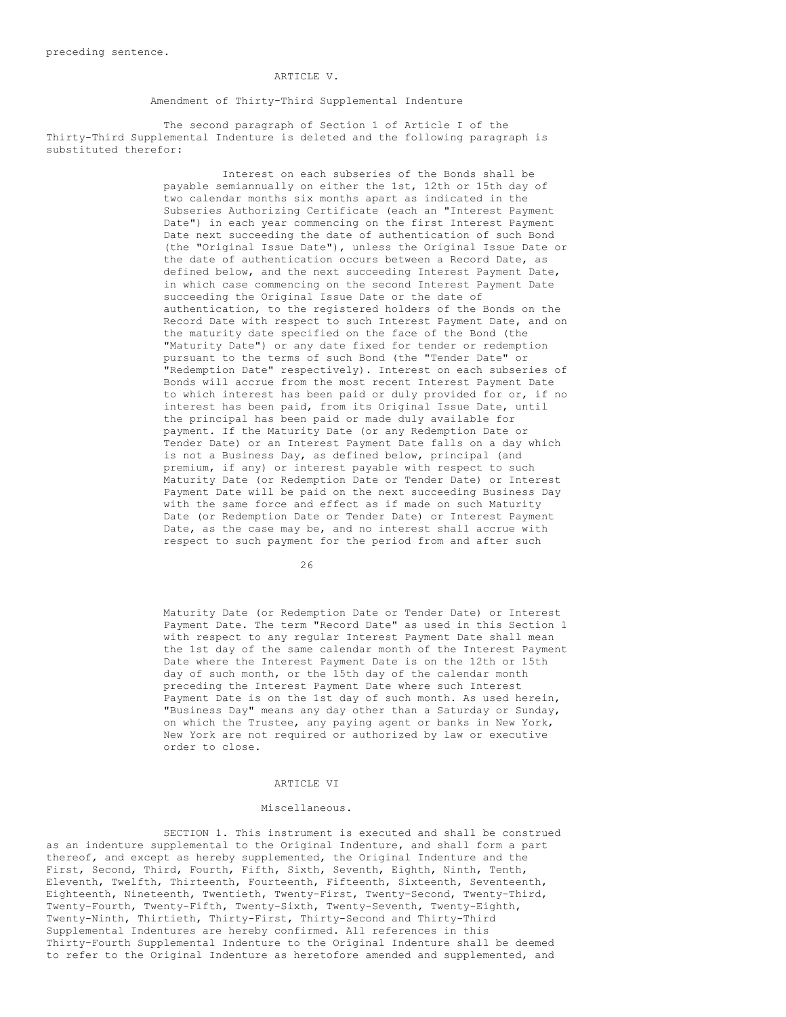### ARTICLE V.

Amendment of Thirty-Third Supplemental Indenture

The second paragraph of Section 1 of Article I of the Thirty-Third Supplemental Indenture is deleted and the following paragraph is substituted therefor:

> Interest on each subseries of the Bonds shall be payable semiannually on either the 1st, 12th or 15th day of two calendar months six months apart as indicated in the Subseries Authorizing Certificate (each an "Interest Payment Date") in each year commencing on the first Interest Payment Date next succeeding the date of authentication of such Bond (the "Original Issue Date"), unless the Original Issue Date or the date of authentication occurs between a Record Date, as defined below, and the next succeeding Interest Payment Date, in which case commencing on the second Interest Payment Date succeeding the Original Issue Date or the date of authentication, to the registered holders of the Bonds on the Record Date with respect to such Interest Payment Date, and on the maturity date specified on the face of the Bond (the "Maturity Date") or any date fixed for tender or redemption pursuant to the terms of such Bond (the "Tender Date" or "Redemption Date" respectively). Interest on each subseries of Bonds will accrue from the most recent Interest Payment Date to which interest has been paid or duly provided for or, if no interest has been paid, from its Original Issue Date, until the principal has been paid or made duly available for payment. If the Maturity Date (or any Redemption Date or Tender Date) or an Interest Payment Date falls on a day which is not a Business Day, as defined below, principal (and premium, if any) or interest payable with respect to such Maturity Date (or Redemption Date or Tender Date) or Interest Payment Date will be paid on the next succeeding Business Day with the same force and effect as if made on such Maturity Date (or Redemption Date or Tender Date) or Interest Payment Date, as the case may be, and no interest shall accrue with respect to such payment for the period from and after such

> > $26$

Maturity Date (or Redemption Date or Tender Date) or Interest Payment Date. The term "Record Date" as used in this Section 1 with respect to any regular Interest Payment Date shall mean the 1st day of the same calendar month of the Interest Payment Date where the Interest Payment Date is on the 12th or 15th day of such month, or the 15th day of the calendar month preceding the Interest Payment Date where such Interest Payment Date is on the 1st day of such month. As used herein, "Business Day" means any day other than a Saturday or Sunday, on which the Trustee, any paying agent or banks in New York, New York are not required or authorized by law or executive order to close.

#### ARTICLE VI

#### Miscellaneous.

SECTION 1. This instrument is executed and shall be construed as an indenture supplemental to the Original Indenture, and shall form a part thereof, and except as hereby supplemented, the Original Indenture and the First, Second, Third, Fourth, Fifth, Sixth, Seventh, Eighth, Ninth, Tenth, Eleventh, Twelfth, Thirteenth, Fourteenth, Fifteenth, Sixteenth, Seventeenth, Eighteenth, Nineteenth, Twentieth, Twenty-First, Twenty-Second, Twenty-Third, Twenty-Fourth, Twenty-Fifth, Twenty-Sixth, Twenty-Seventh, Twenty-Eighth, Twenty-Ninth, Thirtieth, Thirty-First, Thirty-Second and Thirty-Third Supplemental Indentures are hereby confirmed. All references in this Thirty-Fourth Supplemental Indenture to the Original Indenture shall be deemed to refer to the Original Indenture as heretofore amended and supplemented, and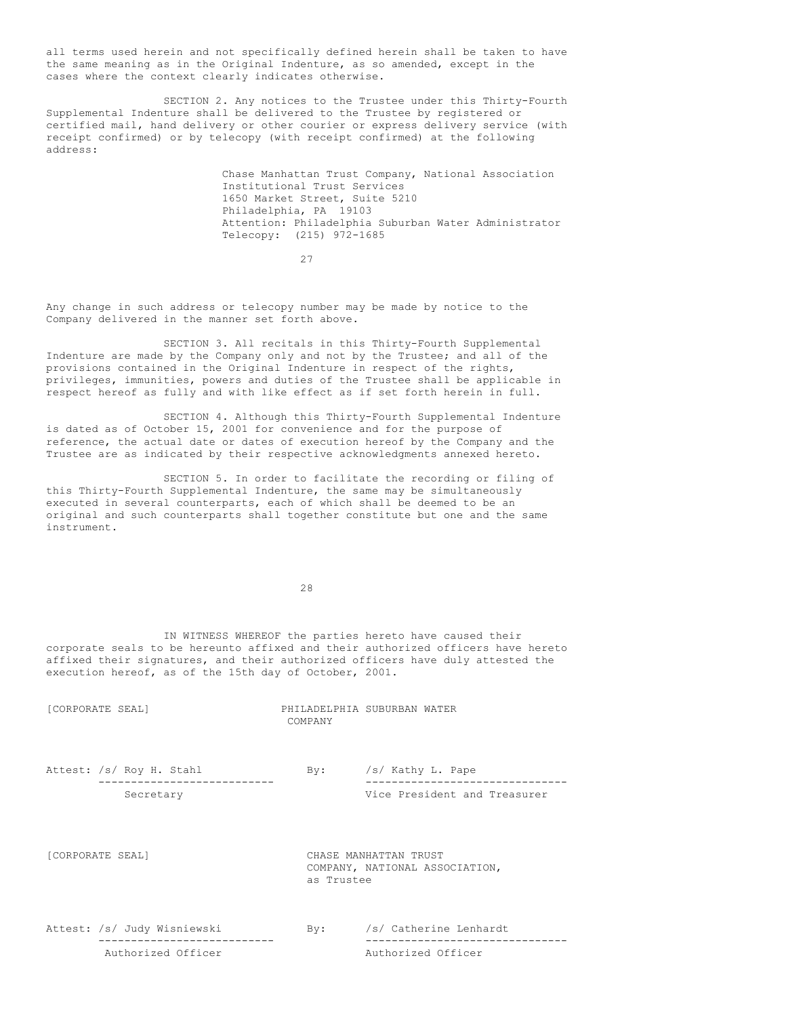all terms used herein and not specifically defined herein shall be taken to have the same meaning as in the Original Indenture, as so amended, except in the cases where the context clearly indicates otherwise.

SECTION 2. Any notices to the Trustee under this Thirty-Fourth Supplemental Indenture shall be delivered to the Trustee by registered or certified mail, hand delivery or other courier or express delivery service (with receipt confirmed) or by telecopy (with receipt confirmed) at the following address:

> Chase Manhattan Trust Company, National Association Institutional Trust Services 1650 Market Street, Suite 5210 Philadelphia, PA 19103 Attention: Philadelphia Suburban Water Administrator Telecopy: (215) 972-1685

> > 27

Any change in such address or telecopy number may be made by notice to the Company delivered in the manner set forth above.

SECTION 3. All recitals in this Thirty-Fourth Supplemental Indenture are made by the Company only and not by the Trustee; and all of the provisions contained in the Original Indenture in respect of the rights, privileges, immunities, powers and duties of the Trustee shall be applicable in respect hereof as fully and with like effect as if set forth herein in full.

SECTION 4. Although this Thirty-Fourth Supplemental Indenture is dated as of October 15, 2001 for convenience and for the purpose of reference, the actual date or dates of execution hereof by the Company and the Trustee are as indicated by their respective acknowledgments annexed hereto.

SECTION 5. In order to facilitate the recording or filing of this Thirty-Fourth Supplemental Indenture, the same may be simultaneously executed in several counterparts, each of which shall be deemed to be an original and such counterparts shall together constitute but one and the same instrument.

28

IN WITNESS WHEREOF the parties hereto have caused their corporate seals to be hereunto affixed and their authorized officers have hereto affixed their signatures, and their authorized officers have duly attested the execution hereof, as of the 15th day of October, 2001.

| [CORPORATE SEAL]            | COMPANY        | PHILADELPHIA SUBURBAN WATER                             |
|-----------------------------|----------------|---------------------------------------------------------|
| Attest: /s/ Roy H. Stahl    | By:            | /s/ Kathy L. Pape                                       |
| Secretary                   |                | Vice President and Treasurer                            |
| [CORPORATE SEAL]            | as Trustee     | CHASE MANHATTAN TRUST<br>COMPANY, NATIONAL ASSOCIATION, |
| Attest: /s/ Judy Wisniewski | $\mathbf{By:}$ | /s/ Catherine Lenhardt                                  |
| Authorized Officer          |                | Authorized Officer                                      |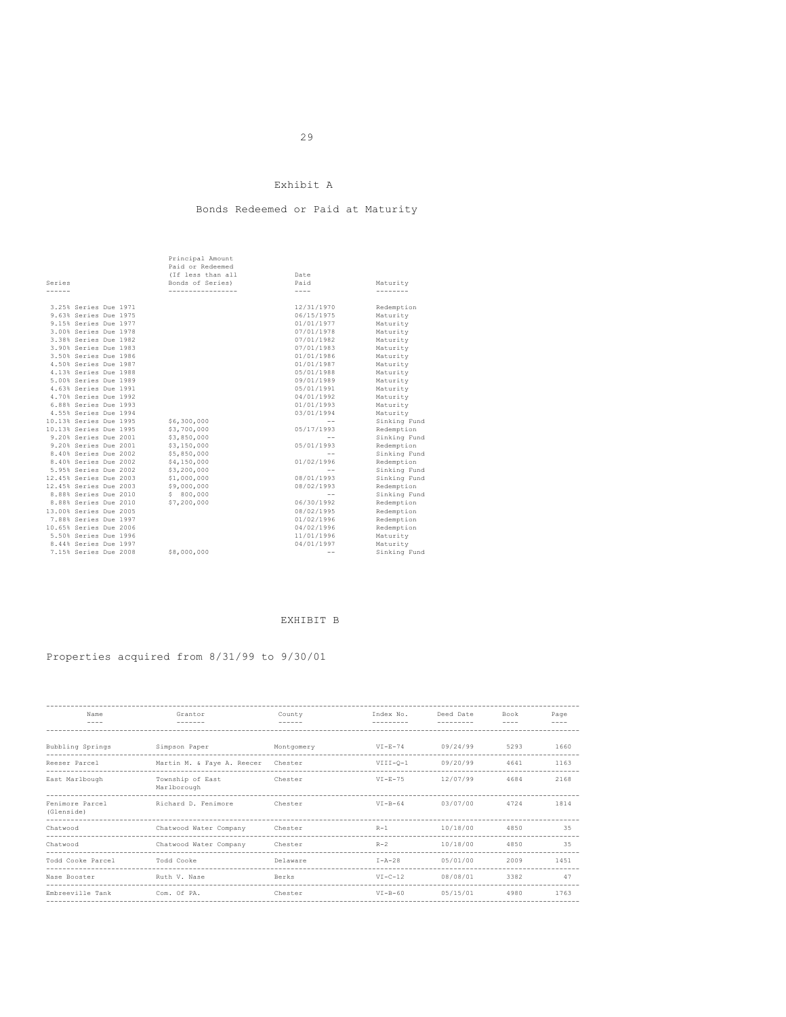## Exhibit A

## Bonds Redeemed or Paid at Maturity

|        |                        | Principal Amount  |            |              |
|--------|------------------------|-------------------|------------|--------------|
|        |                        | Paid or Redeemed  |            |              |
|        |                        | (If less than all | Date       |              |
| Series |                        | Bonds of Series)  | Paid       | Maturity     |
| ------ |                        | ----------------- | $- - - -$  | --------     |
|        |                        |                   |            |              |
|        | 3.25% Series Due 1971  |                   | 12/31/1970 | Redemption   |
|        | 9.63% Series Due 1975  |                   | 06/15/1975 | Maturity     |
|        | 9.15% Series Due 1977  |                   | 01/01/1977 | Maturity     |
|        | 3.00% Series Due 1978  |                   | 07/01/1978 | Maturity     |
|        | 3.38% Series Due 1982  |                   | 07/01/1982 | Maturity     |
|        | 3.90% Series Due 1983  |                   | 07/01/1983 | Maturity     |
|        | 3.50% Series Due 1986  |                   | 01/01/1986 | Maturity     |
|        | 4.50% Series Due 1987  |                   | 01/01/1987 | Maturity     |
|        | 4.13% Series Due 1988  |                   | 05/01/1988 | Maturity     |
|        | 5.00% Series Due 1989  |                   | 09/01/1989 | Maturity     |
|        | 4.63% Series Due 1991  |                   | 05/01/1991 | Maturity     |
|        | 4.70% Series Due 1992  |                   | 04/01/1992 | Maturity     |
|        | 6.88% Series Due 1993  |                   | 01/01/1993 | Maturity     |
|        | 4.55% Series Due 1994  |                   | 03/01/1994 | Maturity     |
|        | 10.13% Series Due 1995 | \$6,300,000       | $-$        | Sinking Fund |
|        | 10.13% Series Due 1995 | \$3,700,000       | 05/17/1993 | Redemption   |
|        | 9.20% Series Due 2001  | \$3,850,000       | $- -$      | Sinking Fund |
|        | 9.20% Series Due 2001  | \$3,150,000       | 05/01/1993 | Redemption   |
|        | 8.40% Series Due 2002  | \$5,850,000       | $- -$      | Sinking Fund |
|        | 8.40% Series Due 2002  | \$4,150,000       | 01/02/1996 | Redemption   |
|        | 5.95% Series Due 2002  | \$3,200,000       | $- -$      | Sinking Fund |
|        | 12.45% Series Due 2003 | \$1,000,000       | 08/01/1993 | Sinking Fund |
|        | 12.45% Series Due 2003 | \$9,000,000       | 08/02/1993 | Redemption   |
|        | 8.88% Series Due 2010  | \$800,000         | $-$        | Sinking Fund |
|        | 8.88% Series Due 2010  | \$7,200,000       | 06/30/1992 | Redemption   |
|        | 13.00% Series Due 2005 |                   | 08/02/1995 | Redemption   |
|        | 7.88% Series Due 1997  |                   | 01/02/1996 | Redemption   |
|        | 10.65% Series Due 2006 |                   | 04/02/1996 | Redemption   |
|        | 5.50% Series Due 1996  |                   | 11/01/1996 | Maturity     |
|        | 8.44% Series Due 1997  |                   | 04/01/1997 | Maturity     |
|        | 7.15% Series Due 2008  | \$8,000,000       | $-$        | Sinking Fund |
|        |                        |                   |            |              |

## EXHIBIT B

# Properties acquired from 8/31/99 to 9/30/01

| Name<br>$- - - -$             | Grantor<br>-------              | County<br>$- - - - - -$ | Index No.<br>--------- | Deed Date | Book<br>$- - - -$ | Page<br>$- - - -$ |
|-------------------------------|---------------------------------|-------------------------|------------------------|-----------|-------------------|-------------------|
| Bubbling Springs              | Simpson Paper                   | Montgomery              | $VI-E-74$              | 09/24/99  | 5293              | 1660              |
| Reeser Parcel                 | Martin M. & Faye A. Reecer      | Chester                 | $VIII-0-1$             | 09/20/99  | 4641              | 1163              |
| East Marlbough                | Township of East<br>Marlborough | Chester                 | $VI-E-75$              | 12/07/99  | 4684              | 2168              |
| Fenimore Parcel<br>(Glenside) | Richard D. Fenimore             | Chester                 | $VI-B-64$              | 03/07/00  | 4724              | 1814              |
| Chatwood                      | Chatwood Water Company          | Chester                 | $R-1$                  | 10/18/00  | 4850              | 3.5               |
| Chatwood                      | Chatwood Water Company          | Chester                 | $R-2$                  | 10/18/00  | 4850              | 35                |
| Todd Cooke Parcel             | Todd Cooke                      | Delaware                | $I - A - 28$           | 05/01/00  | 2009              | 1451              |
| Nase Booster                  | Ruth V. Nase                    | Berks                   | $VI - C - 12$          | 08/08/01  | 3382              | 47                |
| Embreeville Tank              | Com. Of PA.                     | Chester                 | $VT - B - 60$          | 05/15/01  | 4980              | 1763              |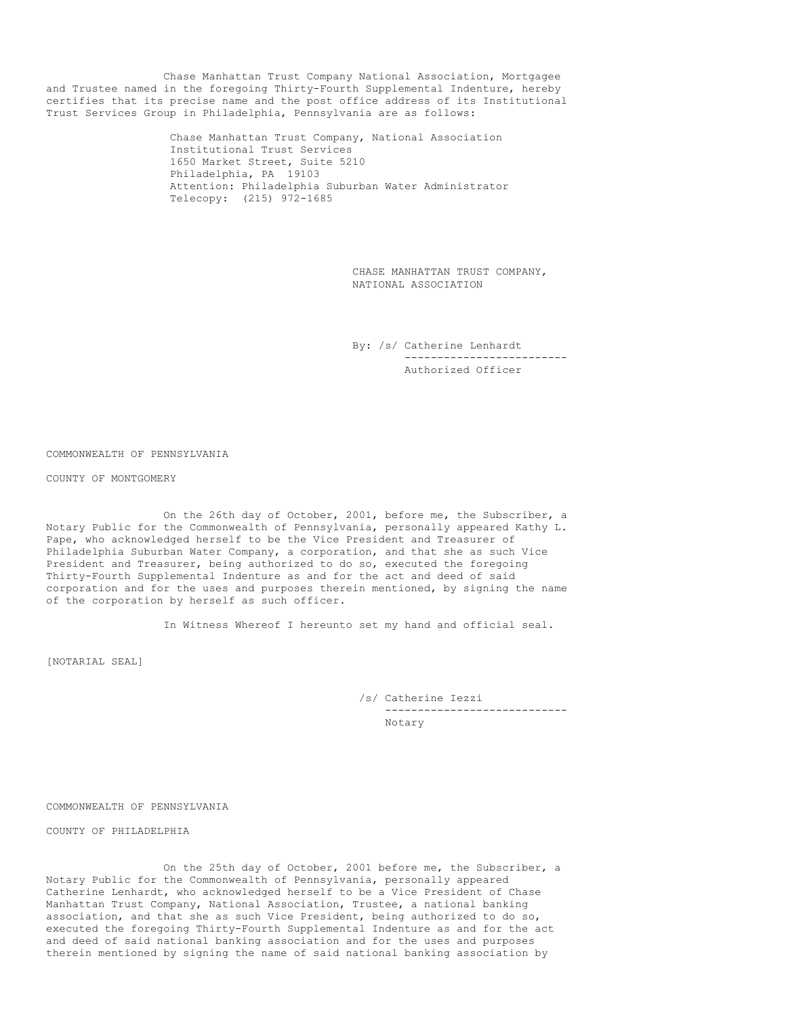Chase Manhattan Trust Company National Association, Mortgagee and Trustee named in the foregoing Thirty-Fourth Supplemental Indenture, hereby certifies that its precise name and the post office address of its Institutional Trust Services Group in Philadelphia, Pennsylvania are as follows:

> Chase Manhattan Trust Company, National Association Institutional Trust Services 1650 Market Street, Suite 5210 Philadelphia, PA 19103 Attention: Philadelphia Suburban Water Administrator Telecopy: (215) 972-1685

> > CHASE MANHATTAN TRUST COMPANY, NATIONAL ASSOCIATION

By: /s/ Catherine Lenhardt ------------------------- Authorized Officer

COMMONWEALTH OF PENNSYLVANIA

COUNTY OF MONTGOMERY

On the 26th day of October, 2001, before me, the Subscriber, a Notary Public for the Commonwealth of Pennsylvania, personally appeared Kathy L. Pape, who acknowledged herself to be the Vice President and Treasurer of Philadelphia Suburban Water Company, a corporation, and that she as such Vice President and Treasurer, being authorized to do so, executed the foregoing Thirty-Fourth Supplemental Indenture as and for the act and deed of said corporation and for the uses and purposes therein mentioned, by signing the name of the corporation by herself as such officer.

In Witness Whereof I hereunto set my hand and official seal.

[NOTARIAL SEAL]

/s/ Catherine Iezzi ---------------------------- Notary

COMMONWEALTH OF PENNSYLVANIA

COUNTY OF PHILADELPHIA

On the 25th day of October, 2001 before me, the Subscriber, a Notary Public for the Commonwealth of Pennsylvania, personally appeared Catherine Lenhardt, who acknowledged herself to be a Vice President of Chase Manhattan Trust Company, National Association, Trustee, a national banking association, and that she as such Vice President, being authorized to do so, executed the foregoing Thirty-Fourth Supplemental Indenture as and for the act and deed of said national banking association and for the uses and purposes therein mentioned by signing the name of said national banking association by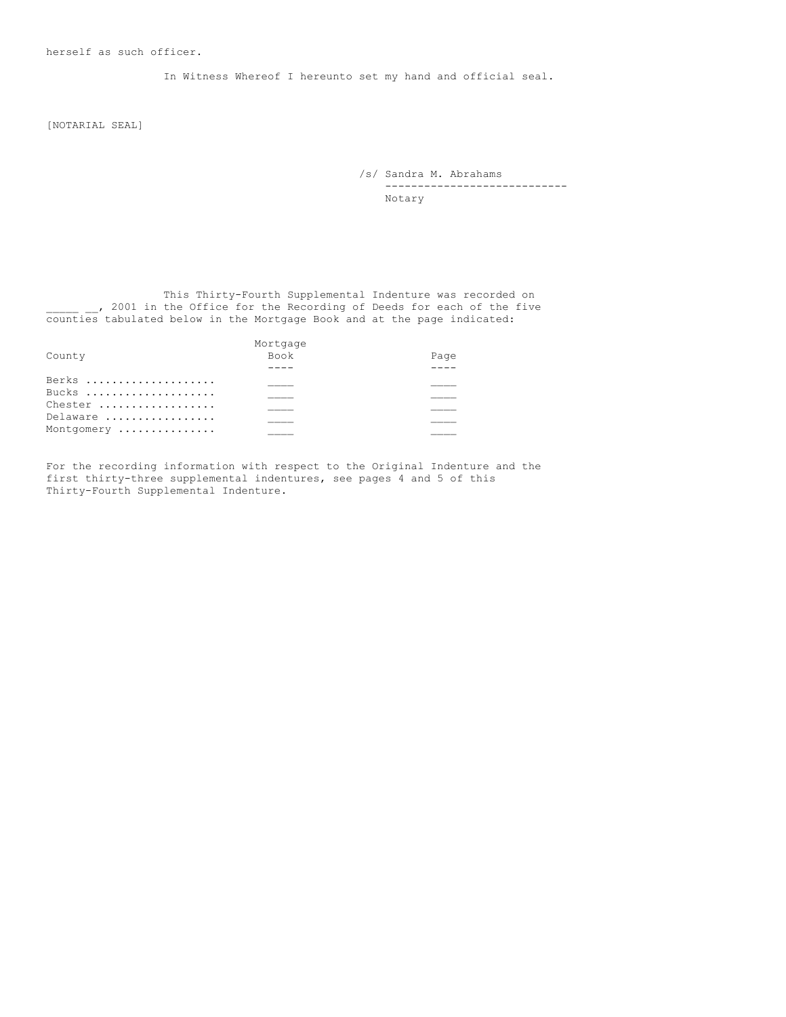In Witness Whereof I hereunto set my hand and official seal.

[NOTARIAL SEAL]

/s/ Sandra M. Abrahams ---------------------------- Notary

This Thirty-Fourth Supplemental Indenture was recorded on \_\_\_\_\_ \_\_, 2001 in the Office for the Recording of Deeds for each of the five counties tabulated below in the Mortgage Book and at the page indicated:

|            | Mortgage    |      |
|------------|-------------|------|
| County     | <b>Book</b> | Page |
|            |             |      |
| Berks      |             |      |
| Bucks      |             |      |
| Chester    |             |      |
| Delaware   |             |      |
| Montgomery |             |      |
|            |             |      |

For the recording information with respect to the Original Indenture and the first thirty-three supplemental indentures, see pages 4 and 5 of this Thirty-Fourth Supplemental Indenture.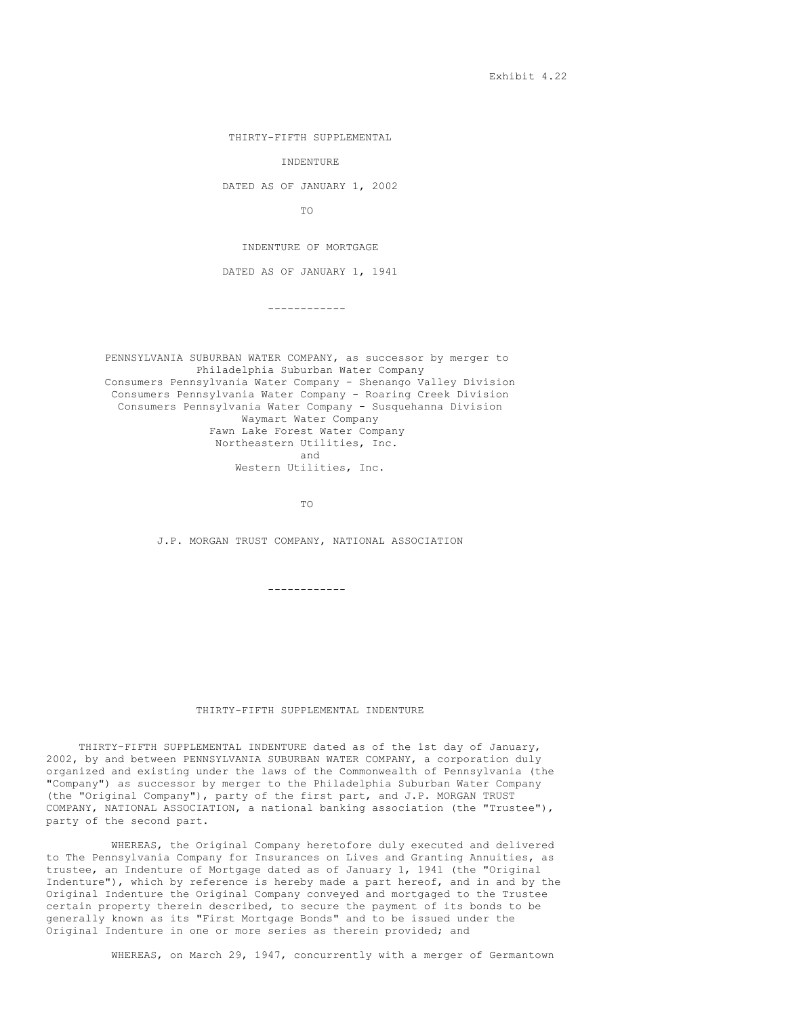Exhibit 4.22

THIRTY-FIFTH SUPPLEMENTAL

INDENTURE

DATED AS OF JANUARY 1, 2002

TO

INDENTURE OF MORTGAGE

DATED AS OF JANUARY 1, 1941

------------

PENNSYLVANIA SUBURBAN WATER COMPANY, as successor by merger to Philadelphia Suburban Water Company Consumers Pennsylvania Water Company - Shenango Valley Division Consumers Pennsylvania Water Company - Roaring Creek Division Consumers Pennsylvania Water Company - Susquehanna Division Waymart Water Company Fawn Lake Forest Water Company Northeastern Utilities, Inc. and Western Utilities, Inc.

TO

J.P. MORGAN TRUST COMPANY, NATIONAL ASSOCIATION

------------

### THIRTY-FIFTH SUPPLEMENTAL INDENTURE

THIRTY-FIFTH SUPPLEMENTAL INDENTURE dated as of the 1st day of January, 2002, by and between PENNSYLVANIA SUBURBAN WATER COMPANY, a corporation duly organized and existing under the laws of the Commonwealth of Pennsylvania (the "Company") as successor by merger to the Philadelphia Suburban Water Company (the "Original Company"), party of the first part, and J.P. MORGAN TRUST COMPANY, NATIONAL ASSOCIATION, a national banking association (the "Trustee"), party of the second part.

WHEREAS, the Original Company heretofore duly executed and delivered to The Pennsylvania Company for Insurances on Lives and Granting Annuities, as trustee, an Indenture of Mortgage dated as of January 1, 1941 (the "Original Indenture"), which by reference is hereby made a part hereof, and in and by the Original Indenture the Original Company conveyed and mortgaged to the Trustee certain property therein described, to secure the payment of its bonds to be generally known as its "First Mortgage Bonds" and to be issued under the Original Indenture in one or more series as therein provided; and

WHEREAS, on March 29, 1947, concurrently with a merger of Germantown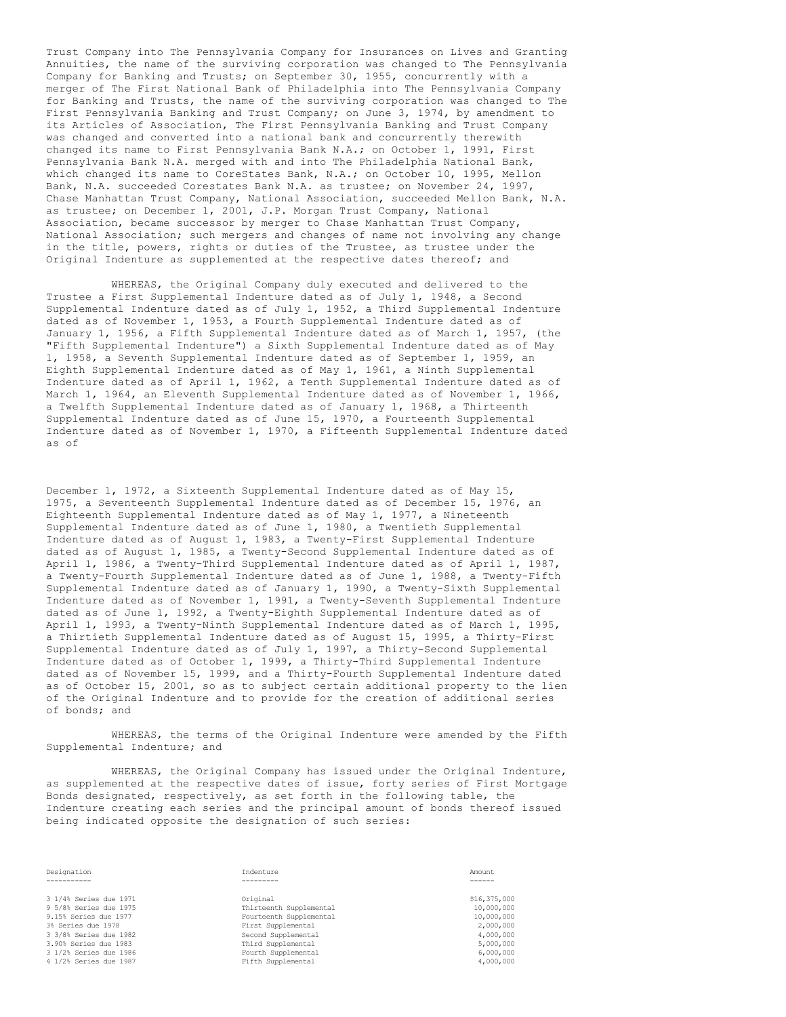Trust Company into The Pennsylvania Company for Insurances on Lives and Granting Annuities, the name of the surviving corporation was changed to The Pennsylvania Company for Banking and Trusts; on September 30, 1955, concurrently with a merger of The First National Bank of Philadelphia into The Pennsylvania Company for Banking and Trusts, the name of the surviving corporation was changed to The First Pennsylvania Banking and Trust Company; on June 3, 1974, by amendment to its Articles of Association, The First Pennsylvania Banking and Trust Company was changed and converted into a national bank and concurrently therewith changed its name to First Pennsylvania Bank N.A.; on October 1, 1991, First Pennsylvania Bank N.A. merged with and into The Philadelphia National Bank, which changed its name to CoreStates Bank, N.A.; on October 10, 1995, Mellon Bank, N.A. succeeded Corestates Bank N.A. as trustee; on November 24, 1997, Chase Manhattan Trust Company, National Association, succeeded Mellon Bank, N.A. as trustee; on December 1, 2001, J.P. Morgan Trust Company, National Association, became successor by merger to Chase Manhattan Trust Company, National Association; such mergers and changes of name not involving any change in the title, powers, rights or duties of the Trustee, as trustee under the Original Indenture as supplemented at the respective dates thereof; and

WHEREAS, the Original Company duly executed and delivered to the Trustee a First Supplemental Indenture dated as of July 1, 1948, a Second Supplemental Indenture dated as of July 1, 1952, a Third Supplemental Indenture dated as of November 1, 1953, a Fourth Supplemental Indenture dated as of January 1, 1956, a Fifth Supplemental Indenture dated as of March 1, 1957, (the "Fifth Supplemental Indenture") a Sixth Supplemental Indenture dated as of May 1, 1958, a Seventh Supplemental Indenture dated as of September 1, 1959, an Eighth Supplemental Indenture dated as of May 1, 1961, a Ninth Supplemental Indenture dated as of April 1, 1962, a Tenth Supplemental Indenture dated as of March 1, 1964, an Eleventh Supplemental Indenture dated as of November 1, 1966, a Twelfth Supplemental Indenture dated as of January 1, 1968, a Thirteenth Supplemental Indenture dated as of June 15, 1970, a Fourteenth Supplemental Indenture dated as of November 1, 1970, a Fifteenth Supplemental Indenture dated as of

December 1, 1972, a Sixteenth Supplemental Indenture dated as of May 15, 1975, a Seventeenth Supplemental Indenture dated as of December 15, 1976, an Eighteenth Supplemental Indenture dated as of May 1, 1977, a Nineteenth Supplemental Indenture dated as of June 1, 1980, a Twentieth Supplemental Indenture dated as of August 1, 1983, a Twenty-First Supplemental Indenture dated as of August 1, 1985, a Twenty-Second Supplemental Indenture dated as of April 1, 1986, a Twenty-Third Supplemental Indenture dated as of April 1, 1987, a Twenty-Fourth Supplemental Indenture dated as of June 1, 1988, a Twenty-Fifth Supplemental Indenture dated as of January 1, 1990, a Twenty-Sixth Supplemental Indenture dated as of November 1, 1991, a Twenty-Seventh Supplemental Indenture dated as of June 1, 1992, a Twenty-Eighth Supplemental Indenture dated as of April 1, 1993, a Twenty-Ninth Supplemental Indenture dated as of March 1, 1995, a Thirtieth Supplemental Indenture dated as of August 15, 1995, a Thirty-First Supplemental Indenture dated as of July 1, 1997, a Thirty-Second Supplemental Indenture dated as of October 1, 1999, a Thirty-Third Supplemental Indenture dated as of November 15, 1999, and a Thirty-Fourth Supplemental Indenture dated as of October 15, 2001, so as to subject certain additional property to the lien of the Original Indenture and to provide for the creation of additional series of bonds; and

WHEREAS, the terms of the Original Indenture were amended by the Fifth Supplemental Indenture; and

WHEREAS, the Original Company has issued under the Original Indenture, as supplemented at the respective dates of issue, forty series of First Mortgage Bonds designated, respectively, as set forth in the following table, the Indenture creating each series and the principal amount of bonds thereof issued being indicated opposite the designation of such series:

9 5/8% Series due 1975 Thirteenth Supplemental<br>9.15% Series due 1977 Thirteenth Supplemental  $9.15\%$  Series due 1977  $$\rm{First\; Supplemental}$$  First Supplemental  $$\rm{First\; Supplemental}$$ 3% Series due 1978 First Supplemental 2,000,000 3 3/8% Series due 1982 Second Supplemental 4,000,000 3.90% Series due 1983 Third Supplemental 5,000,000 3 1/2% Series due 1986 Fourth Supplemental<br>4 1/2% Series due 1987 Fifth Supplemental

Designation Indenture Amount ----------- --------- ------ 3 1/4% Series due 1971 Original \$16,375,000

| Original                | \$16,375,000 |
|-------------------------|--------------|
| Thirteenth Supplemental | 10,000,000   |
| Fourteenth Supplemental | 10,000,000   |
| First Supplemental      | 2,000,000    |
| Second Supplemental     | 4,000,000    |
| Third Supplemental      | 5,000,000    |
| Fourth Supplemental     | 6,000,000    |
| Fifth Supplemental      | 4,000,000    |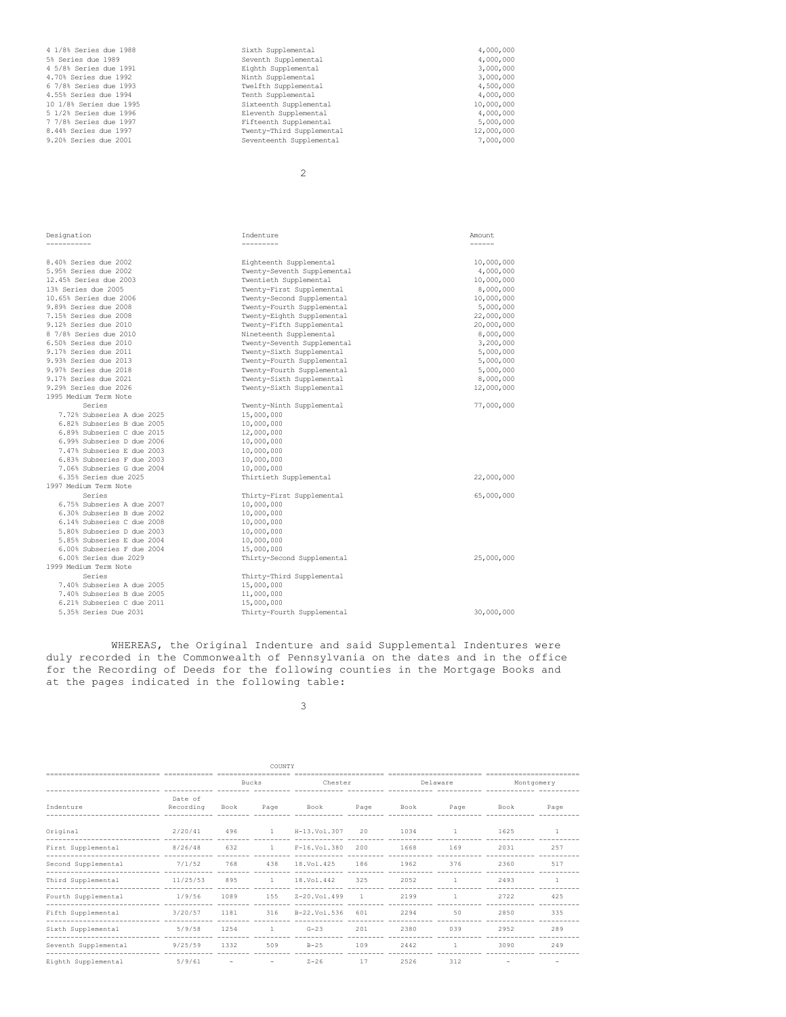|                            | 2                           |               |
|----------------------------|-----------------------------|---------------|
|                            |                             |               |
|                            |                             |               |
| Designation                | Indenture                   | Amount        |
| ------------               | ----------                  | $- - - - - -$ |
|                            |                             |               |
| 8.40% Series due 2002      | Eighteenth Supplemental     | 10,000,000    |
| 5.95% Series due 2002      | Twenty-Seventh Supplemental | 4,000,000     |
| 12.45% Series due 2003     | Twentieth Supplemental      | 10,000,000    |
| 13% Series due 2005        | Twenty-First Supplemental   | 8,000,000     |
| 10.65% Series due 2006     | Twenty-Second Supplemental  | 10,000,000    |
| 9.89% Series due 2008      | Twenty-Fourth Supplemental  | 5,000,000     |
| 7.15% Series due 2008      | Twenty-Eighth Supplemental  | 22,000,000    |
| 9.12% Series due 2010      | Twenty-Fifth Supplemental   | 20,000,000    |
| 8 7/8% Series due 2010     | Nineteenth Supplemental     | 8,000,000     |
| 6.50% Series due 2010      | Twenty-Seventh Supplemental | 3,200,000     |
| 9.17% Series due 2011      | Twenty-Sixth Supplemental   | 5,000,000     |
| 9.93% Series due 2013      | Twenty-Fourth Supplemental  | 5,000,000     |
| 9.97% Series due 2018      | Twenty-Fourth Supplemental  | 5,000,000     |
| 9.17% Series due 2021      | Twenty-Sixth Supplemental   | 8,000,000     |
| 9.29% Series due 2026      | Twenty-Sixth Supplemental   | 12,000,000    |
| 1995 Medium Term Note      |                             |               |
| Series                     | Twenty-Ninth Supplemental   | 77,000,000    |
| 7.72% Subseries A due 2025 | 15,000,000                  |               |
| 6.82% Subseries B due 2005 | 10,000,000                  |               |
| 6.89% Subseries C due 2015 | 12,000,000                  |               |
| 6.99% Subseries D due 2006 | 10,000,000                  |               |
| 7.47% Subseries E due 2003 | 10,000,000                  |               |
| 6.83% Subseries F due 2003 | 10,000,000                  |               |
| 7.06% Subseries G due 2004 | 10,000,000                  |               |
| 6.35% Series due 2025      | Thirtieth Supplemental      | 22,000,000    |
| 1997 Medium Term Note      |                             |               |
| Series                     | Thirty-First Supplemental   | 65,000,000    |
| 6.75% Subseries A due 2007 | 10,000,000                  |               |
| 6.30% Subseries B due 2002 | 10,000,000                  |               |
| 6.14% Subseries C due 2008 | 10,000,000                  |               |
| 5.80% Subseries D due 2003 | 10,000,000                  |               |
| 5.85% Subseries E due 2004 | 10,000,000                  |               |
| 6.00% Subseries F due 2004 | 15,000,000                  |               |
| 6.00% Series due 2029      | Thirty-Second Supplemental  | 25,000,000    |
| 1999 Medium Term Note      |                             |               |
| Series                     | Thirty-Third Supplemental   |               |
| 7.40% Subseries A due 2005 | 15,000,000                  |               |
| 7.40% Subseries B due 2005 | 11,000,000                  |               |
| 6.21% Subseries C due 2011 | 15,000,000                  |               |
| 5.35% Series Due 2031      | Thirty-Fourth Supplemental  | 30,000,000    |
|                            |                             |               |

4 1/8% Series due 1988 <br>
4,000,000 <br>
4,000,000 S% Series due 1989 <br>
4,000,000 S% Series due 1991 <br>
4,000,000 Eighth Supplemental and the Supplemental 3,000,000 5% Series due 1989 Seventh Supplemental 4,000,000 4 5/8% Series due 1991 Eighth Supplemental 3,000,000 4.70% Series due 1992  $\frac{3,000,000}{4.70\%}$  Series due 1992  $\frac{3,000,000}{4.500,000}$  3,000,000 6 7/8% Series due 1993 Twelfth Supplemental 4,500,000 4.55% Series due 1994 Tenth Supplemental 4,000,000 10 1/8% Series due 1995 Sixteenth Supplemental 10,000,000 5 1/2% Series due 1996 Eleventh Supplemental 4,000,000 7 7/8% Series due 1997 Fifteenth Supplemental 5,000,000 8.44% Series due 1997 Twenty-Third Supplemental 12,000,000 9.20% Series due 2001 Seventeenth Supplemental 7,000,000

WHEREAS, the Original Indenture and said Supplemental Indentures were duly recorded in the Commonwealth of Pennsylvania on the dates and in the office for the Recording of Deeds for the following counties in the Mortgage Books and at the pages indicated in the following table:

3

| COUNTY               |           |                |                |                |                |      |              |                          |              |
|----------------------|-----------|----------------|----------------|----------------|----------------|------|--------------|--------------------------|--------------|
|                      |           |                |                |                |                |      |              |                          |              |
|                      |           |                | Bucks          | Chester        |                |      | Delaware     |                          | Montgomery   |
|                      |           |                |                |                |                |      |              |                          |              |
|                      | Date of   |                |                |                |                |      |              |                          |              |
| Indenture            | Recording | Book           | Page           | Book           | Page           | Book | Page         | Book                     | Page         |
|                      |           |                |                |                |                |      |              |                          |              |
|                      |           |                |                |                |                |      |              |                          |              |
| Original             | 2/20/41   | 496            | <sup>1</sup>   | H-13.Vol.307   | 20             | 1034 | $\mathbf{1}$ | 1625                     | $\mathbf{1}$ |
|                      |           |                |                |                |                |      |              |                          |              |
| First Supplemental   | 8/26/48   | 632            | $\overline{1}$ | $F-16.Vo1.380$ | 200            | 1668 | 169          | 2031                     | 257          |
|                      |           |                |                |                |                |      |              |                          |              |
| Second Supplemental  | 7/1/52    | 768            | 438            | 18.Vol.425     | 186            | 1962 | 376          | 2360                     | 517          |
|                      |           |                |                |                |                |      |              |                          |              |
| Third Supplemental   | 11/25/53  | 895            | $\overline{1}$ | 18.Vol.442     | 325            | 2052 | п.           | 2493                     | $\mathbf{1}$ |
|                      |           |                |                |                |                |      |              |                          |              |
| Fourth Supplemental  | 1/9/56    | 1089           | 155            | $Z-20.Vol.499$ | $\overline{1}$ | 2199 | $\mathbf{1}$ | 2722                     | 425          |
|                      |           |                |                |                |                |      |              |                          |              |
|                      |           |                |                |                |                |      | 50           |                          |              |
| Fifth Supplemental   | 3/20/57   | 1181           | 316            | B-22.Vol.536   | 601            | 2294 |              | 2850                     | 335          |
|                      |           |                |                |                |                |      |              |                          |              |
| Sixth Supplemental   | 5/9/58    | 1254           | $\overline{1}$ | $G-23$         | 201            | 2380 | 039          | 2952                     | 289          |
|                      |           |                |                |                |                |      |              |                          |              |
| Seventh Supplemental | 9/25/59   | 1332           | 509            | $B-25$         | 109            | 2442 | $\mathbf{1}$ | 3090                     | 249          |
|                      |           |                |                |                |                |      |              |                          |              |
| Eighth Supplemental  | 5/9/61    | $\overline{a}$ |                | $Z - 26$       | 17             | 2526 | 312          | $\overline{\phantom{0}}$ |              |
|                      |           |                |                |                |                |      |              |                          |              |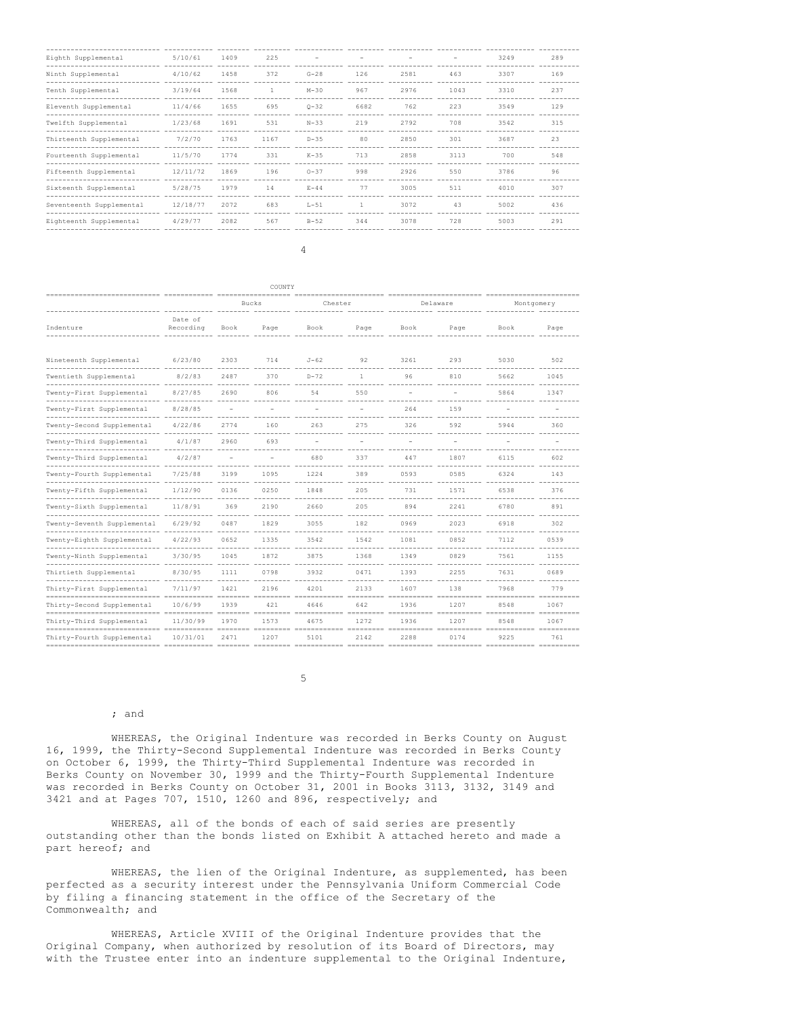| Eighth Supplemental                           | 5/10/61  | 1409 | 225          |          |              |      |      | 3249 | 289 |
|-----------------------------------------------|----------|------|--------------|----------|--------------|------|------|------|-----|
| Ninth Supplemental                            | 4/10/62  | 1458 | 372          | $G-28$   | 126          | 2581 | 463  | 3307 | 169 |
| Tenth Supplemental                            | 3/19/64  | 1568 | $\mathbf{1}$ | $M-30$   | 967          | 2976 | 1043 | 3310 | 237 |
| Eleventh Supplemental                         | 11/4/66  | 1655 | 695          | $Q - 32$ | 6682         | 762  | 223  | 3549 | 129 |
| Twelfth Supplemental                          | 1/23/68  | 1691 | 531          | $N - 33$ | 219          | 2792 | 708  | 3542 | 315 |
| Thirteenth Supplemental<br>------------------ | 7/2/70   | 1763 | 1167         | $D-35$   | 80           | 2850 | 301  | 3687 | 23  |
| Fourteenth Supplemental<br>--------------     | 11/5/70  | 1774 | 331          | $K-35$   | 713          | 2858 | 3113 | 700  | 548 |
| Fifteenth Supplemental                        | 12/11/72 | 1869 | 196          | $0 - 37$ | 998          | 2926 | 550  | 3786 | 96  |
| Sixteenth Supplemental                        | 5/28/75  | 1979 | 14           | $E-44$   | 77           | 3005 | 511  | 4010 | 307 |
| Seventeenth Supplemental                      | 12/18/77 | 2072 | 683          | $L-51$   | $\mathbb{1}$ | 3072 | 43   | 5002 | 436 |
| Eighteenth Supplemental                       | 4/29/77  | 2082 | 567          | $B-52$   | 344          | 3078 | 728  | 5003 | 291 |

| COUNTY<br>--------------------                          |                      |                       |      |                    |              |                             |      |            |                    |
|---------------------------------------------------------|----------------------|-----------------------|------|--------------------|--------------|-----------------------------|------|------------|--------------------|
|                                                         |                      | Bucks                 |      | Chester            |              | Delaware<br>--------------- |      | Montgomery |                    |
| Indenture                                               | Date of<br>Recording | Book                  | Page | Book               | Page         | Book                        | Page | Book       | Page               |
| Nineteenth Supplemental<br>------- ----<br>-----------  | 6/23/80              | 2303                  | 714  | $J-62$             | 92           | 3261                        | 293  | 5030       | 502                |
| Twentieth Supplemental                                  | 8/2/83               | 2487                  | 370  | $D-72$             | $\mathbf{1}$ | 96                          | 810  | 5662       | 1045               |
| Twenty-First Supplemental<br>-------------------------- | 8/27/85              | 2690                  | 806  | 54                 | 550          |                             |      | 5864       | 1347               |
| Twenty-First Supplemental                               | 8/28/85              |                       |      |                    |              | 264                         | 159  |            |                    |
| Twenty-Second Supplemental                              | 4/22/86              | 2774                  | 160  | 263                | 275          | 326                         | 592  | 5944       | 360                |
| Twenty-Third Supplemental                               | 4/1/87               | 2960                  | 693  |                    |              |                             |      |            |                    |
| Twenty-Third Supplemental                               | 4/2/87               |                       |      | 680                | 337          | 447                         | 1807 | 6115       | 602                |
| Twenty-Fourth Supplemental                              | 7/25/88              | 3199                  | 1095 | 1224               | 389          | 0593                        | 0585 | 6324       | 143                |
| Twenty-Fifth Supplemental                               | 1/12/90              | 0136                  | 0250 | 1848               | 205          | 731                         | 1571 | 6538       | 376                |
| Twenty-Sixth Supplemental                               | 11/8/91              | 369                   | 2190 | 2660               | 205          | 894                         | 2241 | 6780       | 891                |
| Twenty-Seventh Supplemental                             | 6/29/92              | $- - - - - -$<br>0487 | 1829 | 3055               | 182          | 0969                        | 2023 | 6918       | - ---------<br>302 |
| Twenty-Eighth Supplemental                              | 4/22/93              | 0652                  | 1335 | 3542               | 1542         | 1081                        | 0852 | 7112       | 0539               |
| Twenty-Ninth Supplemental                               | 3/30/95              | 1045                  | 1872 | 3875               | 1368         | 1349                        | 0829 | 7561       | 1155               |
| Thirtieth Supplemental                                  | 8/30/95              | 1111                  | 0798 | ----------<br>3932 | 0471         | 1393                        | 2255 | 7631       | 0689               |
| Thirty-First Supplemental                               | 7/11/97              | 1421                  | 2196 | 4201               | 2133         | 1607                        | 138  | 7968       | 779                |
| Thirty-Second Supplemental                              | 10/6/99              | 1939                  | 421  | 4646               | 642          | 1936                        | 1207 | 8548       | 1067               |
| Thirty-Third Supplemental                               | 11/30/99             | 1970                  | 1573 | 4675               | 1272         | 1936                        | 1207 | 8548       | 1067               |
| Thirty-Fourth Supplemental                              | 10/31/01             | 2471                  | 1207 | 5101               | 2142         | 2288                        | 0174 | 9225       | 761                |

5

#### ; and

WHEREAS, the Original Indenture was recorded in Berks County on August 16, 1999, the Thirty-Second Supplemental Indenture was recorded in Berks County on October 6, 1999, the Thirty-Third Supplemental Indenture was recorded in Berks County on November 30, 1999 and the Thirty-Fourth Supplemental Indenture was recorded in Berks County on October 31, 2001 in Books 3113, 3132, 3149 and 3421 and at Pages 707, 1510, 1260 and 896, respectively; and

WHEREAS, all of the bonds of each of said series are presently outstanding other than the bonds listed on Exhibit A attached hereto and made a part hereof; and

WHEREAS, the lien of the Original Indenture, as supplemented, has been perfected as a security interest under the Pennsylvania Uniform Commercial Code by filing a financing statement in the office of the Secretary of the Commonwealth; and

WHEREAS, Article XVIII of the Original Indenture provides that the Original Company, when authorized by resolution of its Board of Directors, may with the Trustee enter into an indenture supplemental to the Original Indenture,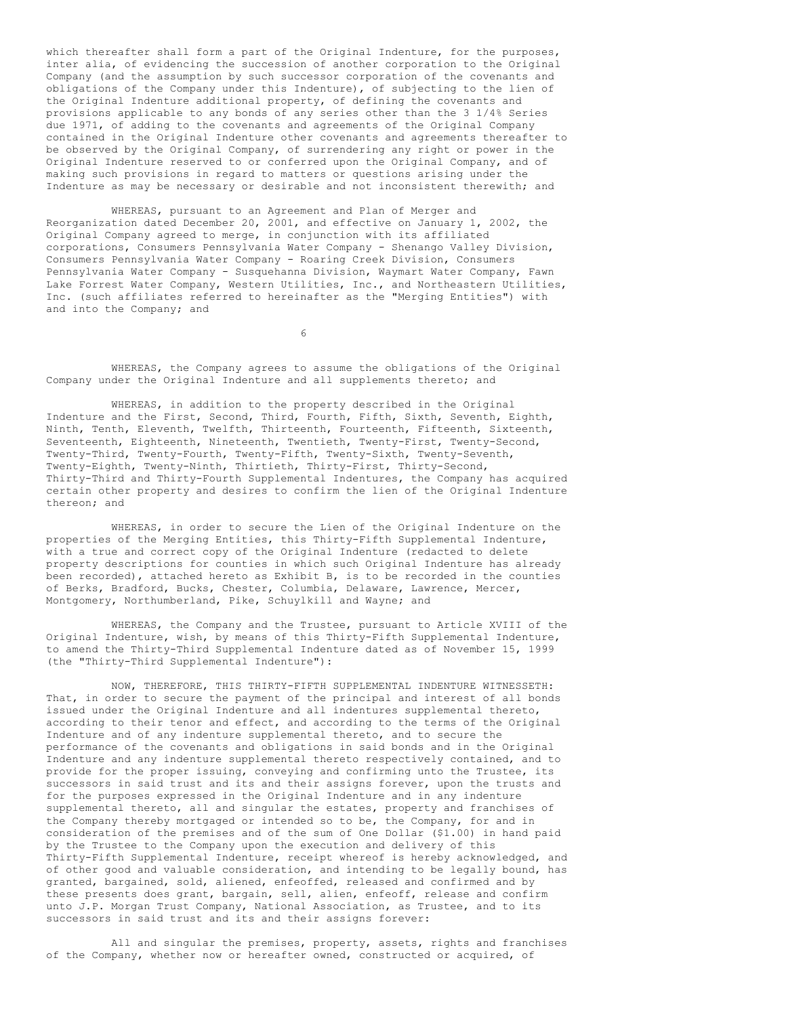which thereafter shall form a part of the Original Indenture, for the purposes, inter alia, of evidencing the succession of another corporation to the Original Company (and the assumption by such successor corporation of the covenants and obligations of the Company under this Indenture), of subjecting to the lien of the Original Indenture additional property, of defining the covenants and provisions applicable to any bonds of any series other than the 3 1/4% Series due 1971, of adding to the covenants and agreements of the Original Company contained in the Original Indenture other covenants and agreements thereafter to be observed by the Original Company, of surrendering any right or power in the Original Indenture reserved to or conferred upon the Original Company, and of making such provisions in regard to matters or questions arising under the Indenture as may be necessary or desirable and not inconsistent therewith; and

WHEREAS, pursuant to an Agreement and Plan of Merger and Reorganization dated December 20, 2001, and effective on January 1, 2002, the Original Company agreed to merge, in conjunction with its affiliated corporations, Consumers Pennsylvania Water Company - Shenango Valley Division, Consumers Pennsylvania Water Company - Roaring Creek Division, Consumers Pennsylvania Water Company - Susquehanna Division, Waymart Water Company, Fawn Lake Forrest Water Company, Western Utilities, Inc., and Northeastern Utilities, Inc. (such affiliates referred to hereinafter as the "Merging Entities") with and into the Company; and

6

WHEREAS, the Company agrees to assume the obligations of the Original Company under the Original Indenture and all supplements thereto; and

WHEREAS, in addition to the property described in the Original Indenture and the First, Second, Third, Fourth, Fifth, Sixth, Seventh, Eighth, Ninth, Tenth, Eleventh, Twelfth, Thirteenth, Fourteenth, Fifteenth, Sixteenth, Seventeenth, Eighteenth, Nineteenth, Twentieth, Twenty-First, Twenty-Second, Twenty-Third, Twenty-Fourth, Twenty-Fifth, Twenty-Sixth, Twenty-Seventh, Twenty-Eighth, Twenty-Ninth, Thirtieth, Thirty-First, Thirty-Second, Thirty-Third and Thirty-Fourth Supplemental Indentures, the Company has acquired certain other property and desires to confirm the lien of the Original Indenture thereon; and

WHEREAS, in order to secure the Lien of the Original Indenture on the properties of the Merging Entities, this Thirty-Fifth Supplemental Indenture, with a true and correct copy of the Original Indenture (redacted to delete property descriptions for counties in which such Original Indenture has already been recorded), attached hereto as Exhibit B, is to be recorded in the counties of Berks, Bradford, Bucks, Chester, Columbia, Delaware, Lawrence, Mercer, Montgomery, Northumberland, Pike, Schuylkill and Wayne; and

WHEREAS, the Company and the Trustee, pursuant to Article XVIII of the Original Indenture, wish, by means of this Thirty-Fifth Supplemental Indenture, to amend the Thirty-Third Supplemental Indenture dated as of November 15, 1999 (the "Thirty-Third Supplemental Indenture"):

NOW, THEREFORE, THIS THIRTY-FIFTH SUPPLEMENTAL INDENTURE WITNESSETH: That, in order to secure the payment of the principal and interest of all bonds issued under the Original Indenture and all indentures supplemental thereto, according to their tenor and effect, and according to the terms of the Original Indenture and of any indenture supplemental thereto, and to secure the performance of the covenants and obligations in said bonds and in the Original Indenture and any indenture supplemental thereto respectively contained, and to provide for the proper issuing, conveying and confirming unto the Trustee, its successors in said trust and its and their assigns forever, upon the trusts and for the purposes expressed in the Original Indenture and in any indenture supplemental thereto, all and singular the estates, property and franchises of the Company thereby mortgaged or intended so to be, the Company, for and in consideration of the premises and of the sum of One Dollar (\$1.00) in hand paid by the Trustee to the Company upon the execution and delivery of this Thirty-Fifth Supplemental Indenture, receipt whereof is hereby acknowledged, and of other good and valuable consideration, and intending to be legally bound, has granted, bargained, sold, aliened, enfeoffed, released and confirmed and by these presents does grant, bargain, sell, alien, enfeoff, release and confirm unto J.P. Morgan Trust Company, National Association, as Trustee, and to its successors in said trust and its and their assigns forever:

All and singular the premises, property, assets, rights and franchises of the Company, whether now or hereafter owned, constructed or acquired, of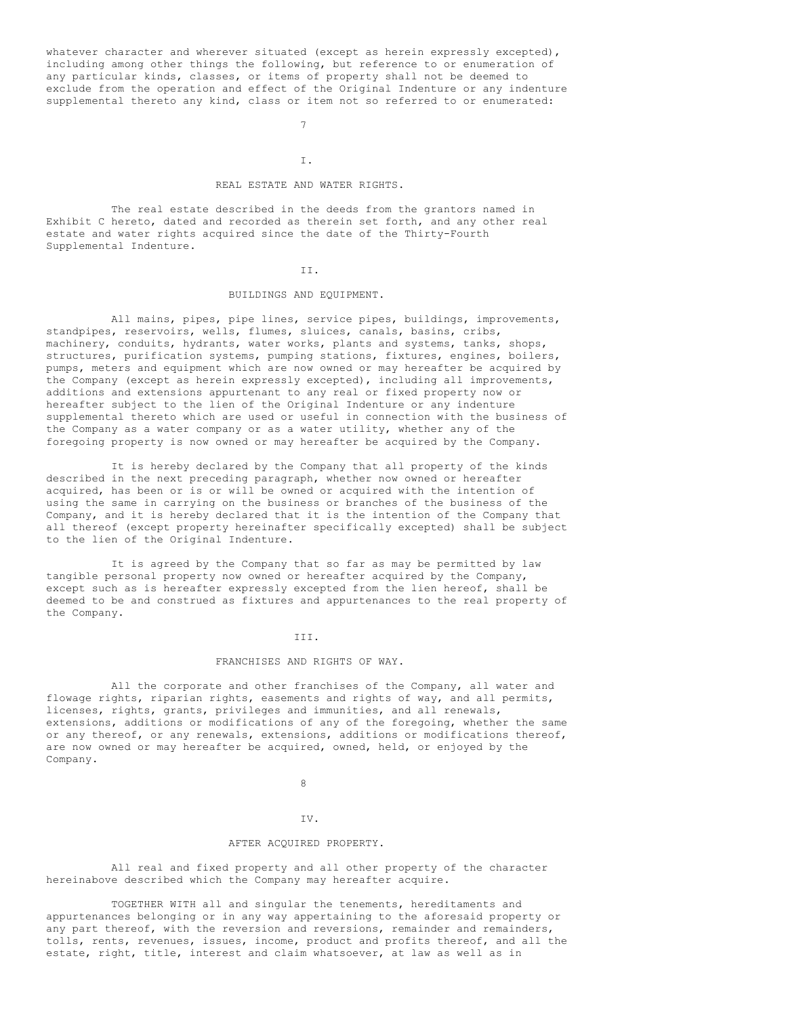whatever character and wherever situated (except as herein expressly excepted), including among other things the following, but reference to or enumeration of any particular kinds, classes, or items of property shall not be deemed to exclude from the operation and effect of the Original Indenture or any indenture supplemental thereto any kind, class or item not so referred to or enumerated:

7

#### I.

## REAL ESTATE AND WATER RIGHTS.

The real estate described in the deeds from the grantors named in Exhibit C hereto, dated and recorded as therein set forth, and any other real estate and water rights acquired since the date of the Thirty-Fourth Supplemental Indenture.

### II.

## BUILDINGS AND EQUIPMENT.

All mains, pipes, pipe lines, service pipes, buildings, improvements, standpipes, reservoirs, wells, flumes, sluices, canals, basins, cribs, machinery, conduits, hydrants, water works, plants and systems, tanks, shops, structures, purification systems, pumping stations, fixtures, engines, boilers, pumps, meters and equipment which are now owned or may hereafter be acquired by the Company (except as herein expressly excepted), including all improvements, additions and extensions appurtenant to any real or fixed property now or hereafter subject to the lien of the Original Indenture or any indenture supplemental thereto which are used or useful in connection with the business of the Company as a water company or as a water utility, whether any of the foregoing property is now owned or may hereafter be acquired by the Company.

It is hereby declared by the Company that all property of the kinds described in the next preceding paragraph, whether now owned or hereafter acquired, has been or is or will be owned or acquired with the intention of using the same in carrying on the business or branches of the business of the Company, and it is hereby declared that it is the intention of the Company that all thereof (except property hereinafter specifically excepted) shall be subject to the lien of the Original Indenture.

It is agreed by the Company that so far as may be permitted by law tangible personal property now owned or hereafter acquired by the Company, except such as is hereafter expressly excepted from the lien hereof, shall be deemed to be and construed as fixtures and appurtenances to the real property of the Company.

#### III.

#### FRANCHISES AND RIGHTS OF WAY.

All the corporate and other franchises of the Company, all water and flowage rights, riparian rights, easements and rights of way, and all permits, licenses, rights, grants, privileges and immunities, and all renewals, extensions, additions or modifications of any of the foregoing, whether the same or any thereof, or any renewals, extensions, additions or modifications thereof, are now owned or may hereafter be acquired, owned, held, or enjoyed by the Company.

## 8

## IV.

### AFTER ACQUIRED PROPERTY.

All real and fixed property and all other property of the character hereinabove described which the Company may hereafter acquire.

TOGETHER WITH all and singular the tenements, hereditaments and appurtenances belonging or in any way appertaining to the aforesaid property or any part thereof, with the reversion and reversions, remainder and remainders, tolls, rents, revenues, issues, income, product and profits thereof, and all the estate, right, title, interest and claim whatsoever, at law as well as in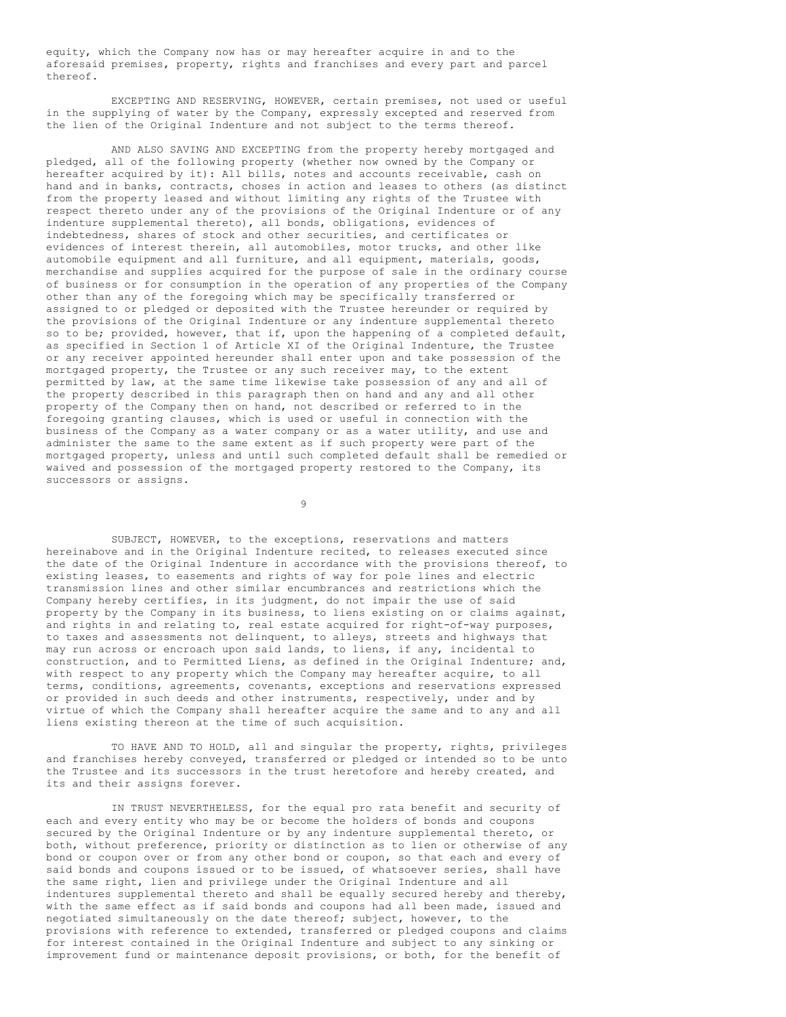equity, which the Company now has or may hereafter acquire in and to the aforesaid premises, property, rights and franchises and every part and parcel thereof.

EXCEPTING AND RESERVING, HOWEVER, certain premises, not used or useful in the supplying of water by the Company, expressly excepted and reserved from the lien of the Original Indenture and not subject to the terms thereof.

AND ALSO SAVING AND EXCEPTING from the property hereby mortgaged and pledged, all of the following property (whether now owned by the Company or hereafter acquired by it): All bills, notes and accounts receivable, cash on hand and in banks, contracts, choses in action and leases to others (as distinct from the property leased and without limiting any rights of the Trustee with respect thereto under any of the provisions of the Original Indenture or of any indenture supplemental thereto), all bonds, obligations, evidences of indebtedness, shares of stock and other securities, and certificates or evidences of interest therein, all automobiles, motor trucks, and other like automobile equipment and all furniture, and all equipment, materials, goods, merchandise and supplies acquired for the purpose of sale in the ordinary course of business or for consumption in the operation of any properties of the Company other than any of the foregoing which may be specifically transferred or assigned to or pledged or deposited with the Trustee hereunder or required by the provisions of the Original Indenture or any indenture supplemental thereto so to be; provided, however, that if, upon the happening of a completed default, as specified in Section 1 of Article XI of the Original Indenture, the Trustee or any receiver appointed hereunder shall enter upon and take possession of the mortgaged property, the Trustee or any such receiver may, to the extent permitted by law, at the same time likewise take possession of any and all of the property described in this paragraph then on hand and any and all other property of the Company then on hand, not described or referred to in the foregoing granting clauses, which is used or useful in connection with the business of the Company as a water company or as a water utility, and use and administer the same to the same extent as if such property were part of the mortgaged property, unless and until such completed default shall be remedied or waived and possession of the mortgaged property restored to the Company, its successors or assigns.

9

SUBJECT, HOWEVER, to the exceptions, reservations and matters hereinabove and in the Original Indenture recited, to releases executed since the date of the Original Indenture in accordance with the provisions thereof, to existing leases, to easements and rights of way for pole lines and electric transmission lines and other similar encumbrances and restrictions which the Company hereby certifies, in its judgment, do not impair the use of said property by the Company in its business, to liens existing on or claims against, and rights in and relating to, real estate acquired for right-of-way purposes, to taxes and assessments not delinquent, to alleys, streets and highways that may run across or encroach upon said lands, to liens, if any, incidental to construction, and to Permitted Liens, as defined in the Original Indenture; and, with respect to any property which the Company may hereafter acquire, to all terms, conditions, agreements, covenants, exceptions and reservations expressed or provided in such deeds and other instruments, respectively, under and by virtue of which the Company shall hereafter acquire the same and to any and all liens existing thereon at the time of such acquisition.

TO HAVE AND TO HOLD, all and singular the property, rights, privileges and franchises hereby conveyed, transferred or pledged or intended so to be unto the Trustee and its successors in the trust heretofore and hereby created, and its and their assigns forever.

IN TRUST NEVERTHELESS, for the equal pro rata benefit and security of each and every entity who may be or become the holders of bonds and coupons secured by the Original Indenture or by any indenture supplemental thereto, or both, without preference, priority or distinction as to lien or otherwise of any bond or coupon over or from any other bond or coupon, so that each and every of said bonds and coupons issued or to be issued, of whatsoever series, shall have the same right, lien and privilege under the Original Indenture and all indentures supplemental thereto and shall be equally secured hereby and thereby, with the same effect as if said bonds and coupons had all been made, issued and negotiated simultaneously on the date thereof; subject, however, to the provisions with reference to extended, transferred or pledged coupons and claims for interest contained in the Original Indenture and subject to any sinking or improvement fund or maintenance deposit provisions, or both, for the benefit of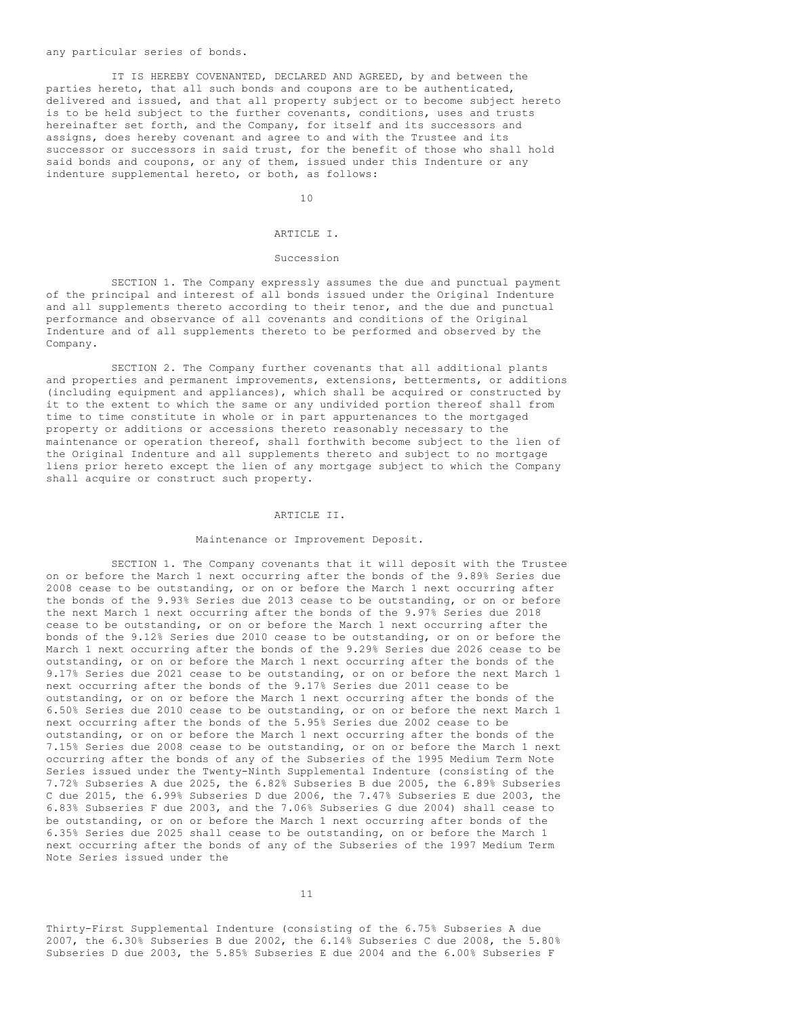#### any particular series of bonds.

IT IS HEREBY COVENANTED, DECLARED AND AGREED, by and between the parties hereto, that all such bonds and coupons are to be authenticated, delivered and issued, and that all property subject or to become subject hereto is to be held subject to the further covenants, conditions, uses and trusts hereinafter set forth, and the Company, for itself and its successors and assigns, does hereby covenant and agree to and with the Trustee and its successor or successors in said trust, for the benefit of those who shall hold said bonds and coupons, or any of them, issued under this Indenture or any indenture supplemental hereto, or both, as follows:

10

#### ARTICLE I.

#### Succession

SECTION 1. The Company expressly assumes the due and punctual payment of the principal and interest of all bonds issued under the Original Indenture and all supplements thereto according to their tenor, and the due and punctual performance and observance of all covenants and conditions of the Original Indenture and of all supplements thereto to be performed and observed by the Company.

SECTION 2. The Company further covenants that all additional plants and properties and permanent improvements, extensions, betterments, or additions (including equipment and appliances), which shall be acquired or constructed by it to the extent to which the same or any undivided portion thereof shall from time to time constitute in whole or in part appurtenances to the mortgaged property or additions or accessions thereto reasonably necessary to the maintenance or operation thereof, shall forthwith become subject to the lien of the Original Indenture and all supplements thereto and subject to no mortgage liens prior hereto except the lien of any mortgage subject to which the Company shall acquire or construct such property.

#### ARTICLE II.

#### Maintenance or Improvement Deposit.

SECTION 1. The Company covenants that it will deposit with the Trustee on or before the March 1 next occurring after the bonds of the 9.89% Series due 2008 cease to be outstanding, or on or before the March 1 next occurring after the bonds of the 9.93% Series due 2013 cease to be outstanding, or on or before the next March 1 next occurring after the bonds of the 9.97% Series due 2018 cease to be outstanding, or on or before the March 1 next occurring after the bonds of the 9.12% Series due 2010 cease to be outstanding, or on or before the March 1 next occurring after the bonds of the 9.29% Series due 2026 cease to be outstanding, or on or before the March 1 next occurring after the bonds of the 9.17% Series due 2021 cease to be outstanding, or on or before the next March 1 next occurring after the bonds of the 9.17% Series due 2011 cease to be outstanding, or on or before the March 1 next occurring after the bonds of the 6.50% Series due 2010 cease to be outstanding, or on or before the next March 1 next occurring after the bonds of the 5.95% Series due 2002 cease to be outstanding, or on or before the March 1 next occurring after the bonds of the 7.15% Series due 2008 cease to be outstanding, or on or before the March 1 next occurring after the bonds of any of the Subseries of the 1995 Medium Term Note Series issued under the Twenty-Ninth Supplemental Indenture (consisting of the 7.72% Subseries A due 2025, the 6.82% Subseries B due 2005, the 6.89% Subseries C due 2015, the 6.99% Subseries D due 2006, the 7.47% Subseries E due 2003, the 6.83% Subseries F due 2003, and the 7.06% Subseries G due 2004) shall cease to be outstanding, or on or before the March 1 next occurring after bonds of the 6.35% Series due 2025 shall cease to be outstanding, on or before the March 1 next occurring after the bonds of any of the Subseries of the 1997 Medium Term Note Series issued under the

Thirty-First Supplemental Indenture (consisting of the 6.75% Subseries A due 2007, the 6.30% Subseries B due 2002, the 6.14% Subseries C due 2008, the 5.80% Subseries D due 2003, the 5.85% Subseries E due 2004 and the 6.00% Subseries F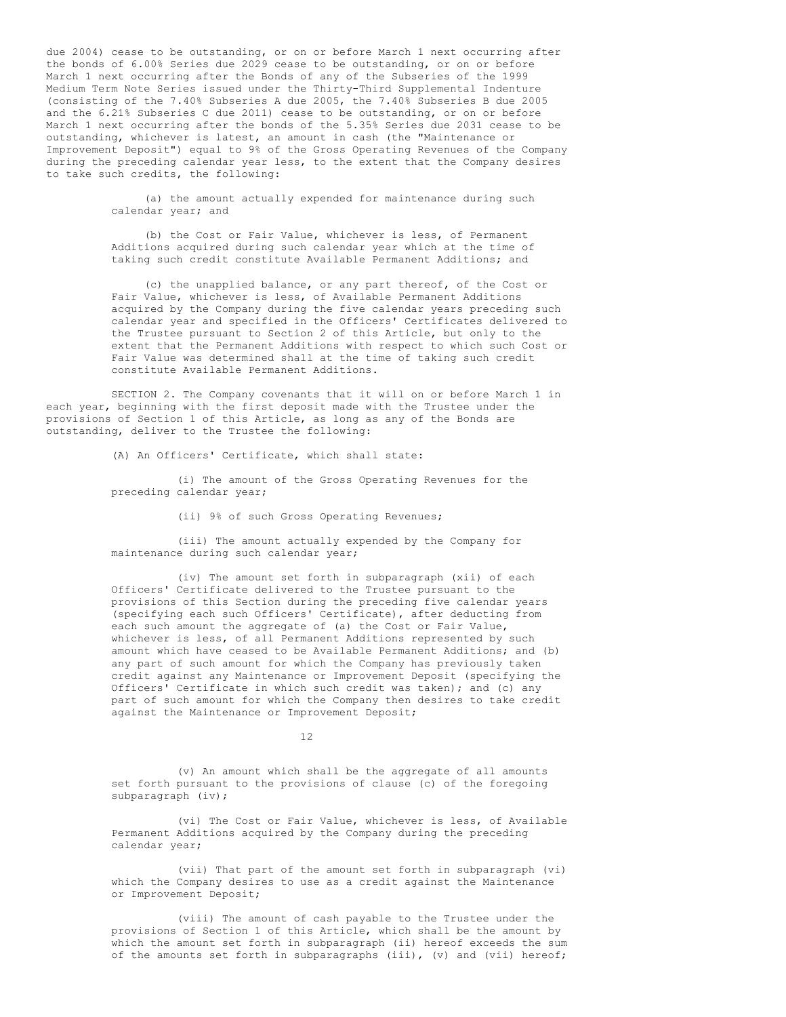due 2004) cease to be outstanding, or on or before March 1 next occurring after the bonds of 6.00% Series due 2029 cease to be outstanding, or on or before March 1 next occurring after the Bonds of any of the Subseries of the 1999 Medium Term Note Series issued under the Thirty-Third Supplemental Indenture (consisting of the 7.40% Subseries A due 2005, the 7.40% Subseries B due 2005 and the 6.21% Subseries C due 2011) cease to be outstanding, or on or before March 1 next occurring after the bonds of the 5.35% Series due 2031 cease to be outstanding, whichever is latest, an amount in cash (the "Maintenance or Improvement Deposit") equal to 9% of the Gross Operating Revenues of the Company during the preceding calendar year less, to the extent that the Company desires to take such credits, the following:

> (a) the amount actually expended for maintenance during such calendar year; and

> (b) the Cost or Fair Value, whichever is less, of Permanent Additions acquired during such calendar year which at the time of taking such credit constitute Available Permanent Additions; and

(c) the unapplied balance, or any part thereof, of the Cost or Fair Value, whichever is less, of Available Permanent Additions acquired by the Company during the five calendar years preceding such calendar year and specified in the Officers' Certificates delivered to the Trustee pursuant to Section 2 of this Article, but only to the extent that the Permanent Additions with respect to which such Cost or Fair Value was determined shall at the time of taking such credit constitute Available Permanent Additions.

SECTION 2. The Company covenants that it will on or before March 1 in each year, beginning with the first deposit made with the Trustee under the provisions of Section 1 of this Article, as long as any of the Bonds are outstanding, deliver to the Trustee the following:

(A) An Officers' Certificate, which shall state:

(i) The amount of the Gross Operating Revenues for the preceding calendar year;

(ii) 9% of such Gross Operating Revenues;

(iii) The amount actually expended by the Company for maintenance during such calendar year;

(iv) The amount set forth in subparagraph (xii) of each Officers' Certificate delivered to the Trustee pursuant to the provisions of this Section during the preceding five calendar years (specifying each such Officers' Certificate), after deducting from each such amount the aggregate of (a) the Cost or Fair Value, whichever is less, of all Permanent Additions represented by such amount which have ceased to be Available Permanent Additions; and (b) any part of such amount for which the Company has previously taken credit against any Maintenance or Improvement Deposit (specifying the Officers' Certificate in which such credit was taken); and (c) any part of such amount for which the Company then desires to take credit against the Maintenance or Improvement Deposit;

12

(v) An amount which shall be the aggregate of all amounts set forth pursuant to the provisions of clause (c) of the foregoing subparagraph (iv);

(vi) The Cost or Fair Value, whichever is less, of Available Permanent Additions acquired by the Company during the preceding calendar year;

(vii) That part of the amount set forth in subparagraph (vi) which the Company desires to use as a credit against the Maintenance or Improvement Deposit;

(viii) The amount of cash payable to the Trustee under the provisions of Section 1 of this Article, which shall be the amount by which the amount set forth in subparagraph (ii) hereof exceeds the sum of the amounts set forth in subparagraphs (iii), (v) and (vii) hereof;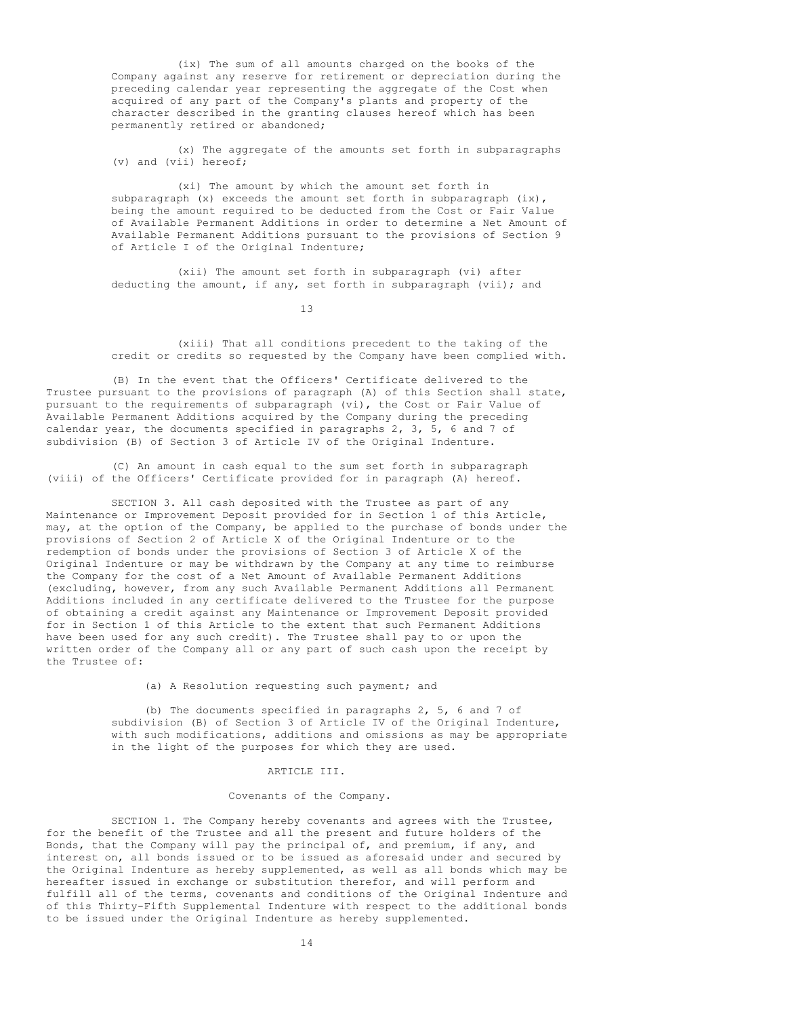(ix) The sum of all amounts charged on the books of the Company against any reserve for retirement or depreciation during the preceding calendar year representing the aggregate of the Cost when acquired of any part of the Company's plants and property of the character described in the granting clauses hereof which has been permanently retired or abandoned;

(x) The aggregate of the amounts set forth in subparagraphs (v) and (vii) hereof;

(xi) The amount by which the amount set forth in subparagraph (x) exceeds the amount set forth in subparagraph (ix), being the amount required to be deducted from the Cost or Fair Value of Available Permanent Additions in order to determine a Net Amount of Available Permanent Additions pursuant to the provisions of Section 9 of Article I of the Original Indenture;

(xii) The amount set forth in subparagraph (vi) after deducting the amount, if any, set forth in subparagraph (vii); and

13

(xiii) That all conditions precedent to the taking of the credit or credits so requested by the Company have been complied with.

(B) In the event that the Officers' Certificate delivered to the Trustee pursuant to the provisions of paragraph (A) of this Section shall state, pursuant to the requirements of subparagraph (vi), the Cost or Fair Value of Available Permanent Additions acquired by the Company during the preceding calendar year, the documents specified in paragraphs 2, 3, 5, 6 and 7 of subdivision (B) of Section 3 of Article IV of the Original Indenture.

(C) An amount in cash equal to the sum set forth in subparagraph (viii) of the Officers' Certificate provided for in paragraph (A) hereof.

SECTION 3. All cash deposited with the Trustee as part of any Maintenance or Improvement Deposit provided for in Section 1 of this Article, may, at the option of the Company, be applied to the purchase of bonds under the provisions of Section 2 of Article X of the Original Indenture or to the redemption of bonds under the provisions of Section 3 of Article X of the Original Indenture or may be withdrawn by the Company at any time to reimburse the Company for the cost of a Net Amount of Available Permanent Additions (excluding, however, from any such Available Permanent Additions all Permanent Additions included in any certificate delivered to the Trustee for the purpose of obtaining a credit against any Maintenance or Improvement Deposit provided for in Section 1 of this Article to the extent that such Permanent Additions have been used for any such credit). The Trustee shall pay to or upon the written order of the Company all or any part of such cash upon the receipt by the Trustee of:

(a) A Resolution requesting such payment; and

(b) The documents specified in paragraphs 2, 5, 6 and 7 of subdivision (B) of Section 3 of Article IV of the Original Indenture, with such modifications, additions and omissions as may be appropriate in the light of the purposes for which they are used.

#### ARTICLE III.

#### Covenants of the Company.

SECTION 1. The Company hereby covenants and agrees with the Trustee, for the benefit of the Trustee and all the present and future holders of the Bonds, that the Company will pay the principal of, and premium, if any, and interest on, all bonds issued or to be issued as aforesaid under and secured by the Original Indenture as hereby supplemented, as well as all bonds which may be hereafter issued in exchange or substitution therefor, and will perform and fulfill all of the terms, covenants and conditions of the Original Indenture and of this Thirty-Fifth Supplemental Indenture with respect to the additional bonds to be issued under the Original Indenture as hereby supplemented.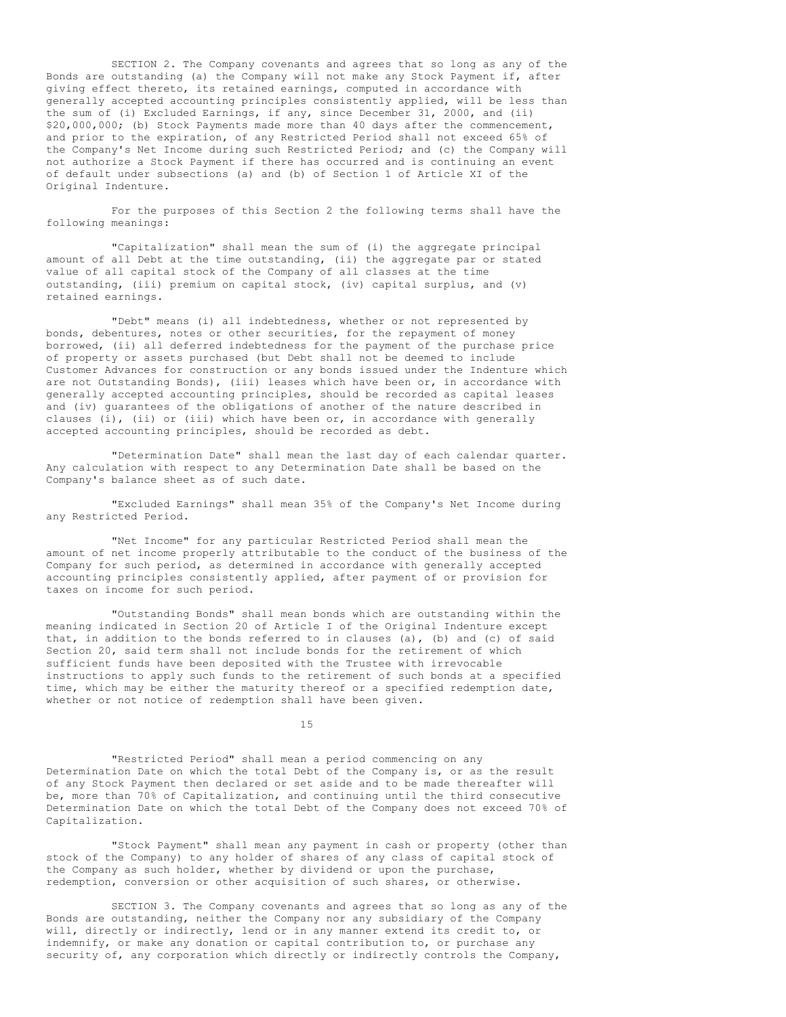SECTION 2. The Company covenants and agrees that so long as any of the Bonds are outstanding (a) the Company will not make any Stock Payment if, after giving effect thereto, its retained earnings, computed in accordance with generally accepted accounting principles consistently applied, will be less than the sum of (i) Excluded Earnings, if any, since December 31, 2000, and (ii) \$20,000,000; (b) Stock Payments made more than 40 days after the commencement, and prior to the expiration, of any Restricted Period shall not exceed 65% of the Company's Net Income during such Restricted Period; and (c) the Company will not authorize a Stock Payment if there has occurred and is continuing an event of default under subsections (a) and (b) of Section 1 of Article XI of the Original Indenture.

For the purposes of this Section 2 the following terms shall have the following meanings:

"Capitalization" shall mean the sum of (i) the aggregate principal amount of all Debt at the time outstanding, (ii) the aggregate par or stated value of all capital stock of the Company of all classes at the time outstanding, (iii) premium on capital stock, (iv) capital surplus, and (v) retained earnings.

"Debt" means (i) all indebtedness, whether or not represented by bonds, debentures, notes or other securities, for the repayment of money borrowed, (ii) all deferred indebtedness for the payment of the purchase price of property or assets purchased (but Debt shall not be deemed to include Customer Advances for construction or any bonds issued under the Indenture which are not Outstanding Bonds), (iii) leases which have been or, in accordance with generally accepted accounting principles, should be recorded as capital leases and (iv) guarantees of the obligations of another of the nature described in clauses (i), (ii) or (iii) which have been or, in accordance with generally accepted accounting principles, should be recorded as debt.

"Determination Date" shall mean the last day of each calendar quarter. Any calculation with respect to any Determination Date shall be based on the Company's balance sheet as of such date.

"Excluded Earnings" shall mean 35% of the Company's Net Income during any Restricted Period.

"Net Income" for any particular Restricted Period shall mean the amount of net income properly attributable to the conduct of the business of the Company for such period, as determined in accordance with generally accepted accounting principles consistently applied, after payment of or provision for taxes on income for such period.

"Outstanding Bonds" shall mean bonds which are outstanding within the meaning indicated in Section 20 of Article I of the Original Indenture except that, in addition to the bonds referred to in clauses (a), (b) and (c) of said Section 20, said term shall not include bonds for the retirement of which sufficient funds have been deposited with the Trustee with irrevocable instructions to apply such funds to the retirement of such bonds at a specified time, which may be either the maturity thereof or a specified redemption date, whether or not notice of redemption shall have been given.

15

"Restricted Period" shall mean a period commencing on any Determination Date on which the total Debt of the Company is, or as the result of any Stock Payment then declared or set aside and to be made thereafter will be, more than 70% of Capitalization, and continuing until the third consecutive Determination Date on which the total Debt of the Company does not exceed 70% of Capitalization.

"Stock Payment" shall mean any payment in cash or property (other than stock of the Company) to any holder of shares of any class of capital stock of the Company as such holder, whether by dividend or upon the purchase, redemption, conversion or other acquisition of such shares, or otherwise.

SECTION 3. The Company covenants and agrees that so long as any of the Bonds are outstanding, neither the Company nor any subsidiary of the Company will, directly or indirectly, lend or in any manner extend its credit to, or indemnify, or make any donation or capital contribution to, or purchase any security of, any corporation which directly or indirectly controls the Company,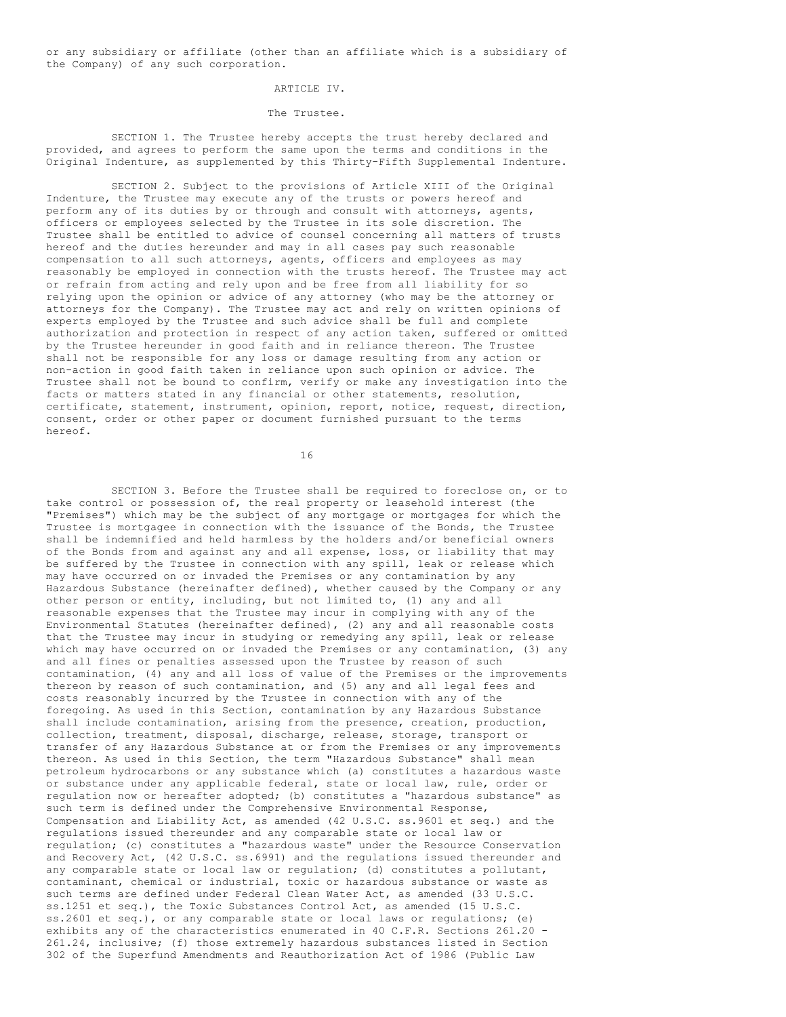or any subsidiary or affiliate (other than an affiliate which is a subsidiary of the Company) of any such corporation.

### ARTICLE IV.

#### The Trustee.

SECTION 1. The Trustee hereby accepts the trust hereby declared and provided, and agrees to perform the same upon the terms and conditions in the Original Indenture, as supplemented by this Thirty-Fifth Supplemental Indenture.

SECTION 2. Subject to the provisions of Article XIII of the Original Indenture, the Trustee may execute any of the trusts or powers hereof and perform any of its duties by or through and consult with attorneys, agents, officers or employees selected by the Trustee in its sole discretion. The Trustee shall be entitled to advice of counsel concerning all matters of trusts hereof and the duties hereunder and may in all cases pay such reasonable compensation to all such attorneys, agents, officers and employees as may reasonably be employed in connection with the trusts hereof. The Trustee may act or refrain from acting and rely upon and be free from all liability for so relying upon the opinion or advice of any attorney (who may be the attorney or attorneys for the Company). The Trustee may act and rely on written opinions of experts employed by the Trustee and such advice shall be full and complete authorization and protection in respect of any action taken, suffered or omitted by the Trustee hereunder in good faith and in reliance thereon. The Trustee shall not be responsible for any loss or damage resulting from any action or non-action in good faith taken in reliance upon such opinion or advice. The Trustee shall not be bound to confirm, verify or make any investigation into the facts or matters stated in any financial or other statements, resolution, certificate, statement, instrument, opinion, report, notice, request, direction, consent, order or other paper or document furnished pursuant to the terms hereof.

16

SECTION 3. Before the Trustee shall be required to foreclose on, or to take control or possession of, the real property or leasehold interest (the "Premises") which may be the subject of any mortgage or mortgages for which the Trustee is mortgagee in connection with the issuance of the Bonds, the Trustee shall be indemnified and held harmless by the holders and/or beneficial owners of the Bonds from and against any and all expense, loss, or liability that may be suffered by the Trustee in connection with any spill, leak or release which may have occurred on or invaded the Premises or any contamination by any Hazardous Substance (hereinafter defined), whether caused by the Company or any other person or entity, including, but not limited to, (1) any and all reasonable expenses that the Trustee may incur in complying with any of the Environmental Statutes (hereinafter defined), (2) any and all reasonable costs that the Trustee may incur in studying or remedying any spill, leak or release which may have occurred on or invaded the Premises or any contamination, (3) any and all fines or penalties assessed upon the Trustee by reason of such contamination, (4) any and all loss of value of the Premises or the improvements thereon by reason of such contamination, and (5) any and all legal fees and costs reasonably incurred by the Trustee in connection with any of the foregoing. As used in this Section, contamination by any Hazardous Substance shall include contamination, arising from the presence, creation, production, collection, treatment, disposal, discharge, release, storage, transport or transfer of any Hazardous Substance at or from the Premises or any improvements thereon. As used in this Section, the term "Hazardous Substance" shall mean petroleum hydrocarbons or any substance which (a) constitutes a hazardous waste or substance under any applicable federal, state or local law, rule, order or regulation now or hereafter adopted; (b) constitutes a "hazardous substance" as such term is defined under the Comprehensive Environmental Response, Compensation and Liability Act, as amended (42 U.S.C. ss.9601 et seq.) and the regulations issued thereunder and any comparable state or local law or regulation; (c) constitutes a "hazardous waste" under the Resource Conservation and Recovery Act, (42 U.S.C. ss.6991) and the regulations issued thereunder and any comparable state or local law or regulation; (d) constitutes a pollutant, contaminant, chemical or industrial, toxic or hazardous substance or waste as such terms are defined under Federal Clean Water Act, as amended (33 U.S.C. ss.1251 et seq.), the Toxic Substances Control Act, as amended (15 U.S.C. ss.2601 et seq.), or any comparable state or local laws or regulations; (e) exhibits any of the characteristics enumerated in 40 C.F.R. Sections 261.20 - 261.24, inclusive; (f) those extremely hazardous substances listed in Section 302 of the Superfund Amendments and Reauthorization Act of 1986 (Public Law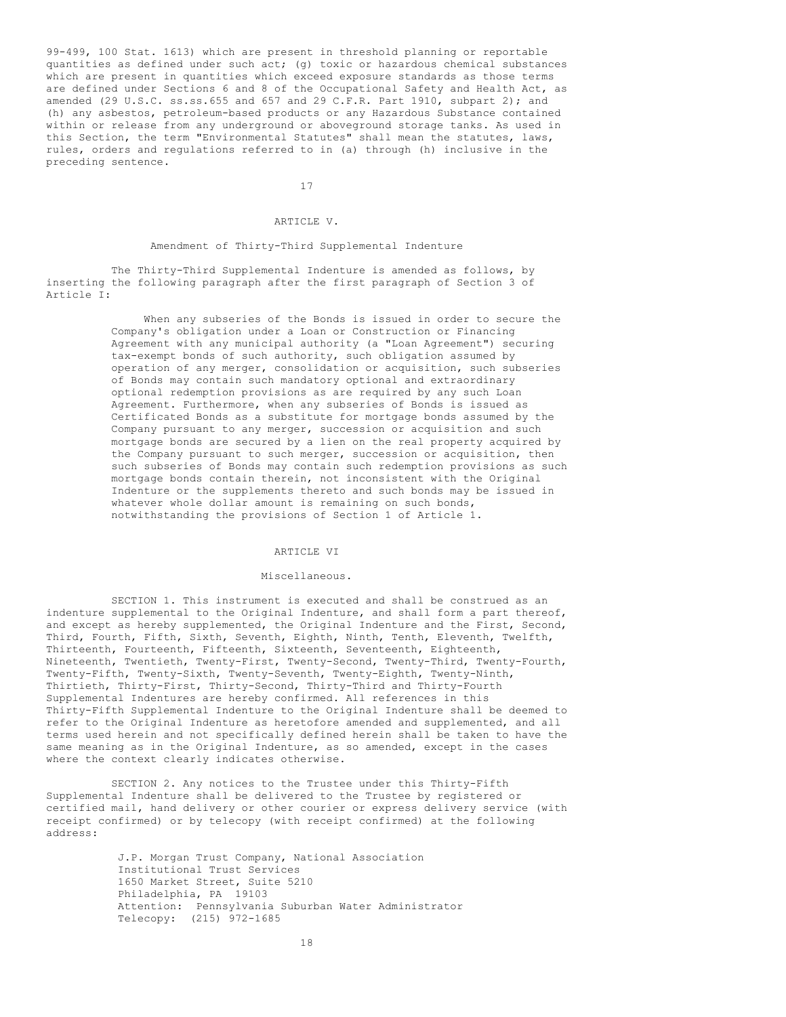99-499, 100 Stat. 1613) which are present in threshold planning or reportable quantities as defined under such act; (g) toxic or hazardous chemical substances which are present in quantities which exceed exposure standards as those terms are defined under Sections 6 and 8 of the Occupational Safety and Health Act, as amended (29 U.S.C. ss.ss.655 and 657 and 29 C.F.R. Part 1910, subpart 2); and (h) any asbestos, petroleum-based products or any Hazardous Substance contained within or release from any underground or aboveground storage tanks. As used in this Section, the term "Environmental Statutes" shall mean the statutes, laws, rules, orders and regulations referred to in (a) through (h) inclusive in the preceding sentence.

17

### ARTICLE V.

#### Amendment of Thirty-Third Supplemental Indenture

The Thirty-Third Supplemental Indenture is amended as follows, by inserting the following paragraph after the first paragraph of Section 3 of Article I:

> When any subseries of the Bonds is issued in order to secure the Company's obligation under a Loan or Construction or Financing Agreement with any municipal authority (a "Loan Agreement") securing tax-exempt bonds of such authority, such obligation assumed by operation of any merger, consolidation or acquisition, such subseries of Bonds may contain such mandatory optional and extraordinary optional redemption provisions as are required by any such Loan Agreement. Furthermore, when any subseries of Bonds is issued as Certificated Bonds as a substitute for mortgage bonds assumed by the Company pursuant to any merger, succession or acquisition and such mortgage bonds are secured by a lien on the real property acquired by the Company pursuant to such merger, succession or acquisition, then such subseries of Bonds may contain such redemption provisions as such mortgage bonds contain therein, not inconsistent with the Original Indenture or the supplements thereto and such bonds may be issued in whatever whole dollar amount is remaining on such bonds, notwithstanding the provisions of Section 1 of Article 1.

#### ARTICLE VI

#### Miscellaneous.

SECTION 1. This instrument is executed and shall be construed as an indenture supplemental to the Original Indenture, and shall form a part thereof, and except as hereby supplemented, the Original Indenture and the First, Second, Third, Fourth, Fifth, Sixth, Seventh, Eighth, Ninth, Tenth, Eleventh, Twelfth, Thirteenth, Fourteenth, Fifteenth, Sixteenth, Seventeenth, Eighteenth, Nineteenth, Twentieth, Twenty-First, Twenty-Second, Twenty-Third, Twenty-Fourth, Twenty-Fifth, Twenty-Sixth, Twenty-Seventh, Twenty-Eighth, Twenty-Ninth, Thirtieth, Thirty-First, Thirty-Second, Thirty-Third and Thirty-Fourth Supplemental Indentures are hereby confirmed. All references in this Thirty-Fifth Supplemental Indenture to the Original Indenture shall be deemed to refer to the Original Indenture as heretofore amended and supplemented, and all terms used herein and not specifically defined herein shall be taken to have the same meaning as in the Original Indenture, as so amended, except in the cases where the context clearly indicates otherwise.

SECTION 2. Any notices to the Trustee under this Thirty-Fifth Supplemental Indenture shall be delivered to the Trustee by registered or certified mail, hand delivery or other courier or express delivery service (with receipt confirmed) or by telecopy (with receipt confirmed) at the following address:

> J.P. Morgan Trust Company, National Association Institutional Trust Services 1650 Market Street, Suite 5210 Philadelphia, PA 19103 Attention: Pennsylvania Suburban Water Administrator Telecopy: (215) 972-1685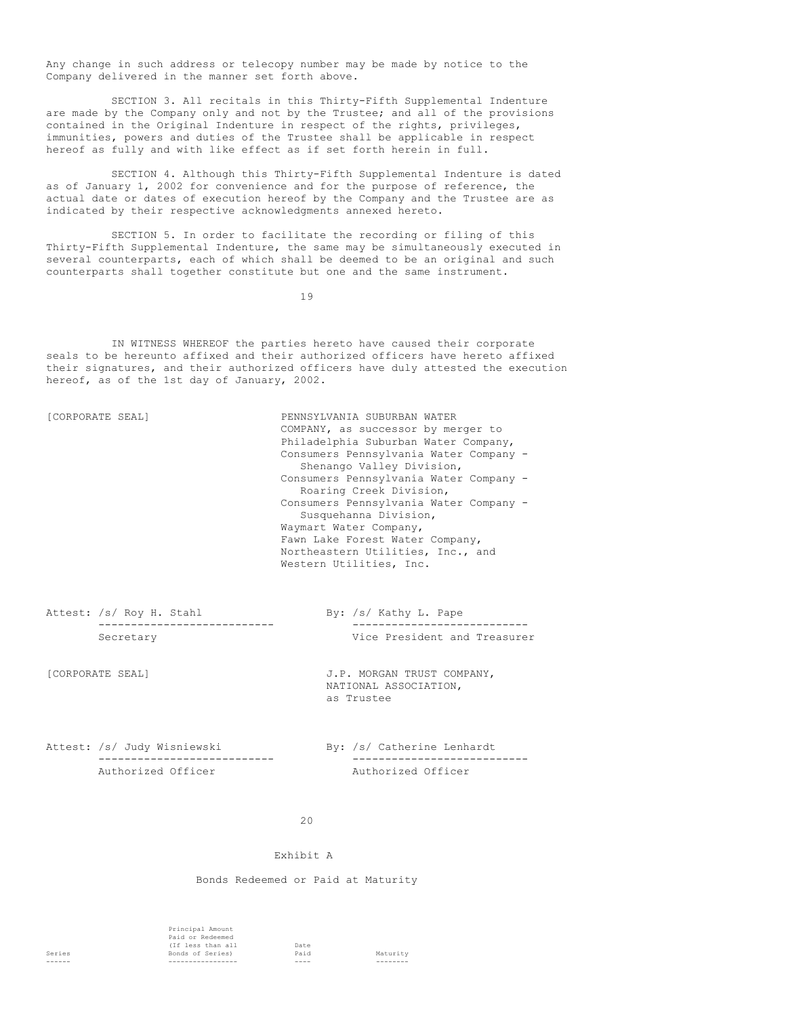Any change in such address or telecopy number may be made by notice to the Company delivered in the manner set forth above.

SECTION 3. All recitals in this Thirty-Fifth Supplemental Indenture are made by the Company only and not by the Trustee; and all of the provisions contained in the Original Indenture in respect of the rights, privileges, immunities, powers and duties of the Trustee shall be applicable in respect hereof as fully and with like effect as if set forth herein in full.

SECTION 4. Although this Thirty-Fifth Supplemental Indenture is dated as of January 1, 2002 for convenience and for the purpose of reference, the actual date or dates of execution hereof by the Company and the Trustee are as indicated by their respective acknowledgments annexed hereto.

SECTION 5. In order to facilitate the recording or filing of this Thirty-Fifth Supplemental Indenture, the same may be simultaneously executed in several counterparts, each of which shall be deemed to be an original and such counterparts shall together constitute but one and the same instrument.

19

IN WITNESS WHEREOF the parties hereto have caused their corporate seals to be hereunto affixed and their authorized officers have hereto affixed their signatures, and their authorized officers have duly attested the execution hereof, as of the 1st day of January, 2002.

[CORPORATE SEAL] PENNSYLVANIA SUBURBAN WATER COMPANY, as successor by merger to Philadelphia Suburban Water Company, Consumers Pennsylvania Water Company - Shenango Valley Division, Consumers Pennsylvania Water Company - Roaring Creek Division, Consumers Pennsylvania Water Company - Susquehanna Division, Waymart Water Company, Fawn Lake Forest Water Company, Northeastern Utilities, Inc., and Western Utilities, Inc.

Attest: /s/ Roy H. Stahl By: /s/ Kathy L. Pape

--------------------------- --------------------------- Secretary Vice President and Treasurer

[CORPORATE SEAL] J.P. MORGAN TRUST COMPANY, NATIONAL ASSOCIATION, as Trustee

Attest: /s/ Judy Wisniewski By: /s/ Catherine Lenhardt Authorized Officer Authorized Officer

--------------------------- ---------------------------

### $20$

#### Exhibit A

Bonds Redeemed or Paid at Maturity

Principal Amount Paid or Redeemed (If less than all Date Series Bonds of Series) Paid Maturity ------ ----------------- ---- --------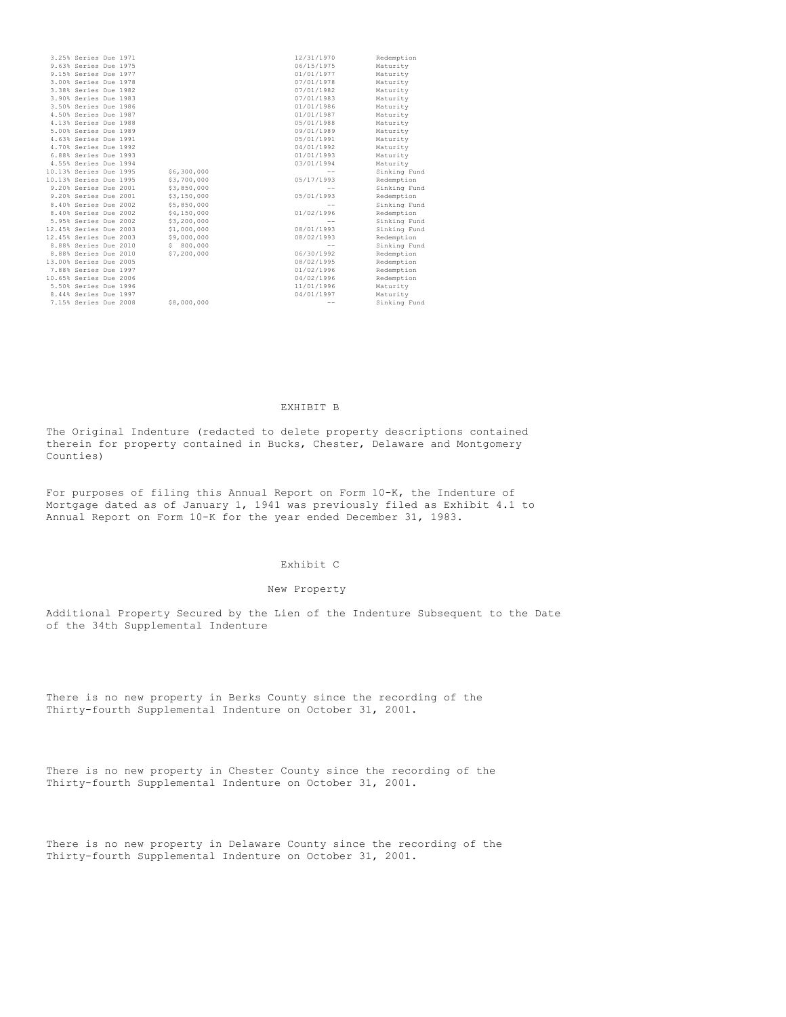| 3.25% Series Due 1971  |  |             | 12/31/1970 | Redemption   |
|------------------------|--|-------------|------------|--------------|
| 9.63% Series Due 1975  |  |             | 06/15/1975 | Maturity     |
| 9.15% Series Due 1977  |  |             | 01/01/1977 | Maturity     |
| 3.00% Series Due 1978  |  |             | 07/01/1978 | Maturity     |
| 3.38% Series Due 1982  |  |             | 07/01/1982 | Maturity     |
| 3.90% Series Due 1983  |  |             | 07/01/1983 | Maturity     |
| 3.50% Series Due 1986  |  |             | 01/01/1986 | Maturity     |
| 4.50% Series Due 1987  |  |             | 01/01/1987 | Maturity     |
| 4.13% Series Due 1988  |  |             | 05/01/1988 | Maturity     |
| 5.00% Series Due 1989  |  |             | 09/01/1989 | Maturity     |
| 4.63% Series Due 1991  |  |             | 05/01/1991 | Maturity     |
| 4.70% Series Due 1992  |  |             | 04/01/1992 | Maturity     |
| 6.88% Series Due 1993  |  |             | 01/01/1993 | Maturity     |
| 4.55% Series Due 1994  |  |             | 03/01/1994 | Maturity     |
| 10.13% Series Due 1995 |  | \$6,300,000 |            | Sinking Fund |
| 10.13% Series Due 1995 |  | \$3,700,000 | 05/17/1993 | Redemption   |
| 9.20% Series Due 2001  |  | \$3,850,000 | $- -$      | Sinking Fund |
| 9.20% Series Due 2001  |  | \$3,150,000 | 05/01/1993 | Redemption   |
| 8.40% Series Due 2002  |  | \$5,850,000 | $- -$      | Sinking Fund |
| 8.40% Series Due 2002  |  | \$4,150,000 | 01/02/1996 | Redemption   |
| 5.95% Series Due 2002  |  | \$3,200,000 |            | Sinking Fund |
| 12.45% Series Due 2003 |  | \$1,000,000 | 08/01/1993 | Sinking Fund |
| 12.45% Series Due 2003 |  | \$9,000,000 | 08/02/1993 | Redemption   |
| 8.88% Series Due 2010  |  | \$800,000   |            | Sinking Fund |
| 8.88% Series Due 2010  |  | \$7,200,000 | 06/30/1992 | Redemption   |
| 13.00% Series Due 2005 |  |             | 08/02/1995 | Redemption   |
| 7.88% Series Due 1997  |  |             | 01/02/1996 | Redemption   |
| 10.65% Series Due 2006 |  |             | 04/02/1996 | Redemption   |
| 5.50% Series Due 1996  |  |             | 11/01/1996 | Maturity     |
| 8.44% Series Due 1997  |  |             | 04/01/1997 | Maturity     |
| 7.15% Series Due 2008  |  | \$8,000,000 | $ -$       | Sinking Fund |
|                        |  |             |            |              |

## EXHIBIT B

The Original Indenture (redacted to delete property descriptions contained therein for property contained in Bucks, Chester, Delaware and Montgomery Counties)

For purposes of filing this Annual Report on Form 10-K, the Indenture of Mortgage dated as of January 1, 1941 was previously filed as Exhibit 4.1 to Annual Report on Form 10-K for the year ended December 31, 1983.

### Exhibit C

#### New Property

Additional Property Secured by the Lien of the Indenture Subsequent to the Date of the 34th Supplemental Indenture

There is no new property in Berks County since the recording of the Thirty-fourth Supplemental Indenture on October 31, 2001.

There is no new property in Chester County since the recording of the Thirty-fourth Supplemental Indenture on October 31, 2001.

There is no new property in Delaware County since the recording of the Thirty-fourth Supplemental Indenture on October 31, 2001.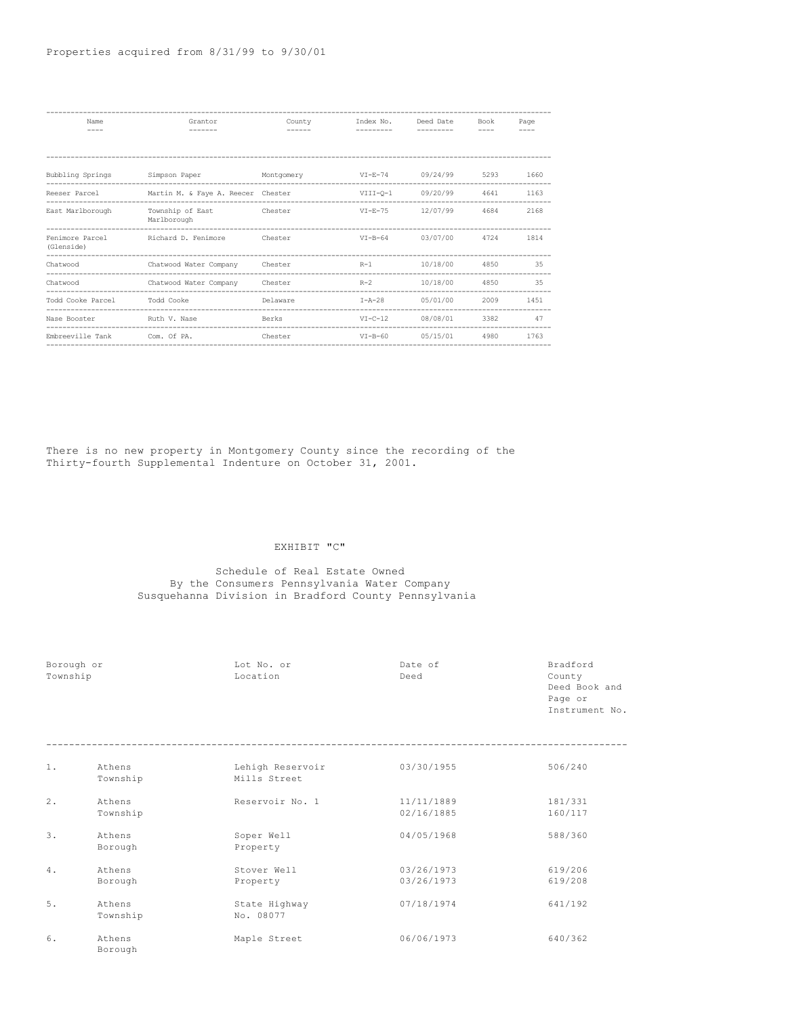| Name                          | Grantor                                                     | County   | Index No.    | Deed Date | Book | Page |
|-------------------------------|-------------------------------------------------------------|----------|--------------|-----------|------|------|
|                               |                                                             |          |              |           |      |      |
|                               |                                                             |          |              |           |      |      |
| Bubbling Springs              | Simpson Paper Montgomery                                    |          | $VI-E-74$    | 09/24/99  | 5293 | 1660 |
| Reeser Parcel                 | Martin M. & Faye A. Reecer Chester                          |          | VIII-0-1     | 09/20/99  | 4641 | 1163 |
| East Marlborough              | Township of East<br><b>Example 2</b> Chester<br>Marlborough |          | $VI-E-75$    | 12/07/99  | 4684 | 2168 |
| Fenimore Parcel<br>(Glenside) | Richard D. Fenimore                                         | Chester  | $VI-B-64$    | 03/07/00  | 4724 | 1814 |
| Chatwood                      | Chatwood Water Company Chester                              |          | $R-1$        | 10/18/00  | 4850 | 35   |
| Chatwood                      | Chatwood Water Company                                      | Chester  | $R-2$        | 10/18/00  | 4850 | 35   |
| Todd Cooke Parcel             | Todd Cooke                                                  | Delaware | $I - A - 28$ | 05/01/00  | 2009 | 1451 |
| Nase Booster                  | Ruth V. Nase                                                | Berks    | $VI-C-12$    | 08/08/01  | 3382 | 47   |
| Embreeville Tank              | Com. Of PA.                                                 | Chester  | $VI-B-60$    | 05/15/01  | 4980 | 1763 |

There is no new property in Montgomery County since the recording of the Thirty-fourth Supplemental Indenture on October 31, 2001.

# EXHIBIT "C"

## Schedule of Real Estate Owned By the Consumers Pennsylvania Water Company Susquehanna Division in Bradford County Pennsylvania

| Borough or<br>Township |                    | Lot No. or<br>Location           | Date of<br>Deed          | Bradford<br>County<br>Deed Book and<br>Page or<br>Instrument No. |
|------------------------|--------------------|----------------------------------|--------------------------|------------------------------------------------------------------|
| 1.                     | Athens<br>Township | Lehigh Reservoir<br>Mills Street | 03/30/1955               | 506/240                                                          |
| 2.                     | Athens<br>Township | Reservoir No. 1                  | 11/11/1889<br>02/16/1885 | 181/331<br>160/117                                               |
| $\overline{3}$ .       | Athens<br>Borough  | Soper Well<br>Property           | 04/05/1968               | 588/360                                                          |
| 4.                     | Athens<br>Borough  | Stover Well<br>Property          | 03/26/1973<br>03/26/1973 | 619/206<br>619/208                                               |
| 5.                     | Athens<br>Township | State Highway<br>No. 08077       | 07/18/1974               | 641/192                                                          |
| 6.                     | Athens<br>Borough  | Maple Street                     | 06/06/1973               | 640/362                                                          |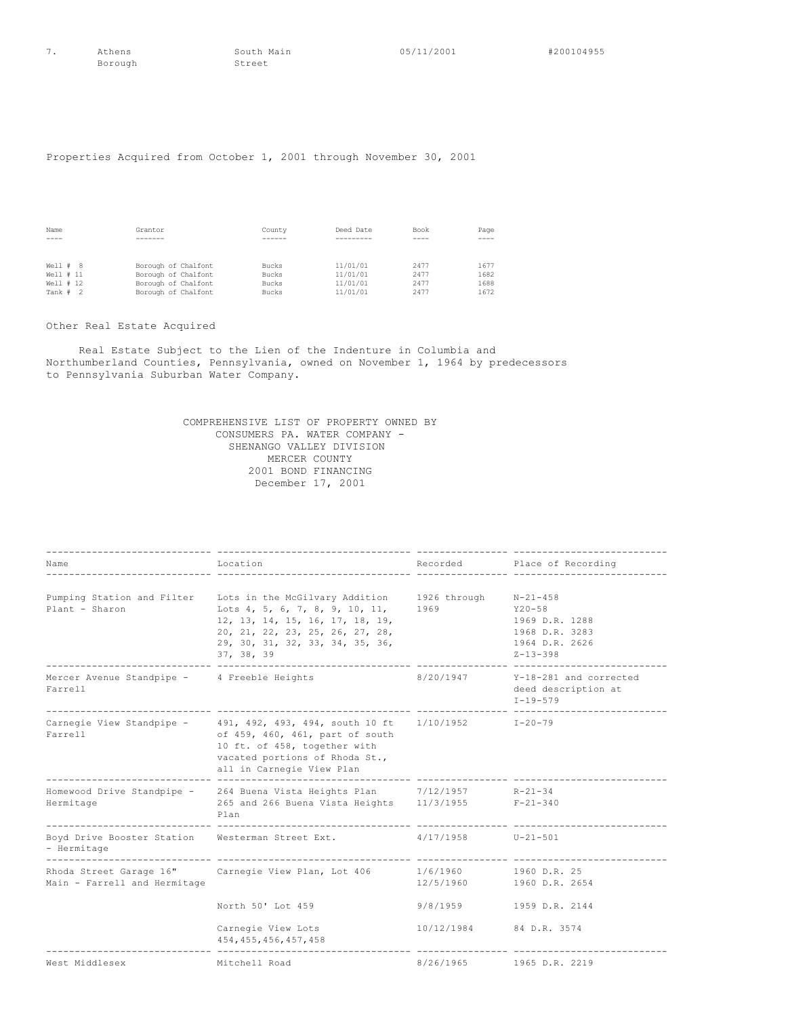Borough

7. Athens South Main 05/11/2001 #200104955<br>Borough Street

# Properties Acquired from October 1, 2001 through November 30, 2001

| Name          | Grantor             | County | Deed Date | Book | Page |
|---------------|---------------------|--------|-----------|------|------|
| $\frac{1}{2}$ |                     |        |           | ---- | ---- |
|               |                     |        |           |      |      |
|               |                     |        |           |      |      |
| Well # 8      | Borough of Chalfont | Bucks  | 11/01/01  | 2477 | 1677 |
| Well # 11     | Borough of Chalfont | Bucks  | 11/01/01  | 2477 | 1682 |
| Well # 12     | Borough of Chalfont | Bucks  | 11/01/01  | 2477 | 1688 |
| Tank # 2      | Borough of Chalfont | Bucks  | 11/01/01  | 2477 | 1672 |

# Other Real Estate Acquired

Real Estate Subject to the Lien of the Indenture in Columbia and Northumberland Counties, Pennsylvania, owned on November 1, 1964 by predecessors to Pennsylvania Suburban Water Company.

> COMPREHENSIVE LIST OF PROPERTY OWNED BY CONSUMERS PA. WATER COMPANY - SHENANGO VALLEY DIVISION MERCER COUNTY 2001 BOND FINANCING December 17, 2001

| Name                                                   | Location                                                                                                                                                                                                                                  |                                                                                                                                                                                                                                 | Recorded Place of Recording                                                                          |
|--------------------------------------------------------|-------------------------------------------------------------------------------------------------------------------------------------------------------------------------------------------------------------------------------------------|---------------------------------------------------------------------------------------------------------------------------------------------------------------------------------------------------------------------------------|------------------------------------------------------------------------------------------------------|
| Plant - Sharon                                         | Pumping Station and Filter Lots in the McGilvary Addition 1926 through<br>Lots 4, 5, 6, 7, 8, 9, 10, 11,<br>12, 13, 14, 15, 16, 17, 18, 19,<br>20, 21, 22, 23, 25, 26, 27, 28,<br>29, 30, 31, 32, 33, 34, 35, 36,<br>37, 38, 39           | 1969 — 1969 — 1960 — 1960 — 1970 — 1980 — 1980 — 1980 — 1980 — 1980 — 1980 — 1980 — 1980 — 1980 — 1980 — 1980 — 1980 — 1980 — 1980 — 1980 — 1980 — 1980 — 1980 — 1980 — 1980 — 1980 — 1980 — 1980 — 1980 — 1980 — 1980 — 1980 — | $N - 21 - 458$<br>$Y20 - 58$<br>1969 D.R. 1288<br>1968 D.R. 3283<br>1964 D.R. 2626<br>$Z - 13 - 398$ |
| Mercer Avenue Standpipe - 4 Freeble Heights<br>Farrell |                                                                                                                                                                                                                                           | 8/20/1947                                                                                                                                                                                                                       | Y-18-281 and corrected<br>deed description at<br>$I - 19 - 579$                                      |
| Farrell                                                | Carnegie View Standpipe - 491, 492, 493, 494, south 10 ft 1/10/1952 1-20-79<br>of 459, 460, 461, part of south<br>10 ft. of 458, together with<br>vacated portions of Rhoda St.,<br>all in Carnegie View Plan<br>________________________ |                                                                                                                                                                                                                                 |                                                                                                      |
| Hermitage<br>------------------------------            | Homewood Drive Standpipe - 264 Buena Vista Heights Plan 7/12/1957<br>265 and 266 Buena Vista Heights 11/3/1955 F-21-340<br>Plan                                                                                                           |                                                                                                                                                                                                                                 | R-21-34                                                                                              |
| - Hermitage                                            | Boyd Drive Booster Station Westerman Street Ext. 4/17/1958 U-21-501                                                                                                                                                                       |                                                                                                                                                                                                                                 | ------------------                                                                                   |
| Main - Farrell and Hermitage                           | Rhoda Street Garage 16" Carnegie View Plan, Lot 406                                                                                                                                                                                       | 1/6/1960<br>12/5/1960                                                                                                                                                                                                           | 1960 D.R. 25<br>1960 D.R. 2654                                                                       |
|                                                        | North 50' Lot 459                                                                                                                                                                                                                         | 9/8/1959                                                                                                                                                                                                                        | 1959 D.R. 2144                                                                                       |
|                                                        | Carnegie View Lots<br>454, 455, 456, 457, 458                                                                                                                                                                                             | 10/12/1984 84 D.R. 3574                                                                                                                                                                                                         |                                                                                                      |
| West Middlesex                                         | Mitchell Road                                                                                                                                                                                                                             | 8/26/1965                                                                                                                                                                                                                       | 1965 D.R. 2219                                                                                       |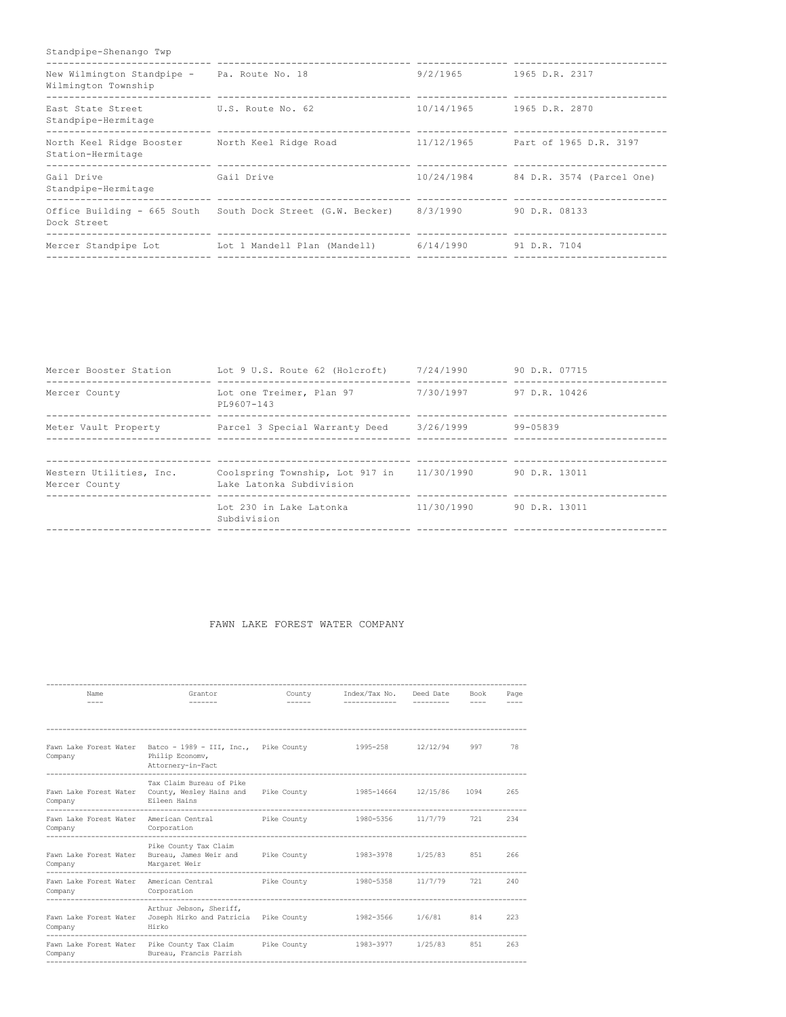# Standpipe-Shenango Twp

| New Wilmington Standpipe -<br>Wilmington Township | Pa. Route No. 18                                                           | 9/2/1965   | 1965 D.R. 2317            |
|---------------------------------------------------|----------------------------------------------------------------------------|------------|---------------------------|
| East State Street<br>Standpipe-Hermitage          | U.S. Route No. 62                                                          | 10/14/1965 | 1965 D.R. 2870            |
| North Keel Ridge Booster<br>Station-Hermitage     | North Keel Ridge Road                                                      | 11/12/1965 | Part of 1965 D.R. 3197    |
| Gail Drive<br>Standpipe-Hermitage                 | Gail Drive                                                                 | 10/24/1984 | 84 D.R. 3574 (Parcel One) |
| Dock Street                                       | Office Building - 665 South South Dock Street (G.W. Becker)                | 8/3/1990   | 90 D.R. 08133             |
|                                                   | Mercer Standpipe Lot 1 Lot 1 Mandell Plan (Mandell) 6/14/1990 91 D.R. 7104 |            |                           |

| Mercer Booster Station                   | Lot 9 U.S. Route 62 (Holcroft)                                         | 7/24/1990  | 90 D.R. 07715 |
|------------------------------------------|------------------------------------------------------------------------|------------|---------------|
| Mercer County                            | Lot one Treimer, Plan 97<br>PL9607-143                                 | 7/30/1997  | 97 D.R. 10426 |
| Meter Vault Property                     | Parcel 3 Special Warranty Deed                                         | 3/26/1999  | 99-05839      |
| Western Utilities, Inc.<br>Mercer County | Coolspring Township, Lot 917 in 11/30/1990<br>Lake Latonka Subdivision |            | 90 D.R. 13011 |
|                                          | Lot 230 in Lake Latonka<br>Subdivision                                 | 11/30/1990 | 90 D.R. 13011 |

# FAWN LAKE FOREST WATER COMPANY

| Name<br>$---$                     | Grantor<br>--------                                                                                          | County<br>$- - - - - -$ | Index/Tax No. Deed Date  | ---------- | Book<br>$---$ | Page<br>$- - - -$ |
|-----------------------------------|--------------------------------------------------------------------------------------------------------------|-------------------------|--------------------------|------------|---------------|-------------------|
|                                   |                                                                                                              |                         |                          |            |               |                   |
| Fawn Lake Forest Water<br>Company | Batco - 1989 - III, Inc., Pike County<br>Philip Economy,<br>Attornery-in-Fact<br>--------------------------- |                         | 1995-258                 | 12/12/94   | 997           | 78                |
| Fawn Lake Forest Water<br>Company | Tax Claim Bureau of Pike<br>County, Wesley Hains and<br>Eileen Hains                                         | Pike County             | 1985-14664 12/15/86 1094 |            |               | 265               |
| Fawn Lake Forest Water<br>Company | American Central<br>Corporation                                                                              | Pike County             | 1980-5356                | 11/7/79    | 721           | 234               |
| Fawn Lake Forest Water<br>Company | Pike County Tax Claim<br>Bureau, James Weir and<br>Margaret Weir<br>-----------------                        | Pike County             | 1983-3978                | 1/25/83    | 851           | 266               |
| Fawn Lake Forest Water<br>Company | American Central<br>Corporation                                                                              | Pike County             | 1980-5358 11/7/79        |            | 721           | 240               |
| Fawn Lake Forest Water<br>Company | Arthur Jebson, Sheriff,<br>Joseph Hirko and Patricia Pike County 1982-3566<br>Hirko                          |                         |                          | 1/6/81     | 814           | 223               |
| Company                           | Fawn Lake Forest Water Pike County Tax Claim Pike County<br>Bureau, Francis Parrish                          |                         | 1983-3977                | 1/25/83    | 851           | 263               |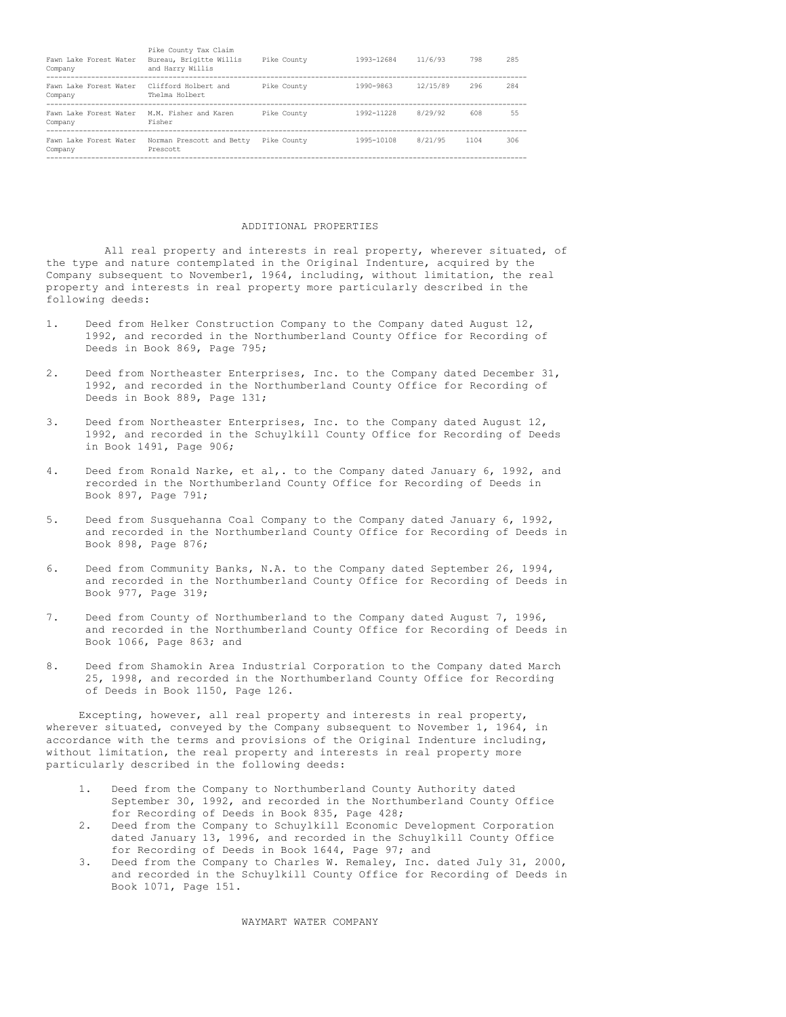| Fawn Lake Forest Water<br>Company | Pike County Tax Claim<br>Bureau, Brigitte Willis<br>and Harry Willis | Pike County | 1993-12684 | 11/6/93  | 798  | 285 |
|-----------------------------------|----------------------------------------------------------------------|-------------|------------|----------|------|-----|
| Fawn Lake Forest Water<br>Company | Clifford Holbert and<br>Thelma Holbert                               | Pike County | 1990-9863  | 12/15/89 | 296  | 284 |
| Fawn Lake Forest Water<br>Company | M.M. Fisher and Karen<br>Fisher                                      | Pike County | 1992-11228 | 8/29/92  | 608  | 55  |
| Fawn Lake Forest Water<br>Company | Norman Prescott and Betty<br>Prescott                                | Pike County | 1995-10108 | 8/21/95  | 1104 | 306 |

### ADDITIONAL PROPERTIES

All real property and interests in real property, wherever situated, of the type and nature contemplated in the Original Indenture, acquired by the Company subsequent to November1, 1964, including, without limitation, the real property and interests in real property more particularly described in the following deeds:

- 1. Deed from Helker Construction Company to the Company dated August 12, 1992, and recorded in the Northumberland County Office for Recording of Deeds in Book 869, Page 795;
- 2. Deed from Northeaster Enterprises, Inc. to the Company dated December 31, 1992, and recorded in the Northumberland County Office for Recording of Deeds in Book 889, Page 131;
- 3. Deed from Northeaster Enterprises, Inc. to the Company dated August 12, 1992, and recorded in the Schuylkill County Office for Recording of Deeds in Book 1491, Page 906;
- 4. Deed from Ronald Narke, et al,. to the Company dated January 6, 1992, and recorded in the Northumberland County Office for Recording of Deeds in Book 897, Page 791;
- 5. Deed from Susquehanna Coal Company to the Company dated January 6, 1992, and recorded in the Northumberland County Office for Recording of Deeds in Book 898, Page 876;
- 6. Deed from Community Banks, N.A. to the Company dated September 26, 1994, and recorded in the Northumberland County Office for Recording of Deeds in Book 977, Page 319;
- 7. Deed from County of Northumberland to the Company dated August 7, 1996, and recorded in the Northumberland County Office for Recording of Deeds in Book 1066, Page 863; and
- 8. Deed from Shamokin Area Industrial Corporation to the Company dated March 25, 1998, and recorded in the Northumberland County Office for Recording of Deeds in Book 1150, Page 126.

Excepting, however, all real property and interests in real property, wherever situated, conveyed by the Company subsequent to November 1, 1964, in accordance with the terms and provisions of the Original Indenture including, without limitation, the real property and interests in real property more particularly described in the following deeds:

- 1. Deed from the Company to Northumberland County Authority dated September 30, 1992, and recorded in the Northumberland County Office for Recording of Deeds in Book 835, Page 428;
- 2. Deed from the Company to Schuylkill Economic Development Corporation dated January 13, 1996, and recorded in the Schuylkill County Office for Recording of Deeds in Book 1644, Page 97; and
- 3. Deed from the Company to Charles W. Remaley, Inc. dated July 31, 2000, and recorded in the Schuylkill County Office for Recording of Deeds in Book 1071, Page 151.

WAYMART WATER COMPANY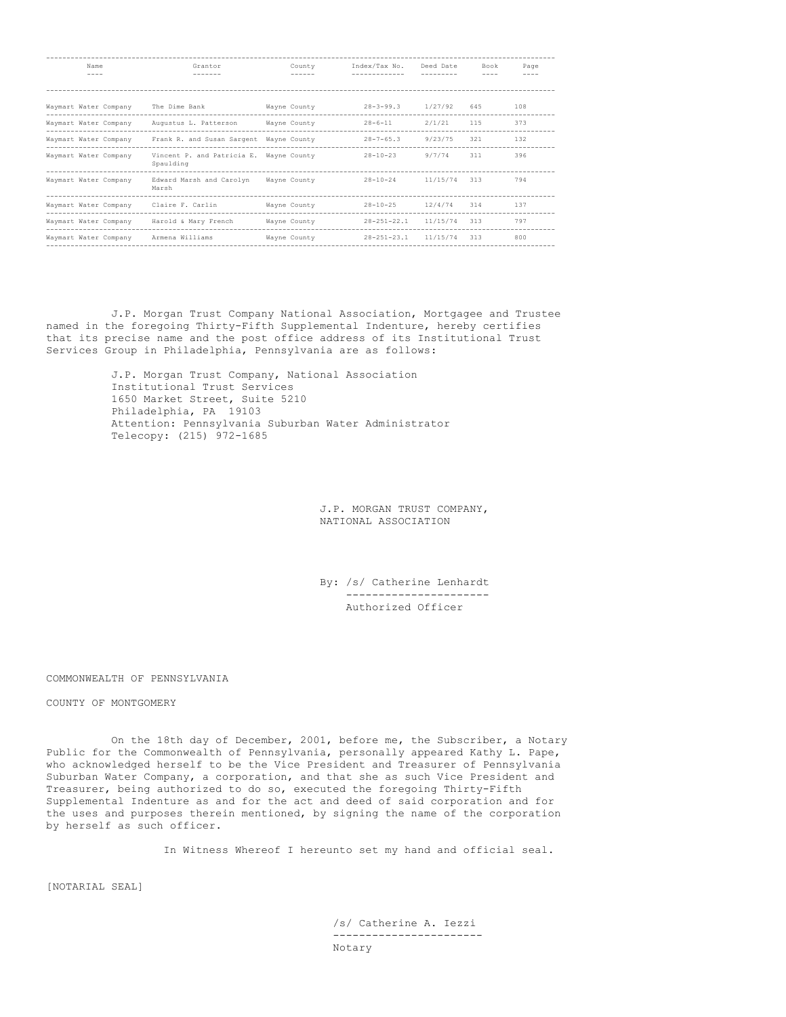| Name                  | Grantor                                 | County       | Index/Tax No.     | Deed Date | Book | Page |
|-----------------------|-----------------------------------------|--------------|-------------------|-----------|------|------|
| $- - - -$             |                                         |              |                   |           |      |      |
|                       |                                         |              |                   |           |      |      |
| Waymart Water Company | The Dime Bank                           | Wayne County | $28 - 3 - 99.3$   | 1/27/92   | 645  | 108  |
| Waymart Water Company | Augustus L. Patterson                   | Wayne County | $28 - 6 - 11$     | 2/1/21    | 115  | 373  |
| Waymart Water Company | Frank R. and Susan Sargent              | Wayne County | $28 - 7 - 65.3$   | 9/23/75   | 321  | 132  |
| Waymart Water Company | Vincent P. and Patricia E.<br>Spaulding | Wayne County | $28 - 10 - 23$    | 9/7/74    | 311  | 396  |
| Waymart Water Company | Edward Marsh and Carolyn<br>Marsh       | Wayne County | $28 - 10 - 24$    | 11/15/74  | 313  | 794  |
| Waymart Water Company | Claire F. Carlin                        | Wayne County | $28 - 10 - 25$    | 12/4/74   | 314  | 137  |
| Waymart Water Company | Harold & Mary French                    | Wayne County | $28 - 251 - 22.1$ | 11/15/74  | 313  | 797  |
| Waymart Water Company | Armena Williams                         | Wayne County | $28 - 251 - 23.1$ | 11/15/74  | 313  | 800  |

J.P. Morgan Trust Company National Association, Mortgagee and Trustee named in the foregoing Thirty-Fifth Supplemental Indenture, hereby certifies that its precise name and the post office address of its Institutional Trust Services Group in Philadelphia, Pennsylvania are as follows:

> J.P. Morgan Trust Company, National Association Institutional Trust Services 1650 Market Street, Suite 5210 Philadelphia, PA 19103 Attention: Pennsylvania Suburban Water Administrator Telecopy: (215) 972-1685

> > J.P. MORGAN TRUST COMPANY, NATIONAL ASSOCIATION

By: /s/ Catherine Lenhardt ---------------------- Authorized Officer

## COMMONWEALTH OF PENNSYLVANIA

## COUNTY OF MONTGOMERY

On the 18th day of December, 2001, before me, the Subscriber, a Notary Public for the Commonwealth of Pennsylvania, personally appeared Kathy L. Pape, who acknowledged herself to be the Vice President and Treasurer of Pennsylvania Suburban Water Company, a corporation, and that she as such Vice President and Treasurer, being authorized to do so, executed the foregoing Thirty-Fifth Supplemental Indenture as and for the act and deed of said corporation and for the uses and purposes therein mentioned, by signing the name of the corporation by herself as such officer.

In Witness Whereof I hereunto set my hand and official seal.

[NOTARIAL SEAL]

/s/ Catherine A. Iezzi ----------------------- Notary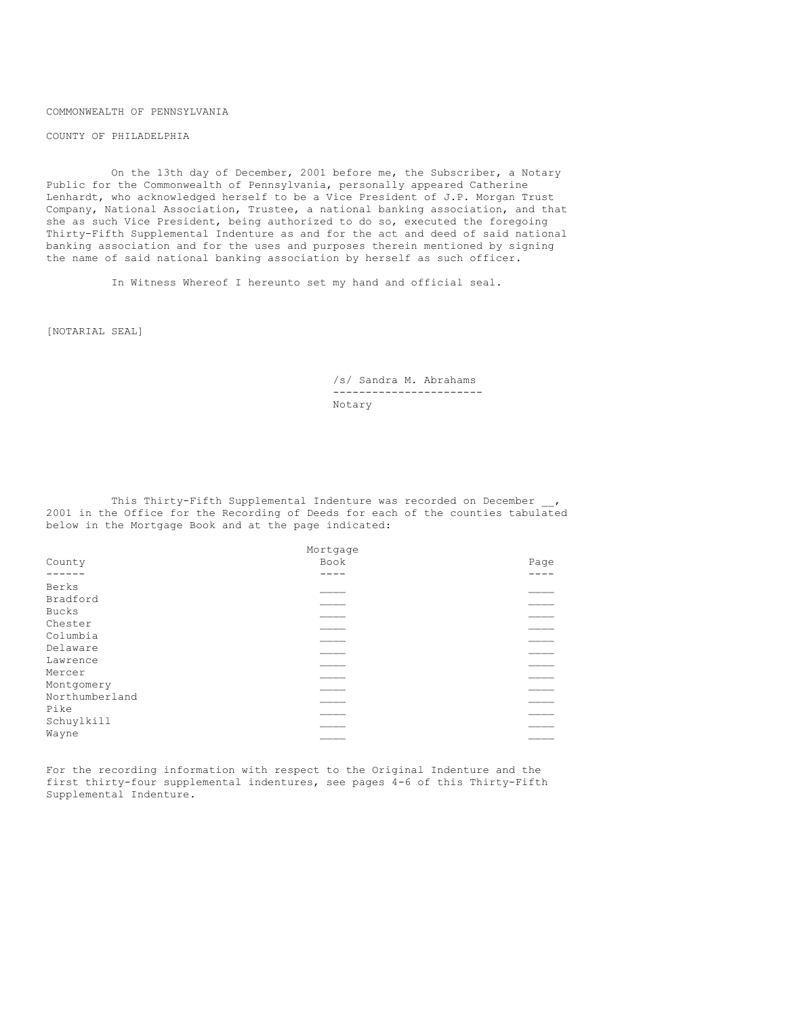COMMONWEALTH OF PENNSYLVANIA

COUNTY OF PHILADELPHIA

On the 13th day of December, 2001 before me, the Subscriber, a Notary Public for the Commonwealth of Pennsylvania, personally appeared Catherine Lenhardt, who acknowledged herself to be a Vice President of J.P. Morgan Trust Company, National Association, Trustee, a national banking association, and that she as such Vice President, being authorized to do so, executed the foregoing Thirty-Fifth Supplemental Indenture as and for the act and deed of said national banking association and for the uses and purposes therein mentioned by signing the name of said national banking association by herself as such officer.

In Witness Whereof I hereunto set my hand and official seal.

[NOTARIAL SEAL]

/s/ Sandra M. Abrahams ----------------------- Notary

This Thirty-Fifth Supplemental Indenture was recorded on December 2001 in the Office for the Recording of Deeds for each of the counties tabulated below in the Mortgage Book and at the page indicated:

|                    | Mortgage |      |
|--------------------|----------|------|
| County             | Book     | Page |
|                    |          |      |
| Berks<br>Bradford  |          |      |
| Bucks              |          |      |
| Chester            |          |      |
| Columbia           |          |      |
| Delaware           |          |      |
| Lawrence<br>Mercer |          |      |
| Montgomery         |          |      |
| Northumberland     |          |      |
| Pike               |          |      |
| Schuylkill         |          |      |
| Wayne              |          |      |

For the recording information with respect to the Original Indenture and the first thirty-four supplemental indentures, see pages 4-6 of this Thirty-Fifth Supplemental Indenture.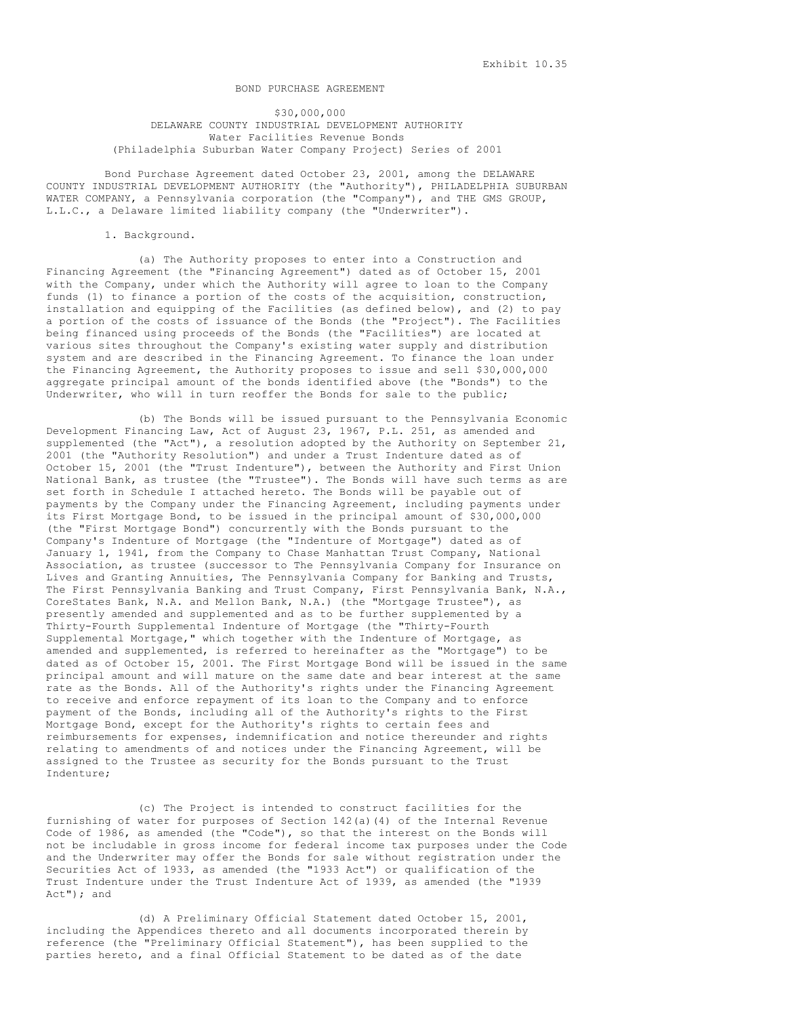## BOND PURCHASE AGREEMENT

\$30,000,000 DELAWARE COUNTY INDUSTRIAL DEVELOPMENT AUTHORITY Water Facilities Revenue Bonds (Philadelphia Suburban Water Company Project) Series of 2001

Bond Purchase Agreement dated October 23, 2001, among the DELAWARE COUNTY INDUSTRIAL DEVELOPMENT AUTHORITY (the "Authority"), PHILADELPHIA SUBURBAN WATER COMPANY, a Pennsylvania corporation (the "Company"), and THE GMS GROUP, L.L.C., a Delaware limited liability company (the "Underwriter").

### 1. Background.

(a) The Authority proposes to enter into a Construction and Financing Agreement (the "Financing Agreement") dated as of October 15, 2001 with the Company, under which the Authority will agree to loan to the Company funds (1) to finance a portion of the costs of the acquisition, construction, installation and equipping of the Facilities (as defined below), and (2) to pay a portion of the costs of issuance of the Bonds (the "Project"). The Facilities being financed using proceeds of the Bonds (the "Facilities") are located at various sites throughout the Company's existing water supply and distribution system and are described in the Financing Agreement. To finance the loan under the Financing Agreement, the Authority proposes to issue and sell \$30,000,000 aggregate principal amount of the bonds identified above (the "Bonds") to the Underwriter, who will in turn reoffer the Bonds for sale to the public;

(b) The Bonds will be issued pursuant to the Pennsylvania Economic Development Financing Law, Act of August 23, 1967, P.L. 251, as amended and supplemented (the "Act"), a resolution adopted by the Authority on September 21, 2001 (the "Authority Resolution") and under a Trust Indenture dated as of October 15, 2001 (the "Trust Indenture"), between the Authority and First Union National Bank, as trustee (the "Trustee"). The Bonds will have such terms as are set forth in Schedule I attached hereto. The Bonds will be payable out of payments by the Company under the Financing Agreement, including payments under its First Mortgage Bond, to be issued in the principal amount of \$30,000,000 (the "First Mortgage Bond") concurrently with the Bonds pursuant to the Company's Indenture of Mortgage (the "Indenture of Mortgage") dated as of January 1, 1941, from the Company to Chase Manhattan Trust Company, National Association, as trustee (successor to The Pennsylvania Company for Insurance on Lives and Granting Annuities, The Pennsylvania Company for Banking and Trusts, The First Pennsylvania Banking and Trust Company, First Pennsylvania Bank, N.A., CoreStates Bank, N.A. and Mellon Bank, N.A.) (the "Mortgage Trustee"), as presently amended and supplemented and as to be further supplemented by a Thirty-Fourth Supplemental Indenture of Mortgage (the "Thirty-Fourth Supplemental Mortgage," which together with the Indenture of Mortgage, as amended and supplemented, is referred to hereinafter as the "Mortgage") to be dated as of October 15, 2001. The First Mortgage Bond will be issued in the same principal amount and will mature on the same date and bear interest at the same rate as the Bonds. All of the Authority's rights under the Financing Agreement to receive and enforce repayment of its loan to the Company and to enforce payment of the Bonds, including all of the Authority's rights to the First Mortgage Bond, except for the Authority's rights to certain fees and reimbursements for expenses, indemnification and notice thereunder and rights relating to amendments of and notices under the Financing Agreement, will be assigned to the Trustee as security for the Bonds pursuant to the Trust Indenture;

(c) The Project is intended to construct facilities for the furnishing of water for purposes of Section 142(a)(4) of the Internal Revenue Code of 1986, as amended (the "Code"), so that the interest on the Bonds will not be includable in gross income for federal income tax purposes under the Code and the Underwriter may offer the Bonds for sale without registration under the Securities Act of 1933, as amended (the "1933 Act") or qualification of the Trust Indenture under the Trust Indenture Act of 1939, as amended (the "1939 Act"); and

(d) A Preliminary Official Statement dated October 15, 2001, including the Appendices thereto and all documents incorporated therein by reference (the "Preliminary Official Statement"), has been supplied to the parties hereto, and a final Official Statement to be dated as of the date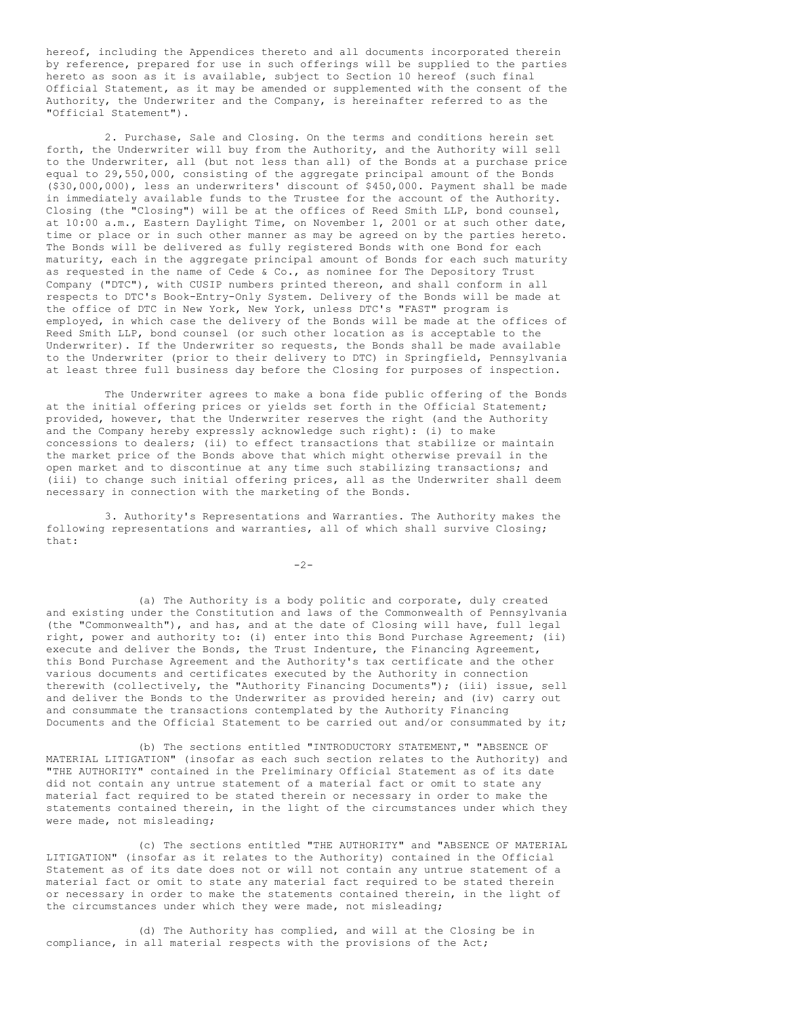hereof, including the Appendices thereto and all documents incorporated therein by reference, prepared for use in such offerings will be supplied to the parties hereto as soon as it is available, subject to Section 10 hereof (such final Official Statement, as it may be amended or supplemented with the consent of the Authority, the Underwriter and the Company, is hereinafter referred to as the "Official Statement").

2. Purchase, Sale and Closing. On the terms and conditions herein set forth, the Underwriter will buy from the Authority, and the Authority will sell to the Underwriter, all (but not less than all) of the Bonds at a purchase price equal to 29,550,000, consisting of the aggregate principal amount of the Bonds (\$30,000,000), less an underwriters' discount of \$450,000. Payment shall be made in immediately available funds to the Trustee for the account of the Authority. Closing (the "Closing") will be at the offices of Reed Smith LLP, bond counsel, at 10:00 a.m., Eastern Daylight Time, on November 1, 2001 or at such other date, time or place or in such other manner as may be agreed on by the parties hereto. The Bonds will be delivered as fully registered Bonds with one Bond for each maturity, each in the aggregate principal amount of Bonds for each such maturity as requested in the name of Cede & Co., as nominee for The Depository Trust Company ("DTC"), with CUSIP numbers printed thereon, and shall conform in all respects to DTC's Book-Entry-Only System. Delivery of the Bonds will be made at the office of DTC in New York, New York, unless DTC's "FAST" program is employed, in which case the delivery of the Bonds will be made at the offices of Reed Smith LLP, bond counsel (or such other location as is acceptable to the Underwriter). If the Underwriter so requests, the Bonds shall be made available to the Underwriter (prior to their delivery to DTC) in Springfield, Pennsylvania at least three full business day before the Closing for purposes of inspection.

The Underwriter agrees to make a bona fide public offering of the Bonds at the initial offering prices or yields set forth in the Official Statement; provided, however, that the Underwriter reserves the right (and the Authority and the Company hereby expressly acknowledge such right): (i) to make concessions to dealers; (ii) to effect transactions that stabilize or maintain the market price of the Bonds above that which might otherwise prevail in the open market and to discontinue at any time such stabilizing transactions; and (iii) to change such initial offering prices, all as the Underwriter shall deem necessary in connection with the marketing of the Bonds.

3. Authority's Representations and Warranties. The Authority makes the following representations and warranties, all of which shall survive Closing; that:

 $-2-$ 

(a) The Authority is a body politic and corporate, duly created and existing under the Constitution and laws of the Commonwealth of Pennsylvania (the "Commonwealth"), and has, and at the date of Closing will have, full legal right, power and authority to: (i) enter into this Bond Purchase Agreement; (ii) execute and deliver the Bonds, the Trust Indenture, the Financing Agreement, this Bond Purchase Agreement and the Authority's tax certificate and the other various documents and certificates executed by the Authority in connection therewith (collectively, the "Authority Financing Documents"); (iii) issue, sell and deliver the Bonds to the Underwriter as provided herein; and (iv) carry out and consummate the transactions contemplated by the Authority Financing Documents and the Official Statement to be carried out and/or consummated by it;

(b) The sections entitled "INTRODUCTORY STATEMENT," "ABSENCE OF MATERIAL LITIGATION" (insofar as each such section relates to the Authority) and "THE AUTHORITY" contained in the Preliminary Official Statement as of its date did not contain any untrue statement of a material fact or omit to state any material fact required to be stated therein or necessary in order to make the statements contained therein, in the light of the circumstances under which they were made, not misleading;

(c) The sections entitled "THE AUTHORITY" and "ABSENCE OF MATERIAL LITIGATION" (insofar as it relates to the Authority) contained in the Official Statement as of its date does not or will not contain any untrue statement of a material fact or omit to state any material fact required to be stated therein or necessary in order to make the statements contained therein, in the light of the circumstances under which they were made, not misleading;

(d) The Authority has complied, and will at the Closing be in compliance, in all material respects with the provisions of the Act;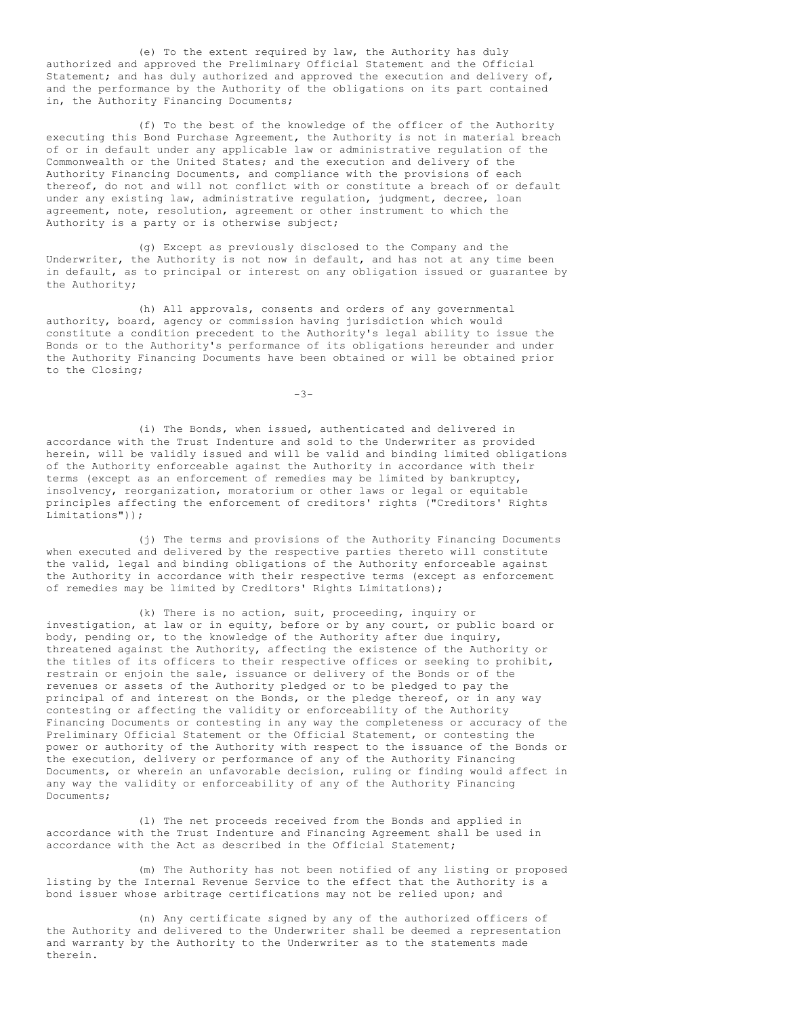(e) To the extent required by law, the Authority has duly authorized and approved the Preliminary Official Statement and the Official Statement; and has duly authorized and approved the execution and delivery of, and the performance by the Authority of the obligations on its part contained in, the Authority Financing Documents;

(f) To the best of the knowledge of the officer of the Authority executing this Bond Purchase Agreement, the Authority is not in material breach of or in default under any applicable law or administrative regulation of the Commonwealth or the United States; and the execution and delivery of the Authority Financing Documents, and compliance with the provisions of each thereof, do not and will not conflict with or constitute a breach of or default under any existing law, administrative regulation, judgment, decree, loan agreement, note, resolution, agreement or other instrument to which the Authority is a party or is otherwise subject;

(g) Except as previously disclosed to the Company and the Underwriter, the Authority is not now in default, and has not at any time been in default, as to principal or interest on any obligation issued or guarantee by the Authority;

(h) All approvals, consents and orders of any governmental authority, board, agency or commission having jurisdiction which would constitute a condition precedent to the Authority's legal ability to issue the Bonds or to the Authority's performance of its obligations hereunder and under the Authority Financing Documents have been obtained or will be obtained prior to the Closing;

-3-

(i) The Bonds, when issued, authenticated and delivered in accordance with the Trust Indenture and sold to the Underwriter as provided herein, will be validly issued and will be valid and binding limited obligations of the Authority enforceable against the Authority in accordance with their terms (except as an enforcement of remedies may be limited by bankruptcy, insolvency, reorganization, moratorium or other laws or legal or equitable principles affecting the enforcement of creditors' rights ("Creditors' Rights Limitations"));

(j) The terms and provisions of the Authority Financing Documents when executed and delivered by the respective parties thereto will constitute the valid, legal and binding obligations of the Authority enforceable against the Authority in accordance with their respective terms (except as enforcement of remedies may be limited by Creditors' Rights Limitations);

(k) There is no action, suit, proceeding, inquiry or investigation, at law or in equity, before or by any court, or public board or body, pending or, to the knowledge of the Authority after due inquiry, threatened against the Authority, affecting the existence of the Authority or the titles of its officers to their respective offices or seeking to prohibit, restrain or enjoin the sale, issuance or delivery of the Bonds or of the revenues or assets of the Authority pledged or to be pledged to pay the principal of and interest on the Bonds, or the pledge thereof, or in any way contesting or affecting the validity or enforceability of the Authority Financing Documents or contesting in any way the completeness or accuracy of the Preliminary Official Statement or the Official Statement, or contesting the power or authority of the Authority with respect to the issuance of the Bonds or the execution, delivery or performance of any of the Authority Financing Documents, or wherein an unfavorable decision, ruling or finding would affect in any way the validity or enforceability of any of the Authority Financing Documents;

(l) The net proceeds received from the Bonds and applied in accordance with the Trust Indenture and Financing Agreement shall be used in accordance with the Act as described in the Official Statement;

(m) The Authority has not been notified of any listing or proposed listing by the Internal Revenue Service to the effect that the Authority is a bond issuer whose arbitrage certifications may not be relied upon; and

(n) Any certificate signed by any of the authorized officers of the Authority and delivered to the Underwriter shall be deemed a representation and warranty by the Authority to the Underwriter as to the statements made therein.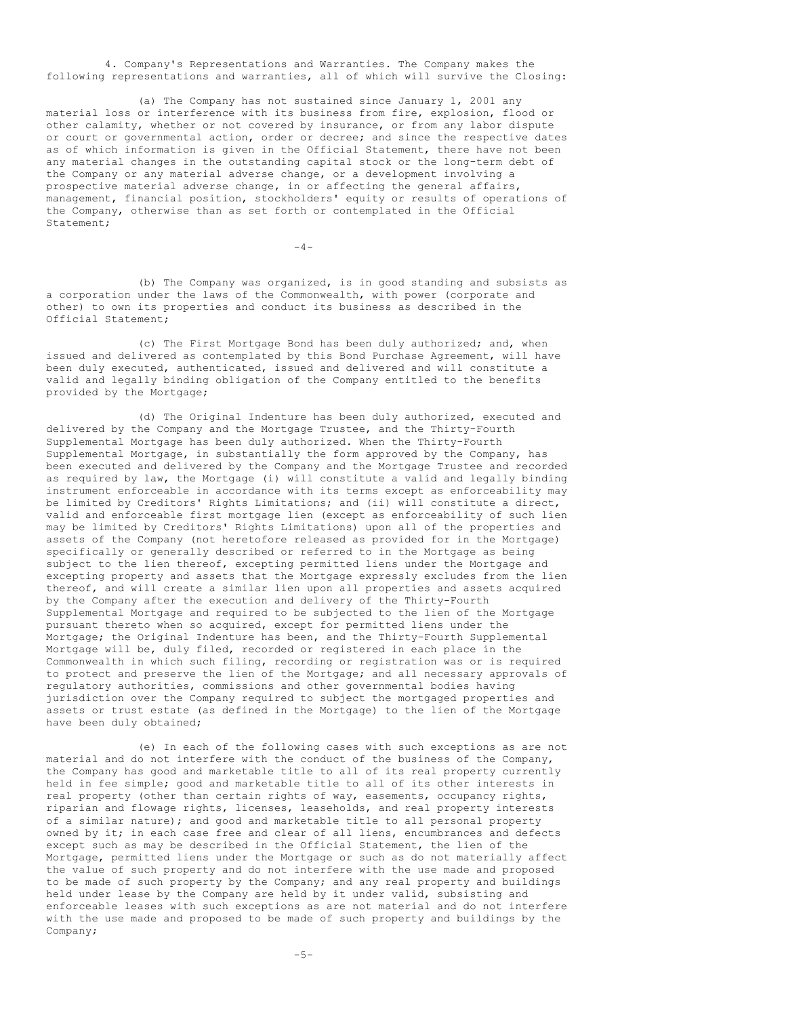4. Company's Representations and Warranties. The Company makes the following representations and warranties, all of which will survive the Closing:

(a) The Company has not sustained since January 1, 2001 any material loss or interference with its business from fire, explosion, flood or other calamity, whether or not covered by insurance, or from any labor dispute or court or governmental action, order or decree; and since the respective dates as of which information is given in the Official Statement, there have not been any material changes in the outstanding capital stock or the long-term debt of the Company or any material adverse change, or a development involving a prospective material adverse change, in or affecting the general affairs, management, financial position, stockholders' equity or results of operations of the Company, otherwise than as set forth or contemplated in the Official Statement;

 $-4-$ 

(b) The Company was organized, is in good standing and subsists as a corporation under the laws of the Commonwealth, with power (corporate and other) to own its properties and conduct its business as described in the Official Statement;

(c) The First Mortgage Bond has been duly authorized; and, when issued and delivered as contemplated by this Bond Purchase Agreement, will have been duly executed, authenticated, issued and delivered and will constitute a valid and legally binding obligation of the Company entitled to the benefits provided by the Mortgage;

(d) The Original Indenture has been duly authorized, executed and delivered by the Company and the Mortgage Trustee, and the Thirty-Fourth Supplemental Mortgage has been duly authorized. When the Thirty-Fourth Supplemental Mortgage, in substantially the form approved by the Company, has been executed and delivered by the Company and the Mortgage Trustee and recorded as required by law, the Mortgage (i) will constitute a valid and legally binding instrument enforceable in accordance with its terms except as enforceability may be limited by Creditors' Rights Limitations; and (ii) will constitute a direct, valid and enforceable first mortgage lien (except as enforceability of such lien may be limited by Creditors' Rights Limitations) upon all of the properties and assets of the Company (not heretofore released as provided for in the Mortgage) specifically or generally described or referred to in the Mortgage as being subject to the lien thereof, excepting permitted liens under the Mortgage and excepting property and assets that the Mortgage expressly excludes from the lien thereof, and will create a similar lien upon all properties and assets acquired by the Company after the execution and delivery of the Thirty-Fourth Supplemental Mortgage and required to be subjected to the lien of the Mortgage pursuant thereto when so acquired, except for permitted liens under the Mortgage; the Original Indenture has been, and the Thirty-Fourth Supplemental Mortgage will be, duly filed, recorded or registered in each place in the Commonwealth in which such filing, recording or registration was or is required to protect and preserve the lien of the Mortgage; and all necessary approvals of regulatory authorities, commissions and other governmental bodies having jurisdiction over the Company required to subject the mortgaged properties and assets or trust estate (as defined in the Mortgage) to the lien of the Mortgage have been duly obtained;

(e) In each of the following cases with such exceptions as are not material and do not interfere with the conduct of the business of the Company, the Company has good and marketable title to all of its real property currently held in fee simple; good and marketable title to all of its other interests in real property (other than certain rights of way, easements, occupancy rights, riparian and flowage rights, licenses, leaseholds, and real property interests of a similar nature); and good and marketable title to all personal property owned by it; in each case free and clear of all liens, encumbrances and defects except such as may be described in the Official Statement, the lien of the Mortgage, permitted liens under the Mortgage or such as do not materially affect the value of such property and do not interfere with the use made and proposed to be made of such property by the Company; and any real property and buildings held under lease by the Company are held by it under valid, subsisting and enforceable leases with such exceptions as are not material and do not interfere with the use made and proposed to be made of such property and buildings by the Company;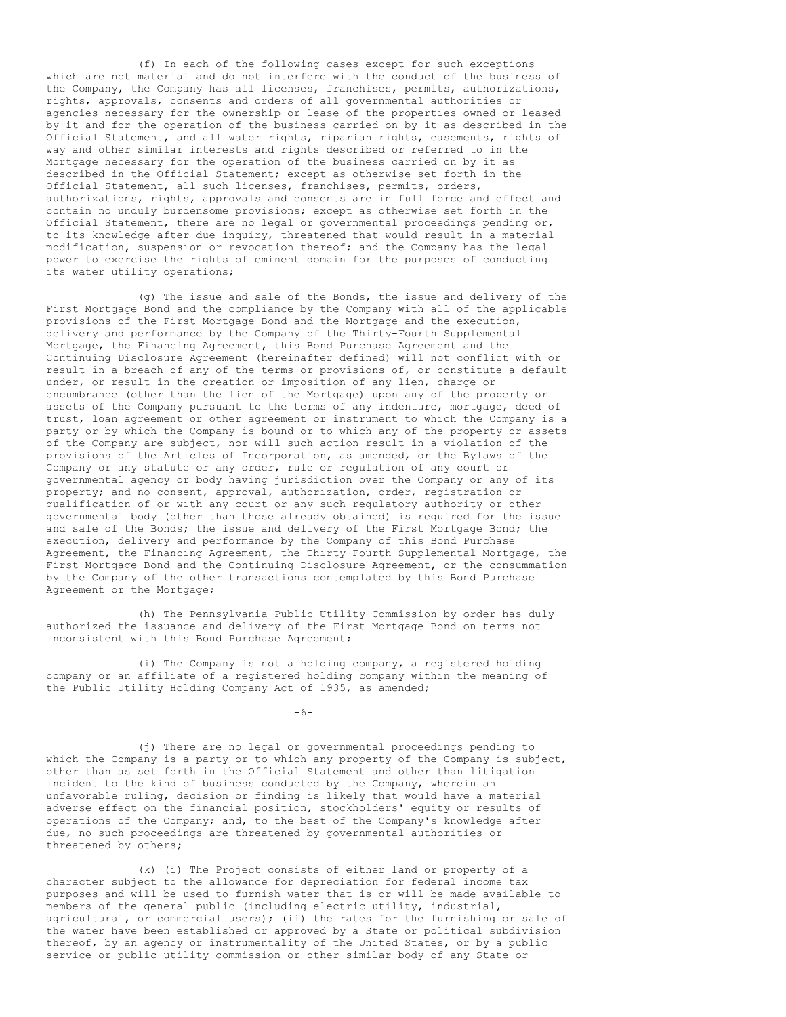(f) In each of the following cases except for such exceptions which are not material and do not interfere with the conduct of the business of the Company, the Company has all licenses, franchises, permits, authorizations, rights, approvals, consents and orders of all governmental authorities or agencies necessary for the ownership or lease of the properties owned or leased by it and for the operation of the business carried on by it as described in the Official Statement, and all water rights, riparian rights, easements, rights of way and other similar interests and rights described or referred to in the Mortgage necessary for the operation of the business carried on by it as described in the Official Statement; except as otherwise set forth in the Official Statement, all such licenses, franchises, permits, orders, authorizations, rights, approvals and consents are in full force and effect and contain no unduly burdensome provisions; except as otherwise set forth in the Official Statement, there are no legal or governmental proceedings pending or, to its knowledge after due inquiry, threatened that would result in a material modification, suspension or revocation thereof; and the Company has the legal power to exercise the rights of eminent domain for the purposes of conducting its water utility operations;

(g) The issue and sale of the Bonds, the issue and delivery of the First Mortgage Bond and the compliance by the Company with all of the applicable provisions of the First Mortgage Bond and the Mortgage and the execution, delivery and performance by the Company of the Thirty-Fourth Supplemental Mortgage, the Financing Agreement, this Bond Purchase Agreement and the Continuing Disclosure Agreement (hereinafter defined) will not conflict with or result in a breach of any of the terms or provisions of, or constitute a default under, or result in the creation or imposition of any lien, charge or encumbrance (other than the lien of the Mortgage) upon any of the property or assets of the Company pursuant to the terms of any indenture, mortgage, deed of trust, loan agreement or other agreement or instrument to which the Company is a party or by which the Company is bound or to which any of the property or assets of the Company are subject, nor will such action result in a violation of the provisions of the Articles of Incorporation, as amended, or the Bylaws of the Company or any statute or any order, rule or regulation of any court or governmental agency or body having jurisdiction over the Company or any of its property; and no consent, approval, authorization, order, registration or qualification of or with any court or any such regulatory authority or other governmental body (other than those already obtained) is required for the issue and sale of the Bonds; the issue and delivery of the First Mortgage Bond; the execution, delivery and performance by the Company of this Bond Purchase Agreement, the Financing Agreement, the Thirty-Fourth Supplemental Mortgage, the First Mortgage Bond and the Continuing Disclosure Agreement, or the consummation by the Company of the other transactions contemplated by this Bond Purchase Agreement or the Mortgage;

(h) The Pennsylvania Public Utility Commission by order has duly authorized the issuance and delivery of the First Mortgage Bond on terms not inconsistent with this Bond Purchase Agreement;

(i) The Company is not a holding company, a registered holding company or an affiliate of a registered holding company within the meaning of the Public Utility Holding Company Act of 1935, as amended;

 $-6-$ 

(j) There are no legal or governmental proceedings pending to which the Company is a party or to which any property of the Company is subject, other than as set forth in the Official Statement and other than litigation incident to the kind of business conducted by the Company, wherein an unfavorable ruling, decision or finding is likely that would have a material adverse effect on the financial position, stockholders' equity or results of operations of the Company; and, to the best of the Company's knowledge after due, no such proceedings are threatened by governmental authorities or threatened by others;

(k) (i) The Project consists of either land or property of a character subject to the allowance for depreciation for federal income tax purposes and will be used to furnish water that is or will be made available to members of the general public (including electric utility, industrial, agricultural, or commercial users); (ii) the rates for the furnishing or sale of the water have been established or approved by a State or political subdivision thereof, by an agency or instrumentality of the United States, or by a public service or public utility commission or other similar body of any State or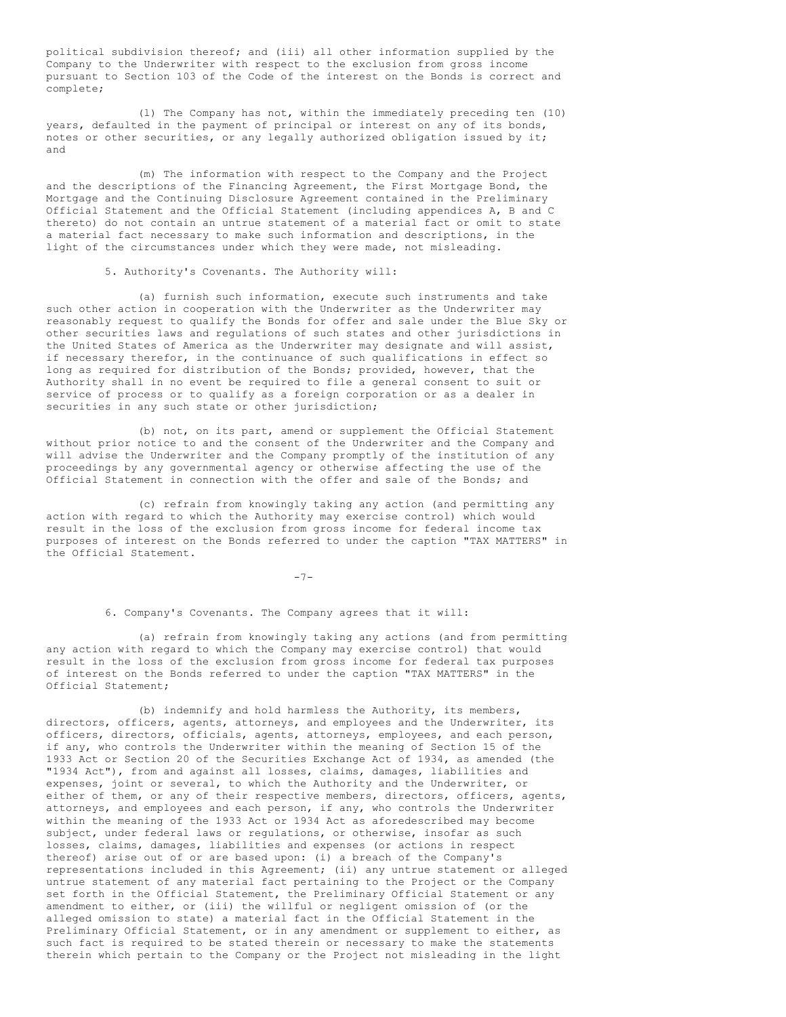political subdivision thereof; and (iii) all other information supplied by the Company to the Underwriter with respect to the exclusion from gross income pursuant to Section 103 of the Code of the interest on the Bonds is correct and complete;

(l) The Company has not, within the immediately preceding ten (10) years, defaulted in the payment of principal or interest on any of its bonds, notes or other securities, or any legally authorized obligation issued by it; and

(m) The information with respect to the Company and the Project and the descriptions of the Financing Agreement, the First Mortgage Bond, the Mortgage and the Continuing Disclosure Agreement contained in the Preliminary Official Statement and the Official Statement (including appendices A, B and C thereto) do not contain an untrue statement of a material fact or omit to state a material fact necessary to make such information and descriptions, in the light of the circumstances under which they were made, not misleading.

5. Authority's Covenants. The Authority will:

(a) furnish such information, execute such instruments and take such other action in cooperation with the Underwriter as the Underwriter may reasonably request to qualify the Bonds for offer and sale under the Blue Sky or other securities laws and regulations of such states and other jurisdictions in the United States of America as the Underwriter may designate and will assist, if necessary therefor, in the continuance of such qualifications in effect so long as required for distribution of the Bonds; provided, however, that the Authority shall in no event be required to file a general consent to suit or service of process or to qualify as a foreign corporation or as a dealer in securities in any such state or other jurisdiction;

(b) not, on its part, amend or supplement the Official Statement without prior notice to and the consent of the Underwriter and the Company and will advise the Underwriter and the Company promptly of the institution of any proceedings by any governmental agency or otherwise affecting the use of the Official Statement in connection with the offer and sale of the Bonds; and

(c) refrain from knowingly taking any action (and permitting any action with regard to which the Authority may exercise control) which would result in the loss of the exclusion from gross income for federal income tax purposes of interest on the Bonds referred to under the caption "TAX MATTERS" in the Official Statement.

-7-

6. Company's Covenants. The Company agrees that it will:

(a) refrain from knowingly taking any actions (and from permitting any action with regard to which the Company may exercise control) that would result in the loss of the exclusion from gross income for federal tax purposes of interest on the Bonds referred to under the caption "TAX MATTERS" in the Official Statement;

(b) indemnify and hold harmless the Authority, its members, directors, officers, agents, attorneys, and employees and the Underwriter, its officers, directors, officials, agents, attorneys, employees, and each person, if any, who controls the Underwriter within the meaning of Section 15 of the 1933 Act or Section 20 of the Securities Exchange Act of 1934, as amended (the "1934 Act"), from and against all losses, claims, damages, liabilities and expenses, joint or several, to which the Authority and the Underwriter, or either of them, or any of their respective members, directors, officers, agents, attorneys, and employees and each person, if any, who controls the Underwriter within the meaning of the 1933 Act or 1934 Act as aforedescribed may become subject, under federal laws or regulations, or otherwise, insofar as such losses, claims, damages, liabilities and expenses (or actions in respect thereof) arise out of or are based upon: (i) a breach of the Company's representations included in this Agreement; (ii) any untrue statement or alleged untrue statement of any material fact pertaining to the Project or the Company set forth in the Official Statement, the Preliminary Official Statement or any amendment to either, or (iii) the willful or negligent omission of (or the alleged omission to state) a material fact in the Official Statement in the Preliminary Official Statement, or in any amendment or supplement to either, as such fact is required to be stated therein or necessary to make the statements therein which pertain to the Company or the Project not misleading in the light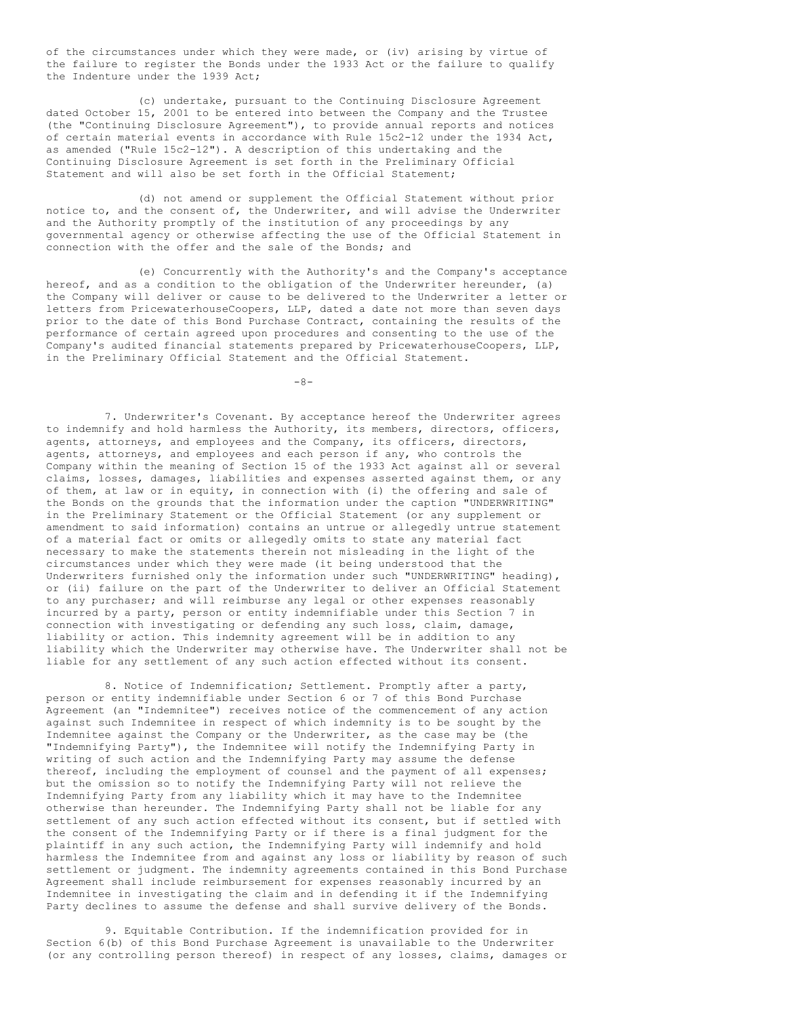of the circumstances under which they were made, or (iv) arising by virtue of the failure to register the Bonds under the 1933 Act or the failure to qualify the Indenture under the 1939 Act;

(c) undertake, pursuant to the Continuing Disclosure Agreement dated October 15, 2001 to be entered into between the Company and the Trustee (the "Continuing Disclosure Agreement"), to provide annual reports and notices of certain material events in accordance with Rule 15c2-12 under the 1934 Act, as amended ("Rule 15c2-12"). A description of this undertaking and the Continuing Disclosure Agreement is set forth in the Preliminary Official Statement and will also be set forth in the Official Statement;

(d) not amend or supplement the Official Statement without prior notice to, and the consent of, the Underwriter, and will advise the Underwriter and the Authority promptly of the institution of any proceedings by any governmental agency or otherwise affecting the use of the Official Statement in connection with the offer and the sale of the Bonds; and

(e) Concurrently with the Authority's and the Company's acceptance hereof, and as a condition to the obligation of the Underwriter hereunder, (a) the Company will deliver or cause to be delivered to the Underwriter a letter or letters from PricewaterhouseCoopers, LLP, dated a date not more than seven days prior to the date of this Bond Purchase Contract, containing the results of the performance of certain agreed upon procedures and consenting to the use of the Company's audited financial statements prepared by PricewaterhouseCoopers, LLP, in the Preliminary Official Statement and the Official Statement.

 $-8-$ 

7. Underwriter's Covenant. By acceptance hereof the Underwriter agrees to indemnify and hold harmless the Authority, its members, directors, officers, agents, attorneys, and employees and the Company, its officers, directors, agents, attorneys, and employees and each person if any, who controls the Company within the meaning of Section 15 of the 1933 Act against all or several claims, losses, damages, liabilities and expenses asserted against them, or any of them, at law or in equity, in connection with (i) the offering and sale of the Bonds on the grounds that the information under the caption "UNDERWRITING" in the Preliminary Statement or the Official Statement (or any supplement or amendment to said information) contains an untrue or allegedly untrue statement of a material fact or omits or allegedly omits to state any material fact necessary to make the statements therein not misleading in the light of the circumstances under which they were made (it being understood that the Underwriters furnished only the information under such "UNDERWRITING" heading), or (ii) failure on the part of the Underwriter to deliver an Official Statement to any purchaser; and will reimburse any legal or other expenses reasonably incurred by a party, person or entity indemnifiable under this Section 7 in connection with investigating or defending any such loss, claim, damage, liability or action. This indemnity agreement will be in addition to any liability which the Underwriter may otherwise have. The Underwriter shall not be liable for any settlement of any such action effected without its consent.

8. Notice of Indemnification; Settlement. Promptly after a party, person or entity indemnifiable under Section 6 or 7 of this Bond Purchase Agreement (an "Indemnitee") receives notice of the commencement of any action against such Indemnitee in respect of which indemnity is to be sought by the Indemnitee against the Company or the Underwriter, as the case may be (the "Indemnifying Party"), the Indemnitee will notify the Indemnifying Party in writing of such action and the Indemnifying Party may assume the defense thereof, including the employment of counsel and the payment of all expenses; but the omission so to notify the Indemnifying Party will not relieve the Indemnifying Party from any liability which it may have to the Indemnitee otherwise than hereunder. The Indemnifying Party shall not be liable for any settlement of any such action effected without its consent, but if settled with the consent of the Indemnifying Party or if there is a final judgment for the plaintiff in any such action, the Indemnifying Party will indemnify and hold harmless the Indemnitee from and against any loss or liability by reason of such settlement or judgment. The indemnity agreements contained in this Bond Purchase Agreement shall include reimbursement for expenses reasonably incurred by an Indemnitee in investigating the claim and in defending it if the Indemnifying Party declines to assume the defense and shall survive delivery of the Bonds.

9. Equitable Contribution. If the indemnification provided for in Section 6(b) of this Bond Purchase Agreement is unavailable to the Underwriter (or any controlling person thereof) in respect of any losses, claims, damages or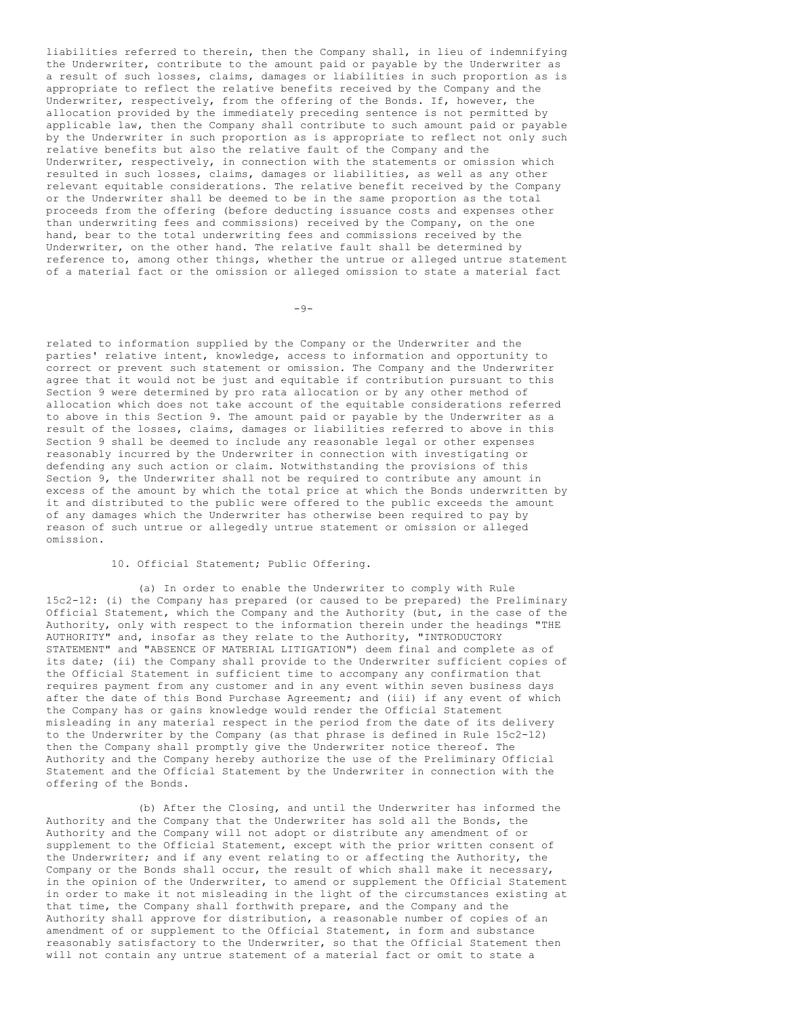liabilities referred to therein, then the Company shall, in lieu of indemnifying the Underwriter, contribute to the amount paid or payable by the Underwriter as a result of such losses, claims, damages or liabilities in such proportion as is appropriate to reflect the relative benefits received by the Company and the Underwriter, respectively, from the offering of the Bonds. If, however, the allocation provided by the immediately preceding sentence is not permitted by applicable law, then the Company shall contribute to such amount paid or payable by the Underwriter in such proportion as is appropriate to reflect not only such relative benefits but also the relative fault of the Company and the Underwriter, respectively, in connection with the statements or omission which resulted in such losses, claims, damages or liabilities, as well as any other relevant equitable considerations. The relative benefit received by the Company or the Underwriter shall be deemed to be in the same proportion as the total proceeds from the offering (before deducting issuance costs and expenses other than underwriting fees and commissions) received by the Company, on the one hand, bear to the total underwriting fees and commissions received by the Underwriter, on the other hand. The relative fault shall be determined by reference to, among other things, whether the untrue or alleged untrue statement of a material fact or the omission or alleged omission to state a material fact

 $-9-$ 

related to information supplied by the Company or the Underwriter and the parties' relative intent, knowledge, access to information and opportunity to correct or prevent such statement or omission. The Company and the Underwriter agree that it would not be just and equitable if contribution pursuant to this Section 9 were determined by pro rata allocation or by any other method of allocation which does not take account of the equitable considerations referred to above in this Section 9. The amount paid or payable by the Underwriter as a result of the losses, claims, damages or liabilities referred to above in this Section 9 shall be deemed to include any reasonable legal or other expenses reasonably incurred by the Underwriter in connection with investigating or defending any such action or claim. Notwithstanding the provisions of this Section 9, the Underwriter shall not be required to contribute any amount in excess of the amount by which the total price at which the Bonds underwritten by it and distributed to the public were offered to the public exceeds the amount of any damages which the Underwriter has otherwise been required to pay by reason of such untrue or allegedly untrue statement or omission or alleged omission.

# 10. Official Statement; Public Offering.

(a) In order to enable the Underwriter to comply with Rule 15c2-12: (i) the Company has prepared (or caused to be prepared) the Preliminary Official Statement, which the Company and the Authority (but, in the case of the Authority, only with respect to the information therein under the headings "THE AUTHORITY" and, insofar as they relate to the Authority, "INTRODUCTORY STATEMENT" and "ABSENCE OF MATERIAL LITIGATION") deem final and complete as of its date; (ii) the Company shall provide to the Underwriter sufficient copies of the Official Statement in sufficient time to accompany any confirmation that requires payment from any customer and in any event within seven business days after the date of this Bond Purchase Agreement; and (iii) if any event of which the Company has or gains knowledge would render the Official Statement misleading in any material respect in the period from the date of its delivery to the Underwriter by the Company (as that phrase is defined in Rule 15c2-12) then the Company shall promptly give the Underwriter notice thereof. The Authority and the Company hereby authorize the use of the Preliminary Official Statement and the Official Statement by the Underwriter in connection with the offering of the Bonds.

(b) After the Closing, and until the Underwriter has informed the Authority and the Company that the Underwriter has sold all the Bonds, the Authority and the Company will not adopt or distribute any amendment of or supplement to the Official Statement, except with the prior written consent of the Underwriter; and if any event relating to or affecting the Authority, the Company or the Bonds shall occur, the result of which shall make it necessary, in the opinion of the Underwriter, to amend or supplement the Official Statement in order to make it not misleading in the light of the circumstances existing at that time, the Company shall forthwith prepare, and the Company and the Authority shall approve for distribution, a reasonable number of copies of an amendment of or supplement to the Official Statement, in form and substance reasonably satisfactory to the Underwriter, so that the Official Statement then will not contain any untrue statement of a material fact or omit to state a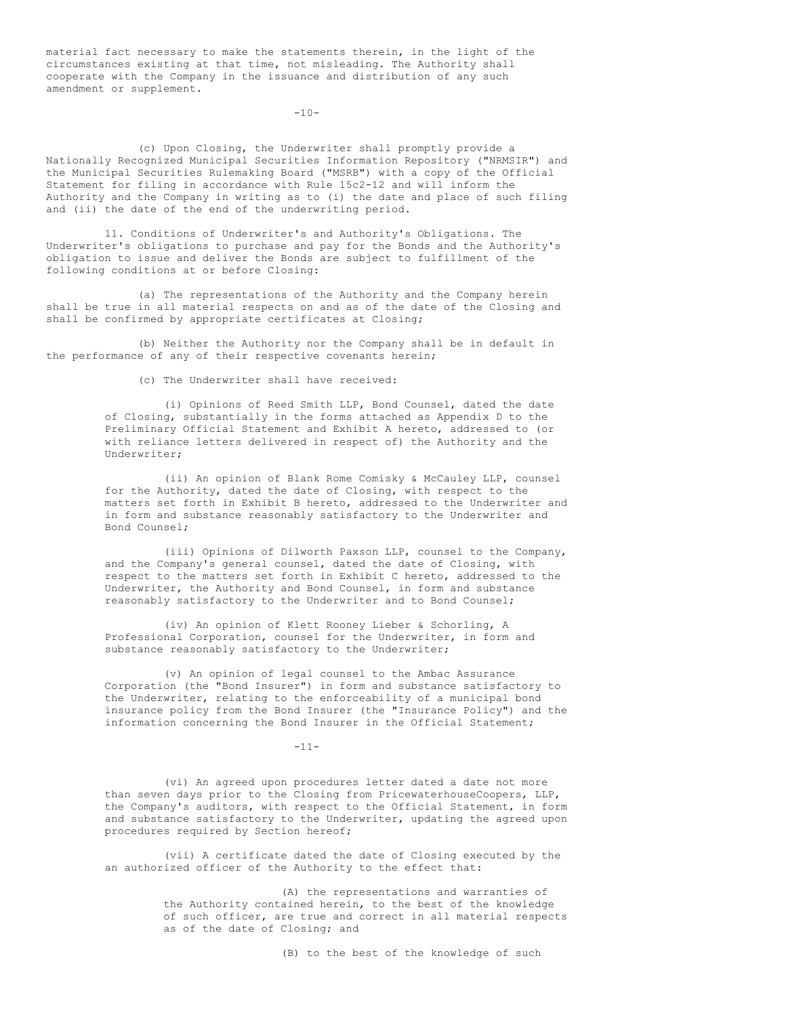material fact necessary to make the statements therein, in the light of the circumstances existing at that time, not misleading. The Authority shall cooperate with the Company in the issuance and distribution of any such amendment or supplement.

 $-10-$ 

(c) Upon Closing, the Underwriter shall promptly provide a Nationally Recognized Municipal Securities Information Repository ("NRMSIR") and the Municipal Securities Rulemaking Board ("MSRB") with a copy of the Official Statement for filing in accordance with Rule 15c2-12 and will inform the Authority and the Company in writing as to (i) the date and place of such filing and (ii) the date of the end of the underwriting period.

11. Conditions of Underwriter's and Authority's Obligations. The Underwriter's obligations to purchase and pay for the Bonds and the Authority's obligation to issue and deliver the Bonds are subject to fulfillment of the following conditions at or before Closing:

(a) The representations of the Authority and the Company herein shall be true in all material respects on and as of the date of the Closing and shall be confirmed by appropriate certificates at Closing;

(b) Neither the Authority nor the Company shall be in default in the performance of any of their respective covenants herein;

(c) The Underwriter shall have received:

(i) Opinions of Reed Smith LLP, Bond Counsel, dated the date of Closing, substantially in the forms attached as Appendix D to the Preliminary Official Statement and Exhibit A hereto, addressed to (or with reliance letters delivered in respect of) the Authority and the Underwriter;

(ii) An opinion of Blank Rome Comisky & McCauley LLP, counsel for the Authority, dated the date of Closing, with respect to the matters set forth in Exhibit B hereto, addressed to the Underwriter and in form and substance reasonably satisfactory to the Underwriter and Bond Counsel;

(iii) Opinions of Dilworth Paxson LLP, counsel to the Company, and the Company's general counsel, dated the date of Closing, with respect to the matters set forth in Exhibit C hereto, addressed to the Underwriter, the Authority and Bond Counsel, in form and substance reasonably satisfactory to the Underwriter and to Bond Counsel;

(iv) An opinion of Klett Rooney Lieber & Schorling, A Professional Corporation, counsel for the Underwriter, in form and substance reasonably satisfactory to the Underwriter;

(v) An opinion of legal counsel to the Ambac Assurance Corporation (the "Bond Insurer") in form and substance satisfactory to the Underwriter, relating to the enforceability of a municipal bond insurance policy from the Bond Insurer (the "Insurance Policy") and the information concerning the Bond Insurer in the Official Statement;

-11-

(vi) An agreed upon procedures letter dated a date not more than seven days prior to the Closing from PricewaterhouseCoopers, LLP, the Company's auditors, with respect to the Official Statement, in form and substance satisfactory to the Underwriter, updating the agreed upon procedures required by Section hereof;

(vii) A certificate dated the date of Closing executed by the an authorized officer of the Authority to the effect that:

> (A) the representations and warranties of the Authority contained herein, to the best of the knowledge of such officer, are true and correct in all material respects as of the date of Closing; and

> > (B) to the best of the knowledge of such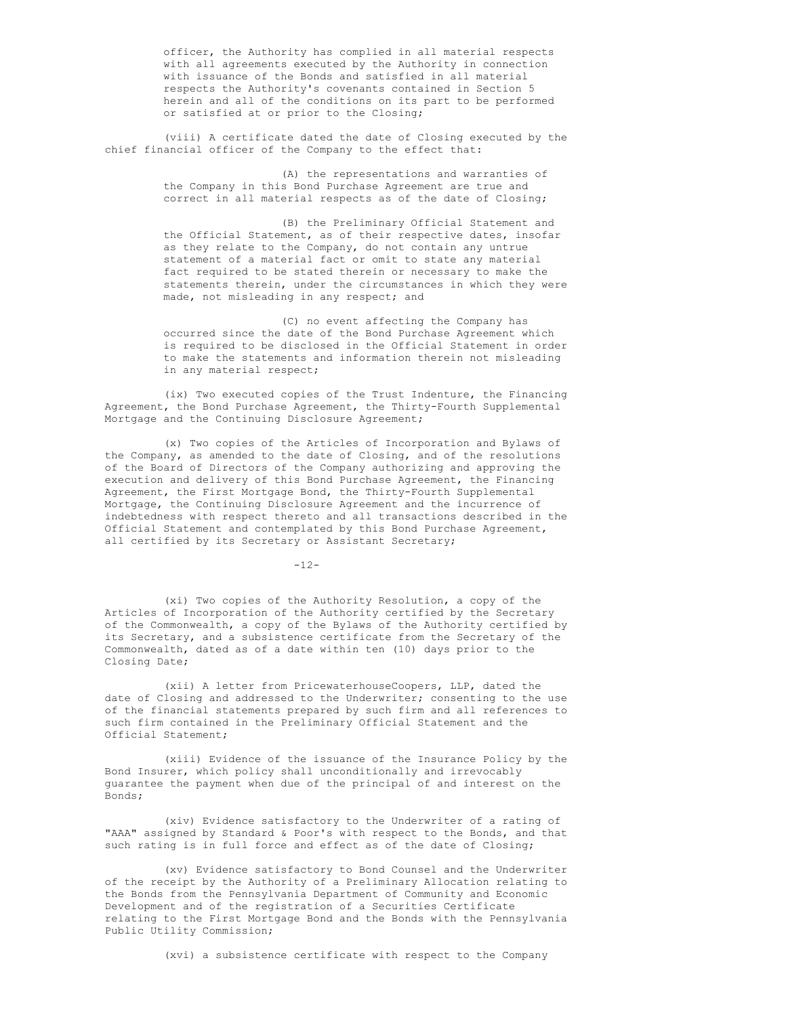officer, the Authority has complied in all material respects with all agreements executed by the Authority in connection with issuance of the Bonds and satisfied in all material respects the Authority's covenants contained in Section 5 herein and all of the conditions on its part to be performed or satisfied at or prior to the Closing;

(viii) A certificate dated the date of Closing executed by the chief financial officer of the Company to the effect that:

> (A) the representations and warranties of the Company in this Bond Purchase Agreement are true and correct in all material respects as of the date of Closing;

(B) the Preliminary Official Statement and the Official Statement, as of their respective dates, insofar as they relate to the Company, do not contain any untrue statement of a material fact or omit to state any material fact required to be stated therein or necessary to make the statements therein, under the circumstances in which they were made, not misleading in any respect; and

(C) no event affecting the Company has occurred since the date of the Bond Purchase Agreement which is required to be disclosed in the Official Statement in order to make the statements and information therein not misleading in any material respect;

(ix) Two executed copies of the Trust Indenture, the Financing Agreement, the Bond Purchase Agreement, the Thirty-Fourth Supplemental Mortgage and the Continuing Disclosure Agreement;

(x) Two copies of the Articles of Incorporation and Bylaws of the Company, as amended to the date of Closing, and of the resolutions of the Board of Directors of the Company authorizing and approving the execution and delivery of this Bond Purchase Agreement, the Financing Agreement, the First Mortgage Bond, the Thirty-Fourth Supplemental Mortgage, the Continuing Disclosure Agreement and the incurrence of indebtedness with respect thereto and all transactions described in the Official Statement and contemplated by this Bond Purchase Agreement, all certified by its Secretary or Assistant Secretary;

 $-12-$ 

(xi) Two copies of the Authority Resolution, a copy of the Articles of Incorporation of the Authority certified by the Secretary of the Commonwealth, a copy of the Bylaws of the Authority certified by its Secretary, and a subsistence certificate from the Secretary of the Commonwealth, dated as of a date within ten (10) days prior to the Closing Date;

(xii) A letter from PricewaterhouseCoopers, LLP, dated the date of Closing and addressed to the Underwriter; consenting to the use of the financial statements prepared by such firm and all references to such firm contained in the Preliminary Official Statement and the Official Statement;

(xiii) Evidence of the issuance of the Insurance Policy by the Bond Insurer, which policy shall unconditionally and irrevocably guarantee the payment when due of the principal of and interest on the Bonds;

(xiv) Evidence satisfactory to the Underwriter of a rating of "AAA" assigned by Standard & Poor's with respect to the Bonds, and that such rating is in full force and effect as of the date of Closing;

(xv) Evidence satisfactory to Bond Counsel and the Underwriter of the receipt by the Authority of a Preliminary Allocation relating to the Bonds from the Pennsylvania Department of Community and Economic Development and of the registration of a Securities Certificate relating to the First Mortgage Bond and the Bonds with the Pennsylvania Public Utility Commission;

(xvi) a subsistence certificate with respect to the Company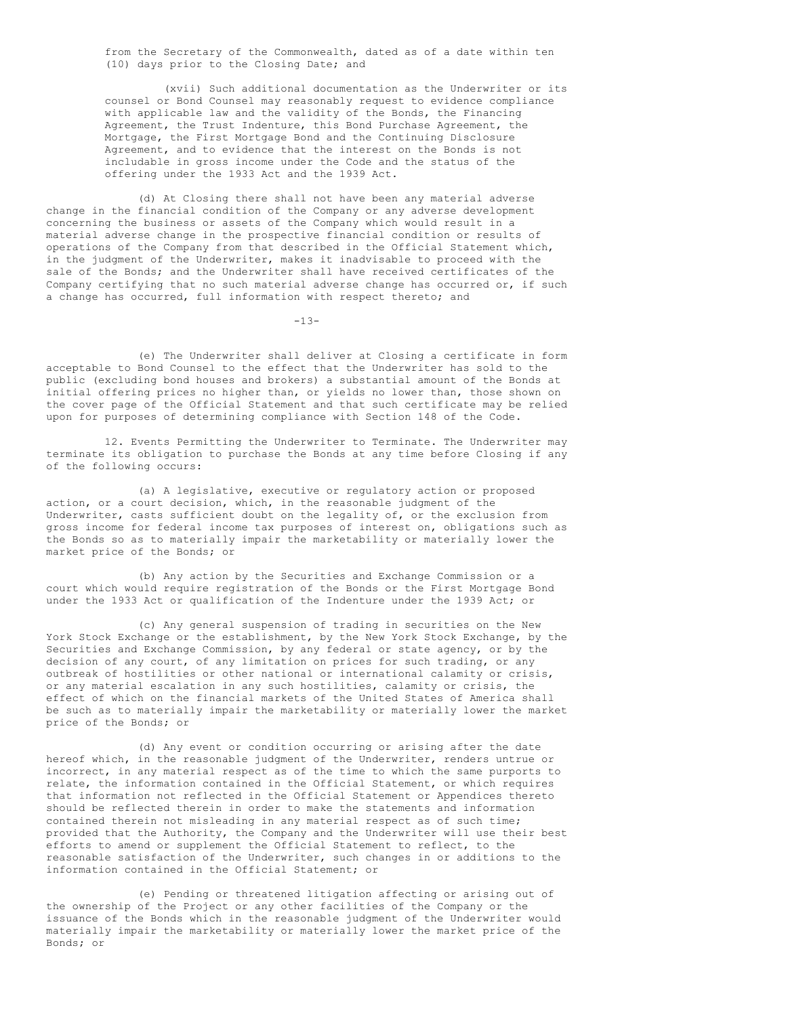from the Secretary of the Commonwealth, dated as of a date within ten (10) days prior to the Closing Date; and

(xvii) Such additional documentation as the Underwriter or its counsel or Bond Counsel may reasonably request to evidence compliance with applicable law and the validity of the Bonds, the Financing Agreement, the Trust Indenture, this Bond Purchase Agreement, the Mortgage, the First Mortgage Bond and the Continuing Disclosure Agreement, and to evidence that the interest on the Bonds is not includable in gross income under the Code and the status of the offering under the 1933 Act and the 1939 Act.

(d) At Closing there shall not have been any material adverse change in the financial condition of the Company or any adverse development concerning the business or assets of the Company which would result in a material adverse change in the prospective financial condition or results of operations of the Company from that described in the Official Statement which, in the judgment of the Underwriter, makes it inadvisable to proceed with the sale of the Bonds; and the Underwriter shall have received certificates of the Company certifying that no such material adverse change has occurred or, if such a change has occurred, full information with respect thereto; and

 $-13-$ 

(e) The Underwriter shall deliver at Closing a certificate in form acceptable to Bond Counsel to the effect that the Underwriter has sold to the public (excluding bond houses and brokers) a substantial amount of the Bonds at initial offering prices no higher than, or yields no lower than, those shown on the cover page of the Official Statement and that such certificate may be relied upon for purposes of determining compliance with Section 148 of the Code.

12. Events Permitting the Underwriter to Terminate. The Underwriter may terminate its obligation to purchase the Bonds at any time before Closing if any of the following occurs:

(a) A legislative, executive or regulatory action or proposed action, or a court decision, which, in the reasonable judgment of the Underwriter, casts sufficient doubt on the legality of, or the exclusion from gross income for federal income tax purposes of interest on, obligations such as the Bonds so as to materially impair the marketability or materially lower the market price of the Bonds; or

(b) Any action by the Securities and Exchange Commission or a court which would require registration of the Bonds or the First Mortgage Bond under the 1933 Act or qualification of the Indenture under the 1939 Act; or

(c) Any general suspension of trading in securities on the New York Stock Exchange or the establishment, by the New York Stock Exchange, by the Securities and Exchange Commission, by any federal or state agency, or by the decision of any court, of any limitation on prices for such trading, or any outbreak of hostilities or other national or international calamity or crisis, or any material escalation in any such hostilities, calamity or crisis, the effect of which on the financial markets of the United States of America shall be such as to materially impair the marketability or materially lower the market price of the Bonds; or

(d) Any event or condition occurring or arising after the date hereof which, in the reasonable judgment of the Underwriter, renders untrue or incorrect, in any material respect as of the time to which the same purports to relate, the information contained in the Official Statement, or which requires that information not reflected in the Official Statement or Appendices thereto should be reflected therein in order to make the statements and information contained therein not misleading in any material respect as of such time; provided that the Authority, the Company and the Underwriter will use their best efforts to amend or supplement the Official Statement to reflect, to the reasonable satisfaction of the Underwriter, such changes in or additions to the information contained in the Official Statement; or

(e) Pending or threatened litigation affecting or arising out of the ownership of the Project or any other facilities of the Company or the issuance of the Bonds which in the reasonable judgment of the Underwriter would materially impair the marketability or materially lower the market price of the Bonds; or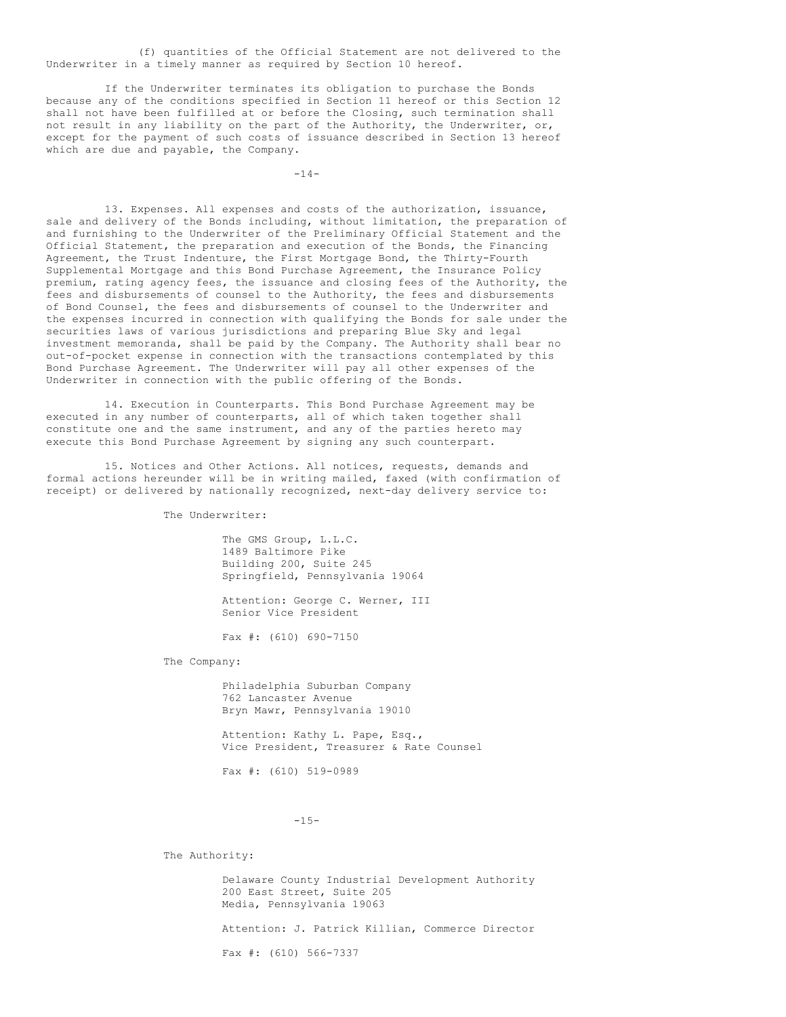(f) quantities of the Official Statement are not delivered to the Underwriter in a timely manner as required by Section 10 hereof.

If the Underwriter terminates its obligation to purchase the Bonds because any of the conditions specified in Section 11 hereof or this Section 12 shall not have been fulfilled at or before the Closing, such termination shall not result in any liability on the part of the Authority, the Underwriter, or, except for the payment of such costs of issuance described in Section 13 hereof which are due and payable, the Company.

 $-14-$ 

13. Expenses. All expenses and costs of the authorization, issuance, sale and delivery of the Bonds including, without limitation, the preparation of and furnishing to the Underwriter of the Preliminary Official Statement and the Official Statement, the preparation and execution of the Bonds, the Financing Agreement, the Trust Indenture, the First Mortgage Bond, the Thirty-Fourth Supplemental Mortgage and this Bond Purchase Agreement, the Insurance Policy premium, rating agency fees, the issuance and closing fees of the Authority, the fees and disbursements of counsel to the Authority, the fees and disbursements of Bond Counsel, the fees and disbursements of counsel to the Underwriter and the expenses incurred in connection with qualifying the Bonds for sale under the securities laws of various jurisdictions and preparing Blue Sky and legal investment memoranda, shall be paid by the Company. The Authority shall bear no out-of-pocket expense in connection with the transactions contemplated by this Bond Purchase Agreement. The Underwriter will pay all other expenses of the Underwriter in connection with the public offering of the Bonds.

14. Execution in Counterparts. This Bond Purchase Agreement may be executed in any number of counterparts, all of which taken together shall constitute one and the same instrument, and any of the parties hereto may execute this Bond Purchase Agreement by signing any such counterpart.

15. Notices and Other Actions. All notices, requests, demands and formal actions hereunder will be in writing mailed, faxed (with confirmation of receipt) or delivered by nationally recognized, next-day delivery service to:

The Underwriter:

The GMS Group, L.L.C. 1489 Baltimore Pike Building 200, Suite 245 Springfield, Pennsylvania 19064

Attention: George C. Werner, III Senior Vice President

Fax #: (610) 690-7150

The Company:

Philadelphia Suburban Company 762 Lancaster Avenue Bryn Mawr, Pennsylvania 19010

Attention: Kathy L. Pape, Esq., Vice President, Treasurer & Rate Counsel

Fax #: (610) 519-0989

## -15-

The Authority:

Delaware County Industrial Development Authority 200 East Street, Suite 205 Media, Pennsylvania 19063 Attention: J. Patrick Killian, Commerce Director Fax #: (610) 566-7337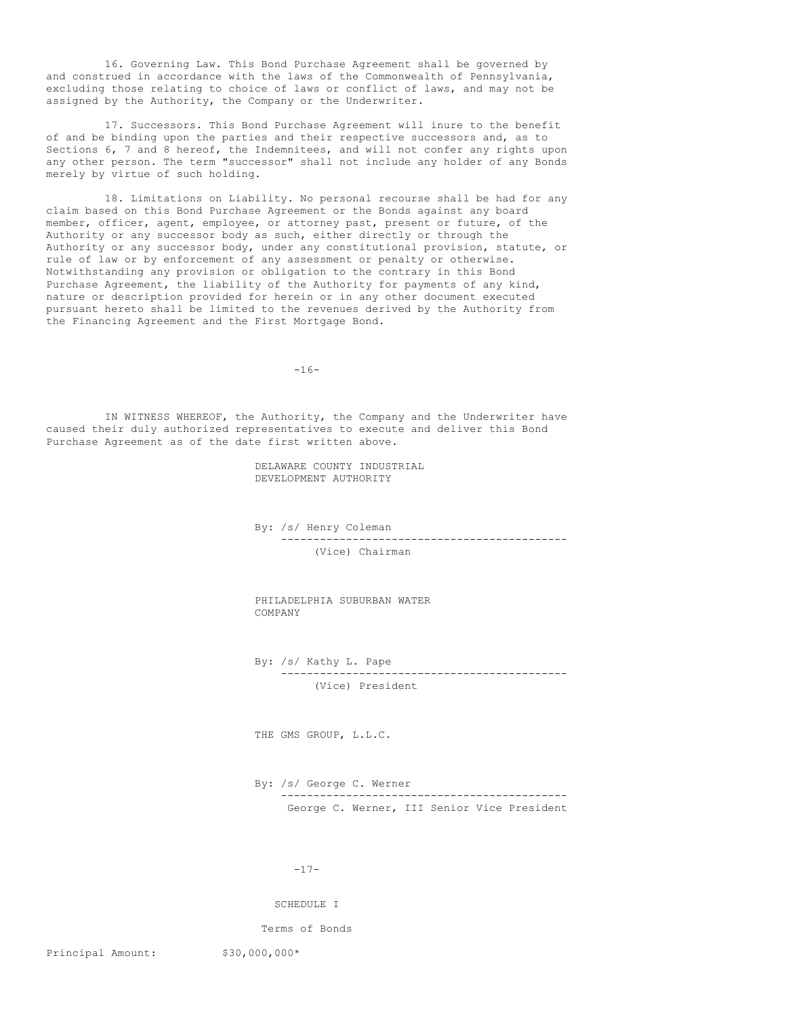16. Governing Law. This Bond Purchase Agreement shall be governed by and construed in accordance with the laws of the Commonwealth of Pennsylvania, excluding those relating to choice of laws or conflict of laws, and may not be assigned by the Authority, the Company or the Underwriter.

17. Successors. This Bond Purchase Agreement will inure to the benefit of and be binding upon the parties and their respective successors and, as to Sections 6, 7 and 8 hereof, the Indemnitees, and will not confer any rights upon any other person. The term "successor" shall not include any holder of any Bonds merely by virtue of such holding.

18. Limitations on Liability. No personal recourse shall be had for any claim based on this Bond Purchase Agreement or the Bonds against any board member, officer, agent, employee, or attorney past, present or future, of the Authority or any successor body as such, either directly or through the Authority or any successor body, under any constitutional provision, statute, or rule of law or by enforcement of any assessment or penalty or otherwise. Notwithstanding any provision or obligation to the contrary in this Bond Purchase Agreement, the liability of the Authority for payments of any kind, nature or description provided for herein or in any other document executed pursuant hereto shall be limited to the revenues derived by the Authority from the Financing Agreement and the First Mortgage Bond.

-16-

IN WITNESS WHEREOF, the Authority, the Company and the Underwriter have caused their duly authorized representatives to execute and deliver this Bond Purchase Agreement as of the date first written above.

> DELAWARE COUNTY INDUSTRIAL DEVELOPMENT AUTHORITY

By: /s/ Henry Coleman -------------------------------------------- (Vice) Chairman

PHILADELPHIA SUBURBAN WATER COMPANY

By: /s/ Kathy L. Pape -------------------------------------------- (Vice) President

THE GMS GROUP, L.L.C.

By: /s/ George C. Werner -------------------------------------------- George C. Werner, III Senior Vice President

-17-

SCHEDULE I

Terms of Bonds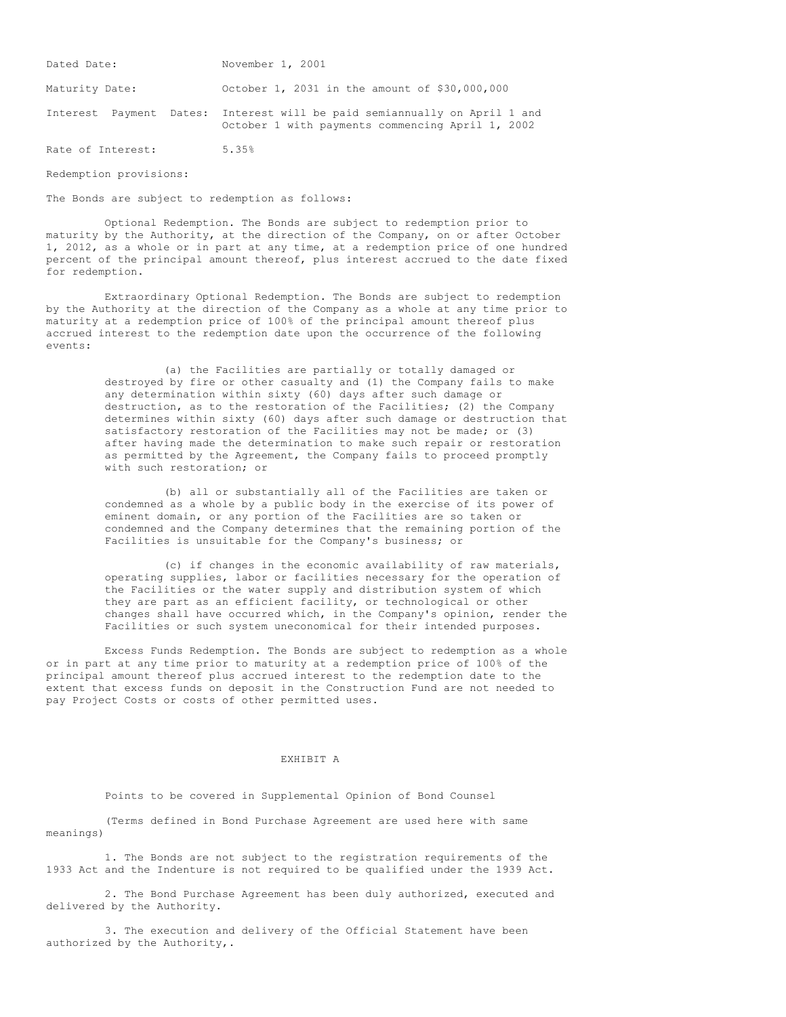| Dated Date:       | November 1, 2001                                                                                                              |
|-------------------|-------------------------------------------------------------------------------------------------------------------------------|
| Maturity Date:    | October 1, 2031 in the amount of \$30,000,000                                                                                 |
|                   | Interest Payment Dates: Interest will be paid semiannually on April 1 and<br>October 1 with payments commencing April 1, 2002 |
| Rate of Interest: | 5.35%                                                                                                                         |

Redemption provisions:

The Bonds are subject to redemption as follows:

Optional Redemption. The Bonds are subject to redemption prior to maturity by the Authority, at the direction of the Company, on or after October 1, 2012, as a whole or in part at any time, at a redemption price of one hundred percent of the principal amount thereof, plus interest accrued to the date fixed for redemption.

Extraordinary Optional Redemption. The Bonds are subject to redemption by the Authority at the direction of the Company as a whole at any time prior to maturity at a redemption price of 100% of the principal amount thereof plus accrued interest to the redemption date upon the occurrence of the following events:

> (a) the Facilities are partially or totally damaged or destroyed by fire or other casualty and (1) the Company fails to make any determination within sixty (60) days after such damage or destruction, as to the restoration of the Facilities; (2) the Company determines within sixty (60) days after such damage or destruction that satisfactory restoration of the Facilities may not be made; or (3) after having made the determination to make such repair or restoration as permitted by the Agreement, the Company fails to proceed promptly with such restoration; or

(b) all or substantially all of the Facilities are taken or condemned as a whole by a public body in the exercise of its power of eminent domain, or any portion of the Facilities are so taken or condemned and the Company determines that the remaining portion of the Facilities is unsuitable for the Company's business; or

(c) if changes in the economic availability of raw materials, operating supplies, labor or facilities necessary for the operation of the Facilities or the water supply and distribution system of which they are part as an efficient facility, or technological or other changes shall have occurred which, in the Company's opinion, render the Facilities or such system uneconomical for their intended purposes.

Excess Funds Redemption. The Bonds are subject to redemption as a whole or in part at any time prior to maturity at a redemption price of 100% of the principal amount thereof plus accrued interest to the redemption date to the extent that excess funds on deposit in the Construction Fund are not needed to pay Project Costs or costs of other permitted uses.

# EXHIBIT A

Points to be covered in Supplemental Opinion of Bond Counsel

(Terms defined in Bond Purchase Agreement are used here with same meanings)

1. The Bonds are not subject to the registration requirements of the 1933 Act and the Indenture is not required to be qualified under the 1939 Act.

2. The Bond Purchase Agreement has been duly authorized, executed and delivered by the Authority.

3. The execution and delivery of the Official Statement have been authorized by the Authority,.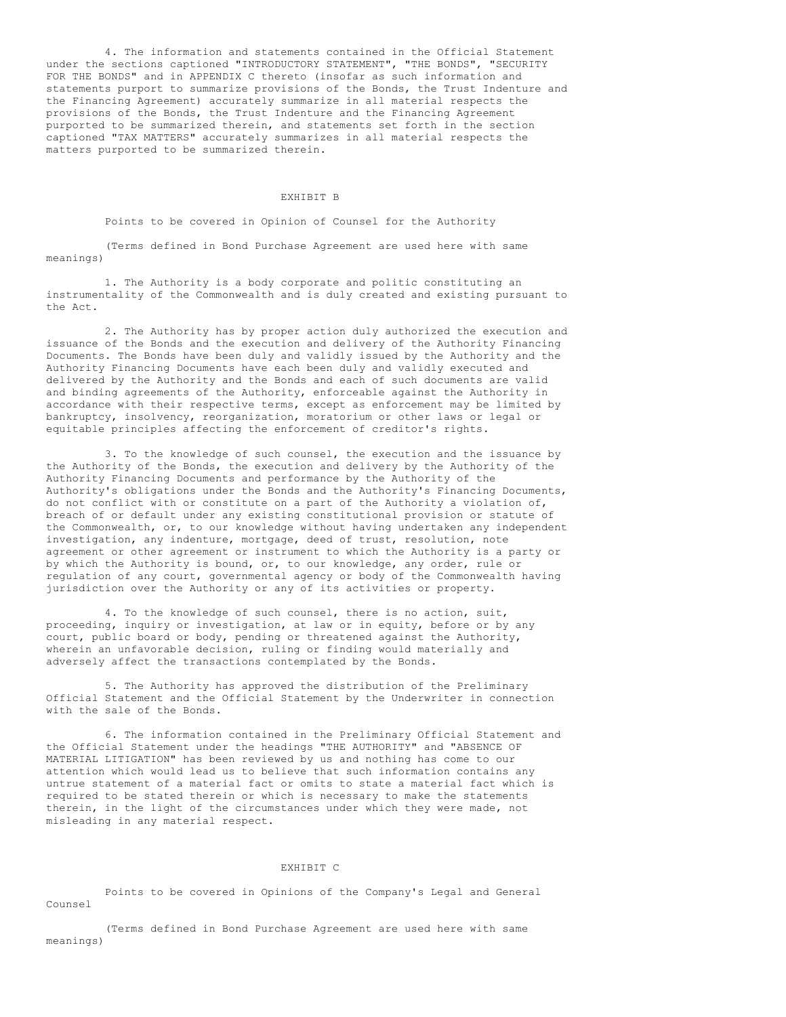4. The information and statements contained in the Official Statement under the sections captioned "INTRODUCTORY STATEMENT", "THE BONDS", "SECURITY FOR THE BONDS" and in APPENDIX C thereto (insofar as such information and statements purport to summarize provisions of the Bonds, the Trust Indenture and the Financing Agreement) accurately summarize in all material respects the provisions of the Bonds, the Trust Indenture and the Financing Agreement purported to be summarized therein, and statements set forth in the section captioned "TAX MATTERS" accurately summarizes in all material respects the matters purported to be summarized therein.

# EXHIBIT B

Points to be covered in Opinion of Counsel for the Authority

(Terms defined in Bond Purchase Agreement are used here with same meanings)

1. The Authority is a body corporate and politic constituting an instrumentality of the Commonwealth and is duly created and existing pursuant to the Act.

2. The Authority has by proper action duly authorized the execution and issuance of the Bonds and the execution and delivery of the Authority Financing Documents. The Bonds have been duly and validly issued by the Authority and the Authority Financing Documents have each been duly and validly executed and delivered by the Authority and the Bonds and each of such documents are valid and binding agreements of the Authority, enforceable against the Authority in accordance with their respective terms, except as enforcement may be limited by bankruptcy, insolvency, reorganization, moratorium or other laws or legal or equitable principles affecting the enforcement of creditor's rights.

3. To the knowledge of such counsel, the execution and the issuance by the Authority of the Bonds, the execution and delivery by the Authority of the Authority Financing Documents and performance by the Authority of the Authority's obligations under the Bonds and the Authority's Financing Documents, do not conflict with or constitute on a part of the Authority a violation of, breach of or default under any existing constitutional provision or statute of the Commonwealth, or, to our knowledge without having undertaken any independent investigation, any indenture, mortgage, deed of trust, resolution, note agreement or other agreement or instrument to which the Authority is a party or by which the Authority is bound, or, to our knowledge, any order, rule or regulation of any court, governmental agency or body of the Commonwealth having jurisdiction over the Authority or any of its activities or property.

4. To the knowledge of such counsel, there is no action, suit, proceeding, inquiry or investigation, at law or in equity, before or by any court, public board or body, pending or threatened against the Authority, wherein an unfavorable decision, ruling or finding would materially and adversely affect the transactions contemplated by the Bonds.

5. The Authority has approved the distribution of the Preliminary Official Statement and the Official Statement by the Underwriter in connection with the sale of the Bonds.

6. The information contained in the Preliminary Official Statement and the Official Statement under the headings "THE AUTHORITY" and "ABSENCE OF MATERIAL LITIGATION" has been reviewed by us and nothing has come to our attention which would lead us to believe that such information contains any untrue statement of a material fact or omits to state a material fact which is required to be stated therein or which is necessary to make the statements therein, in the light of the circumstances under which they were made, not misleading in any material respect.

## EXHIBIT C

Points to be covered in Opinions of the Company's Legal and General Counsel

(Terms defined in Bond Purchase Agreement are used here with same meanings)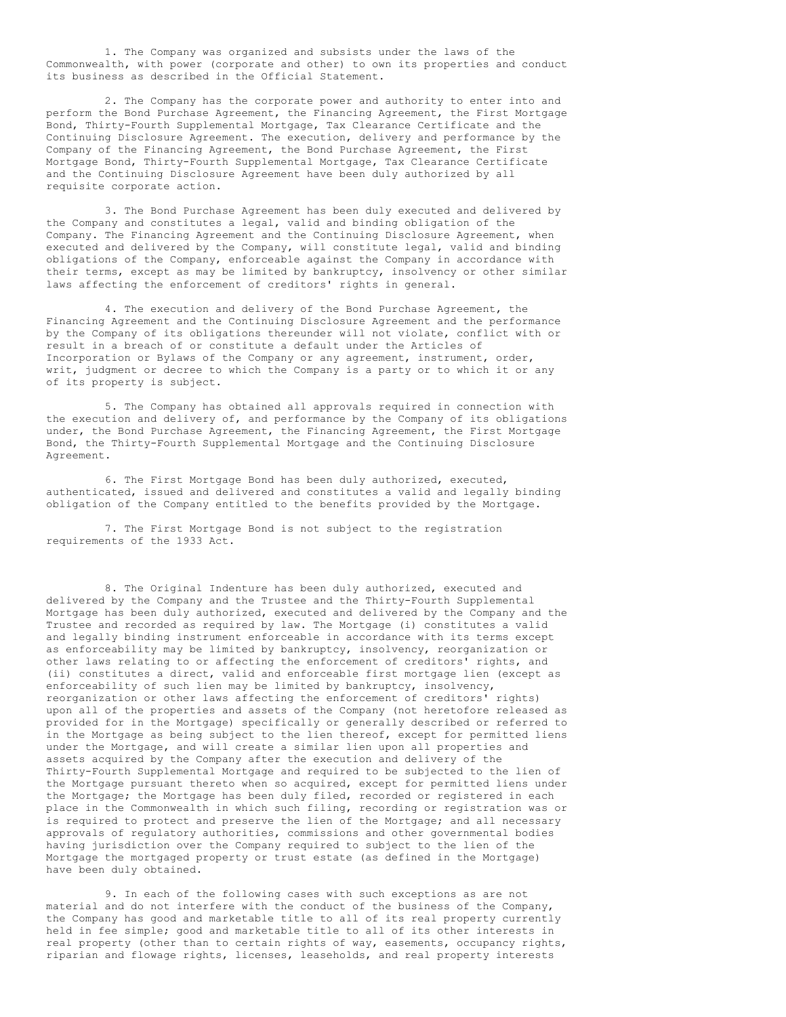1. The Company was organized and subsists under the laws of the Commonwealth, with power (corporate and other) to own its properties and conduct its business as described in the Official Statement.

2. The Company has the corporate power and authority to enter into and perform the Bond Purchase Agreement, the Financing Agreement, the First Mortgage Bond, Thirty-Fourth Supplemental Mortgage, Tax Clearance Certificate and the Continuing Disclosure Agreement. The execution, delivery and performance by the Company of the Financing Agreement, the Bond Purchase Agreement, the First Mortgage Bond, Thirty-Fourth Supplemental Mortgage, Tax Clearance Certificate and the Continuing Disclosure Agreement have been duly authorized by all requisite corporate action.

3. The Bond Purchase Agreement has been duly executed and delivered by the Company and constitutes a legal, valid and binding obligation of the Company. The Financing Agreement and the Continuing Disclosure Agreement, when executed and delivered by the Company, will constitute legal, valid and binding obligations of the Company, enforceable against the Company in accordance with their terms, except as may be limited by bankruptcy, insolvency or other similar laws affecting the enforcement of creditors' rights in general.

4. The execution and delivery of the Bond Purchase Agreement, the Financing Agreement and the Continuing Disclosure Agreement and the performance by the Company of its obligations thereunder will not violate, conflict with or result in a breach of or constitute a default under the Articles of Incorporation or Bylaws of the Company or any agreement, instrument, order, writ, judgment or decree to which the Company is a party or to which it or any of its property is subject.

5. The Company has obtained all approvals required in connection with the execution and delivery of, and performance by the Company of its obligations under, the Bond Purchase Agreement, the Financing Agreement, the First Mortgage Bond, the Thirty-Fourth Supplemental Mortgage and the Continuing Disclosure Agreement.

6. The First Mortgage Bond has been duly authorized, executed, authenticated, issued and delivered and constitutes a valid and legally binding obligation of the Company entitled to the benefits provided by the Mortgage.

7. The First Mortgage Bond is not subject to the registration requirements of the 1933 Act.

8. The Original Indenture has been duly authorized, executed and delivered by the Company and the Trustee and the Thirty-Fourth Supplemental Mortgage has been duly authorized, executed and delivered by the Company and the Trustee and recorded as required by law. The Mortgage (i) constitutes a valid and legally binding instrument enforceable in accordance with its terms except as enforceability may be limited by bankruptcy, insolvency, reorganization or other laws relating to or affecting the enforcement of creditors' rights, and (ii) constitutes a direct, valid and enforceable first mortgage lien (except as enforceability of such lien may be limited by bankruptcy, insolvency, reorganization or other laws affecting the enforcement of creditors' rights) upon all of the properties and assets of the Company (not heretofore released as provided for in the Mortgage) specifically or generally described or referred to in the Mortgage as being subject to the lien thereof, except for permitted liens under the Mortgage, and will create a similar lien upon all properties and assets acquired by the Company after the execution and delivery of the Thirty-Fourth Supplemental Mortgage and required to be subjected to the lien of the Mortgage pursuant thereto when so acquired, except for permitted liens under the Mortgage; the Mortgage has been duly filed, recorded or registered in each place in the Commonwealth in which such filing, recording or registration was or is required to protect and preserve the lien of the Mortgage; and all necessary approvals of regulatory authorities, commissions and other governmental bodies having jurisdiction over the Company required to subject to the lien of the Mortgage the mortgaged property or trust estate (as defined in the Mortgage) have been duly obtained.

9. In each of the following cases with such exceptions as are not material and do not interfere with the conduct of the business of the Company, the Company has good and marketable title to all of its real property currently held in fee simple; good and marketable title to all of its other interests in real property (other than to certain rights of way, easements, occupancy rights, riparian and flowage rights, licenses, leaseholds, and real property interests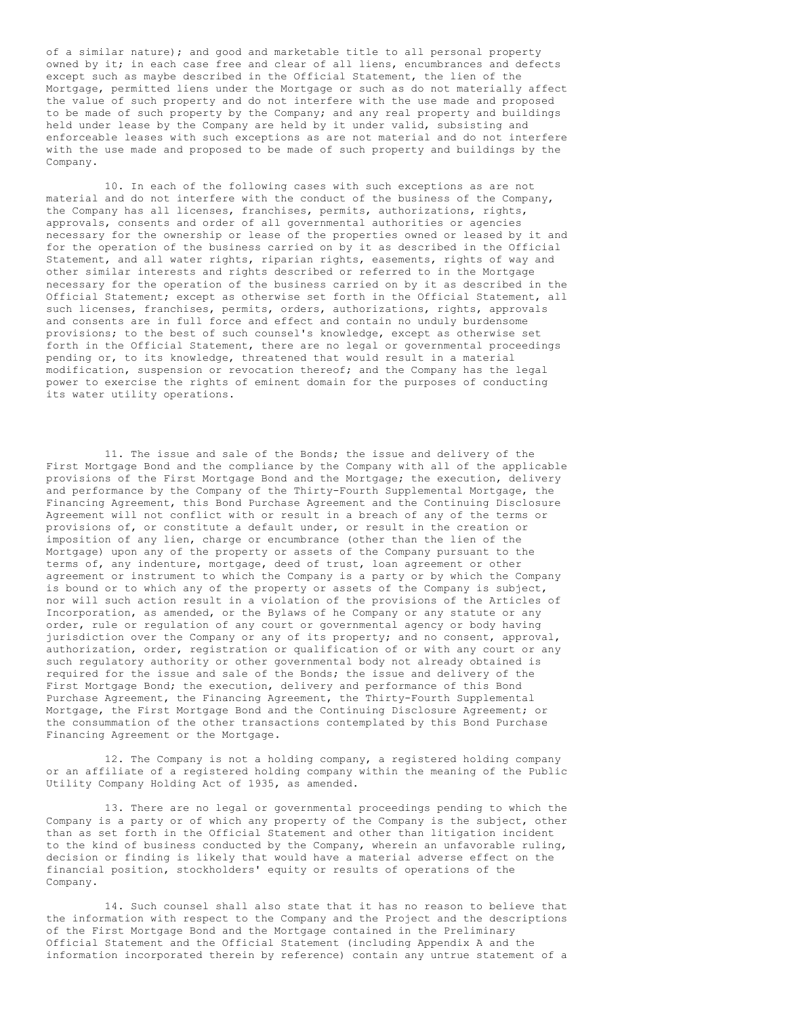of a similar nature); and good and marketable title to all personal property owned by it; in each case free and clear of all liens, encumbrances and defects except such as maybe described in the Official Statement, the lien of the Mortgage, permitted liens under the Mortgage or such as do not materially affect the value of such property and do not interfere with the use made and proposed to be made of such property by the Company; and any real property and buildings held under lease by the Company are held by it under valid, subsisting and enforceable leases with such exceptions as are not material and do not interfere with the use made and proposed to be made of such property and buildings by the Company.

10. In each of the following cases with such exceptions as are not material and do not interfere with the conduct of the business of the Company, the Company has all licenses, franchises, permits, authorizations, rights, approvals, consents and order of all governmental authorities or agencies necessary for the ownership or lease of the properties owned or leased by it and for the operation of the business carried on by it as described in the Official Statement, and all water rights, riparian rights, easements, rights of way and other similar interests and rights described or referred to in the Mortgage necessary for the operation of the business carried on by it as described in the Official Statement; except as otherwise set forth in the Official Statement, all such licenses, franchises, permits, orders, authorizations, rights, approvals and consents are in full force and effect and contain no unduly burdensome provisions; to the best of such counsel's knowledge, except as otherwise set forth in the Official Statement, there are no legal or governmental proceedings pending or, to its knowledge, threatened that would result in a material modification, suspension or revocation thereof; and the Company has the legal power to exercise the rights of eminent domain for the purposes of conducting its water utility operations.

11. The issue and sale of the Bonds; the issue and delivery of the First Mortgage Bond and the compliance by the Company with all of the applicable provisions of the First Mortgage Bond and the Mortgage; the execution, delivery and performance by the Company of the Thirty-Fourth Supplemental Mortgage, the Financing Agreement, this Bond Purchase Agreement and the Continuing Disclosure Agreement will not conflict with or result in a breach of any of the terms or provisions of, or constitute a default under, or result in the creation or imposition of any lien, charge or encumbrance (other than the lien of the Mortgage) upon any of the property or assets of the Company pursuant to the terms of, any indenture, mortgage, deed of trust, loan agreement or other agreement or instrument to which the Company is a party or by which the Company is bound or to which any of the property or assets of the Company is subject, nor will such action result in a violation of the provisions of the Articles of Incorporation, as amended, or the Bylaws of he Company or any statute or any order, rule or regulation of any court or governmental agency or body having jurisdiction over the Company or any of its property; and no consent, approval, authorization, order, registration or qualification of or with any court or any such regulatory authority or other governmental body not already obtained is required for the issue and sale of the Bonds; the issue and delivery of the First Mortgage Bond; the execution, delivery and performance of this Bond Purchase Agreement, the Financing Agreement, the Thirty-Fourth Supplemental Mortgage, the First Mortgage Bond and the Continuing Disclosure Agreement; or the consummation of the other transactions contemplated by this Bond Purchase Financing Agreement or the Mortgage.

12. The Company is not a holding company, a registered holding company or an affiliate of a registered holding company within the meaning of the Public Utility Company Holding Act of 1935, as amended.

13. There are no legal or governmental proceedings pending to which the Company is a party or of which any property of the Company is the subject, other than as set forth in the Official Statement and other than litigation incident to the kind of business conducted by the Company, wherein an unfavorable ruling, decision or finding is likely that would have a material adverse effect on the financial position, stockholders' equity or results of operations of the Company.

14. Such counsel shall also state that it has no reason to believe that the information with respect to the Company and the Project and the descriptions of the First Mortgage Bond and the Mortgage contained in the Preliminary Official Statement and the Official Statement (including Appendix A and the information incorporated therein by reference) contain any untrue statement of a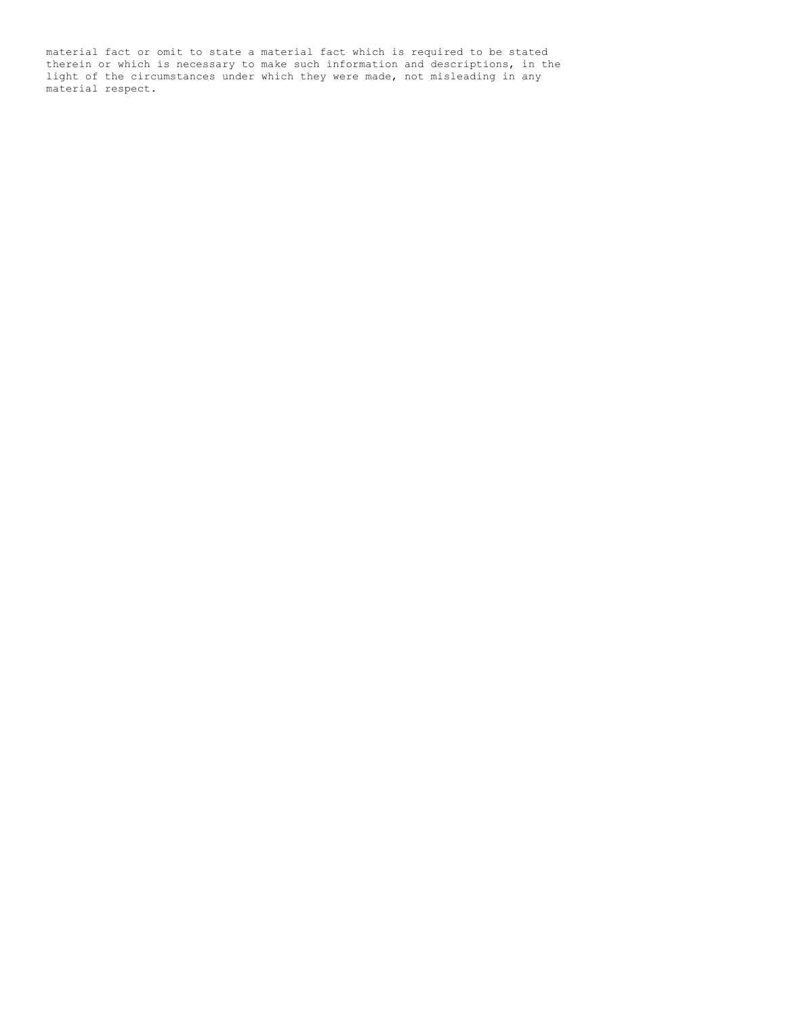material fact or omit to state a material fact which is required to be stated therein or which is necessary to make such information and descriptions, in the light of the circumstances under which they were made, not misleading in any material respect.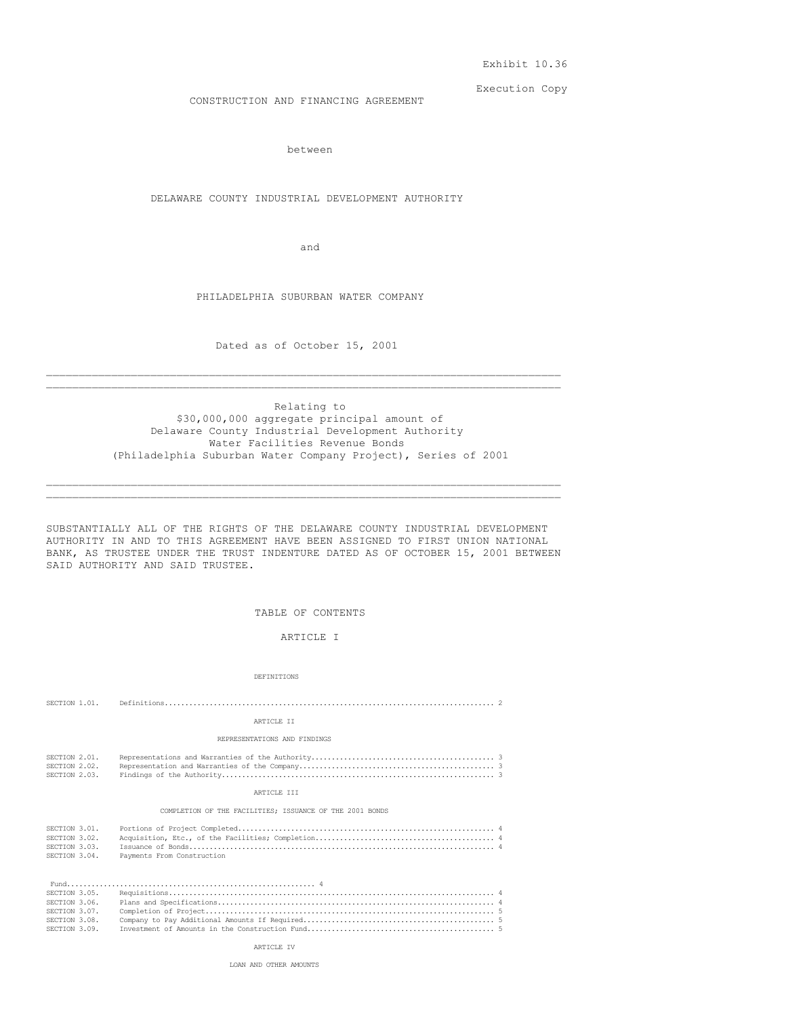Exhibit 10.36

Execution Copy

CONSTRUCTION AND FINANCING AGREEMENT

between

DELAWARE COUNTY INDUSTRIAL DEVELOPMENT AUTHORITY

and

PHILADELPHIA SUBURBAN WATER COMPANY

Dated as of October 15, 2001  $\mathcal{L}_\text{max}$ 

 $\mathcal{L}_\text{max}$ 

Relating to \$30,000,000 aggregate principal amount of Delaware County Industrial Development Authority Water Facilities Revenue Bonds (Philadelphia Suburban Water Company Project), Series of 2001

SUBSTANTIALLY ALL OF THE RIGHTS OF THE DELAWARE COUNTY INDUSTRIAL DEVELOPMENT AUTHORITY IN AND TO THIS AGREEMENT HAVE BEEN ASSIGNED TO FIRST UNION NATIONAL BANK, AS TRUSTEE UNDER THE TRUST INDENTURE DATED AS OF OCTOBER 15, 2001 BETWEEN SAID AUTHORITY AND SAID TRUSTEE.

\_\_\_\_\_\_\_\_\_\_\_\_\_\_\_\_\_\_\_\_\_\_\_\_\_\_\_\_\_\_\_\_\_\_\_\_\_\_\_\_\_\_\_\_\_\_\_\_\_\_\_\_\_\_\_\_\_\_\_\_\_\_\_\_\_\_\_\_\_\_\_\_\_\_\_\_\_\_\_  $\mathcal{L}_\text{max}$ 

TABLE OF CONTENTS

ARTICLE I

DEFINITIONS

| SECTION 1.01.                                                    |                                                          |  |  |  |
|------------------------------------------------------------------|----------------------------------------------------------|--|--|--|
|                                                                  | ARTICLE II                                               |  |  |  |
|                                                                  | REPRESENTATIONS AND FINDINGS                             |  |  |  |
| SECTION 2.01.<br>SECTION 2.02.<br>SECTION 2.03.                  |                                                          |  |  |  |
| ARTICLE III                                                      |                                                          |  |  |  |
|                                                                  | COMPLETION OF THE FACILITIES: ISSUANCE OF THE 2001 BONDS |  |  |  |
| SECTION 3.01.<br>SECTION 3.02.<br>SECTION 3.03.<br>SECTION 3.04. | Payments From Construction                               |  |  |  |
|                                                                  |                                                          |  |  |  |

| SECTION 3.05. |  |
|---------------|--|
| SECTION 3.06. |  |
| SECTION 3.07. |  |
| SECTION 3.08. |  |
| SECTION 3.09. |  |

ARTICLE IV

LOAN AND OTHER AMOUNTS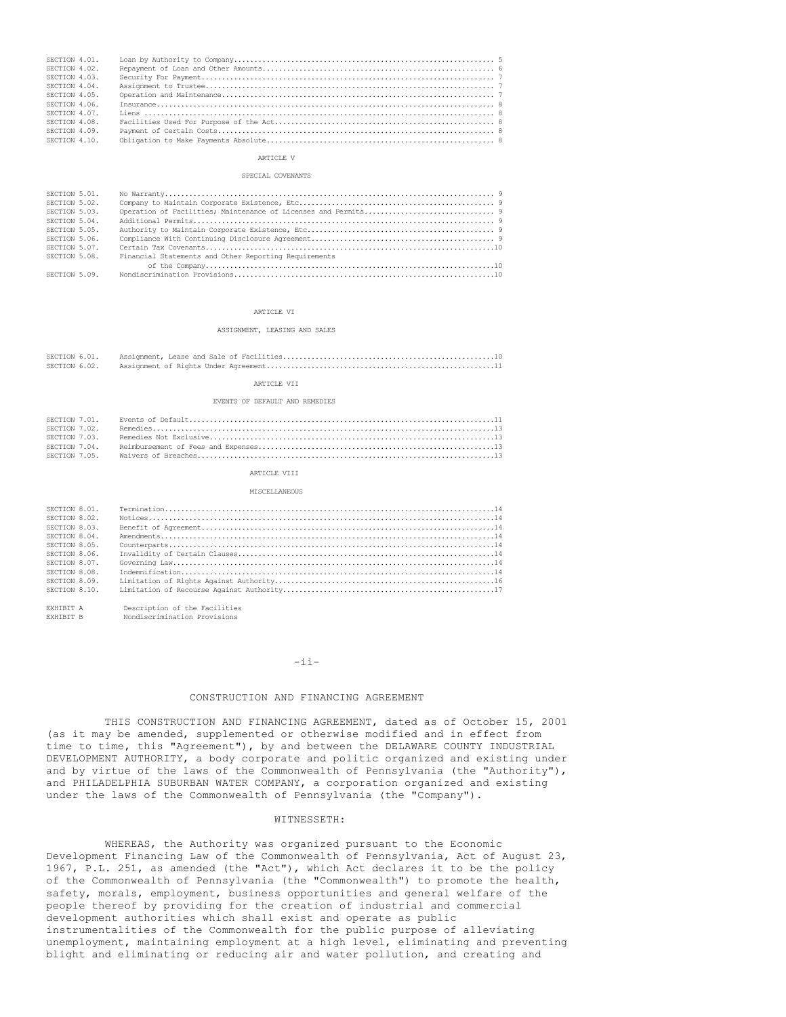| SECTION 4.01. |  |
|---------------|--|
| SECTION 4.02. |  |
| SECTION 4.03. |  |
| SECTION 4.04. |  |
| SECTION 4.05. |  |
| SECTION 4.06. |  |
| SECTION 4.07. |  |
| SECTION 4.08. |  |
| SECTION 4.09. |  |
| SECTION 4.10. |  |

## ARTICLE V

#### SPECIAL COVENANTS

| SECTION 5.01. |                                                       |  |
|---------------|-------------------------------------------------------|--|
| SECTION 5.02. |                                                       |  |
| SECTION 5.03. |                                                       |  |
| SECTION 5.04. |                                                       |  |
| SECTION 5.05. |                                                       |  |
| SECTION 5.06. |                                                       |  |
| SECTION 5.07. |                                                       |  |
| SECTION 5.08. | Financial Statements and Other Reporting Requirements |  |
|               |                                                       |  |
| SECTION 5.09. |                                                       |  |

#### ARTICLE VI

#### ASSIGNMENT, LEASING AND SALES

### ARTICLE VII

### EVENTS OF DEFAULT AND REMEDIES

| SECTION 7 03 |  |
|--------------|--|
|              |  |
|              |  |

### ARTICLE VIII

#### MISCELLANEOUS

| SECTION 8.01. |  |
|---------------|--|
| SECTION 8.02. |  |
| SECTION 8.03. |  |
| SECTION 8.04. |  |
| SECTION 8.05. |  |
| SECTION 8.06. |  |
| SECTION 8.07. |  |
| SECTION 8.08. |  |
| SECTION 8.09. |  |
| SECTION 8.10. |  |

EXHIBIT A Description of the Facilities<br>EXHIBIT B Nondiscrimination Provisions Nondiscrimination Provisions

# -ii-

# CONSTRUCTION AND FINANCING AGREEMENT

THIS CONSTRUCTION AND FINANCING AGREEMENT, dated as of October 15, 2001 (as it may be amended, supplemented or otherwise modified and in effect from time to time, this "Agreement"), by and between the DELAWARE COUNTY INDUSTRIAL DEVELOPMENT AUTHORITY, a body corporate and politic organized and existing under and by virtue of the laws of the Commonwealth of Pennsylvania (the "Authority"), and PHILADELPHIA SUBURBAN WATER COMPANY, a corporation organized and existing under the laws of the Commonwealth of Pennsylvania (the "Company").

## WITNESSETH:

WHEREAS, the Authority was organized pursuant to the Economic Development Financing Law of the Commonwealth of Pennsylvania, Act of August 23, 1967, P.L. 251, as amended (the "Act"), which Act declares it to be the policy of the Commonwealth of Pennsylvania (the "Commonwealth") to promote the health, safety, morals, employment, business opportunities and general welfare of the people thereof by providing for the creation of industrial and commercial development authorities which shall exist and operate as public instrumentalities of the Commonwealth for the public purpose of alleviating unemployment, maintaining employment at a high level, eliminating and preventing blight and eliminating or reducing air and water pollution, and creating and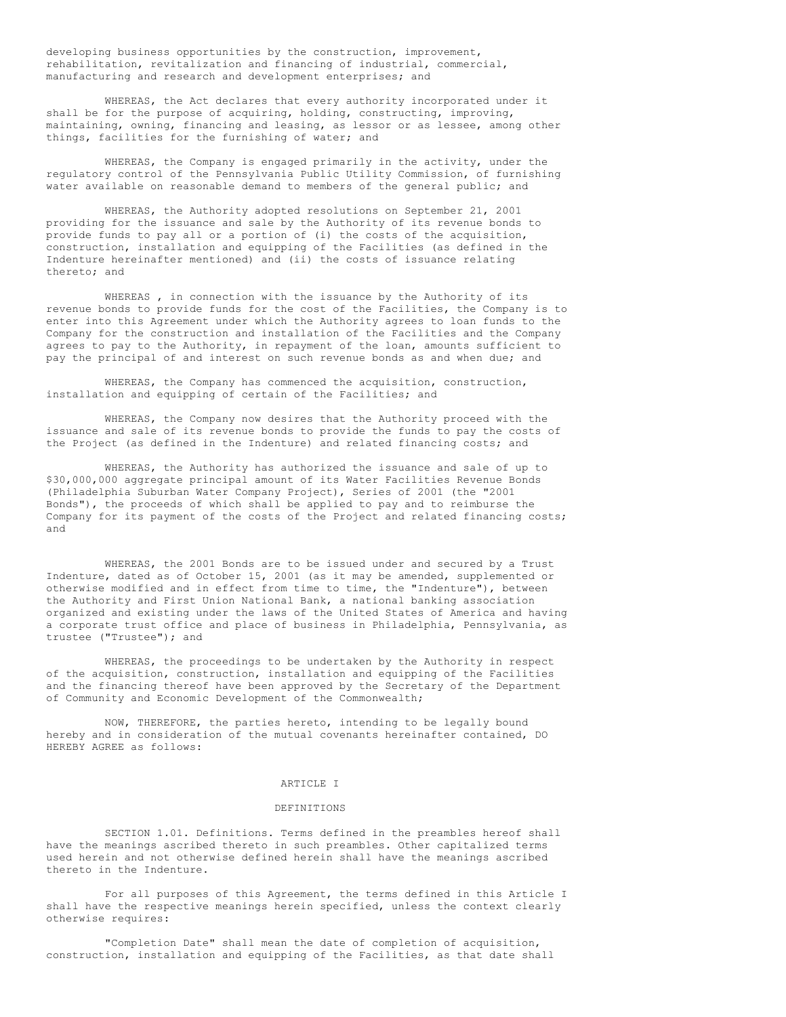developing business opportunities by the construction, improvement, rehabilitation, revitalization and financing of industrial, commercial, manufacturing and research and development enterprises; and

WHEREAS, the Act declares that every authority incorporated under it shall be for the purpose of acquiring, holding, constructing, improving, maintaining, owning, financing and leasing, as lessor or as lessee, among other things, facilities for the furnishing of water; and

WHEREAS, the Company is engaged primarily in the activity, under the regulatory control of the Pennsylvania Public Utility Commission, of furnishing water available on reasonable demand to members of the general public; and

WHEREAS, the Authority adopted resolutions on September 21, 2001 providing for the issuance and sale by the Authority of its revenue bonds to provide funds to pay all or a portion of (i) the costs of the acquisition, construction, installation and equipping of the Facilities (as defined in the Indenture hereinafter mentioned) and (ii) the costs of issuance relating thereto; and

WHEREAS , in connection with the issuance by the Authority of its revenue bonds to provide funds for the cost of the Facilities, the Company is to enter into this Agreement under which the Authority agrees to loan funds to the Company for the construction and installation of the Facilities and the Company agrees to pay to the Authority, in repayment of the loan, amounts sufficient to pay the principal of and interest on such revenue bonds as and when due; and

WHEREAS, the Company has commenced the acquisition, construction, installation and equipping of certain of the Facilities; and

WHEREAS, the Company now desires that the Authority proceed with the issuance and sale of its revenue bonds to provide the funds to pay the costs of the Project (as defined in the Indenture) and related financing costs; and

WHEREAS, the Authority has authorized the issuance and sale of up to \$30,000,000 aggregate principal amount of its Water Facilities Revenue Bonds (Philadelphia Suburban Water Company Project), Series of 2001 (the "2001 Bonds"), the proceeds of which shall be applied to pay and to reimburse the Company for its payment of the costs of the Project and related financing costs; and

WHEREAS, the 2001 Bonds are to be issued under and secured by a Trust Indenture, dated as of October 15, 2001 (as it may be amended, supplemented or otherwise modified and in effect from time to time, the "Indenture"), between the Authority and First Union National Bank, a national banking association organized and existing under the laws of the United States of America and having a corporate trust office and place of business in Philadelphia, Pennsylvania, as trustee ("Trustee"); and

WHEREAS, the proceedings to be undertaken by the Authority in respect of the acquisition, construction, installation and equipping of the Facilities and the financing thereof have been approved by the Secretary of the Department of Community and Economic Development of the Commonwealth;

NOW, THEREFORE, the parties hereto, intending to be legally bound hereby and in consideration of the mutual covenants hereinafter contained, DO HEREBY AGREE as follows:

## ARTICLE I

### DEFINITIONS

SECTION 1.01. Definitions. Terms defined in the preambles hereof shall have the meanings ascribed thereto in such preambles. Other capitalized terms used herein and not otherwise defined herein shall have the meanings ascribed thereto in the Indenture.

For all purposes of this Agreement, the terms defined in this Article I shall have the respective meanings herein specified, unless the context clearly otherwise requires:

"Completion Date" shall mean the date of completion of acquisition, construction, installation and equipping of the Facilities, as that date shall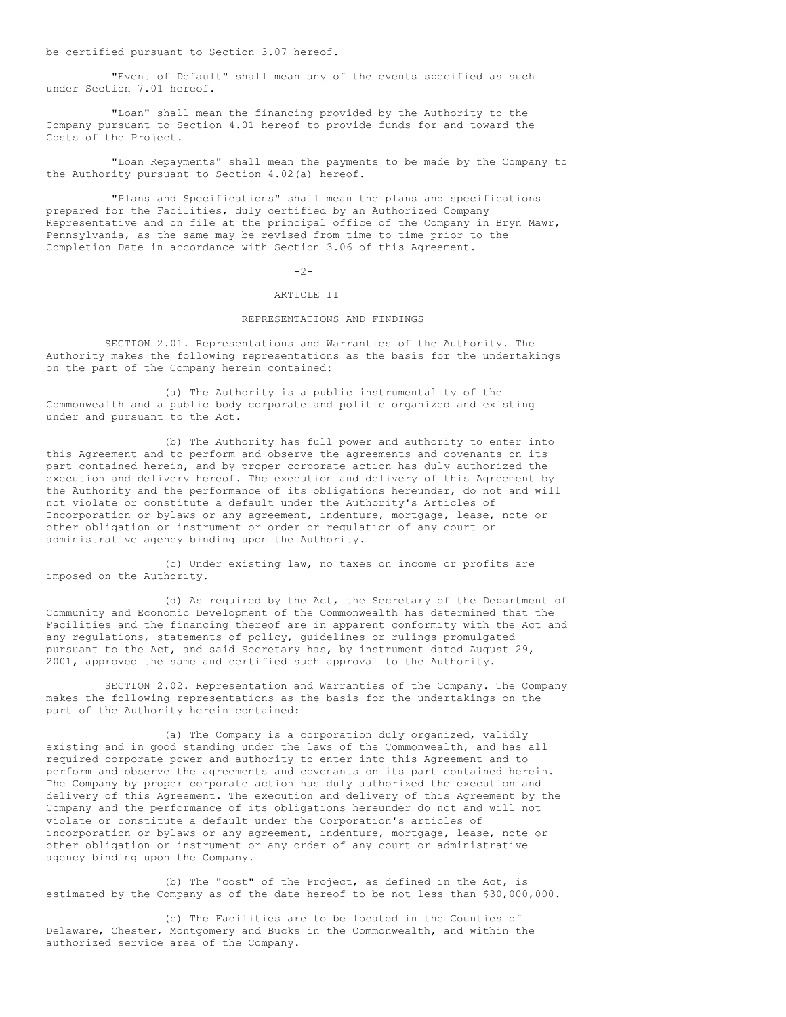be certified pursuant to Section 3.07 hereof.

"Event of Default" shall mean any of the events specified as such under Section 7.01 hereof.

"Loan" shall mean the financing provided by the Authority to the Company pursuant to Section 4.01 hereof to provide funds for and toward the Costs of the Project.

"Loan Repayments" shall mean the payments to be made by the Company to the Authority pursuant to Section 4.02(a) hereof.

"Plans and Specifications" shall mean the plans and specifications prepared for the Facilities, duly certified by an Authorized Company Representative and on file at the principal office of the Company in Bryn Mawr, Pennsylvania, as the same may be revised from time to time prior to the Completion Date in accordance with Section 3.06 of this Agreement.

## $-2-$

# ARTICLE II

# REPRESENTATIONS AND FINDINGS

SECTION 2.01. Representations and Warranties of the Authority. The Authority makes the following representations as the basis for the undertakings on the part of the Company herein contained:

(a) The Authority is a public instrumentality of the Commonwealth and a public body corporate and politic organized and existing under and pursuant to the Act.

(b) The Authority has full power and authority to enter into this Agreement and to perform and observe the agreements and covenants on its part contained herein, and by proper corporate action has duly authorized the execution and delivery hereof. The execution and delivery of this Agreement by the Authority and the performance of its obligations hereunder, do not and will not violate or constitute a default under the Authority's Articles of Incorporation or bylaws or any agreement, indenture, mortgage, lease, note or other obligation or instrument or order or regulation of any court or administrative agency binding upon the Authority.

(c) Under existing law, no taxes on income or profits are imposed on the Authority.

(d) As required by the Act, the Secretary of the Department of Community and Economic Development of the Commonwealth has determined that the Facilities and the financing thereof are in apparent conformity with the Act and any regulations, statements of policy, guidelines or rulings promulgated pursuant to the Act, and said Secretary has, by instrument dated August 29, 2001, approved the same and certified such approval to the Authority.

SECTION 2.02. Representation and Warranties of the Company. The Company makes the following representations as the basis for the undertakings on the part of the Authority herein contained:

(a) The Company is a corporation duly organized, validly existing and in good standing under the laws of the Commonwealth, and has all required corporate power and authority to enter into this Agreement and to perform and observe the agreements and covenants on its part contained herein. The Company by proper corporate action has duly authorized the execution and delivery of this Agreement. The execution and delivery of this Agreement by the Company and the performance of its obligations hereunder do not and will not violate or constitute a default under the Corporation's articles of incorporation or bylaws or any agreement, indenture, mortgage, lease, note or other obligation or instrument or any order of any court or administrative agency binding upon the Company.

(b) The "cost" of the Project, as defined in the Act, is estimated by the Company as of the date hereof to be not less than \$30,000,000.

(c) The Facilities are to be located in the Counties of Delaware, Chester, Montgomery and Bucks in the Commonwealth, and within the authorized service area of the Company.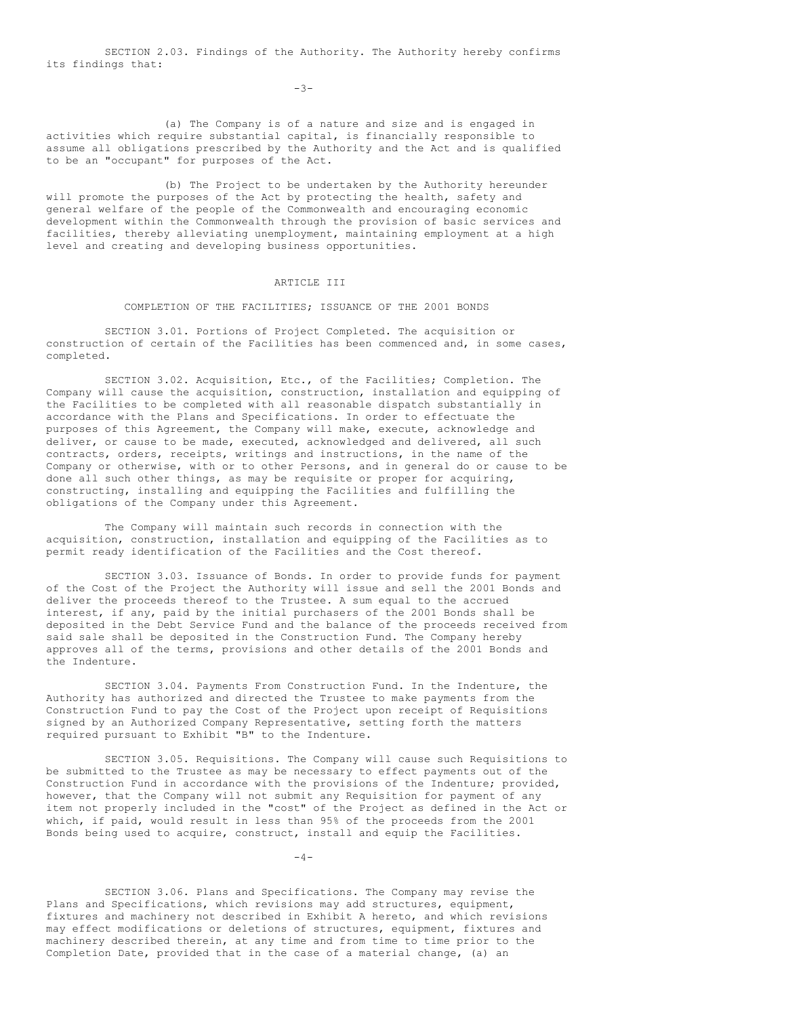SECTION 2.03. Findings of the Authority. The Authority hereby confirms its findings that:

-3-

(a) The Company is of a nature and size and is engaged in activities which require substantial capital, is financially responsible to assume all obligations prescribed by the Authority and the Act and is qualified to be an "occupant" for purposes of the Act.

(b) The Project to be undertaken by the Authority hereunder will promote the purposes of the Act by protecting the health, safety and general welfare of the people of the Commonwealth and encouraging economic development within the Commonwealth through the provision of basic services and facilities, thereby alleviating unemployment, maintaining employment at a high level and creating and developing business opportunities.

# ARTICLE III

## COMPLETION OF THE FACILITIES; ISSUANCE OF THE 2001 BONDS

SECTION 3.01. Portions of Project Completed. The acquisition or construction of certain of the Facilities has been commenced and, in some cases, completed.

SECTION 3.02. Acquisition, Etc., of the Facilities; Completion. The Company will cause the acquisition, construction, installation and equipping of the Facilities to be completed with all reasonable dispatch substantially in accordance with the Plans and Specifications. In order to effectuate the purposes of this Agreement, the Company will make, execute, acknowledge and deliver, or cause to be made, executed, acknowledged and delivered, all such contracts, orders, receipts, writings and instructions, in the name of the Company or otherwise, with or to other Persons, and in general do or cause to be done all such other things, as may be requisite or proper for acquiring, constructing, installing and equipping the Facilities and fulfilling the obligations of the Company under this Agreement.

The Company will maintain such records in connection with the acquisition, construction, installation and equipping of the Facilities as to permit ready identification of the Facilities and the Cost thereof.

SECTION 3.03. Issuance of Bonds. In order to provide funds for payment of the Cost of the Project the Authority will issue and sell the 2001 Bonds and deliver the proceeds thereof to the Trustee. A sum equal to the accrued interest, if any, paid by the initial purchasers of the 2001 Bonds shall be deposited in the Debt Service Fund and the balance of the proceeds received from said sale shall be deposited in the Construction Fund. The Company hereby approves all of the terms, provisions and other details of the 2001 Bonds and the Indenture.

SECTION 3.04. Payments From Construction Fund. In the Indenture, the Authority has authorized and directed the Trustee to make payments from the Construction Fund to pay the Cost of the Project upon receipt of Requisitions signed by an Authorized Company Representative, setting forth the matters required pursuant to Exhibit "B" to the Indenture.

SECTION 3.05. Requisitions. The Company will cause such Requisitions to be submitted to the Trustee as may be necessary to effect payments out of the Construction Fund in accordance with the provisions of the Indenture; provided, however, that the Company will not submit any Requisition for payment of any item not properly included in the "cost" of the Project as defined in the Act or which, if paid, would result in less than 95% of the proceeds from the 2001 Bonds being used to acquire, construct, install and equip the Facilities.

 $-4-$ 

SECTION 3.06. Plans and Specifications. The Company may revise the Plans and Specifications, which revisions may add structures, equipment, fixtures and machinery not described in Exhibit A hereto, and which revisions may effect modifications or deletions of structures, equipment, fixtures and machinery described therein, at any time and from time to time prior to the Completion Date, provided that in the case of a material change, (a) an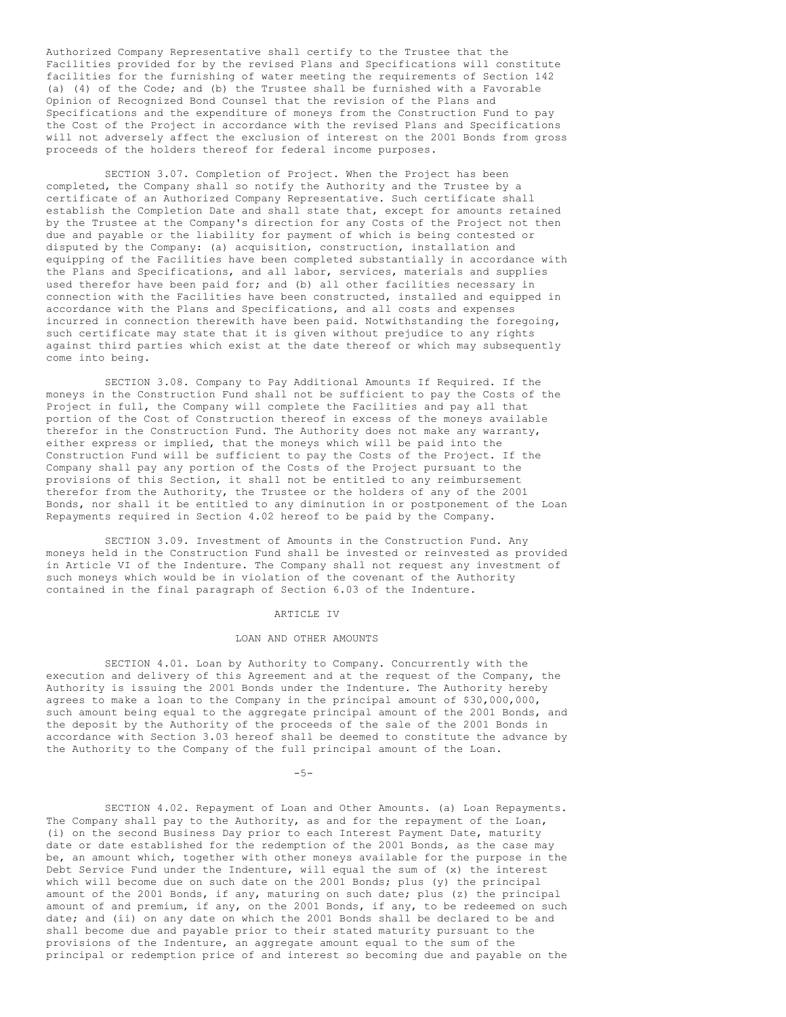Authorized Company Representative shall certify to the Trustee that the Facilities provided for by the revised Plans and Specifications will constitute facilities for the furnishing of water meeting the requirements of Section 142 (a) (4) of the Code; and (b) the Trustee shall be furnished with a Favorable Opinion of Recognized Bond Counsel that the revision of the Plans and Specifications and the expenditure of moneys from the Construction Fund to pay the Cost of the Project in accordance with the revised Plans and Specifications will not adversely affect the exclusion of interest on the 2001 Bonds from gross proceeds of the holders thereof for federal income purposes.

SECTION 3.07. Completion of Project. When the Project has been completed, the Company shall so notify the Authority and the Trustee by a certificate of an Authorized Company Representative. Such certificate shall establish the Completion Date and shall state that, except for amounts retained by the Trustee at the Company's direction for any Costs of the Project not then due and payable or the liability for payment of which is being contested or disputed by the Company: (a) acquisition, construction, installation and equipping of the Facilities have been completed substantially in accordance with the Plans and Specifications, and all labor, services, materials and supplies used therefor have been paid for; and (b) all other facilities necessary in connection with the Facilities have been constructed, installed and equipped in accordance with the Plans and Specifications, and all costs and expenses incurred in connection therewith have been paid. Notwithstanding the foregoing, such certificate may state that it is given without prejudice to any rights against third parties which exist at the date thereof or which may subsequently come into being.

SECTION 3.08. Company to Pay Additional Amounts If Required. If the moneys in the Construction Fund shall not be sufficient to pay the Costs of the Project in full, the Company will complete the Facilities and pay all that portion of the Cost of Construction thereof in excess of the moneys available therefor in the Construction Fund. The Authority does not make any warranty, either express or implied, that the moneys which will be paid into the Construction Fund will be sufficient to pay the Costs of the Project. If the Company shall pay any portion of the Costs of the Project pursuant to the provisions of this Section, it shall not be entitled to any reimbursement therefor from the Authority, the Trustee or the holders of any of the 2001 Bonds, nor shall it be entitled to any diminution in or postponement of the Loan Repayments required in Section 4.02 hereof to be paid by the Company.

SECTION 3.09. Investment of Amounts in the Construction Fund. Any moneys held in the Construction Fund shall be invested or reinvested as provided in Article VI of the Indenture. The Company shall not request any investment of such moneys which would be in violation of the covenant of the Authority contained in the final paragraph of Section 6.03 of the Indenture.

### ARTICLE IV

### LOAN AND OTHER AMOUNTS

SECTION 4.01. Loan by Authority to Company. Concurrently with the execution and delivery of this Agreement and at the request of the Company, the Authority is issuing the 2001 Bonds under the Indenture. The Authority hereby agrees to make a loan to the Company in the principal amount of \$30,000,000, such amount being equal to the aggregate principal amount of the 2001 Bonds, and the deposit by the Authority of the proceeds of the sale of the 2001 Bonds in accordance with Section 3.03 hereof shall be deemed to constitute the advance by the Authority to the Company of the full principal amount of the Loan.

 $-5-$ 

SECTION 4.02. Repayment of Loan and Other Amounts. (a) Loan Repayments. The Company shall pay to the Authority, as and for the repayment of the Loan, (i) on the second Business Day prior to each Interest Payment Date, maturity date or date established for the redemption of the 2001 Bonds, as the case may be, an amount which, together with other moneys available for the purpose in the Debt Service Fund under the Indenture, will equal the sum of (x) the interest which will become due on such date on the 2001 Bonds; plus (y) the principal amount of the 2001 Bonds, if any, maturing on such date; plus (z) the principal amount of and premium, if any, on the 2001 Bonds, if any, to be redeemed on such date; and (ii) on any date on which the 2001 Bonds shall be declared to be and shall become due and payable prior to their stated maturity pursuant to the provisions of the Indenture, an aggregate amount equal to the sum of the principal or redemption price of and interest so becoming due and payable on the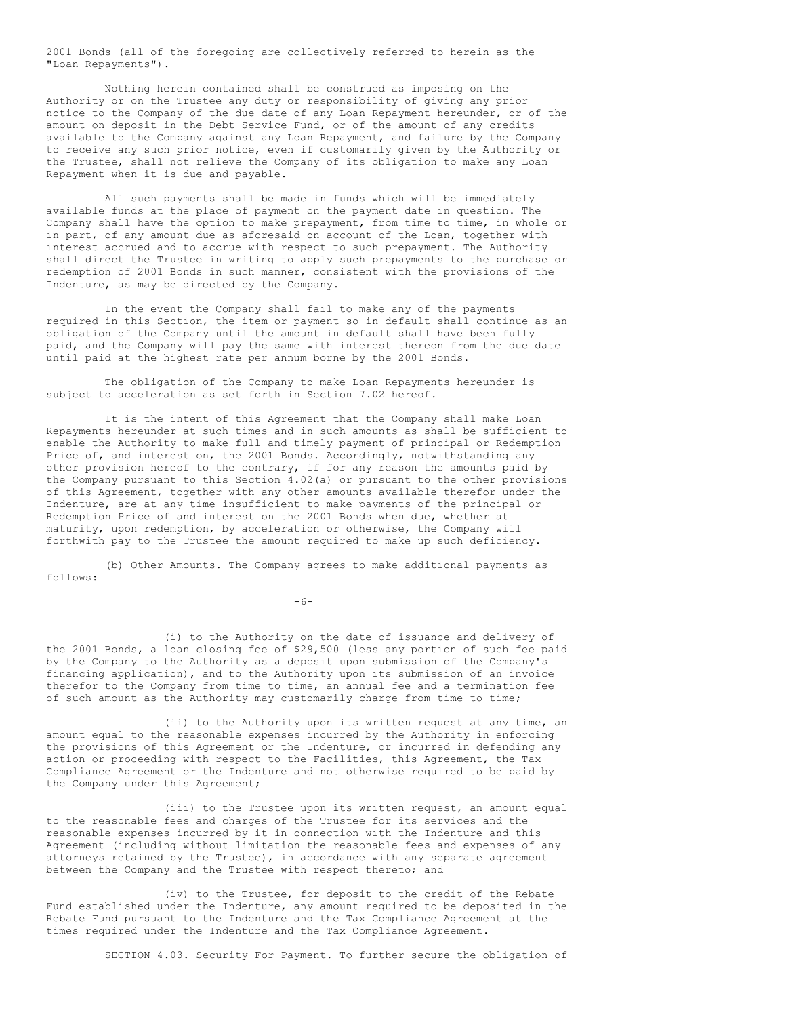2001 Bonds (all of the foregoing are collectively referred to herein as the "Loan Repayments").

Nothing herein contained shall be construed as imposing on the Authority or on the Trustee any duty or responsibility of giving any prior notice to the Company of the due date of any Loan Repayment hereunder, or of the amount on deposit in the Debt Service Fund, or of the amount of any credits available to the Company against any Loan Repayment, and failure by the Company to receive any such prior notice, even if customarily given by the Authority or the Trustee, shall not relieve the Company of its obligation to make any Loan Repayment when it is due and payable.

All such payments shall be made in funds which will be immediately available funds at the place of payment on the payment date in question. The Company shall have the option to make prepayment, from time to time, in whole or in part, of any amount due as aforesaid on account of the Loan, together with interest accrued and to accrue with respect to such prepayment. The Authority shall direct the Trustee in writing to apply such prepayments to the purchase or redemption of 2001 Bonds in such manner, consistent with the provisions of the Indenture, as may be directed by the Company.

In the event the Company shall fail to make any of the payments required in this Section, the item or payment so in default shall continue as an obligation of the Company until the amount in default shall have been fully paid, and the Company will pay the same with interest thereon from the due date until paid at the highest rate per annum borne by the 2001 Bonds.

The obligation of the Company to make Loan Repayments hereunder is subject to acceleration as set forth in Section 7.02 hereof.

It is the intent of this Agreement that the Company shall make Loan Repayments hereunder at such times and in such amounts as shall be sufficient to enable the Authority to make full and timely payment of principal or Redemption Price of, and interest on, the 2001 Bonds. Accordingly, notwithstanding any other provision hereof to the contrary, if for any reason the amounts paid by the Company pursuant to this Section  $\overline{4.02}$  (a) or pursuant to the other provisions of this Agreement, together with any other amounts available therefor under the Indenture, are at any time insufficient to make payments of the principal or Redemption Price of and interest on the 2001 Bonds when due, whether at maturity, upon redemption, by acceleration or otherwise, the Company will forthwith pay to the Trustee the amount required to make up such deficiency.

(b) Other Amounts. The Company agrees to make additional payments as follows:

 $-6-$ 

(i) to the Authority on the date of issuance and delivery of the 2001 Bonds, a loan closing fee of \$29,500 (less any portion of such fee paid by the Company to the Authority as a deposit upon submission of the Company's financing application), and to the Authority upon its submission of an invoice therefor to the Company from time to time, an annual fee and a termination fee of such amount as the Authority may customarily charge from time to time;

(ii) to the Authority upon its written request at any time, an amount equal to the reasonable expenses incurred by the Authority in enforcing the provisions of this Agreement or the Indenture, or incurred in defending any action or proceeding with respect to the Facilities, this Agreement, the Tax Compliance Agreement or the Indenture and not otherwise required to be paid by the Company under this Agreement;

(iii) to the Trustee upon its written request, an amount equal to the reasonable fees and charges of the Trustee for its services and the reasonable expenses incurred by it in connection with the Indenture and this Agreement (including without limitation the reasonable fees and expenses of any attorneys retained by the Trustee), in accordance with any separate agreement between the Company and the Trustee with respect thereto; and

(iv) to the Trustee, for deposit to the credit of the Rebate Fund established under the Indenture, any amount required to be deposited in the Rebate Fund pursuant to the Indenture and the Tax Compliance Agreement at the times required under the Indenture and the Tax Compliance Agreement.

SECTION 4.03. Security For Payment. To further secure the obligation of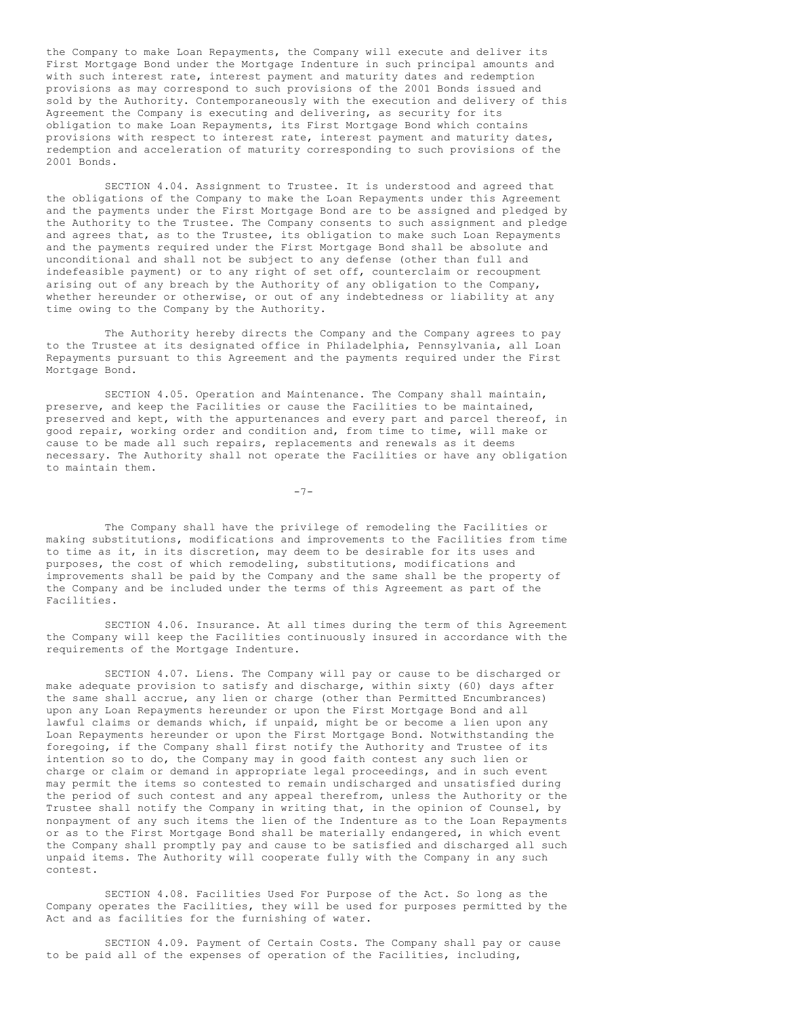the Company to make Loan Repayments, the Company will execute and deliver its First Mortgage Bond under the Mortgage Indenture in such principal amounts and with such interest rate, interest payment and maturity dates and redemption provisions as may correspond to such provisions of the 2001 Bonds issued and sold by the Authority. Contemporaneously with the execution and delivery of this Agreement the Company is executing and delivering, as security for its obligation to make Loan Repayments, its First Mortgage Bond which contains provisions with respect to interest rate, interest payment and maturity dates, redemption and acceleration of maturity corresponding to such provisions of the 2001 Bonds.

SECTION 4.04. Assignment to Trustee. It is understood and agreed that the obligations of the Company to make the Loan Repayments under this Agreement and the payments under the First Mortgage Bond are to be assigned and pledged by the Authority to the Trustee. The Company consents to such assignment and pledge and agrees that, as to the Trustee, its obligation to make such Loan Repayments and the payments required under the First Mortgage Bond shall be absolute and unconditional and shall not be subject to any defense (other than full and indefeasible payment) or to any right of set off, counterclaim or recoupment arising out of any breach by the Authority of any obligation to the Company, whether hereunder or otherwise, or out of any indebtedness or liability at any time owing to the Company by the Authority.

The Authority hereby directs the Company and the Company agrees to pay to the Trustee at its designated office in Philadelphia, Pennsylvania, all Loan Repayments pursuant to this Agreement and the payments required under the First Mortgage Bond.

SECTION 4.05. Operation and Maintenance. The Company shall maintain, preserve, and keep the Facilities or cause the Facilities to be maintained, preserved and kept, with the appurtenances and every part and parcel thereof, in good repair, working order and condition and, from time to time, will make or cause to be made all such repairs, replacements and renewals as it deems necessary. The Authority shall not operate the Facilities or have any obligation to maintain them.

 $-7-$ 

The Company shall have the privilege of remodeling the Facilities or making substitutions, modifications and improvements to the Facilities from time to time as it, in its discretion, may deem to be desirable for its uses and purposes, the cost of which remodeling, substitutions, modifications and improvements shall be paid by the Company and the same shall be the property of the Company and be included under the terms of this Agreement as part of the Facilities.

SECTION 4.06. Insurance. At all times during the term of this Agreement the Company will keep the Facilities continuously insured in accordance with the requirements of the Mortgage Indenture.

SECTION 4.07. Liens. The Company will pay or cause to be discharged or make adequate provision to satisfy and discharge, within sixty (60) days after the same shall accrue, any lien or charge (other than Permitted Encumbrances) upon any Loan Repayments hereunder or upon the First Mortgage Bond and all lawful claims or demands which, if unpaid, might be or become a lien upon any Loan Repayments hereunder or upon the First Mortgage Bond. Notwithstanding the foregoing, if the Company shall first notify the Authority and Trustee of its intention so to do, the Company may in good faith contest any such lien or charge or claim or demand in appropriate legal proceedings, and in such event may permit the items so contested to remain undischarged and unsatisfied during the period of such contest and any appeal therefrom, unless the Authority or the Trustee shall notify the Company in writing that, in the opinion of Counsel, by nonpayment of any such items the lien of the Indenture as to the Loan Repayments or as to the First Mortgage Bond shall be materially endangered, in which event the Company shall promptly pay and cause to be satisfied and discharged all such unpaid items. The Authority will cooperate fully with the Company in any such contest.

SECTION 4.08. Facilities Used For Purpose of the Act. So long as the Company operates the Facilities, they will be used for purposes permitted by the Act and as facilities for the furnishing of water.

SECTION 4.09. Payment of Certain Costs. The Company shall pay or cause to be paid all of the expenses of operation of the Facilities, including,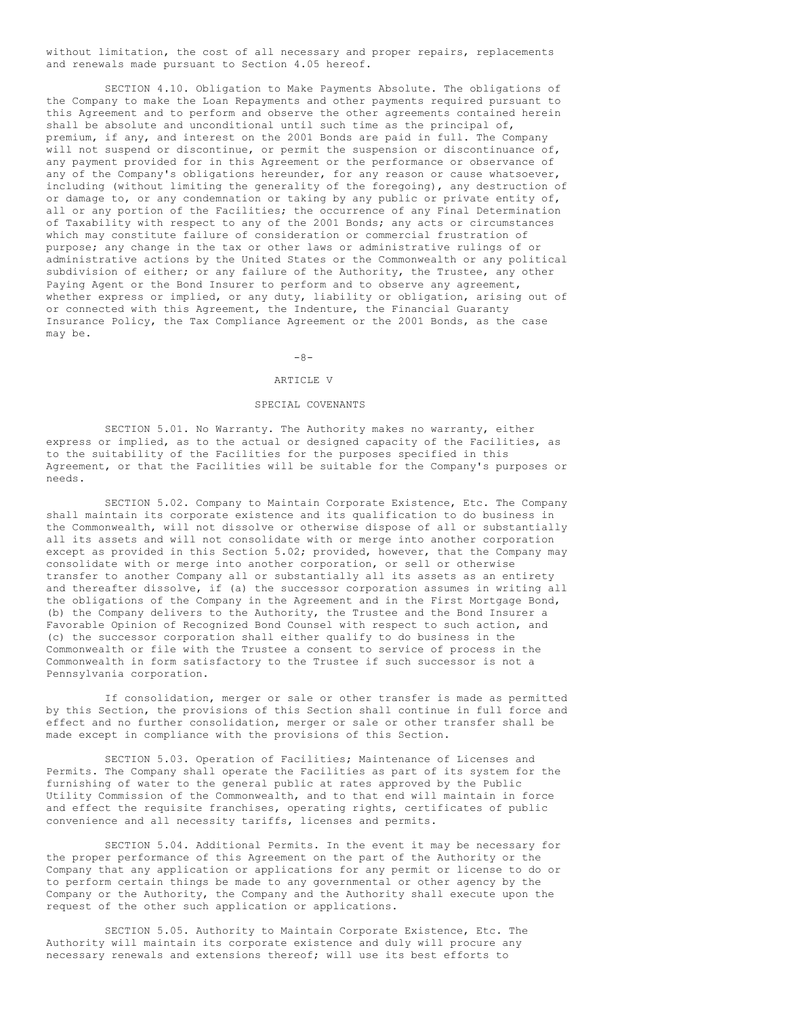without limitation, the cost of all necessary and proper repairs, replacements and renewals made pursuant to Section 4.05 hereof.

SECTION 4.10. Obligation to Make Payments Absolute. The obligations of the Company to make the Loan Repayments and other payments required pursuant to this Agreement and to perform and observe the other agreements contained herein shall be absolute and unconditional until such time as the principal of, premium, if any, and interest on the 2001 Bonds are paid in full. The Company will not suspend or discontinue, or permit the suspension or discontinuance of, any payment provided for in this Agreement or the performance or observance of any of the Company's obligations hereunder, for any reason or cause whatsoever, including (without limiting the generality of the foregoing), any destruction of or damage to, or any condemnation or taking by any public or private entity of, all or any portion of the Facilities; the occurrence of any Final Determination of Taxability with respect to any of the 2001 Bonds; any acts or circumstances which may constitute failure of consideration or commercial frustration of purpose; any change in the tax or other laws or administrative rulings of or administrative actions by the United States or the Commonwealth or any political subdivision of either; or any failure of the Authority, the Trustee, any other Paying Agent or the Bond Insurer to perform and to observe any agreement, whether express or implied, or any duty, liability or obligation, arising out of or connected with this Agreement, the Indenture, the Financial Guaranty Insurance Policy, the Tax Compliance Agreement or the 2001 Bonds, as the case may be.

## $-8-$

# ARTICLE V

# SPECIAL COVENANTS

SECTION 5.01. No Warranty. The Authority makes no warranty, either express or implied, as to the actual or designed capacity of the Facilities, as to the suitability of the Facilities for the purposes specified in this Agreement, or that the Facilities will be suitable for the Company's purposes or needs.

SECTION 5.02. Company to Maintain Corporate Existence, Etc. The Company shall maintain its corporate existence and its qualification to do business in the Commonwealth, will not dissolve or otherwise dispose of all or substantially all its assets and will not consolidate with or merge into another corporation except as provided in this Section 5.02; provided, however, that the Company may consolidate with or merge into another corporation, or sell or otherwise transfer to another Company all or substantially all its assets as an entirety and thereafter dissolve, if (a) the successor corporation assumes in writing all the obligations of the Company in the Agreement and in the First Mortgage Bond, (b) the Company delivers to the Authority, the Trustee and the Bond Insurer a Favorable Opinion of Recognized Bond Counsel with respect to such action, and (c) the successor corporation shall either qualify to do business in the Commonwealth or file with the Trustee a consent to service of process in the Commonwealth in form satisfactory to the Trustee if such successor is not a Pennsylvania corporation.

If consolidation, merger or sale or other transfer is made as permitted by this Section, the provisions of this Section shall continue in full force and effect and no further consolidation, merger or sale or other transfer shall be made except in compliance with the provisions of this Section.

SECTION 5.03. Operation of Facilities; Maintenance of Licenses and Permits. The Company shall operate the Facilities as part of its system for the furnishing of water to the general public at rates approved by the Public Utility Commission of the Commonwealth, and to that end will maintain in force and effect the requisite franchises, operating rights, certificates of public convenience and all necessity tariffs, licenses and permits.

SECTION 5.04. Additional Permits. In the event it may be necessary for the proper performance of this Agreement on the part of the Authority or the Company that any application or applications for any permit or license to do or to perform certain things be made to any governmental or other agency by the Company or the Authority, the Company and the Authority shall execute upon the request of the other such application or applications.

SECTION 5.05. Authority to Maintain Corporate Existence, Etc. The Authority will maintain its corporate existence and duly will procure any necessary renewals and extensions thereof; will use its best efforts to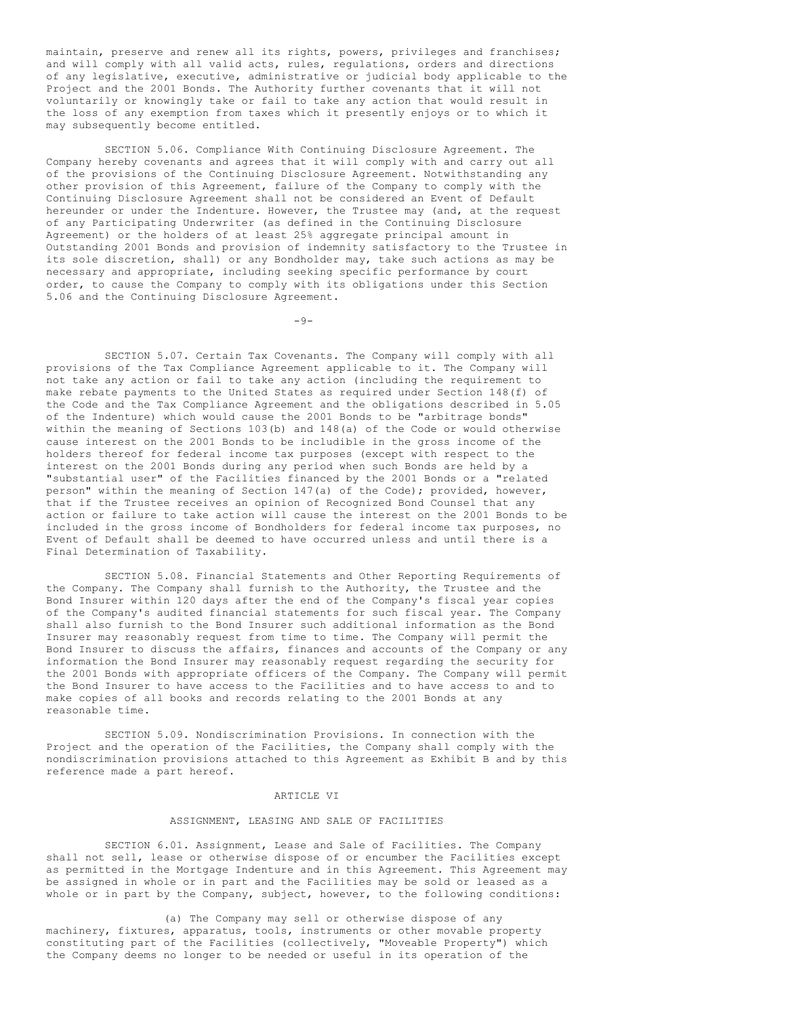maintain, preserve and renew all its rights, powers, privileges and franchises; and will comply with all valid acts, rules, regulations, orders and directions of any legislative, executive, administrative or judicial body applicable to the Project and the 2001 Bonds. The Authority further covenants that it will not voluntarily or knowingly take or fail to take any action that would result in the loss of any exemption from taxes which it presently enjoys or to which it may subsequently become entitled.

SECTION 5.06. Compliance With Continuing Disclosure Agreement. The Company hereby covenants and agrees that it will comply with and carry out all of the provisions of the Continuing Disclosure Agreement. Notwithstanding any other provision of this Agreement, failure of the Company to comply with the Continuing Disclosure Agreement shall not be considered an Event of Default hereunder or under the Indenture. However, the Trustee may (and, at the request of any Participating Underwriter (as defined in the Continuing Disclosure Agreement) or the holders of at least 25% aggregate principal amount in Outstanding 2001 Bonds and provision of indemnity satisfactory to the Trustee in its sole discretion, shall) or any Bondholder may, take such actions as may be necessary and appropriate, including seeking specific performance by court order, to cause the Company to comply with its obligations under this Section 5.06 and the Continuing Disclosure Agreement.

 $-9-$ 

SECTION 5.07. Certain Tax Covenants. The Company will comply with all provisions of the Tax Compliance Agreement applicable to it. The Company will not take any action or fail to take any action (including the requirement to make rebate payments to the United States as required under Section 148(f) of the Code and the Tax Compliance Agreement and the obligations described in 5.05 of the Indenture) which would cause the 2001 Bonds to be "arbitrage bonds" within the meaning of Sections 103(b) and 148(a) of the Code or would otherwise cause interest on the 2001 Bonds to be includible in the gross income of the holders thereof for federal income tax purposes (except with respect to the interest on the 2001 Bonds during any period when such Bonds are held by a "substantial user" of the Facilities financed by the 2001 Bonds or a "related person" within the meaning of Section 147(a) of the Code); provided, however, that if the Trustee receives an opinion of Recognized Bond Counsel that any action or failure to take action will cause the interest on the 2001 Bonds to be included in the gross income of Bondholders for federal income tax purposes, no Event of Default shall be deemed to have occurred unless and until there is a Final Determination of Taxability.

SECTION 5.08. Financial Statements and Other Reporting Requirements of the Company. The Company shall furnish to the Authority, the Trustee and the Bond Insurer within 120 days after the end of the Company's fiscal year copies of the Company's audited financial statements for such fiscal year. The Company shall also furnish to the Bond Insurer such additional information as the Bond Insurer may reasonably request from time to time. The Company will permit the Bond Insurer to discuss the affairs, finances and accounts of the Company or any information the Bond Insurer may reasonably request regarding the security for the 2001 Bonds with appropriate officers of the Company. The Company will permit the Bond Insurer to have access to the Facilities and to have access to and to make copies of all books and records relating to the 2001 Bonds at any reasonable time.

SECTION 5.09. Nondiscrimination Provisions. In connection with the Project and the operation of the Facilities, the Company shall comply with the nondiscrimination provisions attached to this Agreement as Exhibit B and by this reference made a part hereof.

# ARTICLE VI

## ASSIGNMENT, LEASING AND SALE OF FACILITIES

SECTION 6.01. Assignment, Lease and Sale of Facilities. The Company shall not sell, lease or otherwise dispose of or encumber the Facilities except as permitted in the Mortgage Indenture and in this Agreement. This Agreement may be assigned in whole or in part and the Facilities may be sold or leased as a whole or in part by the Company, subject, however, to the following conditions:

(a) The Company may sell or otherwise dispose of any machinery, fixtures, apparatus, tools, instruments or other movable property constituting part of the Facilities (collectively, "Moveable Property") which the Company deems no longer to be needed or useful in its operation of the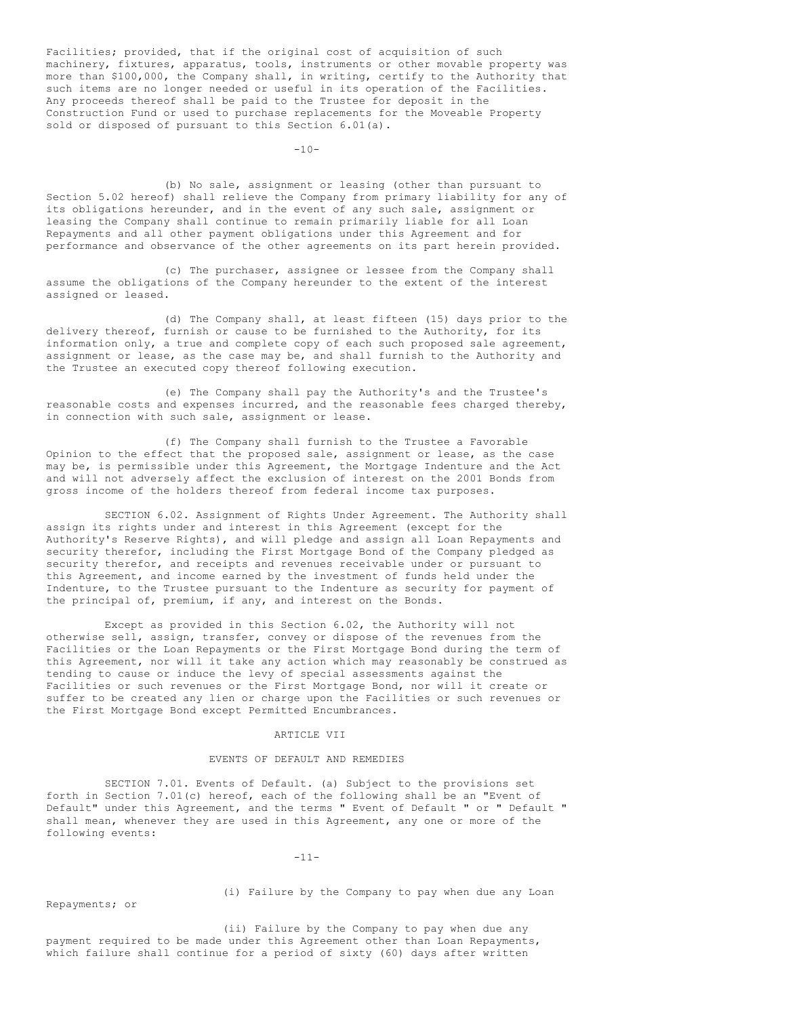Facilities; provided, that if the original cost of acquisition of such machinery, fixtures, apparatus, tools, instruments or other movable property was more than \$100,000, the Company shall, in writing, certify to the Authority that such items are no longer needed or useful in its operation of the Facilities. Any proceeds thereof shall be paid to the Trustee for deposit in the Construction Fund or used to purchase replacements for the Moveable Property sold or disposed of pursuant to this Section 6.01(a).

 $-10-$ 

(b) No sale, assignment or leasing (other than pursuant to Section 5.02 hereof) shall relieve the Company from primary liability for any of its obligations hereunder, and in the event of any such sale, assignment or leasing the Company shall continue to remain primarily liable for all Loan Repayments and all other payment obligations under this Agreement and for performance and observance of the other agreements on its part herein provided.

(c) The purchaser, assignee or lessee from the Company shall assume the obligations of the Company hereunder to the extent of the interest assigned or leased.

(d) The Company shall, at least fifteen (15) days prior to the delivery thereof, furnish or cause to be furnished to the Authority, for its information only, a true and complete copy of each such proposed sale agreement, assignment or lease, as the case may be, and shall furnish to the Authority and the Trustee an executed copy thereof following execution.

(e) The Company shall pay the Authority's and the Trustee's reasonable costs and expenses incurred, and the reasonable fees charged thereby, in connection with such sale, assignment or lease.

(f) The Company shall furnish to the Trustee a Favorable Opinion to the effect that the proposed sale, assignment or lease, as the case may be, is permissible under this Agreement, the Mortgage Indenture and the Act and will not adversely affect the exclusion of interest on the 2001 Bonds from gross income of the holders thereof from federal income tax purposes.

SECTION 6.02. Assignment of Rights Under Agreement. The Authority shall assign its rights under and interest in this Agreement (except for the Authority's Reserve Rights), and will pledge and assign all Loan Repayments and security therefor, including the First Mortgage Bond of the Company pledged as security therefor, and receipts and revenues receivable under or pursuant to this Agreement, and income earned by the investment of funds held under the Indenture, to the Trustee pursuant to the Indenture as security for payment of the principal of, premium, if any, and interest on the Bonds.

Except as provided in this Section 6.02, the Authority will not otherwise sell, assign, transfer, convey or dispose of the revenues from the Facilities or the Loan Repayments or the First Mortgage Bond during the term of this Agreement, nor will it take any action which may reasonably be construed as tending to cause or induce the levy of special assessments against the Facilities or such revenues or the First Mortgage Bond, nor will it create or suffer to be created any lien or charge upon the Facilities or such revenues or the First Mortgage Bond except Permitted Encumbrances.

### ARTICLE VII

### EVENTS OF DEFAULT AND REMEDIES

SECTION 7.01. Events of Default. (a) Subject to the provisions set forth in Section 7.01(c) hereof, each of the following shall be an "Event of Default" under this Agreement, and the terms " Event of Default " or " Default " shall mean, whenever they are used in this Agreement, any one or more of the following events:

 $-11-$ 

Repayments; or

(i) Failure by the Company to pay when due any Loan

(ii) Failure by the Company to pay when due any payment required to be made under this Agreement other than Loan Repayments, which failure shall continue for a period of sixty (60) days after written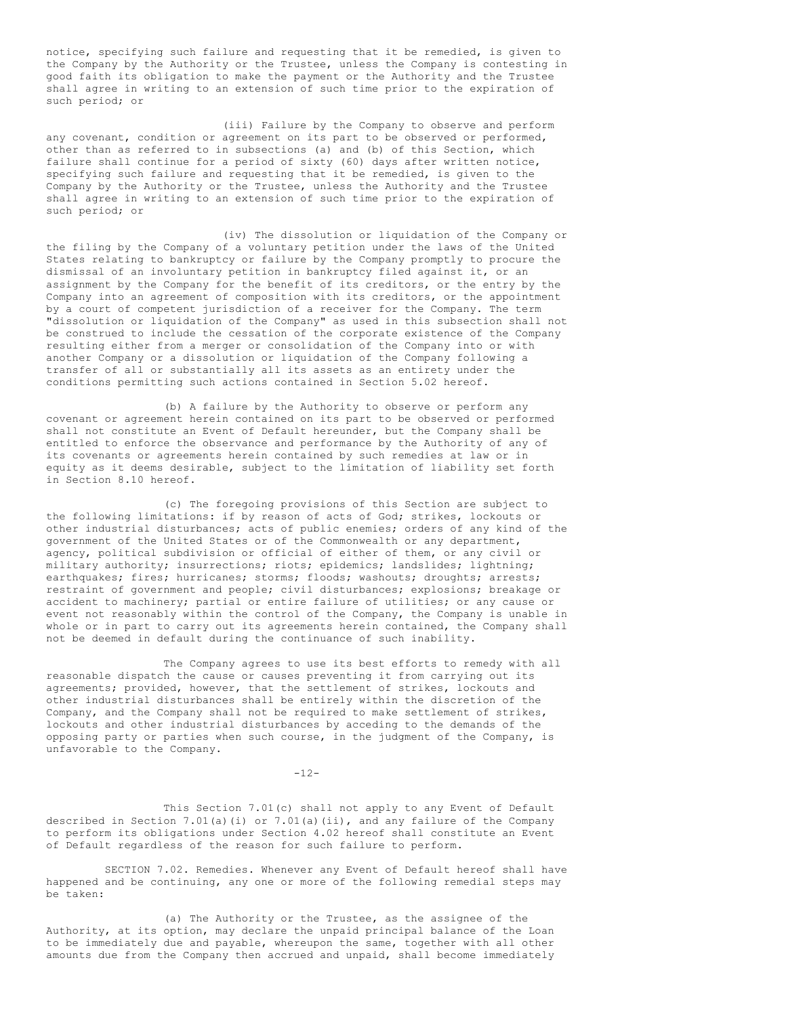notice, specifying such failure and requesting that it be remedied, is given to the Company by the Authority or the Trustee, unless the Company is contesting in good faith its obligation to make the payment or the Authority and the Trustee shall agree in writing to an extension of such time prior to the expiration of such period; or

(iii) Failure by the Company to observe and perform any covenant, condition or agreement on its part to be observed or performed, other than as referred to in subsections (a) and (b) of this Section, which failure shall continue for a period of sixty (60) days after written notice, specifying such failure and requesting that it be remedied, is given to the Company by the Authority or the Trustee, unless the Authority and the Trustee shall agree in writing to an extension of such time prior to the expiration of such period; or

(iv) The dissolution or liquidation of the Company or the filing by the Company of a voluntary petition under the laws of the United States relating to bankruptcy or failure by the Company promptly to procure the dismissal of an involuntary petition in bankruptcy filed against it, or an assignment by the Company for the benefit of its creditors, or the entry by the Company into an agreement of composition with its creditors, or the appointment by a court of competent jurisdiction of a receiver for the Company. The term "dissolution or liquidation of the Company" as used in this subsection shall not be construed to include the cessation of the corporate existence of the Company resulting either from a merger or consolidation of the Company into or with another Company or a dissolution or liquidation of the Company following a transfer of all or substantially all its assets as an entirety under the conditions permitting such actions contained in Section 5.02 hereof.

(b) A failure by the Authority to observe or perform any covenant or agreement herein contained on its part to be observed or performed shall not constitute an Event of Default hereunder, but the Company shall be entitled to enforce the observance and performance by the Authority of any of its covenants or agreements herein contained by such remedies at law or in equity as it deems desirable, subject to the limitation of liability set forth in Section 8.10 hereof.

(c) The foregoing provisions of this Section are subject to the following limitations: if by reason of acts of God; strikes, lockouts or other industrial disturbances; acts of public enemies; orders of any kind of the government of the United States or of the Commonwealth or any department, agency, political subdivision or official of either of them, or any civil or military authority; insurrections; riots; epidemics; landslides; lightning; earthquakes; fires; hurricanes; storms; floods; washouts; droughts; arrests; restraint of government and people; civil disturbances; explosions; breakage or accident to machinery; partial or entire failure of utilities; or any cause or event not reasonably within the control of the Company, the Company is unable in whole or in part to carry out its agreements herein contained, the Company shall not be deemed in default during the continuance of such inability.

The Company agrees to use its best efforts to remedy with all reasonable dispatch the cause or causes preventing it from carrying out its agreements; provided, however, that the settlement of strikes, lockouts and other industrial disturbances shall be entirely within the discretion of the Company, and the Company shall not be required to make settlement of strikes, lockouts and other industrial disturbances by acceding to the demands of the opposing party or parties when such course, in the judgment of the Company, is unfavorable to the Company.

 $-12-$ 

This Section 7.01(c) shall not apply to any Event of Default described in Section 7.01(a)(i) or 7.01(a)(ii), and any failure of the Company to perform its obligations under Section 4.02 hereof shall constitute an Event of Default regardless of the reason for such failure to perform.

SECTION 7.02. Remedies. Whenever any Event of Default hereof shall have happened and be continuing, any one or more of the following remedial steps may be taken:

(a) The Authority or the Trustee, as the assignee of the Authority, at its option, may declare the unpaid principal balance of the Loan to be immediately due and payable, whereupon the same, together with all other amounts due from the Company then accrued and unpaid, shall become immediately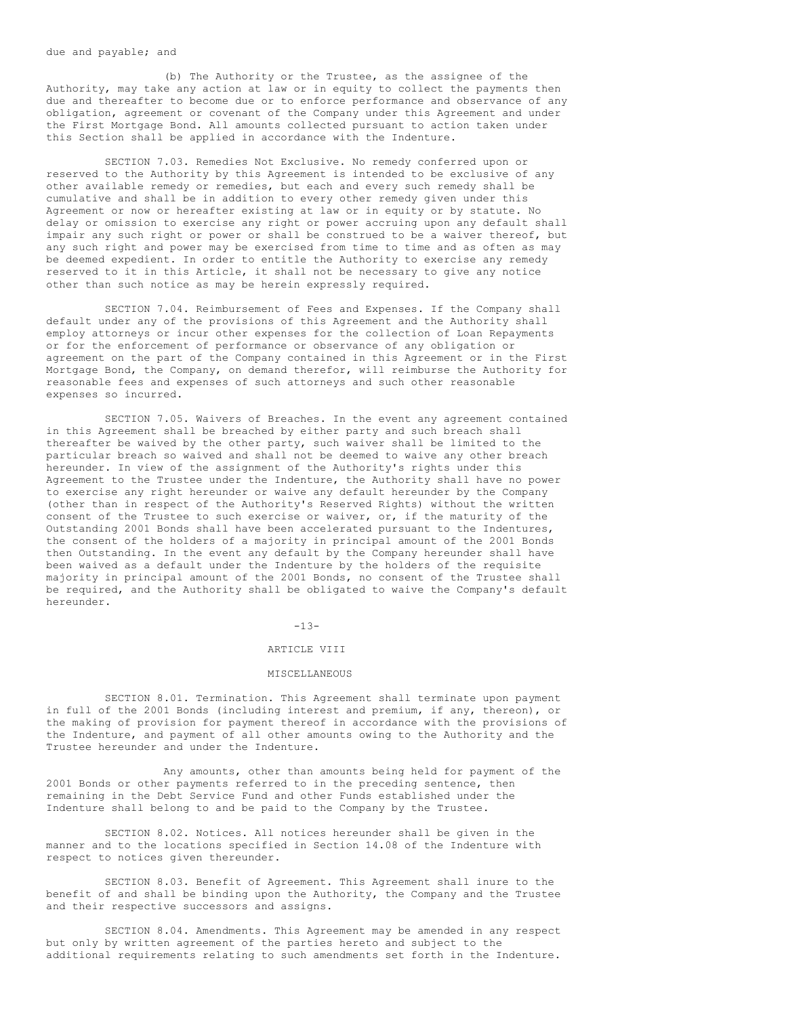due and payable; and

(b) The Authority or the Trustee, as the assignee of the Authority, may take any action at law or in equity to collect the payments then due and thereafter to become due or to enforce performance and observance of any obligation, agreement or covenant of the Company under this Agreement and under the First Mortgage Bond. All amounts collected pursuant to action taken under this Section shall be applied in accordance with the Indenture.

SECTION 7.03. Remedies Not Exclusive. No remedy conferred upon or reserved to the Authority by this Agreement is intended to be exclusive of any other available remedy or remedies, but each and every such remedy shall be cumulative and shall be in addition to every other remedy given under this Agreement or now or hereafter existing at law or in equity or by statute. No delay or omission to exercise any right or power accruing upon any default shall impair any such right or power or shall be construed to be a waiver thereof, but any such right and power may be exercised from time to time and as often as may be deemed expedient. In order to entitle the Authority to exercise any remedy reserved to it in this Article, it shall not be necessary to give any notice other than such notice as may be herein expressly required.

SECTION 7.04. Reimbursement of Fees and Expenses. If the Company shall default under any of the provisions of this Agreement and the Authority shall employ attorneys or incur other expenses for the collection of Loan Repayments or for the enforcement of performance or observance of any obligation or agreement on the part of the Company contained in this Agreement or in the First Mortgage Bond, the Company, on demand therefor, will reimburse the Authority for reasonable fees and expenses of such attorneys and such other reasonable expenses so incurred.

SECTION 7.05. Waivers of Breaches. In the event any agreement contained in this Agreement shall be breached by either party and such breach shall thereafter be waived by the other party, such waiver shall be limited to the particular breach so waived and shall not be deemed to waive any other breach hereunder. In view of the assignment of the Authority's rights under this Agreement to the Trustee under the Indenture, the Authority shall have no power to exercise any right hereunder or waive any default hereunder by the Company (other than in respect of the Authority's Reserved Rights) without the written consent of the Trustee to such exercise or waiver, or, if the maturity of the Outstanding 2001 Bonds shall have been accelerated pursuant to the Indentures, the consent of the holders of a majority in principal amount of the 2001 Bonds then Outstanding. In the event any default by the Company hereunder shall have been waived as a default under the Indenture by the holders of the requisite majority in principal amount of the 2001 Bonds, no consent of the Trustee shall be required, and the Authority shall be obligated to waive the Company's default hereunder.

 $-13-$ 

### ARTICLE VIII

#### MISCELLANEOUS

SECTION 8.01. Termination. This Agreement shall terminate upon payment in full of the 2001 Bonds (including interest and premium, if any, thereon), or the making of provision for payment thereof in accordance with the provisions of the Indenture, and payment of all other amounts owing to the Authority and the Trustee hereunder and under the Indenture.

Any amounts, other than amounts being held for payment of the 2001 Bonds or other payments referred to in the preceding sentence, then remaining in the Debt Service Fund and other Funds established under the Indenture shall belong to and be paid to the Company by the Trustee.

SECTION 8.02. Notices. All notices hereunder shall be given in the manner and to the locations specified in Section 14.08 of the Indenture with respect to notices given thereunder.

SECTION 8.03. Benefit of Agreement. This Agreement shall inure to the benefit of and shall be binding upon the Authority, the Company and the Trustee and their respective successors and assigns.

SECTION 8.04. Amendments. This Agreement may be amended in any respect but only by written agreement of the parties hereto and subject to the additional requirements relating to such amendments set forth in the Indenture.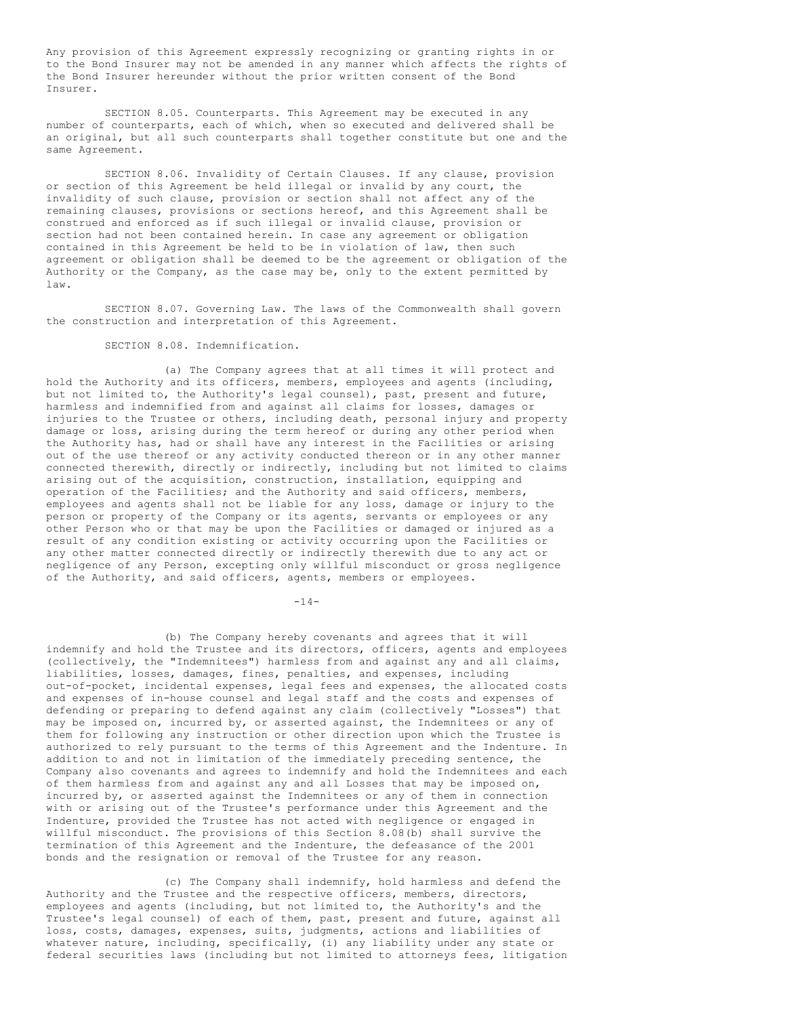Any provision of this Agreement expressly recognizing or granting rights in or to the Bond Insurer may not be amended in any manner which affects the rights of the Bond Insurer hereunder without the prior written consent of the Bond Insurer.

SECTION 8.05. Counterparts. This Agreement may be executed in any number of counterparts, each of which, when so executed and delivered shall be an original, but all such counterparts shall together constitute but one and the same Agreement.

SECTION 8.06. Invalidity of Certain Clauses. If any clause, provision or section of this Agreement be held illegal or invalid by any court, the invalidity of such clause, provision or section shall not affect any of the remaining clauses, provisions or sections hereof, and this Agreement shall be construed and enforced as if such illegal or invalid clause, provision or section had not been contained herein. In case any agreement or obligation contained in this Agreement be held to be in violation of law, then such agreement or obligation shall be deemed to be the agreement or obligation of the Authority or the Company, as the case may be, only to the extent permitted by law.

SECTION 8.07. Governing Law. The laws of the Commonwealth shall govern the construction and interpretation of this Agreement.

SECTION 8.08. Indemnification.

(a) The Company agrees that at all times it will protect and hold the Authority and its officers, members, employees and agents (including, but not limited to, the Authority's legal counsel), past, present and future, harmless and indemnified from and against all claims for losses, damages or injuries to the Trustee or others, including death, personal injury and property damage or loss, arising during the term hereof or during any other period when the Authority has, had or shall have any interest in the Facilities or arising out of the use thereof or any activity conducted thereon or in any other manner connected therewith, directly or indirectly, including but not limited to claims arising out of the acquisition, construction, installation, equipping and operation of the Facilities; and the Authority and said officers, members, employees and agents shall not be liable for any loss, damage or injury to the person or property of the Company or its agents, servants or employees or any other Person who or that may be upon the Facilities or damaged or injured as a result of any condition existing or activity occurring upon the Facilities or any other matter connected directly or indirectly therewith due to any act or negligence of any Person, excepting only willful misconduct or gross negligence of the Authority, and said officers, agents, members or employees.

 $-14-$ 

(b) The Company hereby covenants and agrees that it will indemnify and hold the Trustee and its directors, officers, agents and employees (collectively, the "Indemnitees") harmless from and against any and all claims, liabilities, losses, damages, fines, penalties, and expenses, including out-of-pocket, incidental expenses, legal fees and expenses, the allocated costs and expenses of in-house counsel and legal staff and the costs and expenses of defending or preparing to defend against any claim (collectively "Losses") that may be imposed on, incurred by, or asserted against, the Indemnitees or any of them for following any instruction or other direction upon which the Trustee is authorized to rely pursuant to the terms of this Agreement and the Indenture. In addition to and not in limitation of the immediately preceding sentence, the Company also covenants and agrees to indemnify and hold the Indemnitees and each of them harmless from and against any and all Losses that may be imposed on, incurred by, or asserted against the Indemnitees or any of them in connection with or arising out of the Trustee's performance under this Agreement and the Indenture, provided the Trustee has not acted with negligence or engaged in willful misconduct. The provisions of this Section 8.08(b) shall survive the termination of this Agreement and the Indenture, the defeasance of the 2001 bonds and the resignation or removal of the Trustee for any reason.

(c) The Company shall indemnify, hold harmless and defend the Authority and the Trustee and the respective officers, members, directors, employees and agents (including, but not limited to, the Authority's and the Trustee's legal counsel) of each of them, past, present and future, against all loss, costs, damages, expenses, suits, judgments, actions and liabilities of whatever nature, including, specifically, (i) any liability under any state or federal securities laws (including but not limited to attorneys fees, litigation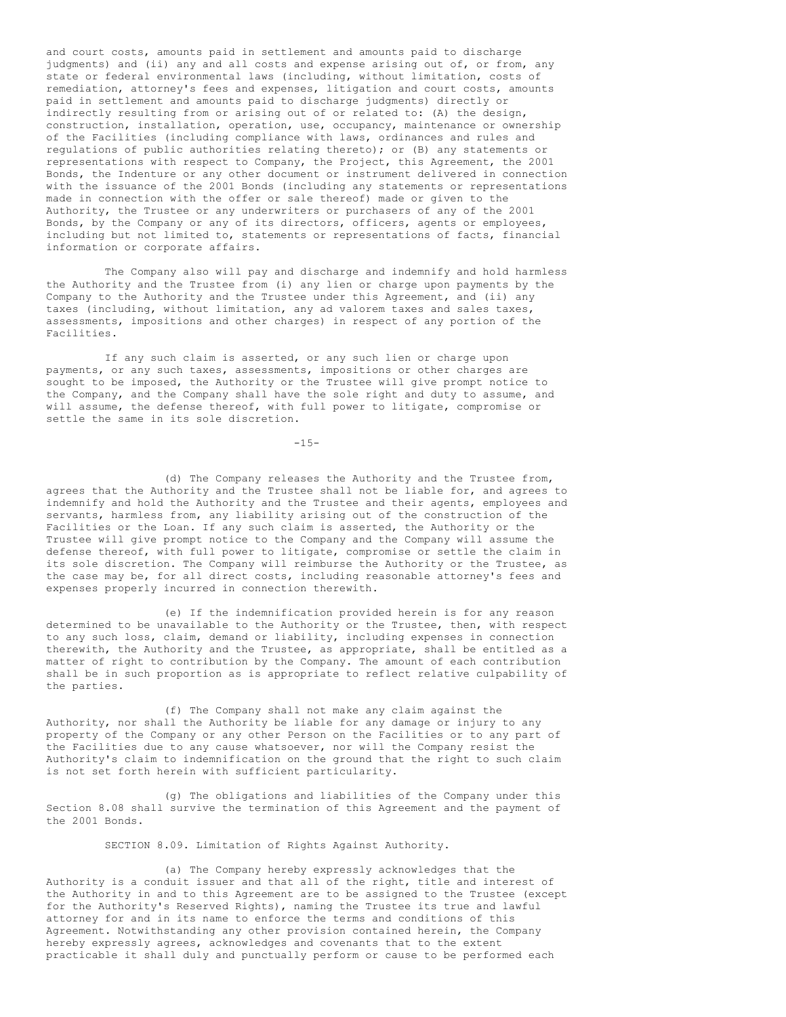and court costs, amounts paid in settlement and amounts paid to discharge judgments) and (ii) any and all costs and expense arising out of, or from, any state or federal environmental laws (including, without limitation, costs of remediation, attorney's fees and expenses, litigation and court costs, amounts paid in settlement and amounts paid to discharge judgments) directly or indirectly resulting from or arising out of or related to: (A) the design, construction, installation, operation, use, occupancy, maintenance or ownership of the Facilities (including compliance with laws, ordinances and rules and regulations of public authorities relating thereto); or (B) any statements or representations with respect to Company, the Project, this Agreement, the 2001 Bonds, the Indenture or any other document or instrument delivered in connection with the issuance of the 2001 Bonds (including any statements or representations made in connection with the offer or sale thereof) made or given to the Authority, the Trustee or any underwriters or purchasers of any of the 2001 Bonds, by the Company or any of its directors, officers, agents or employees, including but not limited to, statements or representations of facts, financial information or corporate affairs.

The Company also will pay and discharge and indemnify and hold harmless the Authority and the Trustee from (i) any lien or charge upon payments by the Company to the Authority and the Trustee under this Agreement, and (ii) any taxes (including, without limitation, any ad valorem taxes and sales taxes, assessments, impositions and other charges) in respect of any portion of the Facilities.

If any such claim is asserted, or any such lien or charge upon payments, or any such taxes, assessments, impositions or other charges are sought to be imposed, the Authority or the Trustee will give prompt notice to the Company, and the Company shall have the sole right and duty to assume, and will assume, the defense thereof, with full power to litigate, compromise or settle the same in its sole discretion.

 $-15-$ 

(d) The Company releases the Authority and the Trustee from, agrees that the Authority and the Trustee shall not be liable for, and agrees to indemnify and hold the Authority and the Trustee and their agents, employees and servants, harmless from, any liability arising out of the construction of the Facilities or the Loan. If any such claim is asserted, the Authority or the Trustee will give prompt notice to the Company and the Company will assume the defense thereof, with full power to litigate, compromise or settle the claim in its sole discretion. The Company will reimburse the Authority or the Trustee, as the case may be, for all direct costs, including reasonable attorney's fees and expenses properly incurred in connection therewith.

(e) If the indemnification provided herein is for any reason determined to be unavailable to the Authority or the Trustee, then, with respect to any such loss, claim, demand or liability, including expenses in connection therewith, the Authority and the Trustee, as appropriate, shall be entitled as a matter of right to contribution by the Company. The amount of each contribution shall be in such proportion as is appropriate to reflect relative culpability of the parties.

(f) The Company shall not make any claim against the Authority, nor shall the Authority be liable for any damage or injury to any property of the Company or any other Person on the Facilities or to any part of the Facilities due to any cause whatsoever, nor will the Company resist the Authority's claim to indemnification on the ground that the right to such claim is not set forth herein with sufficient particularity.

(g) The obligations and liabilities of the Company under this Section 8.08 shall survive the termination of this Agreement and the payment of the 2001 Bonds.

SECTION 8.09. Limitation of Rights Against Authority.

(a) The Company hereby expressly acknowledges that the Authority is a conduit issuer and that all of the right, title and interest of the Authority in and to this Agreement are to be assigned to the Trustee (except for the Authority's Reserved Rights), naming the Trustee its true and lawful attorney for and in its name to enforce the terms and conditions of this Agreement. Notwithstanding any other provision contained herein, the Company hereby expressly agrees, acknowledges and covenants that to the extent practicable it shall duly and punctually perform or cause to be performed each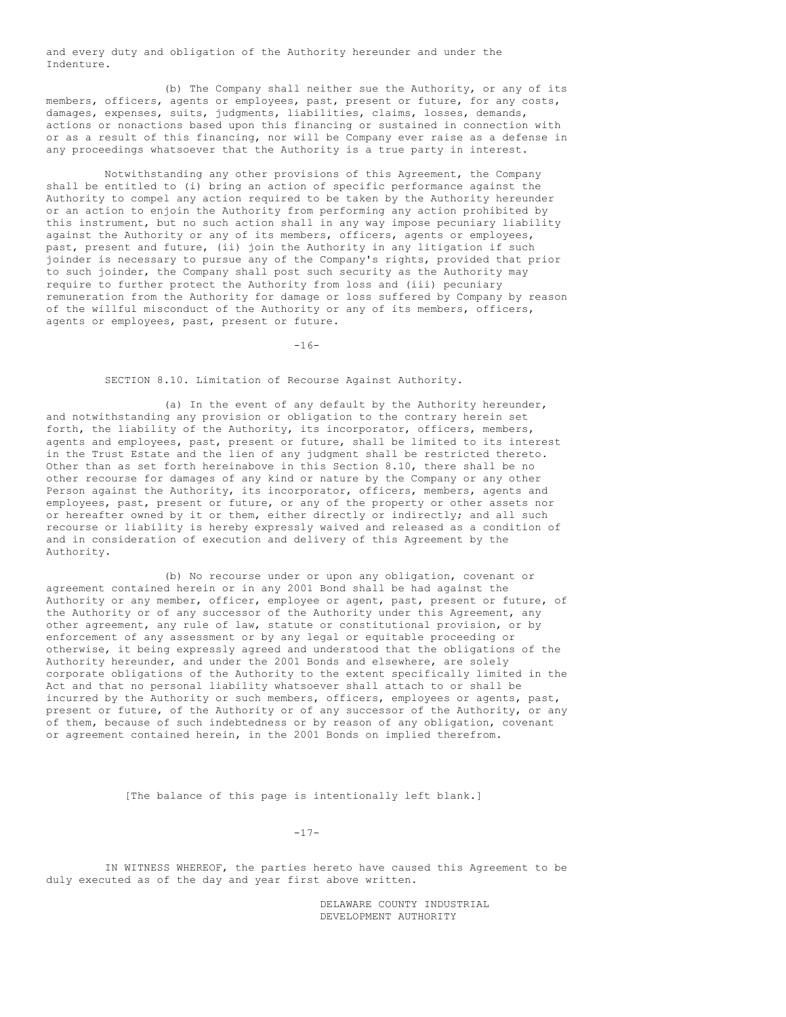and every duty and obligation of the Authority hereunder and under the Indenture.

(b) The Company shall neither sue the Authority, or any of its members, officers, agents or employees, past, present or future, for any costs, damages, expenses, suits, judgments, liabilities, claims, losses, demands, actions or nonactions based upon this financing or sustained in connection with or as a result of this financing, nor will be Company ever raise as a defense in any proceedings whatsoever that the Authority is a true party in interest.

Notwithstanding any other provisions of this Agreement, the Company shall be entitled to (i) bring an action of specific performance against the Authority to compel any action required to be taken by the Authority hereunder or an action to enjoin the Authority from performing any action prohibited by this instrument, but no such action shall in any way impose pecuniary liability against the Authority or any of its members, officers, agents or employees, past, present and future, (ii) join the Authority in any litigation if such joinder is necessary to pursue any of the Company's rights, provided that prior to such joinder, the Company shall post such security as the Authority may require to further protect the Authority from loss and (iii) pecuniary remuneration from the Authority for damage or loss suffered by Company by reason of the willful misconduct of the Authority or any of its members, officers, agents or employees, past, present or future.

 $-16-$ 

## SECTION 8.10. Limitation of Recourse Against Authority.

(a) In the event of any default by the Authority hereunder, and notwithstanding any provision or obligation to the contrary herein set forth, the liability of the Authority, its incorporator, officers, members, agents and employees, past, present or future, shall be limited to its interest in the Trust Estate and the lien of any judgment shall be restricted thereto. Other than as set forth hereinabove in this Section 8.10, there shall be no other recourse for damages of any kind or nature by the Company or any other Person against the Authority, its incorporator, officers, members, agents and employees, past, present or future, or any of the property or other assets nor or hereafter owned by it or them, either directly or indirectly; and all such recourse or liability is hereby expressly waived and released as a condition of and in consideration of execution and delivery of this Agreement by the Authority.

(b) No recourse under or upon any obligation, covenant or agreement contained herein or in any 2001 Bond shall be had against the Authority or any member, officer, employee or agent, past, present or future, of the Authority or of any successor of the Authority under this Agreement, any other agreement, any rule of law, statute or constitutional provision, or by enforcement of any assessment or by any legal or equitable proceeding or otherwise, it being expressly agreed and understood that the obligations of the Authority hereunder, and under the 2001 Bonds and elsewhere, are solely corporate obligations of the Authority to the extent specifically limited in the Act and that no personal liability whatsoever shall attach to or shall be incurred by the Authority or such members, officers, employees or agents, past, present or future, of the Authority or of any successor of the Authority, or any of them, because of such indebtedness or by reason of any obligation, covenant or agreement contained herein, in the 2001 Bonds on implied therefrom.

[The balance of this page is intentionally left blank.]

 $-17-$ 

IN WITNESS WHEREOF, the parties hereto have caused this Agreement to be duly executed as of the day and year first above written.

> DELAWARE COUNTY INDUSTRIAL DEVELOPMENT AUTHORITY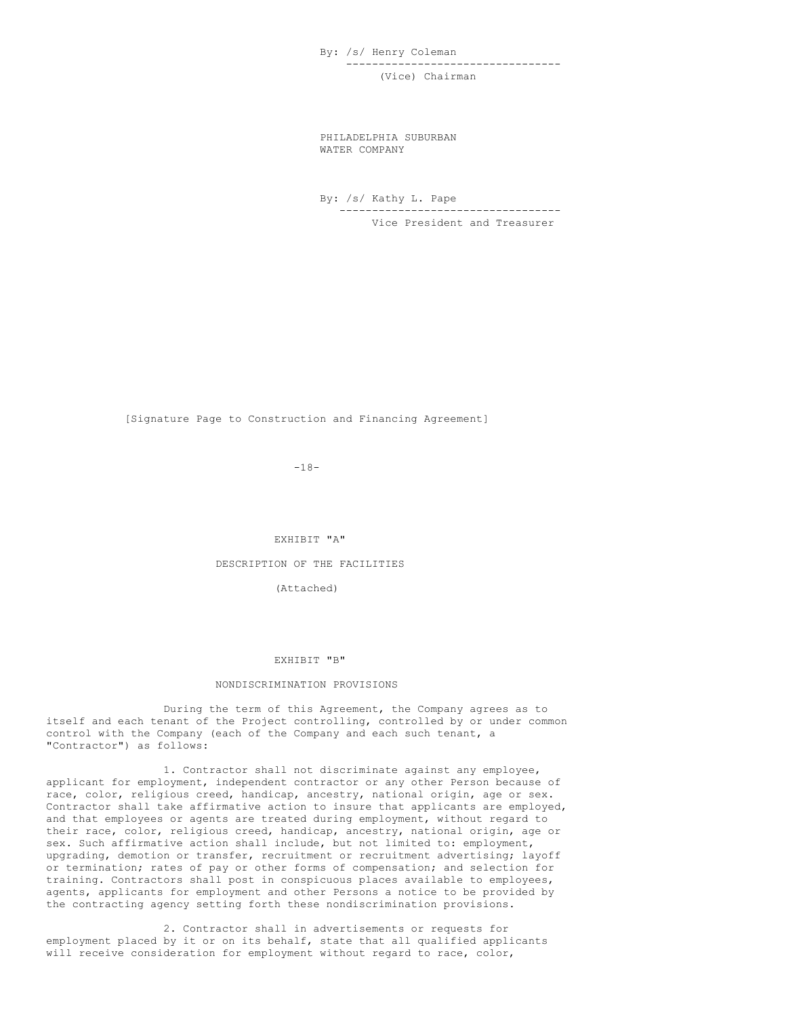By: /s/ Henry Coleman --------------------------------- (Vice) Chairman

PHILADELPHIA SUBURBAN WATER COMPANY

By: /s/ Kathy L. Pape ---------------------------------- Vice President and Treasurer

[Signature Page to Construction and Financing Agreement]

-18-

#### EXHIBIT "A"

# DESCRIPTION OF THE FACILITIES

# (Attached)

#### EXHIBIT "B"

#### NONDISCRIMINATION PROVISIONS

During the term of this Agreement, the Company agrees as to itself and each tenant of the Project controlling, controlled by or under common control with the Company (each of the Company and each such tenant, a "Contractor") as follows:

1. Contractor shall not discriminate against any employee, applicant for employment, independent contractor or any other Person because of race, color, religious creed, handicap, ancestry, national origin, age or sex. Contractor shall take affirmative action to insure that applicants are employed, and that employees or agents are treated during employment, without regard to their race, color, religious creed, handicap, ancestry, national origin, age or sex. Such affirmative action shall include, but not limited to: employment, upgrading, demotion or transfer, recruitment or recruitment advertising; layoff or termination; rates of pay or other forms of compensation; and selection for training. Contractors shall post in conspicuous places available to employees, agents, applicants for employment and other Persons a notice to be provided by the contracting agency setting forth these nondiscrimination provisions.

2. Contractor shall in advertisements or requests for employment placed by it or on its behalf, state that all qualified applicants will receive consideration for employment without regard to race, color,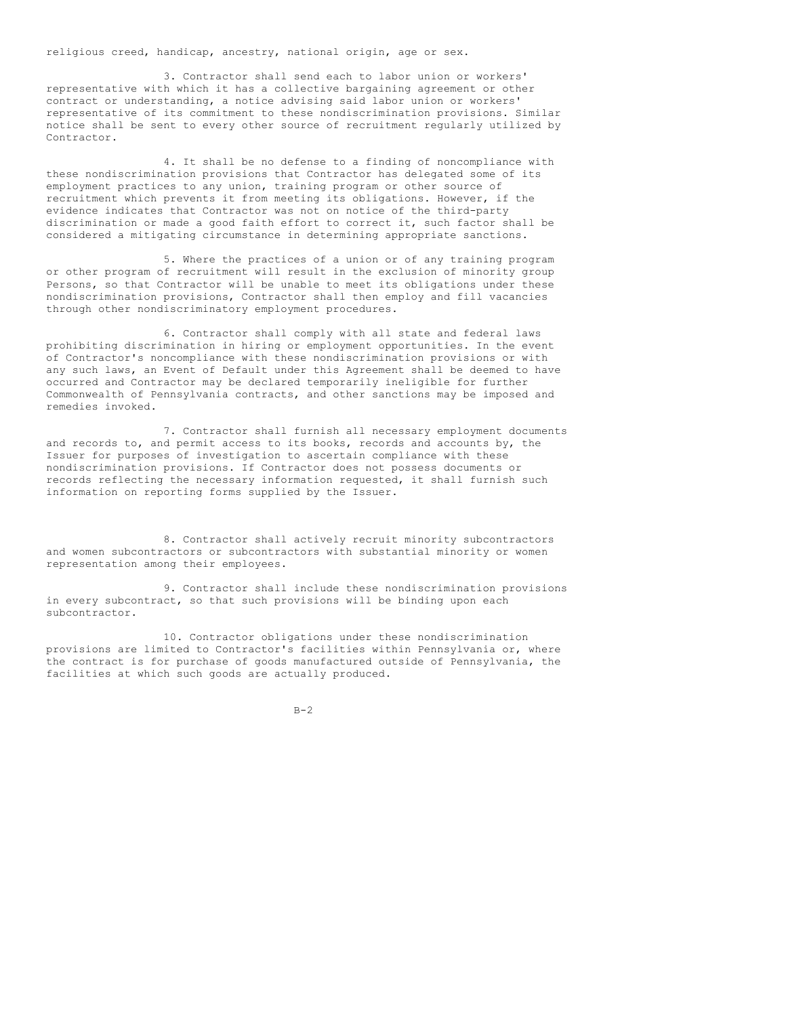religious creed, handicap, ancestry, national origin, age or sex.

3. Contractor shall send each to labor union or workers' representative with which it has a collective bargaining agreement or other contract or understanding, a notice advising said labor union or workers' representative of its commitment to these nondiscrimination provisions. Similar notice shall be sent to every other source of recruitment regularly utilized by Contractor.

4. It shall be no defense to a finding of noncompliance with these nondiscrimination provisions that Contractor has delegated some of its employment practices to any union, training program or other source of recruitment which prevents it from meeting its obligations. However, if the evidence indicates that Contractor was not on notice of the third-party discrimination or made a good faith effort to correct it, such factor shall be considered a mitigating circumstance in determining appropriate sanctions.

5. Where the practices of a union or of any training program or other program of recruitment will result in the exclusion of minority group Persons, so that Contractor will be unable to meet its obligations under these nondiscrimination provisions, Contractor shall then employ and fill vacancies through other nondiscriminatory employment procedures.

6. Contractor shall comply with all state and federal laws prohibiting discrimination in hiring or employment opportunities. In the event of Contractor's noncompliance with these nondiscrimination provisions or with any such laws, an Event of Default under this Agreement shall be deemed to have occurred and Contractor may be declared temporarily ineligible for further Commonwealth of Pennsylvania contracts, and other sanctions may be imposed and remedies invoked.

7. Contractor shall furnish all necessary employment documents and records to, and permit access to its books, records and accounts by, the Issuer for purposes of investigation to ascertain compliance with these nondiscrimination provisions. If Contractor does not possess documents or records reflecting the necessary information requested, it shall furnish such information on reporting forms supplied by the Issuer.

8. Contractor shall actively recruit minority subcontractors and women subcontractors or subcontractors with substantial minority or women representation among their employees.

9. Contractor shall include these nondiscrimination provisions in every subcontract, so that such provisions will be binding upon each subcontractor.

10. Contractor obligations under these nondiscrimination provisions are limited to Contractor's facilities within Pennsylvania or, where the contract is for purchase of goods manufactured outside of Pennsylvania, the facilities at which such goods are actually produced.

 $B-2$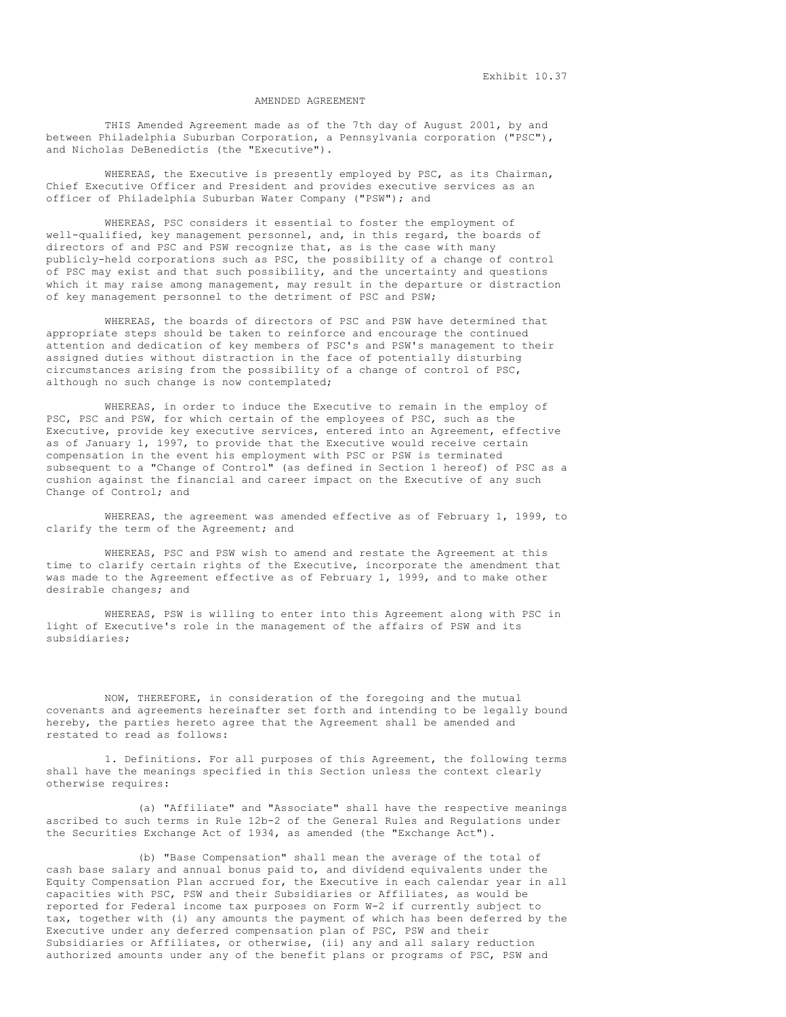## AMENDED AGREEMENT

THIS Amended Agreement made as of the 7th day of August 2001, by and between Philadelphia Suburban Corporation, a Pennsylvania corporation ("PSC"), and Nicholas DeBenedictis (the "Executive").

WHEREAS, the Executive is presently employed by PSC, as its Chairman, Chief Executive Officer and President and provides executive services as an officer of Philadelphia Suburban Water Company ("PSW"); and

WHEREAS, PSC considers it essential to foster the employment of well-qualified, key management personnel, and, in this regard, the boards of directors of and PSC and PSW recognize that, as is the case with many publicly-held corporations such as PSC, the possibility of a change of control of PSC may exist and that such possibility, and the uncertainty and questions which it may raise among management, may result in the departure or distraction of key management personnel to the detriment of PSC and PSW;

WHEREAS, the boards of directors of PSC and PSW have determined that appropriate steps should be taken to reinforce and encourage the continued attention and dedication of key members of PSC's and PSW's management to their assigned duties without distraction in the face of potentially disturbing circumstances arising from the possibility of a change of control of PSC, although no such change is now contemplated;

WHEREAS, in order to induce the Executive to remain in the employ of PSC, PSC and PSW, for which certain of the employees of PSC, such as the Executive, provide key executive services, entered into an Agreement, effective as of January 1, 1997, to provide that the Executive would receive certain compensation in the event his employment with PSC or PSW is terminated subsequent to a "Change of Control" (as defined in Section 1 hereof) of PSC as a cushion against the financial and career impact on the Executive of any such Change of Control; and

WHEREAS, the agreement was amended effective as of February 1, 1999, to clarify the term of the Agreement; and

WHEREAS, PSC and PSW wish to amend and restate the Agreement at this time to clarify certain rights of the Executive, incorporate the amendment that was made to the Agreement effective as of February 1, 1999, and to make other desirable changes; and

WHEREAS, PSW is willing to enter into this Agreement along with PSC in light of Executive's role in the management of the affairs of PSW and its subsidiaries;

NOW, THEREFORE, in consideration of the foregoing and the mutual covenants and agreements hereinafter set forth and intending to be legally bound hereby, the parties hereto agree that the Agreement shall be amended and restated to read as follows:

1. Definitions. For all purposes of this Agreement, the following terms shall have the meanings specified in this Section unless the context clearly otherwise requires:

(a) "Affiliate" and "Associate" shall have the respective meanings ascribed to such terms in Rule 12b-2 of the General Rules and Regulations under the Securities Exchange Act of 1934, as amended (the "Exchange Act").

(b) "Base Compensation" shall mean the average of the total of cash base salary and annual bonus paid to, and dividend equivalents under the Equity Compensation Plan accrued for, the Executive in each calendar year in all capacities with PSC, PSW and their Subsidiaries or Affiliates, as would be reported for Federal income tax purposes on Form W-2 if currently subject to tax, together with (i) any amounts the payment of which has been deferred by the Executive under any deferred compensation plan of PSC, PSW and their Subsidiaries or Affiliates, or otherwise, (ii) any and all salary reduction authorized amounts under any of the benefit plans or programs of PSC, PSW and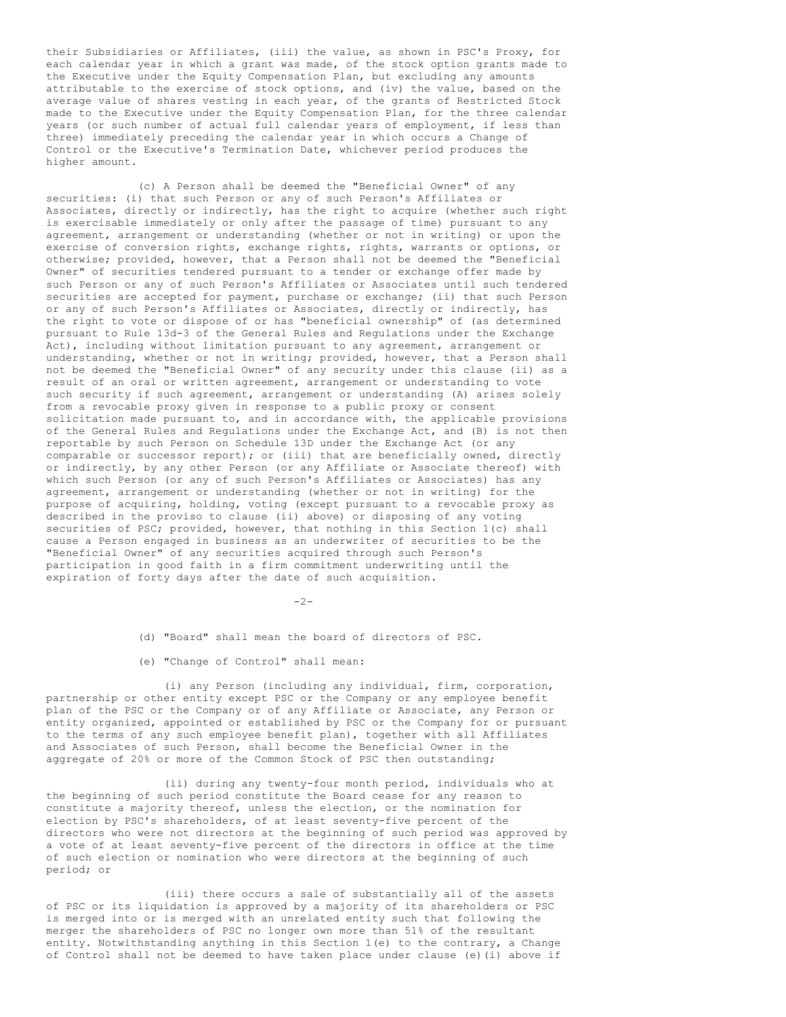their Subsidiaries or Affiliates, (iii) the value, as shown in PSC's Proxy, for each calendar year in which a grant was made, of the stock option grants made to the Executive under the Equity Compensation Plan, but excluding any amounts attributable to the exercise of stock options, and (iv) the value, based on the average value of shares vesting in each year, of the grants of Restricted Stock made to the Executive under the Equity Compensation Plan, for the three calendar years (or such number of actual full calendar years of employment, if less than three) immediately preceding the calendar year in which occurs a Change of Control or the Executive's Termination Date, whichever period produces the higher amount.

(c) A Person shall be deemed the "Beneficial Owner" of any securities: (i) that such Person or any of such Person's Affiliates or Associates, directly or indirectly, has the right to acquire (whether such right is exercisable immediately or only after the passage of time) pursuant to any agreement, arrangement or understanding (whether or not in writing) or upon the exercise of conversion rights, exchange rights, rights, warrants or options, or otherwise; provided, however, that a Person shall not be deemed the "Beneficial Owner" of securities tendered pursuant to a tender or exchange offer made by such Person or any of such Person's Affiliates or Associates until such tendered securities are accepted for payment, purchase or exchange; (ii) that such Person or any of such Person's Affiliates or Associates, directly or indirectly, has the right to vote or dispose of or has "beneficial ownership" of (as determined pursuant to Rule 13d-3 of the General Rules and Regulations under the Exchange Act), including without limitation pursuant to any agreement, arrangement or understanding, whether or not in writing; provided, however, that a Person shall not be deemed the "Beneficial Owner" of any security under this clause (ii) as a result of an oral or written agreement, arrangement or understanding to vote such security if such agreement, arrangement or understanding (A) arises solely from a revocable proxy given in response to a public proxy or consent solicitation made pursuant to, and in accordance with, the applicable provisions of the General Rules and Regulations under the Exchange Act, and (B) is not then reportable by such Person on Schedule 13D under the Exchange Act (or any comparable or successor report); or (iii) that are beneficially owned, directly or indirectly, by any other Person (or any Affiliate or Associate thereof) with which such Person (or any of such Person's Affiliates or Associates) has any agreement, arrangement or understanding (whether or not in writing) for the purpose of acquiring, holding, voting (except pursuant to a revocable proxy as described in the proviso to clause (ii) above) or disposing of any voting securities of PSC; provided, however, that nothing in this Section 1(c) shall cause a Person engaged in business as an underwriter of securities to be the "Beneficial Owner" of any securities acquired through such Person's participation in good faith in a firm commitment underwriting until the expiration of forty days after the date of such acquisition.

-2-

- (d) "Board" shall mean the board of directors of PSC.
- (e) "Change of Control" shall mean:

(i) any Person (including any individual, firm, corporation, partnership or other entity except PSC or the Company or any employee benefit plan of the PSC or the Company or of any Affiliate or Associate, any Person or entity organized, appointed or established by PSC or the Company for or pursuant to the terms of any such employee benefit plan), together with all Affiliates and Associates of such Person, shall become the Beneficial Owner in the aggregate of 20% or more of the Common Stock of PSC then outstanding;

(ii) during any twenty-four month period, individuals who at the beginning of such period constitute the Board cease for any reason to constitute a majority thereof, unless the election, or the nomination for election by PSC's shareholders, of at least seventy-five percent of the directors who were not directors at the beginning of such period was approved by a vote of at least seventy-five percent of the directors in office at the time of such election or nomination who were directors at the beginning of such period; or

(iii) there occurs a sale of substantially all of the assets of PSC or its liquidation is approved by a majority of its shareholders or PSC is merged into or is merged with an unrelated entity such that following the merger the shareholders of PSC no longer own more than 51% of the resultant entity. Notwithstanding anything in this Section 1(e) to the contrary, a Change of Control shall not be deemed to have taken place under clause (e)(i) above if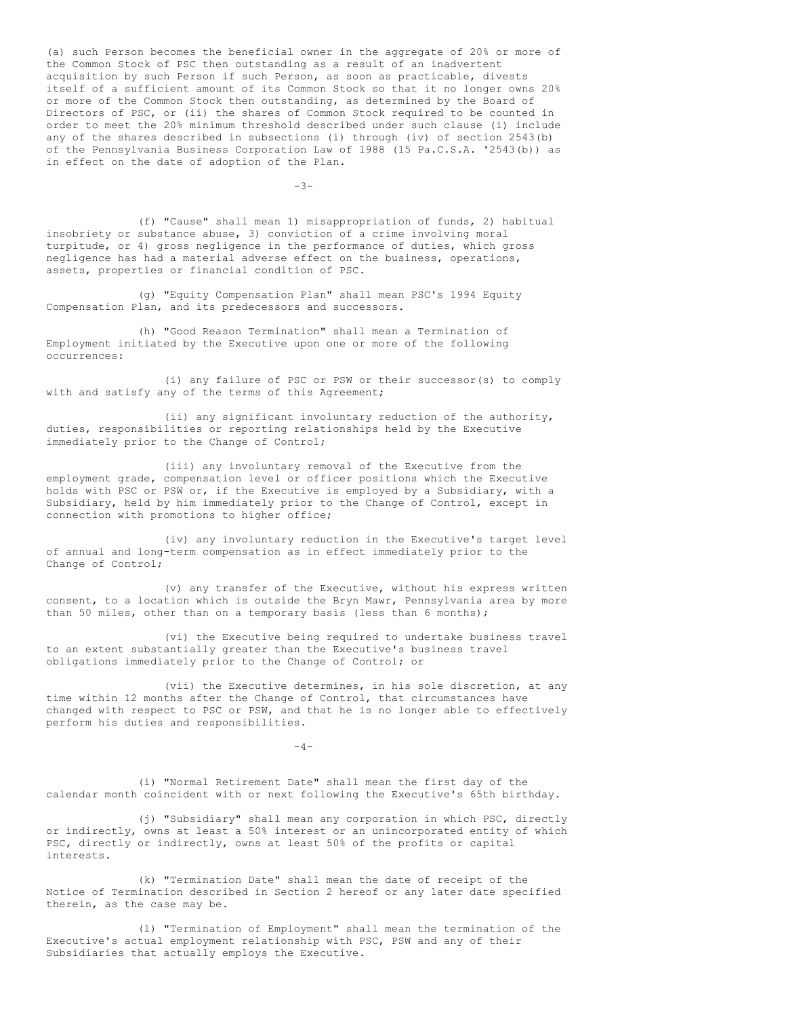(a) such Person becomes the beneficial owner in the aggregate of 20% or more of the Common Stock of PSC then outstanding as a result of an inadvertent acquisition by such Person if such Person, as soon as practicable, divests itself of a sufficient amount of its Common Stock so that it no longer owns 20% or more of the Common Stock then outstanding, as determined by the Board of Directors of PSC, or (ii) the shares of Common Stock required to be counted in order to meet the 20% minimum threshold described under such clause (i) include any of the shares described in subsections (i) through (iv) of section 2543(b) of the Pennsylvania Business Corporation Law of 1988 (15 Pa.C.S.A. '2543(b)) as in effect on the date of adoption of the Plan.

-3-

(f) "Cause" shall mean 1) misappropriation of funds, 2) habitual insobriety or substance abuse, 3) conviction of a crime involving moral turpitude, or 4) gross negligence in the performance of duties, which gross negligence has had a material adverse effect on the business, operations, assets, properties or financial condition of PSC.

(g) "Equity Compensation Plan" shall mean PSC's 1994 Equity Compensation Plan, and its predecessors and successors.

(h) "Good Reason Termination" shall mean a Termination of Employment initiated by the Executive upon one or more of the following occurrences:

(i) any failure of PSC or PSW or their successor(s) to comply with and satisfy any of the terms of this Agreement;

(ii) any significant involuntary reduction of the authority, duties, responsibilities or reporting relationships held by the Executive immediately prior to the Change of Control;

(iii) any involuntary removal of the Executive from the employment grade, compensation level or officer positions which the Executive holds with PSC or PSW or, if the Executive is employed by a Subsidiary, with a Subsidiary, held by him immediately prior to the Change of Control, except in connection with promotions to higher office;

(iv) any involuntary reduction in the Executive's target level of annual and long-term compensation as in effect immediately prior to the Change of Control;

(v) any transfer of the Executive, without his express written consent, to a location which is outside the Bryn Mawr, Pennsylvania area by more than 50 miles, other than on a temporary basis (less than 6 months);

(vi) the Executive being required to undertake business travel to an extent substantially greater than the Executive's business travel obligations immediately prior to the Change of Control; or

(vii) the Executive determines, in his sole discretion, at any time within 12 months after the Change of Control, that circumstances have changed with respect to PSC or PSW, and that he is no longer able to effectively perform his duties and responsibilities.

 $-4-$ 

(i) "Normal Retirement Date" shall mean the first day of the calendar month coincident with or next following the Executive's 65th birthday.

(j) "Subsidiary" shall mean any corporation in which PSC, directly or indirectly, owns at least a 50% interest or an unincorporated entity of which PSC, directly or indirectly, owns at least 50% of the profits or capital interests.

(k) "Termination Date" shall mean the date of receipt of the Notice of Termination described in Section 2 hereof or any later date specified therein, as the case may be.

(l) "Termination of Employment" shall mean the termination of the Executive's actual employment relationship with PSC, PSW and any of their Subsidiaries that actually employs the Executive.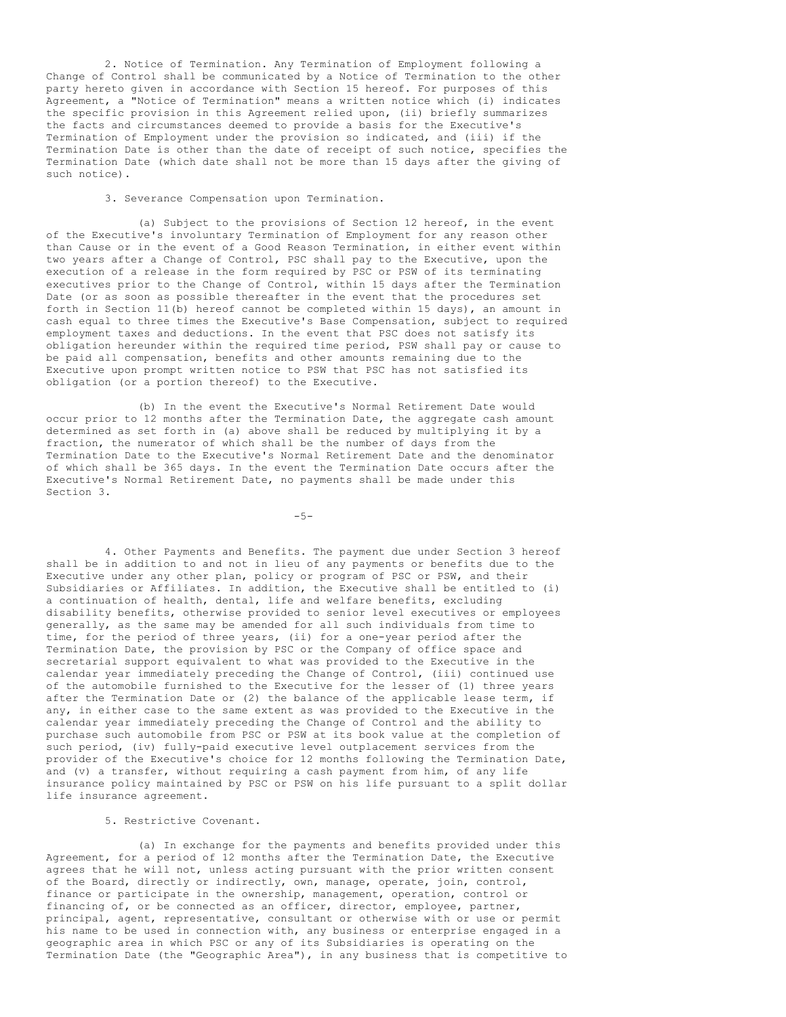2. Notice of Termination. Any Termination of Employment following a Change of Control shall be communicated by a Notice of Termination to the other party hereto given in accordance with Section 15 hereof. For purposes of this Agreement, a "Notice of Termination" means a written notice which (i) indicates the specific provision in this Agreement relied upon, (ii) briefly summarizes the facts and circumstances deemed to provide a basis for the Executive's Termination of Employment under the provision so indicated, and (iii) if the Termination Date is other than the date of receipt of such notice, specifies the Termination Date (which date shall not be more than 15 days after the giving of such notice).

3. Severance Compensation upon Termination.

(a) Subject to the provisions of Section 12 hereof, in the event of the Executive's involuntary Termination of Employment for any reason other than Cause or in the event of a Good Reason Termination, in either event within two years after a Change of Control, PSC shall pay to the Executive, upon the execution of a release in the form required by PSC or PSW of its terminating executives prior to the Change of Control, within 15 days after the Termination Date (or as soon as possible thereafter in the event that the procedures set forth in Section 11(b) hereof cannot be completed within 15 days), an amount in cash equal to three times the Executive's Base Compensation, subject to required employment taxes and deductions. In the event that PSC does not satisfy its obligation hereunder within the required time period, PSW shall pay or cause to be paid all compensation, benefits and other amounts remaining due to the Executive upon prompt written notice to PSW that PSC has not satisfied its obligation (or a portion thereof) to the Executive.

(b) In the event the Executive's Normal Retirement Date would occur prior to 12 months after the Termination Date, the aggregate cash amount determined as set forth in (a) above shall be reduced by multiplying it by a fraction, the numerator of which shall be the number of days from the Termination Date to the Executive's Normal Retirement Date and the denominator of which shall be 365 days. In the event the Termination Date occurs after the Executive's Normal Retirement Date, no payments shall be made under this Section 3.

 $-5-$ 

4. Other Payments and Benefits. The payment due under Section 3 hereof shall be in addition to and not in lieu of any payments or benefits due to the Executive under any other plan, policy or program of PSC or PSW, and their Subsidiaries or Affiliates. In addition, the Executive shall be entitled to (i) a continuation of health, dental, life and welfare benefits, excluding disability benefits, otherwise provided to senior level executives or employees generally, as the same may be amended for all such individuals from time to time, for the period of three years, (ii) for a one-year period after the Termination Date, the provision by PSC or the Company of office space and secretarial support equivalent to what was provided to the Executive in the calendar year immediately preceding the Change of Control, (iii) continued use of the automobile furnished to the Executive for the lesser of (1) three years after the Termination Date or (2) the balance of the applicable lease term, if any, in either case to the same extent as was provided to the Executive in the calendar year immediately preceding the Change of Control and the ability to purchase such automobile from PSC or PSW at its book value at the completion of such period, (iv) fully-paid executive level outplacement services from the provider of the Executive's choice for 12 months following the Termination Date, and (v) a transfer, without requiring a cash payment from him, of any life insurance policy maintained by PSC or PSW on his life pursuant to a split dollar life insurance agreement.

5. Restrictive Covenant.

(a) In exchange for the payments and benefits provided under this Agreement, for a period of 12 months after the Termination Date, the Executive agrees that he will not, unless acting pursuant with the prior written consent of the Board, directly or indirectly, own, manage, operate, join, control, finance or participate in the ownership, management, operation, control or financing of, or be connected as an officer, director, employee, partner, principal, agent, representative, consultant or otherwise with or use or permit his name to be used in connection with, any business or enterprise engaged in a geographic area in which PSC or any of its Subsidiaries is operating on the Termination Date (the "Geographic Area"), in any business that is competitive to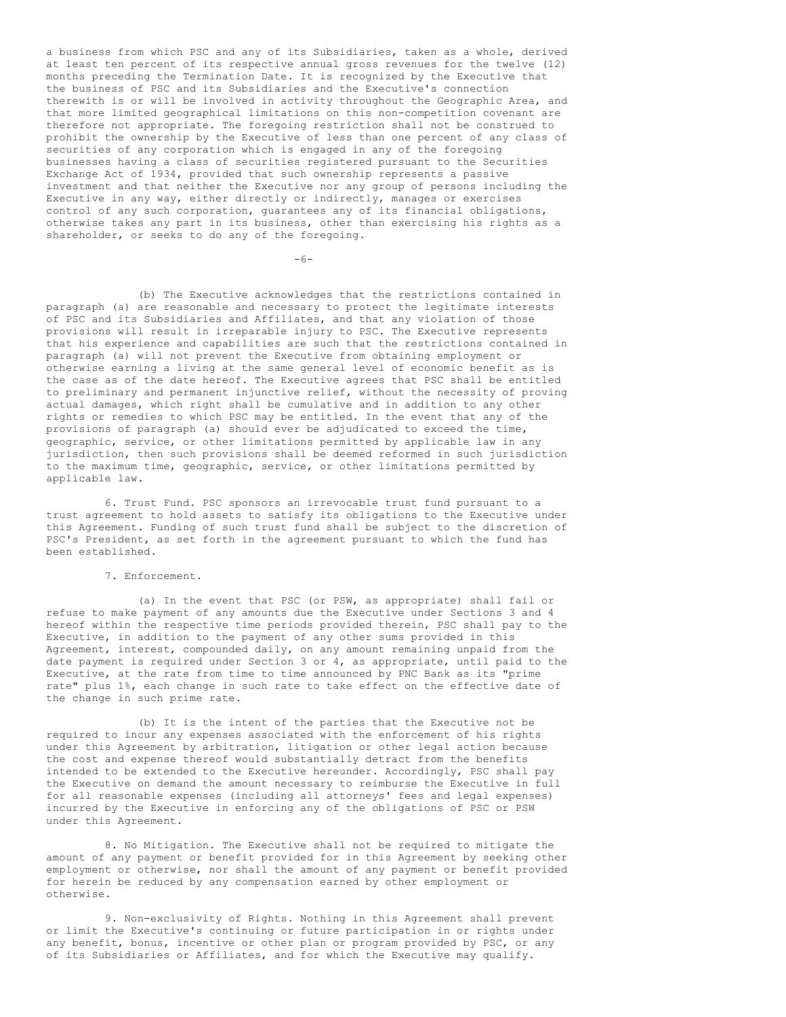a business from which PSC and any of its Subsidiaries, taken as a whole, derived at least ten percent of its respective annual gross revenues for the twelve (12) months preceding the Termination Date. It is recognized by the Executive that the business of PSC and its Subsidiaries and the Executive's connection therewith is or will be involved in activity throughout the Geographic Area, and that more limited geographical limitations on this non-competition covenant are therefore not appropriate. The foregoing restriction shall not be construed to prohibit the ownership by the Executive of less than one percent of any class of securities of any corporation which is engaged in any of the foregoing businesses having a class of securities registered pursuant to the Securities Exchange Act of 1934, provided that such ownership represents a passive investment and that neither the Executive nor any group of persons including the Executive in any way, either directly or indirectly, manages or exercises control of any such corporation, guarantees any of its financial obligations, otherwise takes any part in its business, other than exercising his rights as a shareholder, or seeks to do any of the foregoing.

 $-6-$ 

(b) The Executive acknowledges that the restrictions contained in paragraph (a) are reasonable and necessary to protect the legitimate interests of PSC and its Subsidiaries and Affiliates, and that any violation of those provisions will result in irreparable injury to PSC. The Executive represents that his experience and capabilities are such that the restrictions contained in paragraph (a) will not prevent the Executive from obtaining employment or otherwise earning a living at the same general level of economic benefit as is the case as of the date hereof. The Executive agrees that PSC shall be entitled to preliminary and permanent injunctive relief, without the necessity of proving actual damages, which right shall be cumulative and in addition to any other rights or remedies to which PSC may be entitled. In the event that any of the provisions of paragraph (a) should ever be adjudicated to exceed the time, geographic, service, or other limitations permitted by applicable law in any jurisdiction, then such provisions shall be deemed reformed in such jurisdiction to the maximum time, geographic, service, or other limitations permitted by applicable law.

6. Trust Fund. PSC sponsors an irrevocable trust fund pursuant to a trust agreement to hold assets to satisfy its obligations to the Executive under this Agreement. Funding of such trust fund shall be subject to the discretion of PSC's President, as set forth in the agreement pursuant to which the fund has been established.

7. Enforcement.

(a) In the event that PSC (or PSW, as appropriate) shall fail or refuse to make payment of any amounts due the Executive under Sections 3 and 4 hereof within the respective time periods provided therein, PSC shall pay to the Executive, in addition to the payment of any other sums provided in this Agreement, interest, compounded daily, on any amount remaining unpaid from the date payment is required under Section 3 or 4, as appropriate, until paid to the Executive, at the rate from time to time announced by PNC Bank as its "prime rate" plus 1%, each change in such rate to take effect on the effective date of the change in such prime rate.

(b) It is the intent of the parties that the Executive not be required to incur any expenses associated with the enforcement of his rights under this Agreement by arbitration, litigation or other legal action because the cost and expense thereof would substantially detract from the benefits intended to be extended to the Executive hereunder. Accordingly, PSC shall pay the Executive on demand the amount necessary to reimburse the Executive in full for all reasonable expenses (including all attorneys' fees and legal expenses) incurred by the Executive in enforcing any of the obligations of PSC or PSW under this Agreement.

8. No Mitigation. The Executive shall not be required to mitigate the amount of any payment or benefit provided for in this Agreement by seeking other employment or otherwise, nor shall the amount of any payment or benefit provided for herein be reduced by any compensation earned by other employment or otherwise.

9. Non-exclusivity of Rights. Nothing in this Agreement shall prevent or limit the Executive's continuing or future participation in or rights under any benefit, bonus, incentive or other plan or program provided by PSC, or any of its Subsidiaries or Affiliates, and for which the Executive may qualify.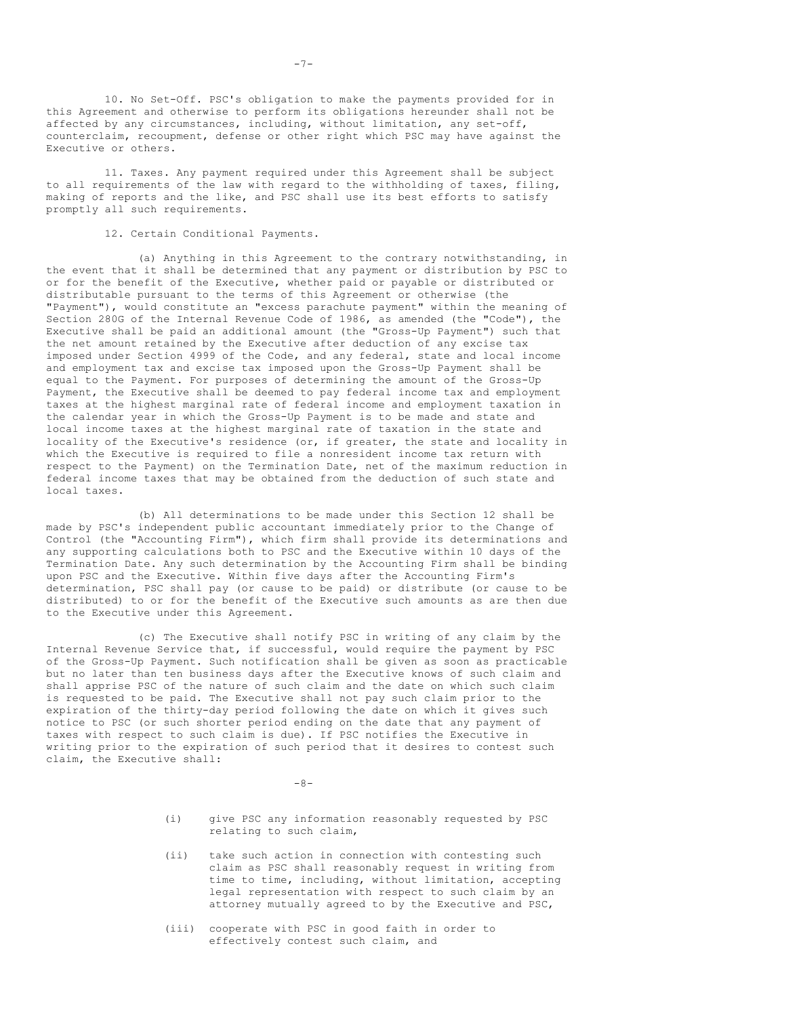10. No Set-Off. PSC's obligation to make the payments provided for in this Agreement and otherwise to perform its obligations hereunder shall not be affected by any circumstances, including, without limitation, any set-off, counterclaim, recoupment, defense or other right which PSC may have against the Executive or others.

11. Taxes. Any payment required under this Agreement shall be subject to all requirements of the law with regard to the withholding of taxes, filing, making of reports and the like, and PSC shall use its best efforts to satisfy promptly all such requirements.

12. Certain Conditional Payments.

(a) Anything in this Agreement to the contrary notwithstanding, in the event that it shall be determined that any payment or distribution by PSC to or for the benefit of the Executive, whether paid or payable or distributed or distributable pursuant to the terms of this Agreement or otherwise (the "Payment"), would constitute an "excess parachute payment" within the meaning of Section 280G of the Internal Revenue Code of 1986, as amended (the "Code"), the Executive shall be paid an additional amount (the "Gross-Up Payment") such that the net amount retained by the Executive after deduction of any excise tax imposed under Section 4999 of the Code, and any federal, state and local income and employment tax and excise tax imposed upon the Gross-Up Payment shall be equal to the Payment. For purposes of determining the amount of the Gross-Up Payment, the Executive shall be deemed to pay federal income tax and employment taxes at the highest marginal rate of federal income and employment taxation in the calendar year in which the Gross-Up Payment is to be made and state and local income taxes at the highest marginal rate of taxation in the state and locality of the Executive's residence (or, if greater, the state and locality in which the Executive is required to file a nonresident income tax return with respect to the Payment) on the Termination Date, net of the maximum reduction in federal income taxes that may be obtained from the deduction of such state and local taxes.

(b) All determinations to be made under this Section 12 shall be made by PSC's independent public accountant immediately prior to the Change of Control (the "Accounting Firm"), which firm shall provide its determinations and any supporting calculations both to PSC and the Executive within 10 days of the Termination Date. Any such determination by the Accounting Firm shall be binding upon PSC and the Executive. Within five days after the Accounting Firm's determination, PSC shall pay (or cause to be paid) or distribute (or cause to be distributed) to or for the benefit of the Executive such amounts as are then due to the Executive under this Agreement.

(c) The Executive shall notify PSC in writing of any claim by the Internal Revenue Service that, if successful, would require the payment by PSC of the Gross-Up Payment. Such notification shall be given as soon as practicable but no later than ten business days after the Executive knows of such claim and shall apprise PSC of the nature of such claim and the date on which such claim is requested to be paid. The Executive shall not pay such claim prior to the expiration of the thirty-day period following the date on which it gives such notice to PSC (or such shorter period ending on the date that any payment of taxes with respect to such claim is due). If PSC notifies the Executive in writing prior to the expiration of such period that it desires to contest such claim, the Executive shall:

 $-8-$ 

- (i) give PSC any information reasonably requested by PSC relating to such claim,
- (ii) take such action in connection with contesting such claim as PSC shall reasonably request in writing from time to time, including, without limitation, accepting legal representation with respect to such claim by an attorney mutually agreed to by the Executive and PSC,
- (iii) cooperate with PSC in good faith in order to effectively contest such claim, and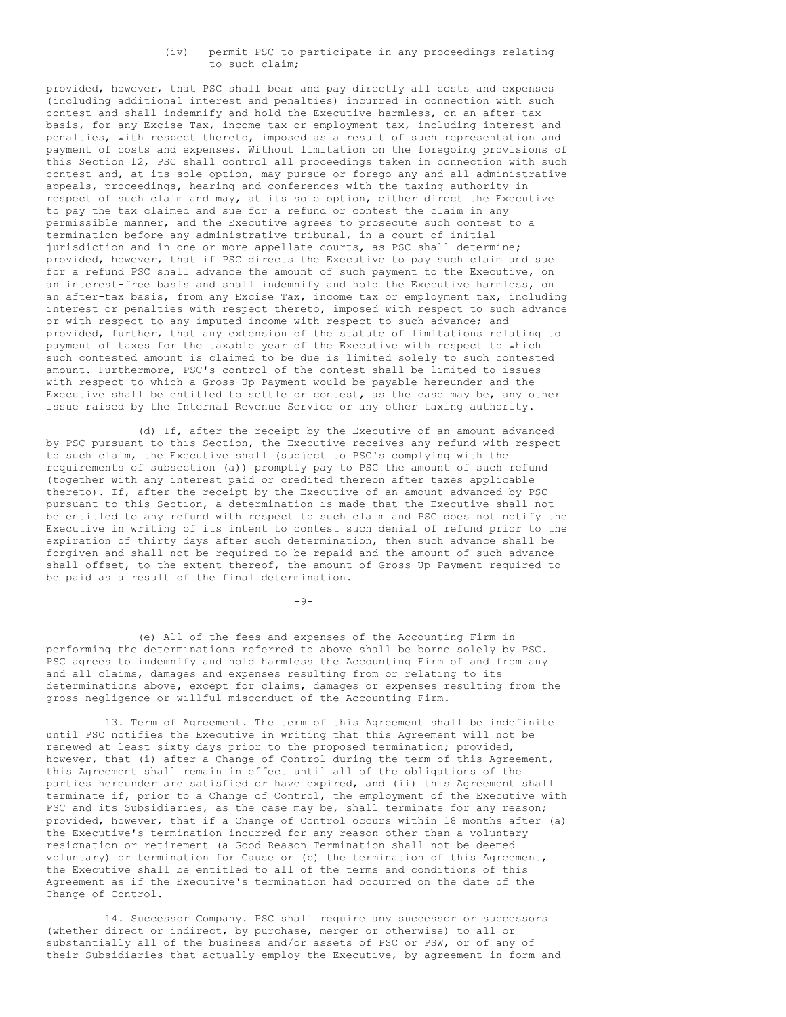## (iv) permit PSC to participate in any proceedings relating to such claim;

provided, however, that PSC shall bear and pay directly all costs and expenses (including additional interest and penalties) incurred in connection with such contest and shall indemnify and hold the Executive harmless, on an after-tax basis, for any Excise Tax, income tax or employment tax, including interest and penalties, with respect thereto, imposed as a result of such representation and payment of costs and expenses. Without limitation on the foregoing provisions of this Section 12, PSC shall control all proceedings taken in connection with such contest and, at its sole option, may pursue or forego any and all administrative appeals, proceedings, hearing and conferences with the taxing authority in respect of such claim and may, at its sole option, either direct the Executive to pay the tax claimed and sue for a refund or contest the claim in any permissible manner, and the Executive agrees to prosecute such contest to a termination before any administrative tribunal, in a court of initial jurisdiction and in one or more appellate courts, as PSC shall determine; provided, however, that if PSC directs the Executive to pay such claim and sue for a refund PSC shall advance the amount of such payment to the Executive, on an interest-free basis and shall indemnify and hold the Executive harmless, on an after-tax basis, from any Excise Tax, income tax or employment tax, including interest or penalties with respect thereto, imposed with respect to such advance or with respect to any imputed income with respect to such advance; and provided, further, that any extension of the statute of limitations relating to payment of taxes for the taxable year of the Executive with respect to which such contested amount is claimed to be due is limited solely to such contested amount. Furthermore, PSC's control of the contest shall be limited to issues with respect to which a Gross-Up Payment would be payable hereunder and the Executive shall be entitled to settle or contest, as the case may be, any other issue raised by the Internal Revenue Service or any other taxing authority.

(d) If, after the receipt by the Executive of an amount advanced by PSC pursuant to this Section, the Executive receives any refund with respect to such claim, the Executive shall (subject to PSC's complying with the requirements of subsection (a)) promptly pay to PSC the amount of such refund (together with any interest paid or credited thereon after taxes applicable thereto). If, after the receipt by the Executive of an amount advanced by PSC pursuant to this Section, a determination is made that the Executive shall not be entitled to any refund with respect to such claim and PSC does not notify the Executive in writing of its intent to contest such denial of refund prior to the expiration of thirty days after such determination, then such advance shall be forgiven and shall not be required to be repaid and the amount of such advance shall offset, to the extent thereof, the amount of Gross-Up Payment required to be paid as a result of the final determination.

 $-9-$ 

(e) All of the fees and expenses of the Accounting Firm in performing the determinations referred to above shall be borne solely by PSC. PSC agrees to indemnify and hold harmless the Accounting Firm of and from any and all claims, damages and expenses resulting from or relating to its determinations above, except for claims, damages or expenses resulting from the gross negligence or willful misconduct of the Accounting Firm.

13. Term of Agreement. The term of this Agreement shall be indefinite until PSC notifies the Executive in writing that this Agreement will not be renewed at least sixty days prior to the proposed termination; provided, however, that (i) after a Change of Control during the term of this Agreement, this Agreement shall remain in effect until all of the obligations of the parties hereunder are satisfied or have expired, and (ii) this Agreement shall terminate if, prior to a Change of Control, the employment of the Executive with PSC and its Subsidiaries, as the case may be, shall terminate for any reason; provided, however, that if a Change of Control occurs within 18 months after (a) the Executive's termination incurred for any reason other than a voluntary resignation or retirement (a Good Reason Termination shall not be deemed voluntary) or termination for Cause or (b) the termination of this Agreement, the Executive shall be entitled to all of the terms and conditions of this Agreement as if the Executive's termination had occurred on the date of the Change of Control.

14. Successor Company. PSC shall require any successor or successors (whether direct or indirect, by purchase, merger or otherwise) to all or substantially all of the business and/or assets of PSC or PSW, or of any of their Subsidiaries that actually employ the Executive, by agreement in form and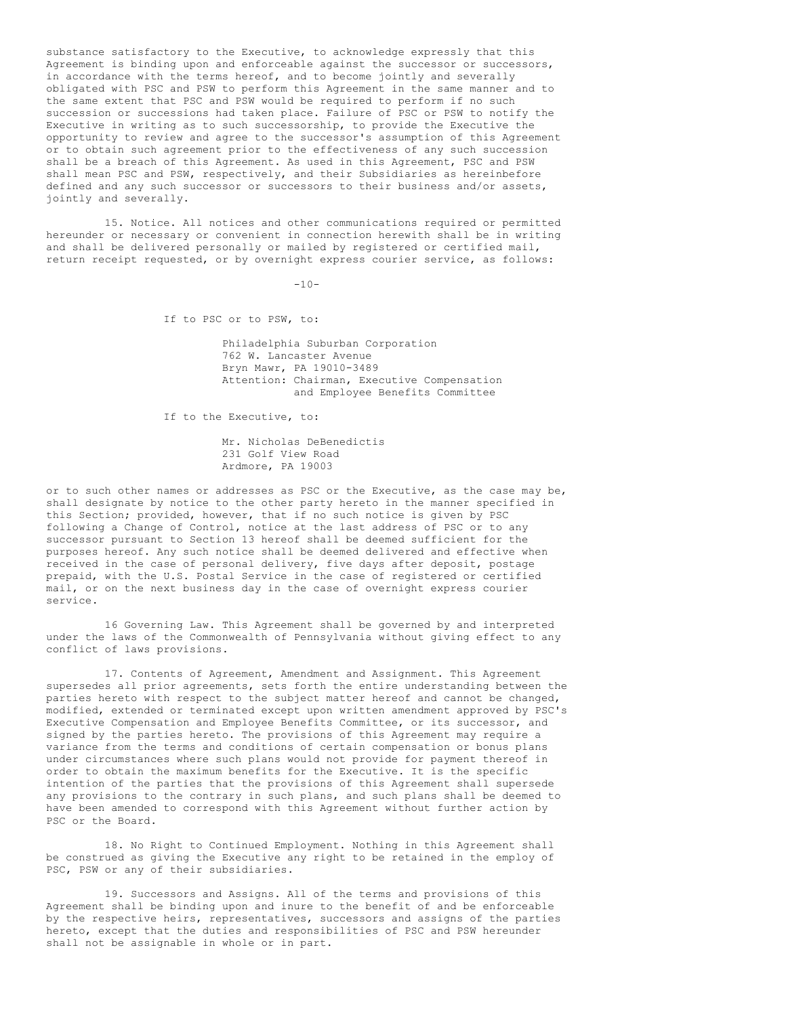substance satisfactory to the Executive, to acknowledge expressly that this Agreement is binding upon and enforceable against the successor or successors, in accordance with the terms hereof, and to become jointly and severally obligated with PSC and PSW to perform this Agreement in the same manner and to the same extent that PSC and PSW would be required to perform if no such succession or successions had taken place. Failure of PSC or PSW to notify the Executive in writing as to such successorship, to provide the Executive the opportunity to review and agree to the successor's assumption of this Agreement or to obtain such agreement prior to the effectiveness of any such succession shall be a breach of this Agreement. As used in this Agreement, PSC and PSW shall mean PSC and PSW, respectively, and their Subsidiaries as hereinbefore defined and any such successor or successors to their business and/or assets, jointly and severally.

15. Notice. All notices and other communications required or permitted hereunder or necessary or convenient in connection herewith shall be in writing and shall be delivered personally or mailed by registered or certified mail, return receipt requested, or by overnight express courier service, as follows:

 $-10-$ 

If to PSC or to PSW, to:

Philadelphia Suburban Corporation 762 W. Lancaster Avenue Bryn Mawr, PA 19010-3489 Attention: Chairman, Executive Compensation and Employee Benefits Committee

If to the Executive, to:

Mr. Nicholas DeBenedictis 231 Golf View Road Ardmore, PA 19003

or to such other names or addresses as PSC or the Executive, as the case may be, shall designate by notice to the other party hereto in the manner specified in this Section; provided, however, that if no such notice is given by PSC following a Change of Control, notice at the last address of PSC or to any successor pursuant to Section 13 hereof shall be deemed sufficient for the purposes hereof. Any such notice shall be deemed delivered and effective when received in the case of personal delivery, five days after deposit, postage prepaid, with the U.S. Postal Service in the case of registered or certified mail, or on the next business day in the case of overnight express courier service.

16 Governing Law. This Agreement shall be governed by and interpreted under the laws of the Commonwealth of Pennsylvania without giving effect to any conflict of laws provisions.

17. Contents of Agreement, Amendment and Assignment. This Agreement supersedes all prior agreements, sets forth the entire understanding between the parties hereto with respect to the subject matter hereof and cannot be changed, modified, extended or terminated except upon written amendment approved by PSC's Executive Compensation and Employee Benefits Committee, or its successor, and signed by the parties hereto. The provisions of this Agreement may require a variance from the terms and conditions of certain compensation or bonus plans under circumstances where such plans would not provide for payment thereof in order to obtain the maximum benefits for the Executive. It is the specific intention of the parties that the provisions of this Agreement shall supersede any provisions to the contrary in such plans, and such plans shall be deemed to have been amended to correspond with this Agreement without further action by PSC or the Board.

18. No Right to Continued Employment. Nothing in this Agreement shall be construed as giving the Executive any right to be retained in the employ of PSC, PSW or any of their subsidiaries.

19. Successors and Assigns. All of the terms and provisions of this Agreement shall be binding upon and inure to the benefit of and be enforceable by the respective heirs, representatives, successors and assigns of the parties hereto, except that the duties and responsibilities of PSC and PSW hereunder shall not be assignable in whole or in part.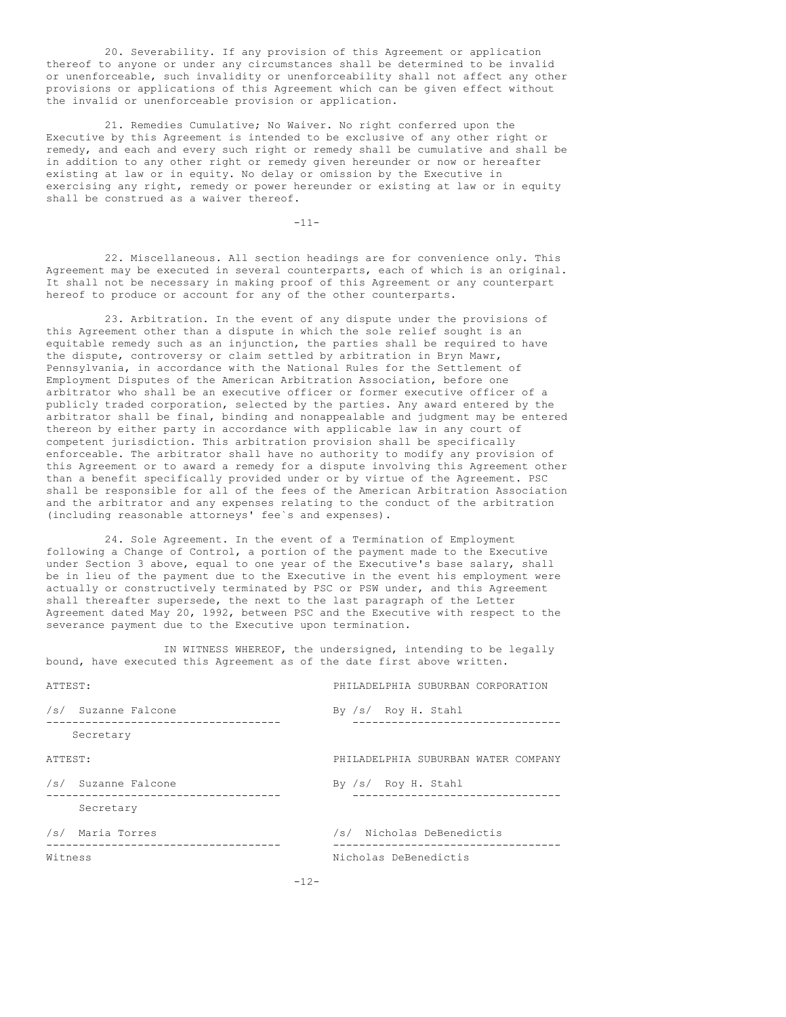20. Severability. If any provision of this Agreement or application thereof to anyone or under any circumstances shall be determined to be invalid or unenforceable, such invalidity or unenforceability shall not affect any other provisions or applications of this Agreement which can be given effect without the invalid or unenforceable provision or application.

21. Remedies Cumulative; No Waiver. No right conferred upon the Executive by this Agreement is intended to be exclusive of any other right or remedy, and each and every such right or remedy shall be cumulative and shall be in addition to any other right or remedy given hereunder or now or hereafter existing at law or in equity. No delay or omission by the Executive in exercising any right, remedy or power hereunder or existing at law or in equity shall be construed as a waiver thereof.

-11-

22. Miscellaneous. All section headings are for convenience only. This Agreement may be executed in several counterparts, each of which is an original. It shall not be necessary in making proof of this Agreement or any counterpart hereof to produce or account for any of the other counterparts.

23. Arbitration. In the event of any dispute under the provisions of this Agreement other than a dispute in which the sole relief sought is an equitable remedy such as an injunction, the parties shall be required to have the dispute, controversy or claim settled by arbitration in Bryn Mawr, Pennsylvania, in accordance with the National Rules for the Settlement of Employment Disputes of the American Arbitration Association, before one arbitrator who shall be an executive officer or former executive officer of a publicly traded corporation, selected by the parties. Any award entered by the arbitrator shall be final, binding and nonappealable and judgment may be entered thereon by either party in accordance with applicable law in any court of competent jurisdiction. This arbitration provision shall be specifically enforceable. The arbitrator shall have no authority to modify any provision of this Agreement or to award a remedy for a dispute involving this Agreement other than a benefit specifically provided under or by virtue of the Agreement. PSC shall be responsible for all of the fees of the American Arbitration Association and the arbitrator and any expenses relating to the conduct of the arbitration (including reasonable attorneys' fee`s and expenses).

24. Sole Agreement. In the event of a Termination of Employment following a Change of Control, a portion of the payment made to the Executive under Section 3 above, equal to one year of the Executive's base salary, shall be in lieu of the payment due to the Executive in the event his employment were actually or constructively terminated by PSC or PSW under, and this Agreement shall thereafter supersede, the next to the last paragraph of the Letter Agreement dated May 20, 1992, between PSC and the Executive with respect to the severance payment due to the Executive upon termination.

IN WITNESS WHEREOF, the undersigned, intending to be legally bound, have executed this Agreement as of the date first above written.

| ATTEST: |                     | PHILADELPHIA SUBURBAN CORPORATION   |
|---------|---------------------|-------------------------------------|
|         | /s/ Suzanne Falcone | By /s/ Roy H. Stahl                 |
|         | Secretary           |                                     |
| ATTEST: |                     | PHILADELPHIA SUBURBAN WATER COMPANY |
|         | /s/ Suzanne Falcone | By /s/ Roy H. Stahl                 |
|         | Secretary           |                                     |
|         | /s/ Maria Torres    | /s/ Nicholas DeBenedictis           |
| Witness |                     | Nicholas DeBenedictis               |
|         |                     |                                     |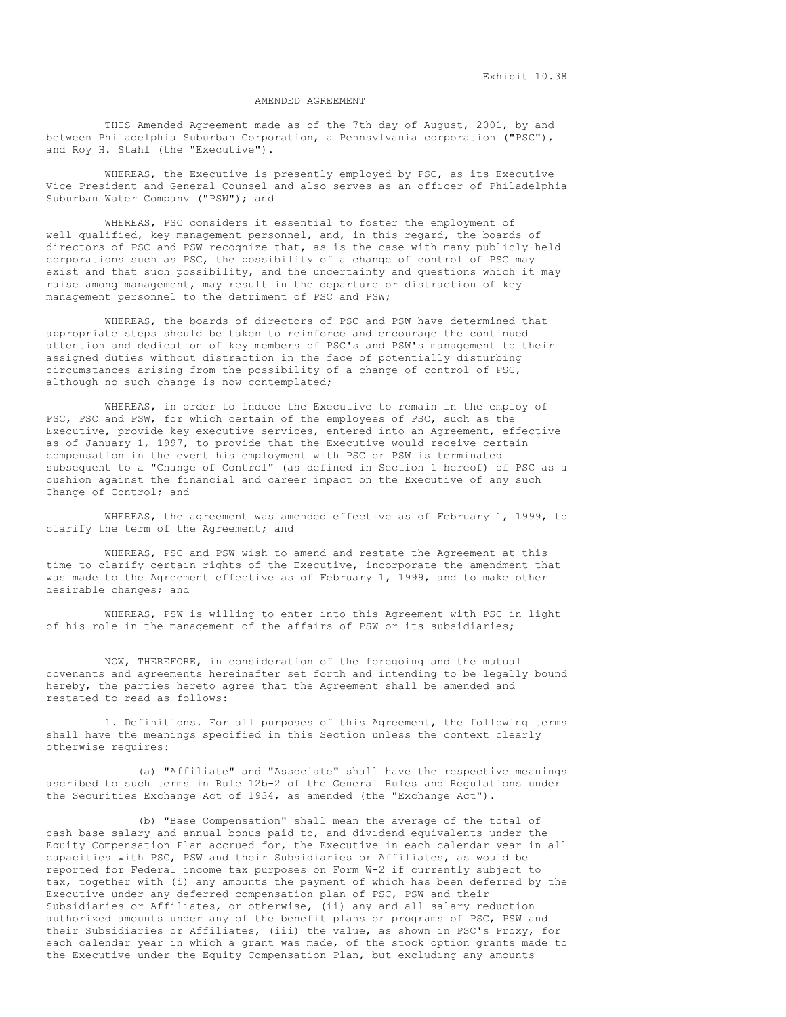Exhibit 10.38

## AMENDED AGREEMENT

THIS Amended Agreement made as of the 7th day of August, 2001, by and between Philadelphia Suburban Corporation, a Pennsylvania corporation ("PSC"), and Roy H. Stahl (the "Executive").

WHEREAS, the Executive is presently employed by PSC, as its Executive Vice President and General Counsel and also serves as an officer of Philadelphia Suburban Water Company ("PSW"); and

WHEREAS, PSC considers it essential to foster the employment of well-qualified, key management personnel, and, in this regard, the boards of directors of PSC and PSW recognize that, as is the case with many publicly-held corporations such as PSC, the possibility of a change of control of PSC may exist and that such possibility, and the uncertainty and questions which it may raise among management, may result in the departure or distraction of key management personnel to the detriment of PSC and PSW;

WHEREAS, the boards of directors of PSC and PSW have determined that appropriate steps should be taken to reinforce and encourage the continued attention and dedication of key members of PSC's and PSW's management to their assigned duties without distraction in the face of potentially disturbing circumstances arising from the possibility of a change of control of PSC, although no such change is now contemplated;

WHEREAS, in order to induce the Executive to remain in the employ of PSC, PSC and PSW, for which certain of the employees of PSC, such as the Executive, provide key executive services, entered into an Agreement, effective as of January 1, 1997, to provide that the Executive would receive certain compensation in the event his employment with PSC or PSW is terminated subsequent to a "Change of Control" (as defined in Section 1 hereof) of PSC as a cushion against the financial and career impact on the Executive of any such Change of Control; and

WHEREAS, the agreement was amended effective as of February 1, 1999, to clarify the term of the Agreement; and

WHEREAS, PSC and PSW wish to amend and restate the Agreement at this time to clarify certain rights of the Executive, incorporate the amendment that was made to the Agreement effective as of February 1, 1999, and to make other desirable changes; and

WHEREAS, PSW is willing to enter into this Agreement with PSC in light of his role in the management of the affairs of PSW or its subsidiaries;

NOW, THEREFORE, in consideration of the foregoing and the mutual covenants and agreements hereinafter set forth and intending to be legally bound hereby, the parties hereto agree that the Agreement shall be amended and restated to read as follows:

1. Definitions. For all purposes of this Agreement, the following terms shall have the meanings specified in this Section unless the context clearly otherwise requires:

(a) "Affiliate" and "Associate" shall have the respective meanings ascribed to such terms in Rule 12b-2 of the General Rules and Regulations under the Securities Exchange Act of 1934, as amended (the "Exchange Act").

(b) "Base Compensation" shall mean the average of the total of cash base salary and annual bonus paid to, and dividend equivalents under the Equity Compensation Plan accrued for, the Executive in each calendar year in all capacities with PSC, PSW and their Subsidiaries or Affiliates, as would be reported for Federal income tax purposes on Form W-2 if currently subject to tax, together with (i) any amounts the payment of which has been deferred by the Executive under any deferred compensation plan of PSC, PSW and their Subsidiaries or Affiliates, or otherwise, (ii) any and all salary reduction authorized amounts under any of the benefit plans or programs of PSC, PSW and their Subsidiaries or Affiliates, (iii) the value, as shown in PSC's Proxy, for each calendar year in which a grant was made, of the stock option grants made to the Executive under the Equity Compensation Plan, but excluding any amounts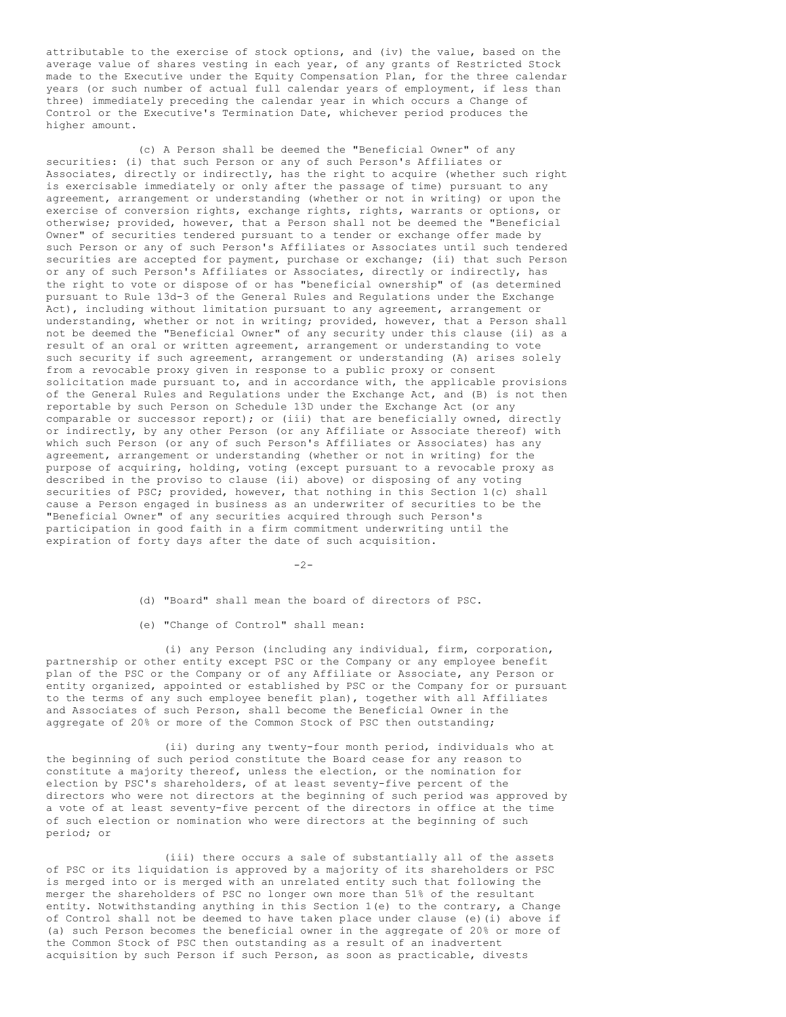attributable to the exercise of stock options, and (iv) the value, based on the average value of shares vesting in each year, of any grants of Restricted Stock made to the Executive under the Equity Compensation Plan, for the three calendar years (or such number of actual full calendar years of employment, if less than three) immediately preceding the calendar year in which occurs a Change of Control or the Executive's Termination Date, whichever period produces the higher amount.

(c) A Person shall be deemed the "Beneficial Owner" of any securities: (i) that such Person or any of such Person's Affiliates or Associates, directly or indirectly, has the right to acquire (whether such right is exercisable immediately or only after the passage of time) pursuant to any agreement, arrangement or understanding (whether or not in writing) or upon the exercise of conversion rights, exchange rights, rights, warrants or options, or otherwise; provided, however, that a Person shall not be deemed the "Beneficial Owner" of securities tendered pursuant to a tender or exchange offer made by such Person or any of such Person's Affiliates or Associates until such tendered securities are accepted for payment, purchase or exchange; (ii) that such Person or any of such Person's Affiliates or Associates, directly or indirectly, has the right to vote or dispose of or has "beneficial ownership" of (as determined pursuant to Rule 13d-3 of the General Rules and Regulations under the Exchange Act), including without limitation pursuant to any agreement, arrangement or understanding, whether or not in writing; provided, however, that a Person shall not be deemed the "Beneficial Owner" of any security under this clause (ii) as a result of an oral or written agreement, arrangement or understanding to vote such security if such agreement, arrangement or understanding (A) arises solely from a revocable proxy given in response to a public proxy or consent solicitation made pursuant to, and in accordance with, the applicable provisions of the General Rules and Regulations under the Exchange Act, and (B) is not then reportable by such Person on Schedule 13D under the Exchange Act (or any comparable or successor report); or (iii) that are beneficially owned, directly or indirectly, by any other Person (or any Affiliate or Associate thereof) with which such Person (or any of such Person's Affiliates or Associates) has any agreement, arrangement or understanding (whether or not in writing) for the purpose of acquiring, holding, voting (except pursuant to a revocable proxy as described in the proviso to clause (ii) above) or disposing of any voting securities of PSC; provided, however, that nothing in this Section 1(c) shall cause a Person engaged in business as an underwriter of securities to be the "Beneficial Owner" of any securities acquired through such Person's participation in good faith in a firm commitment underwriting until the expiration of forty days after the date of such acquisition.

 $-2-$ 

(d) "Board" shall mean the board of directors of PSC.

(e) "Change of Control" shall mean:

(i) any Person (including any individual, firm, corporation, partnership or other entity except PSC or the Company or any employee benefit plan of the PSC or the Company or of any Affiliate or Associate, any Person or entity organized, appointed or established by PSC or the Company for or pursuant to the terms of any such employee benefit plan), together with all Affiliates and Associates of such Person, shall become the Beneficial Owner in the aggregate of 20% or more of the Common Stock of PSC then outstanding;

(ii) during any twenty-four month period, individuals who at the beginning of such period constitute the Board cease for any reason to constitute a majority thereof, unless the election, or the nomination for election by PSC's shareholders, of at least seventy-five percent of the directors who were not directors at the beginning of such period was approved by a vote of at least seventy-five percent of the directors in office at the time of such election or nomination who were directors at the beginning of such period; or

(iii) there occurs a sale of substantially all of the assets of PSC or its liquidation is approved by a majority of its shareholders or PSC is merged into or is merged with an unrelated entity such that following the merger the shareholders of PSC no longer own more than 51% of the resultant entity. Notwithstanding anything in this Section 1(e) to the contrary, a Change of Control shall not be deemed to have taken place under clause (e)(i) above if (a) such Person becomes the beneficial owner in the aggregate of 20% or more of the Common Stock of PSC then outstanding as a result of an inadvertent acquisition by such Person if such Person, as soon as practicable, divests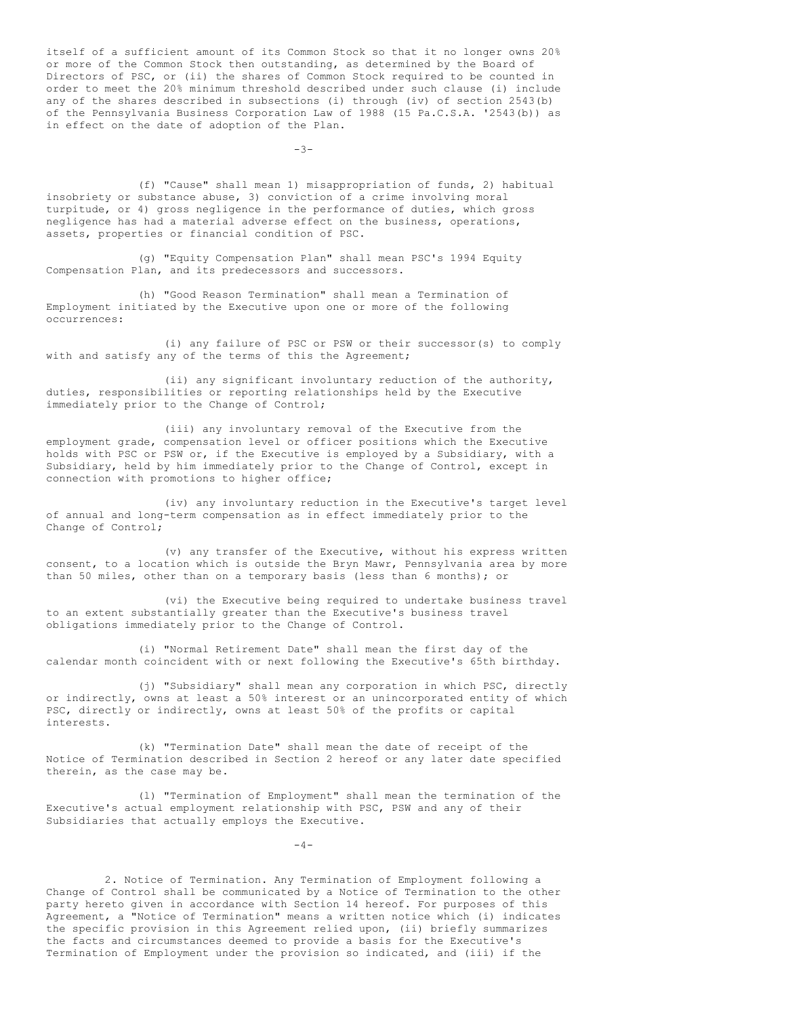itself of a sufficient amount of its Common Stock so that it no longer owns 20% or more of the Common Stock then outstanding, as determined by the Board of Directors of PSC, or (ii) the shares of Common Stock required to be counted in order to meet the 20% minimum threshold described under such clause (i) include any of the shares described in subsections (i) through (iv) of section 2543(b) of the Pennsylvania Business Corporation Law of 1988 (15 Pa.C.S.A. '2543(b)) as in effect on the date of adoption of the Plan.

 $-3-$ 

(f) "Cause" shall mean 1) misappropriation of funds, 2) habitual insobriety or substance abuse, 3) conviction of a crime involving moral turpitude, or 4) gross negligence in the performance of duties, which gross negligence has had a material adverse effect on the business, operations, assets, properties or financial condition of PSC.

(g) "Equity Compensation Plan" shall mean PSC's 1994 Equity Compensation Plan, and its predecessors and successors.

(h) "Good Reason Termination" shall mean a Termination of Employment initiated by the Executive upon one or more of the following occurrences:

(i) any failure of PSC or PSW or their successor(s) to comply with and satisfy any of the terms of this the Agreement;

(ii) any significant involuntary reduction of the authority, duties, responsibilities or reporting relationships held by the Executive immediately prior to the Change of Control;

(iii) any involuntary removal of the Executive from the employment grade, compensation level or officer positions which the Executive holds with PSC or PSW or, if the Executive is employed by a Subsidiary, with a Subsidiary, held by him immediately prior to the Change of Control, except in connection with promotions to higher office;

(iv) any involuntary reduction in the Executive's target level of annual and long-term compensation as in effect immediately prior to the Change of Control;

(v) any transfer of the Executive, without his express written consent, to a location which is outside the Bryn Mawr, Pennsylvania area by more than 50 miles, other than on a temporary basis (less than 6 months); or

(vi) the Executive being required to undertake business travel to an extent substantially greater than the Executive's business travel obligations immediately prior to the Change of Control.

(i) "Normal Retirement Date" shall mean the first day of the calendar month coincident with or next following the Executive's 65th birthday.

(j) "Subsidiary" shall mean any corporation in which PSC, directly or indirectly, owns at least a 50% interest or an unincorporated entity of which PSC, directly or indirectly, owns at least 50% of the profits or capital interests.

(k) "Termination Date" shall mean the date of receipt of the Notice of Termination described in Section 2 hereof or any later date specified therein, as the case may be.

(l) "Termination of Employment" shall mean the termination of the Executive's actual employment relationship with PSC, PSW and any of their Subsidiaries that actually employs the Executive.

 $-4-$ 

2. Notice of Termination. Any Termination of Employment following a Change of Control shall be communicated by a Notice of Termination to the other party hereto given in accordance with Section 14 hereof. For purposes of this Agreement, a "Notice of Termination" means a written notice which (i) indicates the specific provision in this Agreement relied upon, (ii) briefly summarizes the facts and circumstances deemed to provide a basis for the Executive's Termination of Employment under the provision so indicated, and (iii) if the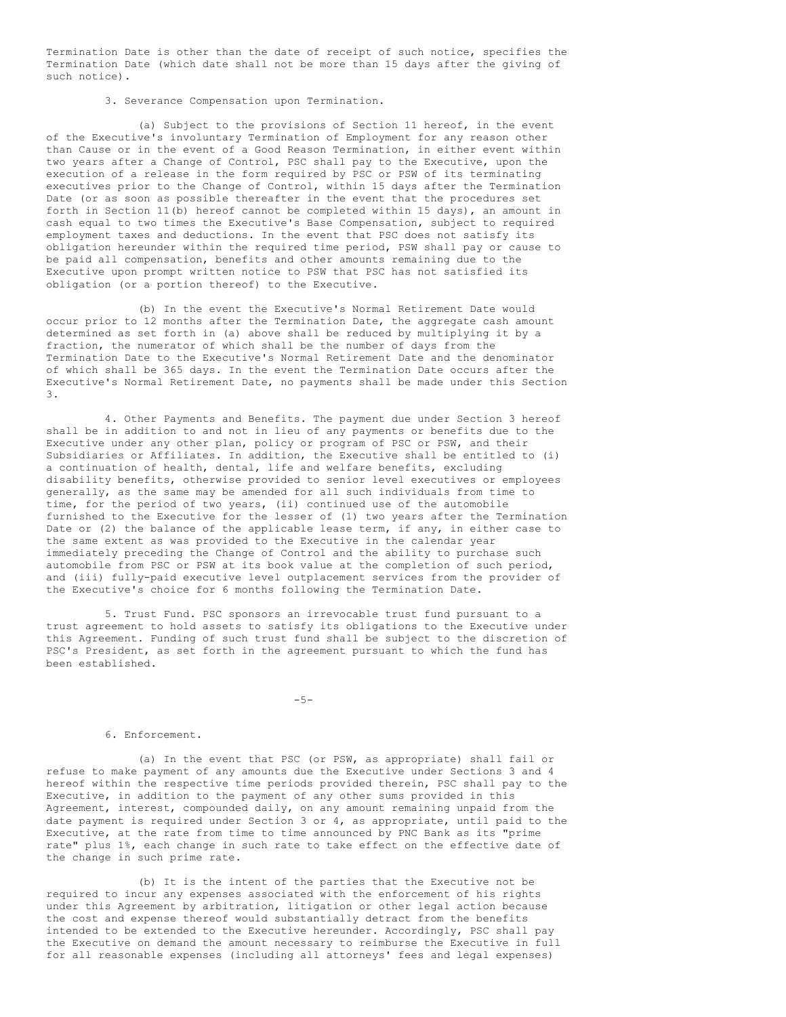Termination Date is other than the date of receipt of such notice, specifies the Termination Date (which date shall not be more than 15 days after the giving of such notice).

3. Severance Compensation upon Termination.

(a) Subject to the provisions of Section 11 hereof, in the event of the Executive's involuntary Termination of Employment for any reason other than Cause or in the event of a Good Reason Termination, in either event within two years after a Change of Control, PSC shall pay to the Executive, upon the execution of a release in the form required by PSC or PSW of its terminating executives prior to the Change of Control, within 15 days after the Termination Date (or as soon as possible thereafter in the event that the procedures set forth in Section 11(b) hereof cannot be completed within 15 days), an amount in cash equal to two times the Executive's Base Compensation, subject to required employment taxes and deductions. In the event that PSC does not satisfy its obligation hereunder within the required time period, PSW shall pay or cause to be paid all compensation, benefits and other amounts remaining due to the Executive upon prompt written notice to PSW that PSC has not satisfied its obligation (or a portion thereof) to the Executive.

(b) In the event the Executive's Normal Retirement Date would occur prior to 12 months after the Termination Date, the aggregate cash amount determined as set forth in (a) above shall be reduced by multiplying it by a fraction, the numerator of which shall be the number of days from the Termination Date to the Executive's Normal Retirement Date and the denominator of which shall be 365 days. In the event the Termination Date occurs after the Executive's Normal Retirement Date, no payments shall be made under this Section 3.

4. Other Payments and Benefits. The payment due under Section 3 hereof shall be in addition to and not in lieu of any payments or benefits due to the Executive under any other plan, policy or program of PSC or PSW, and their Subsidiaries or Affiliates. In addition, the Executive shall be entitled to (i) a continuation of health, dental, life and welfare benefits, excluding disability benefits, otherwise provided to senior level executives or employees generally, as the same may be amended for all such individuals from time to time, for the period of two years, (ii) continued use of the automobile furnished to the Executive for the lesser of (1) two years after the Termination Date or (2) the balance of the applicable lease term, if any, in either case to the same extent as was provided to the Executive in the calendar year immediately preceding the Change of Control and the ability to purchase such automobile from PSC or PSW at its book value at the completion of such period, and (iii) fully-paid executive level outplacement services from the provider of the Executive's choice for 6 months following the Termination Date.

5. Trust Fund. PSC sponsors an irrevocable trust fund pursuant to a trust agreement to hold assets to satisfy its obligations to the Executive under this Agreement. Funding of such trust fund shall be subject to the discretion of PSC's President, as set forth in the agreement pursuant to which the fund has been established.

-5-

#### 6. Enforcement.

(a) In the event that PSC (or PSW, as appropriate) shall fail or refuse to make payment of any amounts due the Executive under Sections 3 and 4 hereof within the respective time periods provided therein, PSC shall pay to the Executive, in addition to the payment of any other sums provided in this Agreement, interest, compounded daily, on any amount remaining unpaid from the date payment is required under Section 3 or 4, as appropriate, until paid to the Executive, at the rate from time to time announced by PNC Bank as its "prime rate" plus 1%, each change in such rate to take effect on the effective date of the change in such prime rate.

(b) It is the intent of the parties that the Executive not be required to incur any expenses associated with the enforcement of his rights under this Agreement by arbitration, litigation or other legal action because the cost and expense thereof would substantially detract from the benefits intended to be extended to the Executive hereunder. Accordingly, PSC shall pay the Executive on demand the amount necessary to reimburse the Executive in full for all reasonable expenses (including all attorneys' fees and legal expenses)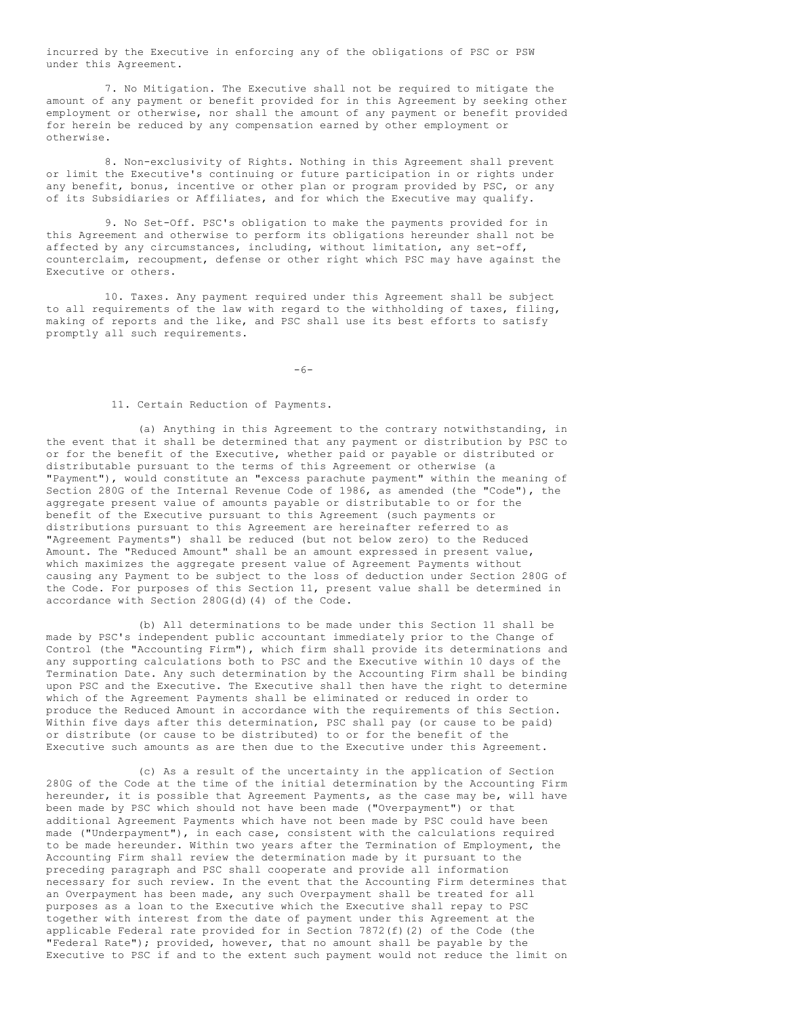incurred by the Executive in enforcing any of the obligations of PSC or PSW under this Agreement.

7. No Mitigation. The Executive shall not be required to mitigate the amount of any payment or benefit provided for in this Agreement by seeking other employment or otherwise, nor shall the amount of any payment or benefit provided for herein be reduced by any compensation earned by other employment or otherwise.

8. Non-exclusivity of Rights. Nothing in this Agreement shall prevent or limit the Executive's continuing or future participation in or rights under any benefit, bonus, incentive or other plan or program provided by PSC, or any of its Subsidiaries or Affiliates, and for which the Executive may qualify.

9. No Set-Off. PSC's obligation to make the payments provided for in this Agreement and otherwise to perform its obligations hereunder shall not be affected by any circumstances, including, without limitation, any set-off, counterclaim, recoupment, defense or other right which PSC may have against the Executive or others.

10. Taxes. Any payment required under this Agreement shall be subject to all requirements of the law with regard to the withholding of taxes, filing, making of reports and the like, and PSC shall use its best efforts to satisfy promptly all such requirements.

-6-

11. Certain Reduction of Payments.

(a) Anything in this Agreement to the contrary notwithstanding, in the event that it shall be determined that any payment or distribution by PSC to or for the benefit of the Executive, whether paid or payable or distributed or distributable pursuant to the terms of this Agreement or otherwise (a "Payment"), would constitute an "excess parachute payment" within the meaning of Section 280G of the Internal Revenue Code of 1986, as amended (the "Code"), the aggregate present value of amounts payable or distributable to or for the benefit of the Executive pursuant to this Agreement (such payments or distributions pursuant to this Agreement are hereinafter referred to as "Agreement Payments") shall be reduced (but not below zero) to the Reduced Amount. The "Reduced Amount" shall be an amount expressed in present value, which maximizes the aggregate present value of Agreement Payments without causing any Payment to be subject to the loss of deduction under Section 280G of the Code. For purposes of this Section 11, present value shall be determined in accordance with Section 280G(d)(4) of the Code.

(b) All determinations to be made under this Section 11 shall be made by PSC's independent public accountant immediately prior to the Change of Control (the "Accounting Firm"), which firm shall provide its determinations and any supporting calculations both to PSC and the Executive within 10 days of the Termination Date. Any such determination by the Accounting Firm shall be binding upon PSC and the Executive. The Executive shall then have the right to determine which of the Agreement Payments shall be eliminated or reduced in order to produce the Reduced Amount in accordance with the requirements of this Section. Within five days after this determination, PSC shall pay (or cause to be paid) or distribute (or cause to be distributed) to or for the benefit of the Executive such amounts as are then due to the Executive under this Agreement.

(c) As a result of the uncertainty in the application of Section 280G of the Code at the time of the initial determination by the Accounting Firm hereunder, it is possible that Agreement Payments, as the case may be, will have been made by PSC which should not have been made ("Overpayment") or that additional Agreement Payments which have not been made by PSC could have been made ("Underpayment"), in each case, consistent with the calculations required to be made hereunder. Within two years after the Termination of Employment, the Accounting Firm shall review the determination made by it pursuant to the preceding paragraph and PSC shall cooperate and provide all information necessary for such review. In the event that the Accounting Firm determines that an Overpayment has been made, any such Overpayment shall be treated for all purposes as a loan to the Executive which the Executive shall repay to PSC together with interest from the date of payment under this Agreement at the applicable Federal rate provided for in Section  $7872(f)(2)$  of the Code (the "Federal Rate"); provided, however, that no amount shall be payable by the Executive to PSC if and to the extent such payment would not reduce the limit on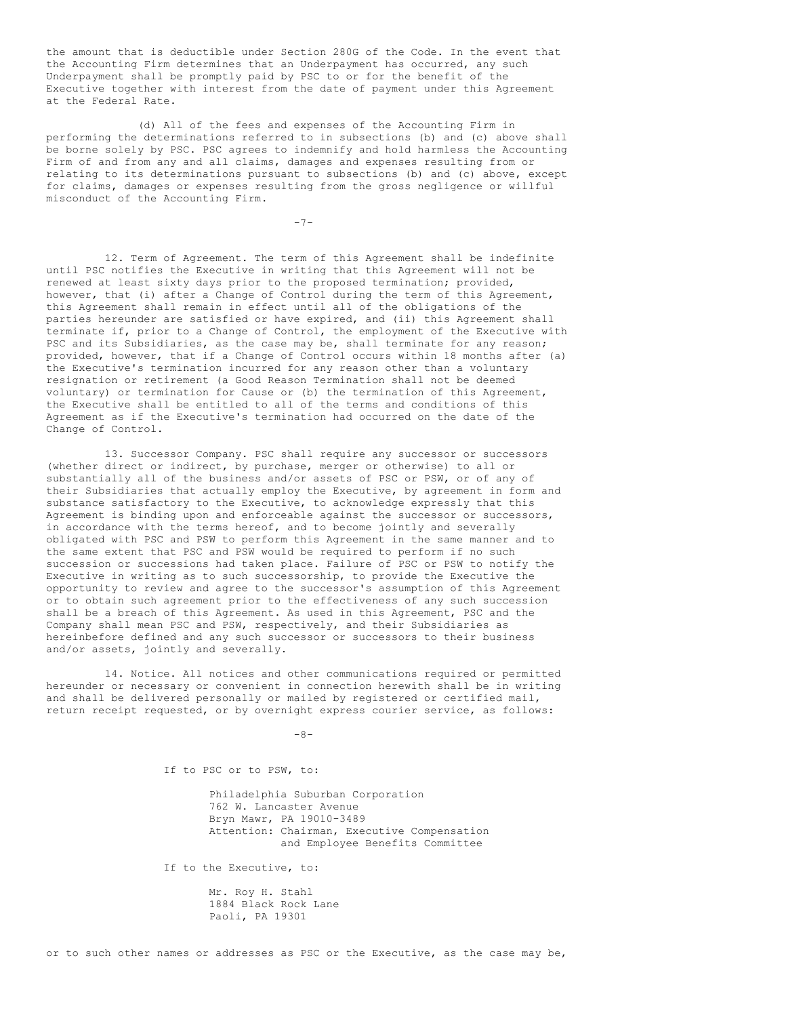the amount that is deductible under Section 280G of the Code. In the event that the Accounting Firm determines that an Underpayment has occurred, any such Underpayment shall be promptly paid by PSC to or for the benefit of the Executive together with interest from the date of payment under this Agreement at the Federal Rate.

(d) All of the fees and expenses of the Accounting Firm in performing the determinations referred to in subsections (b) and (c) above shall be borne solely by PSC. PSC agrees to indemnify and hold harmless the Accounting Firm of and from any and all claims, damages and expenses resulting from or relating to its determinations pursuant to subsections (b) and (c) above, except for claims, damages or expenses resulting from the gross negligence or willful misconduct of the Accounting Firm.

 $-7-$ 

12. Term of Agreement. The term of this Agreement shall be indefinite until PSC notifies the Executive in writing that this Agreement will not be renewed at least sixty days prior to the proposed termination; provided, however, that (i) after a Change of Control during the term of this Agreement, this Agreement shall remain in effect until all of the obligations of the parties hereunder are satisfied or have expired, and (ii) this Agreement shall terminate if, prior to a Change of Control, the employment of the Executive with PSC and its Subsidiaries, as the case may be, shall terminate for any reason; provided, however, that if a Change of Control occurs within 18 months after (a) the Executive's termination incurred for any reason other than a voluntary resignation or retirement (a Good Reason Termination shall not be deemed voluntary) or termination for Cause or (b) the termination of this Agreement, the Executive shall be entitled to all of the terms and conditions of this Agreement as if the Executive's termination had occurred on the date of the Change of Control.

13. Successor Company. PSC shall require any successor or successors (whether direct or indirect, by purchase, merger or otherwise) to all or substantially all of the business and/or assets of PSC or PSW, or of any of their Subsidiaries that actually employ the Executive, by agreement in form and substance satisfactory to the Executive, to acknowledge expressly that this Agreement is binding upon and enforceable against the successor or successors, in accordance with the terms hereof, and to become jointly and severally obligated with PSC and PSW to perform this Agreement in the same manner and to the same extent that PSC and PSW would be required to perform if no such succession or successions had taken place. Failure of PSC or PSW to notify the Executive in writing as to such successorship, to provide the Executive the opportunity to review and agree to the successor's assumption of this Agreement or to obtain such agreement prior to the effectiveness of any such succession shall be a breach of this Agreement. As used in this Agreement, PSC and the Company shall mean PSC and PSW, respectively, and their Subsidiaries as hereinbefore defined and any such successor or successors to their business and/or assets, jointly and severally.

14. Notice. All notices and other communications required or permitted hereunder or necessary or convenient in connection herewith shall be in writing and shall be delivered personally or mailed by registered or certified mail, return receipt requested, or by overnight express courier service, as follows:

 $-8-$ 

If to PSC or to PSW, to:

Philadelphia Suburban Corporation 762 W. Lancaster Avenue Bryn Mawr, PA 19010-3489 Attention: Chairman, Executive Compensation and Employee Benefits Committee

If to the Executive, to:

Mr. Roy H. Stahl 1884 Black Rock Lane Paoli, PA 19301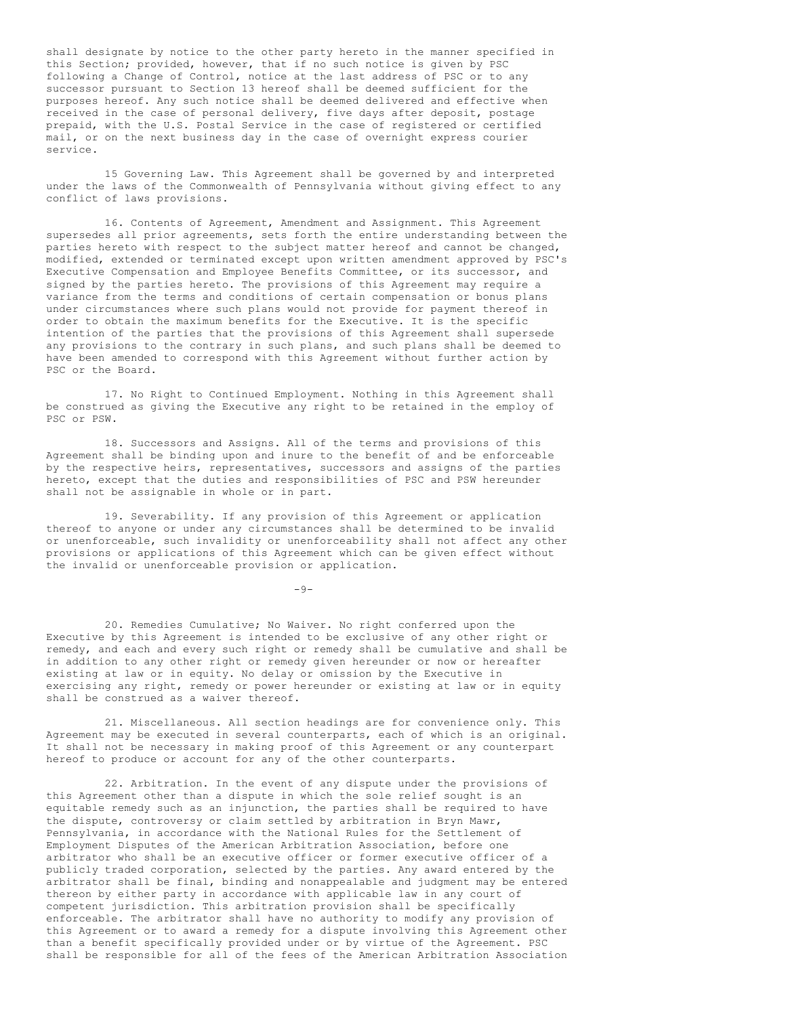shall designate by notice to the other party hereto in the manner specified in this Section; provided, however, that if no such notice is given by PSC following a Change of Control, notice at the last address of PSC or to any successor pursuant to Section 13 hereof shall be deemed sufficient for the purposes hereof. Any such notice shall be deemed delivered and effective when received in the case of personal delivery, five days after deposit, postage prepaid, with the U.S. Postal Service in the case of registered or certified mail, or on the next business day in the case of overnight express courier service.

15 Governing Law. This Agreement shall be governed by and interpreted under the laws of the Commonwealth of Pennsylvania without giving effect to any conflict of laws provisions.

16. Contents of Agreement, Amendment and Assignment. This Agreement supersedes all prior agreements, sets forth the entire understanding between the parties hereto with respect to the subject matter hereof and cannot be changed, modified, extended or terminated except upon written amendment approved by PSC's Executive Compensation and Employee Benefits Committee, or its successor, and signed by the parties hereto. The provisions of this Agreement may require a variance from the terms and conditions of certain compensation or bonus plans under circumstances where such plans would not provide for payment thereof in order to obtain the maximum benefits for the Executive. It is the specific intention of the parties that the provisions of this Agreement shall supersede any provisions to the contrary in such plans, and such plans shall be deemed to have been amended to correspond with this Agreement without further action by PSC or the Board.

17. No Right to Continued Employment. Nothing in this Agreement shall be construed as giving the Executive any right to be retained in the employ of PSC or PSW.

18. Successors and Assigns. All of the terms and provisions of this Agreement shall be binding upon and inure to the benefit of and be enforceable by the respective heirs, representatives, successors and assigns of the parties hereto, except that the duties and responsibilities of PSC and PSW hereunder shall not be assignable in whole or in part.

19. Severability. If any provision of this Agreement or application thereof to anyone or under any circumstances shall be determined to be invalid or unenforceable, such invalidity or unenforceability shall not affect any other provisions or applications of this Agreement which can be given effect without the invalid or unenforceable provision or application.

 $-9-$ 

20. Remedies Cumulative; No Waiver. No right conferred upon the Executive by this Agreement is intended to be exclusive of any other right or remedy, and each and every such right or remedy shall be cumulative and shall be in addition to any other right or remedy given hereunder or now or hereafter existing at law or in equity. No delay or omission by the Executive in exercising any right, remedy or power hereunder or existing at law or in equity shall be construed as a waiver thereof.

21. Miscellaneous. All section headings are for convenience only. This Agreement may be executed in several counterparts, each of which is an original. It shall not be necessary in making proof of this Agreement or any counterpart hereof to produce or account for any of the other counterparts.

22. Arbitration. In the event of any dispute under the provisions of this Agreement other than a dispute in which the sole relief sought is an equitable remedy such as an injunction, the parties shall be required to have the dispute, controversy or claim settled by arbitration in Bryn Mawr, Pennsylvania, in accordance with the National Rules for the Settlement of Employment Disputes of the American Arbitration Association, before one arbitrator who shall be an executive officer or former executive officer of a publicly traded corporation, selected by the parties. Any award entered by the arbitrator shall be final, binding and nonappealable and judgment may be entered thereon by either party in accordance with applicable law in any court of competent jurisdiction. This arbitration provision shall be specifically enforceable. The arbitrator shall have no authority to modify any provision of this Agreement or to award a remedy for a dispute involving this Agreement other than a benefit specifically provided under or by virtue of the Agreement. PSC shall be responsible for all of the fees of the American Arbitration Association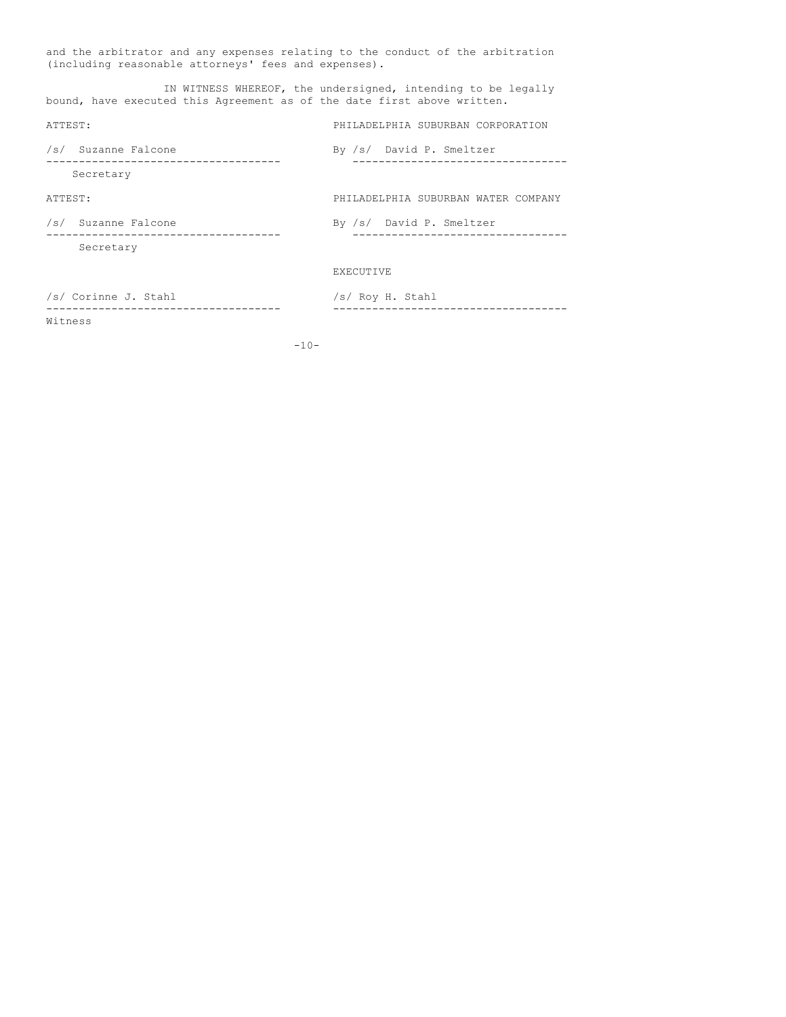and the arbitrator and any expenses relating to the conduct of the arbitration (including reasonable attorneys' fees and expenses).

IN WITNESS WHEREOF, the undersigned, intending to be legally bound, have executed this Agreement as of the date first above written. ATTEST: PHILADELPHIA SUBURBAN CORPORATION /s/ Suzanne Falcone by /s/ David P. Smeltzer ------------------------------------ --------------------------------- Secretary ATTEST: PHILADELPHIA SUBURBAN WATER COMPANY /s/ Suzanne Falcone By /s/ David P. Smeltzer ------------------------------------ --------------------------------- Secretary EXECUTIVE

/s/ Corinne J. Stahl /s/ Roy H. Stahl Witness

------------------------------------ ------------------------------------

 $-10-$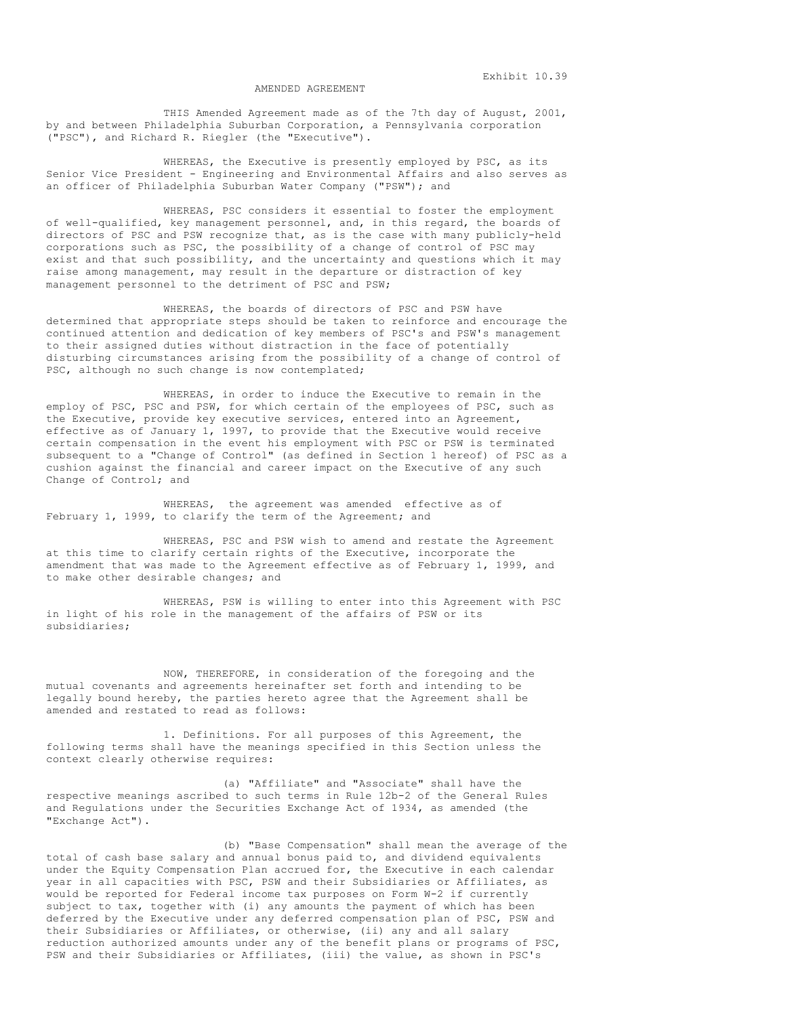#### AMENDED AGREEMENT

THIS Amended Agreement made as of the 7th day of August, 2001, by and between Philadelphia Suburban Corporation, a Pennsylvania corporation ("PSC"), and Richard R. Riegler (the "Executive").

WHEREAS, the Executive is presently employed by PSC, as its Senior Vice President - Engineering and Environmental Affairs and also serves as an officer of Philadelphia Suburban Water Company ("PSW"); and

WHEREAS, PSC considers it essential to foster the employment of well-qualified, key management personnel, and, in this regard, the boards of directors of PSC and PSW recognize that, as is the case with many publicly-held corporations such as PSC, the possibility of a change of control of PSC may exist and that such possibility, and the uncertainty and questions which it may raise among management, may result in the departure or distraction of key management personnel to the detriment of PSC and PSW;

WHEREAS, the boards of directors of PSC and PSW have determined that appropriate steps should be taken to reinforce and encourage the continued attention and dedication of key members of PSC's and PSW's management to their assigned duties without distraction in the face of potentially disturbing circumstances arising from the possibility of a change of control of PSC, although no such change is now contemplated;

WHEREAS, in order to induce the Executive to remain in the employ of PSC, PSC and PSW, for which certain of the employees of PSC, such as the Executive, provide key executive services, entered into an Agreement, effective as of January 1, 1997, to provide that the Executive would receive certain compensation in the event his employment with PSC or PSW is terminated subsequent to a "Change of Control" (as defined in Section 1 hereof) of PSC as a cushion against the financial and career impact on the Executive of any such Change of Control; and

WHEREAS, the agreement was amended effective as of February 1, 1999, to clarify the term of the Agreement; and

WHEREAS, PSC and PSW wish to amend and restate the Agreement at this time to clarify certain rights of the Executive, incorporate the amendment that was made to the Agreement effective as of February 1, 1999, and to make other desirable changes; and

WHEREAS, PSW is willing to enter into this Agreement with PSC in light of his role in the management of the affairs of PSW or its subsidiaries;

NOW, THEREFORE, in consideration of the foregoing and the mutual covenants and agreements hereinafter set forth and intending to be legally bound hereby, the parties hereto agree that the Agreement shall be amended and restated to read as follows:

1. Definitions. For all purposes of this Agreement, the following terms shall have the meanings specified in this Section unless the context clearly otherwise requires:

(a) "Affiliate" and "Associate" shall have the respective meanings ascribed to such terms in Rule 12b-2 of the General Rules and Regulations under the Securities Exchange Act of 1934, as amended (the "Exchange Act").

(b) "Base Compensation" shall mean the average of the total of cash base salary and annual bonus paid to, and dividend equivalents under the Equity Compensation Plan accrued for, the Executive in each calendar year in all capacities with PSC, PSW and their Subsidiaries or Affiliates, as would be reported for Federal income tax purposes on Form W-2 if currently subject to tax, together with (i) any amounts the payment of which has been deferred by the Executive under any deferred compensation plan of PSC, PSW and their Subsidiaries or Affiliates, or otherwise, (ii) any and all salary reduction authorized amounts under any of the benefit plans or programs of PSC, PSW and their Subsidiaries or Affiliates, (iii) the value, as shown in PSC's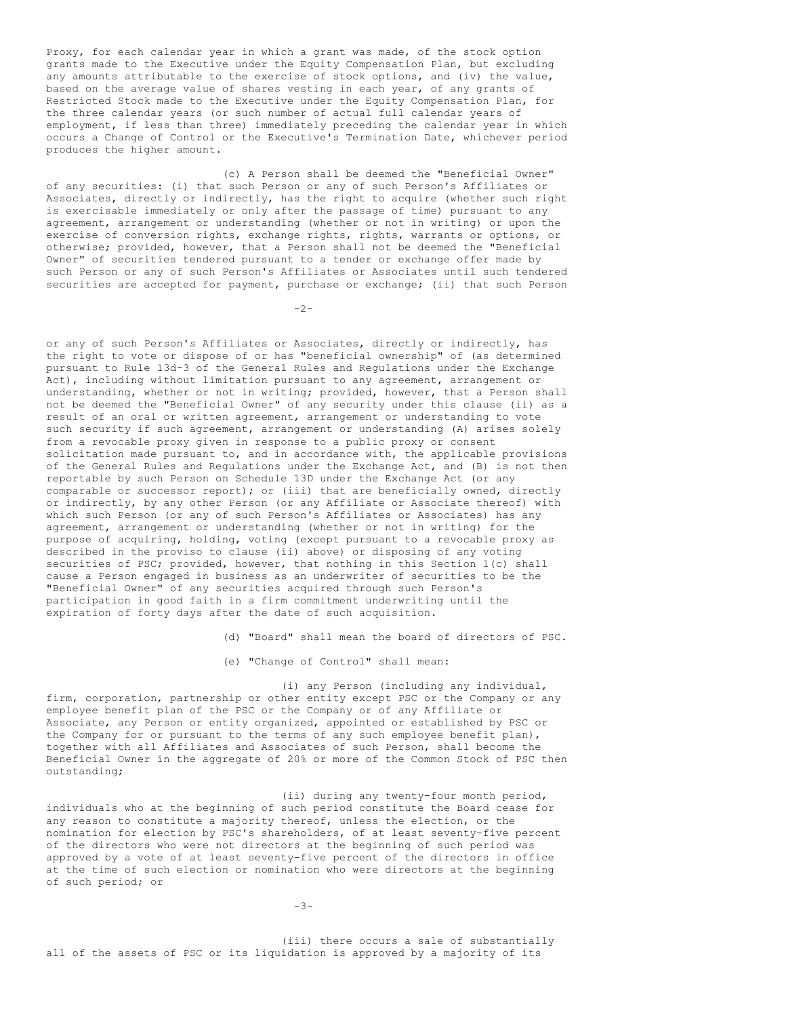Proxy, for each calendar year in which a grant was made, of the stock option grants made to the Executive under the Equity Compensation Plan, but excluding any amounts attributable to the exercise of stock options, and (iv) the value, based on the average value of shares vesting in each year, of any grants of Restricted Stock made to the Executive under the Equity Compensation Plan, for the three calendar years (or such number of actual full calendar years of employment, if less than three) immediately preceding the calendar year in which occurs a Change of Control or the Executive's Termination Date, whichever period produces the higher amount.

(c) A Person shall be deemed the "Beneficial Owner" of any securities: (i) that such Person or any of such Person's Affiliates or Associates, directly or indirectly, has the right to acquire (whether such right is exercisable immediately or only after the passage of time) pursuant to any agreement, arrangement or understanding (whether or not in writing) or upon the exercise of conversion rights, exchange rights, rights, warrants or options, or otherwise; provided, however, that a Person shall not be deemed the "Beneficial Owner" of securities tendered pursuant to a tender or exchange offer made by such Person or any of such Person's Affiliates or Associates until such tendered securities are accepted for payment, purchase or exchange; (ii) that such Person

 $-2-$ 

or any of such Person's Affiliates or Associates, directly or indirectly, has the right to vote or dispose of or has "beneficial ownership" of (as determined pursuant to Rule 13d-3 of the General Rules and Regulations under the Exchange Act), including without limitation pursuant to any agreement, arrangement or understanding, whether or not in writing; provided, however, that a Person shall not be deemed the "Beneficial Owner" of any security under this clause (ii) as a result of an oral or written agreement, arrangement or understanding to vote such security if such agreement, arrangement or understanding (A) arises solely from a revocable proxy given in response to a public proxy or consent solicitation made pursuant to, and in accordance with, the applicable provisions of the General Rules and Regulations under the Exchange Act, and (B) is not then reportable by such Person on Schedule 13D under the Exchange Act (or any comparable or successor report); or (iii) that are beneficially owned, directly or indirectly, by any other Person (or any Affiliate or Associate thereof) with which such Person (or any of such Person's Affiliates or Associates) has any agreement, arrangement or understanding (whether or not in writing) for the purpose of acquiring, holding, voting (except pursuant to a revocable proxy as described in the proviso to clause (ii) above) or disposing of any voting securities of PSC; provided, however, that nothing in this Section 1(c) shall cause a Person engaged in business as an underwriter of securities to be the "Beneficial Owner" of any securities acquired through such Person's participation in good faith in a firm commitment underwriting until the expiration of forty days after the date of such acquisition.

(d) "Board" shall mean the board of directors of PSC.

(e) "Change of Control" shall mean:

(i) any Person (including any individual, firm, corporation, partnership or other entity except PSC or the Company or any employee benefit plan of the PSC or the Company or of any Affiliate or Associate, any Person or entity organized, appointed or established by PSC or the Company for or pursuant to the terms of any such employee benefit plan), together with all Affiliates and Associates of such Person, shall become the Beneficial Owner in the aggregate of 20% or more of the Common Stock of PSC then outstanding;

(ii) during any twenty-four month period, individuals who at the beginning of such period constitute the Board cease for any reason to constitute a majority thereof, unless the election, or the nomination for election by PSC's shareholders, of at least seventy-five percent of the directors who were not directors at the beginning of such period was approved by a vote of at least seventy-five percent of the directors in office at the time of such election or nomination who were directors at the beginning of such period; or

-3-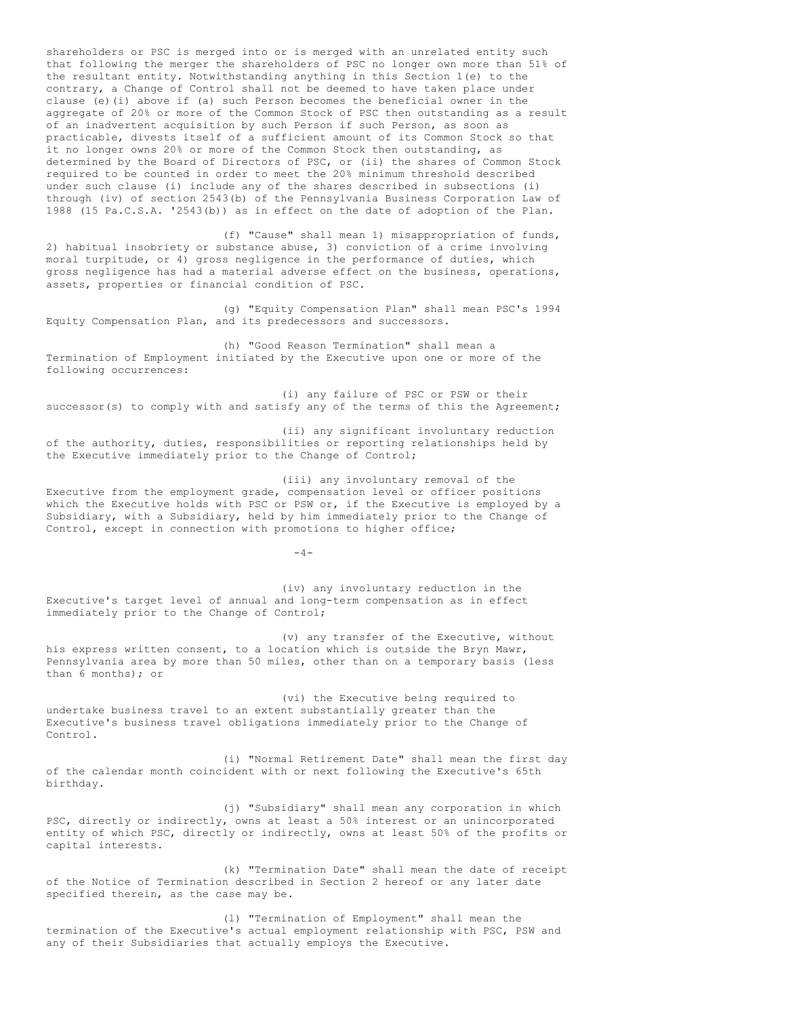shareholders or PSC is merged into or is merged with an unrelated entity such that following the merger the shareholders of PSC no longer own more than 51% of the resultant entity. Notwithstanding anything in this Section 1(e) to the contrary, a Change of Control shall not be deemed to have taken place under clause (e)(i) above if (a) such Person becomes the beneficial owner in the aggregate of 20% or more of the Common Stock of PSC then outstanding as a result of an inadvertent acquisition by such Person if such Person, as soon as practicable, divests itself of a sufficient amount of its Common Stock so that it no longer owns 20% or more of the Common Stock then outstanding, as determined by the Board of Directors of PSC, or (ii) the shares of Common Stock required to be counted in order to meet the 20% minimum threshold described under such clause (i) include any of the shares described in subsections (i) through (iv) of section 2543(b) of the Pennsylvania Business Corporation Law of 1988 (15 Pa.C.S.A. '2543(b)) as in effect on the date of adoption of the Plan.

(f) "Cause" shall mean 1) misappropriation of funds, 2) habitual insobriety or substance abuse, 3) conviction of a crime involving moral turpitude, or 4) gross negligence in the performance of duties, which gross negligence has had a material adverse effect on the business, operations, assets, properties or financial condition of PSC.

(g) "Equity Compensation Plan" shall mean PSC's 1994 Equity Compensation Plan, and its predecessors and successors.

(h) "Good Reason Termination" shall mean a Termination of Employment initiated by the Executive upon one or more of the following occurrences:

(i) any failure of PSC or PSW or their successor(s) to comply with and satisfy any of the terms of this the Agreement;

(ii) any significant involuntary reduction of the authority, duties, responsibilities or reporting relationships held by the Executive immediately prior to the Change of Control;

(iii) any involuntary removal of the Executive from the employment grade, compensation level or officer positions which the Executive holds with PSC or PSW or, if the Executive is employed by a Subsidiary, with a Subsidiary, held by him immediately prior to the Change of Control, except in connection with promotions to higher office;

 $-4-$ 

(iv) any involuntary reduction in the Executive's target level of annual and long-term compensation as in effect immediately prior to the Change of Control;

(v) any transfer of the Executive, without his express written consent, to a location which is outside the Bryn Mawr, Pennsylvania area by more than 50 miles, other than on a temporary basis (less than 6 months); or

(vi) the Executive being required to undertake business travel to an extent substantially greater than the Executive's business travel obligations immediately prior to the Change of Control.

(i) "Normal Retirement Date" shall mean the first day of the calendar month coincident with or next following the Executive's 65th birthday.

(j) "Subsidiary" shall mean any corporation in which PSC, directly or indirectly, owns at least a 50% interest or an unincorporated entity of which PSC, directly or indirectly, owns at least 50% of the profits or capital interests.

(k) "Termination Date" shall mean the date of receipt of the Notice of Termination described in Section 2 hereof or any later date specified therein, as the case may be.

(l) "Termination of Employment" shall mean the termination of the Executive's actual employment relationship with PSC, PSW and any of their Subsidiaries that actually employs the Executive.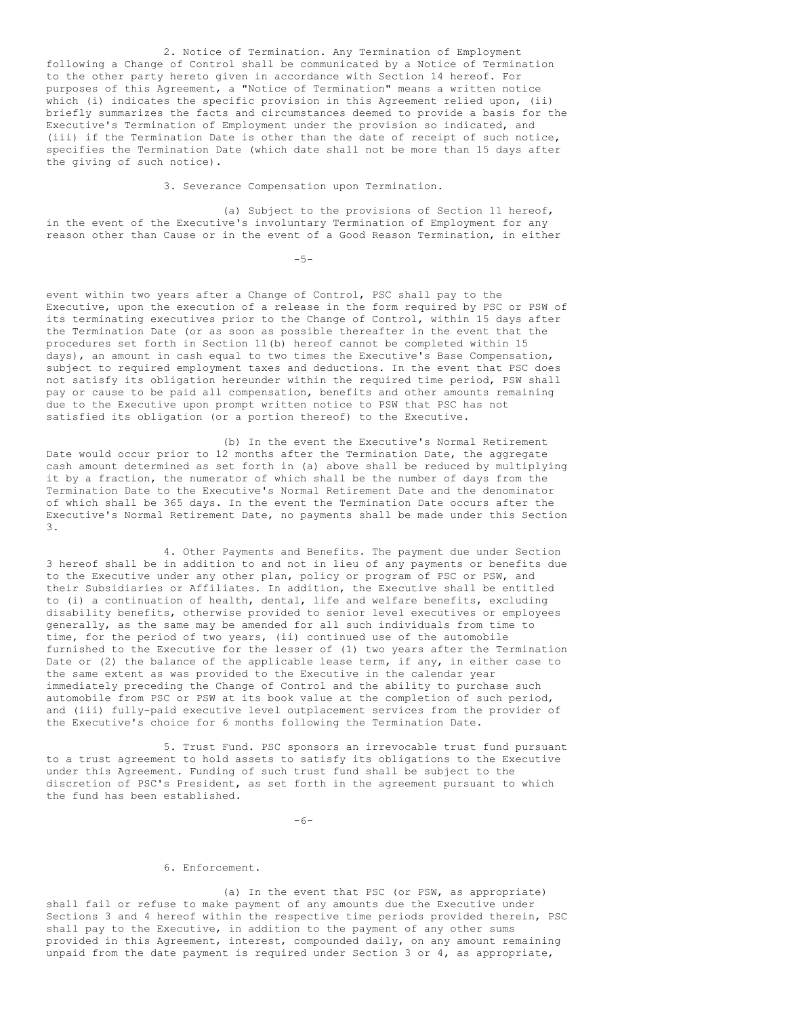2. Notice of Termination. Any Termination of Employment following a Change of Control shall be communicated by a Notice of Termination to the other party hereto given in accordance with Section 14 hereof. For purposes of this Agreement, a "Notice of Termination" means a written notice which (i) indicates the specific provision in this Agreement relied upon, (ii) briefly summarizes the facts and circumstances deemed to provide a basis for the Executive's Termination of Employment under the provision so indicated, and (iii) if the Termination Date is other than the date of receipt of such notice, specifies the Termination Date (which date shall not be more than 15 days after the giving of such notice).

3. Severance Compensation upon Termination.

(a) Subject to the provisions of Section 11 hereof, in the event of the Executive's involuntary Termination of Employment for any reason other than Cause or in the event of a Good Reason Termination, in either

 $-5-$ 

event within two years after a Change of Control, PSC shall pay to the Executive, upon the execution of a release in the form required by PSC or PSW of its terminating executives prior to the Change of Control, within 15 days after the Termination Date (or as soon as possible thereafter in the event that the procedures set forth in Section 11(b) hereof cannot be completed within 15 days), an amount in cash equal to two times the Executive's Base Compensation, subject to required employment taxes and deductions. In the event that PSC does not satisfy its obligation hereunder within the required time period, PSW shall pay or cause to be paid all compensation, benefits and other amounts remaining due to the Executive upon prompt written notice to PSW that PSC has not satisfied its obligation (or a portion thereof) to the Executive.

(b) In the event the Executive's Normal Retirement Date would occur prior to 12 months after the Termination Date, the aggregate cash amount determined as set forth in (a) above shall be reduced by multiplying it by a fraction, the numerator of which shall be the number of days from the Termination Date to the Executive's Normal Retirement Date and the denominator of which shall be 365 days. In the event the Termination Date occurs after the Executive's Normal Retirement Date, no payments shall be made under this Section 3.

4. Other Payments and Benefits. The payment due under Section 3 hereof shall be in addition to and not in lieu of any payments or benefits due to the Executive under any other plan, policy or program of PSC or PSW, and their Subsidiaries or Affiliates. In addition, the Executive shall be entitled to (i) a continuation of health, dental, life and welfare benefits, excluding disability benefits, otherwise provided to senior level executives or employees generally, as the same may be amended for all such individuals from time to time, for the period of two years, (ii) continued use of the automobile furnished to the Executive for the lesser of (1) two years after the Termination Date or (2) the balance of the applicable lease term, if any, in either case to the same extent as was provided to the Executive in the calendar year immediately preceding the Change of Control and the ability to purchase such automobile from PSC or PSW at its book value at the completion of such period, and (iii) fully-paid executive level outplacement services from the provider of the Executive's choice for 6 months following the Termination Date.

5. Trust Fund. PSC sponsors an irrevocable trust fund pursuant to a trust agreement to hold assets to satisfy its obligations to the Executive under this Agreement. Funding of such trust fund shall be subject to the discretion of PSC's President, as set forth in the agreement pursuant to which the fund has been established.

-6-

## 6. Enforcement.

(a) In the event that PSC (or PSW, as appropriate) shall fail or refuse to make payment of any amounts due the Executive under Sections 3 and 4 hereof within the respective time periods provided therein, PSC shall pay to the Executive, in addition to the payment of any other sums provided in this Agreement, interest, compounded daily, on any amount remaining unpaid from the date payment is required under Section 3 or  $4$ , as appropriate,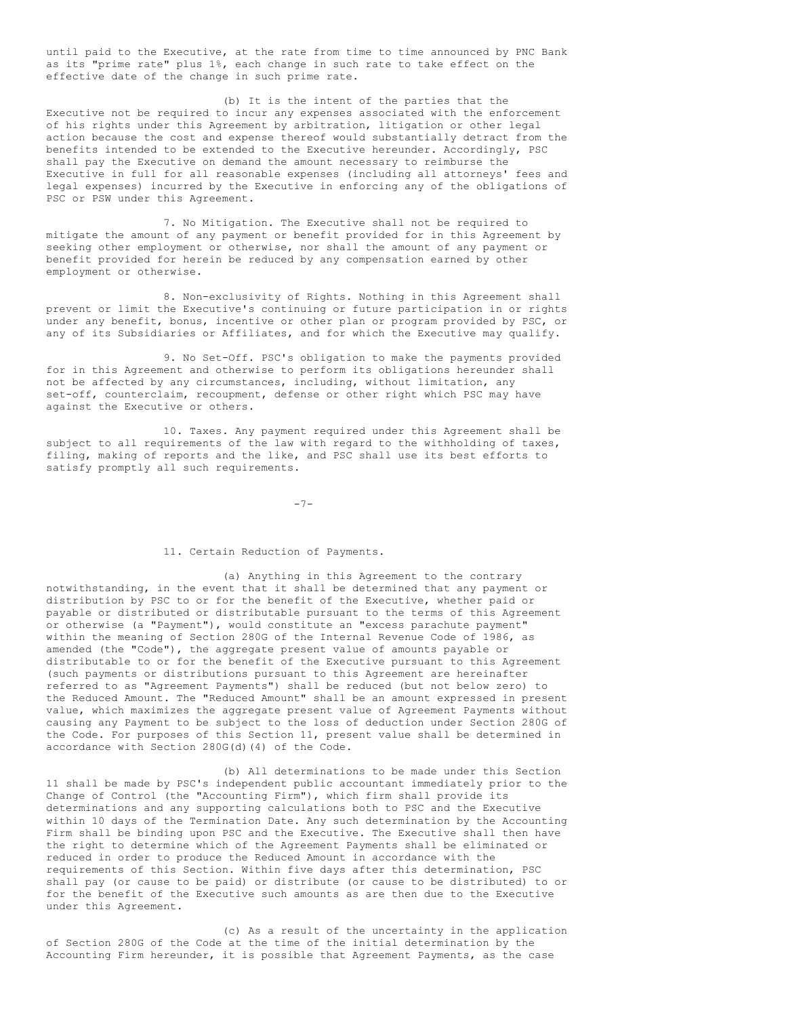until paid to the Executive, at the rate from time to time announced by PNC Bank as its "prime rate" plus 1%, each change in such rate to take effect on the effective date of the change in such prime rate.

(b) It is the intent of the parties that the Executive not be required to incur any expenses associated with the enforcement of his rights under this Agreement by arbitration, litigation or other legal action because the cost and expense thereof would substantially detract from the benefits intended to be extended to the Executive hereunder. Accordingly, PSC shall pay the Executive on demand the amount necessary to reimburse the Executive in full for all reasonable expenses (including all attorneys' fees and legal expenses) incurred by the Executive in enforcing any of the obligations of PSC or PSW under this Agreement.

7. No Mitigation. The Executive shall not be required to mitigate the amount of any payment or benefit provided for in this Agreement by seeking other employment or otherwise, nor shall the amount of any payment or benefit provided for herein be reduced by any compensation earned by other employment or otherwise.

8. Non-exclusivity of Rights. Nothing in this Agreement shall prevent or limit the Executive's continuing or future participation in or rights under any benefit, bonus, incentive or other plan or program provided by PSC, or any of its Subsidiaries or Affiliates, and for which the Executive may qualify.

9. No Set-Off. PSC's obligation to make the payments provided for in this Agreement and otherwise to perform its obligations hereunder shall not be affected by any circumstances, including, without limitation, any set-off, counterclaim, recoupment, defense or other right which PSC may have against the Executive or others.

10. Taxes. Any payment required under this Agreement shall be subject to all requirements of the law with regard to the withholding of taxes, filing, making of reports and the like, and PSC shall use its best efforts to satisfy promptly all such requirements.

-7-

#### 11. Certain Reduction of Payments.

(a) Anything in this Agreement to the contrary notwithstanding, in the event that it shall be determined that any payment or distribution by PSC to or for the benefit of the Executive, whether paid or payable or distributed or distributable pursuant to the terms of this Agreement or otherwise (a "Payment"), would constitute an "excess parachute payment" within the meaning of Section 280G of the Internal Revenue Code of 1986, as amended (the "Code"), the aggregate present value of amounts payable or distributable to or for the benefit of the Executive pursuant to this Agreement (such payments or distributions pursuant to this Agreement are hereinafter referred to as "Agreement Payments") shall be reduced (but not below zero) to the Reduced Amount. The "Reduced Amount" shall be an amount expressed in present value, which maximizes the aggregate present value of Agreement Payments without causing any Payment to be subject to the loss of deduction under Section 280G of the Code. For purposes of this Section 11, present value shall be determined in accordance with Section 280G(d)(4) of the Code.

(b) All determinations to be made under this Section 11 shall be made by PSC's independent public accountant immediately prior to the Change of Control (the "Accounting Firm"), which firm shall provide its determinations and any supporting calculations both to PSC and the Executive within 10 days of the Termination Date. Any such determination by the Accounting Firm shall be binding upon PSC and the Executive. The Executive shall then have the right to determine which of the Agreement Payments shall be eliminated or reduced in order to produce the Reduced Amount in accordance with the requirements of this Section. Within five days after this determination, PSC shall pay (or cause to be paid) or distribute (or cause to be distributed) to or for the benefit of the Executive such amounts as are then due to the Executive under this Agreement.

(c) As a result of the uncertainty in the application of Section 280G of the Code at the time of the initial determination by the Accounting Firm hereunder, it is possible that Agreement Payments, as the case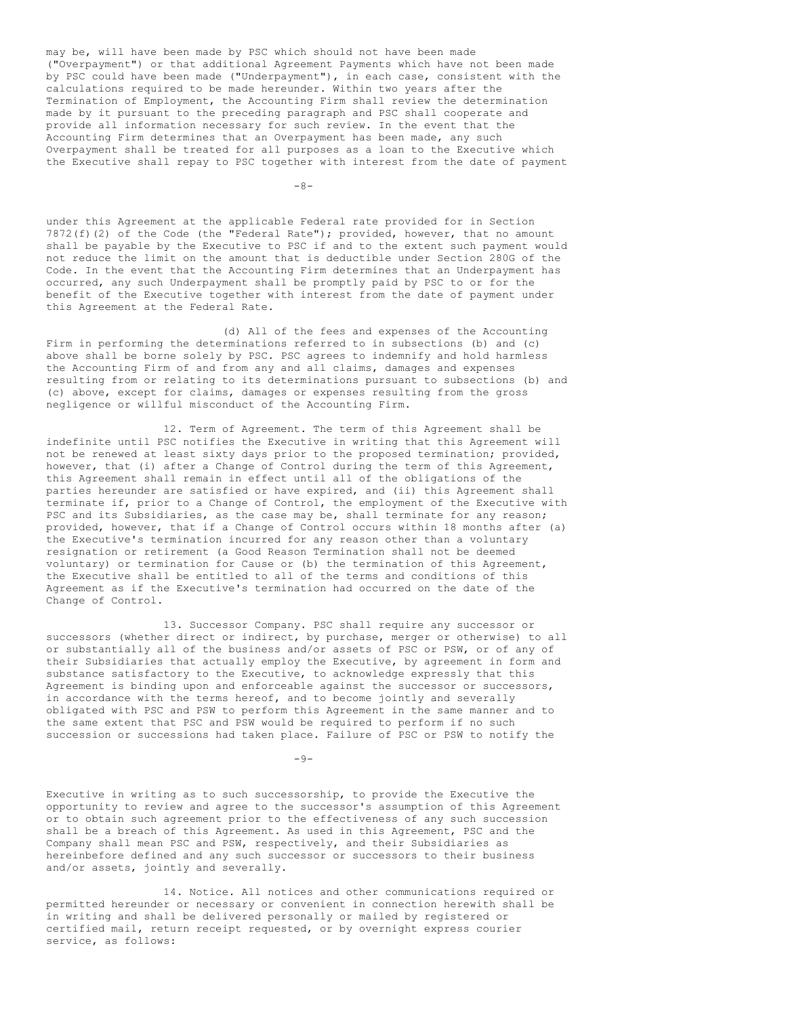may be, will have been made by PSC which should not have been made ("Overpayment") or that additional Agreement Payments which have not been made by PSC could have been made ("Underpayment"), in each case, consistent with the calculations required to be made hereunder. Within two years after the Termination of Employment, the Accounting Firm shall review the determination made by it pursuant to the preceding paragraph and PSC shall cooperate and provide all information necessary for such review. In the event that the Accounting Firm determines that an Overpayment has been made, any such Overpayment shall be treated for all purposes as a loan to the Executive which the Executive shall repay to PSC together with interest from the date of payment

 $-8-$ 

under this Agreement at the applicable Federal rate provided for in Section 7872(f)(2) of the Code (the "Federal Rate"); provided, however, that no amount shall be payable by the Executive to PSC if and to the extent such payment would not reduce the limit on the amount that is deductible under Section 280G of the Code. In the event that the Accounting Firm determines that an Underpayment has occurred, any such Underpayment shall be promptly paid by PSC to or for the benefit of the Executive together with interest from the date of payment under this Agreement at the Federal Rate.

(d) All of the fees and expenses of the Accounting Firm in performing the determinations referred to in subsections (b) and (c) above shall be borne solely by PSC. PSC agrees to indemnify and hold harmless the Accounting Firm of and from any and all claims, damages and expenses resulting from or relating to its determinations pursuant to subsections (b) and (c) above, except for claims, damages or expenses resulting from the gross negligence or willful misconduct of the Accounting Firm.

12. Term of Agreement. The term of this Agreement shall be indefinite until PSC notifies the Executive in writing that this Agreement will not be renewed at least sixty days prior to the proposed termination; provided, however, that (i) after a Change of Control during the term of this Agreement, this Agreement shall remain in effect until all of the obligations of the parties hereunder are satisfied or have expired, and (ii) this Agreement shall terminate if, prior to a Change of Control, the employment of the Executive with PSC and its Subsidiaries, as the case may be, shall terminate for any reason; provided, however, that if a Change of Control occurs within 18 months after (a) the Executive's termination incurred for any reason other than a voluntary resignation or retirement (a Good Reason Termination shall not be deemed voluntary) or termination for Cause or (b) the termination of this Agreement, the Executive shall be entitled to all of the terms and conditions of this Agreement as if the Executive's termination had occurred on the date of the Change of Control.

13. Successor Company. PSC shall require any successor or successors (whether direct or indirect, by purchase, merger or otherwise) to all or substantially all of the business and/or assets of PSC or PSW, or of any of their Subsidiaries that actually employ the Executive, by agreement in form and substance satisfactory to the Executive, to acknowledge expressly that this Agreement is binding upon and enforceable against the successor or successors, in accordance with the terms hereof, and to become jointly and severally obligated with PSC and PSW to perform this Agreement in the same manner and to the same extent that PSC and PSW would be required to perform if no such succession or successions had taken place. Failure of PSC or PSW to notify the

 $-9-$ 

Executive in writing as to such successorship, to provide the Executive the opportunity to review and agree to the successor's assumption of this Agreement or to obtain such agreement prior to the effectiveness of any such succession shall be a breach of this Agreement. As used in this Agreement, PSC and the Company shall mean PSC and PSW, respectively, and their Subsidiaries as hereinbefore defined and any such successor or successors to their business and/or assets, jointly and severally.

14. Notice. All notices and other communications required or permitted hereunder or necessary or convenient in connection herewith shall be in writing and shall be delivered personally or mailed by registered or certified mail, return receipt requested, or by overnight express courier service, as follows: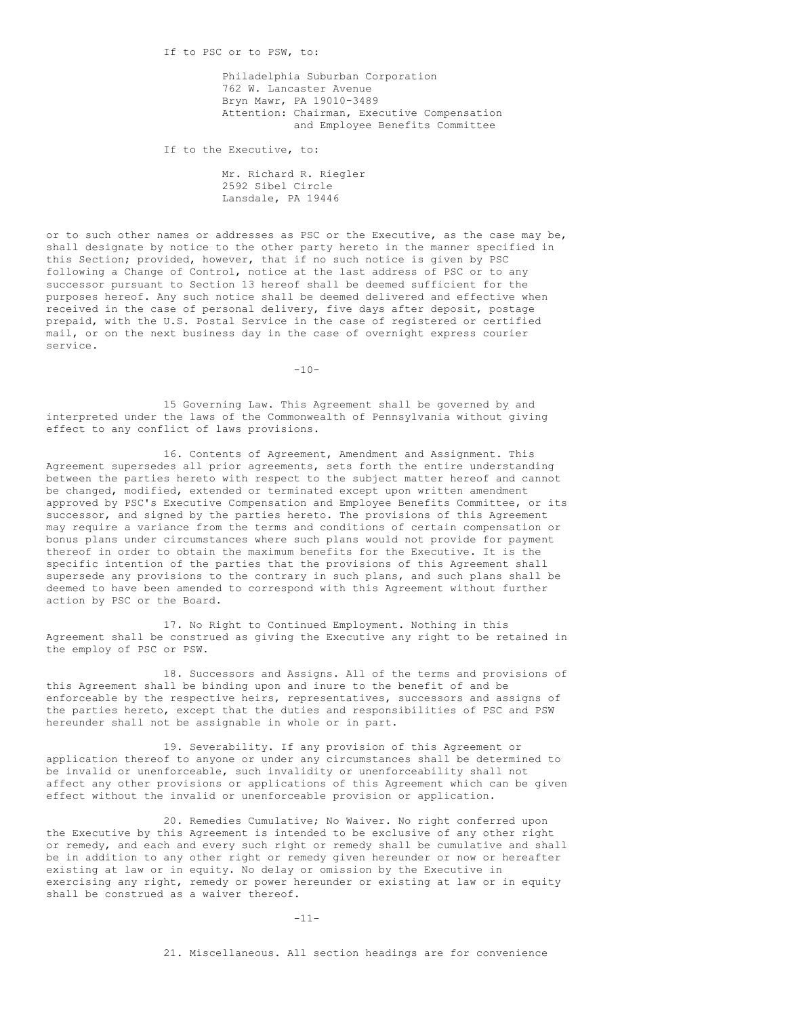Philadelphia Suburban Corporation 762 W. Lancaster Avenue Bryn Mawr, PA 19010-3489 Attention: Chairman, Executive Compensation and Employee Benefits Committee

If to the Executive, to:

Mr. Richard R. Riegler 2592 Sibel Circle Lansdale, PA 19446

or to such other names or addresses as PSC or the Executive, as the case may be, shall designate by notice to the other party hereto in the manner specified in this Section; provided, however, that if no such notice is given by PSC following a Change of Control, notice at the last address of PSC or to any successor pursuant to Section 13 hereof shall be deemed sufficient for the purposes hereof. Any such notice shall be deemed delivered and effective when received in the case of personal delivery, five days after deposit, postage prepaid, with the U.S. Postal Service in the case of registered or certified mail, or on the next business day in the case of overnight express courier service.

 $-10-$ 

15 Governing Law. This Agreement shall be governed by and interpreted under the laws of the Commonwealth of Pennsylvania without giving effect to any conflict of laws provisions.

16. Contents of Agreement, Amendment and Assignment. This Agreement supersedes all prior agreements, sets forth the entire understanding between the parties hereto with respect to the subject matter hereof and cannot be changed, modified, extended or terminated except upon written amendment approved by PSC's Executive Compensation and Employee Benefits Committee, or its successor, and signed by the parties hereto. The provisions of this Agreement may require a variance from the terms and conditions of certain compensation or bonus plans under circumstances where such plans would not provide for payment thereof in order to obtain the maximum benefits for the Executive. It is the specific intention of the parties that the provisions of this Agreement shall supersede any provisions to the contrary in such plans, and such plans shall be deemed to have been amended to correspond with this Agreement without further action by PSC or the Board.

17. No Right to Continued Employment. Nothing in this Agreement shall be construed as giving the Executive any right to be retained in the employ of PSC or PSW.

18. Successors and Assigns. All of the terms and provisions of this Agreement shall be binding upon and inure to the benefit of and be enforceable by the respective heirs, representatives, successors and assigns of the parties hereto, except that the duties and responsibilities of PSC and PSW hereunder shall not be assignable in whole or in part.

19. Severability. If any provision of this Agreement or application thereof to anyone or under any circumstances shall be determined to be invalid or unenforceable, such invalidity or unenforceability shall not affect any other provisions or applications of this Agreement which can be given effect without the invalid or unenforceable provision or application.

20. Remedies Cumulative; No Waiver. No right conferred upon the Executive by this Agreement is intended to be exclusive of any other right or remedy, and each and every such right or remedy shall be cumulative and shall be in addition to any other right or remedy given hereunder or now or hereafter existing at law or in equity. No delay or omission by the Executive in exercising any right, remedy or power hereunder or existing at law or in equity shall be construed as a waiver thereof.

-11-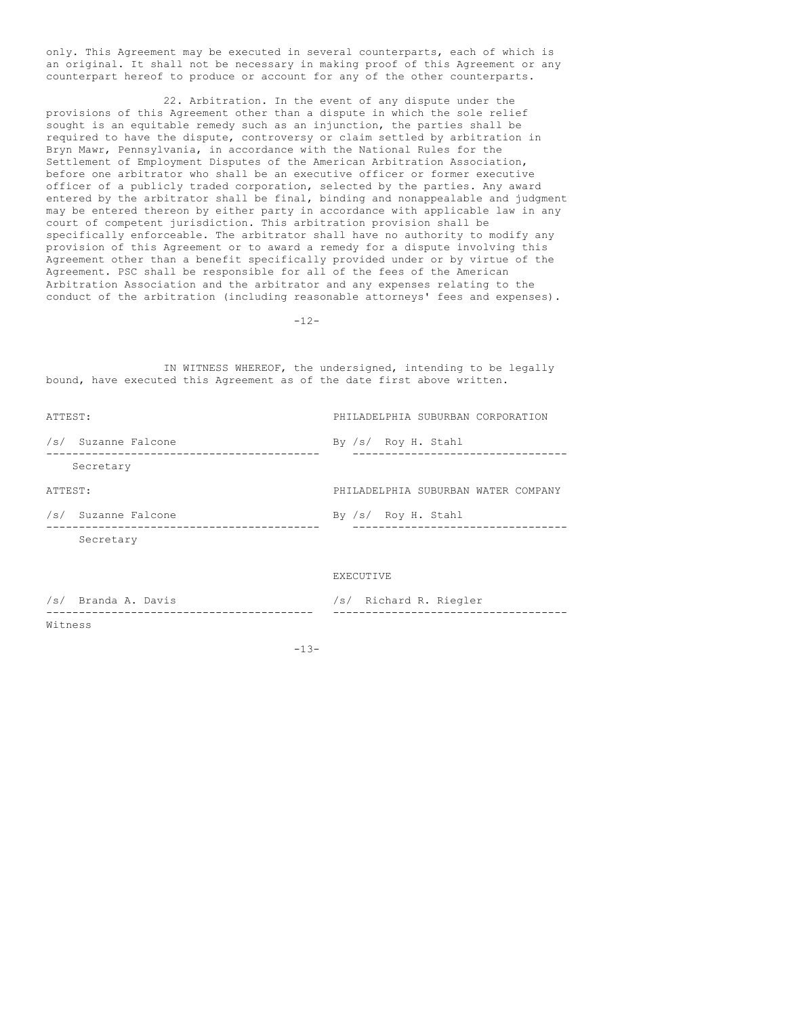only. This Agreement may be executed in several counterparts, each of which is an original. It shall not be necessary in making proof of this Agreement or any counterpart hereof to produce or account for any of the other counterparts.

22. Arbitration. In the event of any dispute under the provisions of this Agreement other than a dispute in which the sole relief sought is an equitable remedy such as an injunction, the parties shall be required to have the dispute, controversy or claim settled by arbitration in Bryn Mawr, Pennsylvania, in accordance with the National Rules for the Settlement of Employment Disputes of the American Arbitration Association, before one arbitrator who shall be an executive officer or former executive officer of a publicly traded corporation, selected by the parties. Any award entered by the arbitrator shall be final, binding and nonappealable and judgment may be entered thereon by either party in accordance with applicable law in any court of competent jurisdiction. This arbitration provision shall be specifically enforceable. The arbitrator shall have no authority to modify any provision of this Agreement or to award a remedy for a dispute involving this Agreement other than a benefit specifically provided under or by virtue of the Agreement. PSC shall be responsible for all of the fees of the American Arbitration Association and the arbitrator and any expenses relating to the conduct of the arbitration (including reasonable attorneys' fees and expenses).

 $-12-$ 

IN WITNESS WHEREOF, the undersigned, intending to be legally bound, have executed this Agreement as of the date first above written.

| ATTEST: |                     | PHILADELPHIA SUBURBAN CORPORATION   |
|---------|---------------------|-------------------------------------|
|         | /s/ Suzanne Falcone | By /s/ Roy H. Stahl                 |
|         | Secretary           |                                     |
| ATTEST: |                     | PHILADELPHIA SUBURBAN WATER COMPANY |
|         | /s/ Suzanne Falcone | By /s/ Roy H. Stahl                 |
|         | Secretary           |                                     |
|         |                     | EXECUTIVE                           |

/s/ Branda A. Davis /s/ Richard R. Riegler ----------------------------------------- ------------------------------------ Witness

-13-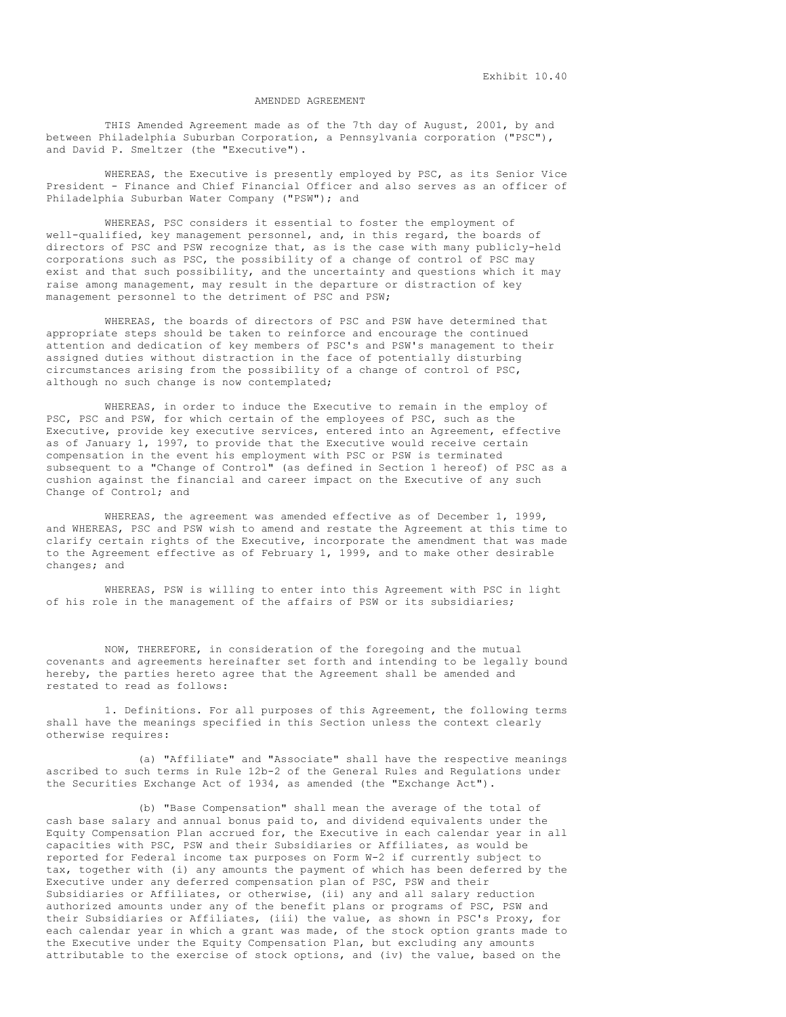Exhibit 10.40

## AMENDED AGREEMENT

THIS Amended Agreement made as of the 7th day of August, 2001, by and between Philadelphia Suburban Corporation, a Pennsylvania corporation ("PSC"), and David P. Smeltzer (the "Executive").

WHEREAS, the Executive is presently employed by PSC, as its Senior Vice President - Finance and Chief Financial Officer and also serves as an officer of Philadelphia Suburban Water Company ("PSW"); and

WHEREAS, PSC considers it essential to foster the employment of well-qualified, key management personnel, and, in this regard, the boards of directors of PSC and PSW recognize that, as is the case with many publicly-held corporations such as PSC, the possibility of a change of control of PSC may exist and that such possibility, and the uncertainty and questions which it may raise among management, may result in the departure or distraction of key management personnel to the detriment of PSC and PSW;

WHEREAS, the boards of directors of PSC and PSW have determined that appropriate steps should be taken to reinforce and encourage the continued attention and dedication of key members of PSC's and PSW's management to their assigned duties without distraction in the face of potentially disturbing circumstances arising from the possibility of a change of control of PSC, although no such change is now contemplated;

WHEREAS, in order to induce the Executive to remain in the employ of PSC, PSC and PSW, for which certain of the employees of PSC, such as the Executive, provide key executive services, entered into an Agreement, effective as of January 1, 1997, to provide that the Executive would receive certain compensation in the event his employment with PSC or PSW is terminated subsequent to a "Change of Control" (as defined in Section 1 hereof) of PSC as a cushion against the financial and career impact on the Executive of any such Change of Control; and

WHEREAS, the agreement was amended effective as of December 1, 1999, and WHEREAS, PSC and PSW wish to amend and restate the Agreement at this time to clarify certain rights of the Executive, incorporate the amendment that was made to the Agreement effective as of February 1, 1999, and to make other desirable changes; and

WHEREAS, PSW is willing to enter into this Agreement with PSC in light of his role in the management of the affairs of PSW or its subsidiaries;

NOW, THEREFORE, in consideration of the foregoing and the mutual covenants and agreements hereinafter set forth and intending to be legally bound hereby, the parties hereto agree that the Agreement shall be amended and restated to read as follows:

1. Definitions. For all purposes of this Agreement, the following terms shall have the meanings specified in this Section unless the context clearly otherwise requires:

(a) "Affiliate" and "Associate" shall have the respective meanings ascribed to such terms in Rule 12b-2 of the General Rules and Regulations under the Securities Exchange Act of 1934, as amended (the "Exchange Act").

(b) "Base Compensation" shall mean the average of the total of cash base salary and annual bonus paid to, and dividend equivalents under the Equity Compensation Plan accrued for, the Executive in each calendar year in all capacities with PSC, PSW and their Subsidiaries or Affiliates, as would be reported for Federal income tax purposes on Form W-2 if currently subject to tax, together with (i) any amounts the payment of which has been deferred by the Executive under any deferred compensation plan of PSC, PSW and their Subsidiaries or Affiliates, or otherwise, (ii) any and all salary reduction authorized amounts under any of the benefit plans or programs of PSC, PSW and their Subsidiaries or Affiliates, (iii) the value, as shown in PSC's Proxy, for each calendar year in which a grant was made, of the stock option grants made to the Executive under the Equity Compensation Plan, but excluding any amounts attributable to the exercise of stock options, and (iv) the value, based on the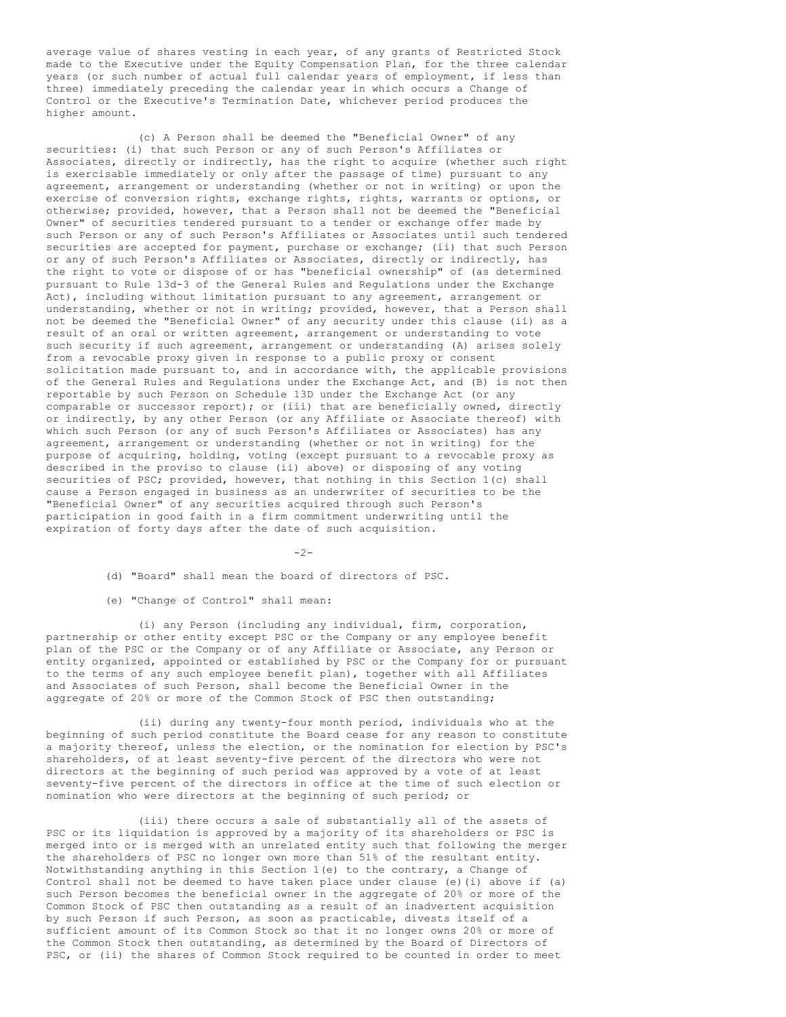average value of shares vesting in each year, of any grants of Restricted Stock made to the Executive under the Equity Compensation Plan, for the three calendar years (or such number of actual full calendar years of employment, if less than three) immediately preceding the calendar year in which occurs a Change of Control or the Executive's Termination Date, whichever period produces the higher amount.

(c) A Person shall be deemed the "Beneficial Owner" of any securities: (i) that such Person or any of such Person's Affiliates or Associates, directly or indirectly, has the right to acquire (whether such right is exercisable immediately or only after the passage of time) pursuant to any agreement, arrangement or understanding (whether or not in writing) or upon the exercise of conversion rights, exchange rights, rights, warrants or options, or otherwise; provided, however, that a Person shall not be deemed the "Beneficial Owner" of securities tendered pursuant to a tender or exchange offer made by such Person or any of such Person's Affiliates or Associates until such tendered securities are accepted for payment, purchase or exchange; (ii) that such Person or any of such Person's Affiliates or Associates, directly or indirectly, has the right to vote or dispose of or has "beneficial ownership" of (as determined pursuant to Rule 13d-3 of the General Rules and Regulations under the Exchange Act), including without limitation pursuant to any agreement, arrangement or understanding, whether or not in writing; provided, however, that a Person shall not be deemed the "Beneficial Owner" of any security under this clause (ii) as a result of an oral or written agreement, arrangement or understanding to vote such security if such agreement, arrangement or understanding (A) arises solely from a revocable proxy given in response to a public proxy or consent solicitation made pursuant to, and in accordance with, the applicable provisions of the General Rules and Regulations under the Exchange Act, and (B) is not then reportable by such Person on Schedule 13D under the Exchange Act (or any comparable or successor report); or (iii) that are beneficially owned, directly or indirectly, by any other Person (or any Affiliate or Associate thereof) with which such Person (or any of such Person's Affiliates or Associates) has any agreement, arrangement or understanding (whether or not in writing) for the purpose of acquiring, holding, voting (except pursuant to a revocable proxy as described in the proviso to clause (ii) above) or disposing of any voting securities of PSC; provided, however, that nothing in this Section 1(c) shall cause a Person engaged in business as an underwriter of securities to be the "Beneficial Owner" of any securities acquired through such Person's participation in good faith in a firm commitment underwriting until the expiration of forty days after the date of such acquisition.

 $-2-$ 

(d) "Board" shall mean the board of directors of PSC.

(e) "Change of Control" shall mean:

(i) any Person (including any individual, firm, corporation, partnership or other entity except PSC or the Company or any employee benefit plan of the PSC or the Company or of any Affiliate or Associate, any Person or entity organized, appointed or established by PSC or the Company for or pursuant to the terms of any such employee benefit plan), together with all Affiliates and Associates of such Person, shall become the Beneficial Owner in the aggregate of 20% or more of the Common Stock of PSC then outstanding;

(ii) during any twenty-four month period, individuals who at the beginning of such period constitute the Board cease for any reason to constitute a majority thereof, unless the election, or the nomination for election by PSC's shareholders, of at least seventy-five percent of the directors who were not directors at the beginning of such period was approved by a vote of at least seventy-five percent of the directors in office at the time of such election or nomination who were directors at the beginning of such period; or

(iii) there occurs a sale of substantially all of the assets of PSC or its liquidation is approved by a majority of its shareholders or PSC is merged into or is merged with an unrelated entity such that following the merger the shareholders of PSC no longer own more than 51% of the resultant entity. Notwithstanding anything in this Section 1(e) to the contrary, a Change of Control shall not be deemed to have taken place under clause (e)(i) above if (a) such Person becomes the beneficial owner in the aggregate of 20% or more of the Common Stock of PSC then outstanding as a result of an inadvertent acquisition by such Person if such Person, as soon as practicable, divests itself of a sufficient amount of its Common Stock so that it no longer owns 20% or more of the Common Stock then outstanding, as determined by the Board of Directors of PSC, or (ii) the shares of Common Stock required to be counted in order to meet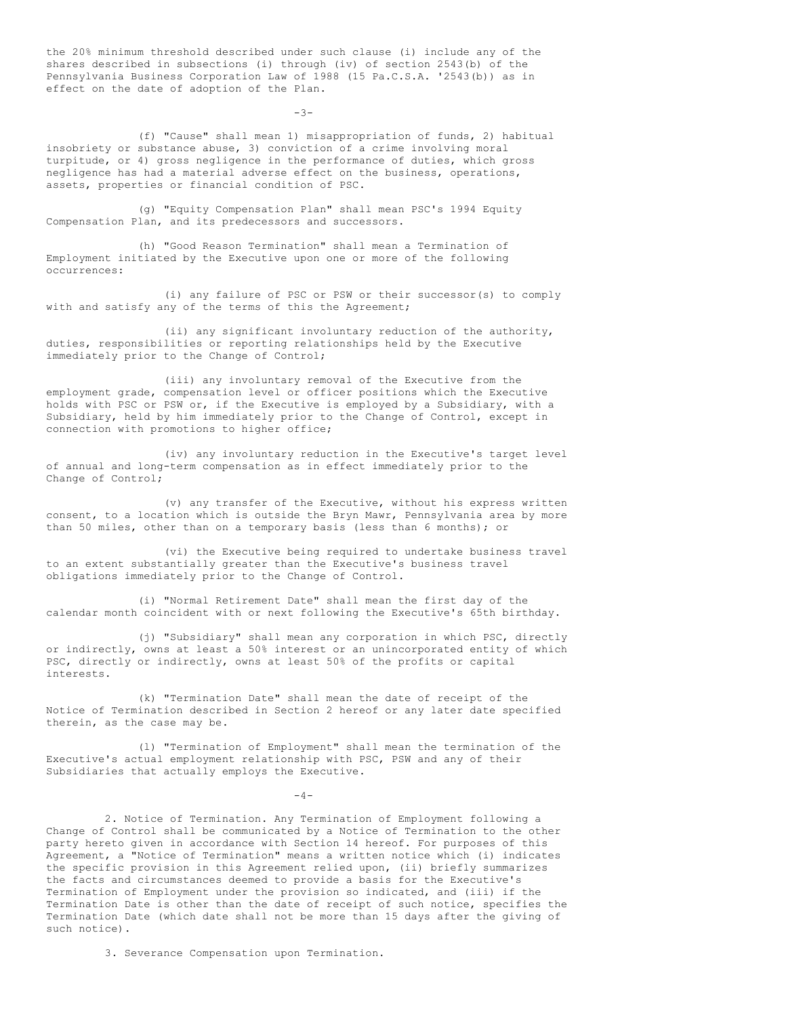the 20% minimum threshold described under such clause (i) include any of the shares described in subsections (i) through (iv) of section 2543(b) of the Pennsylvania Business Corporation Law of 1988 (15 Pa.C.S.A. '2543(b)) as in effect on the date of adoption of the Plan.

(f) "Cause" shall mean 1) misappropriation of funds, 2) habitual insobriety or substance abuse, 3) conviction of a crime involving moral turpitude, or 4) gross negligence in the performance of duties, which gross negligence has had a material adverse effect on the business, operations, assets, properties or financial condition of PSC.

-3-

(g) "Equity Compensation Plan" shall mean PSC's 1994 Equity Compensation Plan, and its predecessors and successors.

(h) "Good Reason Termination" shall mean a Termination of Employment initiated by the Executive upon one or more of the following occurrences:

(i) any failure of PSC or PSW or their successor(s) to comply with and satisfy any of the terms of this the Agreement;

(ii) any significant involuntary reduction of the authority, duties, responsibilities or reporting relationships held by the Executive immediately prior to the Change of Control;

(iii) any involuntary removal of the Executive from the employment grade, compensation level or officer positions which the Executive holds with PSC or PSW or, if the Executive is employed by a Subsidiary, with a Subsidiary, held by him immediately prior to the Change of Control, except in connection with promotions to higher office;

(iv) any involuntary reduction in the Executive's target level of annual and long-term compensation as in effect immediately prior to the Change of Control;

(v) any transfer of the Executive, without his express written consent, to a location which is outside the Bryn Mawr, Pennsylvania area by more than 50 miles, other than on a temporary basis (less than 6 months); or

(vi) the Executive being required to undertake business travel to an extent substantially greater than the Executive's business travel obligations immediately prior to the Change of Control.

(i) "Normal Retirement Date" shall mean the first day of the calendar month coincident with or next following the Executive's 65th birthday.

(j) "Subsidiary" shall mean any corporation in which PSC, directly or indirectly, owns at least a 50% interest or an unincorporated entity of which PSC, directly or indirectly, owns at least 50% of the profits or capital interests.

(k) "Termination Date" shall mean the date of receipt of the Notice of Termination described in Section 2 hereof or any later date specified therein, as the case may be.

(l) "Termination of Employment" shall mean the termination of the Executive's actual employment relationship with PSC, PSW and any of their Subsidiaries that actually employs the Executive.

 $-4-$ 

2. Notice of Termination. Any Termination of Employment following a Change of Control shall be communicated by a Notice of Termination to the other party hereto given in accordance with Section 14 hereof. For purposes of this Agreement, a "Notice of Termination" means a written notice which (i) indicates the specific provision in this Agreement relied upon, (ii) briefly summarizes the facts and circumstances deemed to provide a basis for the Executive's Termination of Employment under the provision so indicated, and (iii) if the Termination Date is other than the date of receipt of such notice, specifies the Termination Date (which date shall not be more than 15 days after the giving of such notice).

3. Severance Compensation upon Termination.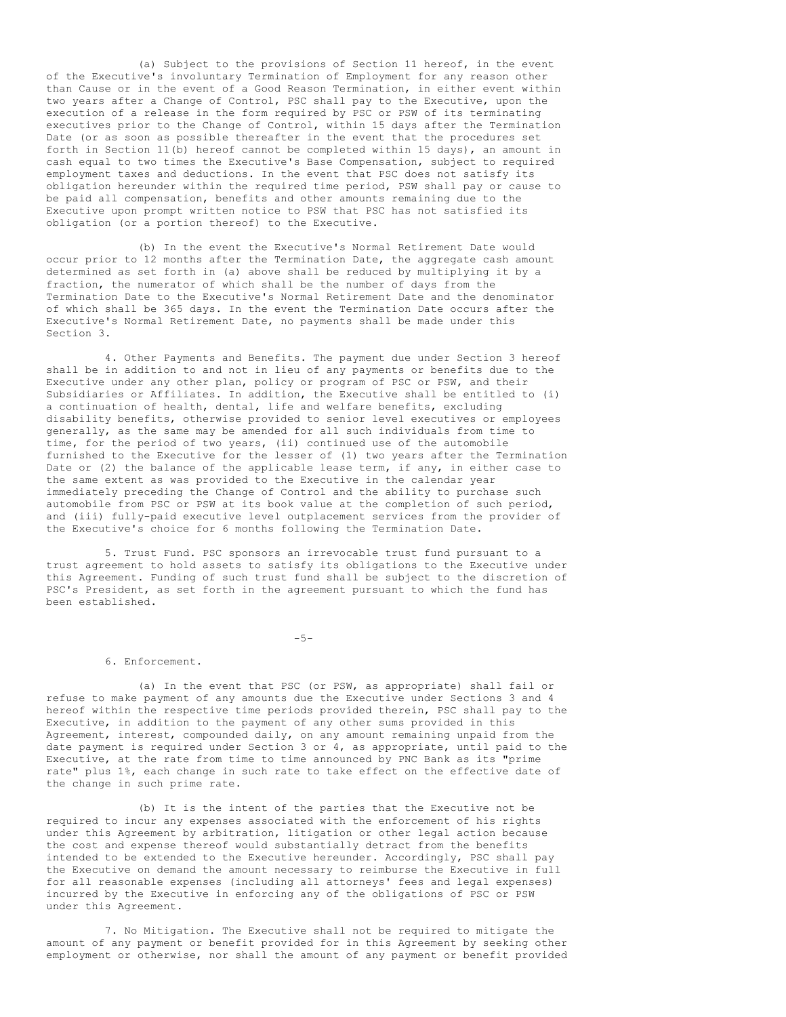(a) Subject to the provisions of Section 11 hereof, in the event of the Executive's involuntary Termination of Employment for any reason other than Cause or in the event of a Good Reason Termination, in either event within two years after a Change of Control, PSC shall pay to the Executive, upon the execution of a release in the form required by PSC or PSW of its terminating executives prior to the Change of Control, within 15 days after the Termination Date (or as soon as possible thereafter in the event that the procedures set forth in Section 11(b) hereof cannot be completed within 15 days), an amount in cash equal to two times the Executive's Base Compensation, subject to required employment taxes and deductions. In the event that PSC does not satisfy its obligation hereunder within the required time period, PSW shall pay or cause to be paid all compensation, benefits and other amounts remaining due to the Executive upon prompt written notice to PSW that PSC has not satisfied its obligation (or a portion thereof) to the Executive.

(b) In the event the Executive's Normal Retirement Date would occur prior to 12 months after the Termination Date, the aggregate cash amount determined as set forth in (a) above shall be reduced by multiplying it by a fraction, the numerator of which shall be the number of days from the Termination Date to the Executive's Normal Retirement Date and the denominator of which shall be 365 days. In the event the Termination Date occurs after the Executive's Normal Retirement Date, no payments shall be made under this Section 3.

4. Other Payments and Benefits. The payment due under Section 3 hereof shall be in addition to and not in lieu of any payments or benefits due to the Executive under any other plan, policy or program of PSC or PSW, and their Subsidiaries or Affiliates. In addition, the Executive shall be entitled to (i) a continuation of health, dental, life and welfare benefits, excluding disability benefits, otherwise provided to senior level executives or employees generally, as the same may be amended for all such individuals from time to time, for the period of two years, (ii) continued use of the automobile furnished to the Executive for the lesser of (1) two years after the Termination Date or (2) the balance of the applicable lease term, if any, in either case to the same extent as was provided to the Executive in the calendar year immediately preceding the Change of Control and the ability to purchase such automobile from PSC or PSW at its book value at the completion of such period, and (iii) fully-paid executive level outplacement services from the provider of the Executive's choice for 6 months following the Termination Date.

5. Trust Fund. PSC sponsors an irrevocable trust fund pursuant to a trust agreement to hold assets to satisfy its obligations to the Executive under this Agreement. Funding of such trust fund shall be subject to the discretion of PSC's President, as set forth in the agreement pursuant to which the fund has been established.

 $-5-$ 

#### 6. Enforcement.

(a) In the event that PSC (or PSW, as appropriate) shall fail or refuse to make payment of any amounts due the Executive under Sections 3 and 4 hereof within the respective time periods provided therein, PSC shall pay to the Executive, in addition to the payment of any other sums provided in this Agreement, interest, compounded daily, on any amount remaining unpaid from the date payment is required under Section 3 or 4, as appropriate, until paid to the Executive, at the rate from time to time announced by PNC Bank as its "prime rate" plus 1%, each change in such rate to take effect on the effective date of the change in such prime rate.

(b) It is the intent of the parties that the Executive not be required to incur any expenses associated with the enforcement of his rights under this Agreement by arbitration, litigation or other legal action because the cost and expense thereof would substantially detract from the benefits intended to be extended to the Executive hereunder. Accordingly, PSC shall pay the Executive on demand the amount necessary to reimburse the Executive in full for all reasonable expenses (including all attorneys' fees and legal expenses) incurred by the Executive in enforcing any of the obligations of PSC or PSW under this Agreement.

7. No Mitigation. The Executive shall not be required to mitigate the amount of any payment or benefit provided for in this Agreement by seeking other employment or otherwise, nor shall the amount of any payment or benefit provided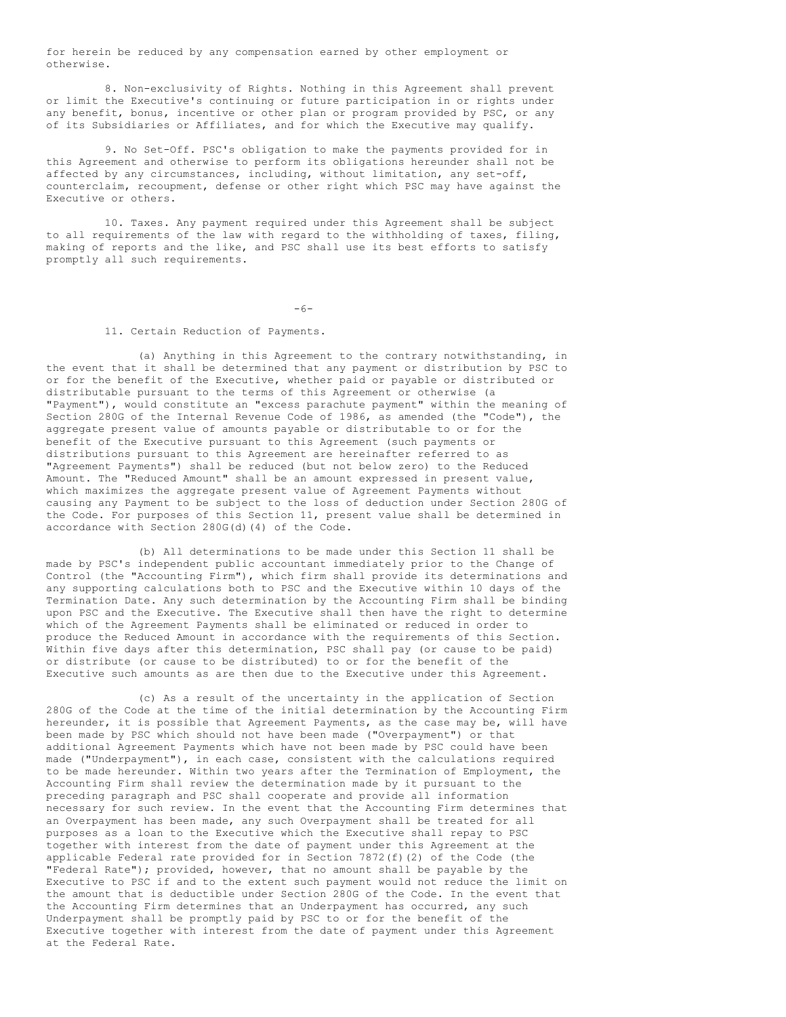for herein be reduced by any compensation earned by other employment or otherwise.

8. Non-exclusivity of Rights. Nothing in this Agreement shall prevent or limit the Executive's continuing or future participation in or rights under any benefit, bonus, incentive or other plan or program provided by PSC, or any of its Subsidiaries or Affiliates, and for which the Executive may qualify.

9. No Set-Off. PSC's obligation to make the payments provided for in this Agreement and otherwise to perform its obligations hereunder shall not be affected by any circumstances, including, without limitation, any set-off, counterclaim, recoupment, defense or other right which PSC may have against the Executive or others.

10. Taxes. Any payment required under this Agreement shall be subject to all requirements of the law with regard to the withholding of taxes, filing, making of reports and the like, and PSC shall use its best efforts to satisfy promptly all such requirements.

 $-6-$ 

## 11. Certain Reduction of Payments.

(a) Anything in this Agreement to the contrary notwithstanding, in the event that it shall be determined that any payment or distribution by PSC to or for the benefit of the Executive, whether paid or payable or distributed or distributable pursuant to the terms of this Agreement or otherwise (a "Payment"), would constitute an "excess parachute payment" within the meaning of Section 280G of the Internal Revenue Code of 1986, as amended (the "Code"), the aggregate present value of amounts payable or distributable to or for the benefit of the Executive pursuant to this Agreement (such payments or distributions pursuant to this Agreement are hereinafter referred to as "Agreement Payments") shall be reduced (but not below zero) to the Reduced Amount. The "Reduced Amount" shall be an amount expressed in present value, which maximizes the aggregate present value of Agreement Payments without causing any Payment to be subject to the loss of deduction under Section 280G of the Code. For purposes of this Section 11, present value shall be determined in accordance with Section 280G(d)(4) of the Code.

(b) All determinations to be made under this Section 11 shall be made by PSC's independent public accountant immediately prior to the Change of Control (the "Accounting Firm"), which firm shall provide its determinations and any supporting calculations both to PSC and the Executive within 10 days of the Termination Date. Any such determination by the Accounting Firm shall be binding upon PSC and the Executive. The Executive shall then have the right to determine which of the Agreement Payments shall be eliminated or reduced in order to produce the Reduced Amount in accordance with the requirements of this Section. Within five days after this determination, PSC shall pay (or cause to be paid) or distribute (or cause to be distributed) to or for the benefit of the Executive such amounts as are then due to the Executive under this Agreement.

(c) As a result of the uncertainty in the application of Section 280G of the Code at the time of the initial determination by the Accounting Firm hereunder, it is possible that Agreement Payments, as the case may be, will have been made by PSC which should not have been made ("Overpayment") or that additional Agreement Payments which have not been made by PSC could have been made ("Underpayment"), in each case, consistent with the calculations required to be made hereunder. Within two years after the Termination of Employment, the Accounting Firm shall review the determination made by it pursuant to the preceding paragraph and PSC shall cooperate and provide all information necessary for such review. In the event that the Accounting Firm determines that an Overpayment has been made, any such Overpayment shall be treated for all purposes as a loan to the Executive which the Executive shall repay to PSC together with interest from the date of payment under this Agreement at the applicable Federal rate provided for in Section 7872(f)(2) of the Code (the "Federal Rate"); provided, however, that no amount shall be payable by the Executive to PSC if and to the extent such payment would not reduce the limit on the amount that is deductible under Section 280G of the Code. In the event that the Accounting Firm determines that an Underpayment has occurred, any such Underpayment shall be promptly paid by PSC to or for the benefit of the Executive together with interest from the date of payment under this Agreement at the Federal Rate.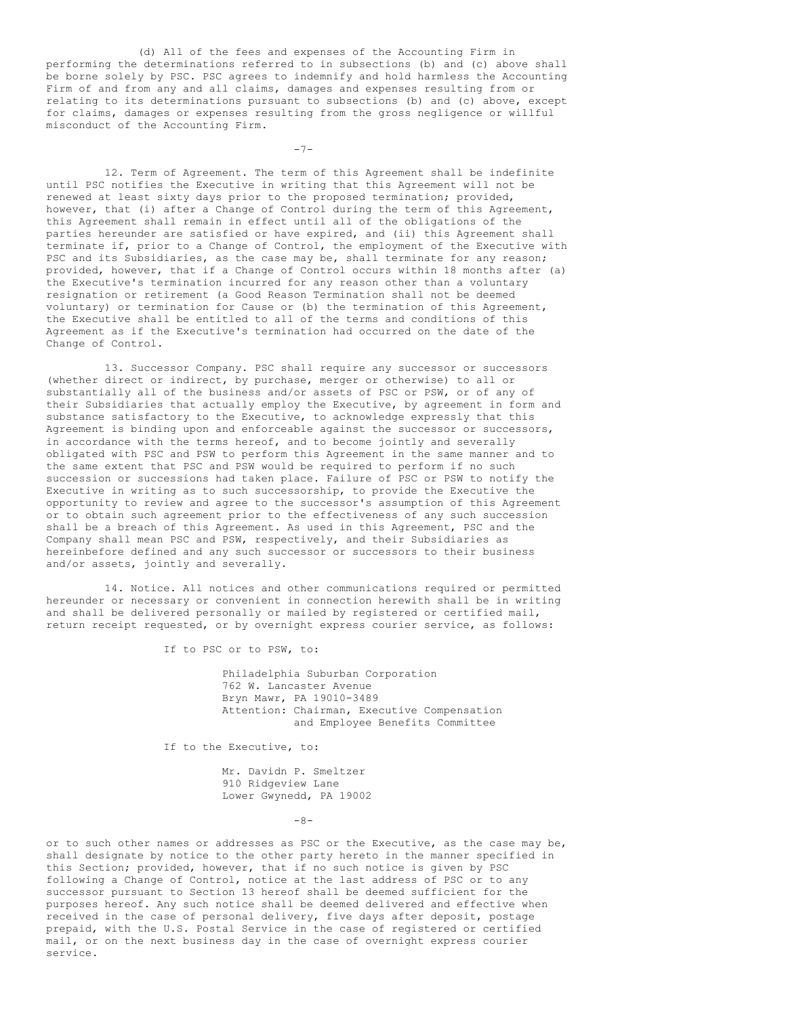(d) All of the fees and expenses of the Accounting Firm in performing the determinations referred to in subsections (b) and (c) above shall be borne solely by PSC. PSC agrees to indemnify and hold harmless the Accounting Firm of and from any and all claims, damages and expenses resulting from or relating to its determinations pursuant to subsections (b) and (c) above, except for claims, damages or expenses resulting from the gross negligence or willful misconduct of the Accounting Firm.

 $-7-$ 

12. Term of Agreement. The term of this Agreement shall be indefinite until PSC notifies the Executive in writing that this Agreement will not be renewed at least sixty days prior to the proposed termination; provided, however, that (i) after a Change of Control during the term of this Agreement, this Agreement shall remain in effect until all of the obligations of the parties hereunder are satisfied or have expired, and (ii) this Agreement shall terminate if, prior to a Change of Control, the employment of the Executive with PSC and its Subsidiaries, as the case may be, shall terminate for any reason; provided, however, that if a Change of Control occurs within 18 months after (a) the Executive's termination incurred for any reason other than a voluntary resignation or retirement (a Good Reason Termination shall not be deemed voluntary) or termination for Cause or (b) the termination of this Agreement, the Executive shall be entitled to all of the terms and conditions of this Agreement as if the Executive's termination had occurred on the date of the Change of Control.

13. Successor Company. PSC shall require any successor or successors (whether direct or indirect, by purchase, merger or otherwise) to all or substantially all of the business and/or assets of PSC or PSW, or of any of their Subsidiaries that actually employ the Executive, by agreement in form and substance satisfactory to the Executive, to acknowledge expressly that this Agreement is binding upon and enforceable against the successor or successors, in accordance with the terms hereof, and to become jointly and severally obligated with PSC and PSW to perform this Agreement in the same manner and to the same extent that PSC and PSW would be required to perform if no such succession or successions had taken place. Failure of PSC or PSW to notify the Executive in writing as to such successorship, to provide the Executive the opportunity to review and agree to the successor's assumption of this Agreement or to obtain such agreement prior to the effectiveness of any such succession shall be a breach of this Agreement. As used in this Agreement, PSC and the Company shall mean PSC and PSW, respectively, and their Subsidiaries as hereinbefore defined and any such successor or successors to their business and/or assets, jointly and severally.

14. Notice. All notices and other communications required or permitted hereunder or necessary or convenient in connection herewith shall be in writing and shall be delivered personally or mailed by registered or certified mail, return receipt requested, or by overnight express courier service, as follows:

If to PSC or to PSW, to:

Philadelphia Suburban Corporation 762 W. Lancaster Avenue Bryn Mawr, PA 19010-3489 Attention: Chairman, Executive Compensation and Employee Benefits Committee

If to the Executive, to:

Mr. Davidn P. Smeltzer 910 Ridgeview Lane Lower Gwynedd, PA 19002

 $-8-$ 

or to such other names or addresses as PSC or the Executive, as the case may be, shall designate by notice to the other party hereto in the manner specified in this Section; provided, however, that if no such notice is given by PSC following a Change of Control, notice at the last address of PSC or to any successor pursuant to Section 13 hereof shall be deemed sufficient for the purposes hereof. Any such notice shall be deemed delivered and effective when received in the case of personal delivery, five days after deposit, postage prepaid, with the U.S. Postal Service in the case of registered or certified mail, or on the next business day in the case of overnight express courier service.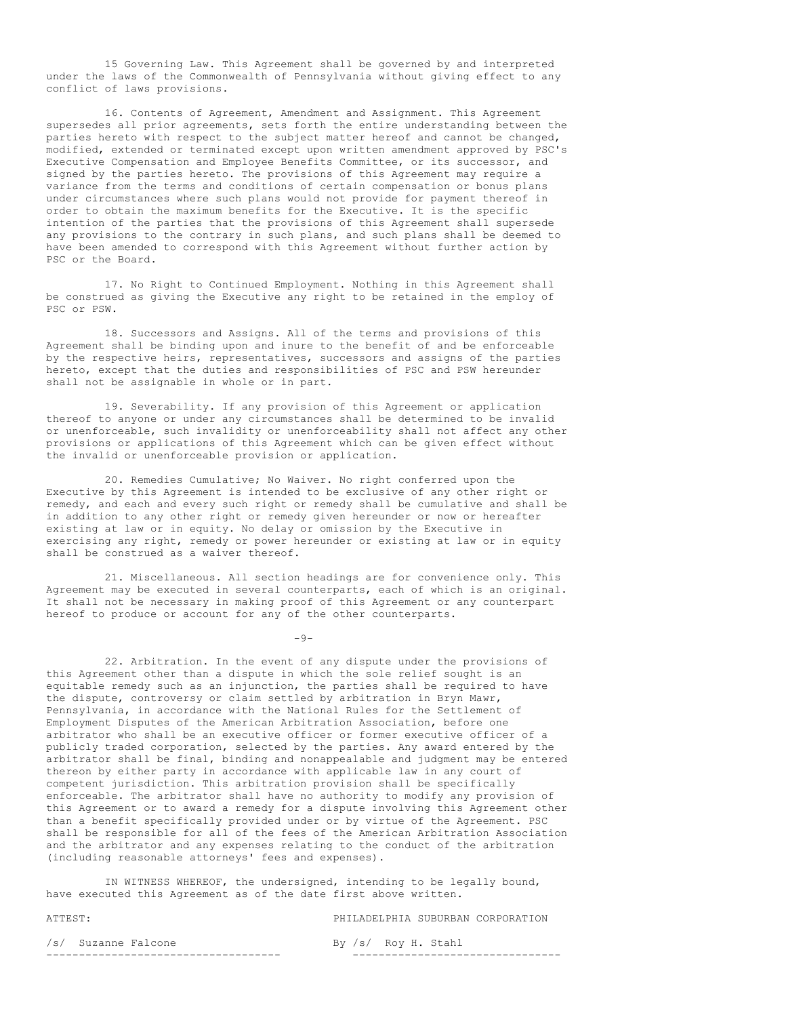15 Governing Law. This Agreement shall be governed by and interpreted under the laws of the Commonwealth of Pennsylvania without giving effect to any conflict of laws provisions.

16. Contents of Agreement, Amendment and Assignment. This Agreement supersedes all prior agreements, sets forth the entire understanding between the parties hereto with respect to the subject matter hereof and cannot be changed, modified, extended or terminated except upon written amendment approved by PSC's Executive Compensation and Employee Benefits Committee, or its successor, and signed by the parties hereto. The provisions of this Agreement may require a variance from the terms and conditions of certain compensation or bonus plans under circumstances where such plans would not provide for payment thereof in order to obtain the maximum benefits for the Executive. It is the specific intention of the parties that the provisions of this Agreement shall supersede any provisions to the contrary in such plans, and such plans shall be deemed to have been amended to correspond with this Agreement without further action by PSC or the Board.

17. No Right to Continued Employment. Nothing in this Agreement shall be construed as giving the Executive any right to be retained in the employ of PSC or PSW.

18. Successors and Assigns. All of the terms and provisions of this Agreement shall be binding upon and inure to the benefit of and be enforceable by the respective heirs, representatives, successors and assigns of the parties hereto, except that the duties and responsibilities of PSC and PSW hereunder shall not be assignable in whole or in part.

19. Severability. If any provision of this Agreement or application thereof to anyone or under any circumstances shall be determined to be invalid or unenforceable, such invalidity or unenforceability shall not affect any other provisions or applications of this Agreement which can be given effect without the invalid or unenforceable provision or application.

20. Remedies Cumulative; No Waiver. No right conferred upon the Executive by this Agreement is intended to be exclusive of any other right or remedy, and each and every such right or remedy shall be cumulative and shall be in addition to any other right or remedy given hereunder or now or hereafter existing at law or in equity. No delay or omission by the Executive in exercising any right, remedy or power hereunder or existing at law or in equity shall be construed as a waiver thereof.

21. Miscellaneous. All section headings are for convenience only. This Agreement may be executed in several counterparts, each of which is an original. It shall not be necessary in making proof of this Agreement or any counterpart hereof to produce or account for any of the other counterparts.

22. Arbitration. In the event of any dispute under the provisions of this Agreement other than a dispute in which the sole relief sought is an equitable remedy such as an injunction, the parties shall be required to have the dispute, controversy or claim settled by arbitration in Bryn Mawr, Pennsylvania, in accordance with the National Rules for the Settlement of Employment Disputes of the American Arbitration Association, before one arbitrator who shall be an executive officer or former executive officer of a publicly traded corporation, selected by the parties. Any award entered by the arbitrator shall be final, binding and nonappealable and judgment may be entered thereon by either party in accordance with applicable law in any court of competent jurisdiction. This arbitration provision shall be specifically enforceable. The arbitrator shall have no authority to modify any provision of this Agreement or to award a remedy for a dispute involving this Agreement other than a benefit specifically provided under or by virtue of the Agreement. PSC shall be responsible for all of the fees of the American Arbitration Association and the arbitrator and any expenses relating to the conduct of the arbitration (including reasonable attorneys' fees and expenses).

IN WITNESS WHEREOF, the undersigned, intending to be legally bound, have executed this Agreement as of the date first above written.

ATTEST: PHILADELPHIA SUBURBAN CORPORATION /s/ Suzanne Falcone By /s/ Roy H. Stahl ------------------------------------ --------------------------------

 $-9-$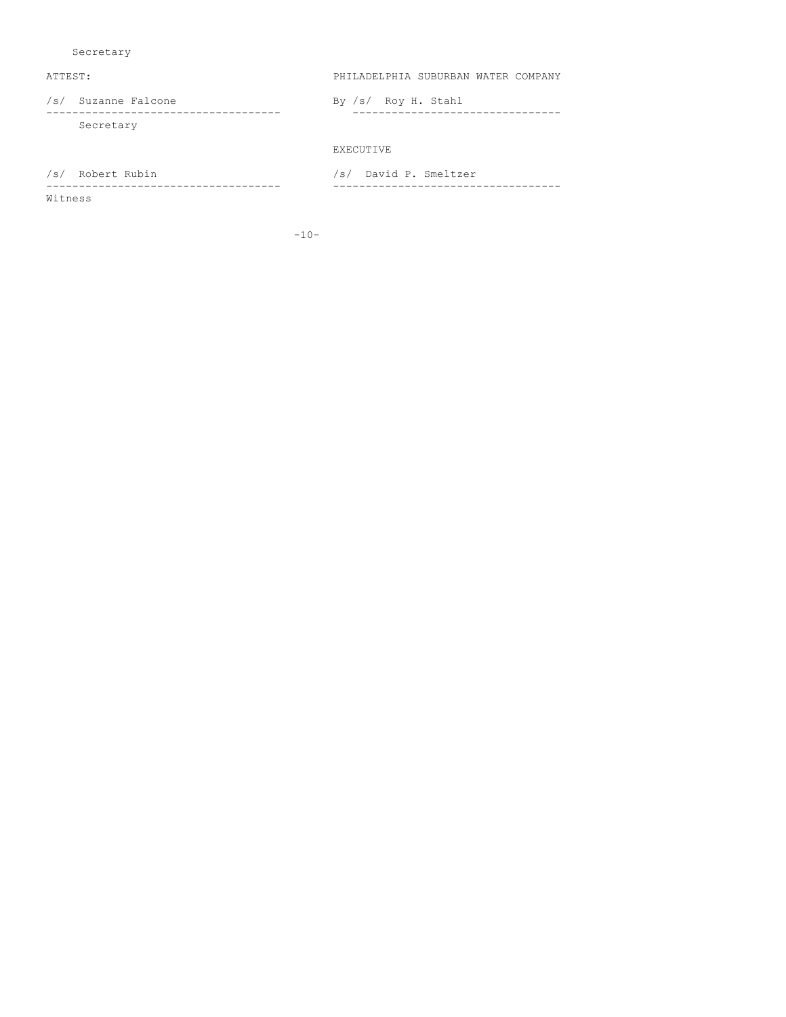Secretary

ATTEST: PHILADELPHIA SUBURBAN WATER COMPANY

/s/ Suzanne Falcone By /s/ Roy H. Stahl ------------------------------------ -------------------------------- Secretary

EXECUTIVE

/s/ Robert Rubin /s/ David P. Smeltzer

Witness

------------------------------------ -----------------------------------

-10-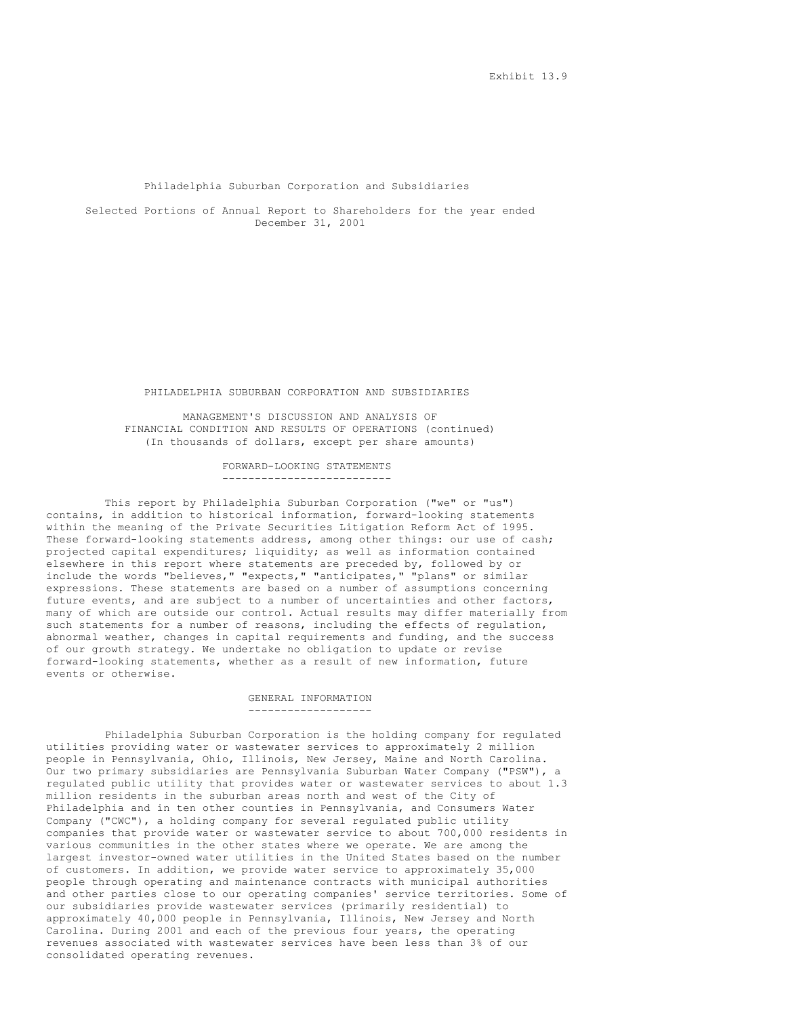#### Philadelphia Suburban Corporation and Subsidiaries

Selected Portions of Annual Report to Shareholders for the year ended December 31, 2001

#### PHILADELPHIA SUBURBAN CORPORATION AND SUBSIDIARIES

MANAGEMENT'S DISCUSSION AND ANALYSIS OF FINANCIAL CONDITION AND RESULTS OF OPERATIONS (continued) (In thousands of dollars, except per share amounts)

> FORWARD-LOOKING STATEMENTS --------------------------

This report by Philadelphia Suburban Corporation ("we" or "us") contains, in addition to historical information, forward-looking statements within the meaning of the Private Securities Litigation Reform Act of 1995. These forward-looking statements address, among other things: our use of cash; projected capital expenditures; liquidity; as well as information contained elsewhere in this report where statements are preceded by, followed by or include the words "believes," "expects," "anticipates," "plans" or similar expressions. These statements are based on a number of assumptions concerning future events, and are subject to a number of uncertainties and other factors, many of which are outside our control. Actual results may differ materially from such statements for a number of reasons, including the effects of regulation, abnormal weather, changes in capital requirements and funding, and the success of our growth strategy. We undertake no obligation to update or revise forward-looking statements, whether as a result of new information, future events or otherwise.

#### GENERAL INFORMATION -------------------

Philadelphia Suburban Corporation is the holding company for regulated utilities providing water or wastewater services to approximately 2 million people in Pennsylvania, Ohio, Illinois, New Jersey, Maine and North Carolina. Our two primary subsidiaries are Pennsylvania Suburban Water Company ("PSW"), a regulated public utility that provides water or wastewater services to about 1.3 million residents in the suburban areas north and west of the City of Philadelphia and in ten other counties in Pennsylvania, and Consumers Water Company ("CWC"), a holding company for several regulated public utility companies that provide water or wastewater service to about 700,000 residents in various communities in the other states where we operate. We are among the largest investor-owned water utilities in the United States based on the number of customers. In addition, we provide water service to approximately 35,000 people through operating and maintenance contracts with municipal authorities and other parties close to our operating companies' service territories. Some of our subsidiaries provide wastewater services (primarily residential) to approximately 40,000 people in Pennsylvania, Illinois, New Jersey and North Carolina. During 2001 and each of the previous four years, the operating revenues associated with wastewater services have been less than 3% of our consolidated operating revenues.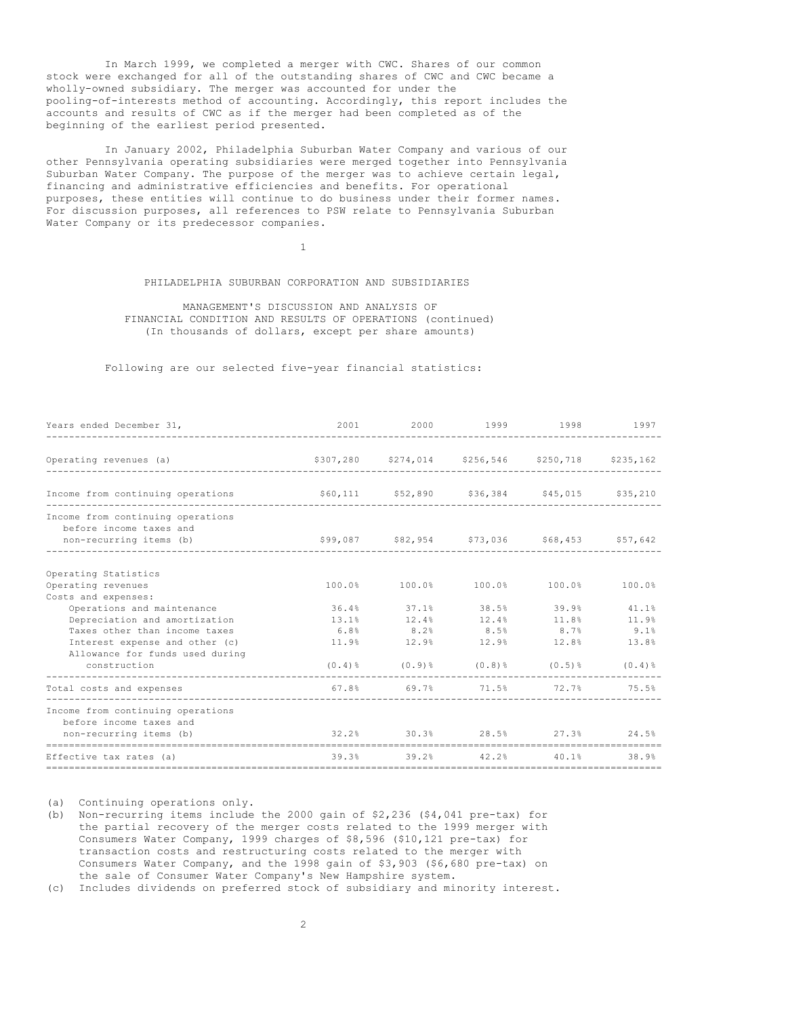In March 1999, we completed a merger with CWC. Shares of our common stock were exchanged for all of the outstanding shares of CWC and CWC became a wholly-owned subsidiary. The merger was accounted for under the pooling-of-interests method of accounting. Accordingly, this report includes the accounts and results of CWC as if the merger had been completed as of the beginning of the earliest period presented.

In January 2002, Philadelphia Suburban Water Company and various of our other Pennsylvania operating subsidiaries were merged together into Pennsylvania Suburban Water Company. The purpose of the merger was to achieve certain legal, financing and administrative efficiencies and benefits. For operational purposes, these entities will continue to do business under their former names. For discussion purposes, all references to PSW relate to Pennsylvania Suburban Water Company or its predecessor companies.

1

## PHILADELPHIA SUBURBAN CORPORATION AND SUBSIDIARIES

MANAGEMENT'S DISCUSSION AND ANALYSIS OF FINANCIAL CONDITION AND RESULTS OF OPERATIONS (continued) (In thousands of dollars, except per share amounts)

Following are our selected five-year financial statistics:

| Years ended December 31,                                                                |                                              | 2001 2000 1999 1998 1997                                |  |      |
|-----------------------------------------------------------------------------------------|----------------------------------------------|---------------------------------------------------------|--|------|
| Operating revenues (a) $$307,280$ $$274,014$ $$256,546$ $$250,718$ $$235,162$           |                                              |                                                         |  |      |
| Income from continuing operations 560,111 552,890 \$36,384 \$45,015 \$35,210            |                                              |                                                         |  |      |
| Income from continuing operations<br>before income taxes and<br>non-recurring items (b) | \$99,087 \$82,954 \$73,036 \$68,453 \$57,642 |                                                         |  |      |
| Operating Statistics                                                                    |                                              |                                                         |  |      |
| Operating revenues                                                                      |                                              | $100.0%$ $100.0%$ $100.0%$ $100.0%$ $100.0%$ $100.0%$   |  |      |
| Costs and expenses:                                                                     |                                              |                                                         |  |      |
| Operations and maintenance                                                              | $36.4\%$ $37.1\%$ $38.5\%$ $39.9\%$ $41.1\%$ |                                                         |  |      |
| Depreciation and amortization                                                           | $13.1\%$ $12.4\%$ $12.4\%$ $11.8\%$ $11.9\%$ |                                                         |  |      |
| Taxes other than income taxes                                                           |                                              | $6.8\%$ $8.2\%$ $8.5\%$ $8.7\%$                         |  | 9.1% |
| Interest expense and other (c)                                                          | $11.9\%$ 12.9% 12.9% 12.8% 13.8%             |                                                         |  |      |
| Allowance for funds used during<br>construction                                         |                                              | $(0.4)$ $(0.4)$ $(0.9)$ $(0.8)$ $(0.5)$ $(0.4)$ $(0.4)$ |  |      |
| Total costs and expenses                                                                |                                              | $67.8\%$ $69.7\%$ $71.5\%$ $72.7\%$ $75.5\%$            |  |      |
| Income from continuing operations                                                       |                                              |                                                         |  |      |
| before income taxes and                                                                 | $32.2\%$ $30.3\%$ $28.5\%$ $27.3\%$ $24.5\%$ |                                                         |  |      |
| non-recurring items (b)                                                                 |                                              |                                                         |  |      |
| Effective tax rates (a)                                                                 | $39.3\%$ $39.2\%$ $42.2\%$ $40.1\%$ $38.9\%$ |                                                         |  |      |

(a) Continuing operations only.

(b) Non-recurring items include the 2000 gain of \$2,236 (\$4,041 pre-tax) for the partial recovery of the merger costs related to the 1999 merger with Consumers Water Company, 1999 charges of \$8,596 (\$10,121 pre-tax) for transaction costs and restructuring costs related to the merger with Consumers Water Company, and the 1998 gain of \$3,903 (\$6,680 pre-tax) on the sale of Consumer Water Company's New Hampshire system.

(c) Includes dividends on preferred stock of subsidiary and minority interest.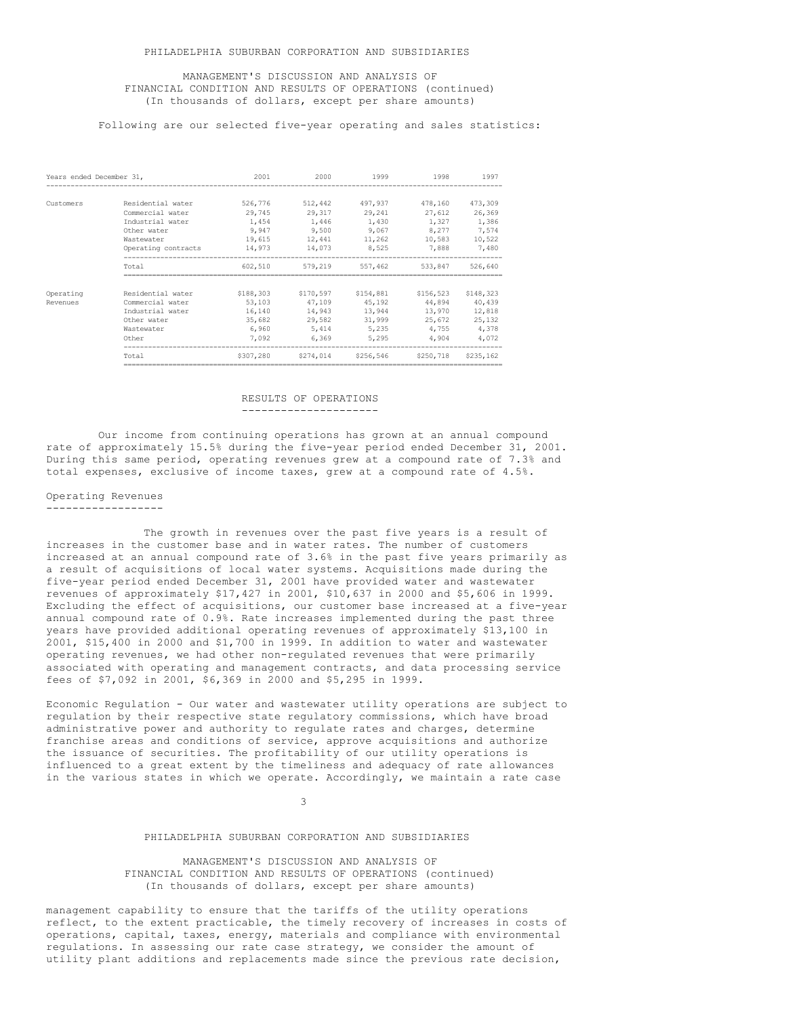### MANAGEMENT'S DISCUSSION AND ANALYSIS OF FINANCIAL CONDITION AND RESULTS OF OPERATIONS (continued) (In thousands of dollars, except per share amounts)

## Following are our selected five-year operating and sales statistics:

| Years ended December 31, |                                       | 2001                     | 2000                     | 1999                            | 1998                     | 1997                     |
|--------------------------|---------------------------------------|--------------------------|--------------------------|---------------------------------|--------------------------|--------------------------|
| Customers                | Residential water<br>Commercial water | 526,776<br>29,745        | 512,442                  | 497.937<br>29,317 29,241 27,612 | 478,160                  | 473,309<br>26,369        |
|                          | Industrial water<br>Other water       | 1,454<br>9,947           | 1,446<br>9,500           | 1,430<br>9,067                  | 1,327<br>8,277           | 1,386<br>7,574           |
|                          | Wastewater<br>Operating contracts     | 19,615<br>14,973         | 12,441<br>14,073         | 11,262 10,583<br>8,525          | 7,888                    | 10,522<br>7,480          |
|                          | Total                                 | 602,510                  |                          | 579,219 557,462                 | 533,847                  | 526,640                  |
| Operating                | Residential water                     | \$188,303                | \$170,597                | \$154,881                       | \$156,523                | \$148,323                |
| Revenues                 | Commercial water<br>Industrial water  | 53,103<br>16,140         | 47,109<br>14,943         | 45,192 44,894<br>13,944         | 13,970                   | 40,439<br>12,818         |
|                          | Other water<br>Wastewater<br>Other    | 35,682<br>6,960<br>7,092 | 29.582<br>5,414<br>6,369 | 31,999<br>5,235<br>5,295        | 25,672<br>4,755<br>4,904 | 25,132<br>4,378<br>4,072 |
|                          | Total                                 | \$307,280                |                          | \$274,014 \$256,546 \$250,718   |                          | \$235,162                |

## RESULTS OF OPERATIONS ---------------------

Our income from continuing operations has grown at an annual compound rate of approximately 15.5% during the five-year period ended December 31, 2001. During this same period, operating revenues grew at a compound rate of 7.3% and total expenses, exclusive of income taxes, grew at a compound rate of 4.5%.

### Operating Revenues ------------------

The growth in revenues over the past five years is a result of increases in the customer base and in water rates. The number of customers increased at an annual compound rate of 3.6% in the past five years primarily as a result of acquisitions of local water systems. Acquisitions made during the five-year period ended December 31, 2001 have provided water and wastewater revenues of approximately \$17,427 in 2001, \$10,637 in 2000 and \$5,606 in 1999. Excluding the effect of acquisitions, our customer base increased at a five-year annual compound rate of 0.9%. Rate increases implemented during the past three years have provided additional operating revenues of approximately \$13,100 in 2001, \$15,400 in 2000 and \$1,700 in 1999. In addition to water and wastewater operating revenues, we had other non-regulated revenues that were primarily associated with operating and management contracts, and data processing service fees of \$7,092 in 2001, \$6,369 in 2000 and \$5,295 in 1999.

Economic Regulation - Our water and wastewater utility operations are subject to regulation by their respective state regulatory commissions, which have broad administrative power and authority to regulate rates and charges, determine franchise areas and conditions of service, approve acquisitions and authorize the issuance of securities. The profitability of our utility operations is influenced to a great extent by the timeliness and adequacy of rate allowances in the various states in which we operate. Accordingly, we maintain a rate case

3

#### PHILADELPHIA SUBURBAN CORPORATION AND SUBSIDIARIES

MANAGEMENT'S DISCUSSION AND ANALYSIS OF FINANCIAL CONDITION AND RESULTS OF OPERATIONS (continued) (In thousands of dollars, except per share amounts)

management capability to ensure that the tariffs of the utility operations reflect, to the extent practicable, the timely recovery of increases in costs of operations, capital, taxes, energy, materials and compliance with environmental regulations. In assessing our rate case strategy, we consider the amount of utility plant additions and replacements made since the previous rate decision,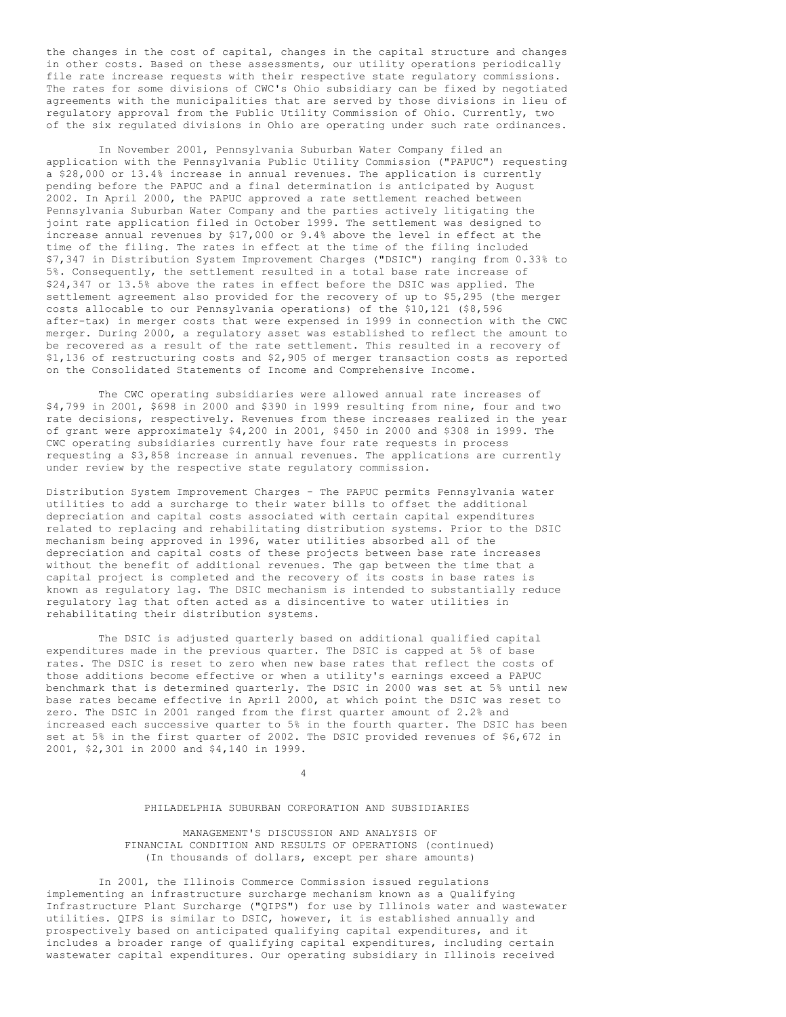the changes in the cost of capital, changes in the capital structure and changes in other costs. Based on these assessments, our utility operations periodically file rate increase requests with their respective state regulatory commissions. The rates for some divisions of CWC's Ohio subsidiary can be fixed by negotiated agreements with the municipalities that are served by those divisions in lieu of regulatory approval from the Public Utility Commission of Ohio. Currently, two of the six regulated divisions in Ohio are operating under such rate ordinances.

In November 2001, Pennsylvania Suburban Water Company filed an application with the Pennsylvania Public Utility Commission ("PAPUC") requesting a \$28,000 or 13.4% increase in annual revenues. The application is currently pending before the PAPUC and a final determination is anticipated by August 2002. In April 2000, the PAPUC approved a rate settlement reached between Pennsylvania Suburban Water Company and the parties actively litigating the joint rate application filed in October 1999. The settlement was designed to increase annual revenues by \$17,000 or 9.4% above the level in effect at the time of the filing. The rates in effect at the time of the filing included \$7,347 in Distribution System Improvement Charges ("DSIC") ranging from 0.33% to 5%. Consequently, the settlement resulted in a total base rate increase of \$24,347 or 13.5% above the rates in effect before the DSIC was applied. The settlement agreement also provided for the recovery of up to \$5,295 (the merger costs allocable to our Pennsylvania operations) of the \$10,121 (\$8,596 after-tax) in merger costs that were expensed in 1999 in connection with the CWC merger. During 2000, a regulatory asset was established to reflect the amount to be recovered as a result of the rate settlement. This resulted in a recovery of \$1,136 of restructuring costs and \$2,905 of merger transaction costs as reported on the Consolidated Statements of Income and Comprehensive Income.

The CWC operating subsidiaries were allowed annual rate increases of \$4,799 in 2001, \$698 in 2000 and \$390 in 1999 resulting from nine, four and two rate decisions, respectively. Revenues from these increases realized in the year of grant were approximately  $$4,200$  in 2001,  $$450$  in 2000 and  $$308$  in 1999. The CWC operating subsidiaries currently have four rate requests in process requesting a \$3,858 increase in annual revenues. The applications are currently under review by the respective state regulatory commission.

Distribution System Improvement Charges - The PAPUC permits Pennsylvania water utilities to add a surcharge to their water bills to offset the additional depreciation and capital costs associated with certain capital expenditures related to replacing and rehabilitating distribution systems. Prior to the DSIC mechanism being approved in 1996, water utilities absorbed all of the depreciation and capital costs of these projects between base rate increases without the benefit of additional revenues. The gap between the time that a capital project is completed and the recovery of its costs in base rates is known as regulatory lag. The DSIC mechanism is intended to substantially reduce regulatory lag that often acted as a disincentive to water utilities in rehabilitating their distribution systems.

The DSIC is adjusted quarterly based on additional qualified capital expenditures made in the previous quarter. The DSIC is capped at 5% of base rates. The DSIC is reset to zero when new base rates that reflect the costs of those additions become effective or when a utility's earnings exceed a PAPUC benchmark that is determined quarterly. The DSIC in 2000 was set at 5% until new base rates became effective in April 2000, at which point the DSIC was reset to zero. The DSIC in 2001 ranged from the first quarter amount of 2.2% and increased each successive quarter to 5% in the fourth quarter. The DSIC has been set at 5% in the first quarter of 2002. The DSIC provided revenues of \$6,672 in 2001, \$2,301 in 2000 and \$4,140 in 1999.

4

# PHILADELPHIA SUBURBAN CORPORATION AND SUBSIDIARIES

MANAGEMENT'S DISCUSSION AND ANALYSIS OF FINANCIAL CONDITION AND RESULTS OF OPERATIONS (continued) (In thousands of dollars, except per share amounts)

In 2001, the Illinois Commerce Commission issued regulations implementing an infrastructure surcharge mechanism known as a Qualifying Infrastructure Plant Surcharge ("QIPS") for use by Illinois water and wastewater utilities. QIPS is similar to DSIC, however, it is established annually and prospectively based on anticipated qualifying capital expenditures, and it includes a broader range of qualifying capital expenditures, including certain wastewater capital expenditures. Our operating subsidiary in Illinois received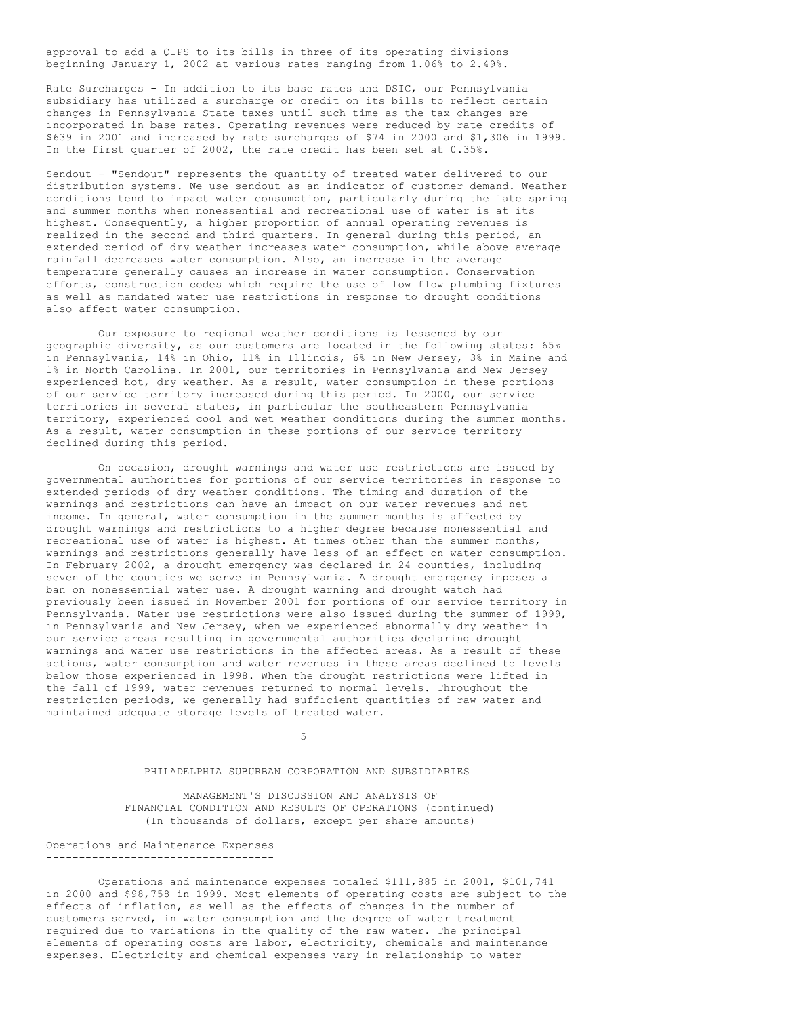approval to add a QIPS to its bills in three of its operating divisions beginning January 1, 2002 at various rates ranging from 1.06% to 2.49%.

Rate Surcharges - In addition to its base rates and DSIC, our Pennsylvania subsidiary has utilized a surcharge or credit on its bills to reflect certain changes in Pennsylvania State taxes until such time as the tax changes are incorporated in base rates. Operating revenues were reduced by rate credits of \$639 in 2001 and increased by rate surcharges of \$74 in 2000 and \$1,306 in 1999. In the first quarter of 2002, the rate credit has been set at 0.35%.

Sendout - "Sendout" represents the quantity of treated water delivered to our distribution systems. We use sendout as an indicator of customer demand. Weather conditions tend to impact water consumption, particularly during the late spring and summer months when nonessential and recreational use of water is at its highest. Consequently, a higher proportion of annual operating revenues is realized in the second and third quarters. In general during this period, an extended period of dry weather increases water consumption, while above average rainfall decreases water consumption. Also, an increase in the average temperature generally causes an increase in water consumption. Conservation efforts, construction codes which require the use of low flow plumbing fixtures as well as mandated water use restrictions in response to drought conditions also affect water consumption.

Our exposure to regional weather conditions is lessened by our geographic diversity, as our customers are located in the following states: 65% in Pennsylvania, 14% in Ohio, 11% in Illinois, 6% in New Jersey, 3% in Maine and 1% in North Carolina. In 2001, our territories in Pennsylvania and New Jersey experienced hot, dry weather. As a result, water consumption in these portions of our service territory increased during this period. In 2000, our service territories in several states, in particular the southeastern Pennsylvania territory, experienced cool and wet weather conditions during the summer months. As a result, water consumption in these portions of our service territory declined during this period.

On occasion, drought warnings and water use restrictions are issued by governmental authorities for portions of our service territories in response to extended periods of dry weather conditions. The timing and duration of the warnings and restrictions can have an impact on our water revenues and net income. In general, water consumption in the summer months is affected by drought warnings and restrictions to a higher degree because nonessential and recreational use of water is highest. At times other than the summer months, warnings and restrictions generally have less of an effect on water consumption. In February 2002, a drought emergency was declared in 24 counties, including seven of the counties we serve in Pennsylvania. A drought emergency imposes a ban on nonessential water use. A drought warning and drought watch had previously been issued in November 2001 for portions of our service territory in Pennsylvania. Water use restrictions were also issued during the summer of 1999, in Pennsylvania and New Jersey, when we experienced abnormally dry weather in our service areas resulting in governmental authorities declaring drought warnings and water use restrictions in the affected areas. As a result of these actions, water consumption and water revenues in these areas declined to levels below those experienced in 1998. When the drought restrictions were lifted in the fall of 1999, water revenues returned to normal levels. Throughout the restriction periods, we generally had sufficient quantities of raw water and maintained adequate storage levels of treated water.

5

#### PHILADELPHIA SUBURBAN CORPORATION AND SUBSIDIARIES

MANAGEMENT'S DISCUSSION AND ANALYSIS OF FINANCIAL CONDITION AND RESULTS OF OPERATIONS (continued) (In thousands of dollars, except per share amounts)

Operations and Maintenance Expenses -----------------------------------

Operations and maintenance expenses totaled \$111,885 in 2001, \$101,741 in 2000 and \$98,758 in 1999. Most elements of operating costs are subject to the effects of inflation, as well as the effects of changes in the number of customers served, in water consumption and the degree of water treatment required due to variations in the quality of the raw water. The principal elements of operating costs are labor, electricity, chemicals and maintenance expenses. Electricity and chemical expenses vary in relationship to water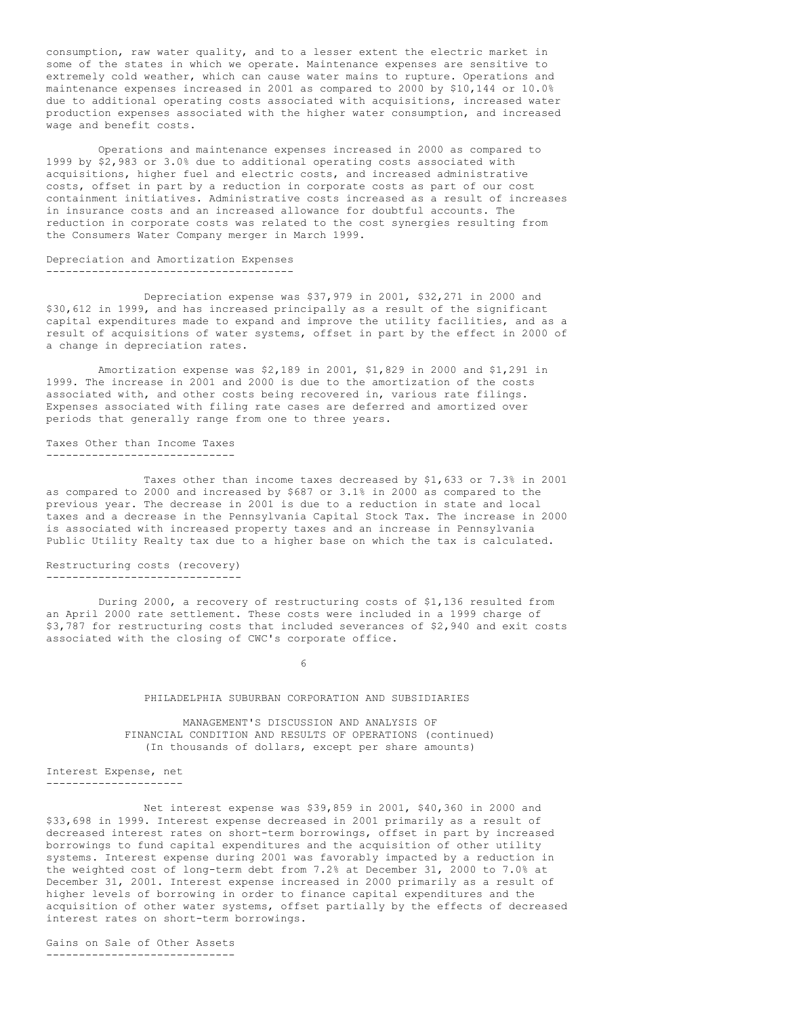consumption, raw water quality, and to a lesser extent the electric market in some of the states in which we operate. Maintenance expenses are sensitive to extremely cold weather, which can cause water mains to rupture. Operations and maintenance expenses increased in 2001 as compared to 2000 by \$10,144 or 10.0% due to additional operating costs associated with acquisitions, increased water production expenses associated with the higher water consumption, and increased wage and benefit costs.

Operations and maintenance expenses increased in 2000 as compared to 1999 by \$2,983 or 3.0% due to additional operating costs associated with acquisitions, higher fuel and electric costs, and increased administrative costs, offset in part by a reduction in corporate costs as part of our cost containment initiatives. Administrative costs increased as a result of increases in insurance costs and an increased allowance for doubtful accounts. The reduction in corporate costs was related to the cost synergies resulting from the Consumers Water Company merger in March 1999.

#### Depreciation and Amortization Expenses --------------------------------------

Depreciation expense was \$37,979 in 2001, \$32,271 in 2000 and \$30,612 in 1999, and has increased principally as a result of the significant capital expenditures made to expand and improve the utility facilities, and as a result of acquisitions of water systems, offset in part by the effect in 2000 of a change in depreciation rates.

Amortization expense was \$2,189 in 2001, \$1,829 in 2000 and \$1,291 in 1999. The increase in 2001 and 2000 is due to the amortization of the costs associated with, and other costs being recovered in, various rate filings. Expenses associated with filing rate cases are deferred and amortized over periods that generally range from one to three years.

Taxes Other than Income Taxes -----------------------------

Taxes other than income taxes decreased by \$1,633 or 7.3% in 2001 as compared to 2000 and increased by \$687 or 3.1% in 2000 as compared to the previous year. The decrease in 2001 is due to a reduction in state and local taxes and a decrease in the Pennsylvania Capital Stock Tax. The increase in 2000 is associated with increased property taxes and an increase in Pennsylvania Public Utility Realty tax due to a higher base on which the tax is calculated.

#### Restructuring costs (recovery) ------------------------------

During 2000, a recovery of restructuring costs of \$1,136 resulted from an April 2000 rate settlement. These costs were included in a 1999 charge of \$3,787 for restructuring costs that included severances of \$2,940 and exit costs associated with the closing of CWC's corporate office.

6

### PHILADELPHIA SUBURBAN CORPORATION AND SUBSIDIARIES

MANAGEMENT'S DISCUSSION AND ANALYSIS OF FINANCIAL CONDITION AND RESULTS OF OPERATIONS (continued) (In thousands of dollars, except per share amounts)

Interest Expense, net ---------------------

Net interest expense was \$39,859 in 2001, \$40,360 in 2000 and \$33,698 in 1999. Interest expense decreased in 2001 primarily as a result of decreased interest rates on short-term borrowings, offset in part by increased borrowings to fund capital expenditures and the acquisition of other utility systems. Interest expense during 2001 was favorably impacted by a reduction in the weighted cost of long-term debt from 7.2% at December 31, 2000 to 7.0% at December 31, 2001. Interest expense increased in 2000 primarily as a result of higher levels of borrowing in order to finance capital expenditures and the acquisition of other water systems, offset partially by the effects of decreased interest rates on short-term borrowings.

Gains on Sale of Other Assets -----------------------------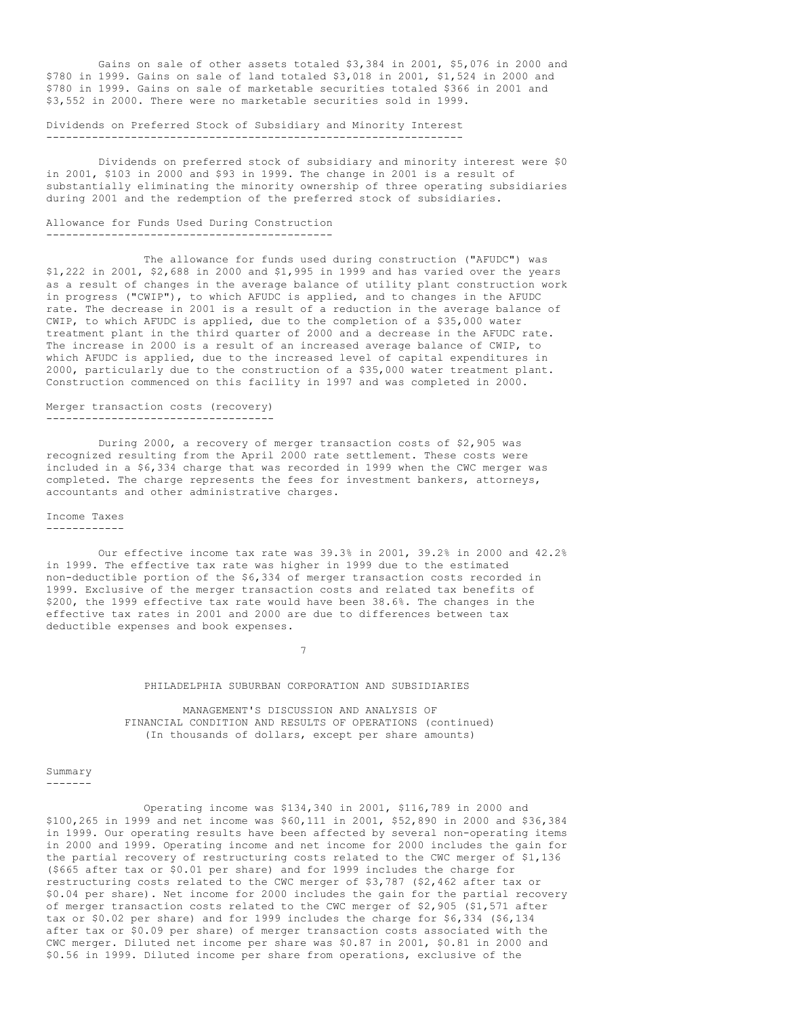Gains on sale of other assets totaled \$3,384 in 2001, \$5,076 in 2000 and \$780 in 1999. Gains on sale of land totaled \$3,018 in 2001, \$1,524 in 2000 and \$780 in 1999. Gains on sale of marketable securities totaled \$366 in 2001 and \$3,552 in 2000. There were no marketable securities sold in 1999.

### Dividends on Preferred Stock of Subsidiary and Minority Interest ----------------------------------------------------------------

Dividends on preferred stock of subsidiary and minority interest were \$0 in 2001, \$103 in 2000 and \$93 in 1999. The change in 2001 is a result of substantially eliminating the minority ownership of three operating subsidiaries during 2001 and the redemption of the preferred stock of subsidiaries.

# Allowance for Funds Used During Construction

--------------------------------------------

The allowance for funds used during construction ("AFUDC") was \$1,222 in 2001, \$2,688 in 2000 and \$1,995 in 1999 and has varied over the years as a result of changes in the average balance of utility plant construction work in progress ("CWIP"), to which AFUDC is applied, and to changes in the AFUDC rate. The decrease in 2001 is a result of a reduction in the average balance of CWIP, to which AFUDC is applied, due to the completion of a \$35,000 water treatment plant in the third quarter of 2000 and a decrease in the AFUDC rate. The increase in 2000 is a result of an increased average balance of CWIP, to which AFUDC is applied, due to the increased level of capital expenditures in 2000, particularly due to the construction of a \$35,000 water treatment plant. Construction commenced on this facility in 1997 and was completed in 2000.

#### Merger transaction costs (recovery) -----------------------------------

During 2000, a recovery of merger transaction costs of \$2,905 was recognized resulting from the April 2000 rate settlement. These costs were included in a \$6,334 charge that was recorded in 1999 when the CWC merger was completed. The charge represents the fees for investment bankers, attorneys, accountants and other administrative charges.

### Income Taxes ------------

Our effective income tax rate was 39.3% in 2001, 39.2% in 2000 and 42.2% in 1999. The effective tax rate was higher in 1999 due to the estimated non-deductible portion of the \$6,334 of merger transaction costs recorded in 1999. Exclusive of the merger transaction costs and related tax benefits of \$200, the 1999 effective tax rate would have been 38.6%. The changes in the effective tax rates in 2001 and 2000 are due to differences between tax deductible expenses and book expenses.

7

### PHILADELPHIA SUBURBAN CORPORATION AND SUBSIDIARIES

MANAGEMENT'S DISCUSSION AND ANALYSIS OF FINANCIAL CONDITION AND RESULTS OF OPERATIONS (continued) (In thousands of dollars, except per share amounts)

#### Summary -------

Operating income was \$134,340 in 2001, \$116,789 in 2000 and \$100,265 in 1999 and net income was \$60,111 in 2001, \$52,890 in 2000 and \$36,384 in 1999. Our operating results have been affected by several non-operating items in 2000 and 1999. Operating income and net income for 2000 includes the gain for the partial recovery of restructuring costs related to the CWC merger of \$1,136 (\$665 after tax or \$0.01 per share) and for 1999 includes the charge for restructuring costs related to the CWC merger of \$3,787 (\$2,462 after tax or \$0.04 per share). Net income for 2000 includes the gain for the partial recovery of merger transaction costs related to the CWC merger of \$2,905 (\$1,571 after tax or \$0.02 per share) and for 1999 includes the charge for \$6,334 (\$6,134 after tax or \$0.09 per share) of merger transaction costs associated with the CWC merger. Diluted net income per share was \$0.87 in 2001, \$0.81 in 2000 and \$0.56 in 1999. Diluted income per share from operations, exclusive of the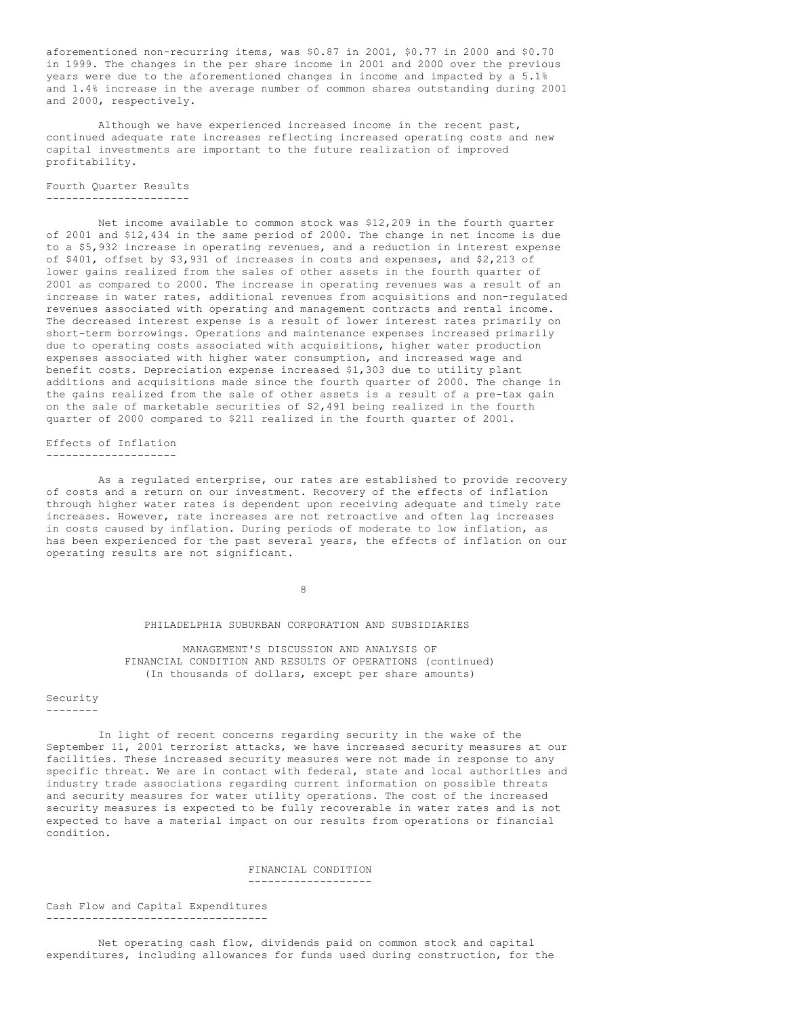aforementioned non-recurring items, was \$0.87 in 2001, \$0.77 in 2000 and \$0.70 in 1999. The changes in the per share income in 2001 and 2000 over the previous years were due to the aforementioned changes in income and impacted by a 5.1% and 1.4% increase in the average number of common shares outstanding during 2001 and 2000, respectively.

Although we have experienced increased income in the recent past, continued adequate rate increases reflecting increased operating costs and new capital investments are important to the future realization of improved profitability.

Fourth Quarter Results ----------------------

Net income available to common stock was \$12,209 in the fourth quarter of 2001 and \$12,434 in the same period of 2000. The change in net income is due to a \$5,932 increase in operating revenues, and a reduction in interest expense of \$401, offset by \$3,931 of increases in costs and expenses, and \$2,213 of lower gains realized from the sales of other assets in the fourth quarter of 2001 as compared to 2000. The increase in operating revenues was a result of an increase in water rates, additional revenues from acquisitions and non-regulated revenues associated with operating and management contracts and rental income. The decreased interest expense is a result of lower interest rates primarily on short-term borrowings. Operations and maintenance expenses increased primarily due to operating costs associated with acquisitions, higher water production expenses associated with higher water consumption, and increased wage and benefit costs. Depreciation expense increased \$1,303 due to utility plant additions and acquisitions made since the fourth quarter of 2000. The change in the gains realized from the sale of other assets is a result of a pre-tax gain on the sale of marketable securities of \$2,491 being realized in the fourth quarter of 2000 compared to \$211 realized in the fourth quarter of 2001.

Effects of Inflation --------------------

As a regulated enterprise, our rates are established to provide recovery of costs and a return on our investment. Recovery of the effects of inflation through higher water rates is dependent upon receiving adequate and timely rate increases. However, rate increases are not retroactive and often lag increases in costs caused by inflation. During periods of moderate to low inflation, as has been experienced for the past several years, the effects of inflation on our operating results are not significant.

8

### PHILADELPHIA SUBURBAN CORPORATION AND SUBSIDIARIES

MANAGEMENT'S DISCUSSION AND ANALYSIS OF FINANCIAL CONDITION AND RESULTS OF OPERATIONS (continued) (In thousands of dollars, except per share amounts)

#### Security --------

In light of recent concerns regarding security in the wake of the September 11, 2001 terrorist attacks, we have increased security measures at our facilities. These increased security measures were not made in response to any specific threat. We are in contact with federal, state and local authorities and industry trade associations regarding current information on possible threats and security measures for water utility operations. The cost of the increased security measures is expected to be fully recoverable in water rates and is not expected to have a material impact on our results from operations or financial condition.

## FINANCIAL CONDITION -------------------

Cash Flow and Capital Expenditures ----------------------------------

Net operating cash flow, dividends paid on common stock and capital expenditures, including allowances for funds used during construction, for the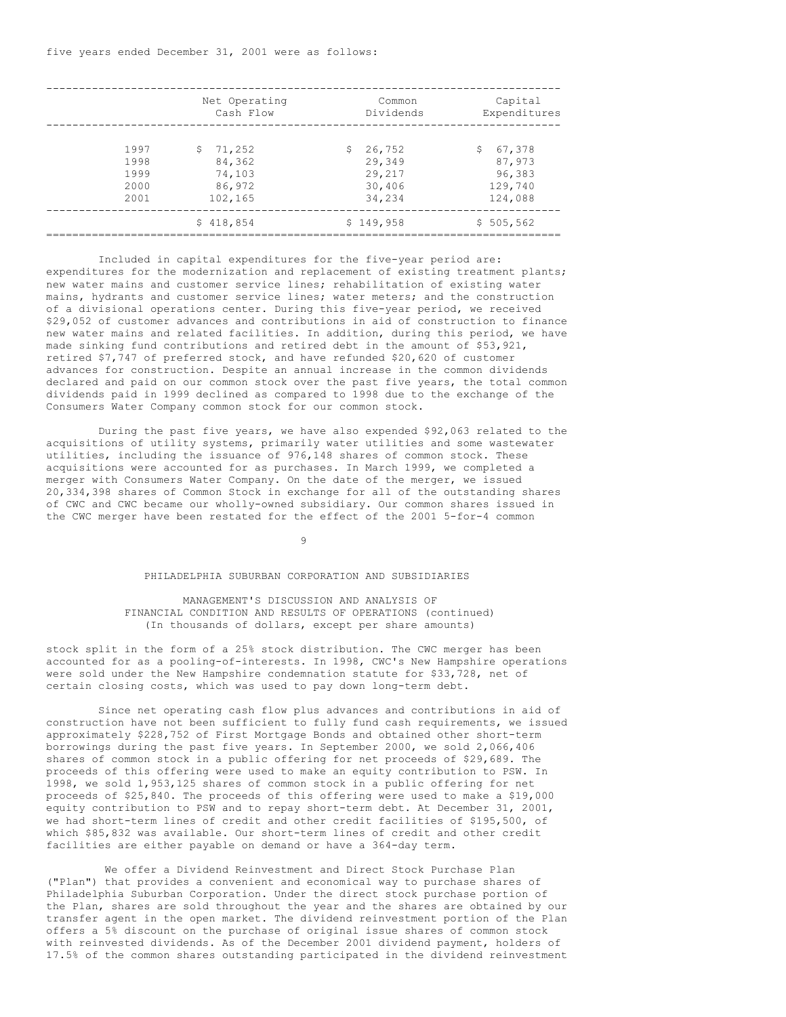|                                      | Net Operating<br>Cash Flow                            | Common<br>Dividends                                  | Capital<br>Expenditures                                |
|--------------------------------------|-------------------------------------------------------|------------------------------------------------------|--------------------------------------------------------|
| 1997<br>1998<br>1999<br>2000<br>2001 | 71,252<br>Ŝ.<br>84,362<br>74,103<br>86,972<br>102,165 | 26,752<br>S.<br>29,349<br>29,217<br>30,406<br>34,234 | 67,378<br>S.<br>87,973<br>96,383<br>129,740<br>124,088 |
|                                      | \$418,854                                             | \$149,958                                            | \$505,562                                              |

Included in capital expenditures for the five-year period are: expenditures for the modernization and replacement of existing treatment plants; new water mains and customer service lines; rehabilitation of existing water mains, hydrants and customer service lines; water meters; and the construction of a divisional operations center. During this five-year period, we received \$29,052 of customer advances and contributions in aid of construction to finance new water mains and related facilities. In addition, during this period, we have made sinking fund contributions and retired debt in the amount of \$53,921, retired \$7,747 of preferred stock, and have refunded \$20,620 of customer advances for construction. Despite an annual increase in the common dividends declared and paid on our common stock over the past five years, the total common dividends paid in 1999 declined as compared to 1998 due to the exchange of the Consumers Water Company common stock for our common stock.

During the past five years, we have also expended \$92,063 related to the acquisitions of utility systems, primarily water utilities and some wastewater utilities, including the issuance of 976,148 shares of common stock. These acquisitions were accounted for as purchases. In March 1999, we completed a merger with Consumers Water Company. On the date of the merger, we issued 20,334,398 shares of Common Stock in exchange for all of the outstanding shares of CWC and CWC became our wholly-owned subsidiary. Our common shares issued in the CWC merger have been restated for the effect of the 2001 5-for-4 common

9

#### PHILADELPHIA SUBURBAN CORPORATION AND SUBSIDIARIES

### MANAGEMENT'S DISCUSSION AND ANALYSIS OF FINANCIAL CONDITION AND RESULTS OF OPERATIONS (continued) (In thousands of dollars, except per share amounts)

stock split in the form of a 25% stock distribution. The CWC merger has been accounted for as a pooling-of-interests. In 1998, CWC's New Hampshire operations were sold under the New Hampshire condemnation statute for \$33,728, net of certain closing costs, which was used to pay down long-term debt.

Since net operating cash flow plus advances and contributions in aid of construction have not been sufficient to fully fund cash requirements, we issued approximately \$228,752 of First Mortgage Bonds and obtained other short-term borrowings during the past five years. In September 2000, we sold 2,066,406 shares of common stock in a public offering for net proceeds of \$29,689. The proceeds of this offering were used to make an equity contribution to PSW. In 1998, we sold 1,953,125 shares of common stock in a public offering for net proceeds of \$25,840. The proceeds of this offering were used to make a \$19,000 equity contribution to PSW and to repay short-term debt. At December 31, 2001, we had short-term lines of credit and other credit facilities of \$195,500, of which \$85,832 was available. Our short-term lines of credit and other credit facilities are either payable on demand or have a 364-day term.

We offer a Dividend Reinvestment and Direct Stock Purchase Plan ("Plan") that provides a convenient and economical way to purchase shares of Philadelphia Suburban Corporation. Under the direct stock purchase portion of the Plan, shares are sold throughout the year and the shares are obtained by our transfer agent in the open market. The dividend reinvestment portion of the Plan offers a 5% discount on the purchase of original issue shares of common stock with reinvested dividends. As of the December 2001 dividend payment, holders of 17.5% of the common shares outstanding participated in the dividend reinvestment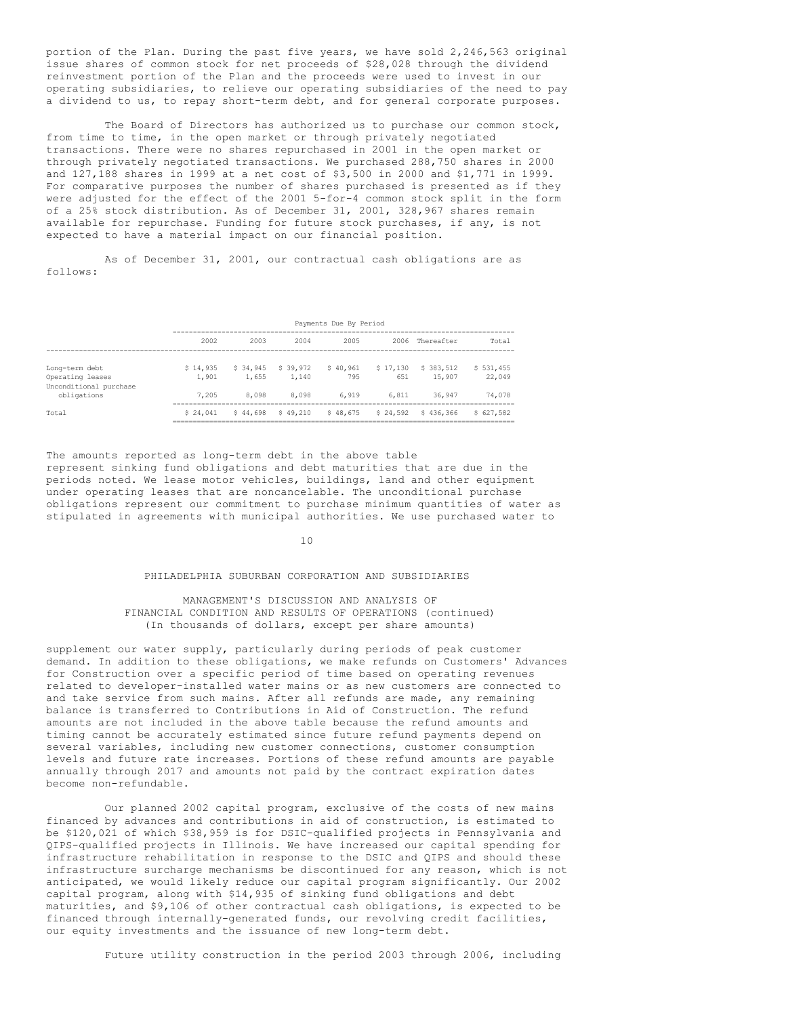portion of the Plan. During the past five years, we have sold 2,246,563 original issue shares of common stock for net proceeds of \$28,028 through the dividend reinvestment portion of the Plan and the proceeds were used to invest in our operating subsidiaries, to relieve our operating subsidiaries of the need to pay a dividend to us, to repay short-term debt, and for general corporate purposes.

The Board of Directors has authorized us to purchase our common stock, from time to time, in the open market or through privately negotiated transactions. There were no shares repurchased in 2001 in the open market or through privately negotiated transactions. We purchased 288,750 shares in 2000 and 127,188 shares in 1999 at a net cost of \$3,500 in 2000 and \$1,771 in 1999. For comparative purposes the number of shares purchased is presented as if they were adjusted for the effect of the 2001 5-for-4 common stock split in the form of a 25% stock distribution. As of December 31, 2001, 328,967 shares remain available for repurchase. Funding for future stock purchases, if any, is not expected to have a material impact on our financial position.

As of December 31, 2001, our contractual cash obligations are as follows:

|                                                              |                   | Payments Due By Period |                   |                 |                 |                      |                     |
|--------------------------------------------------------------|-------------------|------------------------|-------------------|-----------------|-----------------|----------------------|---------------------|
|                                                              | 2002              | 2003                   | 2004              | 2005            | 2006            | Thereafter           | Total               |
| Long-term debt<br>Operating leases<br>Unconditional purchase | \$14,935<br>1,901 | \$ 34,945<br>1,655     | \$39,972<br>1,140 | \$40.961<br>795 | \$17.130<br>651 | \$ 383,512<br>15,907 | \$531,455<br>22,049 |
| obligations                                                  | 7.205             | 8,098                  | 8,098             | 6,919           | 6,811           | 36,947               | 74,078              |
| Total                                                        | \$24.041          | \$44.698               | \$49.210          | \$48,675        | \$24,592        | \$436,366            | \$627,582           |

The amounts reported as long-term debt in the above table represent sinking fund obligations and debt maturities that are due in the periods noted. We lease motor vehicles, buildings, land and other equipment under operating leases that are noncancelable. The unconditional purchase obligations represent our commitment to purchase minimum quantities of water as stipulated in agreements with municipal authorities. We use purchased water to

### 10

#### PHILADELPHIA SUBURBAN CORPORATION AND SUBSIDIARIES

### MANAGEMENT'S DISCUSSION AND ANALYSIS OF FINANCIAL CONDITION AND RESULTS OF OPERATIONS (continued) (In thousands of dollars, except per share amounts)

supplement our water supply, particularly during periods of peak customer demand. In addition to these obligations, we make refunds on Customers' Advances for Construction over a specific period of time based on operating revenues related to developer-installed water mains or as new customers are connected to and take service from such mains. After all refunds are made, any remaining balance is transferred to Contributions in Aid of Construction. The refund amounts are not included in the above table because the refund amounts and timing cannot be accurately estimated since future refund payments depend on several variables, including new customer connections, customer consumption levels and future rate increases. Portions of these refund amounts are payable annually through 2017 and amounts not paid by the contract expiration dates become non-refundable.

Our planned 2002 capital program, exclusive of the costs of new mains financed by advances and contributions in aid of construction, is estimated to be \$120,021 of which \$38,959 is for DSIC-qualified projects in Pennsylvania and QIPS-qualified projects in Illinois. We have increased our capital spending for infrastructure rehabilitation in response to the DSIC and QIPS and should these infrastructure surcharge mechanisms be discontinued for any reason, which is not anticipated, we would likely reduce our capital program significantly. Our 2002 capital program, along with \$14,935 of sinking fund obligations and debt maturities, and \$9,106 of other contractual cash obligations, is expected to be financed through internally-generated funds, our revolving credit facilities, our equity investments and the issuance of new long-term debt.

Future utility construction in the period 2003 through 2006, including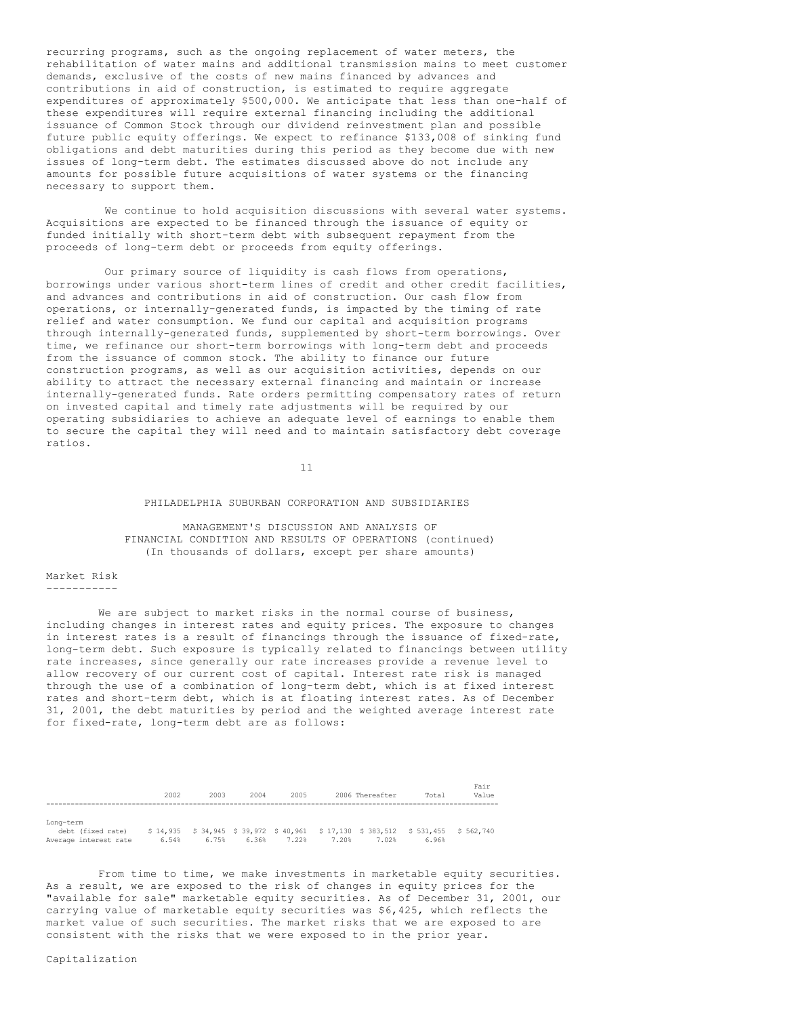recurring programs, such as the ongoing replacement of water meters, the rehabilitation of water mains and additional transmission mains to meet customer demands, exclusive of the costs of new mains financed by advances and contributions in aid of construction, is estimated to require aggregate expenditures of approximately \$500,000. We anticipate that less than one-half of these expenditures will require external financing including the additional issuance of Common Stock through our dividend reinvestment plan and possible future public equity offerings. We expect to refinance \$133,008 of sinking fund obligations and debt maturities during this period as they become due with new issues of long-term debt. The estimates discussed above do not include any amounts for possible future acquisitions of water systems or the financing necessary to support them.

We continue to hold acquisition discussions with several water systems. Acquisitions are expected to be financed through the issuance of equity or funded initially with short-term debt with subsequent repayment from the proceeds of long-term debt or proceeds from equity offerings.

Our primary source of liquidity is cash flows from operations, borrowings under various short-term lines of credit and other credit facilities, and advances and contributions in aid of construction. Our cash flow from operations, or internally-generated funds, is impacted by the timing of rate relief and water consumption. We fund our capital and acquisition programs through internally-generated funds, supplemented by short-term borrowings. Over time, we refinance our short-term borrowings with long-term debt and proceeds from the issuance of common stock. The ability to finance our future construction programs, as well as our acquisition activities, depends on our ability to attract the necessary external financing and maintain or increase internally-generated funds. Rate orders permitting compensatory rates of return on invested capital and timely rate adjustments will be required by our operating subsidiaries to achieve an adequate level of earnings to enable them to secure the capital they will need and to maintain satisfactory debt coverage ratios.

11

### PHILADELPHIA SUBURBAN CORPORATION AND SUBSIDIARIES

MANAGEMENT'S DISCUSSION AND ANALYSIS OF FINANCIAL CONDITION AND RESULTS OF OPERATIONS (continued) (In thousands of dollars, except per share amounts)

### Market Risk -----------

We are subject to market risks in the normal course of business, including changes in interest rates and equity prices. The exposure to changes in interest rates is a result of financings through the issuance of fixed-rate, long-term debt. Such exposure is typically related to financings between utility rate increases, since generally our rate increases provide a revenue level to allow recovery of our current cost of capital. Interest rate risk is managed through the use of a combination of long-term debt, which is at fixed interest rates and short-term debt, which is at floating interest rates. As of December 31, 2001, the debt maturities by period and the weighted average interest rate

|                       | 2002  | 2003  | 2004  | 2005  |       | 2006 Thereafter | Total                                                                      | Fair<br>Value |
|-----------------------|-------|-------|-------|-------|-------|-----------------|----------------------------------------------------------------------------|---------------|
| Long-term             |       |       |       |       |       |                 |                                                                            |               |
| debt (fixed rate)     |       |       |       |       |       |                 | \$14,935 \$34,945 \$39,972 \$40,961 \$17,130 \$383,512 \$531,455 \$562,740 |               |
| Average interest rate | 6.54% | 6.75% | 6.36% | 7.22% | 7.20% | 7.02%           | 6.96%                                                                      |               |

for fixed-rate, long-term debt are as follows:

From time to time, we make investments in marketable equity securities. As a result, we are exposed to the risk of changes in equity prices for the "available for sale" marketable equity securities. As of December 31, 2001, our carrying value of marketable equity securities was \$6,425, which reflects the market value of such securities. The market risks that we are exposed to are consistent with the risks that we were exposed to in the prior year.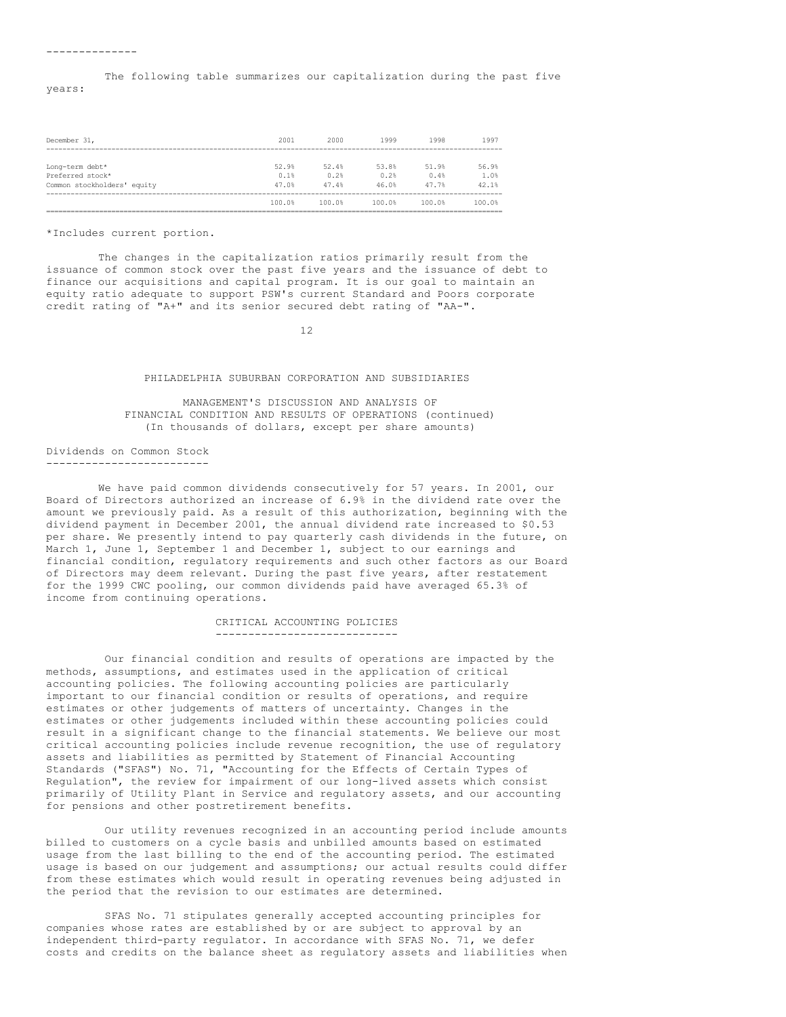The following table summarizes our capitalization during the past five years:

| December 31,                | 2001   | 2000   | 1999   | 1998   | 1997   |
|-----------------------------|--------|--------|--------|--------|--------|
|                             |        |        |        |        |        |
| Long-term debt*             | 52.9%  | 52.4%  | 53.8%  | 51.9%  | 56.9%  |
| Preferred stock*            | 0.1%   | 0.2%   | 0.2%   | 0.4%   | 1.0%   |
| Common stockholders' equity | 47.0%  | 47.4%  | 46.0%  | 47.7%  | 42.1%  |
|                             | 100.0% | 100.0% | 100.0% | 100.0% | 100.0% |
|                             |        |        |        |        |        |

\*Includes current portion.

The changes in the capitalization ratios primarily result from the issuance of common stock over the past five years and the issuance of debt to finance our acquisitions and capital program. It is our goal to maintain an equity ratio adequate to support PSW's current Standard and Poors corporate credit rating of "A+" and its senior secured debt rating of "AA-".

12

#### PHILADELPHIA SUBURBAN CORPORATION AND SUBSIDIARIES

MANAGEMENT'S DISCUSSION AND ANALYSIS OF FINANCIAL CONDITION AND RESULTS OF OPERATIONS (continued) (In thousands of dollars, except per share amounts)

# Dividends on Common Stock

-------------------------

We have paid common dividends consecutively for 57 years. In 2001, our Board of Directors authorized an increase of 6.9% in the dividend rate over the amount we previously paid. As a result of this authorization, beginning with the dividend payment in December 2001, the annual dividend rate increased to \$0.53 per share. We presently intend to pay quarterly cash dividends in the future, on March 1, June 1, September 1 and December 1, subject to our earnings and financial condition, regulatory requirements and such other factors as our Board of Directors may deem relevant. During the past five years, after restatement for the 1999 CWC pooling, our common dividends paid have averaged 65.3% of income from continuing operations.

> CRITICAL ACCOUNTING POLICIES ----------------------------

Our financial condition and results of operations are impacted by the methods, assumptions, and estimates used in the application of critical accounting policies. The following accounting policies are particularly important to our financial condition or results of operations, and require estimates or other judgements of matters of uncertainty. Changes in the estimates or other judgements included within these accounting policies could result in a significant change to the financial statements. We believe our most critical accounting policies include revenue recognition, the use of regulatory assets and liabilities as permitted by Statement of Financial Accounting Standards ("SFAS") No. 71, "Accounting for the Effects of Certain Types of Regulation", the review for impairment of our long-lived assets which consist primarily of Utility Plant in Service and regulatory assets, and our accounting for pensions and other postretirement benefits.

Our utility revenues recognized in an accounting period include amounts billed to customers on a cycle basis and unbilled amounts based on estimated usage from the last billing to the end of the accounting period. The estimated usage is based on our judgement and assumptions; our actual results could differ from these estimates which would result in operating revenues being adjusted in the period that the revision to our estimates are determined.

SFAS No. 71 stipulates generally accepted accounting principles for companies whose rates are established by or are subject to approval by an independent third-party regulator. In accordance with SFAS No. 71, we defer costs and credits on the balance sheet as regulatory assets and liabilities when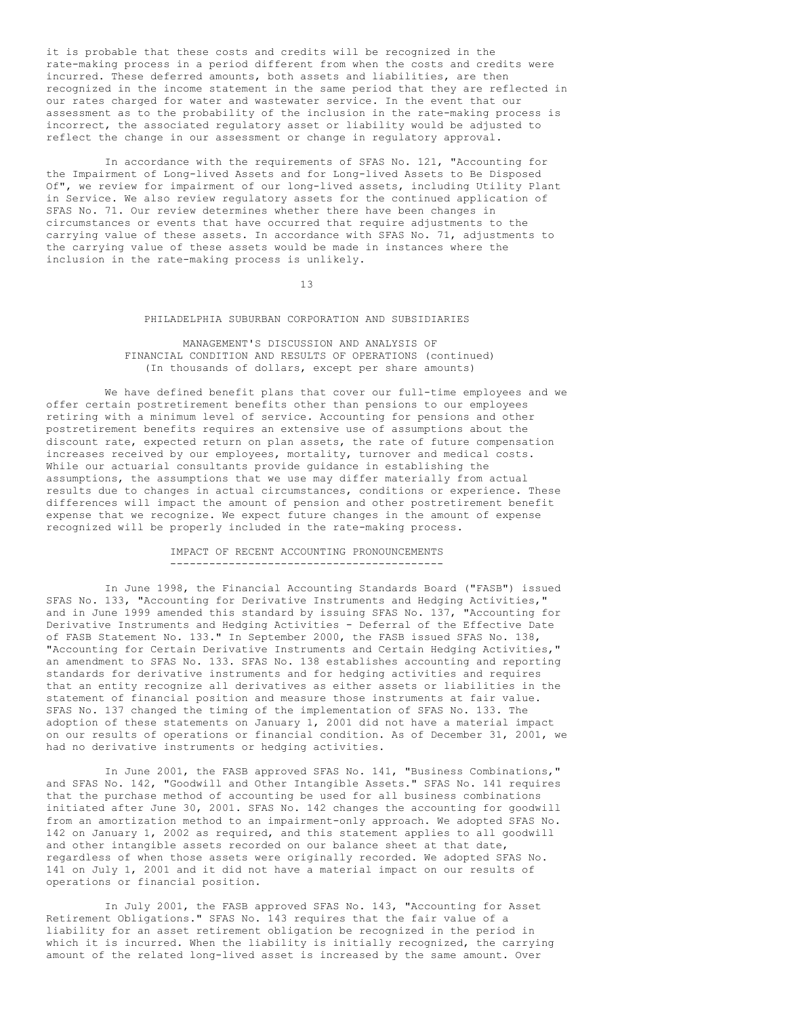it is probable that these costs and credits will be recognized in the rate-making process in a period different from when the costs and credits were incurred. These deferred amounts, both assets and liabilities, are then recognized in the income statement in the same period that they are reflected in our rates charged for water and wastewater service. In the event that our assessment as to the probability of the inclusion in the rate-making process is incorrect, the associated regulatory asset or liability would be adjusted to reflect the change in our assessment or change in regulatory approval.

In accordance with the requirements of SFAS No. 121, "Accounting for the Impairment of Long-lived Assets and for Long-lived Assets to Be Disposed Of", we review for impairment of our long-lived assets, including Utility Plant in Service. We also review regulatory assets for the continued application of SFAS No. 71. Our review determines whether there have been changes in circumstances or events that have occurred that require adjustments to the carrying value of these assets. In accordance with SFAS No. 71, adjustments to the carrying value of these assets would be made in instances where the inclusion in the rate-making process is unlikely.

13

## PHILADELPHIA SUBURBAN CORPORATION AND SUBSIDIARIES

### MANAGEMENT'S DISCUSSION AND ANALYSIS OF FINANCIAL CONDITION AND RESULTS OF OPERATIONS (continued) (In thousands of dollars, except per share amounts)

We have defined benefit plans that cover our full-time employees and we offer certain postretirement benefits other than pensions to our employees retiring with a minimum level of service. Accounting for pensions and other postretirement benefits requires an extensive use of assumptions about the discount rate, expected return on plan assets, the rate of future compensation increases received by our employees, mortality, turnover and medical costs. While our actuarial consultants provide guidance in establishing the assumptions, the assumptions that we use may differ materially from actual results due to changes in actual circumstances, conditions or experience. These differences will impact the amount of pension and other postretirement benefit expense that we recognize. We expect future changes in the amount of expense recognized will be properly included in the rate-making process.

### IMPACT OF RECENT ACCOUNTING PRONOUNCEMENTS ------------------------------------------

In June 1998, the Financial Accounting Standards Board ("FASB") issued SFAS No. 133, "Accounting for Derivative Instruments and Hedging Activities," and in June 1999 amended this standard by issuing SFAS No. 137, "Accounting for Derivative Instruments and Hedging Activities - Deferral of the Effective Date of FASB Statement No. 133." In September 2000, the FASB issued SFAS No. 138, "Accounting for Certain Derivative Instruments and Certain Hedging Activities," an amendment to SFAS No. 133. SFAS No. 138 establishes accounting and reporting standards for derivative instruments and for hedging activities and requires that an entity recognize all derivatives as either assets or liabilities in the statement of financial position and measure those instruments at fair value. SFAS No. 137 changed the timing of the implementation of SFAS No. 133. The adoption of these statements on January 1, 2001 did not have a material impact on our results of operations or financial condition. As of December 31, 2001, we had no derivative instruments or hedging activities.

In June 2001, the FASB approved SFAS No. 141, "Business Combinations," and SFAS No. 142, "Goodwill and Other Intangible Assets." SFAS No. 141 requires that the purchase method of accounting be used for all business combinations initiated after June 30, 2001. SFAS No. 142 changes the accounting for goodwill from an amortization method to an impairment-only approach. We adopted SFAS No. 142 on January 1, 2002 as required, and this statement applies to all goodwill and other intangible assets recorded on our balance sheet at that date, regardless of when those assets were originally recorded. We adopted SFAS No. 141 on July 1, 2001 and it did not have a material impact on our results of operations or financial position.

In July 2001, the FASB approved SFAS No. 143, "Accounting for Asset Retirement Obligations." SFAS No. 143 requires that the fair value of a liability for an asset retirement obligation be recognized in the period in which it is incurred. When the liability is initially recognized, the carrying amount of the related long-lived asset is increased by the same amount. Over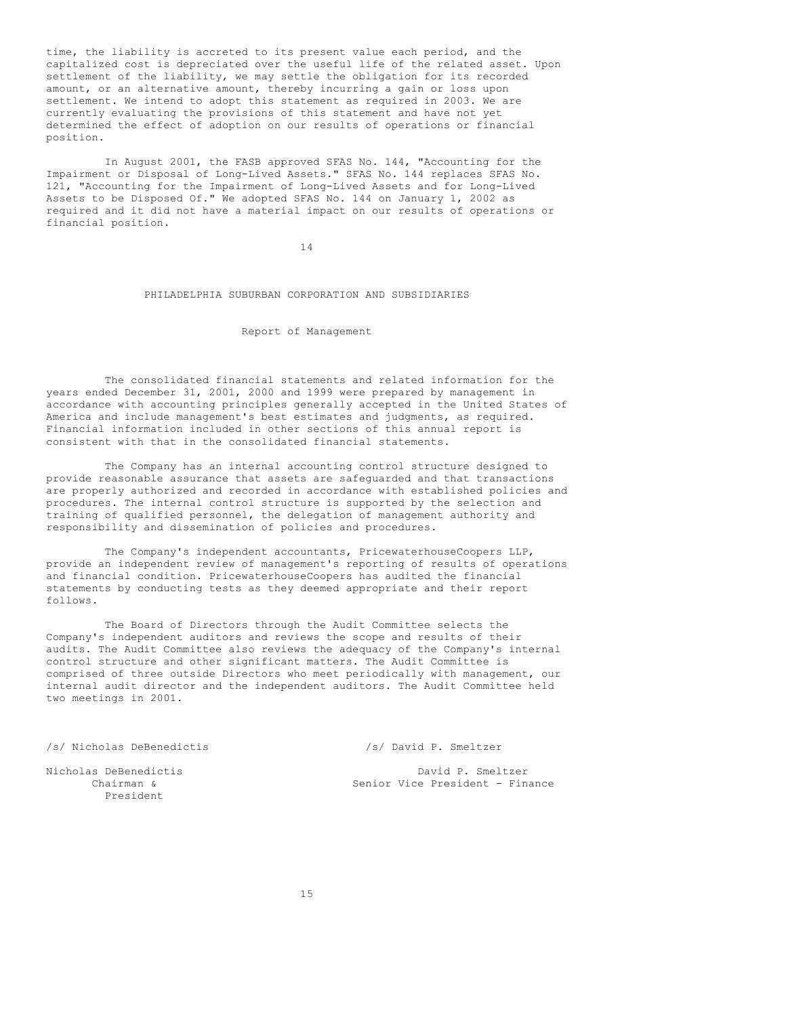time, the liability is accreted to its present value each period, and the capitalized cost is depreciated over the useful life of the related asset. Upon settlement of the liability, we may settle the obligation for its recorded amount, or an alternative amount, thereby incurring a gain or loss upon settlement. We intend to adopt this statement as required in 2003. We are currently evaluating the provisions of this statement and have not yet determined the effect of adoption on our results of operations or financial position.

In August 2001, the FASB approved SFAS No. 144, "Accounting for the Impairment or Disposal of Long-Lived Assets." SFAS No. 144 replaces SFAS No. 121, "Accounting for the Impairment of Long-Lived Assets and for Long-Lived Assets to be Disposed Of." We adopted SFAS No. 144 on January 1, 2002 as required and it did not have a material impact on our results of operations or financial position.

14

## PHILADELPHIA SUBURBAN CORPORATION AND SUBSIDIARIES

### Report of Management

The consolidated financial statements and related information for the years ended December 31, 2001, 2000 and 1999 were prepared by management in accordance with accounting principles generally accepted in the United States of America and include management's best estimates and judgments, as required. Financial information included in other sections of this annual report is consistent with that in the consolidated financial statements.

The Company has an internal accounting control structure designed to provide reasonable assurance that assets are safeguarded and that transactions are properly authorized and recorded in accordance with established policies and procedures. The internal control structure is supported by the selection and training of qualified personnel, the delegation of management authority and responsibility and dissemination of policies and procedures.

The Company's independent accountants, PricewaterhouseCoopers LLP, provide an independent review of management's reporting of results of operations and financial condition. PricewaterhouseCoopers has audited the financial statements by conducting tests as they deemed appropriate and their report follows.

The Board of Directors through the Audit Committee selects the Company's independent auditors and reviews the scope and results of their audits. The Audit Committee also reviews the adequacy of the Company's internal control structure and other significant matters. The Audit Committee is comprised of three outside Directors who meet periodically with management, our internal audit director and the independent auditors. The Audit Committee held two meetings in 2001.

/s/ Nicholas DeBenedictis /s/ David P. Smeltzer

President

Nicholas DeBenedictis and David P. Smeltzer<br>Chairman & Senior Vice President - Fin Senior Vice President - Finance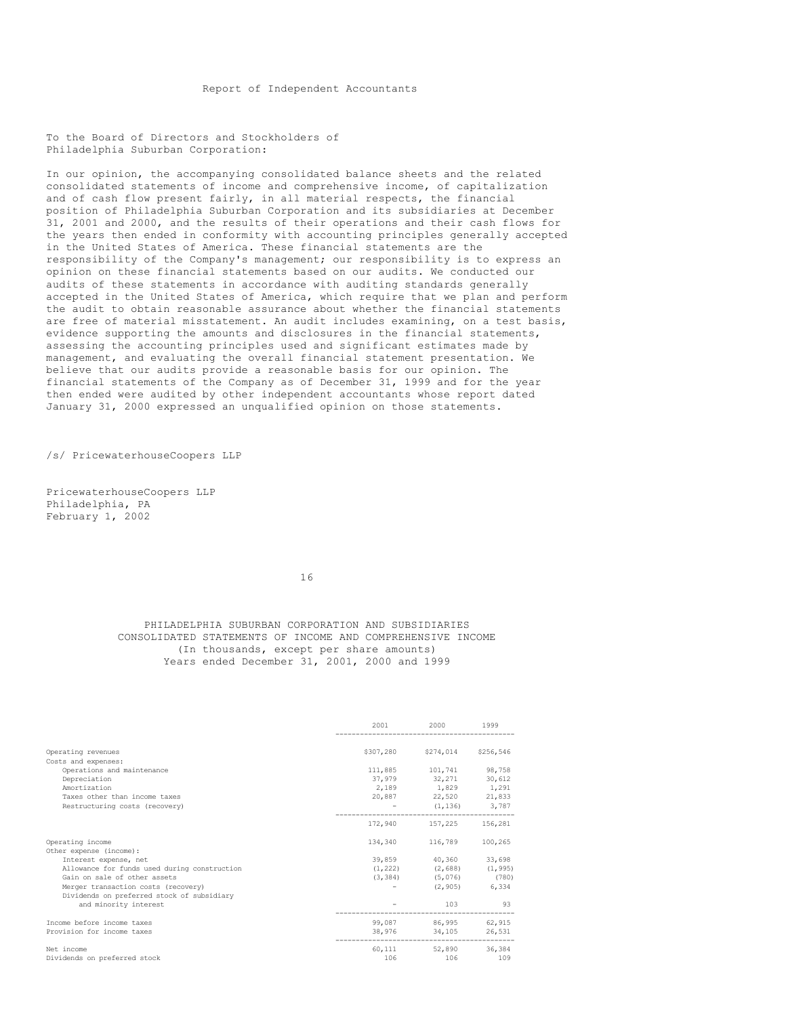Report of Independent Accountants

To the Board of Directors and Stockholders of Philadelphia Suburban Corporation:

In our opinion, the accompanying consolidated balance sheets and the related consolidated statements of income and comprehensive income, of capitalization and of cash flow present fairly, in all material respects, the financial position of Philadelphia Suburban Corporation and its subsidiaries at December 31, 2001 and 2000, and the results of their operations and their cash flows for the years then ended in conformity with accounting principles generally accepted in the United States of America. These financial statements are the responsibility of the Company's management; our responsibility is to express an opinion on these financial statements based on our audits. We conducted our audits of these statements in accordance with auditing standards generally accepted in the United States of America, which require that we plan and perform the audit to obtain reasonable assurance about whether the financial statements are free of material misstatement. An audit includes examining, on a test basis, evidence supporting the amounts and disclosures in the financial statements, assessing the accounting principles used and significant estimates made by management, and evaluating the overall financial statement presentation. We believe that our audits provide a reasonable basis for our opinion. The financial statements of the Company as of December 31, 1999 and for the year then ended were audited by other independent accountants whose report dated January 31, 2000 expressed an unqualified opinion on those statements.

/s/ PricewaterhouseCoopers LLP

PricewaterhouseCoopers LLP Philadelphia, PA February 1, 2002

16

PHILADELPHIA SUBURBAN CORPORATION AND SUBSIDIARIES CONSOLIDATED STATEMENTS OF INCOME AND COMPREHENSIVE INCOME (In thousands, except per share amounts) Years ended December 31, 2001, 2000 and 1999

|                                                                                                                                                                                                                     | 2001      | 2000 1999                                                                                                 |                 |
|---------------------------------------------------------------------------------------------------------------------------------------------------------------------------------------------------------------------|-----------|-----------------------------------------------------------------------------------------------------------|-----------------|
| Operating revenues<br>Costs and expenses:                                                                                                                                                                           | \$307,280 | \$274,014                                                                                                 | \$256,546       |
| Operations and maintenance<br>Depreciation<br>Amortization<br>Taxes other than income taxes                                                                                                                         |           | 111,885 101,741 98,758<br>37,979 32,271<br>2,189 1,829 1,291<br>20,887 22,520 21,833                      | 30,612          |
| Restructuring costs (recovery)                                                                                                                                                                                      |           | $-$ (1,136) 3,787<br>172,940 157,225 156,281                                                              |                 |
| Operating income<br>Other expense (income):                                                                                                                                                                         |           | 134,340 116,789 100,265                                                                                   |                 |
| Interest expense, net<br>Allowance for funds used during construction<br>Gain on sale of other assets<br>Merger transaction costs (recovery)<br>Dividends on preferred stock of subsidiary<br>and minority interest |           | 39,859 40,360<br>$(1, 222)$ $(2, 688)$ $(1, 995)$<br>$(3, 384)$ $(5, 076)$<br>$-$ (2,905) 6,334<br>103 93 | 33,698<br>(780) |
| Income before income taxes<br>Provision for income taxes                                                                                                                                                            |           | 99.087 86.995 62.915<br>38,976 34,105 26,531                                                              |                 |
| Net income<br>Dividends on preferred stock                                                                                                                                                                          | 106       | 60,111 52,890 36,384<br>106                                                                               | 109             |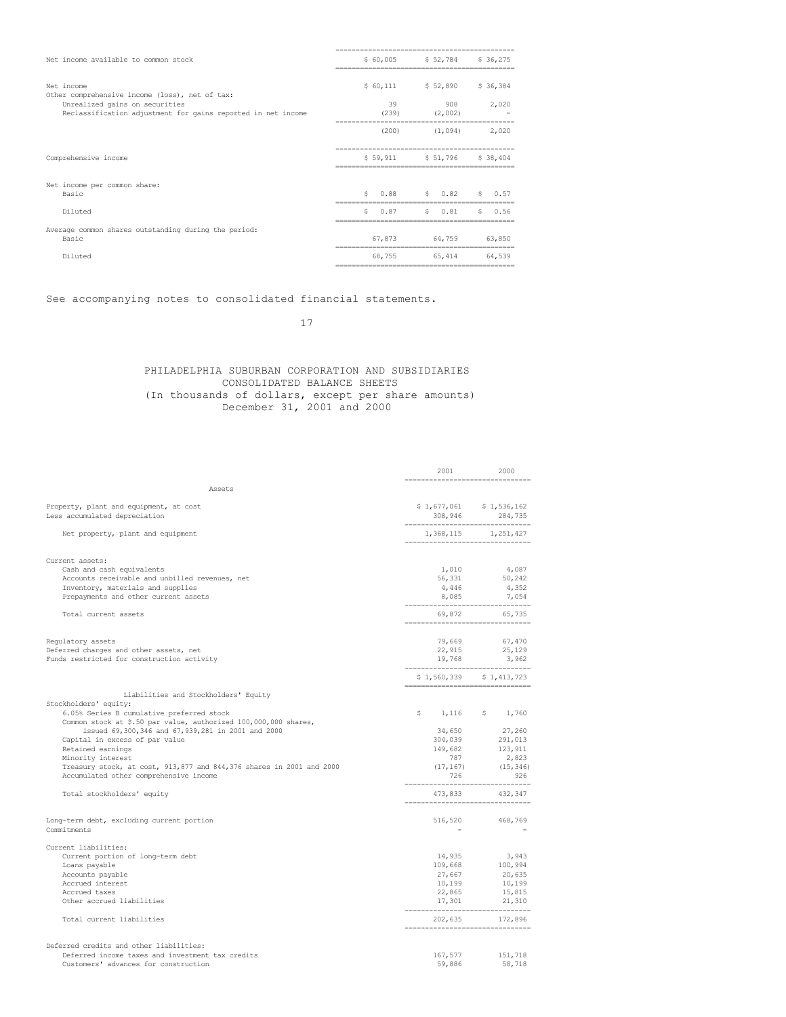| Net income available to common stock                                                           | \$60,005   | $$52,784$ $$36,275$        |            |
|------------------------------------------------------------------------------------------------|------------|----------------------------|------------|
| Net income<br>Other comprehensive income (loss), net of tax:                                   |            | $$60,111$ $$52,890$        | \$36,384   |
| Unrealized gains on securities<br>Reclassification adjustment for gains reported in net income | 39         | $(239)$ $(2,002)$          | 908 2,020  |
|                                                                                                |            | $(200)$ $(1,094)$          | 2,020      |
| Comprehensive income                                                                           |            | \$59,911 \$51,796 \$38,404 |            |
| Net income per common share:<br>Basic                                                          | S.         | $0.88$ $5$ $0.82$          | $S = 0.57$ |
| Diluted                                                                                        | 0.87<br>S. | \$0.81                     | \$0.56     |
| Average common shares outstanding during the period:<br>Basic                                  | 67,873     | 64,759                     | 63,850     |
| Diluted                                                                                        | 68,755     | 65,414                     | 64,539     |

See accompanying notes to consolidated financial statements.

17

## PHILADELPHIA SUBURBAN CORPORATION AND SUBSIDIARIES CONSOLIDATED BALANCE SHEETS (In thousands of dollars, except per share amounts) December 31, 2001 and 2000

|                                                                                                                                                                                                                                                                                                                                                                                          | 2001<br>------------------------                                                  | 2000                                                                                                      |
|------------------------------------------------------------------------------------------------------------------------------------------------------------------------------------------------------------------------------------------------------------------------------------------------------------------------------------------------------------------------------------------|-----------------------------------------------------------------------------------|-----------------------------------------------------------------------------------------------------------|
| Assets                                                                                                                                                                                                                                                                                                                                                                                   |                                                                                   |                                                                                                           |
| Property, plant and equipment, at cost<br>Less accumulated depreciation                                                                                                                                                                                                                                                                                                                  | --------------------------------                                                  | $$1,677,061$ $$1,536,162$<br>308,946 284,735                                                              |
| Net property, plant and equipment                                                                                                                                                                                                                                                                                                                                                        | --------------------------------                                                  | 1,368,115 1,251,427                                                                                       |
| Current assets:<br>Cash and cash equivalents<br>Accounts receivable and unbilled revenues, net<br>Inventory, materials and supplies<br>Prepayments and other current assets<br>Total current assets                                                                                                                                                                                      | 1,010<br>56,331<br>4,446                                                          | 4,087<br>50,242<br>4,352<br>$\frac{4,446}{8,085}$ $\frac{4,332}{7,054}$<br>69,872 65,735                  |
| Requlatory assets<br>Deferred charges and other assets, net<br>Funds restricted for construction activity                                                                                                                                                                                                                                                                                | 19,768<br>__________________________________                                      | 79,669 67,470<br>22,915 25,129<br>3,962<br>\$1,560,339 \$1,413,723                                        |
| Liabilities and Stockholders' Equity                                                                                                                                                                                                                                                                                                                                                     |                                                                                   |                                                                                                           |
| Stockholders' equity:<br>6.05% Series B cumulative preferred stock<br>Common stock at \$.50 par value, authorized 100,000,000 shares,<br>issued 69,300,346 and 67,939,281 in 2001 and 2000<br>Capital in excess of par value<br>Retained earnings<br>Minority interest<br>Treasury stock, at cost, 913,877 and 844,376 shares in 2001 and 2000<br>Accumulated other comprehensive income | 787<br>(17, 167)<br>726                                                           | $$1,116$ $$1,760$<br>34,650 $27,260$<br>304,039 $291,013$<br>149,682 123,911<br>2,823<br>(15, 346)<br>926 |
| Total stockholders' equity                                                                                                                                                                                                                                                                                                                                                               | 473,833                                                                           | 432,347                                                                                                   |
| Long-term debt, excluding current portion<br>Commitments                                                                                                                                                                                                                                                                                                                                 |                                                                                   | 516,520 468,769                                                                                           |
| Current liabilities:<br>Current portion of long-term debt<br>Loans payable<br>Accounts payable<br>Accrued interest<br>Accrued taxes<br>Other accrued liabilities<br>Total current liabilities                                                                                                                                                                                            | 14,935<br>109,668<br>27,667<br>10,199<br>22,865<br>------------------------------ | 3,943<br>3,943<br>100,994<br>20,635<br>10,199<br>15,815<br>$17,301$ $21,310$<br>202,635 172,896           |
| Deferred credits and other liabilities:<br>Deferred income taxes and investment tax credits<br>Customers' advances for construction                                                                                                                                                                                                                                                      | 59,886                                                                            | 167,577 151,718<br>58,718                                                                                 |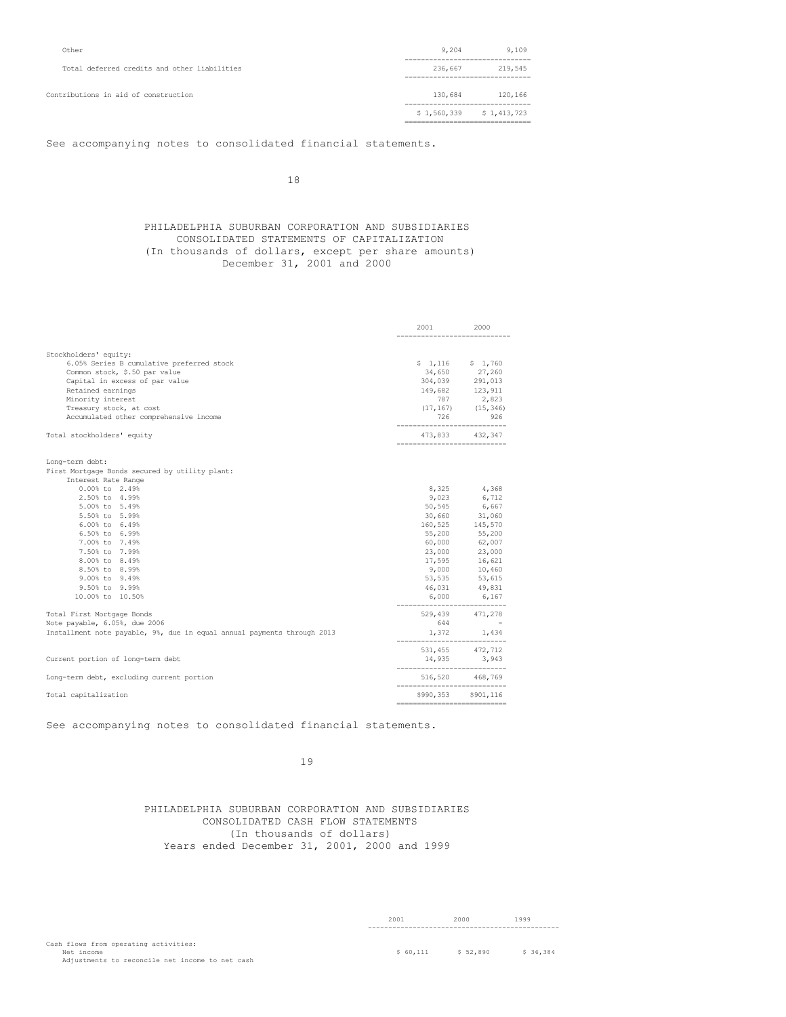| Other                                        | 9,204                                          | 9,109       |
|----------------------------------------------|------------------------------------------------|-------------|
| Total deferred credits and other liabilities | 236,667                                        | 219,545     |
| Contributions in aid of construction         | 130,684                                        | 120,166     |
|                                              | \$1,560,339<br>------------------------------- | \$1,413,723 |

See accompanying notes to consolidated financial statements.

18

## PHILADELPHIA SUBURBAN CORPORATION AND SUBSIDIARIES CONSOLIDATED STATEMENTS OF CAPITALIZATION (In thousands of dollars, except per share amounts) December 31, 2001 and 2000

| Stockholders' equity:<br>$$1,116$ $$1,760$<br>6.05% Series B cumulative preferred stock<br>34,650 27,260<br>Common stock, \$.50 par value<br>304,039 291,013<br>Capital in excess of par value<br>149,682 123,911<br>Retained earnings<br>2,823<br>Minority interest<br>787<br>$(17, 167)$ $(15, 346)$<br>Treasury stock, at cost<br>Accumulated other comprehensive income<br>726 926<br>Total stockholders' equity<br>473,833 432,347<br>----------------<br>Long-term debt:<br>First Mortgage Bonds secured by utility plant:<br>Interest Rate Range<br>0.00% to 2.49%<br>8,325 4,368<br>6,712<br>2.50% to 4.99%<br>9,023<br>50,545 6,667<br>5.00% to 5.49%<br>5.50% to 5.99%<br>30,660 31,060<br>160,525 145,570<br>6.00% to 6.49%<br>55,200 55,200<br>6.50% to 6.99%<br>7.00% to 7.49%<br>60,000 62,007<br>7.50% to 7.99%<br>23,000 23,000<br>17,595 16,621<br>8.00% to 8.49%<br>9,000 10,460<br>8.50% to 8.99%<br>9.00% to 9.49%<br>53,535<br>53,615<br>9.50% to 9.99%<br>46,031<br>49,831<br>6,000 6,167<br>10.00% to 10.50%<br>$529,439$ $471,278$<br>644 -<br>Total First Mortgage Bonds<br>Note payable, 6.05%, due 2006<br>$1,372$ 1,434<br>Installment note payable, 9%, due in equal annual payments through 2013<br>531,455 472,712<br>14,935 3,943<br>----------------------------<br>516,520 468,769<br>Long-term debt, excluding current portion<br>\$990,353 \$901,116<br>Total capitalization |                                   | 2001 2000 |  |
|------------------------------------------------------------------------------------------------------------------------------------------------------------------------------------------------------------------------------------------------------------------------------------------------------------------------------------------------------------------------------------------------------------------------------------------------------------------------------------------------------------------------------------------------------------------------------------------------------------------------------------------------------------------------------------------------------------------------------------------------------------------------------------------------------------------------------------------------------------------------------------------------------------------------------------------------------------------------------------------------------------------------------------------------------------------------------------------------------------------------------------------------------------------------------------------------------------------------------------------------------------------------------------------------------------------------------------------------------------------------------------------------------------------|-----------------------------------|-----------|--|
|                                                                                                                                                                                                                                                                                                                                                                                                                                                                                                                                                                                                                                                                                                                                                                                                                                                                                                                                                                                                                                                                                                                                                                                                                                                                                                                                                                                                                  |                                   |           |  |
|                                                                                                                                                                                                                                                                                                                                                                                                                                                                                                                                                                                                                                                                                                                                                                                                                                                                                                                                                                                                                                                                                                                                                                                                                                                                                                                                                                                                                  |                                   |           |  |
|                                                                                                                                                                                                                                                                                                                                                                                                                                                                                                                                                                                                                                                                                                                                                                                                                                                                                                                                                                                                                                                                                                                                                                                                                                                                                                                                                                                                                  |                                   |           |  |
|                                                                                                                                                                                                                                                                                                                                                                                                                                                                                                                                                                                                                                                                                                                                                                                                                                                                                                                                                                                                                                                                                                                                                                                                                                                                                                                                                                                                                  |                                   |           |  |
|                                                                                                                                                                                                                                                                                                                                                                                                                                                                                                                                                                                                                                                                                                                                                                                                                                                                                                                                                                                                                                                                                                                                                                                                                                                                                                                                                                                                                  |                                   |           |  |
|                                                                                                                                                                                                                                                                                                                                                                                                                                                                                                                                                                                                                                                                                                                                                                                                                                                                                                                                                                                                                                                                                                                                                                                                                                                                                                                                                                                                                  |                                   |           |  |
|                                                                                                                                                                                                                                                                                                                                                                                                                                                                                                                                                                                                                                                                                                                                                                                                                                                                                                                                                                                                                                                                                                                                                                                                                                                                                                                                                                                                                  |                                   |           |  |
|                                                                                                                                                                                                                                                                                                                                                                                                                                                                                                                                                                                                                                                                                                                                                                                                                                                                                                                                                                                                                                                                                                                                                                                                                                                                                                                                                                                                                  |                                   |           |  |
|                                                                                                                                                                                                                                                                                                                                                                                                                                                                                                                                                                                                                                                                                                                                                                                                                                                                                                                                                                                                                                                                                                                                                                                                                                                                                                                                                                                                                  |                                   |           |  |
|                                                                                                                                                                                                                                                                                                                                                                                                                                                                                                                                                                                                                                                                                                                                                                                                                                                                                                                                                                                                                                                                                                                                                                                                                                                                                                                                                                                                                  |                                   |           |  |
|                                                                                                                                                                                                                                                                                                                                                                                                                                                                                                                                                                                                                                                                                                                                                                                                                                                                                                                                                                                                                                                                                                                                                                                                                                                                                                                                                                                                                  |                                   |           |  |
|                                                                                                                                                                                                                                                                                                                                                                                                                                                                                                                                                                                                                                                                                                                                                                                                                                                                                                                                                                                                                                                                                                                                                                                                                                                                                                                                                                                                                  |                                   |           |  |
|                                                                                                                                                                                                                                                                                                                                                                                                                                                                                                                                                                                                                                                                                                                                                                                                                                                                                                                                                                                                                                                                                                                                                                                                                                                                                                                                                                                                                  |                                   |           |  |
|                                                                                                                                                                                                                                                                                                                                                                                                                                                                                                                                                                                                                                                                                                                                                                                                                                                                                                                                                                                                                                                                                                                                                                                                                                                                                                                                                                                                                  |                                   |           |  |
|                                                                                                                                                                                                                                                                                                                                                                                                                                                                                                                                                                                                                                                                                                                                                                                                                                                                                                                                                                                                                                                                                                                                                                                                                                                                                                                                                                                                                  |                                   |           |  |
|                                                                                                                                                                                                                                                                                                                                                                                                                                                                                                                                                                                                                                                                                                                                                                                                                                                                                                                                                                                                                                                                                                                                                                                                                                                                                                                                                                                                                  |                                   |           |  |
|                                                                                                                                                                                                                                                                                                                                                                                                                                                                                                                                                                                                                                                                                                                                                                                                                                                                                                                                                                                                                                                                                                                                                                                                                                                                                                                                                                                                                  |                                   |           |  |
|                                                                                                                                                                                                                                                                                                                                                                                                                                                                                                                                                                                                                                                                                                                                                                                                                                                                                                                                                                                                                                                                                                                                                                                                                                                                                                                                                                                                                  |                                   |           |  |
|                                                                                                                                                                                                                                                                                                                                                                                                                                                                                                                                                                                                                                                                                                                                                                                                                                                                                                                                                                                                                                                                                                                                                                                                                                                                                                                                                                                                                  |                                   |           |  |
|                                                                                                                                                                                                                                                                                                                                                                                                                                                                                                                                                                                                                                                                                                                                                                                                                                                                                                                                                                                                                                                                                                                                                                                                                                                                                                                                                                                                                  |                                   |           |  |
|                                                                                                                                                                                                                                                                                                                                                                                                                                                                                                                                                                                                                                                                                                                                                                                                                                                                                                                                                                                                                                                                                                                                                                                                                                                                                                                                                                                                                  |                                   |           |  |
|                                                                                                                                                                                                                                                                                                                                                                                                                                                                                                                                                                                                                                                                                                                                                                                                                                                                                                                                                                                                                                                                                                                                                                                                                                                                                                                                                                                                                  |                                   |           |  |
|                                                                                                                                                                                                                                                                                                                                                                                                                                                                                                                                                                                                                                                                                                                                                                                                                                                                                                                                                                                                                                                                                                                                                                                                                                                                                                                                                                                                                  |                                   |           |  |
|                                                                                                                                                                                                                                                                                                                                                                                                                                                                                                                                                                                                                                                                                                                                                                                                                                                                                                                                                                                                                                                                                                                                                                                                                                                                                                                                                                                                                  |                                   |           |  |
|                                                                                                                                                                                                                                                                                                                                                                                                                                                                                                                                                                                                                                                                                                                                                                                                                                                                                                                                                                                                                                                                                                                                                                                                                                                                                                                                                                                                                  |                                   |           |  |
|                                                                                                                                                                                                                                                                                                                                                                                                                                                                                                                                                                                                                                                                                                                                                                                                                                                                                                                                                                                                                                                                                                                                                                                                                                                                                                                                                                                                                  |                                   |           |  |
|                                                                                                                                                                                                                                                                                                                                                                                                                                                                                                                                                                                                                                                                                                                                                                                                                                                                                                                                                                                                                                                                                                                                                                                                                                                                                                                                                                                                                  |                                   |           |  |
|                                                                                                                                                                                                                                                                                                                                                                                                                                                                                                                                                                                                                                                                                                                                                                                                                                                                                                                                                                                                                                                                                                                                                                                                                                                                                                                                                                                                                  |                                   |           |  |
|                                                                                                                                                                                                                                                                                                                                                                                                                                                                                                                                                                                                                                                                                                                                                                                                                                                                                                                                                                                                                                                                                                                                                                                                                                                                                                                                                                                                                  |                                   |           |  |
|                                                                                                                                                                                                                                                                                                                                                                                                                                                                                                                                                                                                                                                                                                                                                                                                                                                                                                                                                                                                                                                                                                                                                                                                                                                                                                                                                                                                                  |                                   |           |  |
|                                                                                                                                                                                                                                                                                                                                                                                                                                                                                                                                                                                                                                                                                                                                                                                                                                                                                                                                                                                                                                                                                                                                                                                                                                                                                                                                                                                                                  |                                   |           |  |
|                                                                                                                                                                                                                                                                                                                                                                                                                                                                                                                                                                                                                                                                                                                                                                                                                                                                                                                                                                                                                                                                                                                                                                                                                                                                                                                                                                                                                  | Current portion of long-term debt |           |  |
|                                                                                                                                                                                                                                                                                                                                                                                                                                                                                                                                                                                                                                                                                                                                                                                                                                                                                                                                                                                                                                                                                                                                                                                                                                                                                                                                                                                                                  |                                   |           |  |
|                                                                                                                                                                                                                                                                                                                                                                                                                                                                                                                                                                                                                                                                                                                                                                                                                                                                                                                                                                                                                                                                                                                                                                                                                                                                                                                                                                                                                  |                                   |           |  |

See accompanying notes to consolidated financial statements.

# 19

PHILADELPHIA SUBURBAN CORPORATION AND SUBSIDIARIES CONSOLIDATED CASH FLOW STATEMENTS (In thousands of dollars) Years ended December 31, 2001, 2000 and 1999

2001 2000 1999 -----------------------------------------------

Cash flows from operating activities: Net income \$ 52,890 \$ 36,384 \$ 52,890 \$ 36,384 \$ 52,890 \$ 36,384 \$ 52,890 \$ 36,384 \$ 36,384 \$ 36,384 \$ 36,384 \$ 36,384 \$ 36,384 \$ 36,384 \$ 36,384 \$ 52,890 \$ 36,384 \$ 52,890 \$ 36,384 \$ 52,890 \$ 36,384 \$ 52,890 \$ 52,890 \$ 52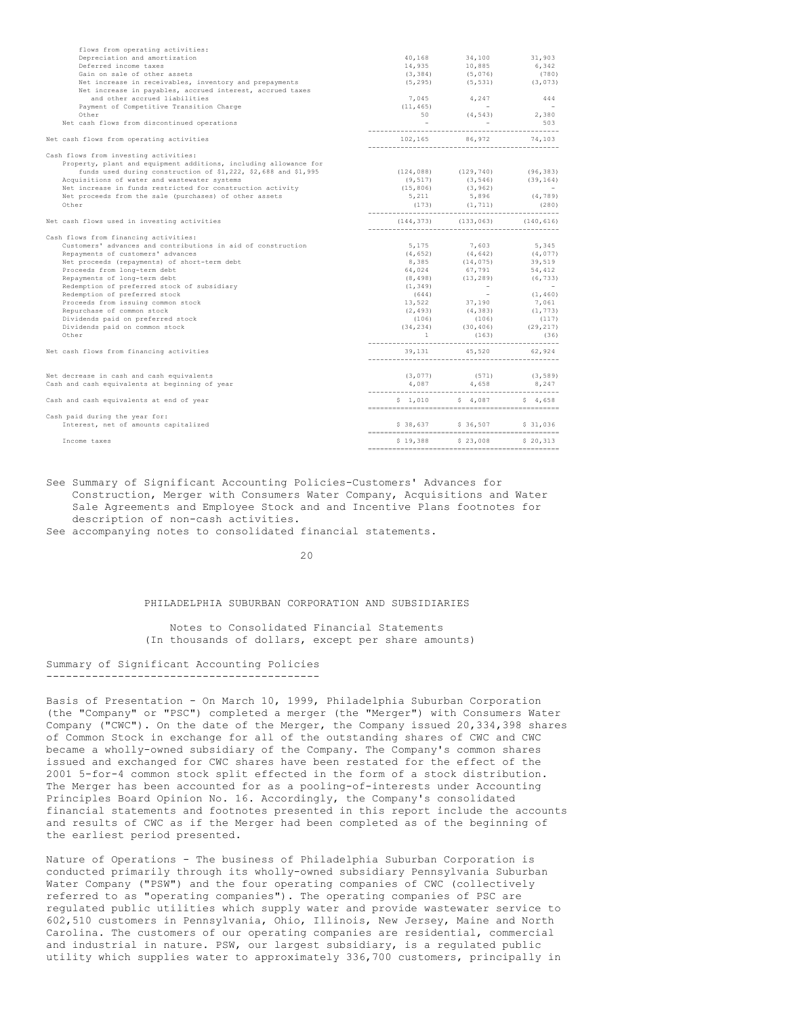| flows from operating activities:                                 |                                                                      |                                                                                                                                                        |          |
|------------------------------------------------------------------|----------------------------------------------------------------------|--------------------------------------------------------------------------------------------------------------------------------------------------------|----------|
| Depreciation and amortization                                    | 40,168                                                               | 34,100                                                                                                                                                 | 31,903   |
| Deferred income taxes                                            | 14,935                                                               | 10,885                                                                                                                                                 | 6,342    |
| Gain on sale of other assets                                     |                                                                      |                                                                                                                                                        |          |
| Net increase in receivables, inventory and prepayments           |                                                                      | $(3,384) \qquad (5,076) \qquad (780)$ $(5,295) \qquad (5,531) \qquad (3,073)$                                                                          |          |
| Net increase in payables, accrued interest, accrued taxes        |                                                                      |                                                                                                                                                        |          |
| and other accrued liabilities                                    |                                                                      | 7,045 4,247 444                                                                                                                                        |          |
| Payment of Competitive Transition Charge                         | (11, 465)                                                            |                                                                                                                                                        |          |
| Other                                                            |                                                                      | $(11, 465)$ - $-$<br>50 $(4, 543)$ 2,380                                                                                                               |          |
| Net cash flows from discontinued operations                      | <b>Contract Contract</b>                                             |                                                                                                                                                        |          |
|                                                                  |                                                                      |                                                                                                                                                        |          |
| Net cash flows from operating activities                         |                                                                      | 102,165 86,972 74,103                                                                                                                                  |          |
| Cash flows from investing activities:                            |                                                                      |                                                                                                                                                        |          |
| Property, plant and equipment additions, including allowance for |                                                                      |                                                                                                                                                        |          |
| funds used during construction of \$1,222, \$2,688 and \$1,995   | $(124,088)$ $(129,740)$ $(96,383)$<br>$(9,517)$ $(3,546)$ $(39,164)$ |                                                                                                                                                        |          |
| Acquisitions of water and wastewater systems                     |                                                                      |                                                                                                                                                        |          |
| Net increase in funds restricted for construction activity       |                                                                      |                                                                                                                                                        |          |
| Net proceeds from the sale (purchases) of other assets           |                                                                      | $(15, 806)$ $(3, 962)$ -<br>5,211 $5, 896$ $(4, 789)$                                                                                                  |          |
| Other                                                            |                                                                      |                                                                                                                                                        |          |
| Net cash flows used in investing activities                      | $(144, 373)$ $(133, 063)$ $(140, 616)$                               |                                                                                                                                                        |          |
| Cash flows from financing activities:                            |                                                                      |                                                                                                                                                        |          |
| Customers' advances and contributions in aid of construction     |                                                                      | 5,175 7,603 5,345                                                                                                                                      |          |
| Repayments of customers' advances                                |                                                                      |                                                                                                                                                        |          |
| Net proceeds (repayments) of short-term debt                     |                                                                      | $(4, 652)$ $(4, 642)$ $(4, 077)$<br>8,385 $(14, 075)$ 39,519                                                                                           |          |
| Proceeds from long-term debt                                     |                                                                      |                                                                                                                                                        |          |
| Repayments of long-term debt                                     |                                                                      | $\begin{array}{cccc} 64,024 & 67,791 & 54,412 \\ (8,498) & (13,289) & (6,733) \\ (1,349) & & & & \\ (644) & - & & & \\ (1,460) & & & & \\ \end{array}$ | (6, 733) |
| Redemption of preferred stock of subsidiary                      |                                                                      |                                                                                                                                                        |          |
| Redemption of preferred stock                                    |                                                                      |                                                                                                                                                        | (1, 460) |
| Proceeds from issuing common stock                               |                                                                      |                                                                                                                                                        |          |
| Repurchase of common stock                                       |                                                                      | 13,522 37,190 7,061<br>(2,493) (4,383) (1,773)                                                                                                         |          |
| Dividends paid on preferred stock                                |                                                                      |                                                                                                                                                        |          |
| Dividends paid on common stock                                   |                                                                      | $(106)$ $(106)$ $(117)$<br>$(34,234)$ $(30,406)$ $(29,217)$                                                                                            |          |
| Other                                                            | $\sim$ 1                                                             | $(163)$ (36)                                                                                                                                           |          |
|                                                                  |                                                                      |                                                                                                                                                        |          |
| Net cash flows from financing activities                         |                                                                      | $39,131$ $45,520$ $62,924$                                                                                                                             |          |
|                                                                  |                                                                      |                                                                                                                                                        |          |
| Net decrease in cash and cash equivalents                        |                                                                      | $(3, 077)$ $(571)$ $(3, 589)$                                                                                                                          |          |
| Cash and cash equivalents at beginning of year                   |                                                                      | $4,087$ $4,658$ $8,247$                                                                                                                                |          |
| Cash and cash equivalents at end of year                         |                                                                      | $$1,010$ $$4,087$ $$4,658$                                                                                                                             |          |
| Cash paid during the year for:                                   |                                                                      |                                                                                                                                                        |          |
| Interest, net of amounts capitalized                             |                                                                      | \$38,637 \$36,507 \$31,036                                                                                                                             |          |
| Income taxes                                                     |                                                                      | \$19,388 \$23,008 \$20,313                                                                                                                             |          |
|                                                                  |                                                                      |                                                                                                                                                        |          |

See Summary of Significant Accounting Policies-Customers' Advances for Construction, Merger with Consumers Water Company, Acquisitions and Water Sale Agreements and Employee Stock and and Incentive Plans footnotes for description of non-cash activities.

See accompanying notes to consolidated financial statements.

 $20$ 

### PHILADELPHIA SUBURBAN CORPORATION AND SUBSIDIARIES

Notes to Consolidated Financial Statements (In thousands of dollars, except per share amounts)

#### Summary of Significant Accounting Policies ------------------------------------------

Basis of Presentation - On March 10, 1999, Philadelphia Suburban Corporation (the "Company" or "PSC") completed a merger (the "Merger") with Consumers Water Company ("CWC"). On the date of the Merger, the Company issued 20,334,398 shares of Common Stock in exchange for all of the outstanding shares of CWC and CWC became a wholly-owned subsidiary of the Company. The Company's common shares issued and exchanged for CWC shares have been restated for the effect of the 2001 5-for-4 common stock split effected in the form of a stock distribution. The Merger has been accounted for as a pooling-of-interests under Accounting Principles Board Opinion No. 16. Accordingly, the Company's consolidated financial statements and footnotes presented in this report include the accounts and results of CWC as if the Merger had been completed as of the beginning of the earliest period presented.

Nature of Operations - The business of Philadelphia Suburban Corporation is conducted primarily through its wholly-owned subsidiary Pennsylvania Suburban Water Company ("PSW") and the four operating companies of CWC (collectively referred to as "operating companies"). The operating companies of PSC are regulated public utilities which supply water and provide wastewater service to 602,510 customers in Pennsylvania, Ohio, Illinois, New Jersey, Maine and North Carolina. The customers of our operating companies are residential, commercial and industrial in nature. PSW, our largest subsidiary, is a regulated public utility which supplies water to approximately 336,700 customers, principally in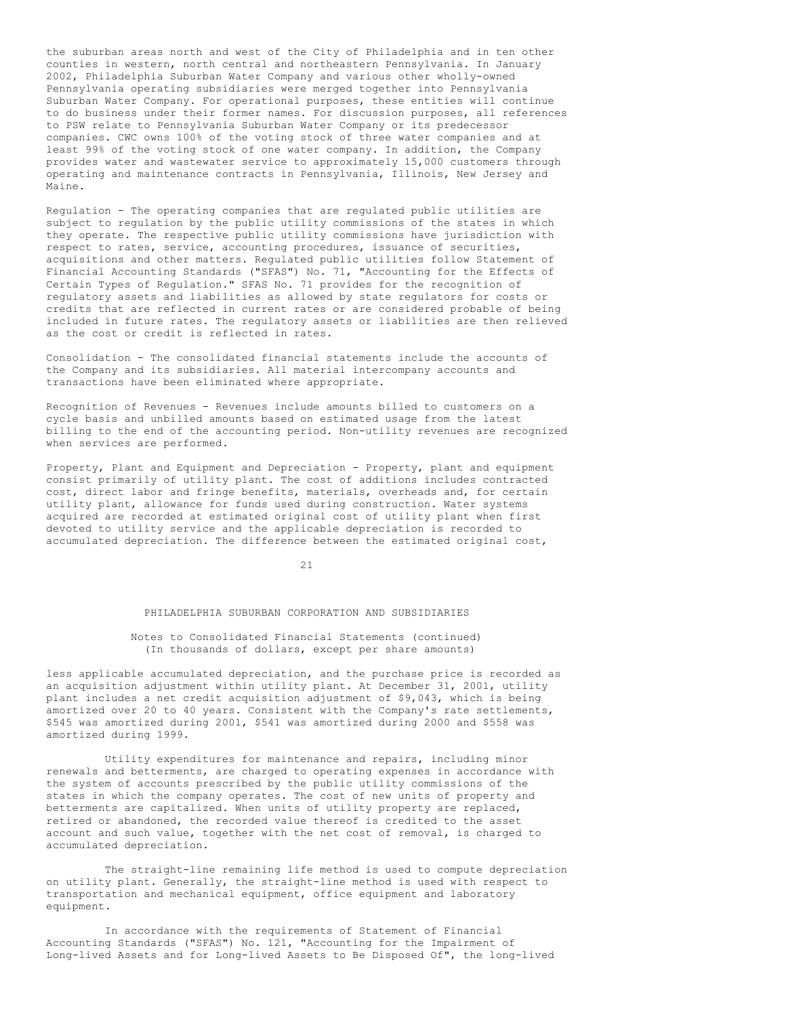the suburban areas north and west of the City of Philadelphia and in ten other counties in western, north central and northeastern Pennsylvania. In January 2002, Philadelphia Suburban Water Company and various other wholly-owned Pennsylvania operating subsidiaries were merged together into Pennsylvania Suburban Water Company. For operational purposes, these entities will continue to do business under their former names. For discussion purposes, all references to PSW relate to Pennsylvania Suburban Water Company or its predecessor companies. CWC owns 100% of the voting stock of three water companies and at least 99% of the voting stock of one water company. In addition, the Company provides water and wastewater service to approximately 15,000 customers through operating and maintenance contracts in Pennsylvania, Illinois, New Jersey and Maine.

Regulation - The operating companies that are regulated public utilities are subject to regulation by the public utility commissions of the states in which they operate. The respective public utility commissions have jurisdiction with respect to rates, service, accounting procedures, issuance of securities, acquisitions and other matters. Regulated public utilities follow Statement of Financial Accounting Standards ("SFAS") No. 71, "Accounting for the Effects of Certain Types of Regulation." SFAS No. 71 provides for the recognition of regulatory assets and liabilities as allowed by state regulators for costs or credits that are reflected in current rates or are considered probable of being included in future rates. The regulatory assets or liabilities are then relieved as the cost or credit is reflected in rates.

Consolidation - The consolidated financial statements include the accounts of the Company and its subsidiaries. All material intercompany accounts and transactions have been eliminated where appropriate.

Recognition of Revenues - Revenues include amounts billed to customers on a cycle basis and unbilled amounts based on estimated usage from the latest billing to the end of the accounting period. Non-utility revenues are recognized when services are performed.

Property, Plant and Equipment and Depreciation - Property, plant and equipment consist primarily of utility plant. The cost of additions includes contracted cost, direct labor and fringe benefits, materials, overheads and, for certain utility plant, allowance for funds used during construction. Water systems acquired are recorded at estimated original cost of utility plant when first devoted to utility service and the applicable depreciation is recorded to accumulated depreciation. The difference between the estimated original cost,

 $21$ 

#### PHILADELPHIA SUBURBAN CORPORATION AND SUBSIDIARIES

### Notes to Consolidated Financial Statements (continued) (In thousands of dollars, except per share amounts)

less applicable accumulated depreciation, and the purchase price is recorded as an acquisition adjustment within utility plant. At December 31, 2001, utility plant includes a net credit acquisition adjustment of \$9,043, which is being amortized over 20 to 40 years. Consistent with the Company's rate settlements, \$545 was amortized during 2001, \$541 was amortized during 2000 and \$558 was amortized during 1999.

Utility expenditures for maintenance and repairs, including minor renewals and betterments, are charged to operating expenses in accordance with the system of accounts prescribed by the public utility commissions of the states in which the company operates. The cost of new units of property and betterments are capitalized. When units of utility property are replaced, retired or abandoned, the recorded value thereof is credited to the asset account and such value, together with the net cost of removal, is charged to accumulated depreciation.

The straight-line remaining life method is used to compute depreciation on utility plant. Generally, the straight-line method is used with respect to transportation and mechanical equipment, office equipment and laboratory equipment.

In accordance with the requirements of Statement of Financial Accounting Standards ("SFAS") No. 121, "Accounting for the Impairment of Long-lived Assets and for Long-lived Assets to Be Disposed Of", the long-lived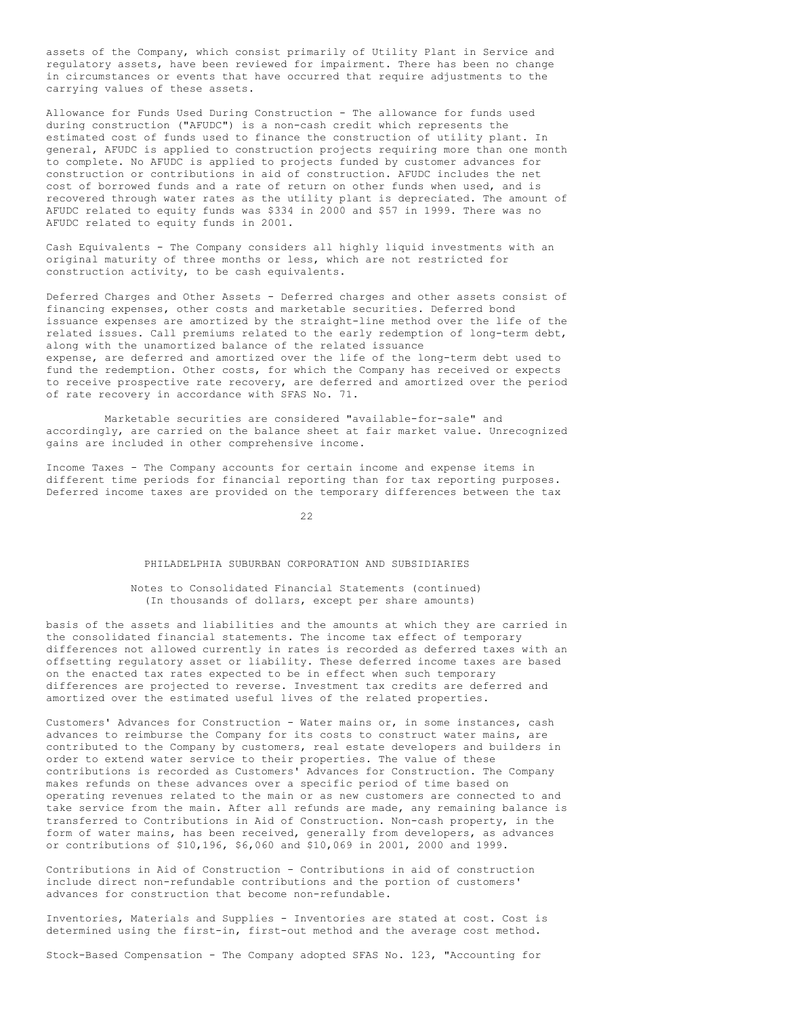assets of the Company, which consist primarily of Utility Plant in Service and regulatory assets, have been reviewed for impairment. There has been no change in circumstances or events that have occurred that require adjustments to the carrying values of these assets.

Allowance for Funds Used During Construction - The allowance for funds used during construction ("AFUDC") is a non-cash credit which represents the estimated cost of funds used to finance the construction of utility plant. In general, AFUDC is applied to construction projects requiring more than one month to complete. No AFUDC is applied to projects funded by customer advances for construction or contributions in aid of construction. AFUDC includes the net cost of borrowed funds and a rate of return on other funds when used, and is recovered through water rates as the utility plant is depreciated. The amount of AFUDC related to equity funds was \$334 in 2000 and \$57 in 1999. There was no AFUDC related to equity funds in 2001.

Cash Equivalents - The Company considers all highly liquid investments with an original maturity of three months or less, which are not restricted for construction activity, to be cash equivalents.

Deferred Charges and Other Assets - Deferred charges and other assets consist of financing expenses, other costs and marketable securities. Deferred bond issuance expenses are amortized by the straight-line method over the life of the related issues. Call premiums related to the early redemption of long-term debt, along with the unamortized balance of the related issuance expense, are deferred and amortized over the life of the long-term debt used to fund the redemption. Other costs, for which the Company has received or expects to receive prospective rate recovery, are deferred and amortized over the period of rate recovery in accordance with SFAS No. 71.

Marketable securities are considered "available-for-sale" and accordingly, are carried on the balance sheet at fair market value. Unrecognized gains are included in other comprehensive income.

Income Taxes - The Company accounts for certain income and expense items in different time periods for financial reporting than for tax reporting purposes. Deferred income taxes are provided on the temporary differences between the tax

22

### PHILADELPHIA SUBURBAN CORPORATION AND SUBSIDIARIES

### Notes to Consolidated Financial Statements (continued) (In thousands of dollars, except per share amounts)

basis of the assets and liabilities and the amounts at which they are carried in the consolidated financial statements. The income tax effect of temporary differences not allowed currently in rates is recorded as deferred taxes with an offsetting regulatory asset or liability. These deferred income taxes are based on the enacted tax rates expected to be in effect when such temporary differences are projected to reverse. Investment tax credits are deferred and amortized over the estimated useful lives of the related properties.

Customers' Advances for Construction - Water mains or, in some instances, cash advances to reimburse the Company for its costs to construct water mains, are contributed to the Company by customers, real estate developers and builders in order to extend water service to their properties. The value of these contributions is recorded as Customers' Advances for Construction. The Company makes refunds on these advances over a specific period of time based on operating revenues related to the main or as new customers are connected to and take service from the main. After all refunds are made, any remaining balance is transferred to Contributions in Aid of Construction. Non-cash property, in the form of water mains, has been received, generally from developers, as advances or contributions of \$10,196, \$6,060 and \$10,069 in 2001, 2000 and 1999.

Contributions in Aid of Construction - Contributions in aid of construction include direct non-refundable contributions and the portion of customers' advances for construction that become non-refundable.

Inventories, Materials and Supplies - Inventories are stated at cost. Cost is determined using the first-in, first-out method and the average cost method.

Stock-Based Compensation - The Company adopted SFAS No. 123, "Accounting for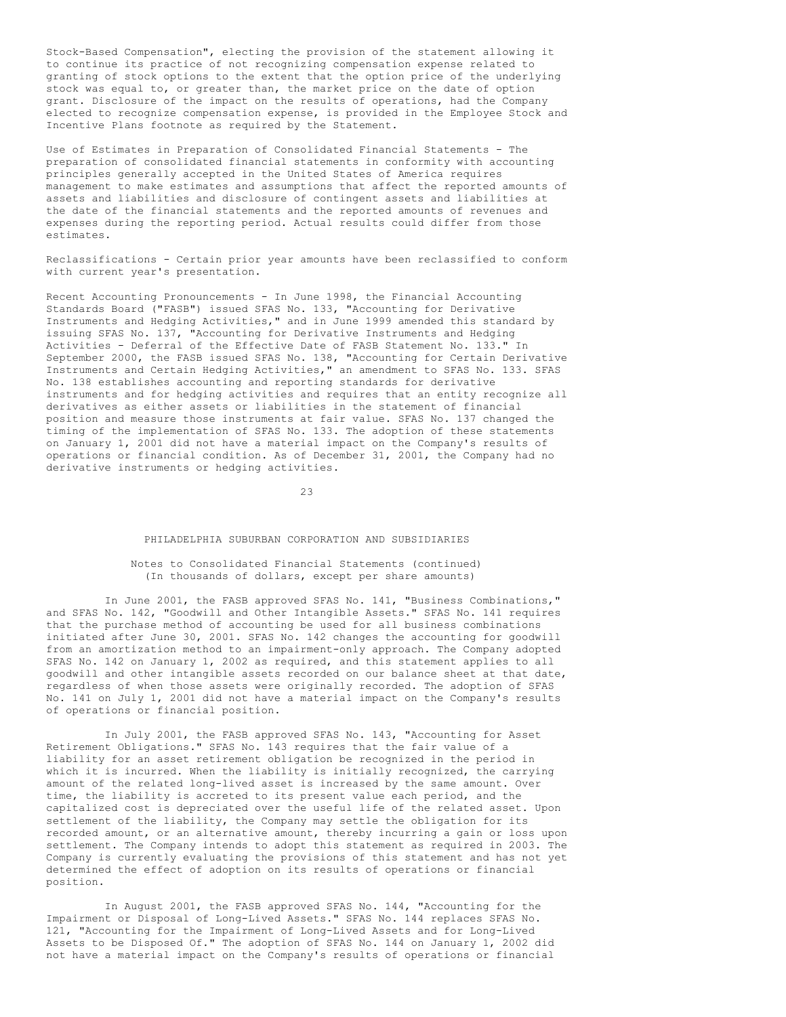Stock-Based Compensation", electing the provision of the statement allowing it to continue its practice of not recognizing compensation expense related to granting of stock options to the extent that the option price of the underlying stock was equal to, or greater than, the market price on the date of option grant. Disclosure of the impact on the results of operations, had the Company elected to recognize compensation expense, is provided in the Employee Stock and Incentive Plans footnote as required by the Statement.

Use of Estimates in Preparation of Consolidated Financial Statements - The preparation of consolidated financial statements in conformity with accounting principles generally accepted in the United States of America requires management to make estimates and assumptions that affect the reported amounts of assets and liabilities and disclosure of contingent assets and liabilities at the date of the financial statements and the reported amounts of revenues and expenses during the reporting period. Actual results could differ from those estimates.

Reclassifications - Certain prior year amounts have been reclassified to conform with current year's presentation.

Recent Accounting Pronouncements - In June 1998, the Financial Accounting Standards Board ("FASB") issued SFAS No. 133, "Accounting for Derivative Instruments and Hedging Activities," and in June 1999 amended this standard by issuing SFAS No. 137, "Accounting for Derivative Instruments and Hedging Activities - Deferral of the Effective Date of FASB Statement No. 133." In September 2000, the FASB issued SFAS No. 138, "Accounting for Certain Derivative Instruments and Certain Hedging Activities," an amendment to SFAS No. 133. SFAS No. 138 establishes accounting and reporting standards for derivative instruments and for hedging activities and requires that an entity recognize all derivatives as either assets or liabilities in the statement of financial position and measure those instruments at fair value. SFAS No. 137 changed the timing of the implementation of SFAS No. 133. The adoption of these statements on January 1, 2001 did not have a material impact on the Company's results of operations or financial condition. As of December 31, 2001, the Company had no derivative instruments or hedging activities.

 $23$ 

#### PHILADELPHIA SUBURBAN CORPORATION AND SUBSIDIARIES

Notes to Consolidated Financial Statements (continued) (In thousands of dollars, except per share amounts)

In June 2001, the FASB approved SFAS No. 141, "Business Combinations," and SFAS No. 142, "Goodwill and Other Intangible Assets." SFAS No. 141 requires that the purchase method of accounting be used for all business combinations initiated after June 30, 2001. SFAS No. 142 changes the accounting for goodwill from an amortization method to an impairment-only approach. The Company adopted SFAS No. 142 on January 1, 2002 as required, and this statement applies to all goodwill and other intangible assets recorded on our balance sheet at that date, regardless of when those assets were originally recorded. The adoption of SFAS No. 141 on July 1, 2001 did not have a material impact on the Company's results of operations or financial position.

In July 2001, the FASB approved SFAS No. 143, "Accounting for Asset Retirement Obligations." SFAS No. 143 requires that the fair value of a liability for an asset retirement obligation be recognized in the period in which it is incurred. When the liability is initially recognized, the carrying amount of the related long-lived asset is increased by the same amount. Over time, the liability is accreted to its present value each period, and the capitalized cost is depreciated over the useful life of the related asset. Upon settlement of the liability, the Company may settle the obligation for its recorded amount, or an alternative amount, thereby incurring a gain or loss upon settlement. The Company intends to adopt this statement as required in 2003. The Company is currently evaluating the provisions of this statement and has not yet determined the effect of adoption on its results of operations or financial position.

In August 2001, the FASB approved SFAS No. 144, "Accounting for the Impairment or Disposal of Long-Lived Assets." SFAS No. 144 replaces SFAS No. 121, "Accounting for the Impairment of Long-Lived Assets and for Long-Lived Assets to be Disposed Of." The adoption of SFAS No. 144 on January 1, 2002 did not have a material impact on the Company's results of operations or financial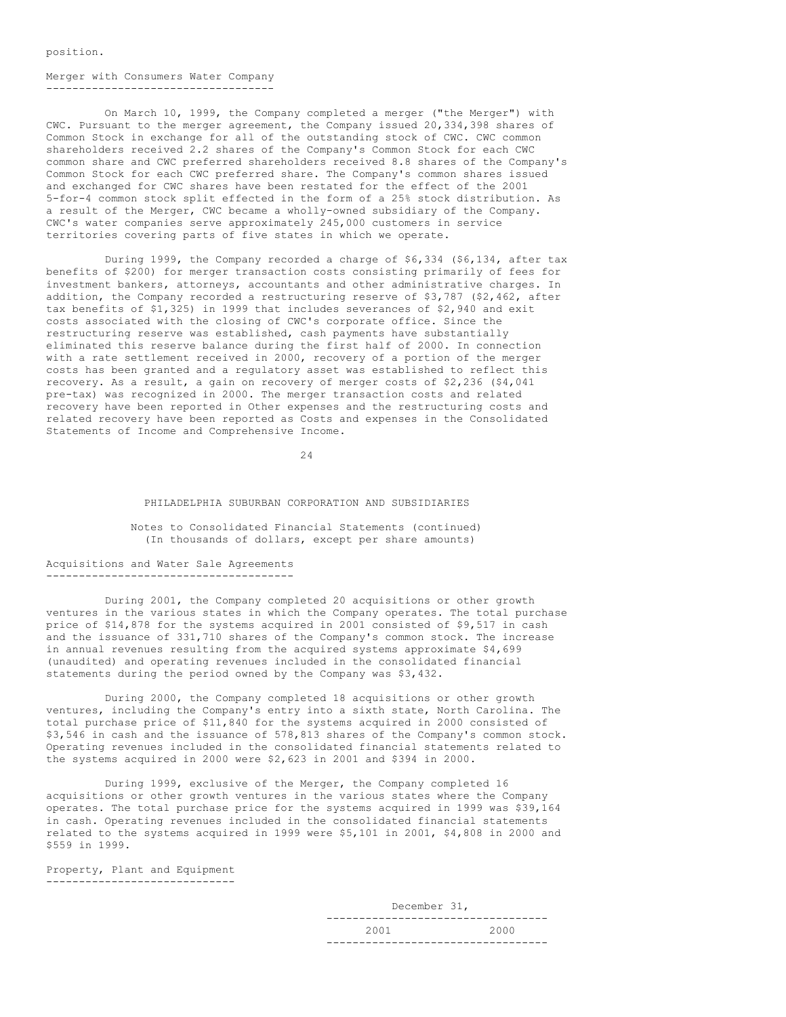position.

### Merger with Consumers Water Company -----------------------------------

On March 10, 1999, the Company completed a merger ("the Merger") with CWC. Pursuant to the merger agreement, the Company issued 20,334,398 shares of Common Stock in exchange for all of the outstanding stock of CWC. CWC common shareholders received 2.2 shares of the Company's Common Stock for each CWC common share and CWC preferred shareholders received 8.8 shares of the Company's Common Stock for each CWC preferred share. The Company's common shares issued and exchanged for CWC shares have been restated for the effect of the 2001 5-for-4 common stock split effected in the form of a 25% stock distribution. As a result of the Merger, CWC became a wholly-owned subsidiary of the Company. CWC's water companies serve approximately 245,000 customers in service territories covering parts of five states in which we operate.

During 1999, the Company recorded a charge of \$6,334 (\$6,134, after tax benefits of \$200) for merger transaction costs consisting primarily of fees for investment bankers, attorneys, accountants and other administrative charges. In addition, the Company recorded a restructuring reserve of \$3,787 (\$2,462, after tax benefits of \$1,325) in 1999 that includes severances of \$2,940 and exit costs associated with the closing of CWC's corporate office. Since the restructuring reserve was established, cash payments have substantially eliminated this reserve balance during the first half of 2000. In connection with a rate settlement received in 2000, recovery of a portion of the merger costs has been granted and a regulatory asset was established to reflect this recovery. As a result, a gain on recovery of merger costs of \$2,236 (\$4,041 pre-tax) was recognized in 2000. The merger transaction costs and related recovery have been reported in Other expenses and the restructuring costs and related recovery have been reported as Costs and expenses in the Consolidated Statements of Income and Comprehensive Income.

24

#### PHILADELPHIA SUBURBAN CORPORATION AND SUBSIDIARIES

Notes to Consolidated Financial Statements (continued) (In thousands of dollars, except per share amounts)

#### Acquisitions and Water Sale Agreements --------------------------------------

During 2001, the Company completed 20 acquisitions or other growth ventures in the various states in which the Company operates. The total purchase price of \$14,878 for the systems acquired in 2001 consisted of \$9,517 in cash and the issuance of 331,710 shares of the Company's common stock. The increase in annual revenues resulting from the acquired systems approximate \$4,699 (unaudited) and operating revenues included in the consolidated financial statements during the period owned by the Company was \$3,432.

During 2000, the Company completed 18 acquisitions or other growth ventures, including the Company's entry into a sixth state, North Carolina. The total purchase price of \$11,840 for the systems acquired in 2000 consisted of \$3,546 in cash and the issuance of 578,813 shares of the Company's common stock. Operating revenues included in the consolidated financial statements related to the systems acquired in 2000 were \$2,623 in 2001 and \$394 in 2000.

During 1999, exclusive of the Merger, the Company completed 16 acquisitions or other growth ventures in the various states where the Company operates. The total purchase price for the systems acquired in 1999 was \$39,164 in cash. Operating revenues included in the consolidated financial statements related to the systems acquired in 1999 were \$5,101 in 2001, \$4,808 in 2000 and \$559 in 1999.

Property, Plant and Equipment -----------------------------

> December 31, ---------------------------------- 2001 2000 ----------------------------------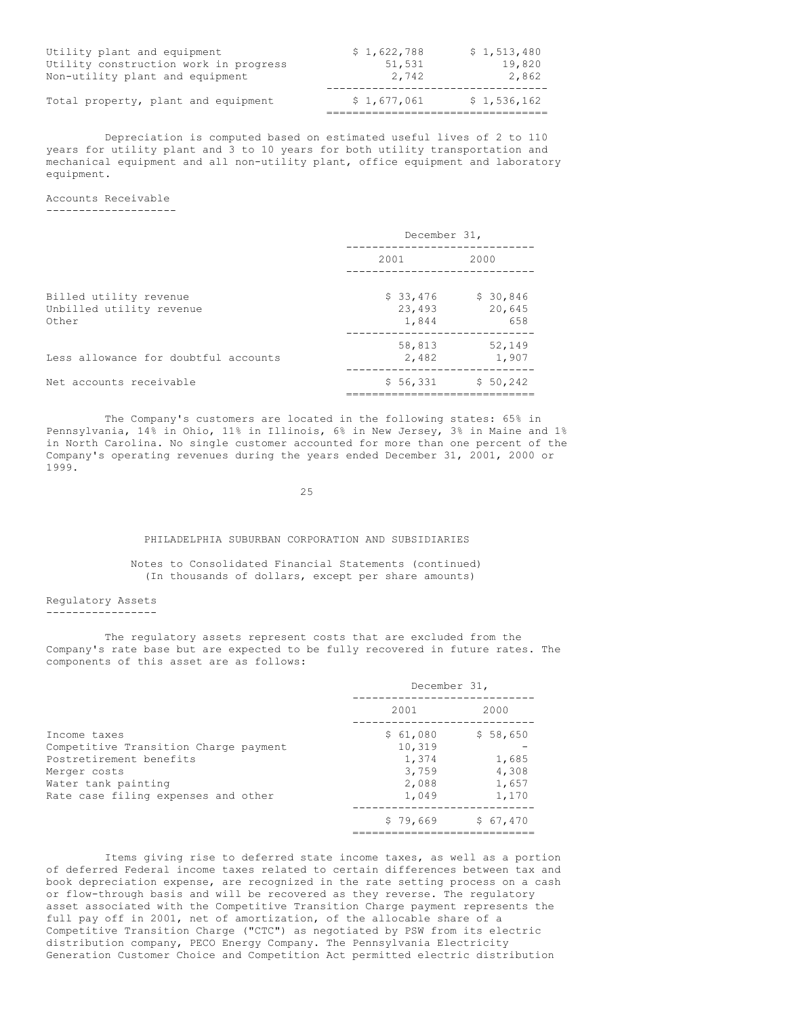| Utility plant and equipment           | \$1,622,788 | \$1,513,480 |
|---------------------------------------|-------------|-------------|
| Utility construction work in progress | 51,531      | 19,820      |
| Non-utility plant and equipment       | 2,742       | 2,862       |
| Total property, plant and equipment   | \$1.677.061 | \$1,536,162 |

Depreciation is computed based on estimated useful lives of 2 to 110 years for utility plant and 3 to 10 years for both utility transportation and mechanical equipment and all non-utility plant, office equipment and laboratory equipment.

Accounts Receivable --------------------

|                                                             | December 31,                |                           |  |  |
|-------------------------------------------------------------|-----------------------------|---------------------------|--|--|
|                                                             | 2001                        | 2000                      |  |  |
| Billed utility revenue<br>Unbilled utility revenue<br>Other | \$33,476<br>23,493<br>1,844 | \$30,846<br>20,645<br>658 |  |  |
| Less allowance for doubtful accounts                        | 58,813<br>2,482             | 52,149<br>1,907           |  |  |
| Net accounts receivable                                     | \$56,331                    | \$50,242                  |  |  |

The Company's customers are located in the following states: 65% in Pennsylvania, 14% in Ohio, 11% in Illinois, 6% in New Jersey, 3% in Maine and 1% in North Carolina. No single customer accounted for more than one percent of the Company's operating revenues during the years ended December 31, 2001, 2000 or 1999.

25

#### PHILADELPHIA SUBURBAN CORPORATION AND SUBSIDIARIES

Notes to Consolidated Financial Statements (continued) (In thousands of dollars, except per share amounts)

Regulatory Assets -----------------

The regulatory assets represent costs that are excluded from the Company's rate base but are expected to be fully recovered in future rates. The components of this asset are as follows:

|                                       | December 31, |          |
|---------------------------------------|--------------|----------|
|                                       | 2001         | 2000     |
| Income taxes                          | \$61,080     | \$58,650 |
| Competitive Transition Charge payment | 10,319       |          |
| Postretirement benefits               | 1,374        | 1,685    |
| Merger costs                          | 3,759        | 4,308    |
| Water tank painting                   | 2,088        | 1,657    |
| Rate case filing expenses and other   | 1,049        | 1,170    |
|                                       | \$79,669     | \$67,470 |
|                                       |              |          |

Items giving rise to deferred state income taxes, as well as a portion of deferred Federal income taxes related to certain differences between tax and book depreciation expense, are recognized in the rate setting process on a cash or flow-through basis and will be recovered as they reverse. The regulatory asset associated with the Competitive Transition Charge payment represents the full pay off in 2001, net of amortization, of the allocable share of a Competitive Transition Charge ("CTC") as negotiated by PSW from its electric distribution company, PECO Energy Company. The Pennsylvania Electricity Generation Customer Choice and Competition Act permitted electric distribution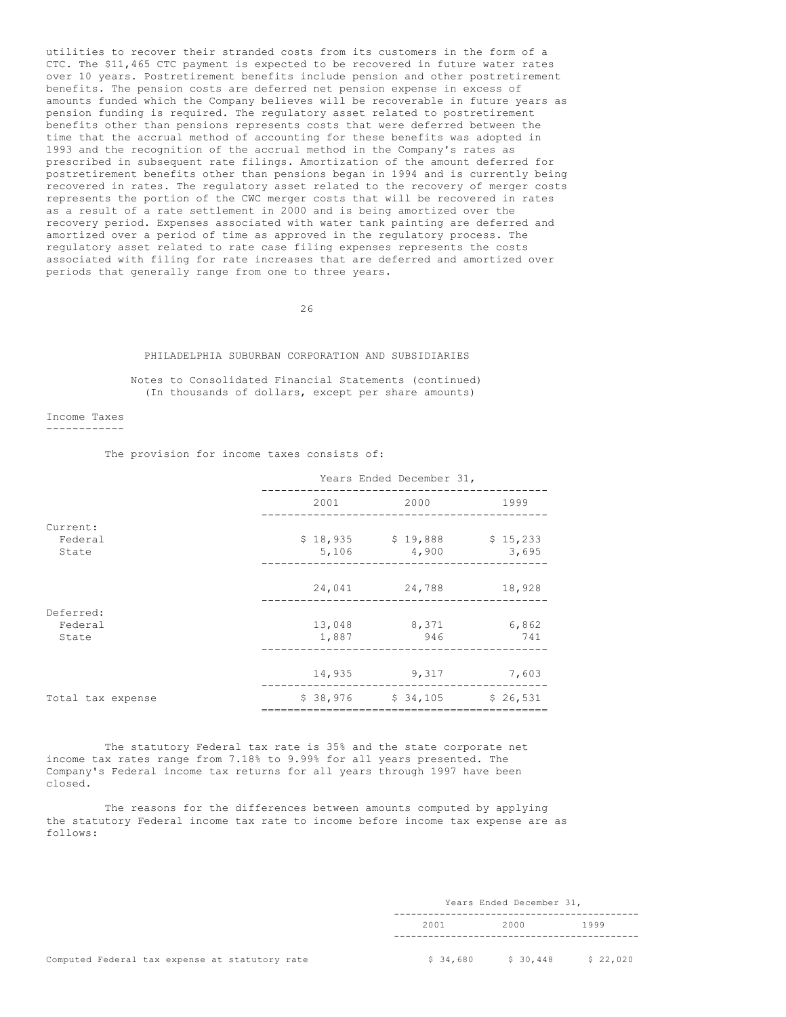utilities to recover their stranded costs from its customers in the form of a CTC. The \$11,465 CTC payment is expected to be recovered in future water rates over 10 years. Postretirement benefits include pension and other postretirement benefits. The pension costs are deferred net pension expense in excess of amounts funded which the Company believes will be recoverable in future years as pension funding is required. The regulatory asset related to postretirement benefits other than pensions represents costs that were deferred between the time that the accrual method of accounting for these benefits was adopted in 1993 and the recognition of the accrual method in the Company's rates as prescribed in subsequent rate filings. Amortization of the amount deferred for postretirement benefits other than pensions began in 1994 and is currently being recovered in rates. The regulatory asset related to the recovery of merger costs represents the portion of the CWC merger costs that will be recovered in rates as a result of a rate settlement in 2000 and is being amortized over the recovery period. Expenses associated with water tank painting are deferred and amortized over a period of time as approved in the regulatory process. The regulatory asset related to rate case filing expenses represents the costs associated with filing for rate increases that are deferred and amortized over periods that generally range from one to three years.

26

#### PHILADELPHIA SUBURBAN CORPORATION AND SUBSIDIARIES

Notes to Consolidated Financial Statements (continued) (In thousands of dollars, except per share amounts)

Income Taxes ------------

The provision for income taxes consists of:

|                              |        | Years Ended December 31,     |                   |
|------------------------------|--------|------------------------------|-------------------|
|                              | 2001   | 2000                         | 1999              |
| Current:<br>Federal<br>State | 5,106  | $$18,935$ $$19,888$<br>4,900 | \$15,233<br>3,695 |
|                              | 24,041 | 24,788                       | 18,928            |
| Deferred:                    |        |                              |                   |
| Federal                      | 13,048 | 8,371                        | 6,862             |
| State                        | 1,887  | 946                          | 741               |
|                              | 14,935 | 9,317                        | 7,603             |
| Total tax expense            |        | $$38,976$ $$34,105$          | \$26,531          |

The statutory Federal tax rate is 35% and the state corporate net income tax rates range from 7.18% to 9.99% for all years presented. The Company's Federal income tax returns for all years through 1997 have been closed.

The reasons for the differences between amounts computed by applying the statutory Federal income tax rate to income before income tax expense are as follows:

|      |                                    | Years Ended December 31, |        |  |      |               |  |
|------|------------------------------------|--------------------------|--------|--|------|---------------|--|
| 2001 |                                    |                          | 2000   |  | 1999 |               |  |
|      |                                    |                          |        |  |      |               |  |
|      | $\sim$ $\sim$ $\sim$ $\sim$ $\sim$ |                          | 0.0000 |  |      | $\sim$ 00 000 |  |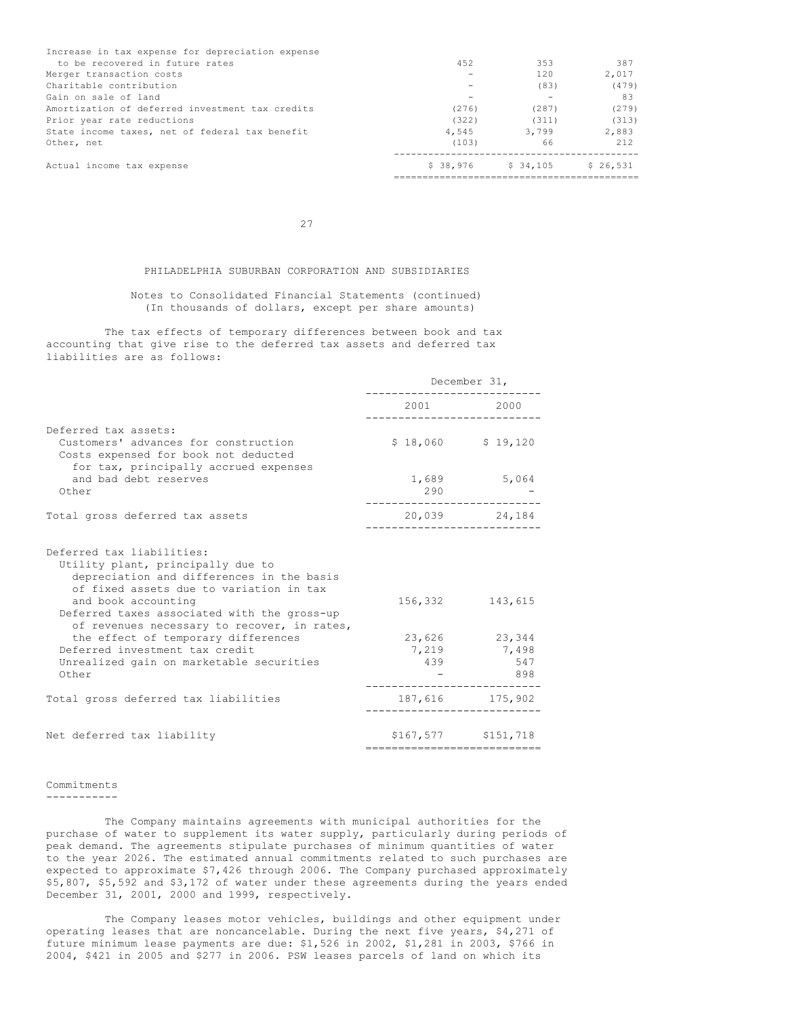| Increase in tax expense for depreciation expense |           |          |          |
|--------------------------------------------------|-----------|----------|----------|
| to be recovered in future rates                  | 452       | 353      | 387      |
| Merger transaction costs                         |           | 120      | 2,017    |
| Charitable contribution                          |           | (83)     | (479)    |
| Gain on sale of land                             |           |          | 83       |
| Amortization of deferred investment tax credits  | (276)     | (287)    | (279)    |
| Prior year rate reductions                       | (322)     | (311)    | (313)    |
| State income taxes, net of federal tax benefit   | 4,545     | 3,799    | 2,883    |
| Other, net                                       | (103)     | 66       | 212      |
| Actual income tax expense                        | \$ 38,976 | \$34,105 | \$26,531 |
|                                                  |           |          |          |

27

### PHILADELPHIA SUBURBAN CORPORATION AND SUBSIDIARIES

## Notes to Consolidated Financial Statements (continued) (In thousands of dollars, except per share amounts)

The tax effects of temporary differences between book and tax accounting that give rise to the deferred tax assets and deferred tax liabilities are as follows:

|                                                                                                                                                                                                                              | December 31,              |                                            |  |
|------------------------------------------------------------------------------------------------------------------------------------------------------------------------------------------------------------------------------|---------------------------|--------------------------------------------|--|
|                                                                                                                                                                                                                              |                           | 2001 2000                                  |  |
| Deferred tax assets:<br>Customers' advances for construction<br>Costs expensed for book not deducted                                                                                                                         |                           | $$18,060$ $$19,120$                        |  |
| for tax, principally accrued expenses<br>and bad debt reserves<br>Other                                                                                                                                                      | 290                       | 1,689 5,064                                |  |
| Total gross deferred tax assets                                                                                                                                                                                              |                           | 20,039 24,184                              |  |
| Deferred tax liabilities:<br>Utility plant, principally due to<br>depreciation and differences in the basis<br>of fixed assets due to variation in tax<br>and book accounting<br>Deferred taxes associated with the gross-up |                           | 156,332 143,615                            |  |
| of revenues necessary to recover, in rates,<br>the effect of temporary differences<br>Deferred investment tax credit<br>Unrealized gain on marketable securities<br>Other                                                    | 439                       | 23,626 23,344<br>7,219 7,498<br>547<br>898 |  |
| Total gross deferred tax liabilities                                                                                                                                                                                         |                           | 187,616 175,902                            |  |
| Net deferred tax liability                                                                                                                                                                                                   | ========================= | \$167,577 \$151,718                        |  |

# Commitments

-----------

The Company maintains agreements with municipal authorities for the purchase of water to supplement its water supply, particularly during periods of peak demand. The agreements stipulate purchases of minimum quantities of water to the year 2026. The estimated annual commitments related to such purchases are expected to approximate \$7,426 through 2006. The Company purchased approximately \$5,807, \$5,592 and \$3,172 of water under these agreements during the years ended December 31, 2001, 2000 and 1999, respectively.

The Company leases motor vehicles, buildings and other equipment under operating leases that are noncancelable. During the next five years, \$4,271 of future minimum lease payments are due: \$1,526 in 2002, \$1,281 in 2003, \$766 in 2004, \$421 in 2005 and \$277 in 2006. PSW leases parcels of land on which its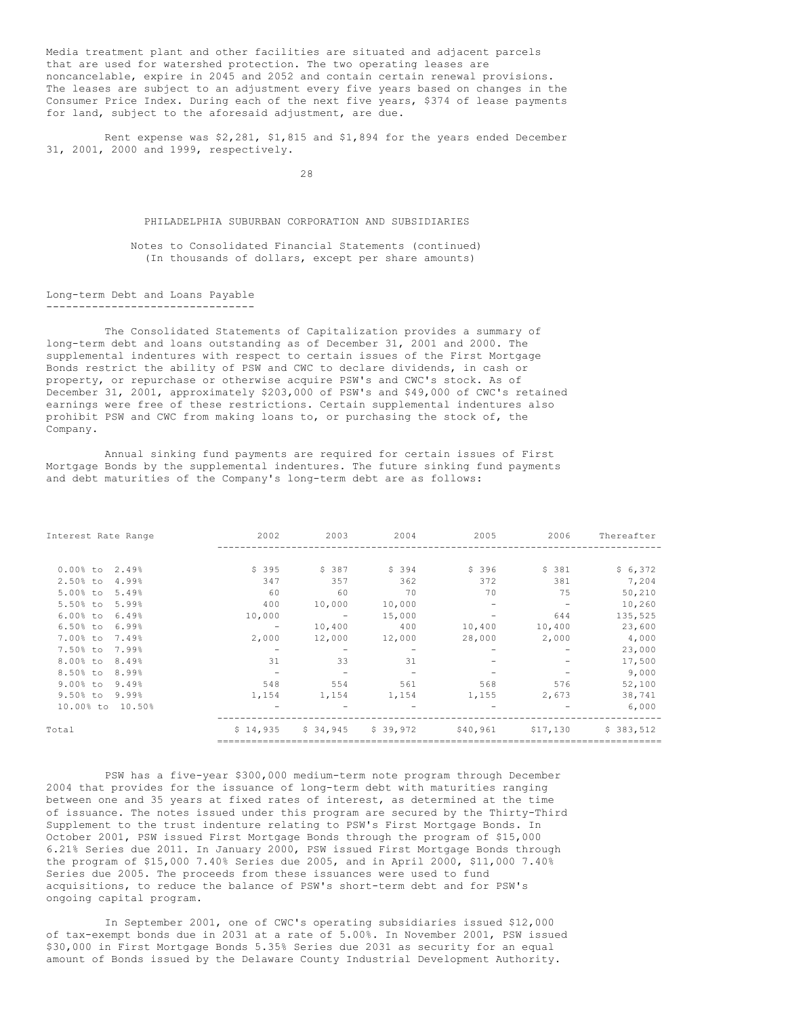Media treatment plant and other facilities are situated and adjacent parcels that are used for watershed protection. The two operating leases are noncancelable, expire in 2045 and 2052 and contain certain renewal provisions. The leases are subject to an adjustment every five years based on changes in the Consumer Price Index. During each of the next five years, \$374 of lease payments for land, subject to the aforesaid adjustment, are due.

Rent expense was \$2,281, \$1,815 and \$1,894 for the years ended December 31, 2001, 2000 and 1999, respectively.

28

#### PHILADELPHIA SUBURBAN CORPORATION AND SUBSIDIARIES

Notes to Consolidated Financial Statements (continued) (In thousands of dollars, except per share amounts)

Long-term Debt and Loans Payable --------------------------------

The Consolidated Statements of Capitalization provides a summary of long-term debt and loans outstanding as of December 31, 2001 and 2000. The supplemental indentures with respect to certain issues of the First Mortgage Bonds restrict the ability of PSW and CWC to declare dividends, in cash or property, or repurchase or otherwise acquire PSW's and CWC's stock. As of December 31, 2001, approximately \$203,000 of PSW's and \$49,000 of CWC's retained earnings were free of these restrictions. Certain supplemental indentures also prohibit PSW and CWC from making loans to, or purchasing the stock of, the Company.

Annual sinking fund payments are required for certain issues of First Mortgage Bonds by the supplemental indentures. The future sinking fund payments and debt maturities of the Company's long-term debt are as follows:

| Interest Rate Range  | 2002     | 2003              | 2004     | 2005     | 2006     | Thereafter |
|----------------------|----------|-------------------|----------|----------|----------|------------|
|                      |          |                   |          |          |          |            |
| $0.00$ % to<br>2.49% | \$395    | \$387             | \$ 394   | \$396    | \$381    | \$6,372    |
| 2.50% to<br>4.99%    | 347      | 357               | 362      | 372      | 381      | 7,204      |
| 5.00% to<br>5.49%    | 60       | 60                | 70       | 70       | 75       | 50,210     |
| 5.50% to<br>5.99%    | 400      | 10,000            | 10,000   |          |          | 10,260     |
| $6.00%$ to<br>6.49%  | 10,000   | $\qquad \qquad -$ | 15,000   |          | 644      | 135,525    |
| 6.50% to<br>6.99%    | -        | 10,400            | 400      | 10,400   | 10,400   | 23,600     |
| 7.00% to<br>7.49%    | 2,000    | 12,000            | 12,000   | 28,000   | 2,000    | 4,000      |
| 7.50% to<br>7.99%    |          |                   |          |          |          | 23,000     |
| 8.00% to<br>8.49%    | 31       | 33                | 31       |          |          | 17,500     |
| 8.50% to<br>8.99%    |          |                   |          |          |          | 9,000      |
| $9.00%$ to<br>9.49%  | 548      | 554               | 561      | 568      | 576      | 52,100     |
| 9.50% to<br>9.99%    | 1,154    | 1,154             | 1,154    | 1,155    | 2,673    | 38,741     |
| 10.00% to<br>10.50%  |          |                   |          |          |          | 6,000      |
| Total                | \$14,935 | \$34,945          | \$39,972 | \$40,961 | \$17,130 | \$383,512  |
|                      |          |                   |          |          |          |            |

PSW has a five-year \$300,000 medium-term note program through December 2004 that provides for the issuance of long-term debt with maturities ranging between one and 35 years at fixed rates of interest, as determined at the time of issuance. The notes issued under this program are secured by the Thirty-Third Supplement to the trust indenture relating to PSW's First Mortgage Bonds. In October 2001, PSW issued First Mortgage Bonds through the program of \$15,000 6.21% Series due 2011. In January 2000, PSW issued First Mortgage Bonds through the program of \$15,000 7.40% Series due 2005, and in April 2000, \$11,000 7.40% Series due 2005. The proceeds from these issuances were used to fund acquisitions, to reduce the balance of PSW's short-term debt and for PSW's ongoing capital program.

In September 2001, one of CWC's operating subsidiaries issued \$12,000 of tax-exempt bonds due in 2031 at a rate of 5.00%. In November 2001, PSW issued \$30,000 in First Mortgage Bonds 5.35% Series due 2031 as security for an equal amount of Bonds issued by the Delaware County Industrial Development Authority.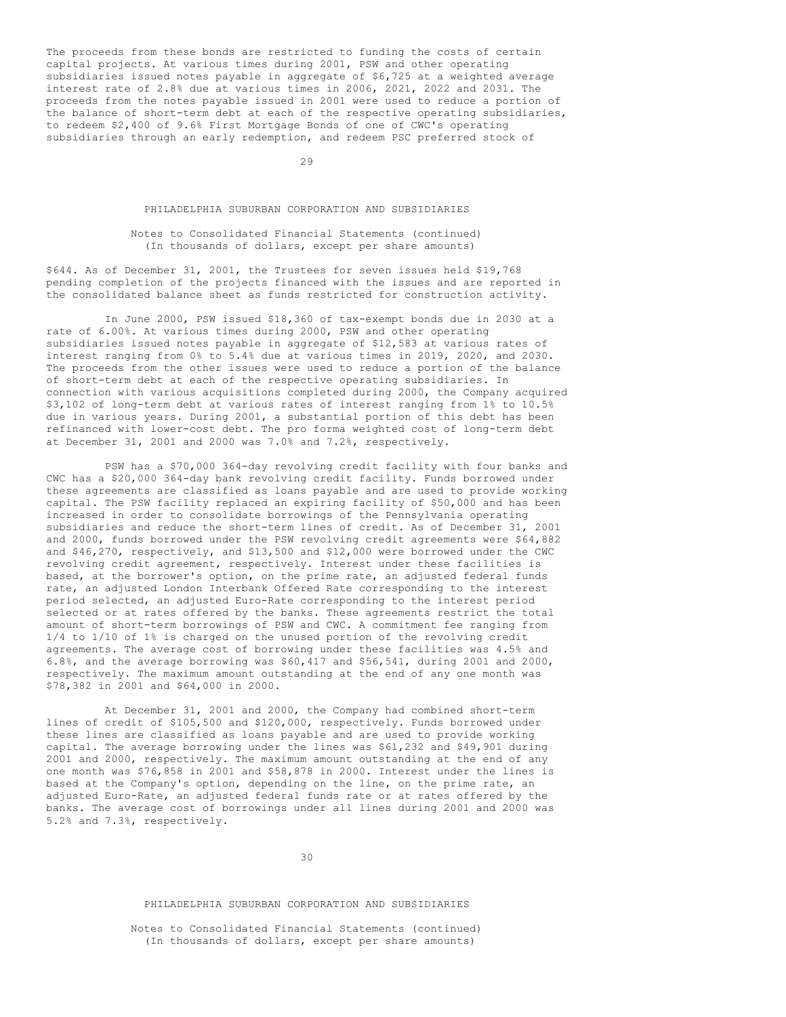The proceeds from these bonds are restricted to funding the costs of certain capital projects. At various times during 2001, PSW and other operating subsidiaries issued notes payable in aggregate of \$6,725 at a weighted average interest rate of 2.8% due at various times in 2006, 2021, 2022 and 2031. The proceeds from the notes payable issued in 2001 were used to reduce a portion of the balance of short-term debt at each of the respective operating subsidiaries, to redeem \$2,400 of 9.6% First Mortgage Bonds of one of CWC's operating subsidiaries through an early redemption, and redeem PSC preferred stock of

29

### PHILADELPHIA SUBURBAN CORPORATION AND SUBSIDIARIES

### Notes to Consolidated Financial Statements (continued) (In thousands of dollars, except per share amounts)

\$644. As of December 31, 2001, the Trustees for seven issues held \$19,768 pending completion of the projects financed with the issues and are reported in the consolidated balance sheet as funds restricted for construction activity.

In June 2000, PSW issued \$18,360 of tax-exempt bonds due in 2030 at a rate of 6.00%. At various times during 2000, PSW and other operating subsidiaries issued notes payable in aggregate of \$12,583 at various rates of interest ranging from 0% to 5.4% due at various times in 2019, 2020, and 2030. The proceeds from the other issues were used to reduce a portion of the balance of short-term debt at each of the respective operating subsidiaries. In connection with various acquisitions completed during 2000, the Company acquired \$3,102 of long-term debt at various rates of interest ranging from 1% to 10.5% due in various years. During 2001, a substantial portion of this debt has been refinanced with lower-cost debt. The pro forma weighted cost of long-term debt at December 31, 2001 and 2000 was 7.0% and 7.2%, respectively.

PSW has a \$70,000 364-day revolving credit facility with four banks and CWC has a \$20,000 364-day bank revolving credit facility. Funds borrowed under these agreements are classified as loans payable and are used to provide working capital. The PSW facility replaced an expiring facility of \$50,000 and has been increased in order to consolidate borrowings of the Pennsylvania operating subsidiaries and reduce the short-term lines of credit. As of December 31, 2001 and 2000, funds borrowed under the PSW revolving credit agreements were \$64,882 and \$46,270, respectively, and \$13,500 and \$12,000 were borrowed under the CWC revolving credit agreement, respectively. Interest under these facilities is based, at the borrower's option, on the prime rate, an adjusted federal funds rate, an adjusted London Interbank Offered Rate corresponding to the interest period selected, an adjusted Euro-Rate corresponding to the interest period selected or at rates offered by the banks. These agreements restrict the total amount of short-term borrowings of PSW and CWC. A commitment fee ranging from 1/4 to 1/10 of 1% is charged on the unused portion of the revolving credit agreements. The average cost of borrowing under these facilities was 4.5% and 6.8%, and the average borrowing was \$60,417 and \$56,541, during 2001 and 2000, respectively. The maximum amount outstanding at the end of any one month was \$78,382 in 2001 and \$64,000 in 2000.

At December 31, 2001 and 2000, the Company had combined short-term lines of credit of \$105,500 and \$120,000, respectively. Funds borrowed under these lines are classified as loans payable and are used to provide working capital. The average borrowing under the lines was \$61,232 and \$49,901 during 2001 and 2000, respectively. The maximum amount outstanding at the end of any one month was \$76,858 in 2001 and \$58,878 in 2000. Interest under the lines is based at the Company's option, depending on the line, on the prime rate, an adjusted Euro-Rate, an adjusted federal funds rate or at rates offered by the banks. The average cost of borrowings under all lines during 2001 and 2000 was 5.2% and 7.3%, respectively.

30

## PHILADELPHIA SUBURBAN CORPORATION AND SUBSIDIARIES

Notes to Consolidated Financial Statements (continued) (In thousands of dollars, except per share amounts)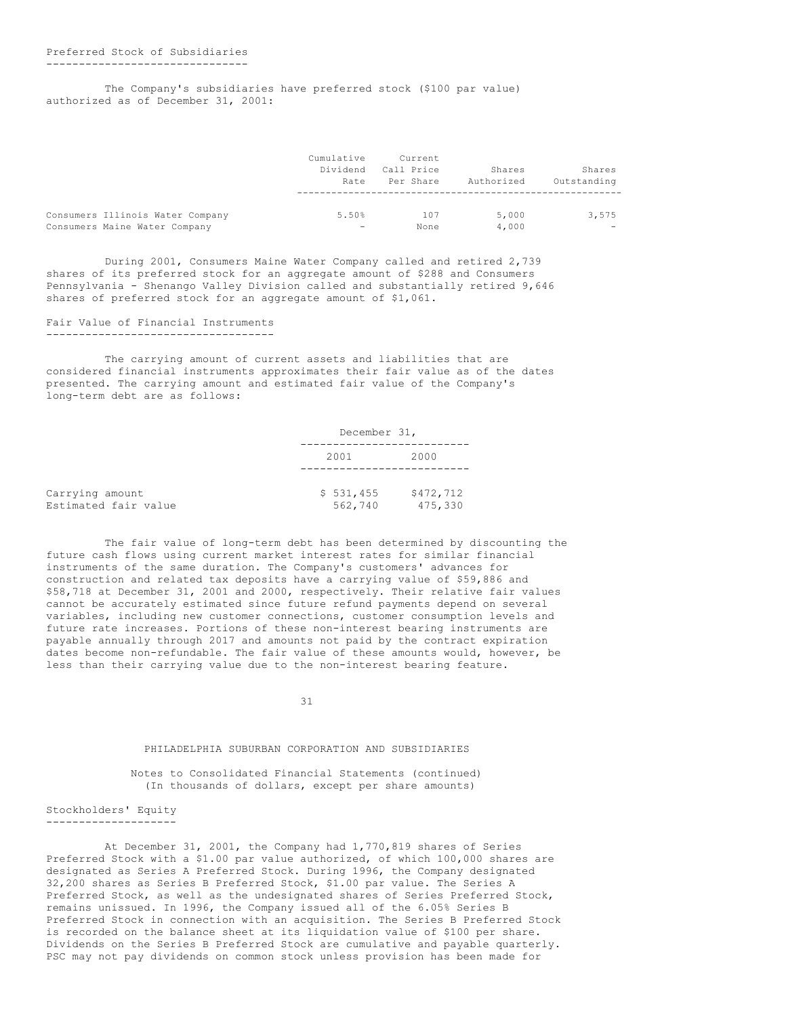#### -------------------------------

The Company's subsidiaries have preferred stock (\$100 par value) authorized as of December 31, 2001:

|                                  | Cumulative<br>Dividend<br>Rate | Current<br>Call Price<br>Per Share | Shares<br>Authorized | Shares<br>Outstanding    |
|----------------------------------|--------------------------------|------------------------------------|----------------------|--------------------------|
| Consumers Illinois Water Company | 5.50%                          | 107                                | 5,000                | 3,575                    |
| Consumers Maine Water Company    | $\overline{\phantom{0}}$       | None                               | 4,000                | $\overline{\phantom{0}}$ |

During 2001, Consumers Maine Water Company called and retired 2,739 shares of its preferred stock for an aggregate amount of \$288 and Consumers Pennsylvania - Shenango Valley Division called and substantially retired 9,646 shares of preferred stock for an aggregate amount of \$1,061.

#### Fair Value of Financial Instruments -----------------------------------

The carrying amount of current assets and liabilities that are considered financial instruments approximates their fair value as of the dates presented. The carrying amount and estimated fair value of the Company's long-term debt are as follows:

|                                         |                      | December 31,         |  |  |  |
|-----------------------------------------|----------------------|----------------------|--|--|--|
|                                         | 2001                 | 2000                 |  |  |  |
| Carrying amount<br>Estimated fair value | \$531,455<br>562,740 | \$472,712<br>475,330 |  |  |  |

The fair value of long-term debt has been determined by discounting the future cash flows using current market interest rates for similar financial instruments of the same duration. The Company's customers' advances for construction and related tax deposits have a carrying value of \$59,886 and \$58,718 at December 31, 2001 and 2000, respectively. Their relative fair values cannot be accurately estimated since future refund payments depend on several variables, including new customer connections, customer consumption levels and future rate increases. Portions of these non-interest bearing instruments are payable annually through 2017 and amounts not paid by the contract expiration dates become non-refundable. The fair value of these amounts would, however, be less than their carrying value due to the non-interest bearing feature.

31

### PHILADELPHIA SUBURBAN CORPORATION AND SUBSIDIARIES

Notes to Consolidated Financial Statements (continued) (In thousands of dollars, except per share amounts)

#### Stockholders' Equity --------------------

At December 31, 2001, the Company had 1,770,819 shares of Series Preferred Stock with a \$1.00 par value authorized, of which 100,000 shares are designated as Series A Preferred Stock. During 1996, the Company designated 32,200 shares as Series B Preferred Stock, \$1.00 par value. The Series A Preferred Stock, as well as the undesignated shares of Series Preferred Stock, remains unissued. In 1996, the Company issued all of the 6.05% Series B Preferred Stock in connection with an acquisition. The Series B Preferred Stock is recorded on the balance sheet at its liquidation value of \$100 per share. Dividends on the Series B Preferred Stock are cumulative and payable quarterly. PSC may not pay dividends on common stock unless provision has been made for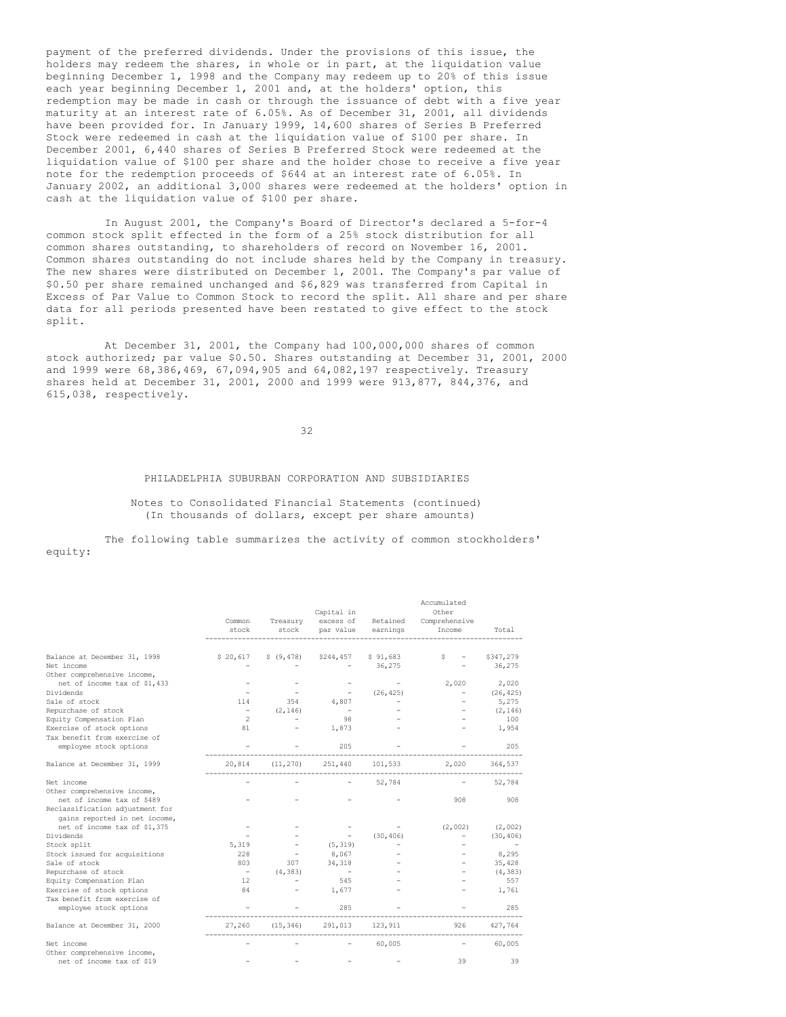payment of the preferred dividends. Under the provisions of this issue, the holders may redeem the shares, in whole or in part, at the liquidation value beginning December 1, 1998 and the Company may redeem up to 20% of this issue each year beginning December 1, 2001 and, at the holders' option, this redemption may be made in cash or through the issuance of debt with a five year maturity at an interest rate of 6.05%. As of December 31, 2001, all dividends have been provided for. In January 1999, 14,600 shares of Series B Preferred Stock were redeemed in cash at the liquidation value of \$100 per share. In December 2001, 6,440 shares of Series B Preferred Stock were redeemed at the liquidation value of \$100 per share and the holder chose to receive a five year note for the redemption proceeds of \$644 at an interest rate of 6.05%. In January 2002, an additional 3,000 shares were redeemed at the holders' option in cash at the liquidation value of \$100 per share.

In August 2001, the Company's Board of Director's declared a 5-for-4 common stock split effected in the form of a 25% stock distribution for all common shares outstanding, to shareholders of record on November 16, 2001. Common shares outstanding do not include shares held by the Company in treasury. The new shares were distributed on December 1, 2001. The Company's par value of \$0.50 per share remained unchanged and \$6,829 was transferred from Capital in Excess of Par Value to Common Stock to record the split. All share and per share data for all periods presented have been restated to give effect to the stock split.

At December 31, 2001, the Company had 100,000,000 shares of common stock authorized; par value \$0.50. Shares outstanding at December 31, 2001, 2000 and 1999 were 68,386,469, 67,094,905 and 64,082,197 respectively. Treasury shares held at December 31, 2001, 2000 and 1999 were 913,877, 844,376, and 615,038, respectively.

### 32

### PHILADELPHIA SUBURBAN CORPORATION AND SUBSIDIARIES

Notes to Consolidated Financial Statements (continued) (In thousands of dollars, except per share amounts)

The following table summarizes the activity of common stockholders' equity:

|                                            | Common<br>stock          | Treasury<br>stock | Capital in<br>excess of<br>par value | Retained<br>earnings | Accumulated<br>Other<br>Comprehensive<br>Income | Total               |
|--------------------------------------------|--------------------------|-------------------|--------------------------------------|----------------------|-------------------------------------------------|---------------------|
|                                            |                          |                   |                                      |                      |                                                 |                     |
| Balance at December 31, 1998<br>Net income | \$20,617                 | \$ (9, 478)       | \$244,457                            | \$91,683<br>36,275   | s                                               | \$347,279<br>36,275 |
| Other comprehensive income,                |                          |                   |                                      |                      |                                                 |                     |
| net of income tax of \$1,433               |                          |                   |                                      |                      | 2,020                                           | 2,020               |
| Dividends                                  |                          |                   |                                      | (26, 425)            |                                                 | (26, 425)           |
| Sale of stock                              | 114                      | 354               | 4,807                                |                      |                                                 | 5,275               |
| Repurchase of stock                        | $\overline{\phantom{a}}$ | (2, 146)          | $\overline{\phantom{a}}$             |                      |                                                 | (2, 146)            |
| Equity Compensation Plan                   | $\overline{2}$           |                   | 98                                   |                      |                                                 | 100                 |
| Exercise of stock options                  | 81                       |                   | 1,873                                |                      |                                                 | 1,954               |
| Tax benefit from exercise of               |                          |                   |                                      |                      |                                                 |                     |
| employee stock options                     |                          |                   | 205                                  |                      |                                                 | 205                 |
| Balance at December 31, 1999               | 20,814                   | (11, 270)         | 251,440                              | 101,533              | 2,020                                           | 364,537             |
| Net income                                 |                          |                   |                                      | 52,784               |                                                 | 52,784              |
| Other comprehensive income,                |                          |                   |                                      |                      |                                                 |                     |
| net of income tax of \$489                 |                          |                   |                                      |                      | 908                                             | 908                 |
| Reclassification adjustment for            |                          |                   |                                      |                      |                                                 |                     |
| gains reported in net income,              |                          |                   |                                      |                      |                                                 |                     |
| net of income tax of \$1,375               |                          |                   |                                      |                      | (2,002)                                         | (2,002)             |
| Dividends                                  |                          |                   |                                      | (30, 406)            |                                                 | (30, 406)           |
| Stock split                                | 5,319                    |                   | (5, 319)                             |                      |                                                 |                     |
| Stock issued for acquisitions              | 228                      |                   | 8,067                                |                      |                                                 | 8,295               |
| Sale of stock                              | 803                      | 307               | 34,318                               |                      |                                                 | 35,428              |
| Repurchase of stock                        | $\overline{\phantom{a}}$ | (4, 383)          | $\sim$                               |                      |                                                 | (4, 383)            |
| Equity Compensation Plan                   | 12                       |                   | 545                                  |                      |                                                 | 557                 |
| Exercise of stock options                  | 84                       |                   | 1,677                                |                      |                                                 | 1,761               |
| Tax benefit from exercise of               |                          |                   |                                      |                      |                                                 |                     |
| employee stock options                     |                          |                   | 285                                  |                      |                                                 | 285                 |
| Balance at December 31, 2000               | 27,260                   | (15, 346)         | 291,013                              | 123,911              | 926                                             | 427,764             |
| Net income                                 |                          |                   |                                      | 60,005               |                                                 | 60,005              |
| Other comprehensive income,                |                          |                   |                                      |                      |                                                 |                     |
| net of income tax of \$19                  |                          |                   |                                      |                      | 39                                              | 39                  |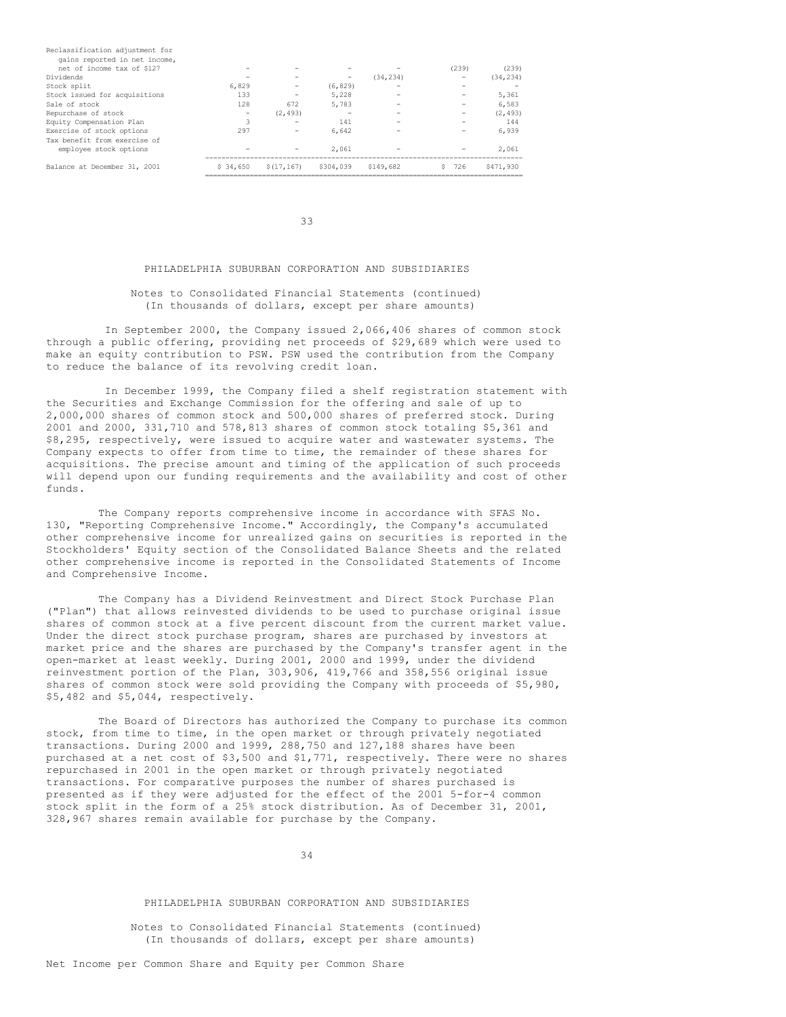| Reclassification adjustment for |          |             |           |           |       |           |
|---------------------------------|----------|-------------|-----------|-----------|-------|-----------|
| gains reported in net income,   |          |             |           |           |       |           |
| net of income tax of \$127      |          |             |           |           | (239) | (239)     |
| Dividends                       |          |             | -         | (34, 234) |       | (34, 234) |
| Stock split                     | 6,829    |             | (6, 829)  |           |       |           |
| Stock issued for acquisitions   | 133      |             | 5,228     |           |       | 5,361     |
| Sale of stock                   | 128      | 672         | 5,783     |           |       | 6,583     |
| Repurchase of stock             |          | (2, 493)    |           |           |       | (2.493)   |
| Equity Compensation Plan        | 3        |             | 141       |           |       | 144       |
| Exercise of stock options       | 297      |             | 6.642     |           |       | 6.939     |
| Tax benefit from exercise of    |          |             |           |           |       |           |
| employee stock options          |          |             | 2.061     |           |       | 2,061     |
| Balance at December 31, 2001    | \$34,650 | \$(17, 167) | \$304,039 | \$149,682 | 726   | \$471,930 |
|                                 |          |             |           |           |       |           |

33

### PHILADELPHIA SUBURBAN CORPORATION AND SUBSIDIARIES

### Notes to Consolidated Financial Statements (continued) (In thousands of dollars, except per share amounts)

In September 2000, the Company issued 2,066,406 shares of common stock through a public offering, providing net proceeds of \$29,689 which were used to make an equity contribution to PSW. PSW used the contribution from the Company to reduce the balance of its revolving credit loan.

In December 1999, the Company filed a shelf registration statement with the Securities and Exchange Commission for the offering and sale of up to 2,000,000 shares of common stock and 500,000 shares of preferred stock. During 2001 and 2000, 331,710 and 578,813 shares of common stock totaling \$5,361 and \$8,295, respectively, were issued to acquire water and wastewater systems. The Company expects to offer from time to time, the remainder of these shares for acquisitions. The precise amount and timing of the application of such proceeds will depend upon our funding requirements and the availability and cost of other funds.

The Company reports comprehensive income in accordance with SFAS No. 130, "Reporting Comprehensive Income." Accordingly, the Company's accumulated other comprehensive income for unrealized gains on securities is reported in the Stockholders' Equity section of the Consolidated Balance Sheets and the related other comprehensive income is reported in the Consolidated Statements of Income and Comprehensive Income.

The Company has a Dividend Reinvestment and Direct Stock Purchase Plan ("Plan") that allows reinvested dividends to be used to purchase original issue shares of common stock at a five percent discount from the current market value. Under the direct stock purchase program, shares are purchased by investors at market price and the shares are purchased by the Company's transfer agent in the open-market at least weekly. During 2001, 2000 and 1999, under the dividend reinvestment portion of the Plan, 303,906, 419,766 and 358,556 original issue shares of common stock were sold providing the Company with proceeds of \$5,980, \$5,482 and \$5,044, respectively.

The Board of Directors has authorized the Company to purchase its common stock, from time to time, in the open market or through privately negotiated transactions. During 2000 and 1999, 288,750 and 127,188 shares have been purchased at a net cost of \$3,500 and \$1,771, respectively. There were no shares repurchased in 2001 in the open market or through privately negotiated transactions. For comparative purposes the number of shares purchased is presented as if they were adjusted for the effect of the 2001 5-for-4 common stock split in the form of a 25% stock distribution. As of December 31, 2001, 328,967 shares remain available for purchase by the Company.

34

### PHILADELPHIA SUBURBAN CORPORATION AND SUBSIDIARIES

Notes to Consolidated Financial Statements (continued) (In thousands of dollars, except per share amounts)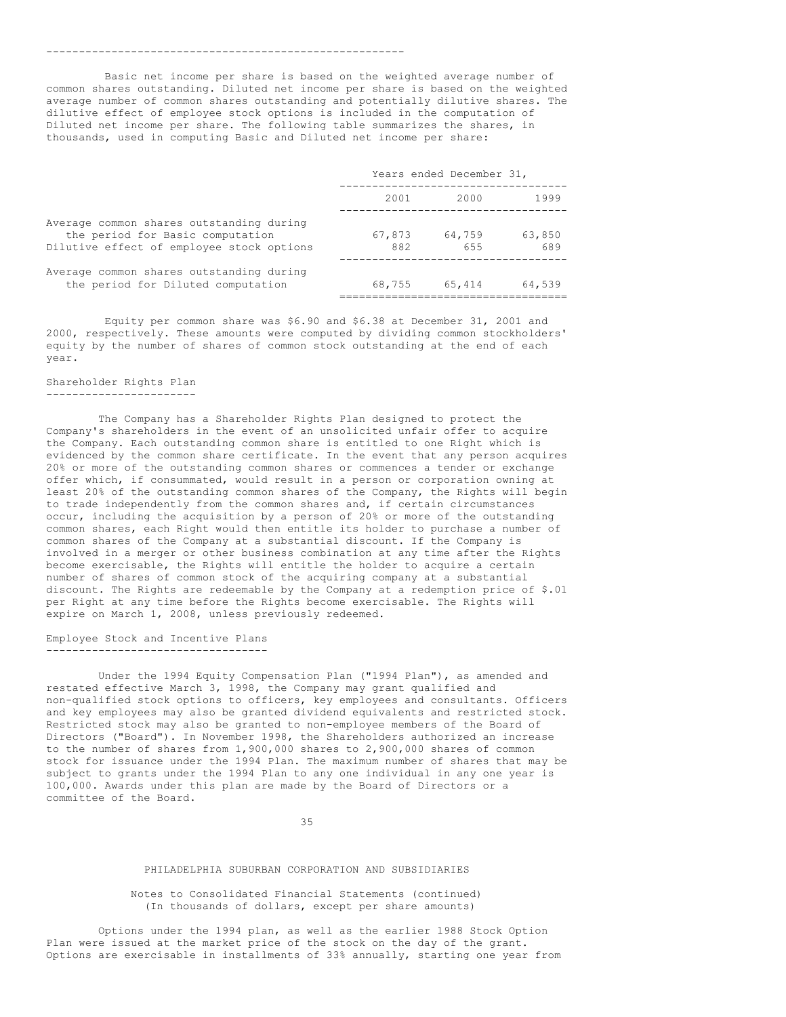#### -------------------------------------------------------

Basic net income per share is based on the weighted average number of common shares outstanding. Diluted net income per share is based on the weighted average number of common shares outstanding and potentially dilutive shares. The dilutive effect of employee stock options is included in the computation of Diluted net income per share. The following table summarizes the shares, in thousands, used in computing Basic and Diluted net income per share:

|                                                                                                                           |               | Years ended December 31, |               |  |
|---------------------------------------------------------------------------------------------------------------------------|---------------|--------------------------|---------------|--|
|                                                                                                                           | 2001          | 2000                     | 1999          |  |
| Average common shares outstanding during<br>the period for Basic computation<br>Dilutive effect of employee stock options | 67,873<br>882 | 64,759<br>655            | 63,850<br>689 |  |
| Average common shares outstanding during<br>the period for Diluted computation                                            | 68,755        | 65,414                   | 64,539        |  |

Equity per common share was \$6.90 and \$6.38 at December 31, 2001 and 2000, respectively. These amounts were computed by dividing common stockholders' equity by the number of shares of common stock outstanding at the end of each year.

## Shareholder Rights Plan

#### -----------------------

The Company has a Shareholder Rights Plan designed to protect the Company's shareholders in the event of an unsolicited unfair offer to acquire the Company. Each outstanding common share is entitled to one Right which is evidenced by the common share certificate. In the event that any person acquires 20% or more of the outstanding common shares or commences a tender or exchange offer which, if consummated, would result in a person or corporation owning at least 20% of the outstanding common shares of the Company, the Rights will begin to trade independently from the common shares and, if certain circumstances occur, including the acquisition by a person of 20% or more of the outstanding common shares, each Right would then entitle its holder to purchase a number of common shares of the Company at a substantial discount. If the Company is involved in a merger or other business combination at any time after the Rights become exercisable, the Rights will entitle the holder to acquire a certain number of shares of common stock of the acquiring company at a substantial discount. The Rights are redeemable by the Company at a redemption price of \$.01 per Right at any time before the Rights become exercisable. The Rights will expire on March 1, 2008, unless previously redeemed.

Employee Stock and Incentive Plans ----------------------------------

Under the 1994 Equity Compensation Plan ("1994 Plan"), as amended and restated effective March 3, 1998, the Company may grant qualified and non-qualified stock options to officers, key employees and consultants. Officers and key employees may also be granted dividend equivalents and restricted stock. Restricted stock may also be granted to non-employee members of the Board of Directors ("Board"). In November 1998, the Shareholders authorized an increase to the number of shares from 1,900,000 shares to 2,900,000 shares of common stock for issuance under the 1994 Plan. The maximum number of shares that may be subject to grants under the 1994 Plan to any one individual in any one year is 100,000. Awards under this plan are made by the Board of Directors or a committee of the Board.

35

### PHILADELPHIA SUBURBAN CORPORATION AND SUBSIDIARIES

### Notes to Consolidated Financial Statements (continued) (In thousands of dollars, except per share amounts)

Options under the 1994 plan, as well as the earlier 1988 Stock Option Plan were issued at the market price of the stock on the day of the grant. Options are exercisable in installments of 33% annually, starting one year from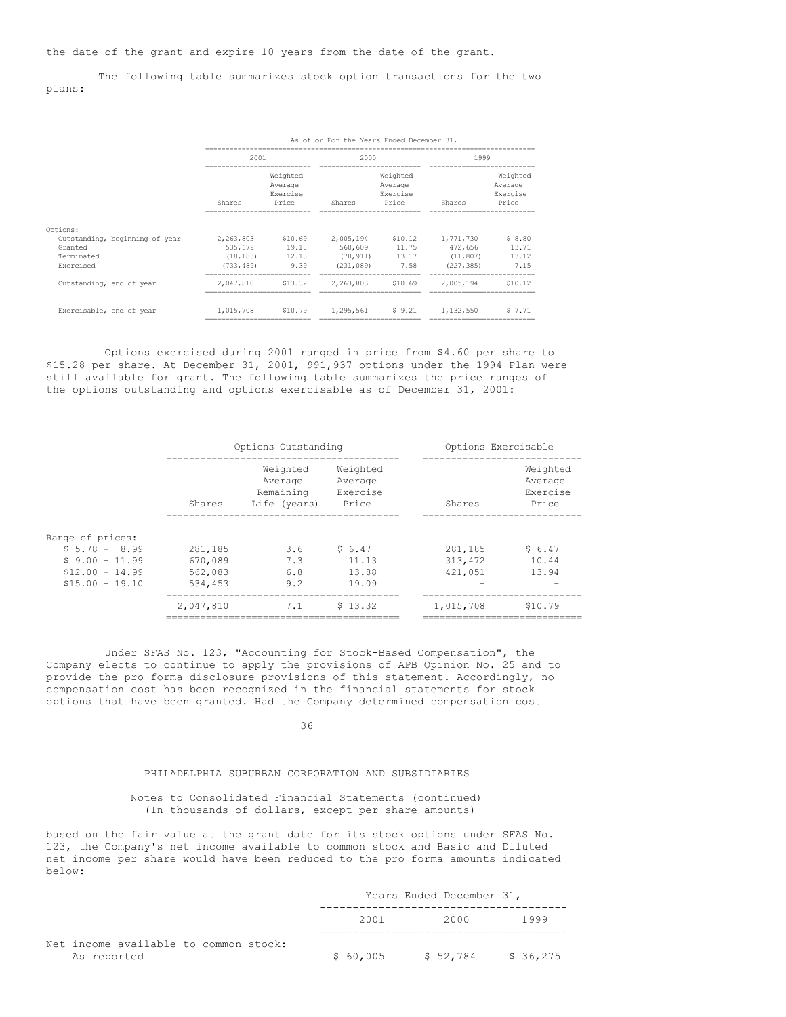the date of the grant and expire 10 years from the date of the grant.

The following table summarizes stock option transactions for the two plans:

|                                                         | As of or For the Years Ended December 31, |                                          |                                                      |                                          |                                   |                                          |
|---------------------------------------------------------|-------------------------------------------|------------------------------------------|------------------------------------------------------|------------------------------------------|-----------------------------------|------------------------------------------|
|                                                         | 2001                                      |                                          | 2000                                                 |                                          | 1999                              |                                          |
|                                                         | Shares                                    | Weighted<br>Average<br>Exercise<br>Price | Shares                                               | Weighted<br>Average<br>Exercise<br>Price | Shares                            | Weighted<br>Average<br>Exercise<br>Price |
|                                                         |                                           |                                          |                                                      |                                          |                                   |                                          |
| Options:                                                |                                           |                                          |                                                      |                                          |                                   |                                          |
| Outstanding, beginning of year<br>Granted<br>Terminated | 2,263,803<br>535,679<br>(18, 183)         | 19.10                                    | \$10.69 2.005.194<br>560,609<br>12.13 (70.911) 13.17 | \$10.12<br>11.75                         | 1,771,730<br>472,656<br>(11, 807) | \$8.80<br>13.71<br>13.12                 |
| Exercised                                               | (733, 489)                                | 9.39                                     | (231, 089)                                           | 7.58                                     | (227, 385)                        | 7.15                                     |
| Outstanding, end of year                                | 2,047,810                                 | \$13.32                                  |                                                      | 2,263,803 \$10.69                        | 2,005,194                         | \$10.12                                  |
| Exercisable, end of year                                | 1,015,708                                 |                                          | \$10.79   1,295,561   \$9.21                         |                                          | 1,132,550                         | 57.71                                    |

Options exercised during 2001 ranged in price from \$4.60 per share to \$15.28 per share. At December 31, 2001, 991,937 options under the 1994 Plan were still available for grant. The following table summarizes the price ranges of the options outstanding and options exercisable as of December 31, 2001:

|                                                                                               | Options Outstanding                      |                                                  |                                          |                                | Options Exercisable                      |  |  |
|-----------------------------------------------------------------------------------------------|------------------------------------------|--------------------------------------------------|------------------------------------------|--------------------------------|------------------------------------------|--|--|
|                                                                                               | Shares                                   | Weighted<br>Average<br>Remaining<br>Life (years) | Weighted<br>Average<br>Exercise<br>Price | Shares                         | Weighted<br>Average<br>Exercise<br>Price |  |  |
| Range of prices:<br>$$5.78 - 8.99$<br>$$9.00 - 11.99$<br>$$12.00 - 14.99$<br>$$15.00 - 19.10$ | 281,185<br>670,089<br>562,083<br>534,453 | 3.6<br>7.3<br>6.8<br>9.2                         | \$6.47<br>11.13<br>13.88<br>19.09        | 281,185<br>313, 472<br>421,051 | \$6.47<br>10.44<br>13.94                 |  |  |
|                                                                                               | 2,047,810                                | 7.1                                              | \$13.32                                  | 1,015,708                      | \$10.79                                  |  |  |

Under SFAS No. 123, "Accounting for Stock-Based Compensation", the Company elects to continue to apply the provisions of APB Opinion No. 25 and to provide the pro forma disclosure provisions of this statement. Accordingly, no compensation cost has been recognized in the financial statements for stock options that have been granted. Had the Company determined compensation cost

36

#### PHILADELPHIA SUBURBAN CORPORATION AND SUBSIDIARIES

### Notes to Consolidated Financial Statements (continued) (In thousands of dollars, except per share amounts)

based on the fair value at the grant date for its stock options under SFAS No. 123, the Company's net income available to common stock and Basic and Diluted net income per share would have been reduced to the pro forma amounts indicated below:

|                                                      | Years Ended December 31, |           |           |
|------------------------------------------------------|--------------------------|-----------|-----------|
|                                                      | 2001                     | 2000.     | 1999      |
| Net income available to common stock:<br>As reported | \$60,005                 | \$ 52,784 | \$ 36,275 |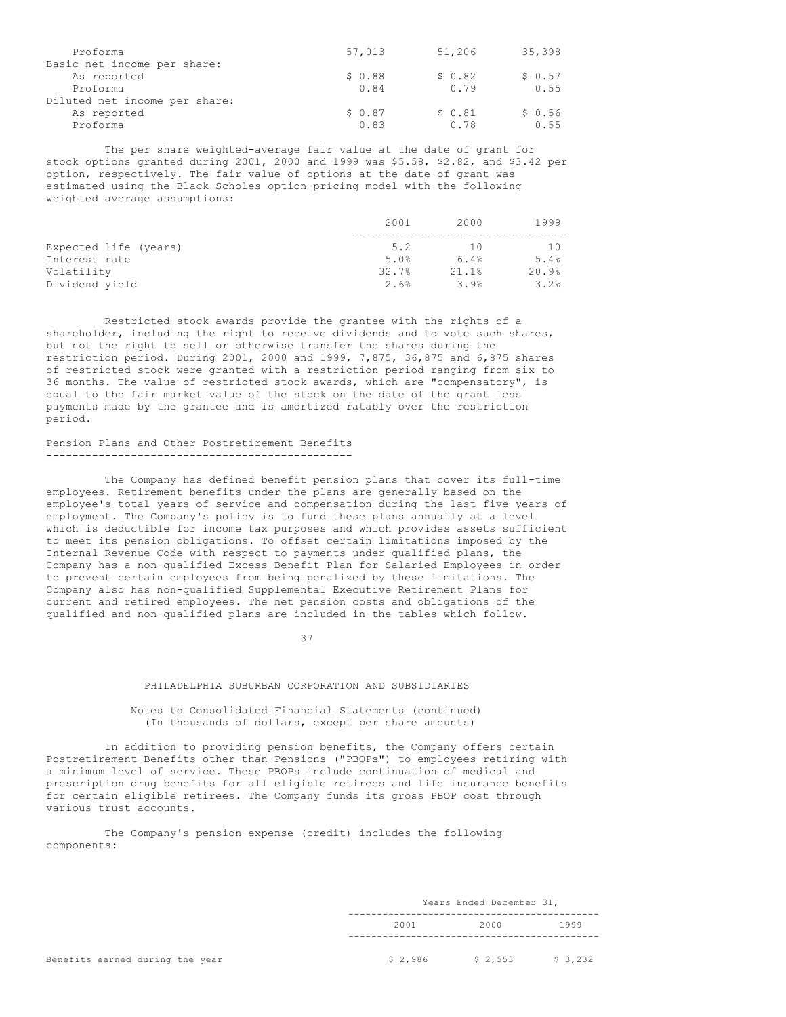| Proforma                      | 57,013 | 51,206 | 35,398 |
|-------------------------------|--------|--------|--------|
| Basic net income per share:   |        |        |        |
| As reported                   | \$0.88 | \$0.82 | \$0.57 |
| Proforma                      | 0.84   | 0.79   | 0.55   |
| Diluted net income per share: |        |        |        |
| As reported                   | \$0.87 | \$0.81 | \$0.56 |
| Proforma                      | 0.83   | 0.78   | 0.55   |

The per share weighted-average fair value at the date of grant for stock options granted during 2001, 2000 and 1999 was \$5.58, \$2.82, and \$3.42 per option, respectively. The fair value of options at the date of grant was estimated using the Black-Scholes option-pricing model with the following weighted average assumptions:

|                       | 2001  | 2000  | 1999  |
|-----------------------|-------|-------|-------|
| Expected life (years) | 5.2   | 1 O   | 10    |
| Interest rate         | 5.0%  | 6.4%  | 5.4%  |
| Volatility            | 32.7% | 21.1% | 20.9% |
| Dividend vield        | 2.6%  | 3.9%  | 3.2%  |

Restricted stock awards provide the grantee with the rights of a shareholder, including the right to receive dividends and to vote such shares, but not the right to sell or otherwise transfer the shares during the restriction period. During 2001, 2000 and 1999, 7,875, 36,875 and 6,875 shares of restricted stock were granted with a restriction period ranging from six to 36 months. The value of restricted stock awards, which are "compensatory", is equal to the fair market value of the stock on the date of the grant less payments made by the grantee and is amortized ratably over the restriction period.

Pension Plans and Other Postretirement Benefits -----------------------------------------------

The Company has defined benefit pension plans that cover its full-time employees. Retirement benefits under the plans are generally based on the employee's total years of service and compensation during the last five years of employment. The Company's policy is to fund these plans annually at a level which is deductible for income tax purposes and which provides assets sufficient to meet its pension obligations. To offset certain limitations imposed by the Internal Revenue Code with respect to payments under qualified plans, the Company has a non-qualified Excess Benefit Plan for Salaried Employees in order to prevent certain employees from being penalized by these limitations. The Company also has non-qualified Supplemental Executive Retirement Plans for current and retired employees. The net pension costs and obligations of the qualified and non-qualified plans are included in the tables which follow.

37

## PHILADELPHIA SUBURBAN CORPORATION AND SUBSIDIARIES

## Notes to Consolidated Financial Statements (continued) (In thousands of dollars, except per share amounts)

In addition to providing pension benefits, the Company offers certain Postretirement Benefits other than Pensions ("PBOPs") to employees retiring with a minimum level of service. These PBOPs include continuation of medical and prescription drug benefits for all eligible retirees and life insurance benefits for certain eligible retirees. The Company funds its gross PBOP cost through various trust accounts.

The Company's pension expense (credit) includes the following components:

|      |  | Years Ended December 31, |      |  |
|------|--|--------------------------|------|--|
| 2001 |  | 2000                     | 1999 |  |
| .    |  | .                        | .    |  |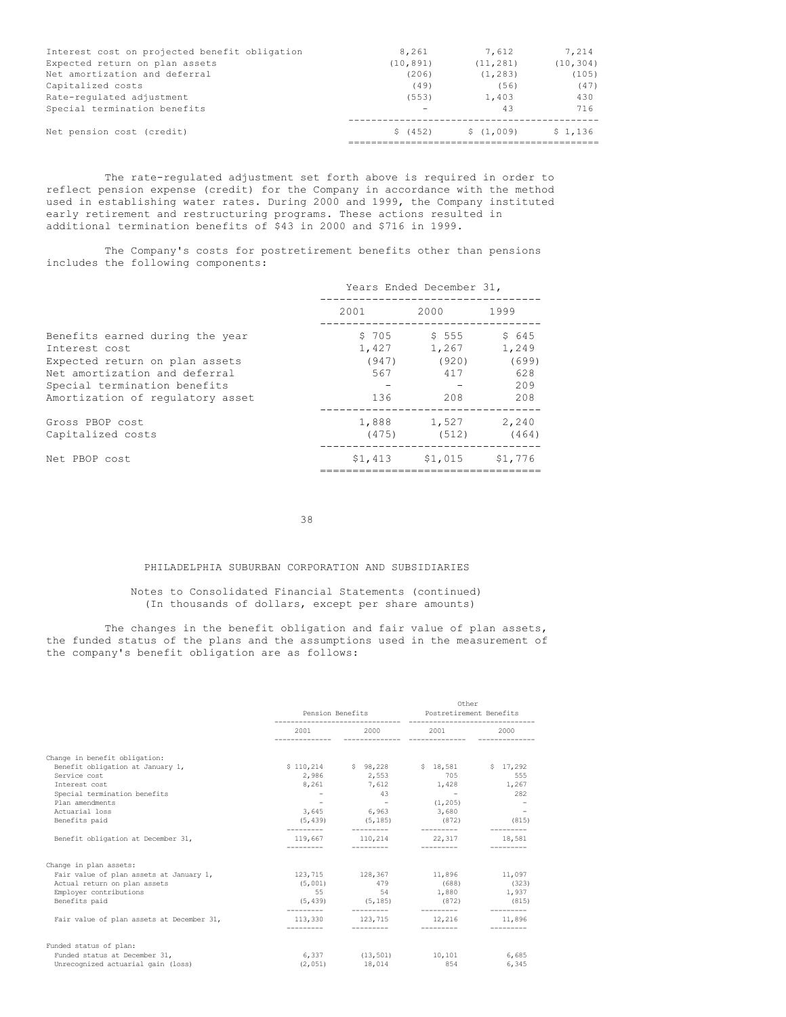| Interest cost on projected benefit obligation | 8,261     | 7.612     | 7.214     |
|-----------------------------------------------|-----------|-----------|-----------|
| Expected return on plan assets                | (10, 891) | (11, 281) | (10, 304) |
| Net amortization and deferral                 | (206)     | (1, 283)  | (105)     |
| Capitalized costs                             | (49)      | (56)      | (47)      |
| Rate-regulated adjustment                     | (553)     | 1,403     | 430       |
| Special termination benefits                  |           | 43        | 716       |
| Net pension cost (credit)                     | \$(452)   | \$(1,009) | \$1,136   |
|                                               |           |           |           |

The rate-regulated adjustment set forth above is required in order to reflect pension expense (credit) for the Company in accordance with the method used in establishing water rates. During 2000 and 1999, the Company instituted early retirement and restructuring programs. These actions resulted in additional termination benefits of \$43 in 2000 and \$716 in 1999.

The Company's costs for postretirement benefits other than pensions includes the following components:

|                                                                                                                                                                                         | Years Ended December 31,              |                                        |                                              |  |  |  |
|-----------------------------------------------------------------------------------------------------------------------------------------------------------------------------------------|---------------------------------------|----------------------------------------|----------------------------------------------|--|--|--|
|                                                                                                                                                                                         | 2001                                  | 2000                                   | 1999                                         |  |  |  |
| Benefits earned during the year<br>Interest cost<br>Expected return on plan assets<br>Net amortization and deferral<br>Special termination benefits<br>Amortization of regulatory asset | \$705<br>1,427<br>(947)<br>567<br>136 | \$ 555<br>1,267<br>(920)<br>417<br>208 | \$645<br>1,249<br>(699)<br>628<br>209<br>208 |  |  |  |
| Gross PBOP cost<br>Capitalized costs                                                                                                                                                    |                                       | 1,888 1,527 2,240<br>$(475)$ $(512)$   | (464)                                        |  |  |  |
| Net PBOP cost                                                                                                                                                                           |                                       | $$1,413$ $$1,015$ $$1,776$             |                                              |  |  |  |

38

# PHILADELPHIA SUBURBAN CORPORATION AND SUBSIDIARIES

## Notes to Consolidated Financial Statements (continued) (In thousands of dollars, except per share amounts)

The changes in the benefit obligation and fair value of plan assets, the funded status of the plans and the assumptions used in the measurement of the company's benefit obligation are as follows:

|                                                                                                                                                                                                                                |                                                    | Pension Benefits <b>Senson</b> Postretirement Benefits                                 |                                                                                                                                                    | Other                                   |  |
|--------------------------------------------------------------------------------------------------------------------------------------------------------------------------------------------------------------------------------|----------------------------------------------------|----------------------------------------------------------------------------------------|----------------------------------------------------------------------------------------------------------------------------------------------------|-----------------------------------------|--|
|                                                                                                                                                                                                                                | ---------------                                    |                                                                                        | 2001 2000 2001                                                                                                                                     | 2000<br>\$17.292<br>555<br>282<br>(815) |  |
| Change in benefit obligation:<br>Benefit obligation at January 1,<br>Service cost<br>Interest cost<br>Special termination benefits<br>Plan amendments<br>Actuarial loss<br>Benefits paid<br>Benefit obligation at December 31, | $\overline{\phantom{a}}$<br>(5, 439)<br>---------- | 2,986 2,553<br>43<br>$\sim$ $-$<br>3,645 6,963 3,680<br>$(5, 185)$ (872)<br>---------- | \$110,214 \$98,228 \$18,581<br>705<br>8,261 7,612 1,428 1,267<br>$\sim 100$ m $^{-1}$<br>(1, 205)<br>____________<br>119,667 110,214 22,317 18,581 |                                         |  |
| Change in plan assets:                                                                                                                                                                                                         |                                                    |                                                                                        |                                                                                                                                                    |                                         |  |
| Fair value of plan assets at January 1,<br>Actual return on plan assets<br>Employer contributions<br>Benefits paid                                                                                                             | 55<br>----------                                   | 54<br>_________                                                                        | 123,715 128,367 11,896 11,097<br>$(5,001)$ $479$ $(688)$ $(323)$<br>1,880<br>$(5.439)$ $(5.185)$ $(872)$ $(815)$                                   | 1,937                                   |  |
| Fair value of plan assets at December 31,                                                                                                                                                                                      | ----------                                         | __________                                                                             | 113.330 123.715 12.216 11.896<br>and the component of the component of the component of the component of the component of the component of the     |                                         |  |
| Funded status of plan:                                                                                                                                                                                                         |                                                    |                                                                                        |                                                                                                                                                    |                                         |  |
| Funded status at December 31,<br>Unrecognized actuarial gain (loss)                                                                                                                                                            |                                                    | $(2,051)$ 18,014 854                                                                   | 6,337 (13,501) 10,101                                                                                                                              | 6,685<br>6,345                          |  |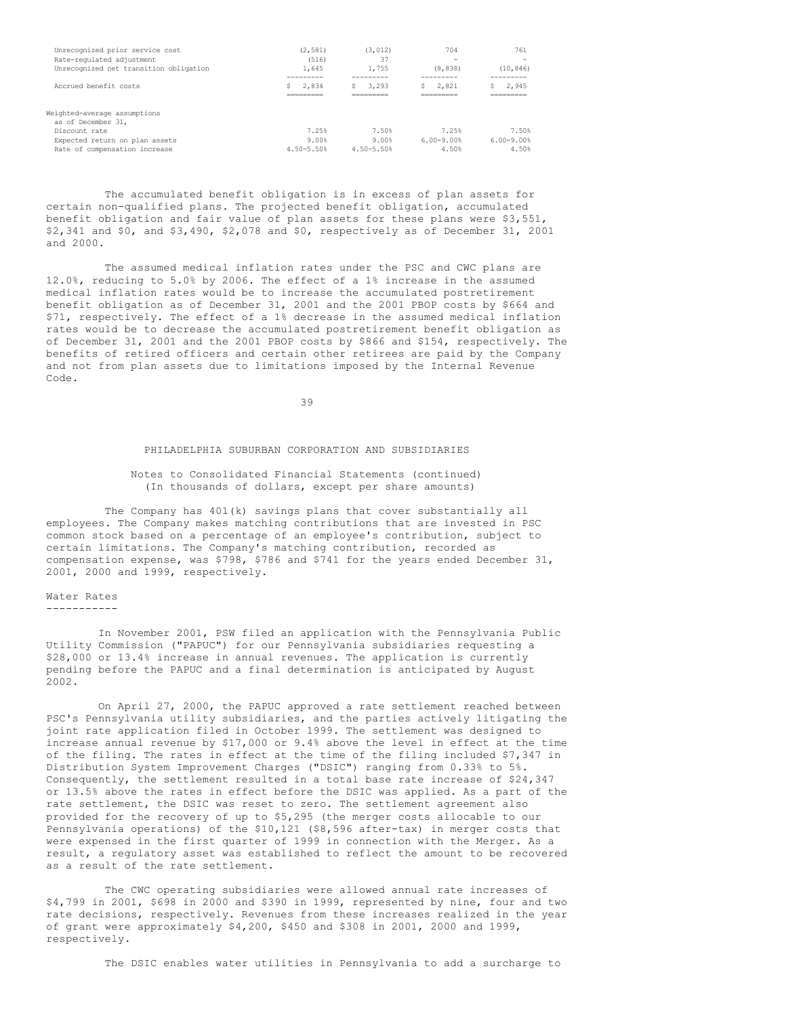| Unrecognized prior service cost<br>Rate-regulated adjustment<br>Unrecognized net transition obligation                                    | (2.581)<br>(516)<br>1,645<br>-------- | (3.012)<br>37<br>1,755          | 704<br>-<br>(8, 838)                 | 761<br>-<br>(10, 846)<br>-------     |
|-------------------------------------------------------------------------------------------------------------------------------------------|---------------------------------------|---------------------------------|--------------------------------------|--------------------------------------|
| Accrued benefit costs                                                                                                                     | 2,834<br>Ŝ.<br>_________<br>--------- | 3,293<br>________<br>_________  | 2.821<br>S<br>_________<br>_________ | 2,945<br>s<br>_________<br>--------- |
| Weighted-average assumptions<br>as of December 31,<br>Discount rate<br>Expected return on plan assets<br>compensation increase<br>Rate of | 7.25%<br>9.00%<br>$4.50 - 5.50$       | 7.50%<br>9.00%<br>$4.50 - 5.50$ | 7.25%<br>$6.00 - 9.00$<br>4.50%      | 7.50%<br>$6.00 - 9.00$<br>4.50%      |

The accumulated benefit obligation is in excess of plan assets for certain non-qualified plans. The projected benefit obligation, accumulated benefit obligation and fair value of plan assets for these plans were \$3,551, \$2,341 and \$0, and \$3,490, \$2,078 and \$0, respectively as of December 31, 2001 and 2000.

The assumed medical inflation rates under the PSC and CWC plans are 12.0%, reducing to 5.0% by 2006. The effect of a 1% increase in the assumed medical inflation rates would be to increase the accumulated postretirement benefit obligation as of December 31, 2001 and the 2001 PBOP costs by \$664 and \$71, respectively. The effect of a 1% decrease in the assumed medical inflation rates would be to decrease the accumulated postretirement benefit obligation as of December 31, 2001 and the 2001 PBOP costs by \$866 and \$154, respectively. The benefits of retired officers and certain other retirees are paid by the Company and not from plan assets due to limitations imposed by the Internal Revenue Code.

39

### PHILADELPHIA SUBURBAN CORPORATION AND SUBSIDIARIES

## Notes to Consolidated Financial Statements (continued) (In thousands of dollars, except per share amounts)

The Company has 401(k) savings plans that cover substantially all employees. The Company makes matching contributions that are invested in PSC common stock based on a percentage of an employee's contribution, subject to certain limitations. The Company's matching contribution, recorded as compensation expense, was \$798, \$786 and \$741 for the years ended December 31, 2001, 2000 and 1999, respectively.

#### Water Rates -----------

In November 2001, PSW filed an application with the Pennsylvania Public Utility Commission ("PAPUC") for our Pennsylvania subsidiaries requesting a \$28,000 or 13.4% increase in annual revenues. The application is currently pending before the PAPUC and a final determination is anticipated by August 2002.

On April 27, 2000, the PAPUC approved a rate settlement reached between PSC's Pennsylvania utility subsidiaries, and the parties actively litigating the joint rate application filed in October 1999. The settlement was designed to increase annual revenue by \$17,000 or 9.4% above the level in effect at the time of the filing. The rates in effect at the time of the filing included \$7,347 in Distribution System Improvement Charges ("DSIC") ranging from 0.33% to 5%. Consequently, the settlement resulted in a total base rate increase of \$24,347 or 13.5% above the rates in effect before the DSIC was applied. As a part of the rate settlement, the DSIC was reset to zero. The settlement agreement also provided for the recovery of up to \$5,295 (the merger costs allocable to our Pennsylvania operations) of the \$10,121 (\$8,596 after-tax) in merger costs that were expensed in the first quarter of 1999 in connection with the Merger. As a result, a regulatory asset was established to reflect the amount to be recovered as a result of the rate settlement.

The CWC operating subsidiaries were allowed annual rate increases of \$4,799 in 2001, \$698 in 2000 and \$390 in 1999, represented by nine, four and two rate decisions, respectively. Revenues from these increases realized in the year of grant were approximately \$4,200, \$450 and \$308 in 2001, 2000 and 1999, respectively.

The DSIC enables water utilities in Pennsylvania to add a surcharge to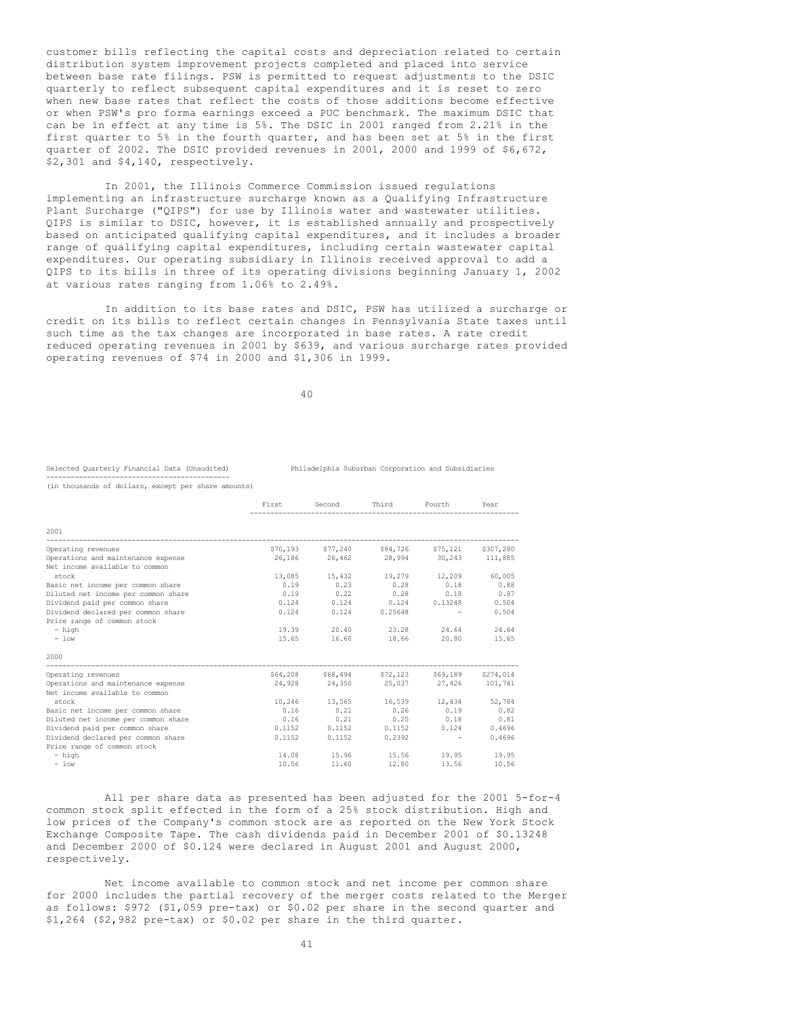customer bills reflecting the capital costs and depreciation related to certain distribution system improvement projects completed and placed into service between base rate filings. PSW is permitted to request adjustments to the DSIC quarterly to reflect subsequent capital expenditures and it is reset to zero when new base rates that reflect the costs of those additions become effective or when PSW's pro forma earnings exceed a PUC benchmark. The maximum DSIC that can be in effect at any time is 5%. The DSIC in 2001 ranged from 2.21% in the first quarter to 5% in the fourth quarter, and has been set at 5% in the first quarter of 2002. The DSIC provided revenues in 2001, 2000 and 1999 of \$6,672, \$2,301 and \$4,140, respectively.

In 2001, the Illinois Commerce Commission issued regulations implementing an infrastructure surcharge known as a Qualifying Infrastructure Plant Surcharge ("QIPS") for use by Illinois water and wastewater utilities. QIPS is similar to DSIC, however, it is established annually and prospectively based on anticipated qualifying capital expenditures, and it includes a broader range of qualifying capital expenditures, including certain wastewater capital expenditures. Our operating subsidiary in Illinois received approval to add a QIPS to its bills in three of its operating divisions beginning January 1, 2002 at various rates ranging from 1.06% to 2.49%.

In addition to its base rates and DSIC, PSW has utilized a surcharge or credit on its bills to reflect certain changes in Pennsylvania State taxes until such time as the tax changes are incorporated in base rates. A rate credit reduced operating revenues in 2001 by \$639, and various surcharge rates provided operating revenues of \$74 in 2000 and \$1,306 in 1999.

40

# ---------------------------------------------

Selected Quarterly Financial Data (Unaudited) Philadelphia Suburban Corporation and Subsidiaries

First Second Third Fourth Year

(in thousands of dollars, except per share amounts)

| 2001                                |        |                                               |                   |             |        |
|-------------------------------------|--------|-----------------------------------------------|-------------------|-------------|--------|
| Operating revenues                  |        | \$70,193 \$77,240 \$84,726 \$75,121 \$307,280 |                   |             |        |
| Operations and maintenance expense  |        | 26,186 26,462 28,994 30,243 111,885           |                   |             |        |
| Net income available to common      |        |                                               |                   |             |        |
| stock                               |        | 13,085 15,432 19,279 12,209 60,005            |                   |             |        |
| Basic net income per common share   |        | $0.19$ $0.23$ $0.28$ $0.18$ $0.88$            |                   |             |        |
| Diluted net income per common share |        | $0.19$ $0.22$ $0.28$ $0.18$ $0.87$            |                   |             |        |
| Dividend paid per common share      |        | $0.124$ 0.124 0.124 0.13248                   |                   |             | 0.504  |
| Dividend declared per common share  | 0.124  | 0.124                                         | 0.25648           |             | 0.504  |
| Price range of common stock         |        |                                               |                   |             |        |
| - high                              |        | 19.39 20.40                                   | 23.28             | 24.64       | 24.64  |
| $-$ low                             |        | 15.65 16.60 18.66                             |                   | 20.80       | 15.65  |
| 2000                                |        |                                               |                   |             |        |
| Operating revenues                  |        | \$64,208 \$68,494 \$72,123 \$69,189 \$274,014 |                   |             |        |
| Operations and maintenance expense  |        | 24,928 24,350 25,037 27,426 101,741           |                   |             |        |
| Net income available to common      |        |                                               |                   |             |        |
| stock                               |        | 10.246 13.565 16.539 12.434 52.784            |                   |             |        |
| Basic net income per common share   |        | $0.16$ $0.21$                                 |                   | $0.26$ 0.19 | 0.82   |
| Diluted net income per common share |        | $0.16$ $0.21$ $0.25$ $0.18$ $0.81$            |                   |             |        |
| Dividend paid per common share      | 0.1152 |                                               | $0.1152$ $0.1152$ | 0.124       | 0.4696 |
| Dividend declared per common share  | 0.1152 | 0.1152                                        | 0.2392            |             | 0.4696 |
| Price range of common stock         |        |                                               |                   |             |        |
| - high                              |        | 14.08 15.96 15.56 19.95                       |                   |             | 19.95  |
| $-$ low                             |        | 10.56 11.60                                   | 12.80             | 13.56       | 10.56  |

All per share data as presented has been adjusted for the 2001 5-for-4 common stock split effected in the form of a 25% stock distribution. High and low prices of the Company's common stock are as reported on the New York Stock Exchange Composite Tape. The cash dividends paid in December 2001 of \$0.13248 and December 2000 of \$0.124 were declared in August 2001 and August 2000, respectively.

Net income available to common stock and net income per common share for 2000 includes the partial recovery of the merger costs related to the Merger as follows: \$972 (\$1,059 pre-tax) or \$0.02 per share in the second quarter and \$1,264 (\$2,982 pre-tax) or \$0.02 per share in the third quarter.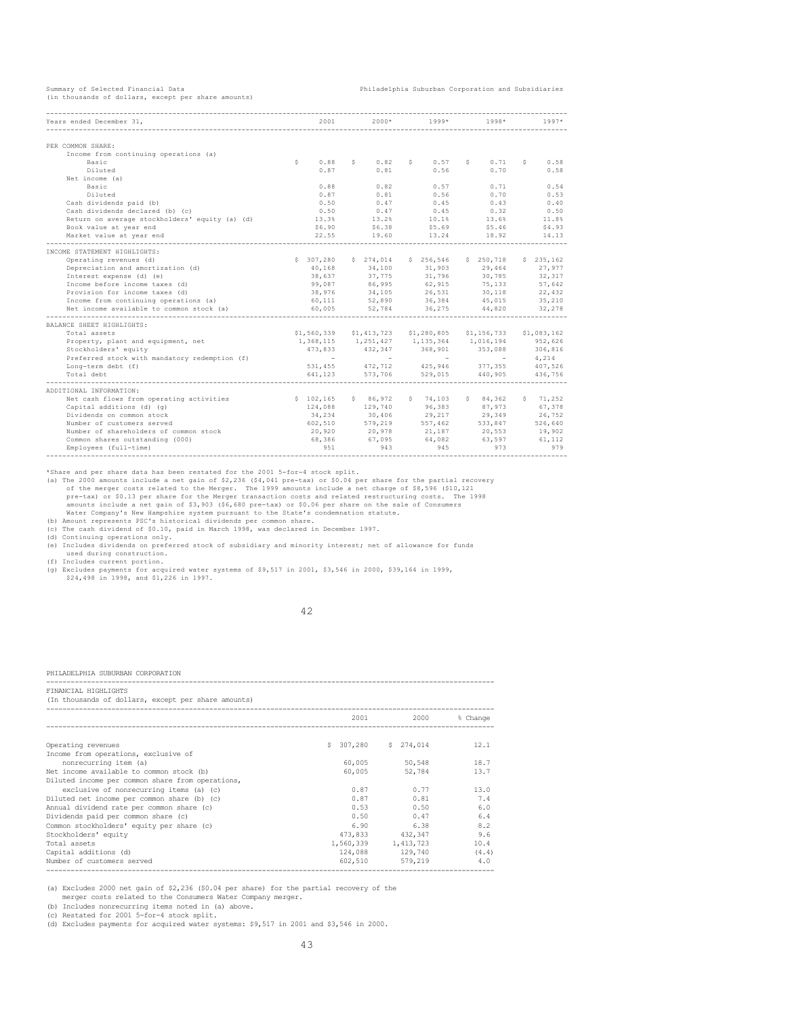(in thousands of dollars, except per share amounts)

Summary of Selected Financial Data Philadelphia Suburban Corporation and Subsidiaries

| Years ended December 31,                       | 2001       | $2000*$                          | $1999*$                                                                | $1998*$                                  | $1997*$     |
|------------------------------------------------|------------|----------------------------------|------------------------------------------------------------------------|------------------------------------------|-------------|
|                                                |            |                                  |                                                                        |                                          |             |
|                                                |            |                                  |                                                                        |                                          |             |
| PER COMMON SHARE:                              |            |                                  |                                                                        |                                          |             |
| Income from continuing operations (a)          |            |                                  |                                                                        |                                          |             |
| Basic                                          | 0.88<br>s. | $5 \t 0.82$                      | 0.57<br>$S = 1$                                                        | 0.71<br>$S = 1$                          | 0.58<br>S   |
| Diluted                                        | 0.87       | 0.81                             | 0.56                                                                   | 0.70                                     | 0.58        |
| Net income (a)                                 |            |                                  |                                                                        |                                          |             |
| Basic                                          | 0.88       | 0.82                             | 0.57                                                                   | 0.71                                     | 0.54        |
| Diluted                                        | 0.87       |                                  | $0.81$ $0.56$                                                          | 0.70                                     | 0.53        |
| Cash dividends paid (b)                        | 0.50       | 0.47                             | 0.45                                                                   | 0.43                                     | 0.40        |
| Cash dividends declared (b) (c)                | 0.50       | 0.47                             | 0.45                                                                   | 0.32                                     | 0.50        |
| Return on average stockholders' equity (a) (d) | 13.3%      |                                  | $13.2%$ $10.1%$ $13.6%$                                                |                                          | $11.8\,$    |
| Book value at year end                         |            |                                  | 56.90 56.38 55.69 55.46 \$4.93                                         |                                          |             |
| Market value at year end                       | 22.55      |                                  | 19.60 13.24 18.92                                                      |                                          | 14.13       |
| INCOME STATEMENT HIGHLIGHTS:                   |            |                                  |                                                                        |                                          |             |
| Operating revenues (d)                         | \$307,280  | \$274,014                        | \$256,546                                                              | \$250,718                                | \$235,162   |
| Depreciation and amortization (d)              |            |                                  | 40,168 34,100 31,903 29,464 27,977                                     |                                          |             |
| Interest expense (d) (e)                       | 38,637     | 37,775                           | 31,796                                                                 | 30,785                                   | 32, 317     |
| Income before income taxes (d)                 |            |                                  | $99,087$ $86,995$ $62,915$                                             | 75,133                                   | 57,642      |
| Provision for income taxes (d)                 |            |                                  | 38,976 34,105 26,531 30,118 22,432                                     |                                          |             |
| Income from continuing operations (a)          |            |                                  | $60,111$ $52,890$ $36,384$ $45,015$ $35,210$                           |                                          |             |
| Net income available to common stock (a)       |            |                                  | 60,005 52,784 36,275 44,820                                            |                                          | 32,278      |
|                                                |            |                                  |                                                                        |                                          |             |
| BALANCE SHEET HIGHLIGHTS:                      |            |                                  |                                                                        |                                          |             |
| Total assets                                   |            | \$1,560,339 \$1,413,723          | \$1,280,805                                                            | \$1,156,733                              | \$1,083,162 |
| Property, plant and equipment, net             |            |                                  | 1,368,115 1,251,427 1,135,364 1,016,194                                |                                          |             |
| Stockholders' equity                           | 473,833    |                                  | $432,347$<br>$368,901$<br>$1,016,194$<br>$353,088$<br>$306,816$<br>$-$ |                                          |             |
| Preferred stock with mandatory redemption (f)  | $\sim$ $-$ |                                  |                                                                        |                                          | 4,214       |
| Long-term debt (f)                             |            |                                  | 531,455 472,712 425,946 377,355 407,526                                |                                          |             |
| Total debt                                     |            |                                  | 641,123 573,706 529,015 440,905 436,756                                |                                          |             |
|                                                |            |                                  |                                                                        |                                          |             |
| ADDITIONAL INFORMATION:                        |            |                                  | $5 \t 74, 103$                                                         | \$84.362                                 |             |
| Net cash flows from operating activities       | \$102, 165 | \$86,972                         |                                                                        |                                          | 5, 71, 252  |
| Capital additions (d) (g)                      |            | 124,088 129,740<br>34,234 30,406 |                                                                        |                                          | 67,378      |
| Dividends on common stock                      |            |                                  | 602,510 579,219 557,462 533,847                                        | $29,217$<br>$55,303$<br>$67,973$<br>$65$ | 26,752      |
| Number of customers served                     |            |                                  |                                                                        |                                          | 526,640     |
| Number of shareholders of common stock         |            |                                  | 20,920 20,978 21,187 20,553 19,902                                     |                                          |             |
| Common shares outstanding (000)                | 68,386     |                                  | $67,095$ $64,082$ $63,597$                                             |                                          | 61, 112     |
| Employees (full-time)                          | 951        | 943                              | 945                                                                    | 973                                      | 979         |

\*Share and per share data has been restated for the 2001 5-for-4 stock split.<br>
(a) The 2000 amounts include a net gain of \$2,236 (\$4,041 pre-tax) or \$0.04 per share for the partial recovery<br>
of the merger costs related to

(d) Continuing operations only. (e) Includes dividends on preferred stock of subsidiary and minority interest; net of allowance for funds

used during construction.<br>
(f) Includes current portion.<br>
(g) Excludes payments for acquired water systems of \$9,517 in 2001, \$3,546 in 2000, \$39,164 in 1999,<br>
\$24,498 in 1998, and \$1,226 in 1997.

42

#### PHILADELPHIA SUBURBAN CORPORATION

-------------------------------------------------------------------------------------------------------------- FINANCIAL HIGHLIGHTS

| (In thousands of dollars, except per share amounts) |  |  |  |  |
|-----------------------------------------------------|--|--|--|--|
|                                                     |  |  |  |  |

|                                                  |           | 2001    | 2000      | % Change |
|--------------------------------------------------|-----------|---------|-----------|----------|
|                                                  |           |         |           |          |
|                                                  |           |         |           |          |
| Operating revenues                               | S.        | 307,280 | \$274.014 | 12.1     |
| Income from operations, exclusive of             |           |         |           |          |
| nonrecurring item (a)                            |           | 60,005  | 50,548    | 18.7     |
| Net income available to common stock (b)         |           | 60,005  | 52,784    | 13.7     |
| Diluted income per common share from operations, |           |         |           |          |
| exclusive of nonrecurring items (a) (c)          |           | 0.87    | 0.77      | 13.0     |
| Diluted net income per common share (b) (c)      |           | 0.87    | 0.81      | 7.4      |
| Annual dividend rate per common share (c)        |           | 0.53    | 0.50      | 6.0      |
| Dividends paid per common share (c)              |           | 0.50    | 0.47      | 6.4      |
| Common stockholders' equity per share (c)        |           | 6.90    | 6.38      | 8.2      |
| Stockholders' equity                             |           | 473,833 | 432,347   | 9.6      |
| Total assets                                     | 1,560,339 |         | 1,413,723 | 10.4     |
| Capital additions (d)                            |           | 124,088 | 129,740   | (4.4)    |
| Number of customers served                       |           | 602,510 | 579,219   | 4.0      |
|                                                  |           |         |           |          |

(a) Excludes 2000 net gain of \$2,236 (\$0.04 per share) for the partial recovery of the

merger costs related to the Consumers Water Company merger. (b) Includes nonrecurring items noted in (a) above.

(c) Restated for 2001 5-for-4 stock split.

(d) Excludes payments for acquired water systems: \$9,517 in 2001 and \$3,546 in 2000.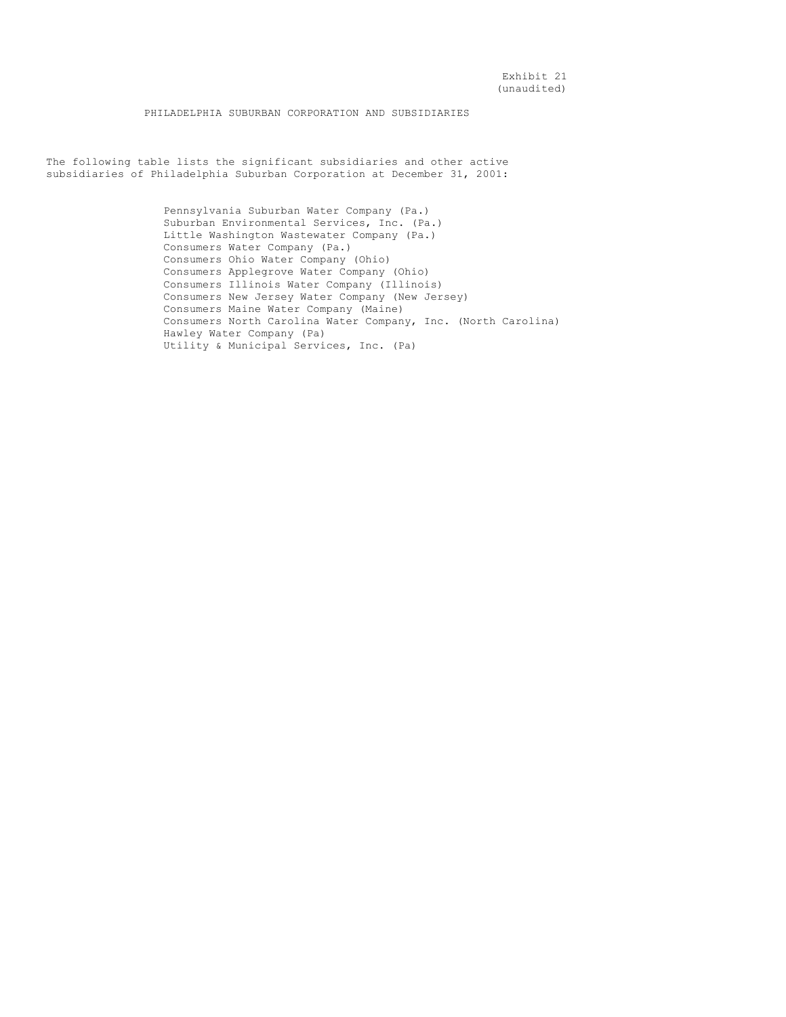PHILADELPHIA SUBURBAN CORPORATION AND SUBSIDIARIES

The following table lists the significant subsidiaries and other active subsidiaries of Philadelphia Suburban Corporation at December 31, 2001:

> Pennsylvania Suburban Water Company (Pa.) Suburban Environmental Services, Inc. (Pa.) Little Washington Wastewater Company (Pa.) Consumers Water Company (Pa.) Consumers Ohio Water Company (Ohio) Consumers Applegrove Water Company (Ohio) Consumers Illinois Water Company (Illinois) Consumers New Jersey Water Company (New Jersey) Consumers Maine Water Company (Maine) Consumers North Carolina Water Company, Inc. (North Carolina) Hawley Water Company (Pa) Utility & Municipal Services, Inc. (Pa)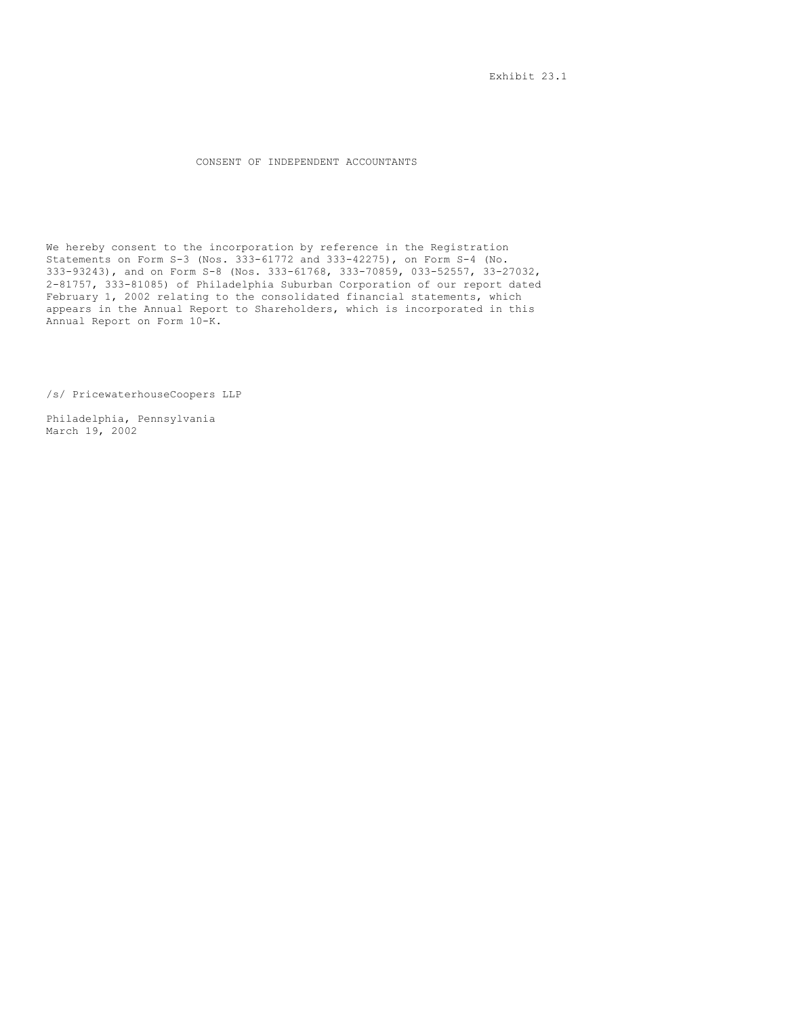Exhibit 23.1

# CONSENT OF INDEPENDENT ACCOUNTANTS

We hereby consent to the incorporation by reference in the Registration Statements on Form S-3 (Nos. 333-61772 and 333-42275), on Form S-4 (No. 333-93243), and on Form S-8 (Nos. 333-61768, 333-70859, 033-52557, 33-27032, 2-81757, 333-81085) of Philadelphia Suburban Corporation of our report dated February 1, 2002 relating to the consolidated financial statements, which appears in the Annual Report to Shareholders, which is incorporated in this Annual Report on Form 10-K.

/s/ PricewaterhouseCoopers LLP

Philadelphia, Pennsylvania March 19, 2002